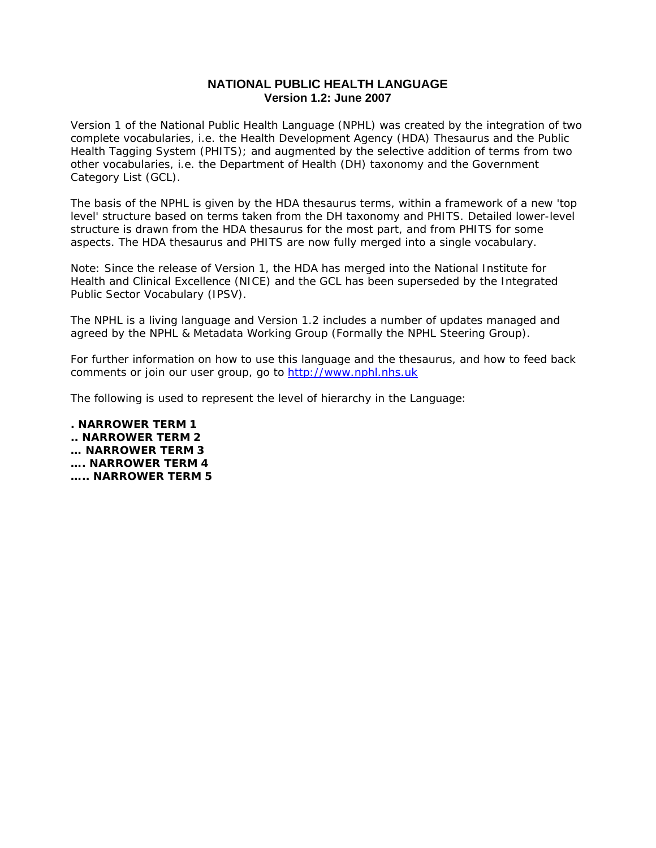# **NATIONAL PUBLIC HEALTH LANGUAGE Version 1.2: June 2007**

Version 1 of the National Public Health Language (NPHL) was created by the integration of two complete vocabularies, i.e. the Health Development Agency (HDA) Thesaurus and the Public Health Tagging System (PHITS); and augmented by the selective addition of terms from two other vocabularies, i.e. the Department of Health (DH) taxonomy and the Government Category List (GCL).

The basis of the NPHL is given by the HDA thesaurus terms, within a framework of a new 'top level' structure based on terms taken from the DH taxonomy and PHITS. Detailed lower-level structure is drawn from the HDA thesaurus for the most part, and from PHITS for some aspects. The HDA thesaurus and PHITS are now fully merged into a single vocabulary.

Note: Since the release of Version 1, the HDA has merged into the National Institute for Health and Clinical Excellence (NICE) and the GCL has been superseded by the Integrated Public Sector Vocabulary (IPSV).

The NPHL is a living language and Version 1.2 includes a number of updates managed and agreed by the NPHL & Metadata Working Group (Formally the NPHL Steering Group).

For further information on how to use this language and the thesaurus, and how to feed back comments or join our user group, go to [http://www.nphl.nhs.uk](http://www.nphl.nhs.uk/)

The following is used to represent the level of hierarchy in the Language:

**. NARROWER TERM 1 .. NARROWER TERM 2 … NARROWER TERM 3 …. NARROWER TERM 4 ….. NARROWER TERM 5**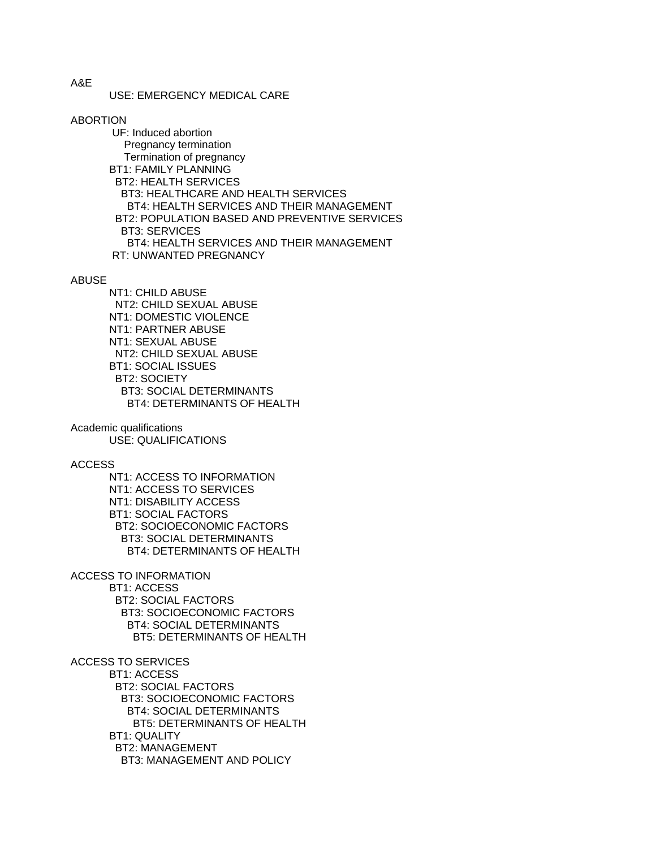USE: EMERGENCY MEDICAL CARE

ABORTION

 UF: Induced abortion Pregnancy termination Termination of pregnancy BT1: FAMILY PLANNING BT2: HEALTH SERVICES BT3: HEALTHCARE AND HEALTH SERVICES BT4: HEALTH SERVICES AND THEIR MANAGEMENT BT2: POPULATION BASED AND PREVENTIVE SERVICES BT3: SERVICES BT4: HEALTH SERVICES AND THEIR MANAGEMENT RT: UNWANTED PREGNANCY

**ABUSE** 

 NT1: CHILD ABUSE NT2: CHILD SEXUAL ABUSE NT1: DOMESTIC VIOLENCE NT1: PARTNER ABUSE NT1: SEXUAL ABUSE NT2: CHILD SEXUAL ABUSE BT1: SOCIAL ISSUES BT2: SOCIETY BT3: SOCIAL DETERMINANTS BT4: DETERMINANTS OF HEALTH

Academic qualifications USE: QUALIFICATIONS

ACCESS

 NT1: ACCESS TO INFORMATION NT1: ACCESS TO SERVICES NT1: DISABILITY ACCESS BT1: SOCIAL FACTORS BT2: SOCIOECONOMIC FACTORS BT3: SOCIAL DETERMINANTS BT4: DETERMINANTS OF HEALTH

ACCESS TO INFORMATION

 BT1: ACCESS BT2: SOCIAL FACTORS BT3: SOCIOECONOMIC FACTORS BT4: SOCIAL DETERMINANTS BT5: DETERMINANTS OF HEALTH

ACCESS TO SERVICES BT1: ACCESS BT2: SOCIAL FACTORS BT3: SOCIOECONOMIC FACTORS BT4: SOCIAL DETERMINANTS

 BT5: DETERMINANTS OF HEALTH BT1: QUALITY BT2: MANAGEMENT

BT3: MANAGEMENT AND POLICY

A&E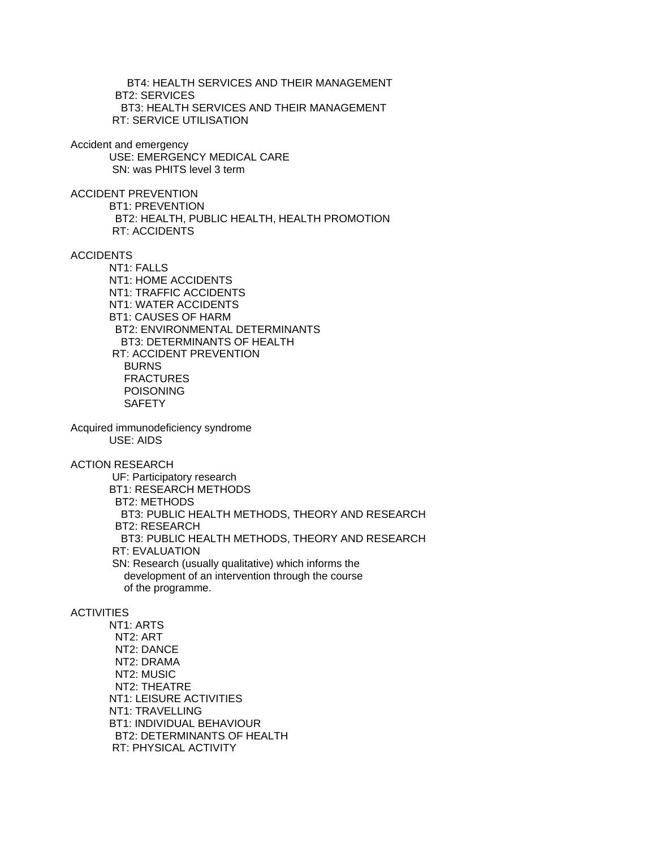BT4: HEALTH SERVICES AND THEIR MANAGEMENT BT2: SERVICES BT3: HEALTH SERVICES AND THEIR MANAGEMENT RT: SERVICE UTILISATION

Accident and emergency USE: EMERGENCY MEDICAL CARE SN: was PHITS level 3 term

ACCIDENT PREVENTION BT1: PREVENTION BT2: HEALTH, PUBLIC HEALTH, HEALTH PROMOTION RT: ACCIDENTS

ACCIDENTS

 NT1: FALLS NT1: HOME ACCIDENTS NT1: TRAFFIC ACCIDENTS NT1: WATER ACCIDENTS BT1: CAUSES OF HARM BT2: ENVIRONMENTAL DETERMINANTS BT3: DETERMINANTS OF HEALTH RT: ACCIDENT PREVENTION BURNS **FRACTURES**  POISONING **SAFETY** 

Acquired immunodeficiency syndrome USE: AIDS

ACTION RESEARCH

 UF: Participatory research BT1: RESEARCH METHODS BT2: METHODS BT3: PUBLIC HEALTH METHODS, THEORY AND RESEARCH BT2: RESEARCH BT3: PUBLIC HEALTH METHODS, THEORY AND RESEARCH RT: EVALUATION SN: Research (usually qualitative) which informs the development of an intervention through the course of the programme.

### ACTIVITIES

 NT1: ARTS NT2: ART NT2: DANCE NT2: DRAMA NT2: MUSIC NT2: THEATRE NT1: LEISURE ACTIVITIES NT1: TRAVELLING BT1: INDIVIDUAL BEHAVIOUR BT2: DETERMINANTS OF HEALTH RT: PHYSICAL ACTIVITY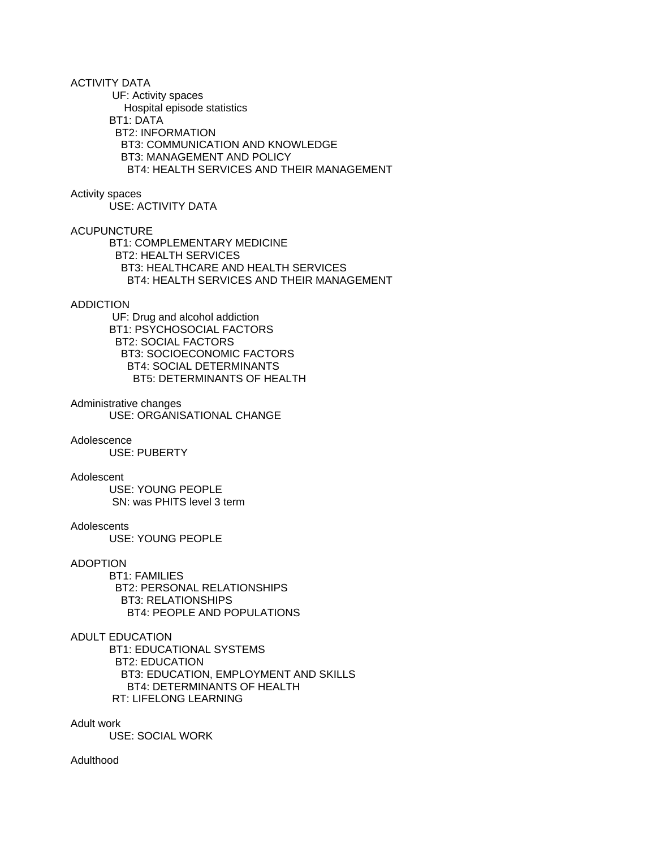ACTIVITY DATA

UF: Activity spaces

Hospital episode statistics

BT1: DATA

BT2: INFORMATION

 BT3: COMMUNICATION AND KNOWLEDGE BT3: MANAGEMENT AND POLICY BT4: HEALTH SERVICES AND THEIR MANAGEMENT

### Activity spaces

USE: ACTIVITY DATA

## ACUPUNCTURE

 BT1: COMPLEMENTARY MEDICINE BT2: HEALTH SERVICES BT3: HEALTHCARE AND HEALTH SERVICES BT4: HEALTH SERVICES AND THEIR MANAGEMENT

### ADDICTION

 UF: Drug and alcohol addiction BT1: PSYCHOSOCIAL FACTORS BT2: SOCIAL FACTORS BT3: SOCIOECONOMIC FACTORS BT4: SOCIAL DETERMINANTS BT5: DETERMINANTS OF HEALTH

### Administrative changes

USE: ORGANISATIONAL CHANGE

### Adolescence

USE: PUBERTY

### Adolescent

 USE: YOUNG PEOPLE SN: was PHITS level 3 term

### **Adolescents**

USE: YOUNG PEOPLE

## ADOPTION

 BT1: FAMILIES BT2: PERSONAL RELATIONSHIPS BT3: RELATIONSHIPS BT4: PEOPLE AND POPULATIONS

### ADULT EDUCATION

 BT1: EDUCATIONAL SYSTEMS BT2: EDUCATION BT3: EDUCATION, EMPLOYMENT AND SKILLS BT4: DETERMINANTS OF HEALTH RT: LIFELONG LEARNING

Adult work

USE: SOCIAL WORK

## Adulthood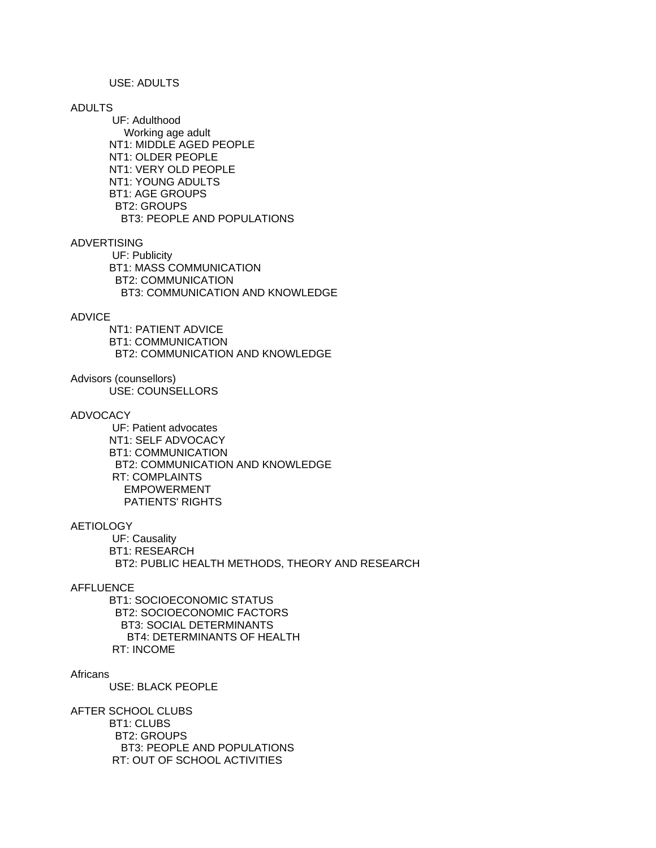## USE: ADULTS

### ADULTS

 UF: Adulthood Working age adult NT1: MIDDLE AGED PEOPLE NT1: OLDER PEOPLE NT1: VERY OLD PEOPLE NT1: YOUNG ADULTS BT1: AGE GROUPS BT2: GROUPS BT3: PEOPLE AND POPULATIONS

### ADVERTISING

 UF: Publicity BT1: MASS COMMUNICATION BT2: COMMUNICATION BT3: COMMUNICATION AND KNOWLEDGE

## ADVICE

 NT1: PATIENT ADVICE BT1: COMMUNICATION BT2: COMMUNICATION AND KNOWLEDGE

Advisors (counsellors)

USE: COUNSELLORS

### ADVOCACY

 UF: Patient advocates NT1: SELF ADVOCACY BT1: COMMUNICATION BT2: COMMUNICATION AND KNOWLEDGE RT: COMPLAINTS EMPOWERMENT PATIENTS' RIGHTS

### **AETIOLOGY**

 UF: Causality BT1: RESEARCH BT2: PUBLIC HEALTH METHODS, THEORY AND RESEARCH

### AFFLUENCE

 BT1: SOCIOECONOMIC STATUS BT2: SOCIOECONOMIC FACTORS BT3: SOCIAL DETERMINANTS BT4: DETERMINANTS OF HEALTH RT: INCOME

### **Africans**

USE: BLACK PEOPLE

AFTER SCHOOL CLUBS BT1: CLUBS BT2: GROUPS BT3: PEOPLE AND POPULATIONS RT: OUT OF SCHOOL ACTIVITIES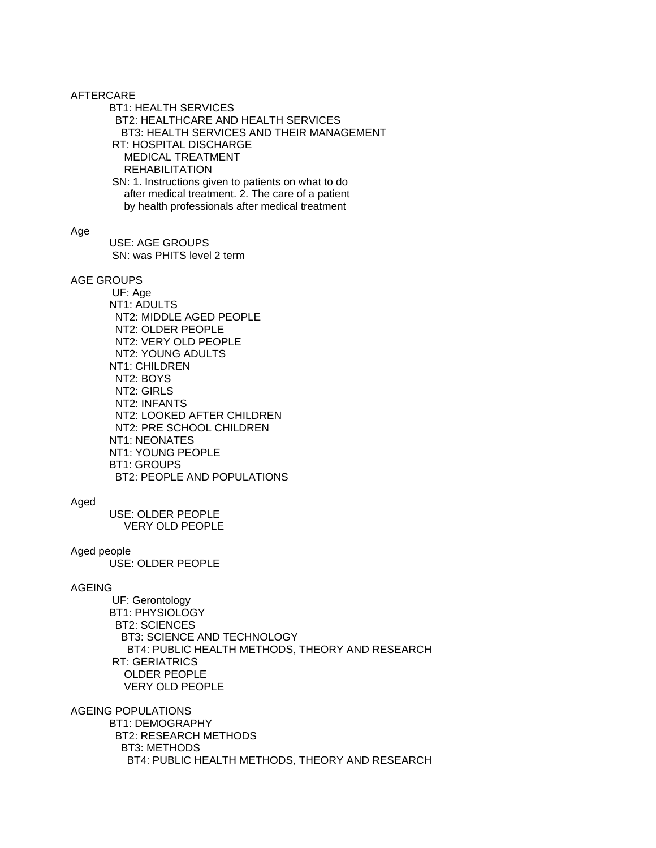AFTERCARE

BT1: HEALTH SERVICES

 BT2: HEALTHCARE AND HEALTH SERVICES BT3: HEALTH SERVICES AND THEIR MANAGEMENT RT: HOSPITAL DISCHARGE MEDICAL TREATMENT REHABILITATION

 SN: 1. Instructions given to patients on what to do after medical treatment. 2. The care of a patient by health professionals after medical treatment

### Age

 USE: AGE GROUPS SN: was PHITS level 2 term

### AGE GROUPS

 UF: Age NT1: ADULTS NT2: MIDDLE AGED PEOPLE NT2: OLDER PEOPLE NT2: VERY OLD PEOPLE NT2: YOUNG ADULTS NT1: CHILDREN NT2: BOYS NT2: GIRLS NT2: INFANTS NT2: LOOKED AFTER CHILDREN NT2: PRE SCHOOL CHILDREN NT1: NEONATES NT1: YOUNG PEOPLE BT1: GROUPS BT2: PEOPLE AND POPULATIONS

### Aged

 USE: OLDER PEOPLE VERY OLD PEOPLE

### Aged people

USE: OLDER PEOPLE

## AGEING

 UF: Gerontology BT1: PHYSIOLOGY BT2: SCIENCES BT3: SCIENCE AND TECHNOLOGY BT4: PUBLIC HEALTH METHODS, THEORY AND RESEARCH RT: GERIATRICS OLDER PEOPLE VERY OLD PEOPLE

### AGEING POPULATIONS

 BT1: DEMOGRAPHY BT2: RESEARCH METHODS BT3: METHODS BT4: PUBLIC HEALTH METHODS, THEORY AND RESEARCH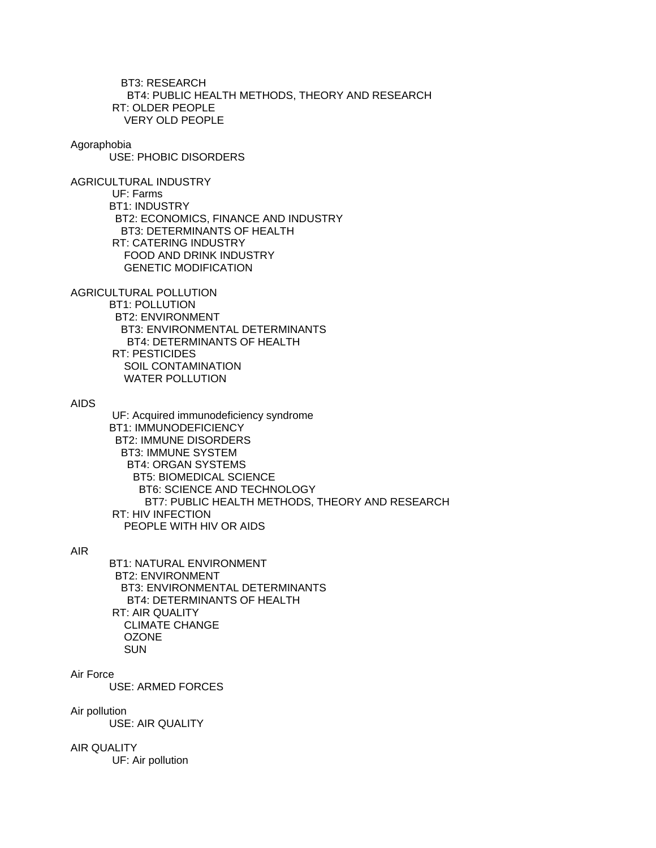BT3: RESEARCH BT4: PUBLIC HEALTH METHODS, THEORY AND RESEARCH RT: OLDER PEOPLE VERY OLD PEOPLE

#### Agoraphobia

USE: PHOBIC DISORDERS

AGRICULTURAL INDUSTRY UF: Farms BT1: INDUSTRY BT2: ECONOMICS, FINANCE AND INDUSTRY BT3: DETERMINANTS OF HEALTH RT: CATERING INDUSTRY FOOD AND DRINK INDUSTRY GENETIC MODIFICATION

AGRICULTURAL POLLUTION

 BT1: POLLUTION BT2: ENVIRONMENT BT3: ENVIRONMENTAL DETERMINANTS BT4: DETERMINANTS OF HEALTH RT: PESTICIDES SOIL CONTAMINATION WATER POLLUTION

## AIDS

 UF: Acquired immunodeficiency syndrome BT1: IMMUNODEFICIENCY BT2: IMMUNE DISORDERS BT3: IMMUNE SYSTEM BT4: ORGAN SYSTEMS BT5: BIOMEDICAL SCIENCE BT6: SCIENCE AND TECHNOLOGY BT7: PUBLIC HEALTH METHODS, THEORY AND RESEARCH RT: HIV INFECTION PEOPLE WITH HIV OR AIDS

## AIR

 BT1: NATURAL ENVIRONMENT BT2: ENVIRONMENT BT3: ENVIRONMENTAL DETERMINANTS BT4: DETERMINANTS OF HEALTH RT: AIR QUALITY CLIMATE CHANGE **OZONE** SUN

### Air Force

USE: ARMED FORCES

### Air pollution

USE: AIR QUALITY

## AIR QUALITY

UF: Air pollution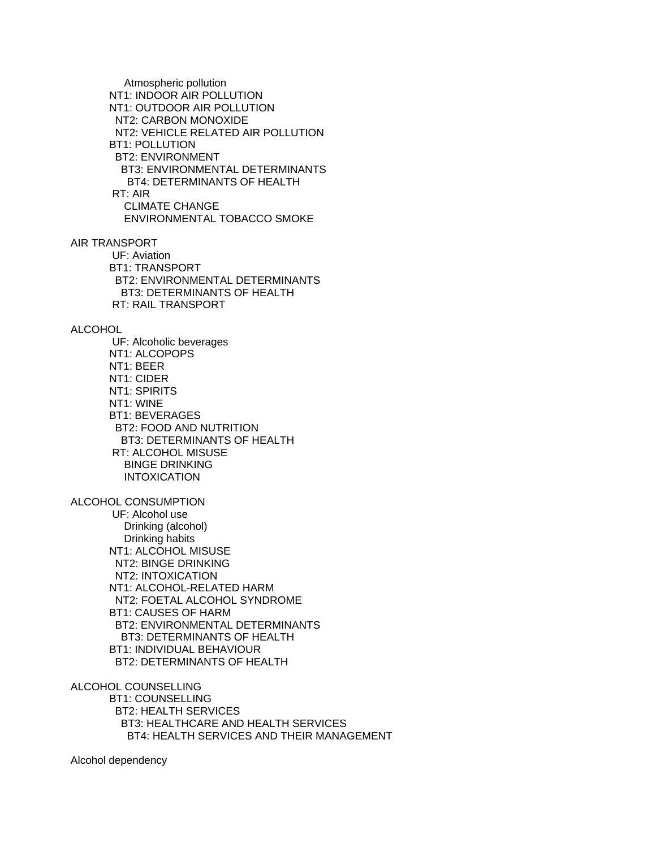Atmospheric pollution NT1: INDOOR AIR POLLUTION NT1: OUTDOOR AIR POLLUTION NT2: CARBON MONOXIDE NT2: VEHICLE RELATED AIR POLLUTION BT1: POLLUTION BT2: ENVIRONMENT BT3: ENVIRONMENTAL DETERMINANTS BT4: DETERMINANTS OF HEALTH RT: AIR CLIMATE CHANGE ENVIRONMENTAL TOBACCO SMOKE

AIR TRANSPORT UF: Aviation

 BT1: TRANSPORT BT2: ENVIRONMENTAL DETERMINANTS BT3: DETERMINANTS OF HEALTH RT: RAIL TRANSPORT

### ALCOHOL

 UF: Alcoholic beverages NT1: ALCOPOPS NT1: BEER NT1: CIDER NT1: SPIRITS NT1: WINE BT1: BEVERAGES BT2: FOOD AND NUTRITION BT3: DETERMINANTS OF HEALTH RT: ALCOHOL MISUSE BINGE DRINKING INTOXICATION

ALCOHOL CONSUMPTION

 UF: Alcohol use Drinking (alcohol) Drinking habits NT1: ALCOHOL MISUSE NT2: BINGE DRINKING NT2: INTOXICATION NT1: ALCOHOL-RELATED HARM NT2: FOETAL ALCOHOL SYNDROME BT1: CAUSES OF HARM BT2: ENVIRONMENTAL DETERMINANTS BT3: DETERMINANTS OF HEALTH BT1: INDIVIDUAL BEHAVIOUR BT2: DETERMINANTS OF HEALTH

ALCOHOL COUNSELLING

 BT1: COUNSELLING BT2: HEALTH SERVICES BT3: HEALTHCARE AND HEALTH SERVICES BT4: HEALTH SERVICES AND THEIR MANAGEMENT

Alcohol dependency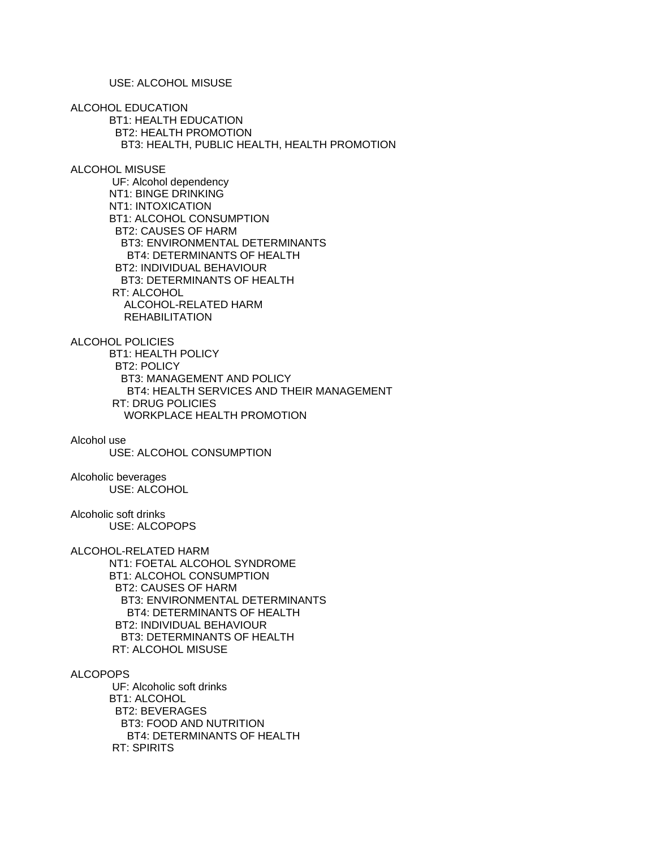USE: ALCOHOL MISUSE

ALCOHOL EDUCATION BT1: HEALTH EDUCATION BT2: HEALTH PROMOTION BT3: HEALTH, PUBLIC HEALTH, HEALTH PROMOTION

ALCOHOL MISUSE

 UF: Alcohol dependency NT1: BINGE DRINKING NT1: INTOXICATION BT1: ALCOHOL CONSUMPTION BT2: CAUSES OF HARM BT3: ENVIRONMENTAL DETERMINANTS BT4: DETERMINANTS OF HEALTH BT2: INDIVIDUAL BEHAVIOUR BT3: DETERMINANTS OF HEALTH RT: ALCOHOL ALCOHOL-RELATED HARM REHABILITATION

ALCOHOL POLICIES BT1: HEALTH POLICY BT2: POLICY BT3: MANAGEMENT AND POLICY BT4: HEALTH SERVICES AND THEIR MANAGEMENT RT: DRUG POLICIES WORKPLACE HEALTH PROMOTION

Alcohol use USE: ALCOHOL CONSUMPTION

Alcoholic beverages USE: ALCOHOL

Alcoholic soft drinks USE: ALCOPOPS

ALCOHOL-RELATED HARM NT1: FOETAL ALCOHOL SYNDROME BT1: ALCOHOL CONSUMPTION BT2: CAUSES OF HARM BT3: ENVIRONMENTAL DETERMINANTS BT4: DETERMINANTS OF HEALTH BT2: INDIVIDUAL BEHAVIOUR BT3: DETERMINANTS OF HEALTH RT: ALCOHOL MISUSE

ALCOPOPS

 UF: Alcoholic soft drinks BT1: ALCOHOL BT2: BEVERAGES BT3: FOOD AND NUTRITION BT4: DETERMINANTS OF HEALTH RT: SPIRITS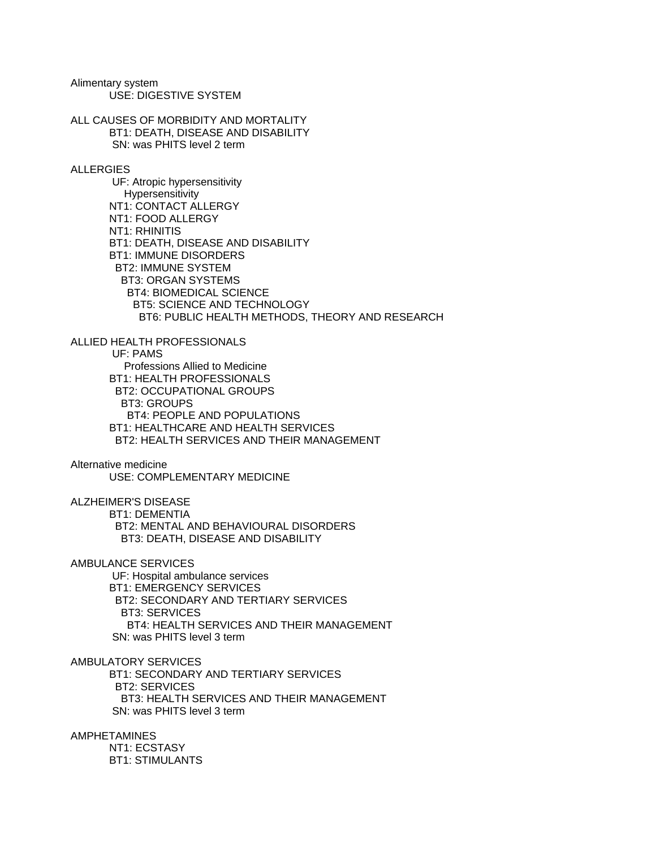Alimentary system USE: DIGESTIVE SYSTEM

BT1: STIMULANTS

ALL CAUSES OF MORBIDITY AND MORTALITY BT1: DEATH, DISEASE AND DISABILITY SN: was PHITS level 2 term ALLERGIES UF: Atropic hypersensitivity Hypersensitivity NT1: CONTACT ALLERGY NT1: FOOD ALLERGY NT1: RHINITIS BT1: DEATH, DISEASE AND DISABILITY BT1: IMMUNE DISORDERS BT2: IMMUNE SYSTEM BT3: ORGAN SYSTEMS BT4: BIOMEDICAL SCIENCE BT5: SCIENCE AND TECHNOLOGY BT6: PUBLIC HEALTH METHODS, THEORY AND RESEARCH ALLIED HEALTH PROFESSIONALS UF: PAMS Professions Allied to Medicine BT1: HEALTH PROFESSIONALS BT2: OCCUPATIONAL GROUPS BT3: GROUPS BT4: PEOPLE AND POPULATIONS BT1: HEALTHCARE AND HEALTH SERVICES BT2: HEALTH SERVICES AND THEIR MANAGEMENT Alternative medicine USE: COMPLEMENTARY MEDICINE ALZHEIMER'S DISEASE BT1: DEMENTIA BT2: MENTAL AND BEHAVIOURAL DISORDERS BT3: DEATH, DISEASE AND DISABILITY AMBULANCE SERVICES UF: Hospital ambulance services BT1: EMERGENCY SERVICES BT2: SECONDARY AND TERTIARY SERVICES BT3: SERVICES BT4: HEALTH SERVICES AND THEIR MANAGEMENT SN: was PHITS level 3 term AMBULATORY SERVICES BT1: SECONDARY AND TERTIARY SERVICES BT2: SERVICES BT3: HEALTH SERVICES AND THEIR MANAGEMENT SN: was PHITS level 3 term AMPHETAMINES NT1: ECSTASY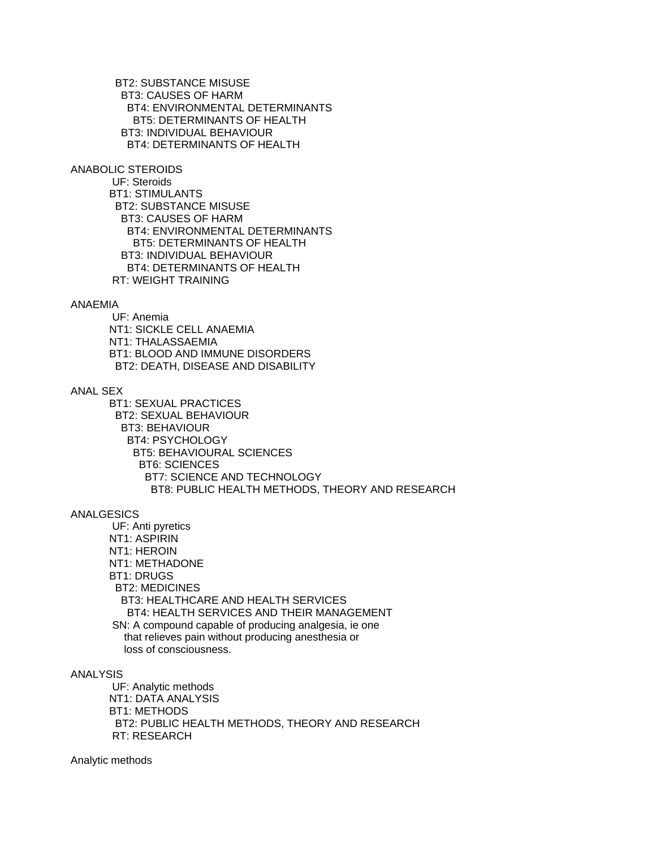BT2: SUBSTANCE MISUSE BT3: CAUSES OF HARM BT4: ENVIRONMENTAL DETERMINANTS BT5: DETERMINANTS OF HEALTH BT3: INDIVIDUAL BEHAVIOUR BT4: DETERMINANTS OF HEALTH

ANABOLIC STEROIDS

 UF: Steroids BT1: STIMULANTS BT2: SUBSTANCE MISUSE BT3: CAUSES OF HARM BT4: ENVIRONMENTAL DETERMINANTS BT5: DETERMINANTS OF HEALTH BT3: INDIVIDUAL BEHAVIOUR BT4: DETERMINANTS OF HEALTH RT: WEIGHT TRAINING

### ANAEMIA

 UF: Anemia NT1: SICKLE CELL ANAEMIA NT1: THALASSAEMIA BT1: BLOOD AND IMMUNE DISORDERS BT2: DEATH, DISEASE AND DISABILITY

### ANAL SEX

 BT1: SEXUAL PRACTICES BT2: SEXUAL BEHAVIOUR BT3: BEHAVIOUR BT4: PSYCHOLOGY BT5: BEHAVIOURAL SCIENCES BT6: SCIENCES BT7: SCIENCE AND TECHNOLOGY BT8: PUBLIC HEALTH METHODS, THEORY AND RESEARCH

## ANALGESICS

 UF: Anti pyretics NT1: ASPIRIN NT1: HEROIN NT1: METHADONE BT1: DRUGS BT2: MEDICINES BT3: HEALTHCARE AND HEALTH SERVICES BT4: HEALTH SERVICES AND THEIR MANAGEMENT SN: A compound capable of producing analgesia, ie one that relieves pain without producing anesthesia or loss of consciousness.

## ANALYSIS

 UF: Analytic methods NT1: DATA ANALYSIS BT1: METHODS BT2: PUBLIC HEALTH METHODS, THEORY AND RESEARCH RT: RESEARCH

Analytic methods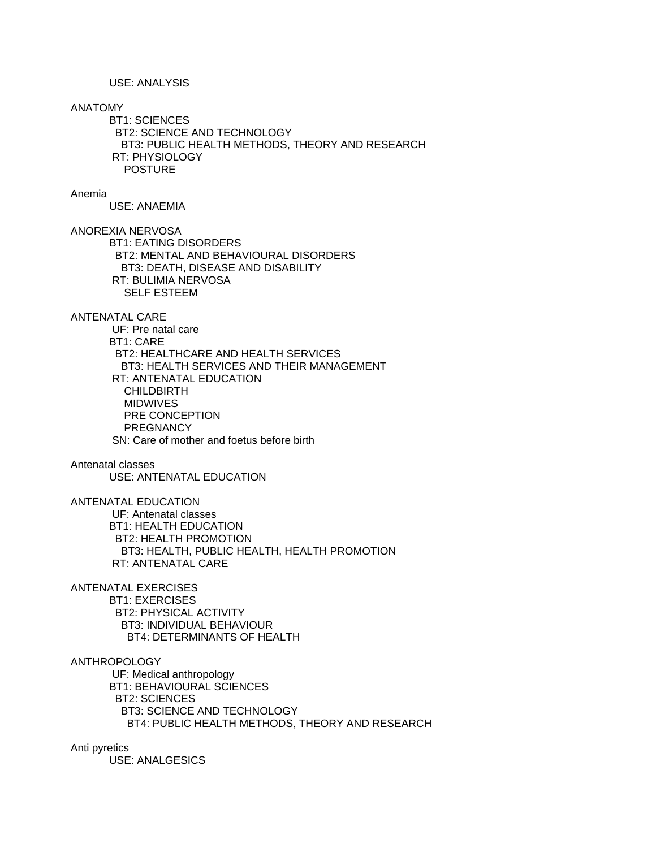USE: ANALYSIS

### ANATOMY

 BT1: SCIENCES BT2: SCIENCE AND TECHNOLOGY BT3: PUBLIC HEALTH METHODS, THEORY AND RESEARCH RT: PHYSIOLOGY POSTURE

#### Anemia

USE: ANAEMIA

ANOREXIA NERVOSA

 BT1: EATING DISORDERS BT2: MENTAL AND BEHAVIOURAL DISORDERS BT3: DEATH, DISEASE AND DISABILITY RT: BULIMIA NERVOSA SELF ESTEEM

## ANTENATAL CARE

 UF: Pre natal care BT1: CARE BT2: HEALTHCARE AND HEALTH SERVICES BT3: HEALTH SERVICES AND THEIR MANAGEMENT RT: ANTENATAL EDUCATION CHILDBIRTH MIDWIVES PRE CONCEPTION **PREGNANCY** SN: Care of mother and foetus before birth

### Antenatal classes

USE: ANTENATAL EDUCATION

ANTENATAL EDUCATION

 UF: Antenatal classes BT1: HEALTH EDUCATION BT2: HEALTH PROMOTION BT3: HEALTH, PUBLIC HEALTH, HEALTH PROMOTION RT: ANTENATAL CARE

ANTENATAL EXERCISES BT1: EXERCISES BT2: PHYSICAL ACTIVITY BT3: INDIVIDUAL BEHAVIOUR

BT4: DETERMINANTS OF HEALTH

#### ANTHROPOLOGY

 UF: Medical anthropology BT1: BEHAVIOURAL SCIENCES BT2: SCIENCES BT3: SCIENCE AND TECHNOLOGY BT4: PUBLIC HEALTH METHODS, THEORY AND RESEARCH

Anti pyretics

USE: ANALGESICS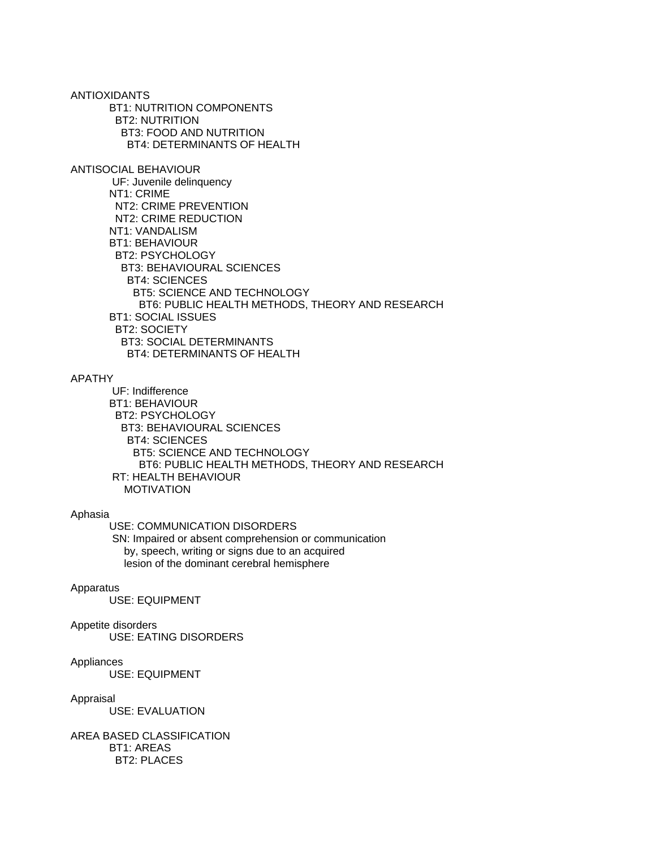ANTIOXIDANTS BT1: NUTRITION COMPONENTS BT2: NUTRITION BT3: FOOD AND NUTRITION BT4: DETERMINANTS OF HEALTH ANTISOCIAL BEHAVIOUR UF: Juvenile delinquency NT1: CRIME NT2: CRIME PREVENTION NT2: CRIME REDUCTION NT1: VANDALISM BT1: BEHAVIOUR BT2: PSYCHOLOGY BT3: BEHAVIOURAL SCIENCES BT4: SCIENCES BT5: SCIENCE AND TECHNOLOGY BT6: PUBLIC HEALTH METHODS, THEORY AND RESEARCH BT1: SOCIAL ISSUES BT2: SOCIETY BT3: SOCIAL DETERMINANTS BT4: DETERMINANTS OF HEALTH

### APATHY

 UF: Indifference BT1: BEHAVIOUR BT2: PSYCHOLOGY BT3: BEHAVIOURAL SCIENCES BT4: SCIENCES BT5: SCIENCE AND TECHNOLOGY BT6: PUBLIC HEALTH METHODS, THEORY AND RESEARCH RT: HEALTH BEHAVIOUR MOTIVATION

#### Aphasia

 USE: COMMUNICATION DISORDERS SN: Impaired or absent comprehension or communication by, speech, writing or signs due to an acquired lesion of the dominant cerebral hemisphere

#### Apparatus

USE: EQUIPMENT

#### Appetite disorders

USE: EATING DISORDERS

#### Appliances

USE: EQUIPMENT

#### Appraisal

USE: EVALUATION

AREA BASED CLASSIFICATION BT1: AREAS BT2: PLACES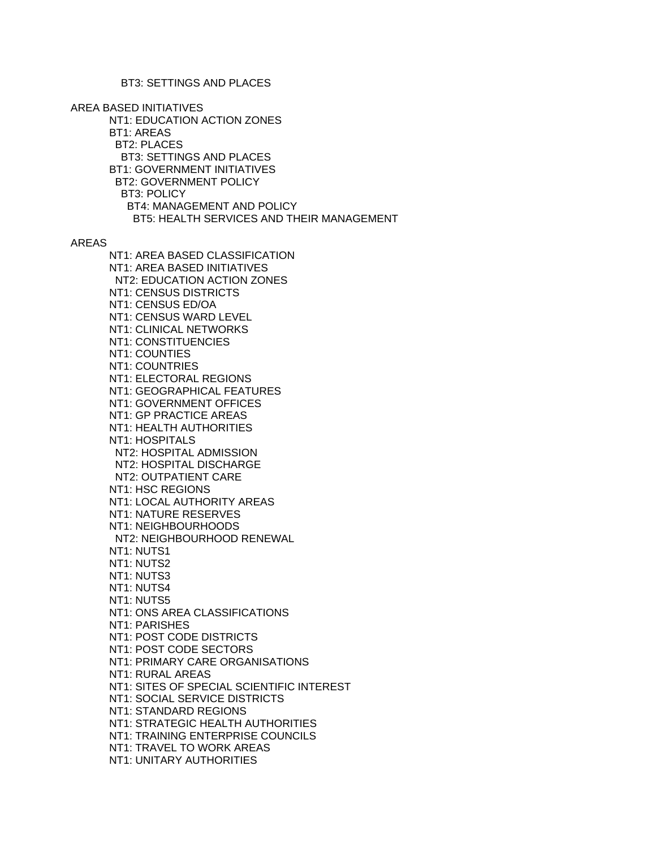AREA BASED INITIATIVES NT1: EDUCATION ACTION ZONES BT1: AREAS BT2: PLACES BT3: SETTINGS AND PLACES BT1: GOVERNMENT INITIATIVES BT2: GOVERNMENT POLICY BT3: POLICY BT4: MANAGEMENT AND POLICY BT5: HEALTH SERVICES AND THEIR MANAGEMENT

AREAS

 NT1: AREA BASED CLASSIFICATION NT1: AREA BASED INITIATIVES NT2: EDUCATION ACTION ZONES NT1: CENSUS DISTRICTS NT1: CENSUS ED/OA NT1: CENSUS WARD LEVEL NT1: CLINICAL NETWORKS NT1: CONSTITUENCIES NT1: COUNTIES NT1: COUNTRIES NT1: ELECTORAL REGIONS NT1: GEOGRAPHICAL FEATURES NT1: GOVERNMENT OFFICES NT1: GP PRACTICE AREAS NT1: HEALTH AUTHORITIES NT1: HOSPITALS NT2: HOSPITAL ADMISSION NT2: HOSPITAL DISCHARGE NT2: OUTPATIENT CARE NT1: HSC REGIONS NT1: LOCAL AUTHORITY AREAS NT1: NATURE RESERVES NT1: NEIGHBOURHOODS NT2: NEIGHBOURHOOD RENEWAL NT1: NUTS1 NT1: NUTS2 NT1: NUTS3 NT1: NUTS4 NT1: NUTS5 NT1: ONS AREA CLASSIFICATIONS NT1: PARISHES NT1: POST CODE DISTRICTS NT1: POST CODE SECTORS NT1: PRIMARY CARE ORGANISATIONS NT1: RURAL AREAS NT1: SITES OF SPECIAL SCIENTIFIC INTEREST NT1: SOCIAL SERVICE DISTRICTS NT1: STANDARD REGIONS NT1: STRATEGIC HEALTH AUTHORITIES NT1: TRAINING ENTERPRISE COUNCILS NT1: TRAVEL TO WORK AREAS NT1: UNITARY AUTHORITIES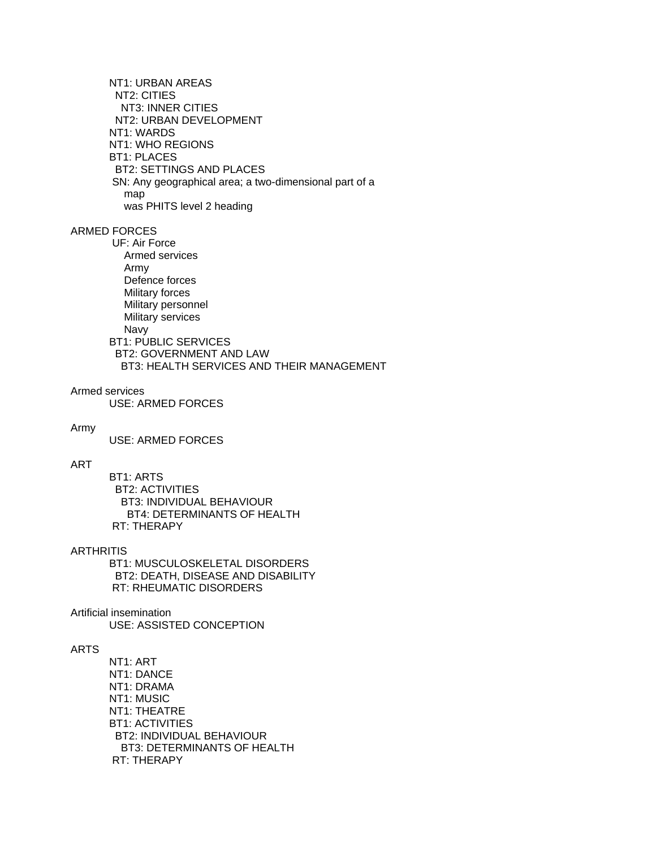NT1: URBAN AREAS NT2: CITIES NT3: INNER CITIES NT2: URBAN DEVELOPMENT NT1: WARDS NT1: WHO REGIONS BT1: PLACES BT2: SETTINGS AND PLACES SN: Any geographical area; a two-dimensional part of a map was PHITS level 2 heading

# ARMED FORCES

 UF: Air Force Armed services Army Defence forces Military forces Military personnel Military services Navy BT1: PUBLIC SERVICES

 BT2: GOVERNMENT AND LAW BT3: HEALTH SERVICES AND THEIR MANAGEMENT

### Armed services

USE: ARMED FORCES

#### Army

USE: ARMED FORCES

# ART

 BT1: ARTS BT2: ACTIVITIES BT3: INDIVIDUAL BEHAVIOUR BT4: DETERMINANTS OF HEALTH RT: THERAPY

### **ARTHRITIS**

 BT1: MUSCULOSKELETAL DISORDERS BT2: DEATH, DISEASE AND DISABILITY RT: RHEUMATIC DISORDERS

### Artificial insemination

USE: ASSISTED CONCEPTION

# ARTS

 NT1: ART NT1: DANCE NT1: DRAMA NT1: MUSIC NT1: THEATRE BT1: ACTIVITIES BT2: INDIVIDUAL BEHAVIOUR BT3: DETERMINANTS OF HEALTH RT: THERAPY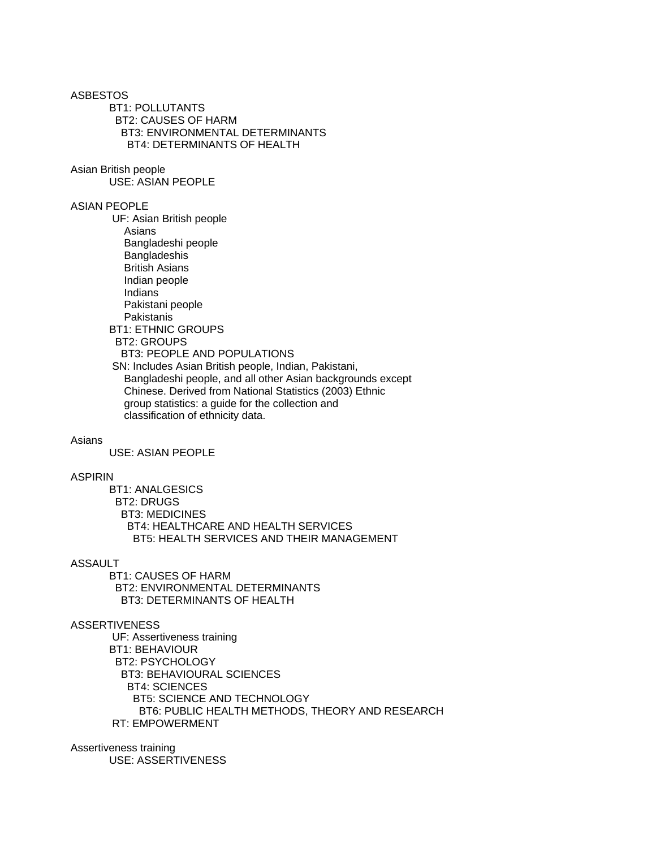ASBESTOS BT1: POLLUTANTS BT2: CAUSES OF HARM BT3: ENVIRONMENTAL DETERMINANTS BT4: DETERMINANTS OF HEALTH

Asian British people

USE: ASIAN PEOPLE

### ASIAN PEOPLE

 UF: Asian British people Asians Bangladeshi people Bangladeshis British Asians Indian people Indians Pakistani people Pakistanis BT1: ETHNIC GROUPS BT2: GROUPS BT3: PEOPLE AND POPULATIONS SN: Includes Asian British people, Indian, Pakistani, Bangladeshi people, and all other Asian backgrounds except Chinese. Derived from National Statistics (2003) Ethnic group statistics: a guide for the collection and classification of ethnicity data.

### Asians

USE: ASIAN PEOPLE

## ASPIRIN

 BT1: ANALGESICS BT2: DRUGS BT3: MEDICINES BT4: HEALTHCARE AND HEALTH SERVICES BT5: HEALTH SERVICES AND THEIR MANAGEMENT

### ASSAULT

 BT1: CAUSES OF HARM BT2: ENVIRONMENTAL DETERMINANTS BT3: DETERMINANTS OF HEALTH

### ASSERTIVENESS

 UF: Assertiveness training BT1: BEHAVIOUR BT2: PSYCHOLOGY BT3: BEHAVIOURAL SCIENCES BT4: SCIENCES BT5: SCIENCE AND TECHNOLOGY BT6: PUBLIC HEALTH METHODS, THEORY AND RESEARCH RT: EMPOWERMENT

Assertiveness training USE: ASSERTIVENESS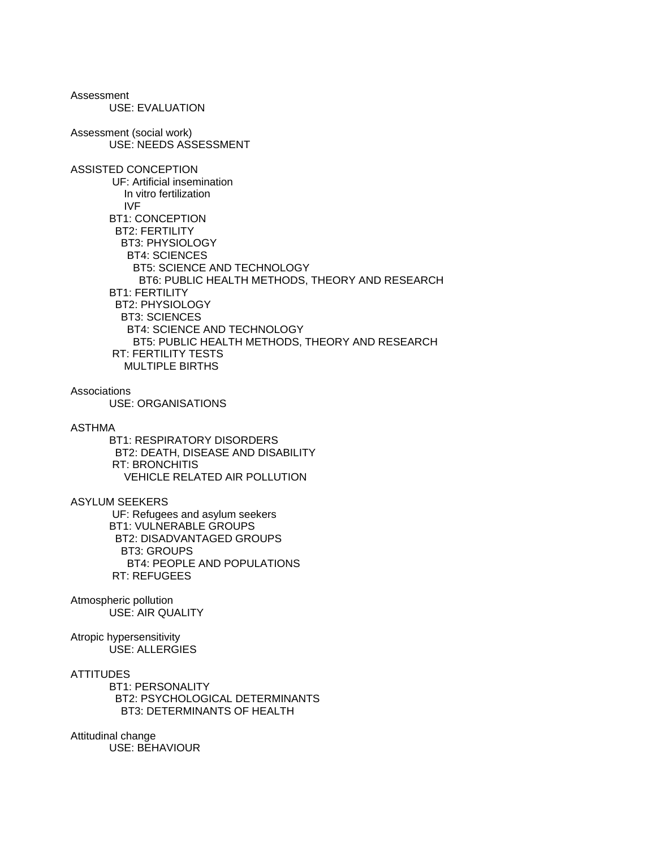Assessment USE: EVALUATION Assessment (social work) USE: NEEDS ASSESSMENT ASSISTED CONCEPTION UF: Artificial insemination In vitro fertilization IVF BT1: CONCEPTION BT2: FERTILITY BT3: PHYSIOLOGY BT4: SCIENCES BT5: SCIENCE AND TECHNOLOGY BT6: PUBLIC HEALTH METHODS, THEORY AND RESEARCH BT1: FERTILITY BT2: PHYSIOLOGY BT3: SCIENCES BT4: SCIENCE AND TECHNOLOGY BT5: PUBLIC HEALTH METHODS, THEORY AND RESEARCH RT: FERTILITY TESTS MULTIPLE BIRTHS Associations USE: ORGANISATIONS ASTHMA BT1: RESPIRATORY DISORDERS BT2: DEATH, DISEASE AND DISABILITY RT: BRONCHITIS VEHICLE RELATED AIR POLLUTION ASYLUM SEEKERS UF: Refugees and asylum seekers BT1: VULNERABLE GROUPS BT2: DISADVANTAGED GROUPS BT3: GROUPS BT4: PEOPLE AND POPULATIONS RT: REFUGEES Atmospheric pollution USE: AIR QUALITY Atropic hypersensitivity USE: ALLERGIES **ATTITUDES**  BT1: PERSONALITY BT2: PSYCHOLOGICAL DETERMINANTS BT3: DETERMINANTS OF HEALTH

Attitudinal change USE: BEHAVIOUR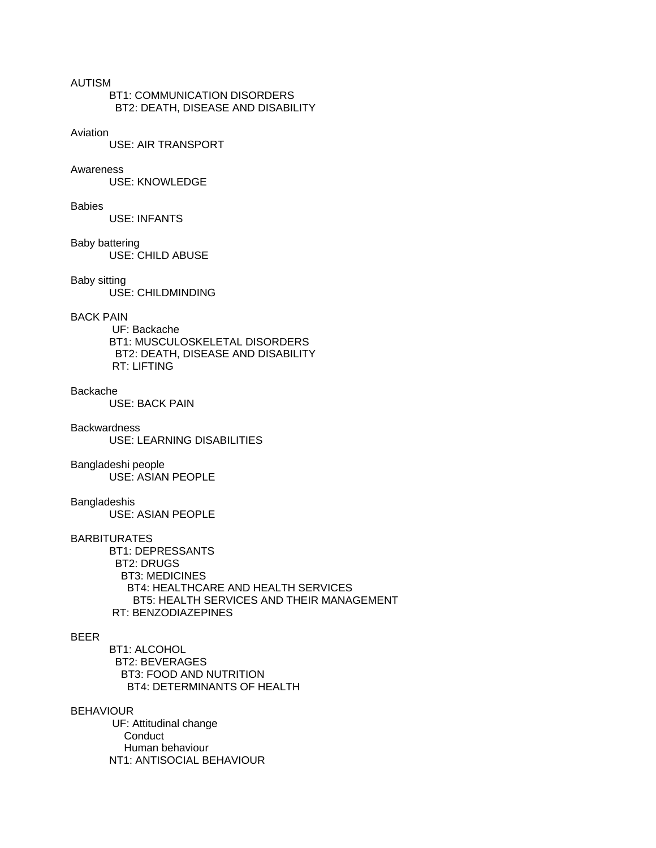## AUTISM

 BT1: COMMUNICATION DISORDERS BT2: DEATH, DISEASE AND DISABILITY

#### Aviation

USE: AIR TRANSPORT

### Awareness

USE: KNOWLEDGE

#### **Babies**

USE: INFANTS

### Baby battering

USE: CHILD ABUSE

### Baby sitting

USE: CHILDMINDING

# BACK PAIN

 UF: Backache BT1: MUSCULOSKELETAL DISORDERS BT2: DEATH, DISEASE AND DISABILITY RT: LIFTING

## Backache

USE: BACK PAIN

#### **Backwardness**

USE: LEARNING DISABILITIES

### Bangladeshi people

USE: ASIAN PEOPLE

#### Bangladeshis

USE: ASIAN PEOPLE

### BARBITURATES

 BT1: DEPRESSANTS BT2: DRUGS BT3: MEDICINES BT4: HEALTHCARE AND HEALTH SERVICES BT5: HEALTH SERVICES AND THEIR MANAGEMENT RT: BENZODIAZEPINES

### BEER

 BT1: ALCOHOL BT2: BEVERAGES BT3: FOOD AND NUTRITION BT4: DETERMINANTS OF HEALTH

### BEHAVIOUR

 UF: Attitudinal change **Conduct**  Human behaviour NT1: ANTISOCIAL BEHAVIOUR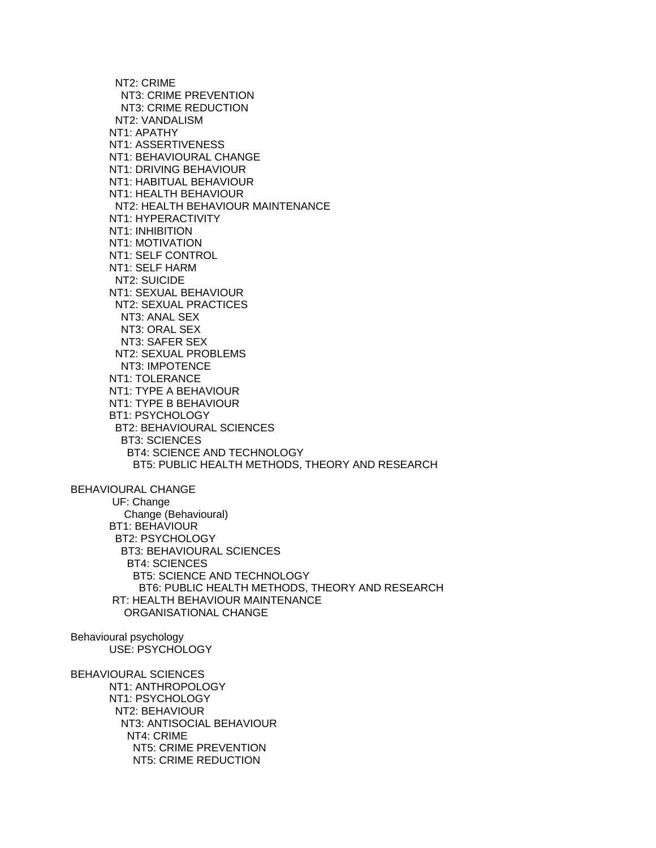NT2: CRIME NT3: CRIME PREVENTION NT3: CRIME REDUCTION NT2: VANDALISM NT1: APATHY NT1: ASSERTIVENESS NT1: BEHAVIOURAL CHANGE NT1: DRIVING BEHAVIOUR NT1: HABITUAL BEHAVIOUR NT1: HEALTH BEHAVIOUR NT2: HEALTH BEHAVIOUR MAINTENANCE NT1: HYPERACTIVITY NT1: INHIBITION NT1: MOTIVATION NT1: SELF CONTROL NT1: SELF HARM NT2: SUICIDE NT1: SEXUAL BEHAVIOUR NT2: SEXUAL PRACTICES NT3: ANAL SEX NT3: ORAL SEX NT3: SAFER SEX NT2: SEXUAL PROBLEMS NT3: IMPOTENCE NT1: TOLERANCE NT1: TYPE A BEHAVIOUR NT1: TYPE B BEHAVIOUR BT1: PSYCHOLOGY BT2: BEHAVIOURAL SCIENCES BT3: SCIENCES BT4: SCIENCE AND TECHNOLOGY BT5: PUBLIC HEALTH METHODS, THEORY AND RESEARCH BEHAVIOURAL CHANGE UF: Change Change (Behavioural) BT1: BEHAVIOUR BT2: PSYCHOLOGY BT3: BEHAVIOURAL SCIENCES BT4: SCIENCES

 BT5: SCIENCE AND TECHNOLOGY BT6: PUBLIC HEALTH METHODS, THEORY AND RESEARCH RT: HEALTH BEHAVIOUR MAINTENANCE ORGANISATIONAL CHANGE

Behavioural psychology USE: PSYCHOLOGY

BEHAVIOURAL SCIENCES NT1: ANTHROPOLOGY NT1: PSYCHOLOGY NT2: BEHAVIOUR NT3: ANTISOCIAL BEHAVIOUR NT4: CRIME NT5: CRIME PREVENTION NT5: CRIME REDUCTION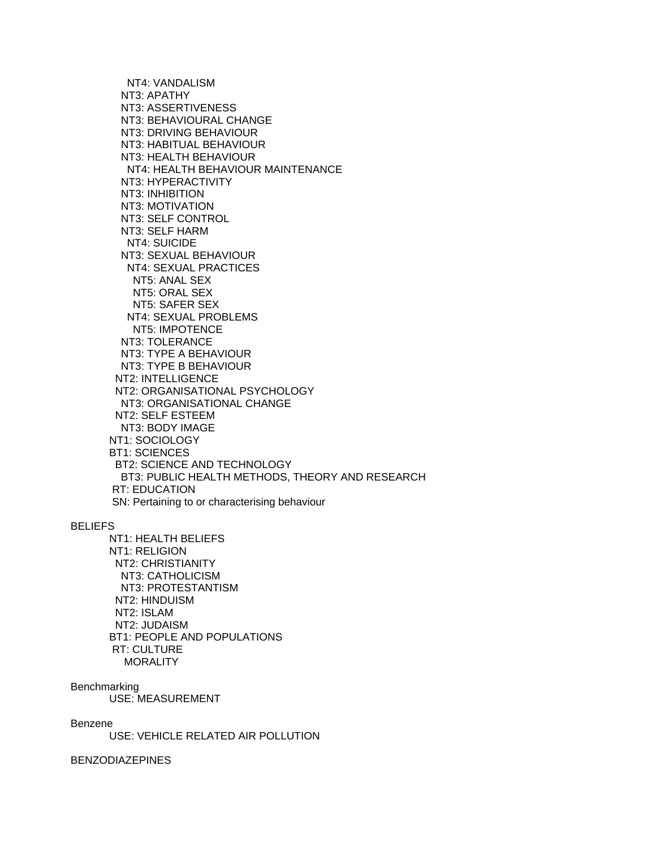NT4: VANDALISM NT3: APATHY NT3: ASSERTIVENESS NT3: BEHAVIOURAL CHANGE NT3: DRIVING BEHAVIOUR NT3: HABITUAL BEHAVIOUR NT3: HEALTH BEHAVIOUR NT4: HEALTH BEHAVIOUR MAINTENANCE NT3: HYPERACTIVITY NT3: INHIBITION NT3: MOTIVATION NT3: SELF CONTROL NT3: SELF HARM NT4: SUICIDE NT3: SEXUAL BEHAVIOUR NT4: SEXUAL PRACTICES NT5: ANAL SEX NT5: ORAL SEX NT5: SAFER SEX NT4: SEXUAL PROBLEMS NT5: IMPOTENCE NT3: TOLERANCE NT3: TYPE A BEHAVIOUR NT3: TYPE B BEHAVIOUR NT2: INTELLIGENCE NT2: ORGANISATIONAL PSYCHOLOGY NT3: ORGANISATIONAL CHANGE NT2: SELF ESTEEM NT3: BODY IMAGE NT1: SOCIOLOGY BT1: SCIENCES BT2: SCIENCE AND TECHNOLOGY BT3: PUBLIC HEALTH METHODS, THEORY AND RESEARCH RT: EDUCATION SN: Pertaining to or characterising behaviour

#### BELIEFS

 NT1: HEALTH BELIEFS NT1: RELIGION NT2: CHRISTIANITY NT3: CATHOLICISM NT3: PROTESTANTISM NT2: HINDUISM NT2: ISLAM NT2: JUDAISM BT1: PEOPLE AND POPULATIONS RT: CULTURE **MORALITY** 

Benchmarking

USE: MEASUREMENT

Benzene

USE: VEHICLE RELATED AIR POLLUTION

BENZODIAZEPINES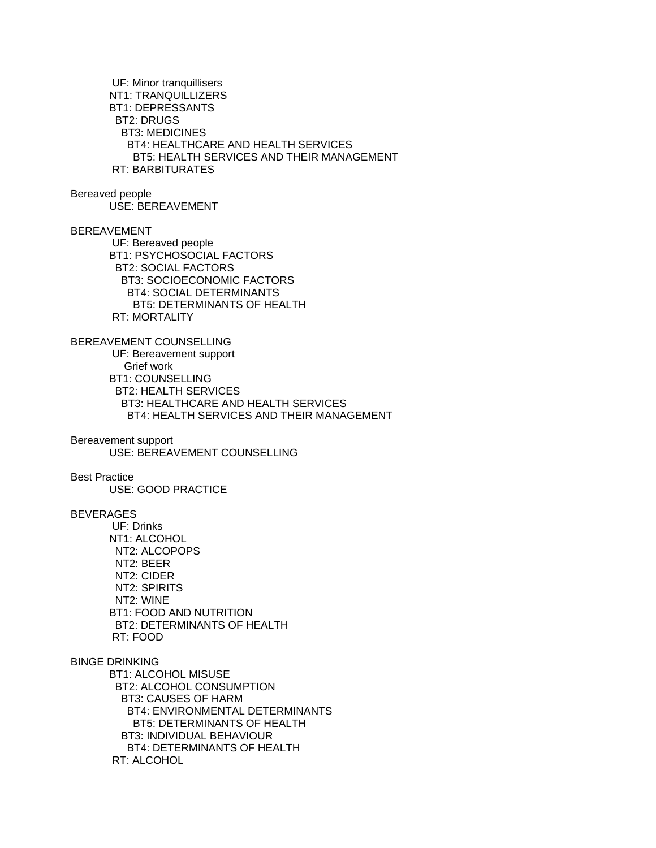UF: Minor tranquillisers NT1: TRANQUILLIZERS BT1: DEPRESSANTS BT2: DRUGS BT3: MEDICINES BT4: HEALTHCARE AND HEALTH SERVICES BT5: HEALTH SERVICES AND THEIR MANAGEMENT RT: BARBITURATES Bereaved people USE: BEREAVEMENT BEREAVEMENT UF: Bereaved people BT1: PSYCHOSOCIAL FACTORS BT2: SOCIAL FACTORS BT3: SOCIOECONOMIC FACTORS BT4: SOCIAL DETERMINANTS BT5: DETERMINANTS OF HEALTH RT: MORTALITY BEREAVEMENT COUNSELLING UF: Bereavement support Grief work BT1: COUNSELLING BT2: HEALTH SERVICES BT3: HEALTHCARE AND HEALTH SERVICES BT4: HEALTH SERVICES AND THEIR MANAGEMENT Bereavement support USE: BEREAVEMENT COUNSELLING Best Practice USE: GOOD PRACTICE BEVERAGES UF: Drinks NT1: ALCOHOL NT2: ALCOPOPS NT2: BEER NT2: CIDER NT2: SPIRITS NT2: WINE BT1: FOOD AND NUTRITION BT2: DETERMINANTS OF HEALTH RT: FOOD BINGE DRINKING BT1: ALCOHOL MISUSE BT2: ALCOHOL CONSUMPTION BT3: CAUSES OF HARM BT4: ENVIRONMENTAL DETERMINANTS BT5: DETERMINANTS OF HEALTH BT3: INDIVIDUAL BEHAVIOUR BT4: DETERMINANTS OF HEALTH RT: ALCOHOL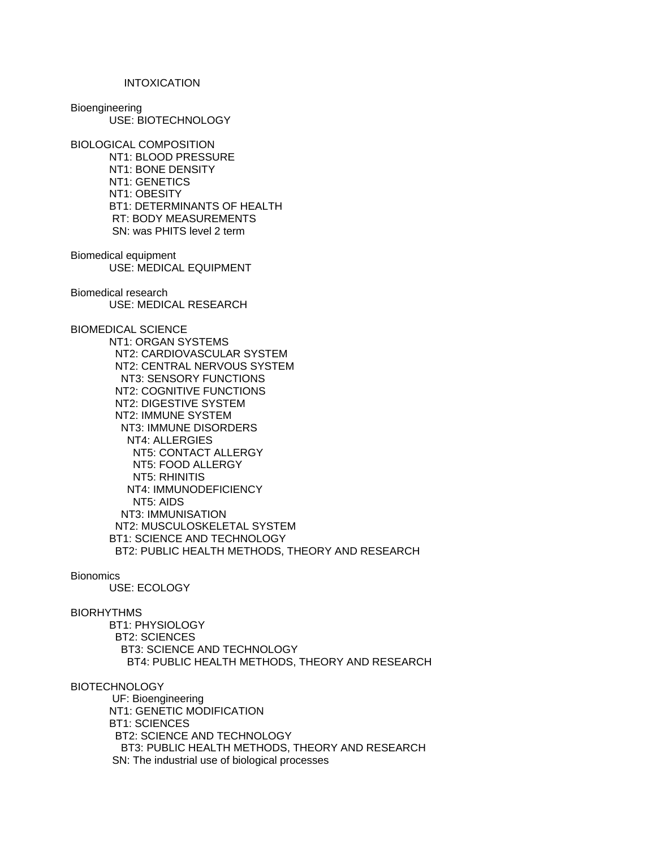#### INTOXICATION

Bioengineering USE: BIOTECHNOLOGY

BIOLOGICAL COMPOSITION NT1: BLOOD PRESSURE NT1: BONE DENSITY NT1: GENETICS NT1: OBESITY BT1: DETERMINANTS OF HEALTH RT: BODY MEASUREMENTS SN: was PHITS level 2 term

Biomedical equipment USE: MEDICAL EQUIPMENT

Biomedical research USE: MEDICAL RESEARCH

BIOMEDICAL SCIENCE

 NT1: ORGAN SYSTEMS NT2: CARDIOVASCULAR SYSTEM NT2: CENTRAL NERVOUS SYSTEM NT3: SENSORY FUNCTIONS NT2: COGNITIVE FUNCTIONS NT2: DIGESTIVE SYSTEM NT2: IMMUNE SYSTEM NT3: IMMUNE DISORDERS NT4: ALLERGIES NT5: CONTACT ALLERGY NT5: FOOD ALLERGY NT5: RHINITIS NT4: IMMUNODEFICIENCY NT5: AIDS NT3: IMMUNISATION NT2: MUSCULOSKELETAL SYSTEM BT1: SCIENCE AND TECHNOLOGY BT2: PUBLIC HEALTH METHODS, THEORY AND RESEARCH

### **Bionomics**

USE: ECOLOGY

### BIORHYTHMS

 BT1: PHYSIOLOGY BT2: SCIENCES BT3: SCIENCE AND TECHNOLOGY BT4: PUBLIC HEALTH METHODS, THEORY AND RESEARCH

### **BIOTECHNOLOGY**

 UF: Bioengineering NT1: GENETIC MODIFICATION BT1: SCIENCES BT2: SCIENCE AND TECHNOLOGY BT3: PUBLIC HEALTH METHODS, THEORY AND RESEARCH SN: The industrial use of biological processes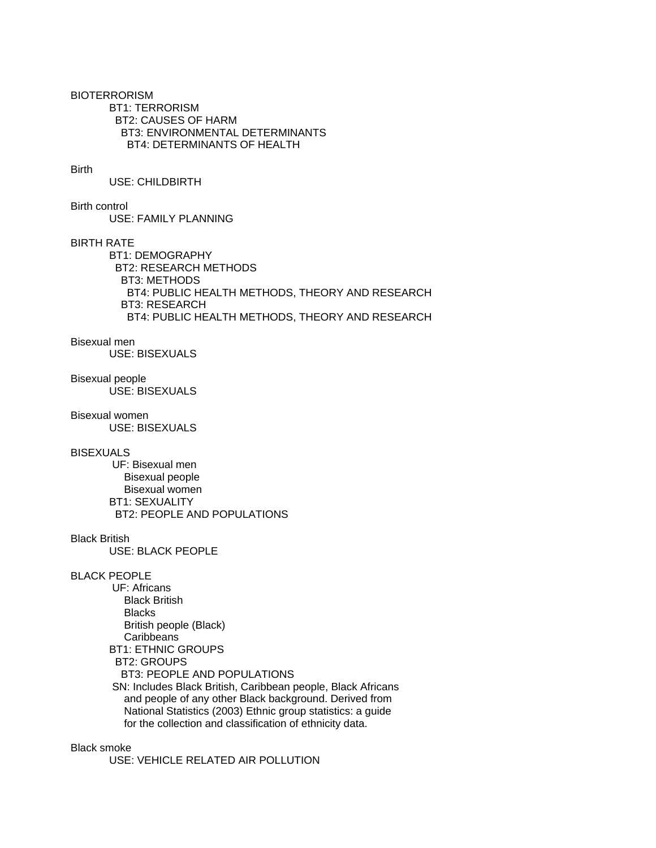BIOTERRORISM BT1: TERRORISM BT2: CAUSES OF HARM BT3: ENVIRONMENTAL DETERMINANTS BT4: DETERMINANTS OF HEALTH

### Birth

USE: CHILDBIRTH

Birth control

USE: FAMILY PLANNING

### BIRTH RATE

 BT1: DEMOGRAPHY BT2: RESEARCH METHODS BT3: METHODS BT4: PUBLIC HEALTH METHODS, THEORY AND RESEARCH BT3: RESEARCH BT4: PUBLIC HEALTH METHODS, THEORY AND RESEARCH

### Bisexual men

USE: BISEXUALS

# Bisexual people

USE: BISEXUALS

Bisexual women

USE: BISEXUALS

#### BISEXUALS

 UF: Bisexual men Bisexual people Bisexual women BT1: SEXUALITY BT2: PEOPLE AND POPULATIONS

#### Black British

USE: BLACK PEOPLE

#### BLACK PEOPLE

 UF: Africans Black British Blacks British people (Black) **Caribbeans**  BT1: ETHNIC GROUPS BT2: GROUPS BT3: PEOPLE AND POPULATIONS SN: Includes Black British, Caribbean people, Black Africans and people of any other Black background. Derived from National Statistics (2003) Ethnic group statistics: a guide for the collection and classification of ethnicity data.

## Black smoke

USE: VEHICLE RELATED AIR POLLUTION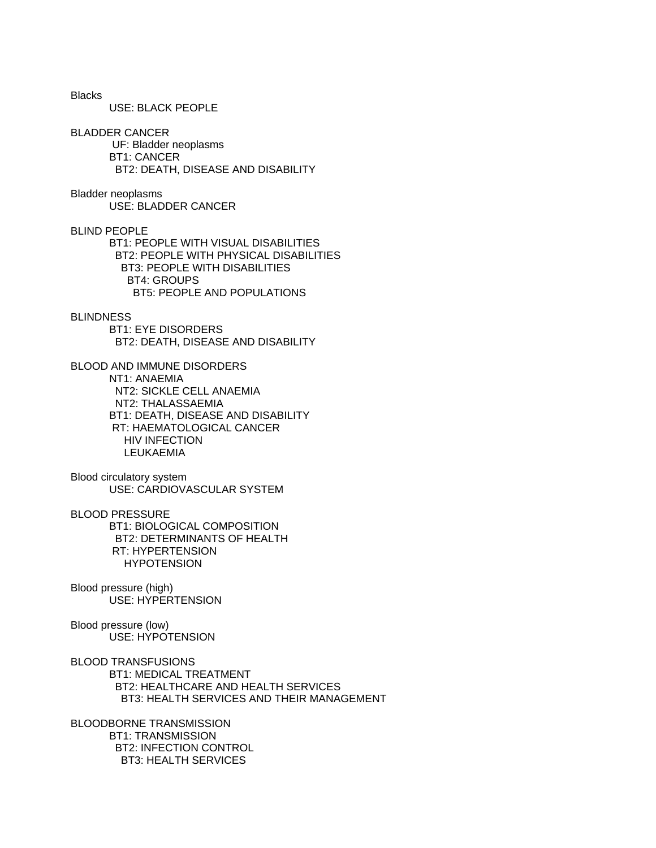Blacks USE: BLACK PEOPLE BLADDER CANCER UF: Bladder neoplasms BT1: CANCER BT2: DEATH, DISEASE AND DISABILITY Bladder neoplasms USE: BLADDER CANCER BLIND PEOPLE BT1: PEOPLE WITH VISUAL DISABILITIES BT2: PEOPLE WITH PHYSICAL DISABILITIES BT3: PEOPLE WITH DISABILITIES BT4: GROUPS BT5: PEOPLE AND POPULATIONS **BLINDNESS**  BT1: EYE DISORDERS BT2: DEATH, DISEASE AND DISABILITY BLOOD AND IMMUNE DISORDERS NT1: ANAEMIA NT2: SICKLE CELL ANAEMIA NT2: THALASSAEMIA BT1: DEATH, DISEASE AND DISABILITY RT: HAEMATOLOGICAL CANCER HIV INFECTION LEUKAEMIA Blood circulatory system USE: CARDIOVASCULAR SYSTEM BLOOD PRESSURE BT1: BIOLOGICAL COMPOSITION BT2: DETERMINANTS OF HEALTH RT: HYPERTENSION HYPOTENSION Blood pressure (high) USE: HYPERTENSION Blood pressure (low) USE: HYPOTENSION BLOOD TRANSFUSIONS BT1: MEDICAL TREATMENT BT2: HEALTHCARE AND HEALTH SERVICES BT3: HEALTH SERVICES AND THEIR MANAGEMENT BLOODBORNE TRANSMISSION

 BT1: TRANSMISSION BT2: INFECTION CONTROL BT3: HEALTH SERVICES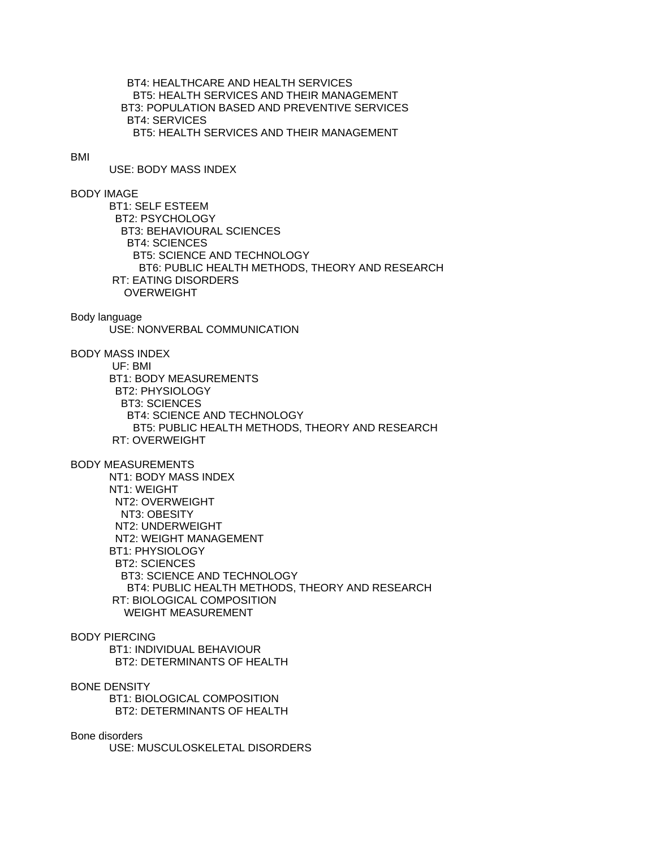BT4: HEALTHCARE AND HEALTH SERVICES BT5: HEALTH SERVICES AND THEIR MANAGEMENT BT3: POPULATION BASED AND PREVENTIVE SERVICES BT4: SERVICES BT5: HEALTH SERVICES AND THEIR MANAGEMENT

#### BMI

USE: BODY MASS INDEX

## BODY IMAGE

 BT1: SELF ESTEEM BT2: PSYCHOLOGY BT3: BEHAVIOURAL SCIENCES BT4: SCIENCES BT5: SCIENCE AND TECHNOLOGY BT6: PUBLIC HEALTH METHODS, THEORY AND RESEARCH RT: EATING DISORDERS OVERWEIGHT

#### Body language

USE: NONVERBAL COMMUNICATION

BODY MASS INDEX

 UF: BMI BT1: BODY MEASUREMENTS BT2: PHYSIOLOGY BT3: SCIENCES BT4: SCIENCE AND TECHNOLOGY BT5: PUBLIC HEALTH METHODS, THEORY AND RESEARCH RT: OVERWEIGHT

#### BODY MEASUREMENTS

 NT1: BODY MASS INDEX NT1: WEIGHT NT2: OVERWEIGHT NT3: OBESITY NT2: UNDERWEIGHT NT2: WEIGHT MANAGEMENT BT1: PHYSIOLOGY BT2: SCIENCES BT3: SCIENCE AND TECHNOLOGY BT4: PUBLIC HEALTH METHODS, THEORY AND RESEARCH RT: BIOLOGICAL COMPOSITION WEIGHT MEASUREMENT

## BODY PIERCING

 BT1: INDIVIDUAL BEHAVIOUR BT2: DETERMINANTS OF HEALTH

BONE DENSITY BT1: BIOLOGICAL COMPOSITION

BT2: DETERMINANTS OF HEALTH

## Bone disorders

USE: MUSCULOSKELETAL DISORDERS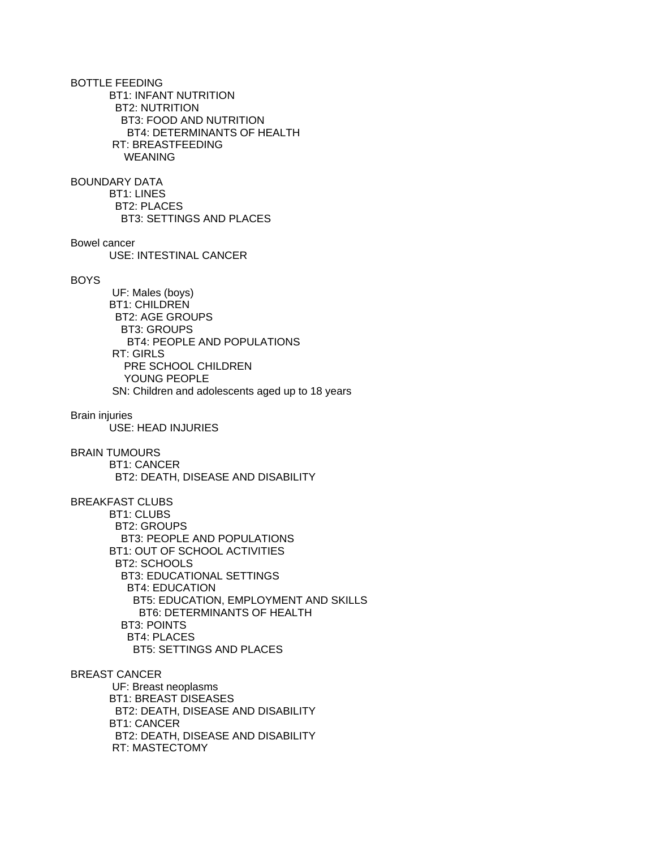BOTTLE FEEDING BT1: INFANT NUTRITION BT2: NUTRITION BT3: FOOD AND NUTRITION BT4: DETERMINANTS OF HEALTH RT: BREASTFEEDING WEANING BOUNDARY DATA BT1: LINES BT2: PLACES BT3: SETTINGS AND PLACES Bowel cancer USE: INTESTINAL CANCER BOYS UF: Males (boys) BT1: CHILDREN BT2: AGE GROUPS BT3: GROUPS BT4: PEOPLE AND POPULATIONS RT: GIRLS PRE SCHOOL CHILDREN YOUNG PEOPLE SN: Children and adolescents aged up to 18 years Brain injuries USE: HEAD INJURIES BRAIN TUMOURS BT1: CANCER BT2: DEATH, DISEASE AND DISABILITY BREAKFAST CLUBS BT1: CLUBS BT2: GROUPS BT3: PEOPLE AND POPULATIONS BT1: OUT OF SCHOOL ACTIVITIES BT2: SCHOOLS BT3: EDUCATIONAL SETTINGS BT4: EDUCATION BT5: EDUCATION, EMPLOYMENT AND SKILLS BT6: DETERMINANTS OF HEALTH BT3: POINTS BT4: PLACES BT5: SETTINGS AND PLACES BREAST CANCER UF: Breast neoplasms BT1: BREAST DISEASES BT2: DEATH, DISEASE AND DISABILITY BT1: CANCER BT2: DEATH, DISEASE AND DISABILITY RT: MASTECTOMY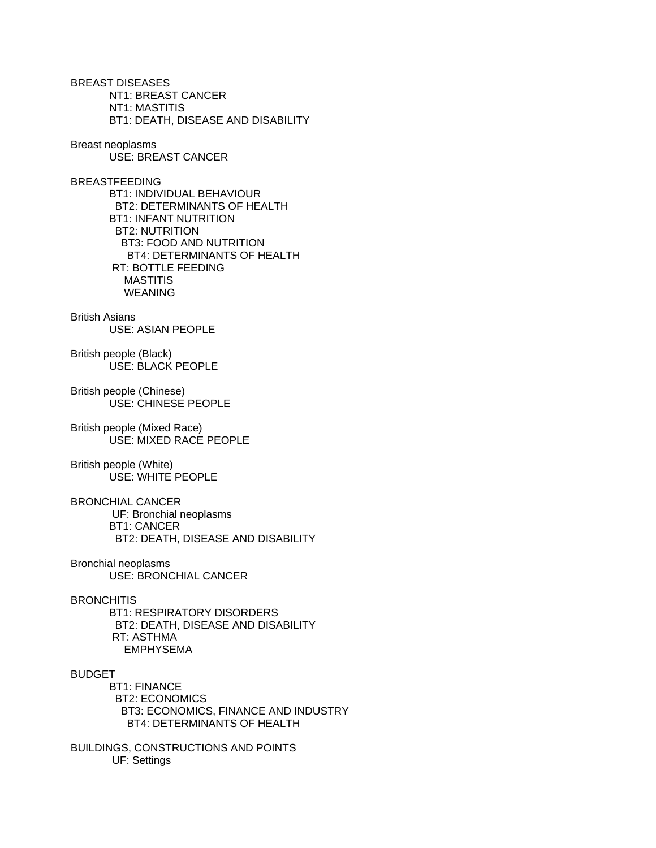BREAST DISEASES NT1: BREAST CANCER NT1: MASTITIS BT1: DEATH, DISEASE AND DISABILITY

Breast neoplasms USE: BREAST CANCER

BREASTFEEDING BT1: INDIVIDUAL BEHAVIOUR BT2: DETERMINANTS OF HEALTH BT1: INFANT NUTRITION BT2: NUTRITION BT3: FOOD AND NUTRITION BT4: DETERMINANTS OF HEALTH RT: BOTTLE FEEDING MASTITIS WEANING

British Asians USE: ASIAN PEOPLE

British people (Black) USE: BLACK PEOPLE

British people (Chinese) USE: CHINESE PEOPLE

British people (Mixed Race) USE: MIXED RACE PEOPLE

British people (White) USE: WHITE PEOPLE

BRONCHIAL CANCER UF: Bronchial neoplasms BT1: CANCER BT2: DEATH, DISEASE AND DISABILITY

Bronchial neoplasms USE: BRONCHIAL CANCER

**BRONCHITIS** 

 BT1: RESPIRATORY DISORDERS BT2: DEATH, DISEASE AND DISABILITY RT: ASTHMA EMPHYSEMA

BUDGET

 BT1: FINANCE BT2: ECONOMICS BT3: ECONOMICS, FINANCE AND INDUSTRY BT4: DETERMINANTS OF HEALTH

BUILDINGS, CONSTRUCTIONS AND POINTS UF: Settings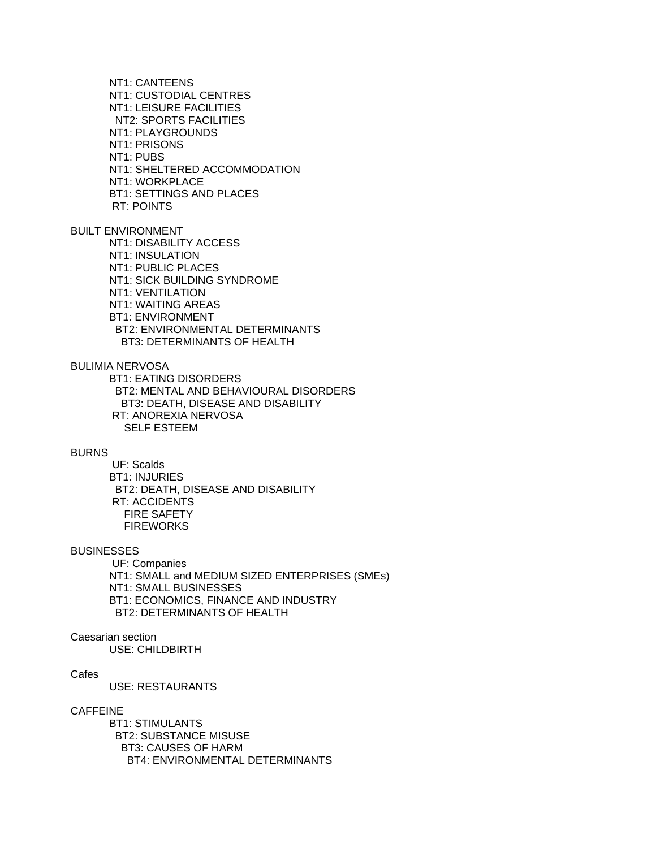NT1: CANTEENS NT1: CUSTODIAL CENTRES NT1: LEISURE FACILITIES NT2: SPORTS FACILITIES NT1: PLAYGROUNDS NT1: PRISONS NT1: PUBS NT1: SHELTERED ACCOMMODATION NT1: WORKPLACE BT1: SETTINGS AND PLACES RT: POINTS

BUILT ENVIRONMENT NT1: DISABILITY ACCESS NT1: INSULATION NT1: PUBLIC PLACES NT1: SICK BUILDING SYNDROME NT1: VENTILATION NT1: WAITING AREAS BT1: ENVIRONMENT BT2: ENVIRONMENTAL DETERMINANTS BT3: DETERMINANTS OF HEALTH

BULIMIA NERVOSA

 BT1: EATING DISORDERS BT2: MENTAL AND BEHAVIOURAL DISORDERS BT3: DEATH, DISEASE AND DISABILITY RT: ANOREXIA NERVOSA SELF ESTEEM

#### **BURNS**

 UF: Scalds BT1: INJURIES BT2: DEATH, DISEASE AND DISABILITY RT: ACCIDENTS FIRE SAFETY **FIREWORKS** 

### **BUSINESSES**

 UF: Companies NT1: SMALL and MEDIUM SIZED ENTERPRISES (SMEs) NT1: SMALL BUSINESSES BT1: ECONOMICS, FINANCE AND INDUSTRY BT2: DETERMINANTS OF HEALTH

## Caesarian section

USE: CHILDBIRTH

### **Cafes**

USE: RESTAURANTS

#### CAFFEINE

 BT1: STIMULANTS BT2: SUBSTANCE MISUSE BT3: CAUSES OF HARM BT4: ENVIRONMENTAL DETERMINANTS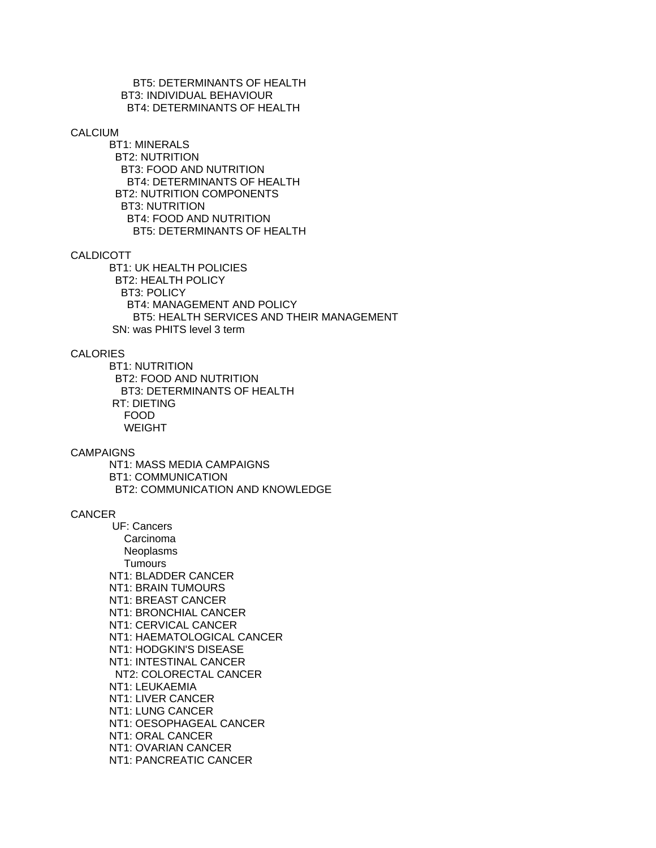BT5: DETERMINANTS OF HEALTH BT3: INDIVIDUAL BEHAVIOUR BT4: DETERMINANTS OF HEALTH

#### CALCIUM

 BT1: MINERALS BT2: NUTRITION BT3: FOOD AND NUTRITION BT4: DETERMINANTS OF HEALTH BT2: NUTRITION COMPONENTS BT3: NUTRITION BT4: FOOD AND NUTRITION BT5: DETERMINANTS OF HEALTH

#### CALDICOTT

 BT1: UK HEALTH POLICIES BT2: HEALTH POLICY BT3: POLICY BT4: MANAGEMENT AND POLICY BT5: HEALTH SERVICES AND THEIR MANAGEMENT SN: was PHITS level 3 term

## CALORIES

 BT1: NUTRITION BT2: FOOD AND NUTRITION BT3: DETERMINANTS OF HEALTH RT: DIETING FOOD WEIGHT

#### CAMPAIGNS

 NT1: MASS MEDIA CAMPAIGNS BT1: COMMUNICATION BT2: COMMUNICATION AND KNOWLEDGE

### **CANCER**

 UF: Cancers Carcinoma **Neoplasms Tumours**  NT1: BLADDER CANCER NT1: BRAIN TUMOURS NT1: BREAST CANCER NT1: BRONCHIAL CANCER NT1: CERVICAL CANCER NT1: HAEMATOLOGICAL CANCER NT1: HODGKIN'S DISEASE NT1: INTESTINAL CANCER NT2: COLORECTAL CANCER NT1: LEUKAEMIA NT1: LIVER CANCER NT1: LUNG CANCER NT1: OESOPHAGEAL CANCER NT1: ORAL CANCER NT1: OVARIAN CANCER NT1: PANCREATIC CANCER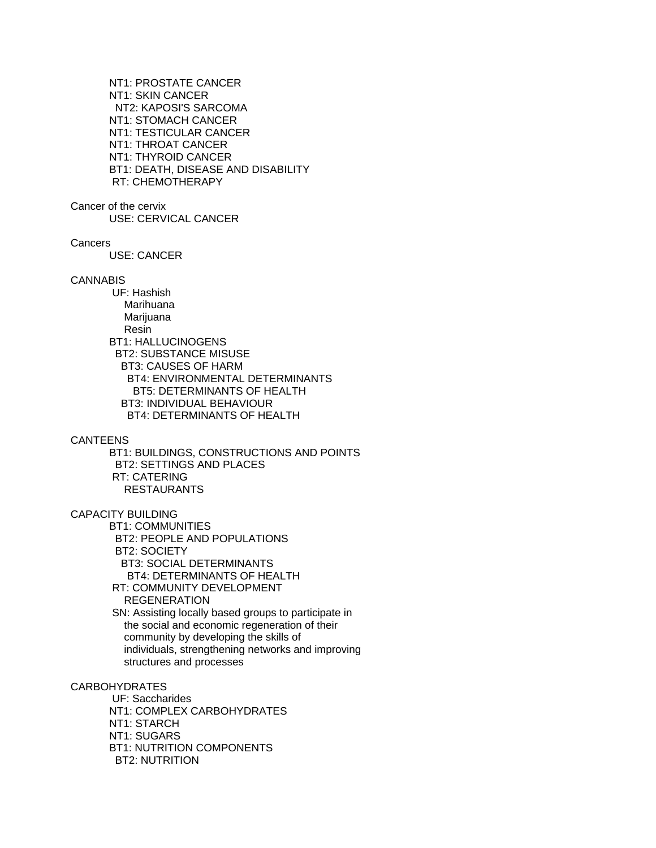NT1: PROSTATE CANCER NT1: SKIN CANCER NT2: KAPOSI'S SARCOMA NT1: STOMACH CANCER NT1: TESTICULAR CANCER NT1: THROAT CANCER NT1: THYROID CANCER BT1: DEATH, DISEASE AND DISABILITY RT: CHEMOTHERAPY

Cancer of the cervix

USE: CERVICAL CANCER

**Cancers** 

USE: CANCER

CANNABIS

 UF: Hashish Marihuana Marijuana Resin BT1: HALLUCINOGENS BT2: SUBSTANCE MISUSE BT3: CAUSES OF HARM BT4: ENVIRONMENTAL DETERMINANTS BT5: DETERMINANTS OF HEALTH BT3: INDIVIDUAL BEHAVIOUR BT4: DETERMINANTS OF HEALTH

CANTEENS

 BT1: BUILDINGS, CONSTRUCTIONS AND POINTS BT2: SETTINGS AND PLACES RT: CATERING RESTAURANTS

CAPACITY BUILDING

 BT1: COMMUNITIES BT2: PEOPLE AND POPULATIONS BT2: SOCIETY BT3: SOCIAL DETERMINANTS BT4: DETERMINANTS OF HEALTH RT: COMMUNITY DEVELOPMENT

REGENERATION

 SN: Assisting locally based groups to participate in the social and economic regeneration of their community by developing the skills of individuals, strengthening networks and improving structures and processes

## CARBOHYDRATES

 UF: Saccharides NT1: COMPLEX CARBOHYDRATES NT1: STARCH NT1: SUGARS BT1: NUTRITION COMPONENTS BT2: NUTRITION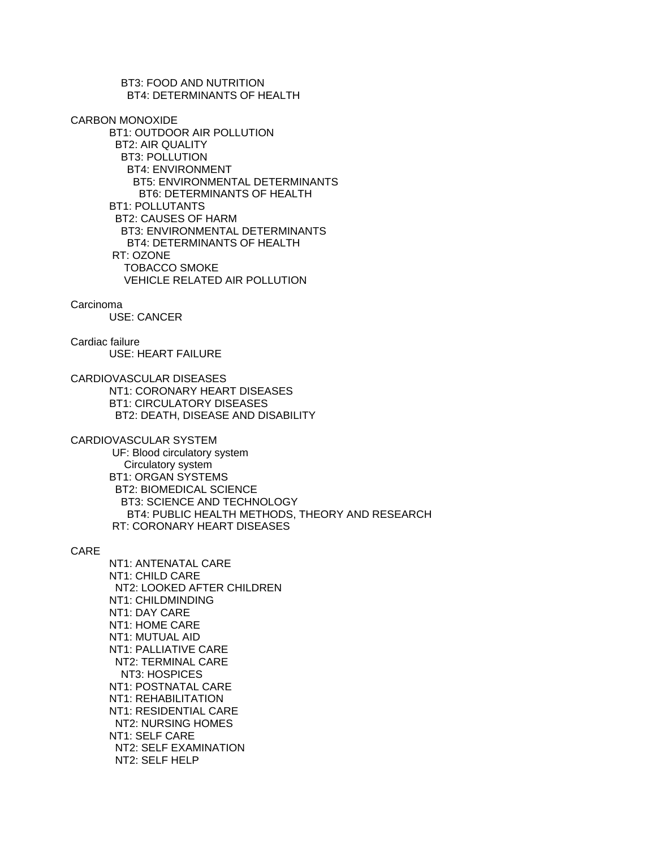BT3: FOOD AND NUTRITION BT4: DETERMINANTS OF HEALTH

CARBON MONOXIDE

 BT1: OUTDOOR AIR POLLUTION BT2: AIR QUALITY BT3: POLLUTION BT4: ENVIRONMENT BT5: ENVIRONMENTAL DETERMINANTS BT6: DETERMINANTS OF HEALTH BT1: POLLUTANTS BT2: CAUSES OF HARM BT3: ENVIRONMENTAL DETERMINANTS BT4: DETERMINANTS OF HEALTH RT: OZONE TOBACCO SMOKE VEHICLE RELATED AIR POLLUTION

#### Carcinoma

USE: CANCER

Cardiac failure USE: HEART FAILURE

CARDIOVASCULAR DISEASES NT1: CORONARY HEART DISEASES BT1: CIRCULATORY DISEASES BT2: DEATH, DISEASE AND DISABILITY

CARDIOVASCULAR SYSTEM

 UF: Blood circulatory system Circulatory system BT1: ORGAN SYSTEMS BT2: BIOMEDICAL SCIENCE BT3: SCIENCE AND TECHNOLOGY BT4: PUBLIC HEALTH METHODS, THEORY AND RESEARCH RT: CORONARY HEART DISEASES

CARE

 NT1: ANTENATAL CARE NT1: CHILD CARE NT2: LOOKED AFTER CHILDREN NT1: CHILDMINDING NT1: DAY CARE NT1: HOME CARE NT1: MUTUAL AID NT1: PALLIATIVE CARE NT2: TERMINAL CARE NT3: HOSPICES NT1: POSTNATAL CARE NT1: REHABILITATION NT1: RESIDENTIAL CARE NT2: NURSING HOMES NT1: SELF CARE NT2: SELF EXAMINATION NT2: SELF HELP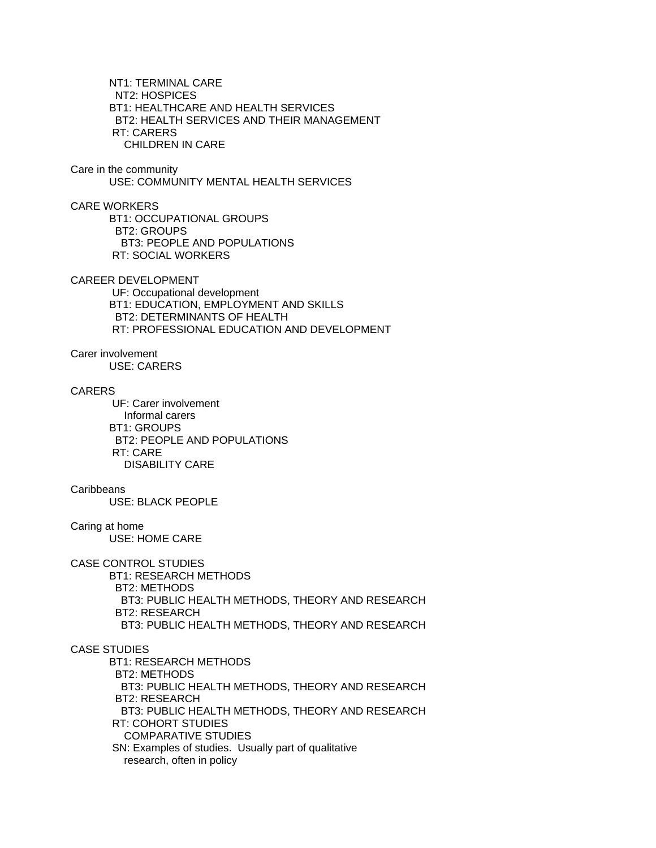NT1: TERMINAL CARE NT2: HOSPICES BT1: HEALTHCARE AND HEALTH SERVICES BT2: HEALTH SERVICES AND THEIR MANAGEMENT RT: CARERS CHILDREN IN CARE

Care in the community USE: COMMUNITY MENTAL HEALTH SERVICES

CARE WORKERS BT1: OCCUPATIONAL GROUPS BT2: GROUPS BT3: PEOPLE AND POPULATIONS RT: SOCIAL WORKERS

CAREER DEVELOPMENT

 UF: Occupational development BT1: EDUCATION, EMPLOYMENT AND SKILLS BT2: DETERMINANTS OF HEALTH RT: PROFESSIONAL EDUCATION AND DEVELOPMENT

Carer involvement

USE: CARERS

CARERS

 UF: Carer involvement Informal carers BT1: GROUPS BT2: PEOPLE AND POPULATIONS RT: CARE DISABILITY CARE

## **Caribbeans**

USE: BLACK PEOPLE

Caring at home

USE: HOME CARE

## CASE CONTROL STUDIES

 BT1: RESEARCH METHODS BT2: METHODS BT3: PUBLIC HEALTH METHODS, THEORY AND RESEARCH BT2: RESEARCH BT3: PUBLIC HEALTH METHODS, THEORY AND RESEARCH

# CASE STUDIES

 BT1: RESEARCH METHODS BT2: METHODS BT3: PUBLIC HEALTH METHODS, THEORY AND RESEARCH BT2: RESEARCH BT3: PUBLIC HEALTH METHODS, THEORY AND RESEARCH RT: COHORT STUDIES COMPARATIVE STUDIES SN: Examples of studies. Usually part of qualitative research, often in policy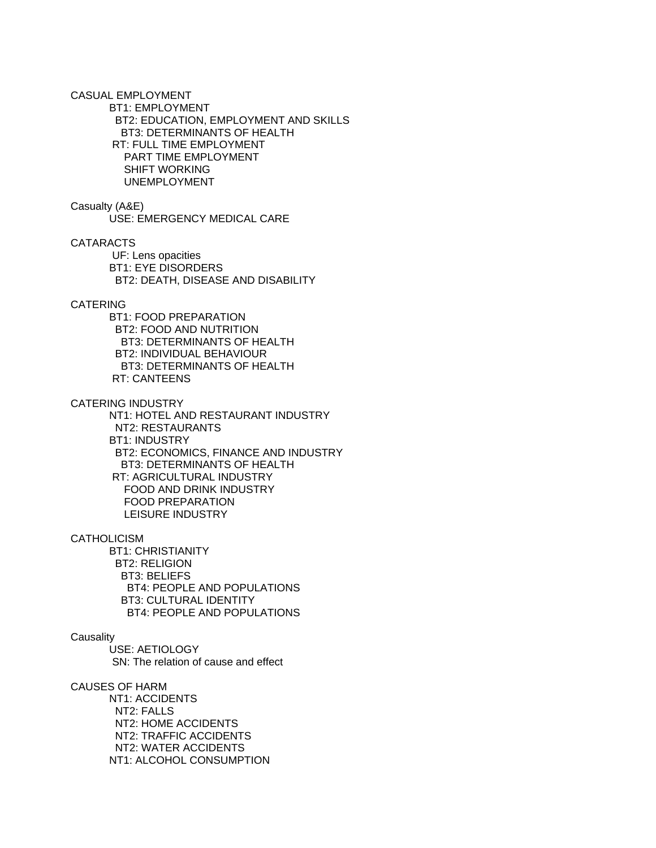CASUAL EMPLOYMENT BT1: EMPLOYMENT BT2: EDUCATION, EMPLOYMENT AND SKILLS BT3: DETERMINANTS OF HEALTH RT: FULL TIME EMPLOYMENT PART TIME EMPLOYMENT SHIFT WORKING UNEMPLOYMENT

#### Casualty (A&E)

USE: EMERGENCY MEDICAL CARE

CATARACTS

 UF: Lens opacities BT1: EYE DISORDERS BT2: DEATH, DISEASE AND DISABILITY

### CATERING

 BT1: FOOD PREPARATION BT2: FOOD AND NUTRITION BT3: DETERMINANTS OF HEALTH BT2: INDIVIDUAL BEHAVIOUR BT3: DETERMINANTS OF HEALTH RT: CANTEENS

CATERING INDUSTRY

 NT1: HOTEL AND RESTAURANT INDUSTRY NT2: RESTAURANTS BT1: INDUSTRY BT2: ECONOMICS, FINANCE AND INDUSTRY BT3: DETERMINANTS OF HEALTH RT: AGRICULTURAL INDUSTRY FOOD AND DRINK INDUSTRY FOOD PREPARATION LEISURE INDUSTRY

**CATHOLICISM** 

 BT1: CHRISTIANITY BT2: RELIGION BT3: BELIEFS BT4: PEOPLE AND POPULATIONS BT3: CULTURAL IDENTITY BT4: PEOPLE AND POPULATIONS

### **Causality**

 USE: AETIOLOGY SN: The relation of cause and effect

#### CAUSES OF HARM

 NT1: ACCIDENTS NT2: FALLS NT2: HOME ACCIDENTS NT2: TRAFFIC ACCIDENTS NT2: WATER ACCIDENTS NT1: ALCOHOL CONSUMPTION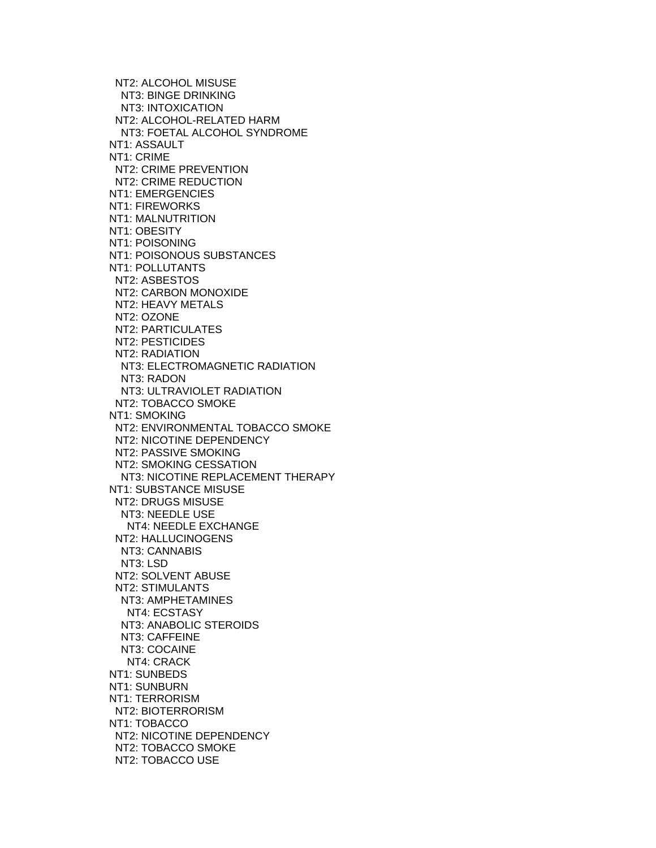NT2: ALCOHOL MISUSE NT3: BINGE DRINKING NT3: INTOXICATION NT2: ALCOHOL-RELATED HARM NT3: FOETAL ALCOHOL SYNDROME NT1: ASSAULT NT1: CRIME NT2: CRIME PREVENTION NT2: CRIME REDUCTION NT1: EMERGENCIES NT1: FIREWORKS NT1: MALNUTRITION NT1: OBESITY NT1: POISONING NT1: POISONOUS SUBSTANCES NT1: POLLUTANTS NT2: ASBESTOS NT2: CARBON MONOXIDE NT2: HEAVY METALS NT2: OZONE NT2: PARTICULATES NT2: PESTICIDES NT2: RADIATION NT3: ELECTROMAGNETIC RADIATION NT3: RADON NT3: ULTRAVIOLET RADIATION NT2: TOBACCO SMOKE NT1: SMOKING NT2: ENVIRONMENTAL TOBACCO SMOKE NT2: NICOTINE DEPENDENCY NT2: PASSIVE SMOKING NT2: SMOKING CESSATION NT3: NICOTINE REPLACEMENT THERAPY NT1: SUBSTANCE MISUSE NT2: DRUGS MISUSE NT3: NEEDLE USE NT4: NEEDLE EXCHANGE NT2: HALLUCINOGENS NT3: CANNABIS NT3: LSD NT2: SOLVENT ABUSE NT2: STIMULANTS NT3: AMPHETAMINES NT4: ECSTASY NT3: ANABOLIC STEROIDS NT3: CAFFEINE NT3: COCAINE NT4: CRACK NT1: SUNBEDS NT1: SUNBURN NT1: TERRORISM NT2: BIOTERRORISM NT1: TOBACCO NT2: NICOTINE DEPENDENCY NT2: TOBACCO SMOKE NT2: TOBACCO USE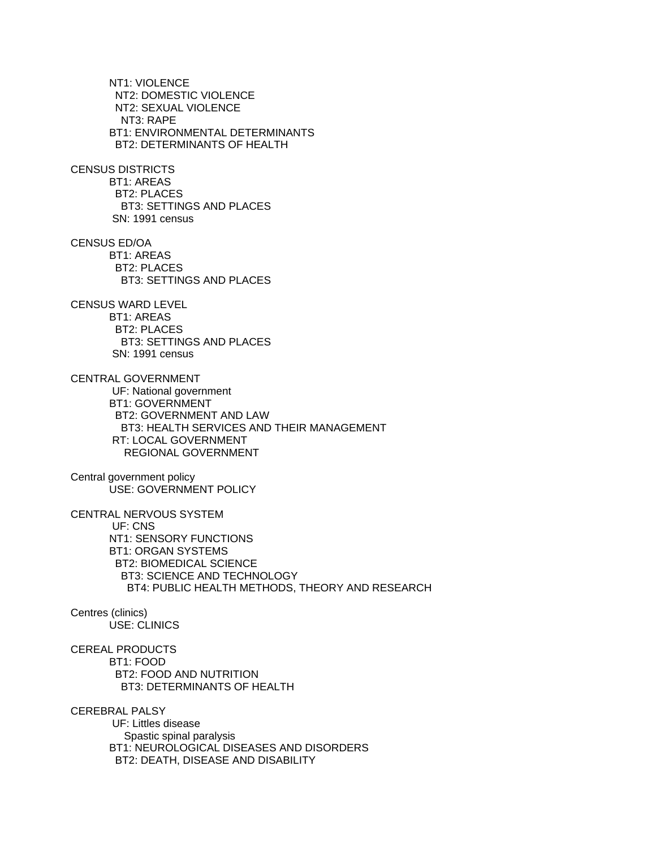NT1: VIOLENCE NT2: DOMESTIC VIOLENCE NT2: SEXUAL VIOLENCE NT3: RAPE BT1: ENVIRONMENTAL DETERMINANTS BT2: DETERMINANTS OF HEALTH CENSUS DISTRICTS BT1: AREAS BT2: PLACES BT3: SETTINGS AND PLACES SN: 1991 census CENSUS ED/OA BT1: AREAS BT2: PLACES BT3: SETTINGS AND PLACES CENSUS WARD LEVEL BT1: AREAS BT2: PLACES BT3: SETTINGS AND PLACES SN: 1991 census CENTRAL GOVERNMENT UF: National government BT1: GOVERNMENT BT2: GOVERNMENT AND LAW BT3: HEALTH SERVICES AND THEIR MANAGEMENT RT: LOCAL GOVERNMENT REGIONAL GOVERNMENT Central government policy USE: GOVERNMENT POLICY CENTRAL NERVOUS SYSTEM UF: CNS NT1: SENSORY FUNCTIONS BT1: ORGAN SYSTEMS BT2: BIOMEDICAL SCIENCE BT3: SCIENCE AND TECHNOLOGY BT4: PUBLIC HEALTH METHODS, THEORY AND RESEARCH Centres (clinics) USE: CLINICS CEREAL PRODUCTS BT1: FOOD BT2: FOOD AND NUTRITION BT3: DETERMINANTS OF HEALTH CEREBRAL PALSY UF: Littles disease Spastic spinal paralysis BT1: NEUROLOGICAL DISEASES AND DISORDERS BT2: DEATH, DISEASE AND DISABILITY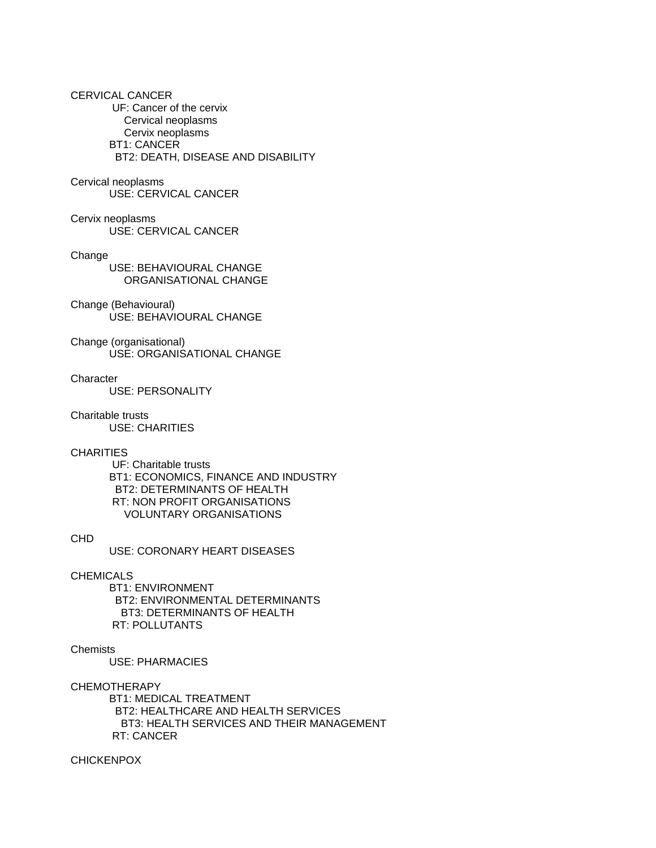## CERVICAL CANCER

 UF: Cancer of the cervix Cervical neoplasms Cervix neoplasms BT1: CANCER BT2: DEATH, DISEASE AND DISABILITY

## Cervical neoplasms

USE: CERVICAL CANCER

#### Cervix neoplasms USE: CERVICAL CANCER

### Change

 USE: BEHAVIOURAL CHANGE ORGANISATIONAL CHANGE

## Change (Behavioural) USE: BEHAVIOURAL CHANGE

Change (organisational) USE: ORGANISATIONAL CHANGE

### **Character**

USE: PERSONALITY

### Charitable trusts

USE: CHARITIES

### **CHARITIES**

 UF: Charitable trusts BT1: ECONOMICS, FINANCE AND INDUSTRY BT2: DETERMINANTS OF HEALTH RT: NON PROFIT ORGANISATIONS VOLUNTARY ORGANISATIONS

# CHD

USE: CORONARY HEART DISEASES

### CHEMICALS

 BT1: ENVIRONMENT BT2: ENVIRONMENTAL DETERMINANTS BT3: DETERMINANTS OF HEALTH RT: POLLUTANTS

## Chemists

USE: PHARMACIES

CHEMOTHERAPY

 BT1: MEDICAL TREATMENT BT2: HEALTHCARE AND HEALTH SERVICES BT3: HEALTH SERVICES AND THEIR MANAGEMENT RT: CANCER

CHICKENPOX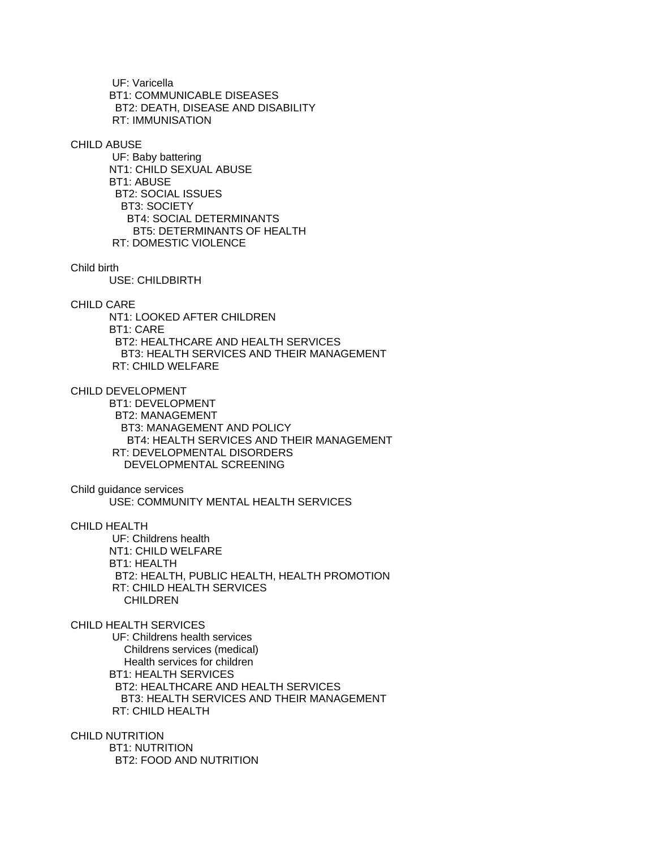UF: Varicella BT1: COMMUNICABLE DISEASES BT2: DEATH, DISEASE AND DISABILITY RT: IMMUNISATION

#### CHILD ABUSE

 UF: Baby battering NT1: CHILD SEXUAL ABUSE BT1: ABUSE BT2: SOCIAL ISSUES BT3: SOCIETY BT4: SOCIAL DETERMINANTS BT5: DETERMINANTS OF HEALTH RT: DOMESTIC VIOLENCE

#### Child birth

USE: CHILDBIRTH

## CHILD CARE

 NT1: LOOKED AFTER CHILDREN BT1: CARE BT2: HEALTHCARE AND HEALTH SERVICES BT3: HEALTH SERVICES AND THEIR MANAGEMENT RT: CHILD WELFARE

CHILD DEVELOPMENT

 BT1: DEVELOPMENT BT2: MANAGEMENT BT3: MANAGEMENT AND POLICY BT4: HEALTH SERVICES AND THEIR MANAGEMENT RT: DEVELOPMENTAL DISORDERS DEVELOPMENTAL SCREENING

Child guidance services

USE: COMMUNITY MENTAL HEALTH SERVICES

## CHILD HEALTH

 UF: Childrens health NT1: CHILD WELFARE BT1: HEALTH BT2: HEALTH, PUBLIC HEALTH, HEALTH PROMOTION RT: CHILD HEALTH SERVICES CHILDREN

# CHILD HEALTH SERVICES

 UF: Childrens health services Childrens services (medical) Health services for children BT1: HEALTH SERVICES BT2: HEALTHCARE AND HEALTH SERVICES BT3: HEALTH SERVICES AND THEIR MANAGEMENT RT: CHILD HEALTH

CHILD NUTRITION

 BT1: NUTRITION BT2: FOOD AND NUTRITION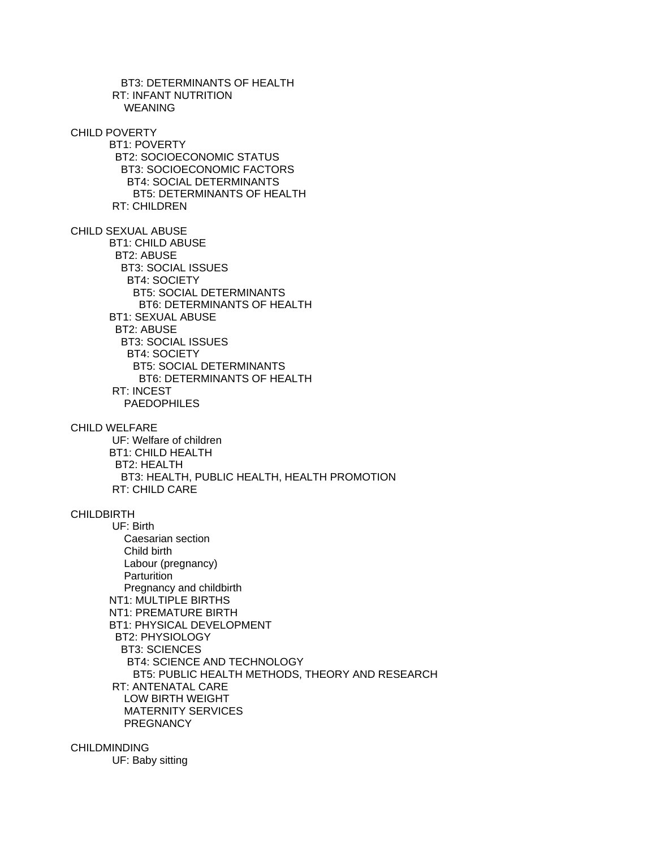BT3: DETERMINANTS OF HEALTH RT: INFANT NUTRITION WEANING CHILD POVERTY BT1: POVERTY BT2: SOCIOECONOMIC STATUS BT3: SOCIOECONOMIC FACTORS BT4: SOCIAL DETERMINANTS BT5: DETERMINANTS OF HEALTH RT: CHILDREN CHILD SEXUAL ABUSE BT1: CHILD ABUSE BT2: ABUSE BT3: SOCIAL ISSUES BT4: SOCIETY BT5: SOCIAL DETERMINANTS BT6: DETERMINANTS OF HEALTH BT1: SEXUAL ABUSE BT2: ABUSE BT3: SOCIAL ISSUES BT4: SOCIETY BT5: SOCIAL DETERMINANTS BT6: DETERMINANTS OF HEALTH RT: INCEST PAEDOPHILES CHILD WELFARE UF: Welfare of children BT1: CHILD HEALTH BT2: HEALTH BT3: HEALTH, PUBLIC HEALTH, HEALTH PROMOTION RT: CHILD CARE CHILDBIRTH UF: Birth Caesarian section Child birth Labour (pregnancy) **Parturition**  Pregnancy and childbirth NT1: MULTIPLE BIRTHS NT1: PREMATURE BIRTH BT1: PHYSICAL DEVELOPMENT BT2: PHYSIOLOGY BT3: SCIENCES BT4: SCIENCE AND TECHNOLOGY BT5: PUBLIC HEALTH METHODS, THEORY AND RESEARCH RT: ANTENATAL CARE LOW BIRTH WEIGHT MATERNITY SERVICES **PREGNANCY** 

# CHILDMINDING

UF: Baby sitting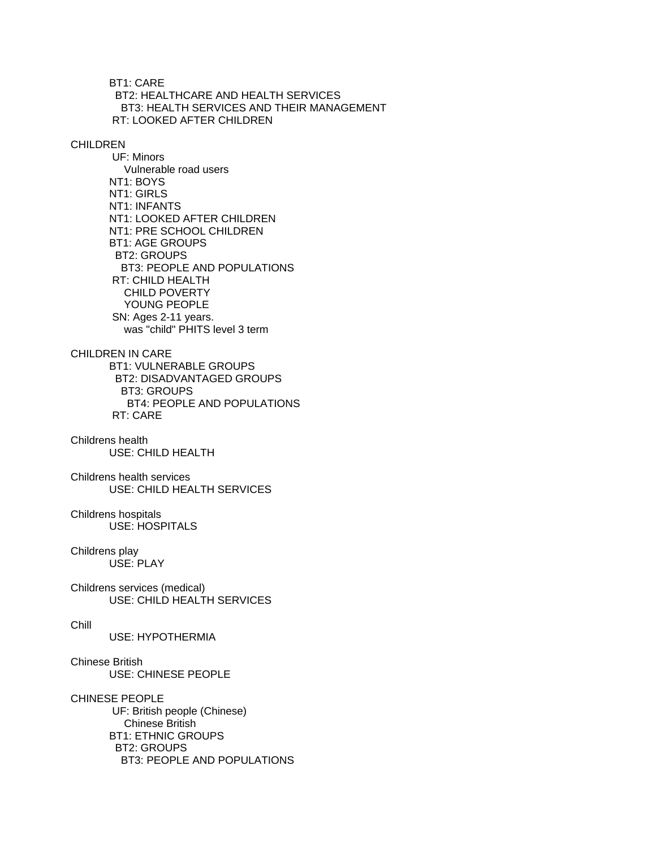BT1: CARE BT2: HEALTHCARE AND HEALTH SERVICES BT3: HEALTH SERVICES AND THEIR MANAGEMENT RT: LOOKED AFTER CHILDREN

# **CHILDREN**

 UF: Minors Vulnerable road users NT1: BOYS NT1: GIRLS NT1: INFANTS NT1: LOOKED AFTER CHILDREN NT1: PRE SCHOOL CHILDREN BT1: AGE GROUPS BT2: GROUPS BT3: PEOPLE AND POPULATIONS RT: CHILD HEALTH CHILD POVERTY YOUNG PEOPLE SN: Ages 2-11 years. was "child" PHITS level 3 term

# CHILDREN IN CARE

 BT1: VULNERABLE GROUPS BT2: DISADVANTAGED GROUPS BT3: GROUPS BT4: PEOPLE AND POPULATIONS RT: CARE

#### Childrens health USE: CHILD HEALTH

Childrens health services USE: CHILD HEALTH SERVICES

#### Childrens hospitals USE: HOSPITALS

#### Childrens play USE: PLAY

Childrens services (medical) USE: CHILD HEALTH SERVICES

#### Chill

USE: HYPOTHERMIA

# Chinese British USE: CHINESE PEOPLE

CHINESE PEOPLE UF: British people (Chinese) Chinese British BT1: ETHNIC GROUPS BT2: GROUPS BT3: PEOPLE AND POPULATIONS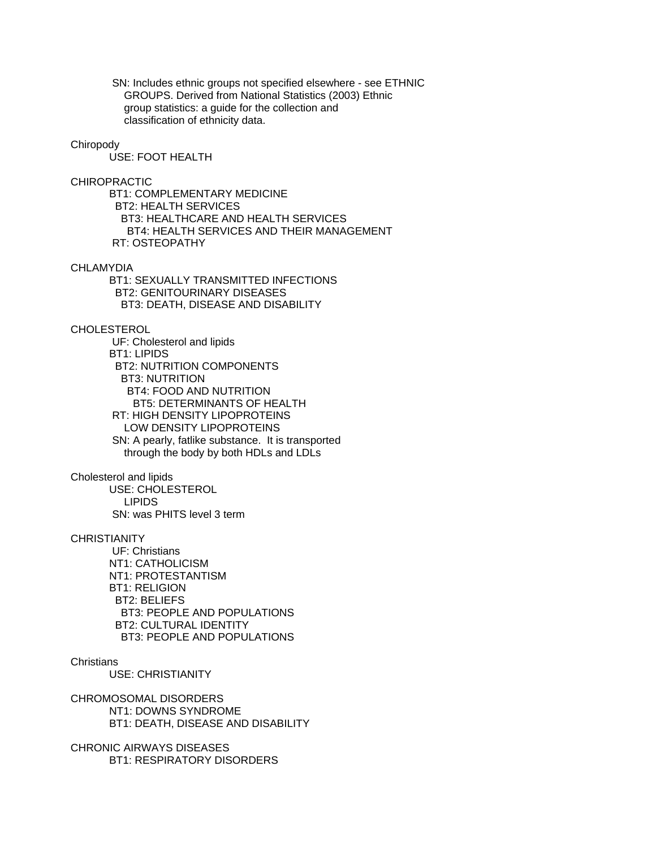SN: Includes ethnic groups not specified elsewhere - see ETHNIC GROUPS. Derived from National Statistics (2003) Ethnic group statistics: a guide for the collection and classification of ethnicity data.

#### Chiropody

USE: FOOT HEALTH

#### CHIROPRACTIC

 BT1: COMPLEMENTARY MEDICINE BT2: HEALTH SERVICES BT3: HEALTHCARE AND HEALTH SERVICES BT4: HEALTH SERVICES AND THEIR MANAGEMENT RT: OSTEOPATHY

# CHLAMYDIA

 BT1: SEXUALLY TRANSMITTED INFECTIONS BT2: GENITOURINARY DISEASES BT3: DEATH, DISEASE AND DISABILITY

#### CHOLESTEROL

 UF: Cholesterol and lipids BT1: LIPIDS BT2: NUTRITION COMPONENTS BT3: NUTRITION BT4: FOOD AND NUTRITION BT5: DETERMINANTS OF HEALTH RT: HIGH DENSITY LIPOPROTEINS LOW DENSITY LIPOPROTEINS SN: A pearly, fatlike substance. It is transported through the body by both HDLs and LDLs

Cholesterol and lipids

 USE: CHOLESTEROL LIPIDS SN: was PHITS level 3 term

# **CHRISTIANITY**

 UF: Christians NT1: CATHOLICISM NT1: PROTESTANTISM BT1: RELIGION BT2: BELIEFS BT3: PEOPLE AND POPULATIONS BT2: CULTURAL IDENTITY BT3: PEOPLE AND POPULATIONS

# **Christians**

USE: CHRISTIANITY

CHROMOSOMAL DISORDERS NT1: DOWNS SYNDROME BT1: DEATH, DISEASE AND DISABILITY

CHRONIC AIRWAYS DISEASES BT1: RESPIRATORY DISORDERS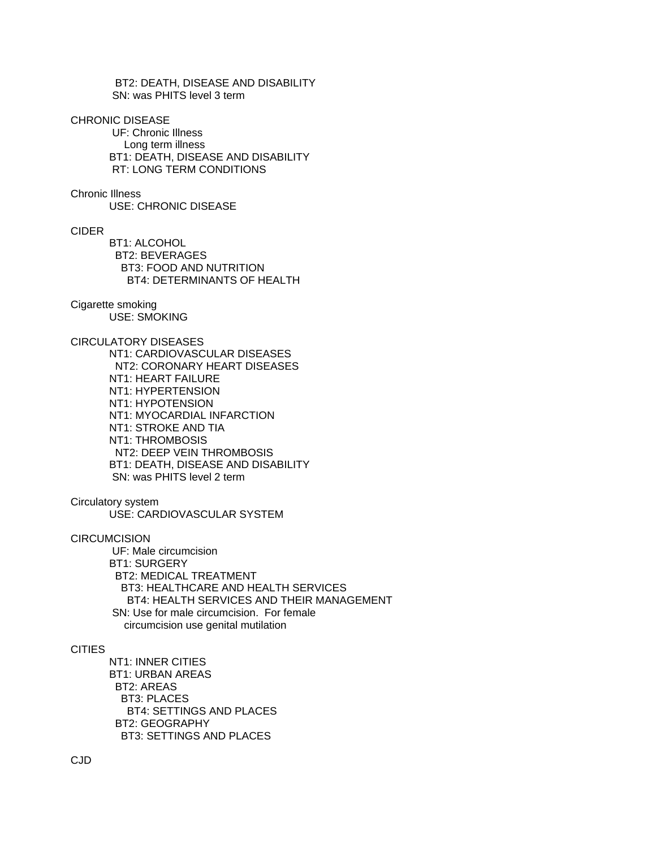BT2: DEATH, DISEASE AND DISABILITY SN: was PHITS level 3 term

CHRONIC DISEASE

 UF: Chronic Illness Long term illness BT1: DEATH, DISEASE AND DISABILITY RT: LONG TERM CONDITIONS

Chronic Illness

USE: CHRONIC DISEASE

#### CIDER

 BT1: ALCOHOL BT2: BEVERAGES BT3: FOOD AND NUTRITION BT4: DETERMINANTS OF HEALTH

# Cigarette smoking

USE: SMOKING

# CIRCULATORY DISEASES

 NT1: CARDIOVASCULAR DISEASES NT2: CORONARY HEART DISEASES NT1: HEART FAILURE NT1: HYPERTENSION NT1: HYPOTENSION NT1: MYOCARDIAL INFARCTION NT1: STROKE AND TIA NT1: THROMBOSIS NT2: DEEP VEIN THROMBOSIS BT1: DEATH, DISEASE AND DISABILITY SN: was PHITS level 2 term

Circulatory system

USE: CARDIOVASCULAR SYSTEM

**CIRCUMCISION** 

 UF: Male circumcision BT1: SURGERY BT2: MEDICAL TREATMENT BT3: HEALTHCARE AND HEALTH SERVICES BT4: HEALTH SERVICES AND THEIR MANAGEMENT SN: Use for male circumcision. For female circumcision use genital mutilation

### CITIES

 NT1: INNER CITIES BT1: URBAN AREAS BT2: AREAS BT3: PLACES BT4: SETTINGS AND PLACES BT2: GEOGRAPHY BT3: SETTINGS AND PLACES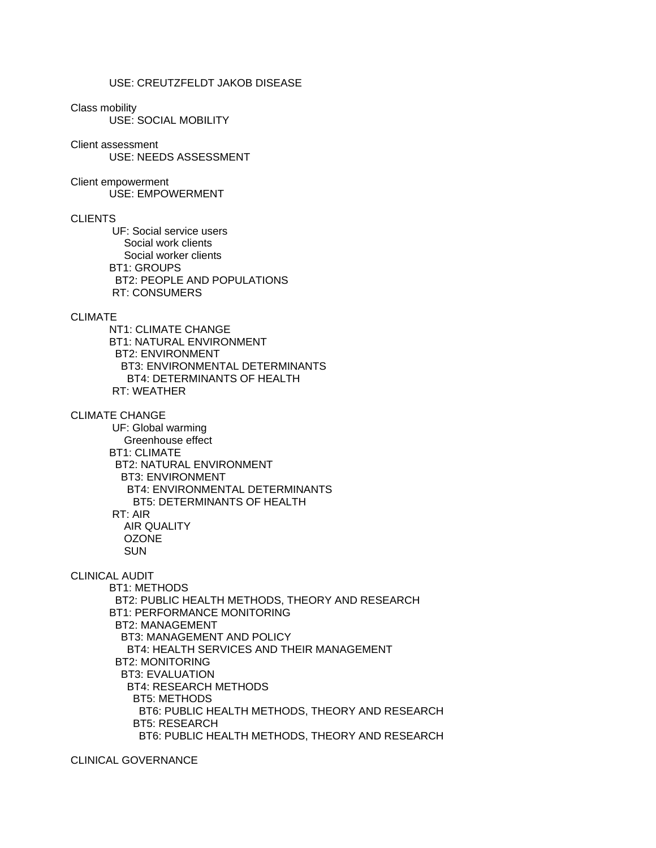# USE: CREUTZFELDT JAKOB DISEASE

#### Class mobility

USE: SOCIAL MOBILITY

#### Client assessment

USE: NEEDS ASSESSMENT

# Client empowerment

USE: EMPOWERMENT

# **CLIENTS**

 UF: Social service users Social work clients Social worker clients BT1: GROUPS BT2: PEOPLE AND POPULATIONS RT: CONSUMERS

## CLIMATE

 NT1: CLIMATE CHANGE BT1: NATURAL ENVIRONMENT BT2: ENVIRONMENT BT3: ENVIRONMENTAL DETERMINANTS BT4: DETERMINANTS OF HEALTH RT: WEATHER

## CLIMATE CHANGE

 UF: Global warming Greenhouse effect BT1: CLIMATE BT2: NATURAL ENVIRONMENT BT3: ENVIRONMENT BT4: ENVIRONMENTAL DETERMINANTS BT5: DETERMINANTS OF HEALTH RT: AIR AIR QUALITY OZONE SUN

## CLINICAL AUDIT

 BT1: METHODS BT2: PUBLIC HEALTH METHODS, THEORY AND RESEARCH BT1: PERFORMANCE MONITORING BT2: MANAGEMENT BT3: MANAGEMENT AND POLICY BT4: HEALTH SERVICES AND THEIR MANAGEMENT BT2: MONITORING BT3: EVALUATION BT4: RESEARCH METHODS BT5: METHODS BT6: PUBLIC HEALTH METHODS, THEORY AND RESEARCH BT5: RESEARCH BT6: PUBLIC HEALTH METHODS, THEORY AND RESEARCH

## CLINICAL GOVERNANCE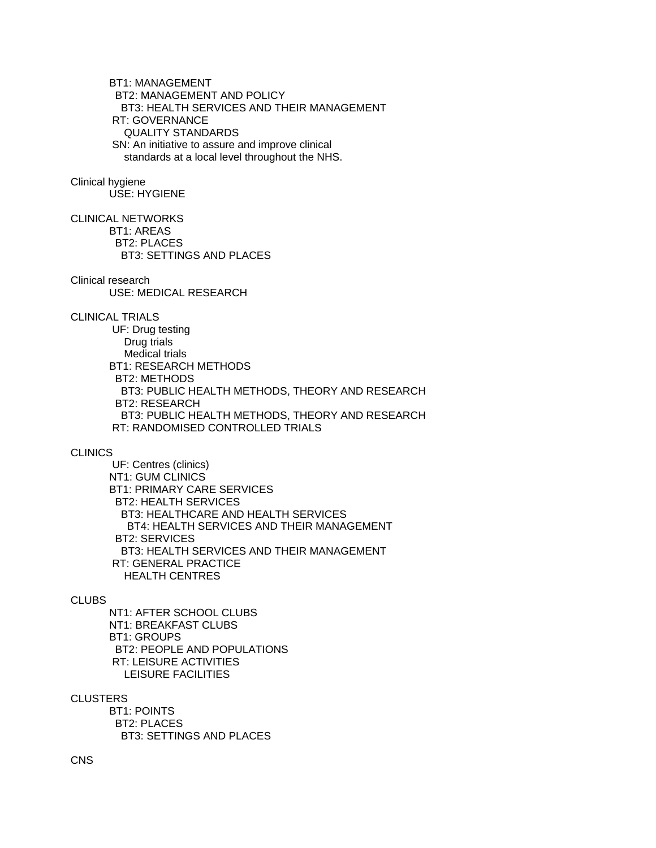BT1: MANAGEMENT BT2: MANAGEMENT AND POLICY BT3: HEALTH SERVICES AND THEIR MANAGEMENT RT: GOVERNANCE QUALITY STANDARDS SN: An initiative to assure and improve clinical standards at a local level throughout the NHS.

# Clinical hygiene

USE: HYGIENE

CLINICAL NETWORKS BT1: AREAS BT2: PLACES BT3: SETTINGS AND PLACES

Clinical research

USE: MEDICAL RESEARCH

CLINICAL TRIALS

 UF: Drug testing Drug trials Medical trials BT1: RESEARCH METHODS BT2: METHODS BT3: PUBLIC HEALTH METHODS, THEORY AND RESEARCH BT2: RESEARCH BT3: PUBLIC HEALTH METHODS, THEORY AND RESEARCH RT: RANDOMISED CONTROLLED TRIALS

#### **CLINICS**

 UF: Centres (clinics) NT1: GUM CLINICS BT1: PRIMARY CARE SERVICES BT2: HEALTH SERVICES BT3: HEALTHCARE AND HEALTH SERVICES BT4: HEALTH SERVICES AND THEIR MANAGEMENT BT2: SERVICES BT3: HEALTH SERVICES AND THEIR MANAGEMENT RT: GENERAL PRACTICE HEALTH CENTRES

#### **CLUBS**

 NT1: AFTER SCHOOL CLUBS NT1: BREAKFAST CLUBS BT1: GROUPS BT2: PEOPLE AND POPULATIONS RT: LEISURE ACTIVITIES LEISURE FACILITIES

CLUSTERS

 BT1: POINTS BT2: PLACES BT3: SETTINGS AND PLACES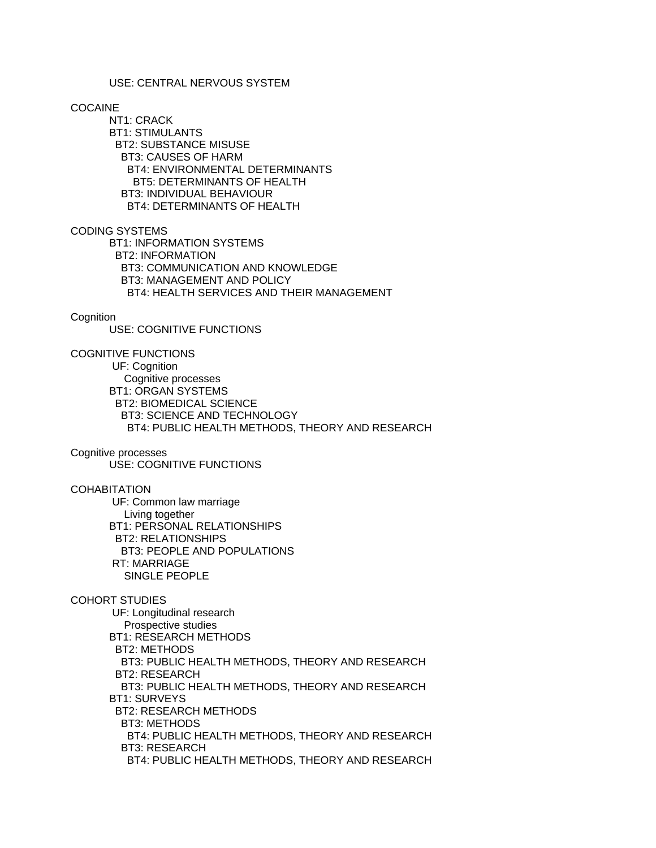#### USE: CENTRAL NERVOUS SYSTEM

#### COCAINE

 NT1: CRACK BT1: STIMULANTS BT2: SUBSTANCE MISUSE BT3: CAUSES OF HARM BT4: ENVIRONMENTAL DETERMINANTS BT5: DETERMINANTS OF HEALTH BT3: INDIVIDUAL BEHAVIOUR BT4: DETERMINANTS OF HEALTH

# CODING SYSTEMS

 BT1: INFORMATION SYSTEMS BT2: INFORMATION BT3: COMMUNICATION AND KNOWLEDGE BT3: MANAGEMENT AND POLICY BT4: HEALTH SERVICES AND THEIR MANAGEMENT

# **Cognition**

USE: COGNITIVE FUNCTIONS

COGNITIVE FUNCTIONS

 UF: Cognition Cognitive processes BT1: ORGAN SYSTEMS BT2: BIOMEDICAL SCIENCE BT3: SCIENCE AND TECHNOLOGY BT4: PUBLIC HEALTH METHODS, THEORY AND RESEARCH

# Cognitive processes

USE: COGNITIVE FUNCTIONS

# **COHABITATION**

 UF: Common law marriage Living together BT1: PERSONAL RELATIONSHIPS BT2: RELATIONSHIPS BT3: PEOPLE AND POPULATIONS RT: MARRIAGE SINGLE PEOPLE

# COHORT STUDIES

 UF: Longitudinal research Prospective studies BT1: RESEARCH METHODS BT2: METHODS BT3: PUBLIC HEALTH METHODS, THEORY AND RESEARCH BT2: RESEARCH BT3: PUBLIC HEALTH METHODS, THEORY AND RESEARCH BT1: SURVEYS BT2: RESEARCH METHODS BT3: METHODS BT4: PUBLIC HEALTH METHODS, THEORY AND RESEARCH BT3: RESEARCH BT4: PUBLIC HEALTH METHODS, THEORY AND RESEARCH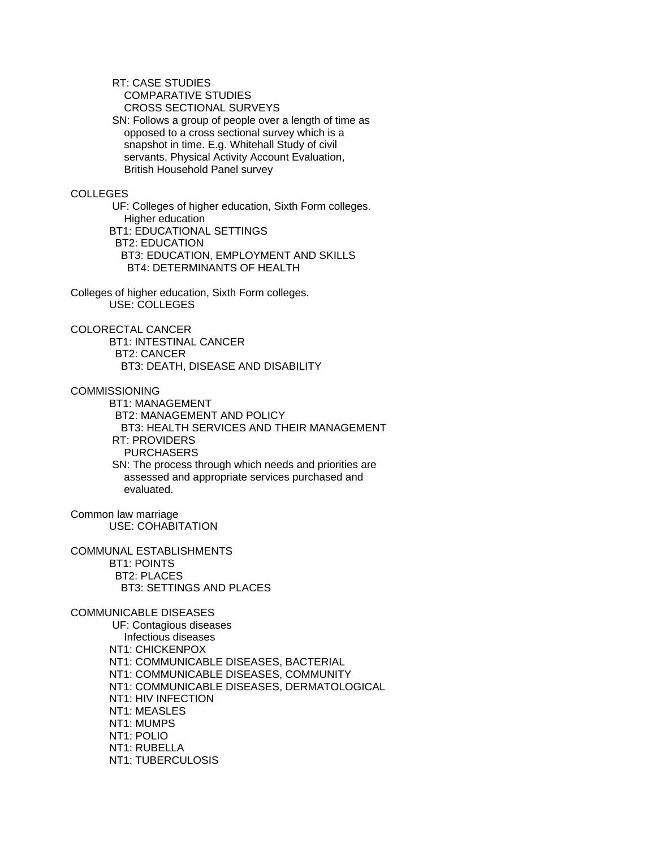RT: CASE STUDIES

COMPARATIVE STUDIES

CROSS SECTIONAL SURVEYS

 SN: Follows a group of people over a length of time as opposed to a cross sectional survey which is a snapshot in time. E.g. Whitehall Study of civil servants, Physical Activity Account Evaluation, British Household Panel survey

## COLLEGES

 UF: Colleges of higher education, Sixth Form colleges. Higher education BT1: EDUCATIONAL SETTINGS BT2: EDUCATION BT3: EDUCATION, EMPLOYMENT AND SKILLS BT4: DETERMINANTS OF HEALTH

Colleges of higher education, Sixth Form colleges. USE: COLLEGES

# COLORECTAL CANCER

 BT1: INTESTINAL CANCER BT2: CANCER BT3: DEATH, DISEASE AND DISABILITY

# COMMISSIONING

 BT1: MANAGEMENT BT2: MANAGEMENT AND POLICY BT3: HEALTH SERVICES AND THEIR MANAGEMENT RT: PROVIDERS PURCHASERS SN: The process through which needs and priorities are assessed and appropriate services purchased and evaluated.

Common law marriage USE: COHABITATION

COMMUNAL ESTABLISHMENTS BT1: POINTS BT2: PLACES BT3: SETTINGS AND PLACES

### COMMUNICABLE DISEASES

 UF: Contagious diseases Infectious diseases NT1: CHICKENPOX NT1: COMMUNICABLE DISEASES, BACTERIAL NT1: COMMUNICABLE DISEASES, COMMUNITY NT1: COMMUNICABLE DISEASES, DERMATOLOGICAL NT1: HIV INFECTION NT1: MEASLES NT1: MUMPS NT1: POLIO NT1: RUBELLA NT1: TUBERCULOSIS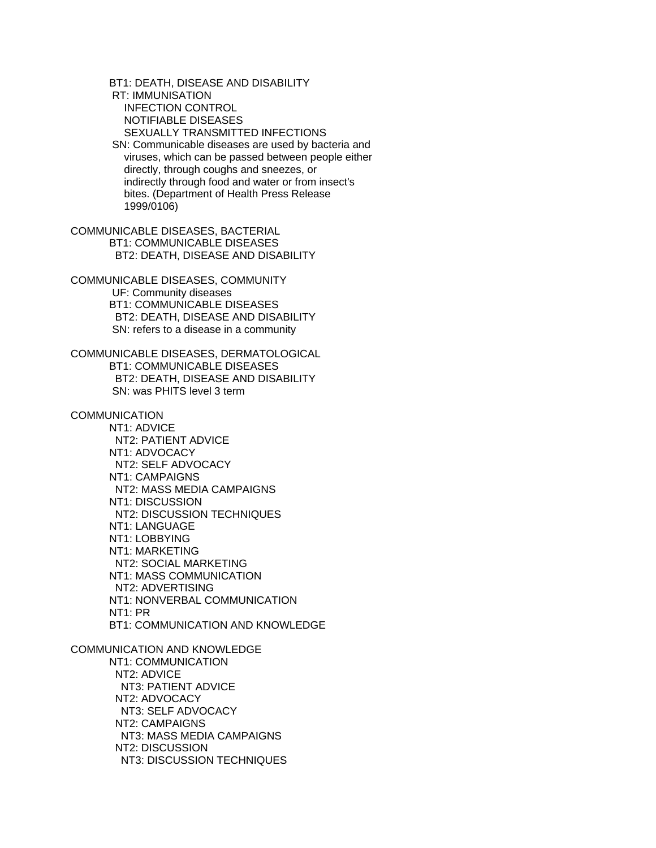BT1: DEATH, DISEASE AND DISABILITY RT: IMMUNISATION INFECTION CONTROL NOTIFIABLE DISEASES SEXUALLY TRANSMITTED INFECTIONS SN: Communicable diseases are used by bacteria and viruses, which can be passed between people either directly, through coughs and sneezes, or indirectly through food and water or from insect's bites. (Department of Health Press Release 1999/0106) COMMUNICABLE DISEASES, BACTERIAL BT1: COMMUNICABLE DISEASES BT2: DEATH, DISEASE AND DISABILITY COMMUNICABLE DISEASES, COMMUNITY UF: Community diseases BT1: COMMUNICABLE DISEASES BT2: DEATH, DISEASE AND DISABILITY SN: refers to a disease in a community COMMUNICABLE DISEASES, DERMATOLOGICAL BT1: COMMUNICABLE DISEASES BT2: DEATH, DISEASE AND DISABILITY SN: was PHITS level 3 term **COMMUNICATION**  NT1: ADVICE NT2: PATIENT ADVICE NT1: ADVOCACY NT2: SELF ADVOCACY NT1: CAMPAIGNS NT2: MASS MEDIA CAMPAIGNS NT1: DISCUSSION NT2: DISCUSSION TECHNIQUES NT1: LANGUAGE NT1: LOBBYING NT1: MARKETING NT2: SOCIAL MARKETING NT1: MASS COMMUNICATION NT2: ADVERTISING NT1: NONVERBAL COMMUNICATION NT1: PR BT1: COMMUNICATION AND KNOWLEDGE COMMUNICATION AND KNOWLEDGE NT1: COMMUNICATION NT2: ADVICE NT3: PATIENT ADVICE NT2: ADVOCACY NT3: SELF ADVOCACY NT2: CAMPAIGNS NT3: MASS MEDIA CAMPAIGNS

NT2: DISCUSSION

NT3: DISCUSSION TECHNIQUES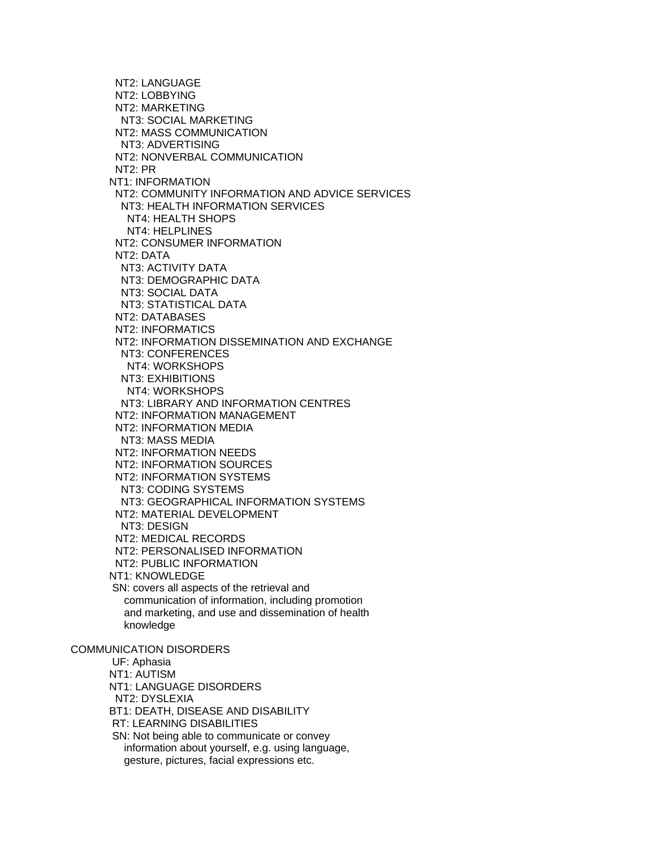NT2: LANGUAGE NT2: LOBBYING NT2: MARKETING NT3: SOCIAL MARKETING NT2: MASS COMMUNICATION NT3: ADVERTISING NT2: NONVERBAL COMMUNICATION NT2: PR NT1: INFORMATION NT2: COMMUNITY INFORMATION AND ADVICE SERVICES NT3: HEALTH INFORMATION SERVICES NT4: HEALTH SHOPS NT4: HELPLINES NT2: CONSUMER INFORMATION NT2: DATA NT3: ACTIVITY DATA NT3: DEMOGRAPHIC DATA NT3: SOCIAL DATA NT3: STATISTICAL DATA NT2: DATABASES NT2: INFORMATICS NT2: INFORMATION DISSEMINATION AND EXCHANGE NT3: CONFERENCES NT4: WORKSHOPS NT3: EXHIBITIONS NT4: WORKSHOPS NT3: LIBRARY AND INFORMATION CENTRES NT2: INFORMATION MANAGEMENT NT2: INFORMATION MEDIA NT3: MASS MEDIA NT2: INFORMATION NEEDS NT2: INFORMATION SOURCES NT2: INFORMATION SYSTEMS NT3: CODING SYSTEMS NT3: GEOGRAPHICAL INFORMATION SYSTEMS NT2: MATERIAL DEVELOPMENT NT3: DESIGN NT2: MEDICAL RECORDS NT2: PERSONALISED INFORMATION NT2: PUBLIC INFORMATION NT1: KNOWLEDGE SN: covers all aspects of the retrieval and communication of information, including promotion and marketing, and use and dissemination of health knowledge COMMUNICATION DISORDERS UF: Aphasia NT1: AUTISM NT1: LANGUAGE DISORDERS NT2: DYSLEXIA BT1: DEATH, DISEASE AND DISABILITY RT: LEARNING DISABILITIES SN: Not being able to communicate or convey information about yourself, e.g. using language, gesture, pictures, facial expressions etc.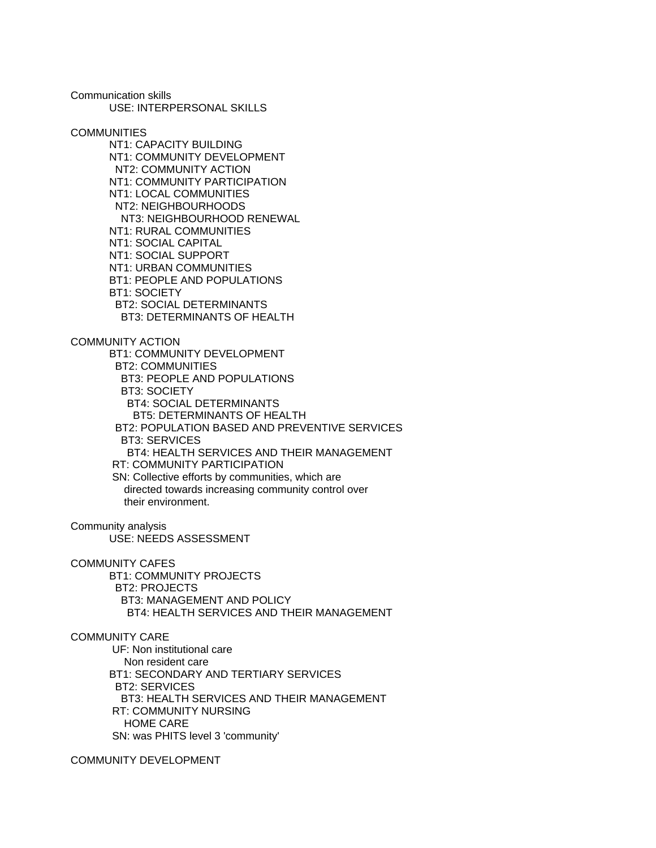Communication skills USE: INTERPERSONAL SKILLS

**COMMUNITIES** 

 NT1: CAPACITY BUILDING NT1: COMMUNITY DEVELOPMENT NT2: COMMUNITY ACTION NT1: COMMUNITY PARTICIPATION NT1: LOCAL COMMUNITIES NT2: NEIGHBOURHOODS NT3: NEIGHBOURHOOD RENEWAL NT1: RURAL COMMUNITIES NT1: SOCIAL CAPITAL NT1: SOCIAL SUPPORT NT1: URBAN COMMUNITIES BT1: PEOPLE AND POPULATIONS BT1: SOCIETY BT2: SOCIAL DETERMINANTS BT3: DETERMINANTS OF HEALTH

COMMUNITY ACTION

 BT1: COMMUNITY DEVELOPMENT BT2: COMMUNITIES BT3: PEOPLE AND POPULATIONS BT3: SOCIETY BT4: SOCIAL DETERMINANTS BT5: DETERMINANTS OF HEALTH BT2: POPULATION BASED AND PREVENTIVE SERVICES BT3: SERVICES BT4: HEALTH SERVICES AND THEIR MANAGEMENT RT: COMMUNITY PARTICIPATION SN: Collective efforts by communities, which are directed towards increasing community control over their environment.

Community analysis

USE: NEEDS ASSESSMENT

COMMUNITY CAFES

 BT1: COMMUNITY PROJECTS BT2: PROJECTS BT3: MANAGEMENT AND POLICY BT4: HEALTH SERVICES AND THEIR MANAGEMENT

# COMMUNITY CARE

 UF: Non institutional care Non resident care BT1: SECONDARY AND TERTIARY SERVICES BT2: SERVICES BT3: HEALTH SERVICES AND THEIR MANAGEMENT RT: COMMUNITY NURSING HOME CARE SN: was PHITS level 3 'community'

COMMUNITY DEVELOPMENT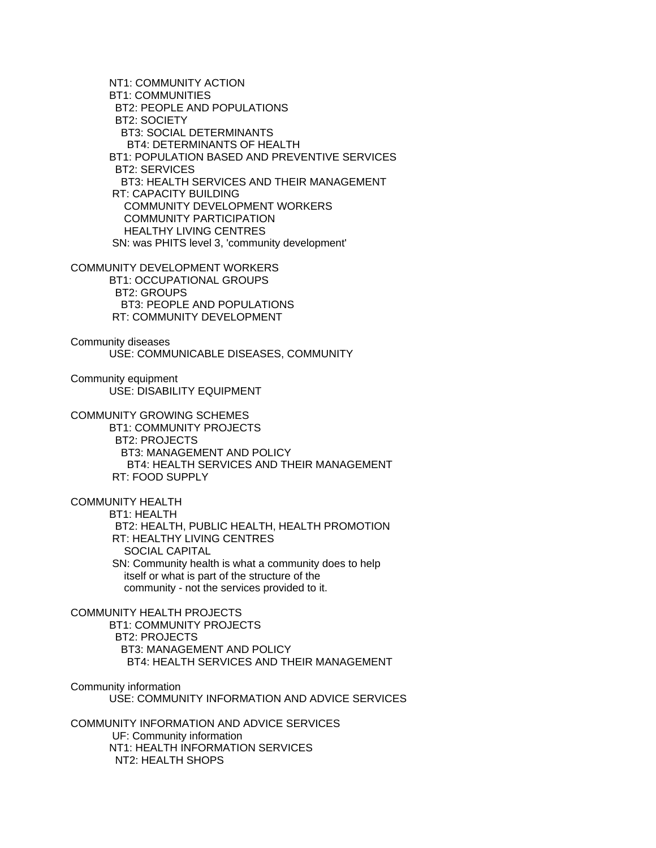NT1: COMMUNITY ACTION BT1: COMMUNITIES BT2: PEOPLE AND POPULATIONS BT2: SOCIETY BT3: SOCIAL DETERMINANTS BT4: DETERMINANTS OF HEALTH BT1: POPULATION BASED AND PREVENTIVE SERVICES BT2: SERVICES BT3: HEALTH SERVICES AND THEIR MANAGEMENT RT: CAPACITY BUILDING COMMUNITY DEVELOPMENT WORKERS COMMUNITY PARTICIPATION HEALTHY LIVING CENTRES SN: was PHITS level 3, 'community development' COMMUNITY DEVELOPMENT WORKERS BT1: OCCUPATIONAL GROUPS BT2: GROUPS BT3: PEOPLE AND POPULATIONS RT: COMMUNITY DEVELOPMENT Community diseases USE: COMMUNICABLE DISEASES, COMMUNITY Community equipment USE: DISABILITY EQUIPMENT COMMUNITY GROWING SCHEMES BT1: COMMUNITY PROJECTS BT2: PROJECTS BT3: MANAGEMENT AND POLICY BT4: HEALTH SERVICES AND THEIR MANAGEMENT RT: FOOD SUPPLY COMMUNITY HEALTH BT1: HEALTH BT2: HEALTH, PUBLIC HEALTH, HEALTH PROMOTION RT: HEALTHY LIVING CENTRES SOCIAL CAPITAL SN: Community health is what a community does to help itself or what is part of the structure of the community - not the services provided to it. COMMUNITY HEALTH PROJECTS BT1: COMMUNITY PROJECTS BT2: PROJECTS BT3: MANAGEMENT AND POLICY BT4: HEALTH SERVICES AND THEIR MANAGEMENT Community information USE: COMMUNITY INFORMATION AND ADVICE SERVICES COMMUNITY INFORMATION AND ADVICE SERVICES UF: Community information NT1: HEALTH INFORMATION SERVICES NT2: HEALTH SHOPS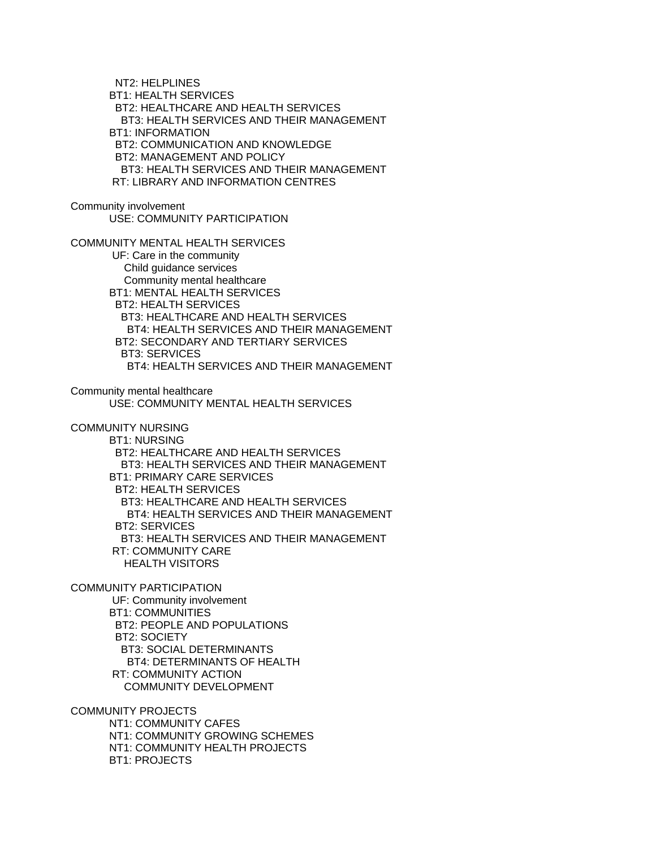NT2: HELPLINES BT1: HEALTH SERVICES BT2: HEALTHCARE AND HEALTH SERVICES BT3: HEALTH SERVICES AND THEIR MANAGEMENT BT1: INFORMATION BT2: COMMUNICATION AND KNOWLEDGE BT2: MANAGEMENT AND POLICY BT3: HEALTH SERVICES AND THEIR MANAGEMENT RT: LIBRARY AND INFORMATION CENTRES Community involvement USE: COMMUNITY PARTICIPATION COMMUNITY MENTAL HEALTH SERVICES UF: Care in the community Child guidance services Community mental healthcare BT1: MENTAL HEALTH SERVICES BT2: HEALTH SERVICES BT3: HEALTHCARE AND HEALTH SERVICES BT4: HEALTH SERVICES AND THEIR MANAGEMENT BT2: SECONDARY AND TERTIARY SERVICES BT3: SERVICES BT4: HEALTH SERVICES AND THEIR MANAGEMENT Community mental healthcare USE: COMMUNITY MENTAL HEALTH SERVICES COMMUNITY NURSING BT1: NURSING BT2: HEALTHCARE AND HEALTH SERVICES BT3: HEALTH SERVICES AND THEIR MANAGEMENT BT1: PRIMARY CARE SERVICES BT2: HEALTH SERVICES BT3: HEALTHCARE AND HEALTH SERVICES BT4: HEALTH SERVICES AND THEIR MANAGEMENT BT2: SERVICES BT3: HEALTH SERVICES AND THEIR MANAGEMENT RT: COMMUNITY CARE HEALTH VISITORS COMMUNITY PARTICIPATION UF: Community involvement BT1: COMMUNITIES BT2: PEOPLE AND POPULATIONS BT2: SOCIETY BT3: SOCIAL DETERMINANTS BT4: DETERMINANTS OF HEALTH RT: COMMUNITY ACTION COMMUNITY DEVELOPMENT COMMUNITY PROJECTS NT1: COMMUNITY CAFES NT1: COMMUNITY GROWING SCHEMES NT1: COMMUNITY HEALTH PROJECTS

BT1: PROJECTS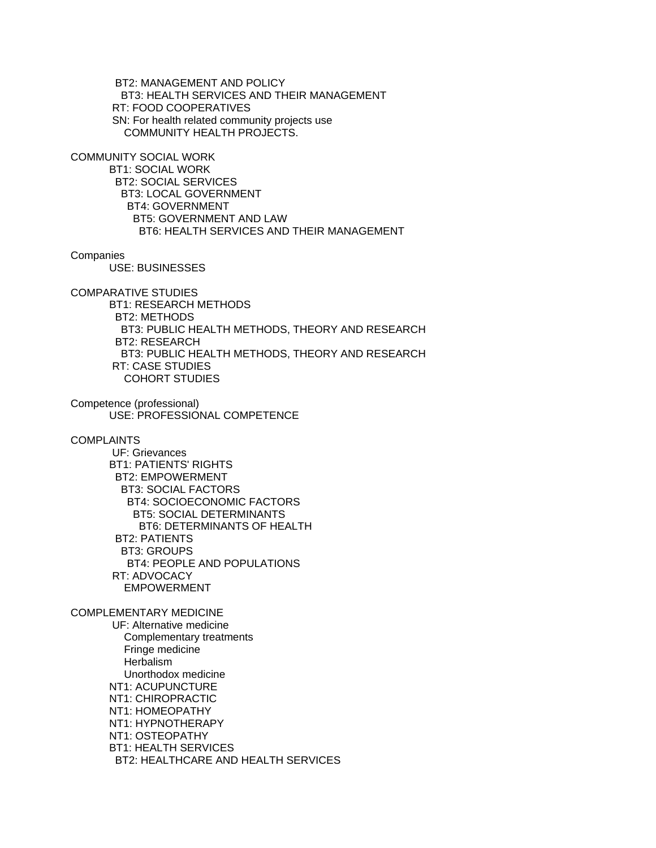BT2: MANAGEMENT AND POLICY BT3: HEALTH SERVICES AND THEIR MANAGEMENT RT: FOOD COOPERATIVES SN: For health related community projects use COMMUNITY HEALTH PROJECTS.

COMMUNITY SOCIAL WORK

 BT1: SOCIAL WORK BT2: SOCIAL SERVICES BT3: LOCAL GOVERNMENT BT4: GOVERNMENT BT5: GOVERNMENT AND LAW BT6: HEALTH SERVICES AND THEIR MANAGEMENT

**Companies** 

USE: BUSINESSES

COMPARATIVE STUDIES

 BT1: RESEARCH METHODS BT2: METHODS BT3: PUBLIC HEALTH METHODS, THEORY AND RESEARCH BT2: RESEARCH BT3: PUBLIC HEALTH METHODS, THEORY AND RESEARCH RT: CASE STUDIES COHORT STUDIES

Competence (professional) USE: PROFESSIONAL COMPETENCE

**COMPLAINTS** 

 UF: Grievances BT1: PATIENTS' RIGHTS BT2: EMPOWERMENT BT3: SOCIAL FACTORS BT4: SOCIOECONOMIC FACTORS BT5: SOCIAL DETERMINANTS BT6: DETERMINANTS OF HEALTH BT2: PATIENTS BT3: GROUPS BT4: PEOPLE AND POPULATIONS RT: ADVOCACY EMPOWERMENT

COMPLEMENTARY MEDICINE UF: Alternative medicine Complementary treatments Fringe medicine Herbalism Unorthodox medicine NT1: ACUPUNCTURE NT1: CHIROPRACTIC NT1: HOMEOPATHY NT1: HYPNOTHERAPY NT1: OSTEOPATHY BT1: HEALTH SERVICES BT2: HEALTHCARE AND HEALTH SERVICES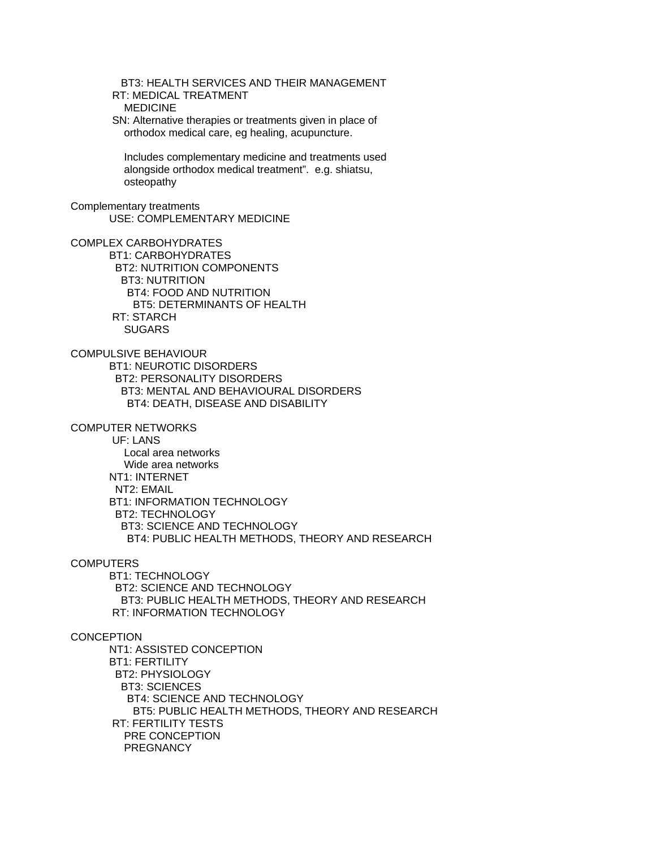BT3: HEALTH SERVICES AND THEIR MANAGEMENT RT: MEDICAL TREATMENT MEDICINE SN: Alternative therapies or treatments given in place of orthodox medical care, eg healing, acupuncture. Includes complementary medicine and treatments used alongside orthodox medical treatment". e.g. shiatsu, osteopathy Complementary treatments USE: COMPLEMENTARY MEDICINE COMPLEX CARBOHYDRATES BT1: CARBOHYDRATES BT2: NUTRITION COMPONENTS BT3: NUTRITION BT4: FOOD AND NUTRITION BT5: DETERMINANTS OF HEALTH RT: STARCH **SUGARS** COMPULSIVE BEHAVIOUR BT1: NEUROTIC DISORDERS BT2: PERSONALITY DISORDERS BT3: MENTAL AND BEHAVIOURAL DISORDERS BT4: DEATH, DISEASE AND DISABILITY COMPUTER NETWORKS UF: LANS Local area networks Wide area networks NT1: INTERNET NT2: EMAIL BT1: INFORMATION TECHNOLOGY BT2: TECHNOLOGY BT3: SCIENCE AND TECHNOLOGY BT4: PUBLIC HEALTH METHODS, THEORY AND RESEARCH **COMPUTERS**  BT1: TECHNOLOGY BT2: SCIENCE AND TECHNOLOGY BT3: PUBLIC HEALTH METHODS, THEORY AND RESEARCH RT: INFORMATION TECHNOLOGY **CONCEPTION**  NT1: ASSISTED CONCEPTION BT1: FERTILITY BT2: PHYSIOLOGY BT3: SCIENCES BT4: SCIENCE AND TECHNOLOGY BT5: PUBLIC HEALTH METHODS, THEORY AND RESEARCH RT: FERTILITY TESTS PRE CONCEPTION **PREGNANCY**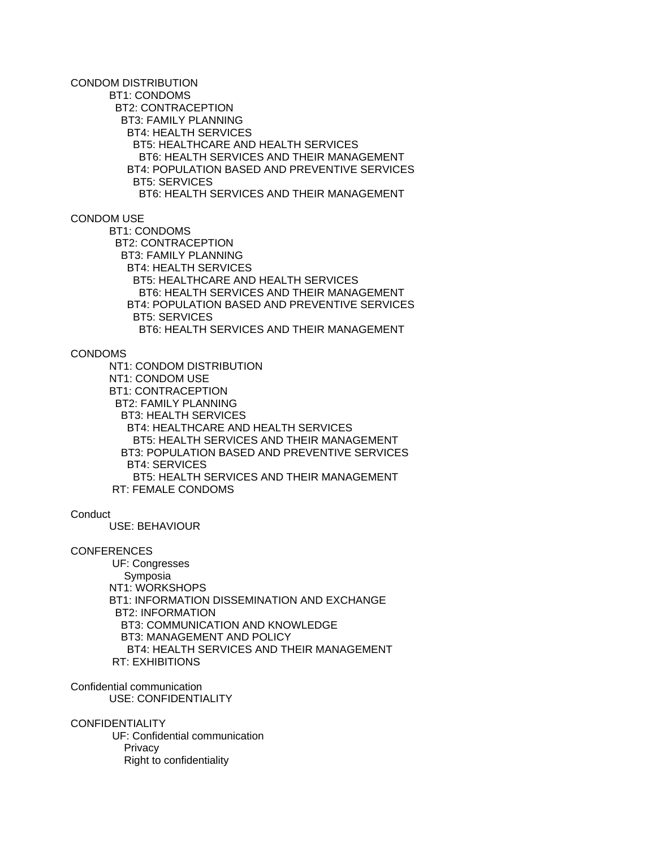CONDOM DISTRIBUTION

 BT1: CONDOMS BT2: CONTRACEPTION BT3: FAMILY PLANNING BT4: HEALTH SERVICES BT5: HEALTHCARE AND HEALTH SERVICES BT6: HEALTH SERVICES AND THEIR MANAGEMENT BT4: POPULATION BASED AND PREVENTIVE SERVICES BT5: SERVICES BT6: HEALTH SERVICES AND THEIR MANAGEMENT

## CONDOM USE

 BT1: CONDOMS BT2: CONTRACEPTION BT3: FAMILY PLANNING BT4: HEALTH SERVICES BT5: HEALTHCARE AND HEALTH SERVICES BT6: HEALTH SERVICES AND THEIR MANAGEMENT BT4: POPULATION BASED AND PREVENTIVE SERVICES BT5: SERVICES BT6: HEALTH SERVICES AND THEIR MANAGEMENT

#### CONDOMS

 NT1: CONDOM DISTRIBUTION NT1: CONDOM USE BT1: CONTRACEPTION BT2: FAMILY PLANNING BT3: HEALTH SERVICES BT4: HEALTHCARE AND HEALTH SERVICES BT5: HEALTH SERVICES AND THEIR MANAGEMENT BT3: POPULATION BASED AND PREVENTIVE SERVICES BT4: SERVICES BT5: HEALTH SERVICES AND THEIR MANAGEMENT RT: FEMALE CONDOMS

#### **Conduct**

USE: BEHAVIOUR

## **CONFERENCES**

 UF: Congresses Symposia NT1: WORKSHOPS BT1: INFORMATION DISSEMINATION AND EXCHANGE BT2: INFORMATION BT3: COMMUNICATION AND KNOWLEDGE BT3: MANAGEMENT AND POLICY BT4: HEALTH SERVICES AND THEIR MANAGEMENT RT: EXHIBITIONS

Confidential communication USE: CONFIDENTIALITY

**CONFIDENTIALITY** 

 UF: Confidential communication **Privacy** Right to confidentiality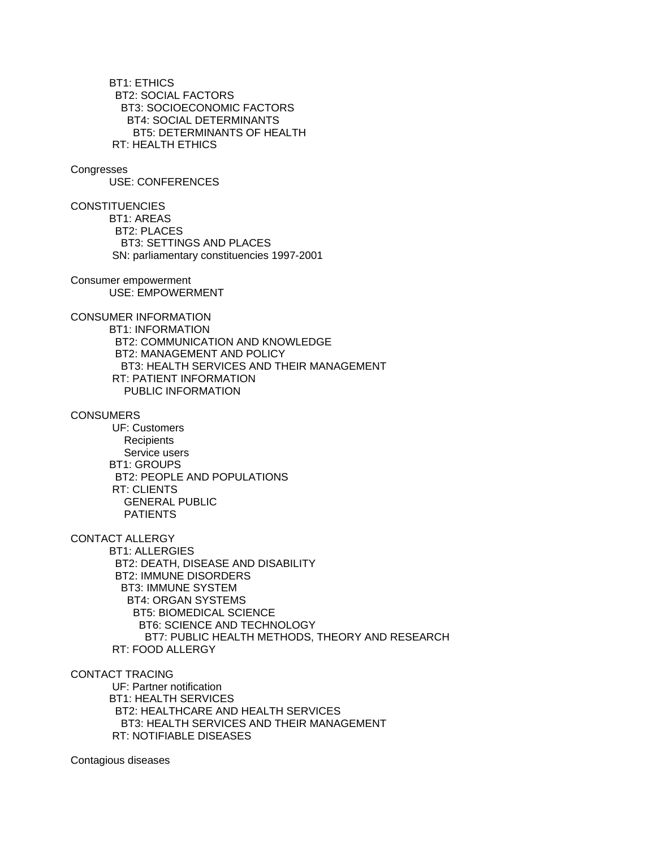BT1: ETHICS BT2: SOCIAL FACTORS BT3: SOCIOECONOMIC FACTORS BT4: SOCIAL DETERMINANTS BT5: DETERMINANTS OF HEALTH RT: HEALTH ETHICS

#### **Congresses**

USE: CONFERENCES

**CONSTITUENCIES** 

 BT1: AREAS BT2: PLACES BT3: SETTINGS AND PLACES SN: parliamentary constituencies 1997-2001

Consumer empowerment USE: EMPOWERMENT

CONSUMER INFORMATION

 BT1: INFORMATION BT2: COMMUNICATION AND KNOWLEDGE BT2: MANAGEMENT AND POLICY BT3: HEALTH SERVICES AND THEIR MANAGEMENT RT: PATIENT INFORMATION PUBLIC INFORMATION

#### **CONSUMERS**

 UF: Customers **Recipients**  Service users BT1: GROUPS BT2: PEOPLE AND POPULATIONS RT: CLIENTS GENERAL PUBLIC PATIENTS

CONTACT ALLERGY

 BT1: ALLERGIES BT2: DEATH, DISEASE AND DISABILITY BT2: IMMUNE DISORDERS BT3: IMMUNE SYSTEM BT4: ORGAN SYSTEMS BT5: BIOMEDICAL SCIENCE BT6: SCIENCE AND TECHNOLOGY BT7: PUBLIC HEALTH METHODS, THEORY AND RESEARCH RT: FOOD ALLERGY

CONTACT TRACING

 UF: Partner notification BT1: HEALTH SERVICES BT2: HEALTHCARE AND HEALTH SERVICES BT3: HEALTH SERVICES AND THEIR MANAGEMENT RT: NOTIFIABLE DISEASES

Contagious diseases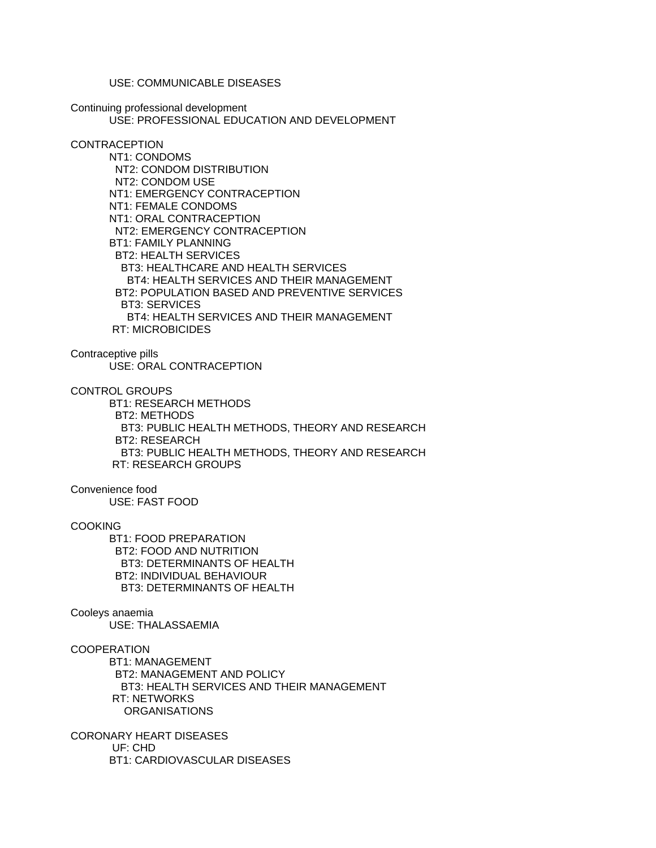USE: COMMUNICABLE DISEASES

Continuing professional development USE: PROFESSIONAL EDUCATION AND DEVELOPMENT

## CONTRACEPTION

 NT1: CONDOMS NT2: CONDOM DISTRIBUTION NT2: CONDOM USE NT1: EMERGENCY CONTRACEPTION NT1: FEMALE CONDOMS NT1: ORAL CONTRACEPTION NT2: EMERGENCY CONTRACEPTION BT1: FAMILY PLANNING BT2: HEALTH SERVICES BT3: HEALTHCARE AND HEALTH SERVICES BT4: HEALTH SERVICES AND THEIR MANAGEMENT BT2: POPULATION BASED AND PREVENTIVE SERVICES BT3: SERVICES BT4: HEALTH SERVICES AND THEIR MANAGEMENT RT: MICROBICIDES

Contraceptive pills USE: ORAL CONTRACEPTION

CONTROL GROUPS

 BT1: RESEARCH METHODS BT2: METHODS BT3: PUBLIC HEALTH METHODS, THEORY AND RESEARCH BT2: RESEARCH BT3: PUBLIC HEALTH METHODS, THEORY AND RESEARCH RT: RESEARCH GROUPS

Convenience food USE: FAST FOOD

**COOKING** 

 BT1: FOOD PREPARATION BT2: FOOD AND NUTRITION BT3: DETERMINANTS OF HEALTH BT2: INDIVIDUAL BEHAVIOUR BT3: DETERMINANTS OF HEALTH

# Cooleys anaemia

USE: THALASSAEMIA

**COOPERATION** 

 BT1: MANAGEMENT BT2: MANAGEMENT AND POLICY BT3: HEALTH SERVICES AND THEIR MANAGEMENT RT: NETWORKS ORGANISATIONS

CORONARY HEART DISEASES UF: CHD BT1: CARDIOVASCULAR DISEASES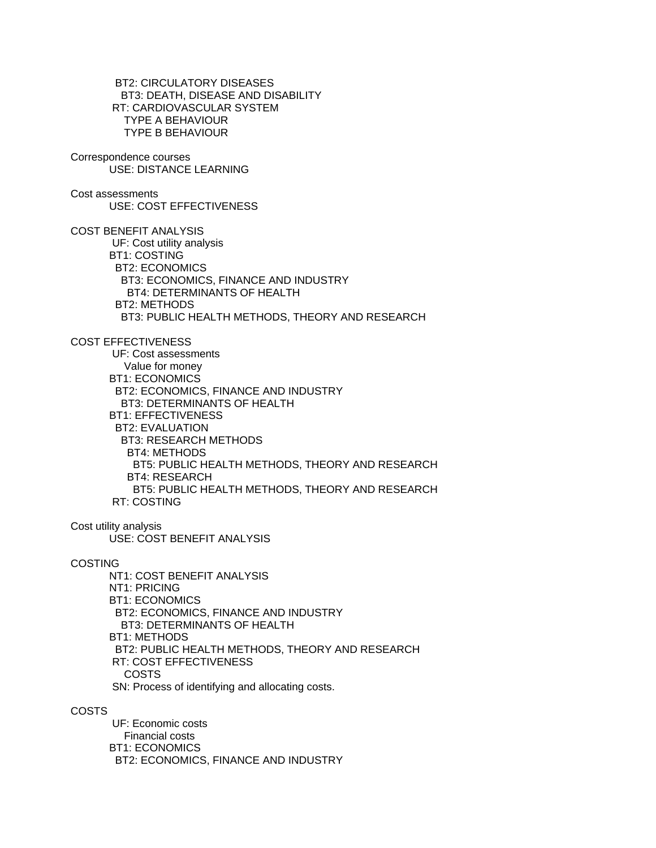BT2: CIRCULATORY DISEASES BT3: DEATH, DISEASE AND DISABILITY RT: CARDIOVASCULAR SYSTEM TYPE A BEHAVIOUR TYPE B BEHAVIOUR

Correspondence courses USE: DISTANCE LEARNING

Cost assessments USE: COST EFFECTIVENESS

COST BENEFIT ANALYSIS UF: Cost utility analysis BT1: COSTING BT2: ECONOMICS BT3: ECONOMICS, FINANCE AND INDUSTRY BT4: DETERMINANTS OF HEALTH BT2: METHODS BT3: PUBLIC HEALTH METHODS, THEORY AND RESEARCH

COST EFFECTIVENESS

 UF: Cost assessments Value for money BT1: ECONOMICS BT2: ECONOMICS, FINANCE AND INDUSTRY BT3: DETERMINANTS OF HEALTH BT1: EFFECTIVENESS BT2: EVALUATION BT3: RESEARCH METHODS BT4: METHODS BT5: PUBLIC HEALTH METHODS, THEORY AND RESEARCH BT4: RESEARCH BT5: PUBLIC HEALTH METHODS, THEORY AND RESEARCH RT: COSTING

Cost utility analysis

USE: COST BENEFIT ANALYSIS

COSTING

 NT1: COST BENEFIT ANALYSIS NT1: PRICING BT1: ECONOMICS BT2: ECONOMICS, FINANCE AND INDUSTRY BT3: DETERMINANTS OF HEALTH BT1: METHODS BT2: PUBLIC HEALTH METHODS, THEORY AND RESEARCH RT: COST EFFECTIVENESS COSTS SN: Process of identifying and allocating costs.

COSTS

 UF: Economic costs Financial costs BT1: ECONOMICS BT2: ECONOMICS, FINANCE AND INDUSTRY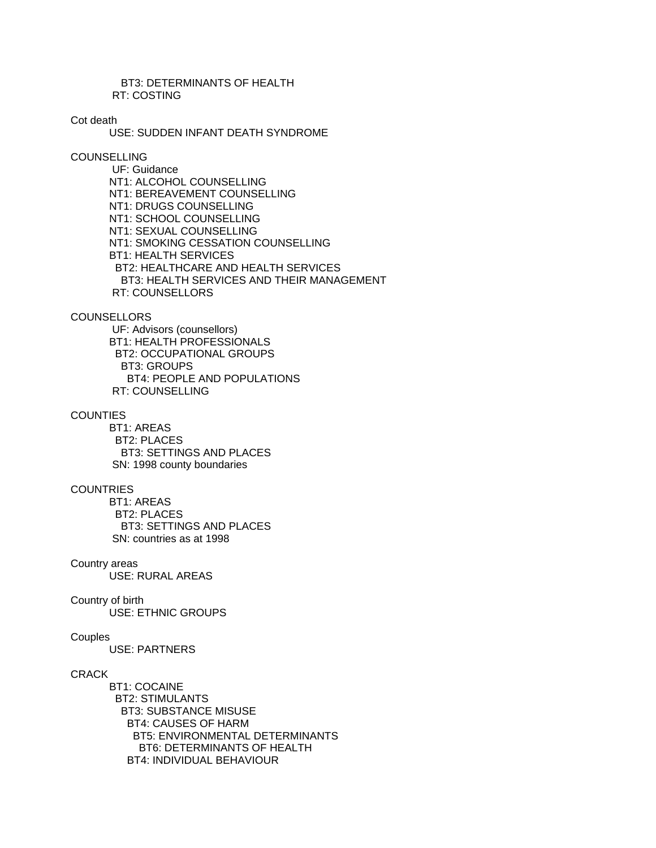BT3: DETERMINANTS OF HEALTH RT: COSTING

Cot death

USE: SUDDEN INFANT DEATH SYNDROME

**COUNSELLING** 

 UF: Guidance NT1: ALCOHOL COUNSELLING NT1: BEREAVEMENT COUNSELLING NT1: DRUGS COUNSELLING NT1: SCHOOL COUNSELLING NT1: SEXUAL COUNSELLING NT1: SMOKING CESSATION COUNSELLING BT1: HEALTH SERVICES BT2: HEALTHCARE AND HEALTH SERVICES BT3: HEALTH SERVICES AND THEIR MANAGEMENT RT: COUNSELLORS

**COUNSELLORS** 

 UF: Advisors (counsellors) BT1: HEALTH PROFESSIONALS BT2: OCCUPATIONAL GROUPS BT3: GROUPS BT4: PEOPLE AND POPULATIONS RT: COUNSELLING

**COUNTIES** 

 BT1: AREAS BT2: PLACES BT3: SETTINGS AND PLACES SN: 1998 county boundaries

### **COUNTRIES**

 BT1: AREAS BT2: PLACES BT3: SETTINGS AND PLACES SN: countries as at 1998

Country areas

USE: RURAL AREAS

# Country of birth

USE: ETHNIC GROUPS

# **Couples**

USE: PARTNERS

# **CRACK**

 BT1: COCAINE BT2: STIMULANTS BT3: SUBSTANCE MISUSE BT4: CAUSES OF HARM BT5: ENVIRONMENTAL DETERMINANTS BT6: DETERMINANTS OF HEALTH BT4: INDIVIDUAL BEHAVIOUR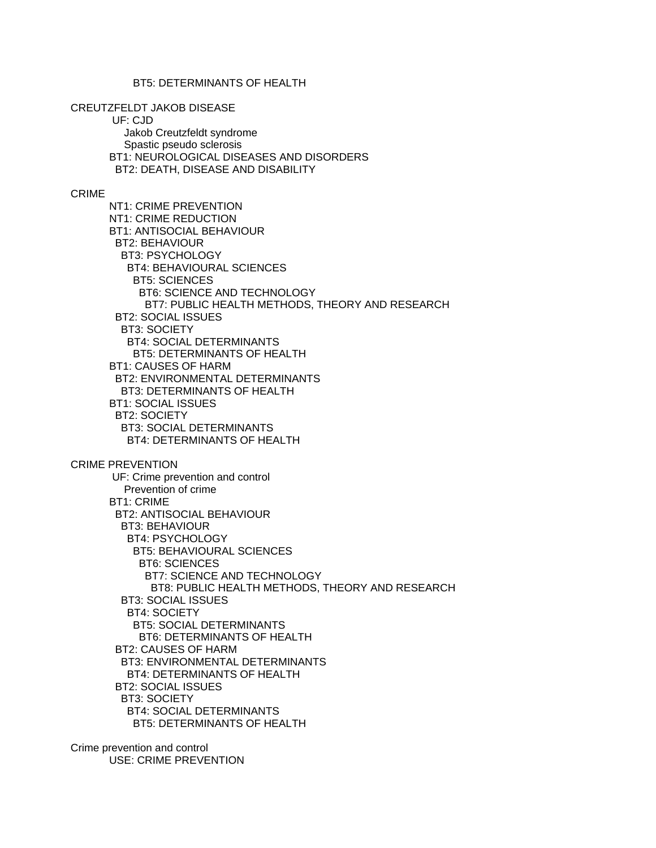BT5: DETERMINANTS OF HEALTH

CREUTZFELDT JAKOB DISEASE

UF: CJD

 Jakob Creutzfeldt syndrome Spastic pseudo sclerosis BT1: NEUROLOGICAL DISEASES AND DISORDERS BT2: DEATH, DISEASE AND DISABILITY

## CRIME

 NT1: CRIME PREVENTION NT1: CRIME REDUCTION BT1: ANTISOCIAL BEHAVIOUR BT2: BEHAVIOUR BT3: PSYCHOLOGY BT4: BEHAVIOURAL SCIENCES BT5: SCIENCES BT6: SCIENCE AND TECHNOLOGY BT7: PUBLIC HEALTH METHODS, THEORY AND RESEARCH BT2: SOCIAL ISSUES BT3: SOCIETY BT4: SOCIAL DETERMINANTS BT5: DETERMINANTS OF HEALTH BT1: CAUSES OF HARM BT2: ENVIRONMENTAL DETERMINANTS BT3: DETERMINANTS OF HEALTH BT1: SOCIAL ISSUES BT2: SOCIETY BT3: SOCIAL DETERMINANTS BT4: DETERMINANTS OF HEALTH CRIME PREVENTION UF: Crime prevention and control Prevention of crime BT1: CRIME BT2: ANTISOCIAL BEHAVIOUR BT3: BEHAVIOUR BT4: PSYCHOLOGY BT5: BEHAVIOURAL SCIENCES BT6: SCIENCES BT7: SCIENCE AND TECHNOLOGY BT8: PUBLIC HEALTH METHODS, THEORY AND RESEARCH BT3: SOCIAL ISSUES BT4: SOCIETY BT5: SOCIAL DETERMINANTS BT6: DETERMINANTS OF HEALTH BT2: CAUSES OF HARM BT3: ENVIRONMENTAL DETERMINANTS BT4: DETERMINANTS OF HEALTH BT2: SOCIAL ISSUES BT3: SOCIETY BT4: SOCIAL DETERMINANTS BT5: DETERMINANTS OF HEALTH

Crime prevention and control USE: CRIME PREVENTION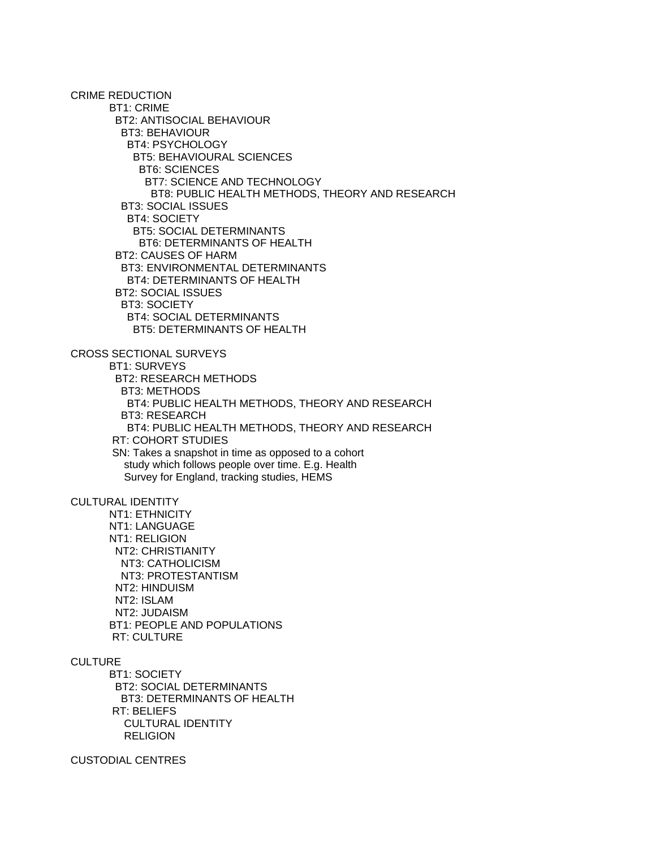CRIME REDUCTION BT1: CRIME BT2: ANTISOCIAL BEHAVIOUR BT3: BEHAVIOUR BT4: PSYCHOLOGY BT5: BEHAVIOURAL SCIENCES BT6: SCIENCES BT7: SCIENCE AND TECHNOLOGY BT8: PUBLIC HEALTH METHODS, THEORY AND RESEARCH BT3: SOCIAL ISSUES BT4: SOCIETY BT5: SOCIAL DETERMINANTS BT6: DETERMINANTS OF HEALTH BT2: CAUSES OF HARM BT3: ENVIRONMENTAL DETERMINANTS BT4: DETERMINANTS OF HEALTH BT2: SOCIAL ISSUES BT3: SOCIETY BT4: SOCIAL DETERMINANTS BT5: DETERMINANTS OF HEALTH CROSS SECTIONAL SURVEYS BT1: SURVEYS BT2: RESEARCH METHODS BT3: METHODS BT4: PUBLIC HEALTH METHODS, THEORY AND RESEARCH BT3: RESEARCH BT4: PUBLIC HEALTH METHODS, THEORY AND RESEARCH RT: COHORT STUDIES SN: Takes a snapshot in time as opposed to a cohort study which follows people over time. E.g. Health Survey for England, tracking studies, HEMS CULTURAL IDENTITY NT1: ETHNICITY NT1: LANGUAGE NT1: RELIGION NT2: CHRISTIANITY NT3: CATHOLICISM NT3: PROTESTANTISM NT2: HINDUISM NT2: ISLAM NT2: JUDAISM BT1: PEOPLE AND POPULATIONS RT: CULTURE **CULTURE**  BT1: SOCIETY BT2: SOCIAL DETERMINANTS BT3: DETERMINANTS OF HEALTH RT: BELIEFS CULTURAL IDENTITY **RELIGION** 

CUSTODIAL CENTRES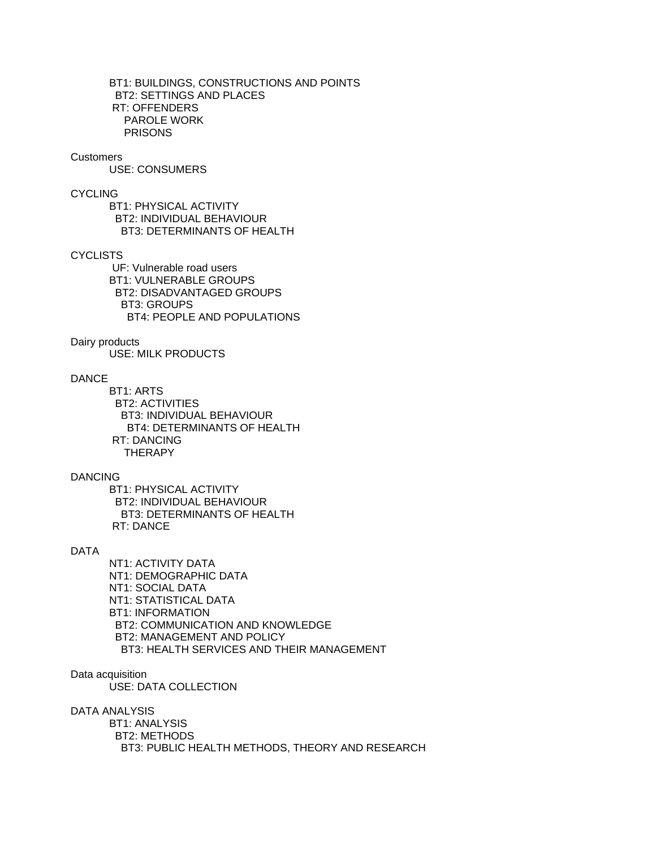BT1: BUILDINGS, CONSTRUCTIONS AND POINTS BT2: SETTINGS AND PLACES RT: OFFENDERS PAROLE WORK PRISONS

#### Customers

USE: CONSUMERS

# CYCLING

 BT1: PHYSICAL ACTIVITY BT2: INDIVIDUAL BEHAVIOUR BT3: DETERMINANTS OF HEALTH

# **CYCLISTS**

 UF: Vulnerable road users BT1: VULNERABLE GROUPS BT2: DISADVANTAGED GROUPS BT3: GROUPS BT4: PEOPLE AND POPULATIONS

## Dairy products

USE: MILK PRODUCTS

## DANCE

 BT1: ARTS BT2: ACTIVITIES BT3: INDIVIDUAL BEHAVIOUR BT4: DETERMINANTS OF HEALTH RT: DANCING **THERAPY** 

### DANCING

 BT1: PHYSICAL ACTIVITY BT2: INDIVIDUAL BEHAVIOUR BT3: DETERMINANTS OF HEALTH RT: DANCE

#### DATA

 NT1: ACTIVITY DATA NT1: DEMOGRAPHIC DATA NT1: SOCIAL DATA NT1: STATISTICAL DATA BT1: INFORMATION BT2: COMMUNICATION AND KNOWLEDGE BT2: MANAGEMENT AND POLICY BT3: HEALTH SERVICES AND THEIR MANAGEMENT

# Data acquisition

USE: DATA COLLECTION

#### DATA ANALYSIS

 BT1: ANALYSIS BT2: METHODS BT3: PUBLIC HEALTH METHODS, THEORY AND RESEARCH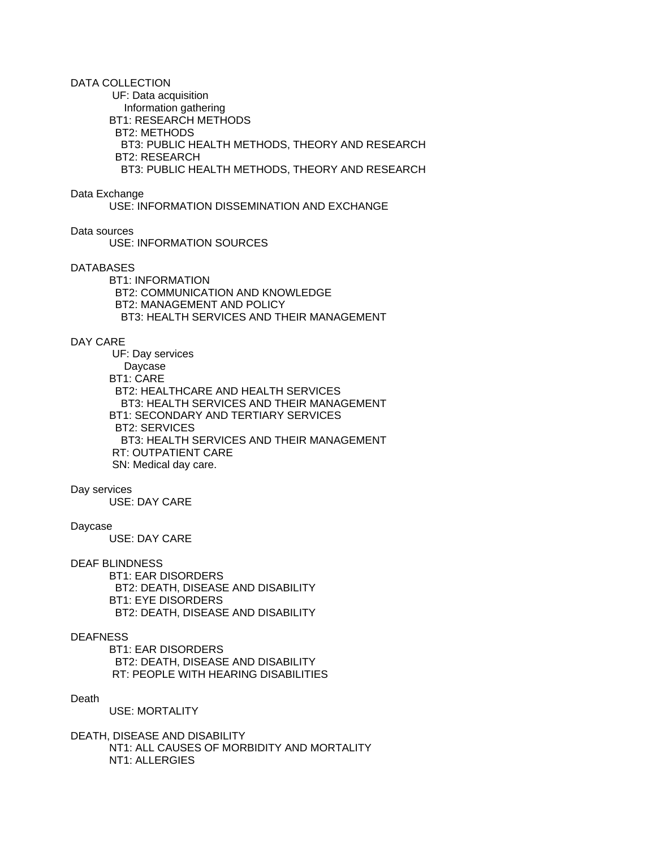DATA COLLECTION

 UF: Data acquisition Information gathering BT1: RESEARCH METHODS BT2: METHODS BT3: PUBLIC HEALTH METHODS, THEORY AND RESEARCH BT2: RESEARCH BT3: PUBLIC HEALTH METHODS, THEORY AND RESEARCH

Data Exchange

USE: INFORMATION DISSEMINATION AND EXCHANGE

Data sources

USE: INFORMATION SOURCES

### DATABASES

 BT1: INFORMATION BT2: COMMUNICATION AND KNOWLEDGE BT2: MANAGEMENT AND POLICY BT3: HEALTH SERVICES AND THEIR MANAGEMENT

## DAY CARE

 UF: Day services Daycase BT1: CARE BT2: HEALTHCARE AND HEALTH SERVICES BT3: HEALTH SERVICES AND THEIR MANAGEMENT BT1: SECONDARY AND TERTIARY SERVICES BT2: SERVICES BT3: HEALTH SERVICES AND THEIR MANAGEMENT RT: OUTPATIENT CARE SN: Medical day care.

### Day services

USE: DAY CARE

#### Daycase

USE: DAY CARE

## DEAF BLINDNESS

 BT1: EAR DISORDERS BT2: DEATH, DISEASE AND DISABILITY BT1: EYE DISORDERS BT2: DEATH, DISEASE AND DISABILITY

# DEAFNESS

 BT1: EAR DISORDERS BT2: DEATH, DISEASE AND DISABILITY RT: PEOPLE WITH HEARING DISABILITIES

# Death

USE: MORTALITY

DEATH, DISEASE AND DISABILITY NT1: ALL CAUSES OF MORBIDITY AND MORTALITY NT1: ALLERGIES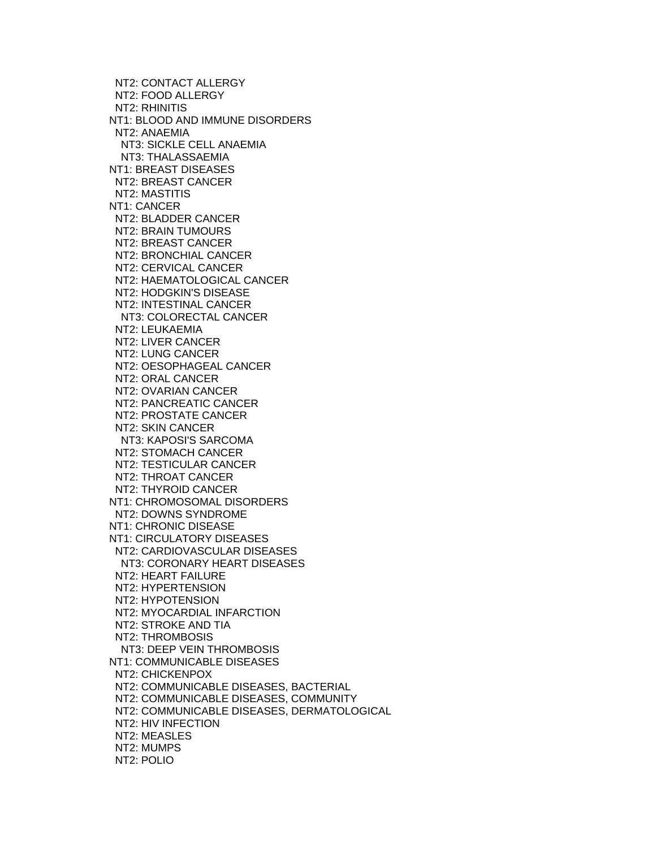NT2: CONTACT ALLERGY NT2: FOOD ALLERGY NT2: RHINITIS NT1: BLOOD AND IMMUNE DISORDERS NT2: ANAEMIA NT3: SICKLE CELL ANAEMIA NT3: THALASSAEMIA NT1: BREAST DISEASES NT2: BREAST CANCER NT2: MASTITIS NT1: CANCER NT2: BLADDER CANCER NT2: BRAIN TUMOURS NT2: BREAST CANCER NT2: BRONCHIAL CANCER NT2: CERVICAL CANCER NT2: HAEMATOLOGICAL CANCER NT2: HODGKIN'S DISEASE NT2: INTESTINAL CANCER NT3: COLORECTAL CANCER NT2: LEUKAEMIA NT2: LIVER CANCER NT2: LUNG CANCER NT2: OESOPHAGEAL CANCER NT2: ORAL CANCER NT2: OVARIAN CANCER NT2: PANCREATIC CANCER NT2: PROSTATE CANCER NT2: SKIN CANCER NT3: KAPOSI'S SARCOMA NT2: STOMACH CANCER NT2: TESTICULAR CANCER NT2: THROAT CANCER NT2: THYROID CANCER NT1: CHROMOSOMAL DISORDERS NT2: DOWNS SYNDROME NT1: CHRONIC DISEASE NT1: CIRCULATORY DISEASES NT2: CARDIOVASCULAR DISEASES NT3: CORONARY HEART DISEASES NT2: HEART FAILURE NT2: HYPERTENSION NT2: HYPOTENSION NT2: MYOCARDIAL INFARCTION NT2: STROKE AND TIA NT2: THROMBOSIS NT3: DEEP VEIN THROMBOSIS NT1: COMMUNICABLE DISEASES NT2: CHICKENPOX NT2: COMMUNICABLE DISEASES, BACTERIAL NT2: COMMUNICABLE DISEASES, COMMUNITY NT2: COMMUNICABLE DISEASES, DERMATOLOGICAL NT2: HIV INFECTION NT2: MEASLES NT2: MUMPS NT2: POLIO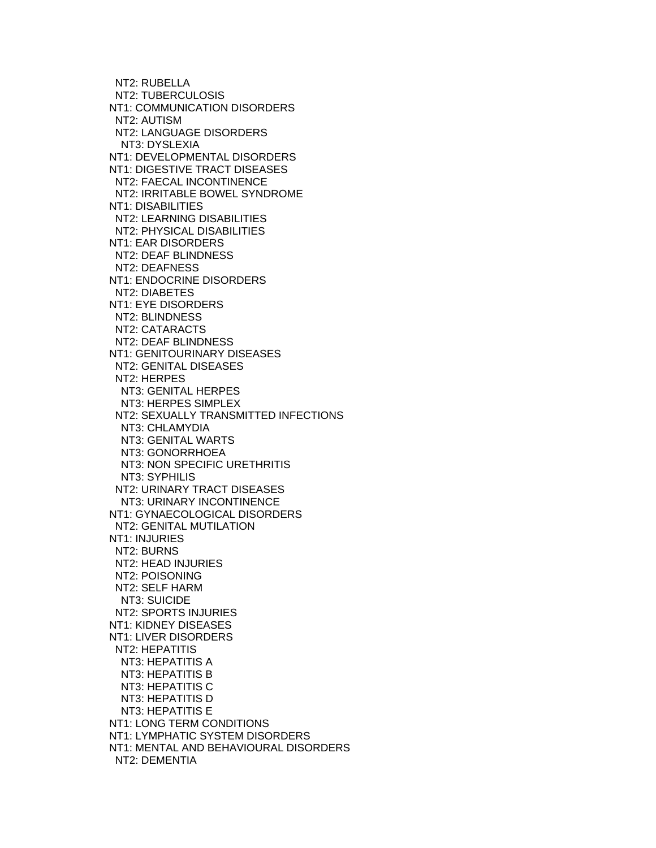NT2: RUBELLA NT2: TUBERCULOSIS NT1: COMMUNICATION DISORDERS NT2: AUTISM NT2: LANGUAGE DISORDERS NT3: DYSLEXIA NT1: DEVELOPMENTAL DISORDERS NT1: DIGESTIVE TRACT DISEASES NT2: FAECAL INCONTINENCE NT2: IRRITABLE BOWEL SYNDROME NT1: DISABILITIES NT2: LEARNING DISABILITIES NT2: PHYSICAL DISABILITIES NT1: EAR DISORDERS NT2: DEAF BLINDNESS NT2: DEAFNESS NT1: ENDOCRINE DISORDERS NT2: DIABETES NT1: EYE DISORDERS NT2: BLINDNESS NT2: CATARACTS NT2: DEAF BLINDNESS NT1: GENITOURINARY DISEASES NT2: GENITAL DISEASES NT2: HERPES NT3: GENITAL HERPES NT3: HERPES SIMPLEX NT2: SEXUALLY TRANSMITTED INFECTIONS NT3: CHLAMYDIA NT3: GENITAL WARTS NT3: GONORRHOEA NT3: NON SPECIFIC URETHRITIS NT3: SYPHILIS NT2: URINARY TRACT DISEASES NT3: URINARY INCONTINENCE NT1: GYNAECOLOGICAL DISORDERS NT2: GENITAL MUTILATION NT1: INJURIES NT2: BURNS NT2: HEAD INJURIES NT2: POISONING NT2: SELF HARM NT3: SUICIDE NT2: SPORTS INJURIES NT1: KIDNEY DISEASES NT1: LIVER DISORDERS NT2: HEPATITIS NT3: HEPATITIS A NT3: HEPATITIS B NT3: HEPATITIS C NT3: HEPATITIS D NT3: HEPATITIS E NT1: LONG TERM CONDITIONS NT1: LYMPHATIC SYSTEM DISORDERS NT1: MENTAL AND BEHAVIOURAL DISORDERS NT2: DEMENTIA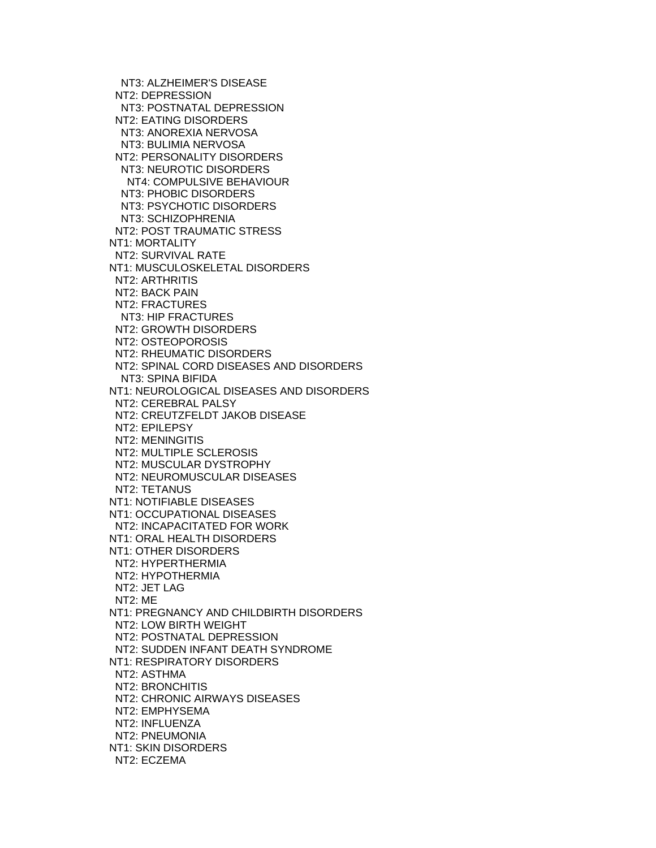NT3: ALZHEIMER'S DISEASE NT2: DEPRESSION NT3: POSTNATAL DEPRESSION NT2: EATING DISORDERS NT3: ANOREXIA NERVOSA NT3: BULIMIA NERVOSA NT2: PERSONALITY DISORDERS NT3: NEUROTIC DISORDERS NT4: COMPULSIVE BEHAVIOUR NT3: PHOBIC DISORDERS NT3: PSYCHOTIC DISORDERS NT3: SCHIZOPHRENIA NT2: POST TRAUMATIC STRESS NT1: MORTALITY NT2: SURVIVAL RATE NT1: MUSCULOSKELETAL DISORDERS NT2: ARTHRITIS NT2: BACK PAIN NT2: FRACTURES NT3: HIP FRACTURES NT2: GROWTH DISORDERS NT2: OSTEOPOROSIS NT2: RHEUMATIC DISORDERS NT2: SPINAL CORD DISEASES AND DISORDERS NT3: SPINA BIFIDA NT1: NEUROLOGICAL DISEASES AND DISORDERS NT2: CEREBRAL PALSY NT2: CREUTZFELDT JAKOB DISEASE NT2: EPILEPSY NT2: MENINGITIS NT2: MULTIPLE SCLEROSIS NT2: MUSCULAR DYSTROPHY NT2: NEUROMUSCULAR DISEASES NT2: TETANUS NT1: NOTIFIABLE DISEASES NT1: OCCUPATIONAL DISEASES NT2: INCAPACITATED FOR WORK NT1: ORAL HEALTH DISORDERS NT1: OTHER DISORDERS NT2: HYPERTHERMIA NT2: HYPOTHERMIA NT2: JET LAG NT2: ME NT1: PREGNANCY AND CHILDBIRTH DISORDERS NT2: LOW BIRTH WEIGHT NT2: POSTNATAL DEPRESSION NT2: SUDDEN INFANT DEATH SYNDROME NT1: RESPIRATORY DISORDERS NT2: ASTHMA NT2: BRONCHITIS NT2: CHRONIC AIRWAYS DISEASES NT2: EMPHYSEMA NT2: INFLUENZA NT2: PNEUMONIA NT1: SKIN DISORDERS NT2: ECZEMA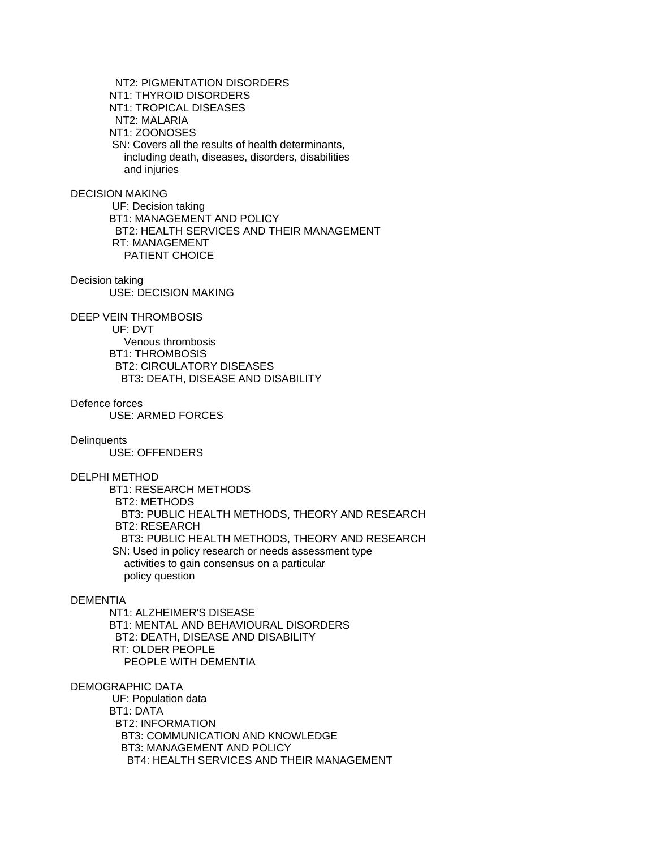NT2: PIGMENTATION DISORDERS NT1: THYROID DISORDERS NT1: TROPICAL DISEASES NT2: MALARIA NT1: ZOONOSES SN: Covers all the results of health determinants, including death, diseases, disorders, disabilities and injuries

DECISION MAKING

 UF: Decision taking BT1: MANAGEMENT AND POLICY BT2: HEALTH SERVICES AND THEIR MANAGEMENT RT: MANAGEMENT PATIENT CHOICE

Decision taking USE: DECISION MAKING

DEEP VEIN THROMBOSIS UF: DVT Venous thrombosis BT1: THROMBOSIS BT2: CIRCULATORY DISEASES BT3: DEATH, DISEASE AND DISABILITY

Defence forces

USE: ARMED FORCES

**Delinquents** 

USE: OFFENDERS

DELPHI METHOD

 BT1: RESEARCH METHODS BT2: METHODS BT3: PUBLIC HEALTH METHODS, THEORY AND RESEARCH BT2: RESEARCH BT3: PUBLIC HEALTH METHODS, THEORY AND RESEARCH SN: Used in policy research or needs assessment type activities to gain consensus on a particular policy question

# **DEMENTIA**

 NT1: ALZHEIMER'S DISEASE BT1: MENTAL AND BEHAVIOURAL DISORDERS BT2: DEATH, DISEASE AND DISABILITY RT: OLDER PEOPLE PEOPLE WITH DEMENTIA

#### DEMOGRAPHIC DATA

 UF: Population data BT1: DATA BT2: INFORMATION BT3: COMMUNICATION AND KNOWLEDGE BT3: MANAGEMENT AND POLICY BT4: HEALTH SERVICES AND THEIR MANAGEMENT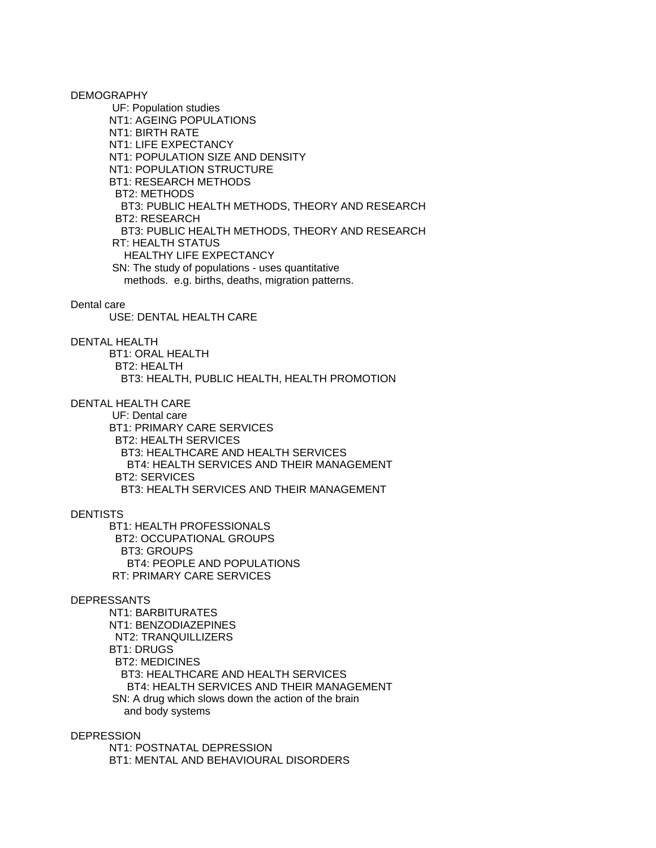DEMOGRAPHY

 UF: Population studies NT1: AGEING POPULATIONS NT1: BIRTH RATE NT1: LIFE EXPECTANCY NT1: POPULATION SIZE AND DENSITY NT1: POPULATION STRUCTURE BT1: RESEARCH METHODS BT2: METHODS BT3: PUBLIC HEALTH METHODS, THEORY AND RESEARCH BT2: RESEARCH BT3: PUBLIC HEALTH METHODS, THEORY AND RESEARCH RT: HEALTH STATUS HEALTHY LIFE EXPECTANCY SN: The study of populations - uses quantitative methods. e.g. births, deaths, migration patterns.

#### Dental care

USE: DENTAL HEALTH CARE

#### DENTAL HEALTH

 BT1: ORAL HEALTH BT2: HEALTH BT3: HEALTH, PUBLIC HEALTH, HEALTH PROMOTION

# DENTAL HEALTH CARE

 UF: Dental care BT1: PRIMARY CARE SERVICES BT2: HEALTH SERVICES BT3: HEALTHCARE AND HEALTH SERVICES BT4: HEALTH SERVICES AND THEIR MANAGEMENT BT2: SERVICES BT3: HEALTH SERVICES AND THEIR MANAGEMENT

# **DENTISTS**

 BT1: HEALTH PROFESSIONALS BT2: OCCUPATIONAL GROUPS BT3: GROUPS BT4: PEOPLE AND POPULATIONS RT: PRIMARY CARE SERVICES

# DEPRESSANTS

 NT1: BARBITURATES NT1: BENZODIAZEPINES NT2: TRANQUILLIZERS BT1: DRUGS BT2: MEDICINES BT3: HEALTHCARE AND HEALTH SERVICES BT4: HEALTH SERVICES AND THEIR MANAGEMENT SN: A drug which slows down the action of the brain and body systems

## **DEPRESSION**

 NT1: POSTNATAL DEPRESSION BT1: MENTAL AND BEHAVIOURAL DISORDERS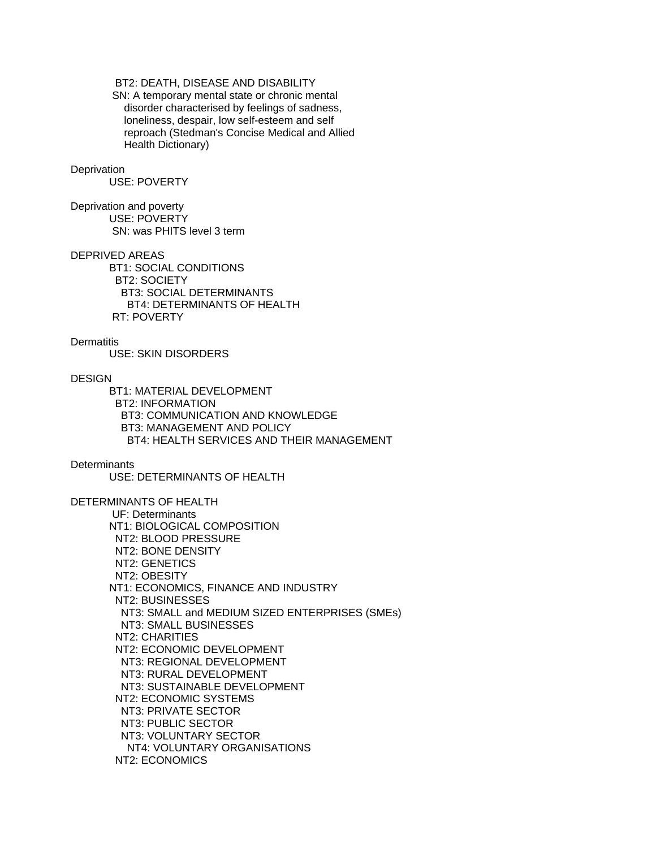# BT2: DEATH, DISEASE AND DISABILITY

 SN: A temporary mental state or chronic mental disorder characterised by feelings of sadness, loneliness, despair, low self-esteem and self reproach (Stedman's Concise Medical and Allied Health Dictionary)

## **Deprivation**

USE: POVERTY

Deprivation and poverty USE: POVERTY SN: was PHITS level 3 term

### DEPRIVED AREAS

 BT1: SOCIAL CONDITIONS BT2: SOCIETY BT3: SOCIAL DETERMINANTS BT4: DETERMINANTS OF HEALTH RT: POVERTY

**Dermatitis** 

USE: SKIN DISORDERS

#### **DESIGN**

 BT1: MATERIAL DEVELOPMENT BT2: INFORMATION BT3: COMMUNICATION AND KNOWLEDGE BT3: MANAGEMENT AND POLICY BT4: HEALTH SERVICES AND THEIR MANAGEMENT

### **Determinants**

USE: DETERMINANTS OF HEALTH

DETERMINANTS OF HEALTH UF: Determinants NT1: BIOLOGICAL COMPOSITION NT2: BLOOD PRESSURE NT2: BONE DENSITY NT2: GENETICS NT2: OBESITY NT1: ECONOMICS, FINANCE AND INDUSTRY NT2: BUSINESSES NT3: SMALL and MEDIUM SIZED ENTERPRISES (SMEs) NT3: SMALL BUSINESSES NT2: CHARITIES NT2: ECONOMIC DEVELOPMENT NT3: REGIONAL DEVELOPMENT NT3: RURAL DEVELOPMENT NT3: SUSTAINABLE DEVELOPMENT NT2: ECONOMIC SYSTEMS NT3: PRIVATE SECTOR NT3: PUBLIC SECTOR NT3: VOLUNTARY SECTOR NT4: VOLUNTARY ORGANISATIONS NT2: ECONOMICS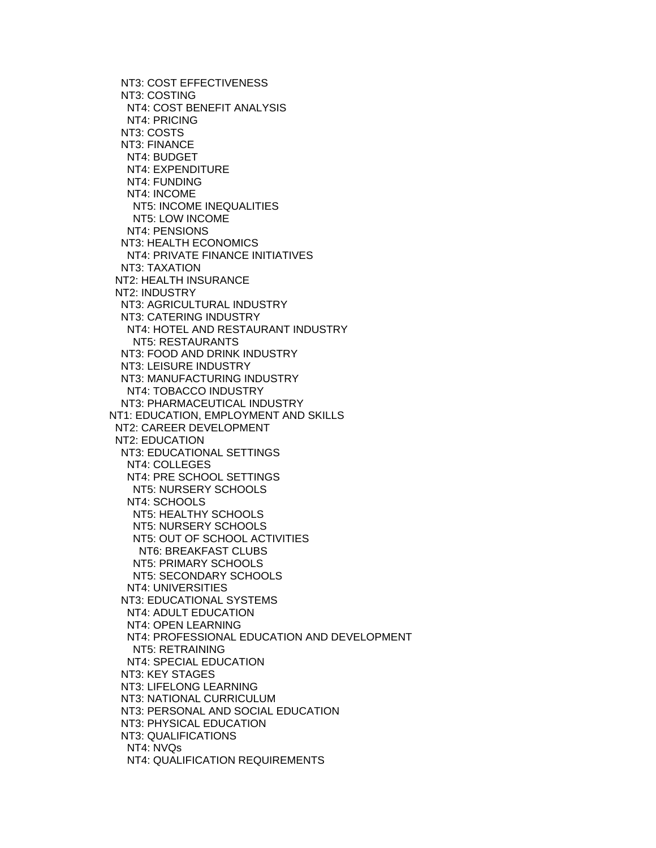NT3: COST EFFECTIVENESS NT3: COSTING NT4: COST BENEFIT ANALYSIS NT4: PRICING NT3: COSTS NT3: FINANCE NT4: BUDGET NT4: EXPENDITURE NT4: FUNDING NT4: INCOME NT5: INCOME INEQUALITIES NT5: LOW INCOME NT4: PENSIONS NT3: HEALTH ECONOMICS NT4: PRIVATE FINANCE INITIATIVES NT3: TAXATION NT2: HEALTH INSURANCE NT2: INDUSTRY NT3: AGRICULTURAL INDUSTRY NT3: CATERING INDUSTRY NT4: HOTEL AND RESTAURANT INDUSTRY NT5: RESTAURANTS NT3: FOOD AND DRINK INDUSTRY NT3: LEISURE INDUSTRY NT3: MANUFACTURING INDUSTRY NT4: TOBACCO INDUSTRY NT3: PHARMACEUTICAL INDUSTRY NT1: EDUCATION, EMPLOYMENT AND SKILLS NT2: CAREER DEVELOPMENT NT2: EDUCATION NT3: EDUCATIONAL SETTINGS NT4: COLLEGES NT4: PRE SCHOOL SETTINGS NT5: NURSERY SCHOOLS NT4: SCHOOLS NT5: HEALTHY SCHOOLS NT5: NURSERY SCHOOLS NT5: OUT OF SCHOOL ACTIVITIES NT6: BREAKFAST CLUBS NT5: PRIMARY SCHOOLS NT5: SECONDARY SCHOOLS NT4: UNIVERSITIES NT3: EDUCATIONAL SYSTEMS NT4: ADULT EDUCATION NT4: OPEN LEARNING NT4: PROFESSIONAL EDUCATION AND DEVELOPMENT NT5: RETRAINING NT4: SPECIAL EDUCATION NT3: KEY STAGES NT3: LIFELONG LEARNING NT3: NATIONAL CURRICULUM NT3: PERSONAL AND SOCIAL EDUCATION NT3: PHYSICAL EDUCATION NT3: QUALIFICATIONS NT4: NVQs NT4: QUALIFICATION REQUIREMENTS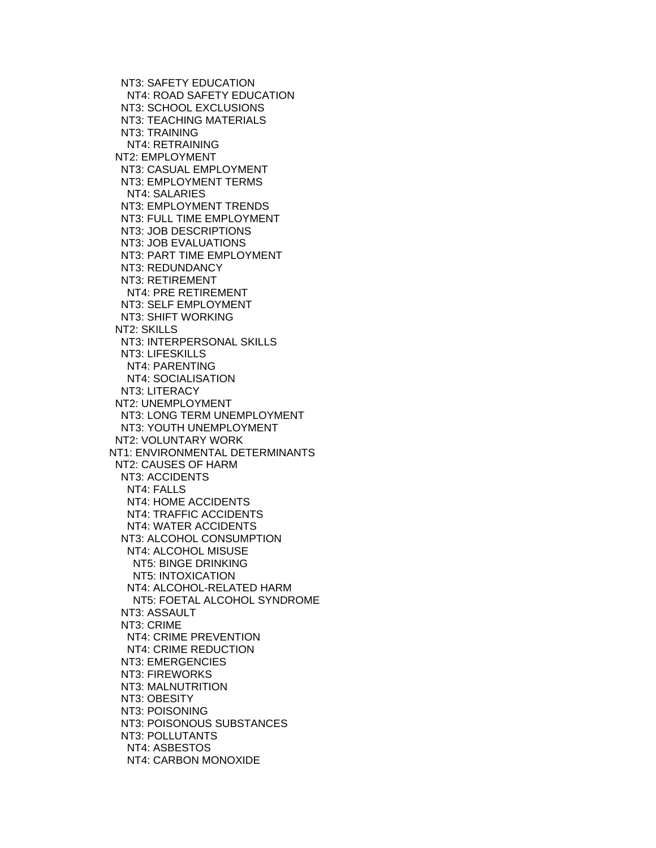NT3: SAFETY EDUCATION NT4: ROAD SAFETY EDUCATION NT3: SCHOOL EXCLUSIONS NT3: TEACHING MATERIALS NT3: TRAINING NT4: RETRAINING NT2: EMPLOYMENT NT3: CASUAL EMPLOYMENT NT3: EMPLOYMENT TERMS NT4: SALARIES NT3: EMPLOYMENT TRENDS NT3: FULL TIME EMPLOYMENT NT3: JOB DESCRIPTIONS NT3: JOB EVALUATIONS NT3: PART TIME EMPLOYMENT NT3: REDUNDANCY NT3: RETIREMENT NT4: PRE RETIREMENT NT3: SELF EMPLOYMENT NT3: SHIFT WORKING NT2: SKILLS NT3: INTERPERSONAL SKILLS NT3: LIFESKILLS NT4: PARENTING NT4: SOCIALISATION NT3: LITERACY NT2: UNEMPLOYMENT NT3: LONG TERM UNEMPLOYMENT NT3: YOUTH UNEMPLOYMENT NT2: VOLUNTARY WORK NT1: ENVIRONMENTAL DETERMINANTS NT2: CAUSES OF HARM NT3: ACCIDENTS NT4: FALLS NT4: HOME ACCIDENTS NT4: TRAFFIC ACCIDENTS NT4: WATER ACCIDENTS NT3: ALCOHOL CONSUMPTION NT4: ALCOHOL MISUSE NT5: BINGE DRINKING NT5: INTOXICATION NT4: ALCOHOL-RELATED HARM NT5: FOETAL ALCOHOL SYNDROME NT3: ASSAULT NT3: CRIME NT4: CRIME PREVENTION NT4: CRIME REDUCTION NT3: EMERGENCIES NT3: FIREWORKS NT3: MALNUTRITION NT3: OBESITY NT3: POISONING NT3: POISONOUS SUBSTANCES NT3: POLLUTANTS NT4: ASBESTOS NT4: CARBON MONOXIDE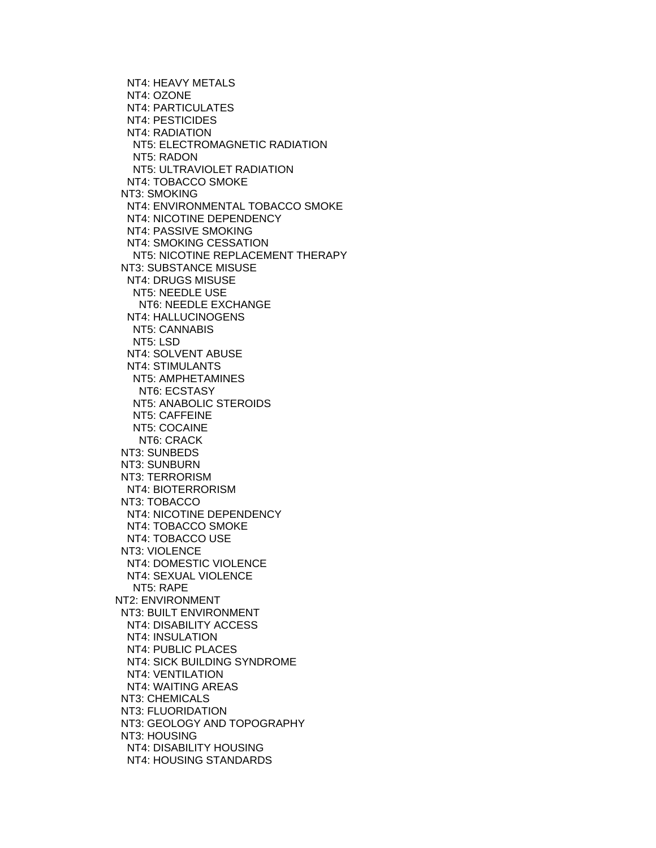NT4: HEAVY METALS NT4: OZONE NT4: PARTICULATES NT4: PESTICIDES NT4: RADIATION NT5: ELECTROMAGNETIC RADIATION NT5: RADON NT5: ULTRAVIOLET RADIATION NT4: TOBACCO SMOKE NT3: SMOKING NT4: ENVIRONMENTAL TOBACCO SMOKE NT4: NICOTINE DEPENDENCY NT4: PASSIVE SMOKING NT4: SMOKING CESSATION NT5: NICOTINE REPLACEMENT THERAPY NT3: SUBSTANCE MISUSE NT4: DRUGS MISUSE NT5: NEEDLE USE NT6: NEEDLE EXCHANGE NT4: HALLUCINOGENS NT5: CANNABIS NT5: LSD NT4: SOLVENT ABUSE NT4: STIMULANTS NT5: AMPHETAMINES NT6: ECSTASY NT5: ANABOLIC STEROIDS NT5: CAFFEINE NT5: COCAINE NT6: CRACK NT3: SUNBEDS NT3: SUNBURN NT3: TERRORISM NT4: BIOTERRORISM NT3: TOBACCO NT4: NICOTINE DEPENDENCY NT4: TOBACCO SMOKE NT4: TOBACCO USE NT3: VIOLENCE NT4: DOMESTIC VIOLENCE NT4: SEXUAL VIOLENCE NT5: RAPE NT2: ENVIRONMENT NT3: BUILT ENVIRONMENT NT4: DISABILITY ACCESS NT4: INSULATION NT4: PUBLIC PLACES NT4: SICK BUILDING SYNDROME NT4: VENTILATION NT4: WAITING AREAS NT3: CHEMICALS NT3: FLUORIDATION NT3: GEOLOGY AND TOPOGRAPHY NT3: HOUSING NT4: DISABILITY HOUSING NT4: HOUSING STANDARDS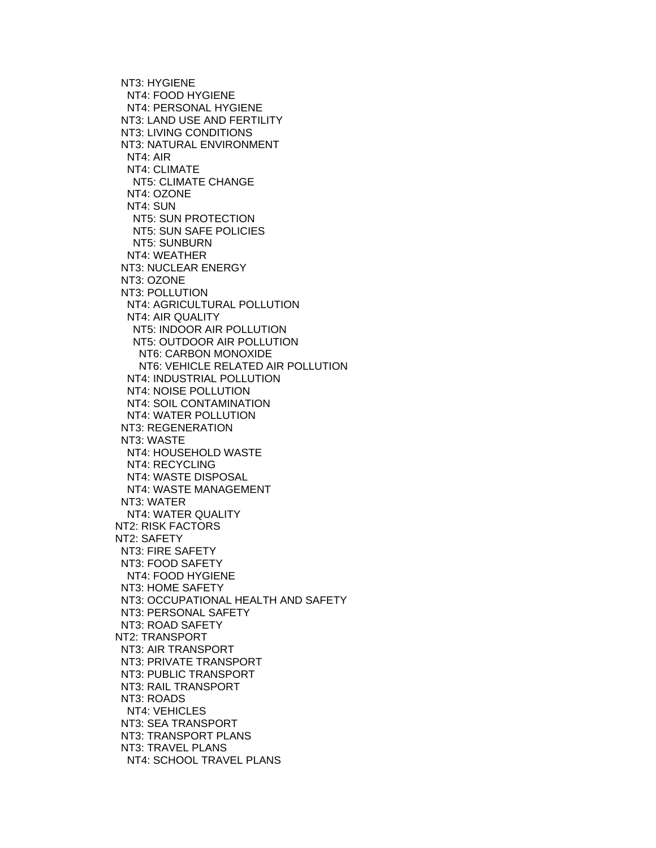NT3: HYGIENE NT4: FOOD HYGIENE NT4: PERSONAL HYGIENE NT3: LAND USE AND FERTILITY NT3: LIVING CONDITIONS NT3: NATURAL ENVIRONMENT NT4: AIR NT4: CLIMATE NT5: CLIMATE CHANGE NT4: OZONE NT4: SUN NT5: SUN PROTECTION NT5: SUN SAFE POLICIES NT5: SUNBURN NT4: WEATHER NT3: NUCLEAR ENERGY NT3: OZONE NT3: POLLUTION NT4: AGRICULTURAL POLLUTION NT4: AIR QUALITY NT5: INDOOR AIR POLLUTION NT5: OUTDOOR AIR POLLUTION NT6: CARBON MONOXIDE NT6: VEHICLE RELATED AIR POLLUTION NT4: INDUSTRIAL POLLUTION NT4: NOISE POLLUTION NT4: SOIL CONTAMINATION NT4: WATER POLLUTION NT3: REGENERATION NT3: WASTE NT4: HOUSEHOLD WASTE NT4: RECYCLING NT4: WASTE DISPOSAL NT4: WASTE MANAGEMENT NT3: WATER NT4: WATER QUALITY NT2: RISK FACTORS NT2: SAFETY NT3: FIRE SAFETY NT3: FOOD SAFETY NT4: FOOD HYGIENE NT3: HOME SAFETY NT3: OCCUPATIONAL HEALTH AND SAFETY NT3: PERSONAL SAFETY NT3: ROAD SAFETY NT2: TRANSPORT NT3: AIR TRANSPORT NT3: PRIVATE TRANSPORT NT3: PUBLIC TRANSPORT NT3: RAIL TRANSPORT NT3: ROADS NT4: VEHICLES NT3: SEA TRANSPORT NT3: TRANSPORT PLANS NT3: TRAVEL PLANS NT4: SCHOOL TRAVEL PLANS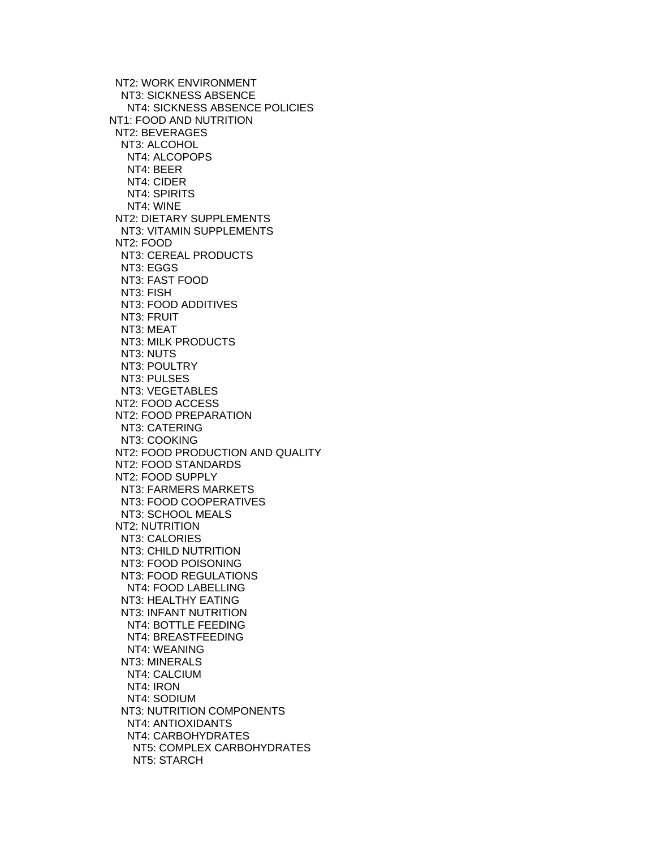NT2: WORK ENVIRONMENT NT3: SICKNESS ABSENCE NT4: SICKNESS ABSENCE POLICIES NT1: FOOD AND NUTRITION NT2: BEVERAGES NT3: ALCOHOL NT4: ALCOPOPS NT4: BEER NT4: CIDER NT4: SPIRITS NT4: WINE NT2: DIETARY SUPPLEMENTS NT3: VITAMIN SUPPLEMENTS NT2: FOOD NT3: CEREAL PRODUCTS NT3: EGGS NT3: FAST FOOD NT3: FISH NT3: FOOD ADDITIVES NT3: FRUIT NT3: MEAT NT3: MILK PRODUCTS NT3: NUTS NT3: POULTRY NT3: PULSES NT3: VEGETABLES NT2: FOOD ACCESS NT2: FOOD PREPARATION NT3: CATERING NT3: COOKING NT2: FOOD PRODUCTION AND QUALITY NT2: FOOD STANDARDS NT2: FOOD SUPPLY NT3: FARMERS MARKETS NT3: FOOD COOPERATIVES NT3: SCHOOL MEALS NT2: NUTRITION NT3: CALORIES NT3: CHILD NUTRITION NT3: FOOD POISONING NT3: FOOD REGULATIONS NT4: FOOD LABELLING NT3: HEALTHY EATING NT3: INFANT NUTRITION NT4: BOTTLE FEEDING NT4: BREASTFEEDING NT4: WEANING NT3: MINERALS NT4: CALCIUM NT4: IRON NT4: SODIUM NT3: NUTRITION COMPONENTS NT4: ANTIOXIDANTS NT4: CARBOHYDRATES NT5: COMPLEX CARBOHYDRATES NT5: STARCH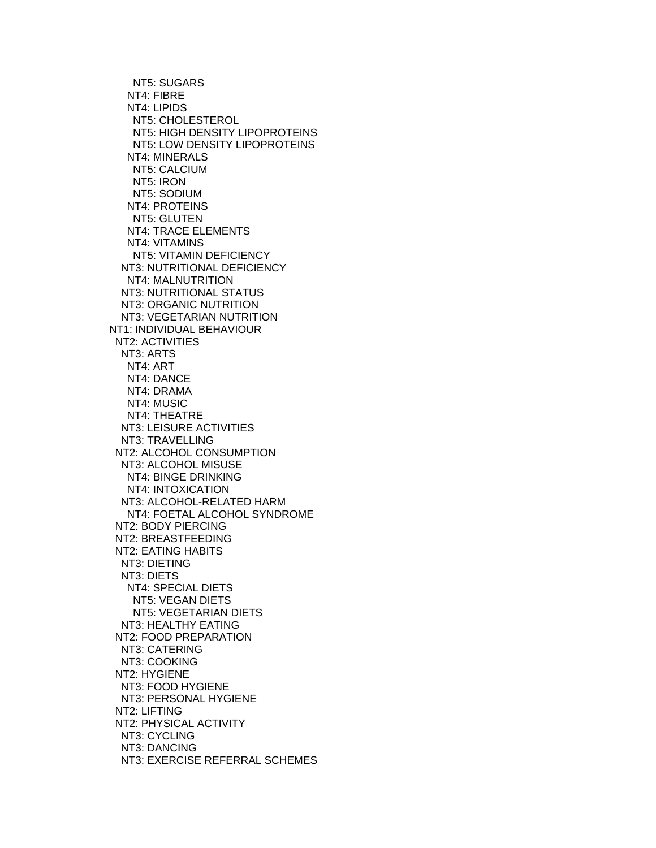NT5: SUGARS NT4: FIBRE NT4: LIPIDS NT5: CHOLESTEROL NT5: HIGH DENSITY LIPOPROTEINS NT5: LOW DENSITY LIPOPROTEINS NT4: MINERALS NT5: CALCIUM NT5: IRON NT5: SODIUM NT4: PROTEINS NT5: GLUTEN NT4: TRACE ELEMENTS NT4: VITAMINS NT5: VITAMIN DEFICIENCY NT3: NUTRITIONAL DEFICIENCY NT4: MALNUTRITION NT3: NUTRITIONAL STATUS NT3: ORGANIC NUTRITION NT3: VEGETARIAN NUTRITION NT1: INDIVIDUAL BEHAVIOUR NT2: ACTIVITIES NT3: ARTS NT4: ART NT4: DANCE NT4: DRAMA NT4: MUSIC NT4: THEATRE NT3: LEISURE ACTIVITIES NT3: TRAVELLING NT2: ALCOHOL CONSUMPTION NT3: ALCOHOL MISUSE NT4: BINGE DRINKING NT4: INTOXICATION NT3: ALCOHOL-RELATED HARM NT4: FOETAL ALCOHOL SYNDROME NT2: BODY PIERCING NT2: BREASTFEEDING NT2: EATING HABITS NT3: DIETING NT3: DIETS NT4: SPECIAL DIETS NT5: VEGAN DIETS NT5: VEGETARIAN DIETS NT3: HEALTHY EATING NT2: FOOD PREPARATION NT3: CATERING NT3: COOKING NT2: HYGIENE NT3: FOOD HYGIENE NT3: PERSONAL HYGIENE NT2: LIFTING NT2: PHYSICAL ACTIVITY NT3: CYCLING NT3: DANCING NT3: EXERCISE REFERRAL SCHEMES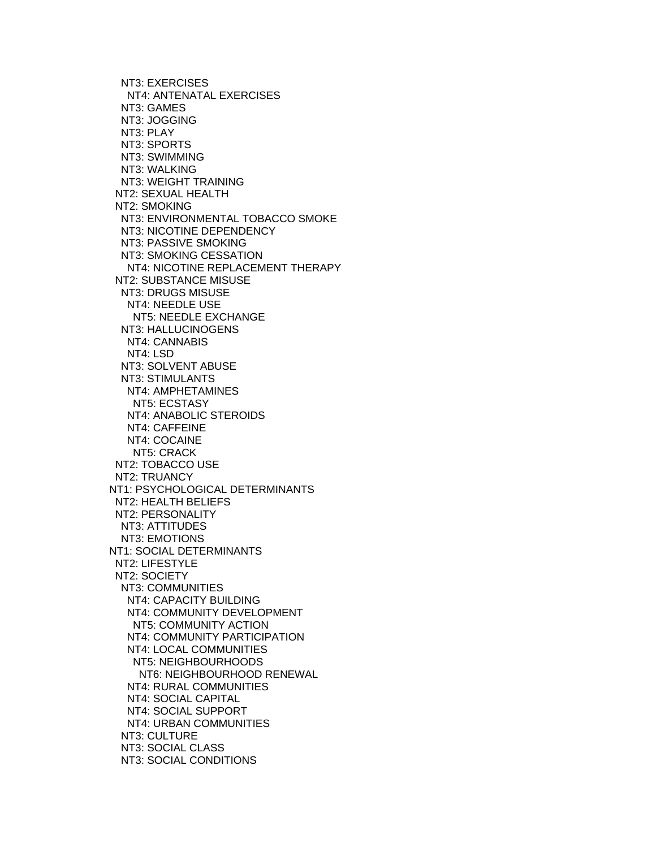NT3: EXERCISES NT4: ANTENATAL EXERCISES NT3: GAMES NT3: JOGGING NT3: PLAY NT3: SPORTS NT3: SWIMMING NT3: WALKING NT3: WEIGHT TRAINING NT2: SEXUAL HEALTH NT2: SMOKING NT3: ENVIRONMENTAL TOBACCO SMOKE NT3: NICOTINE DEPENDENCY NT3: PASSIVE SMOKING NT3: SMOKING CESSATION NT4: NICOTINE REPLACEMENT THERAPY NT2: SUBSTANCE MISUSE NT3: DRUGS MISUSE NT4: NEEDLE USE NT5: NEEDLE EXCHANGE NT3: HALLUCINOGENS NT4: CANNABIS NT4: LSD NT3: SOLVENT ABUSE NT3: STIMULANTS NT4: AMPHETAMINES NT5: ECSTASY NT4: ANABOLIC STEROIDS NT4: CAFFEINE NT4: COCAINE NT5: CRACK NT2: TOBACCO USE NT2: TRUANCY NT1: PSYCHOLOGICAL DETERMINANTS NT2: HEALTH BELIEFS NT2: PERSONALITY NT3: ATTITUDES NT3: EMOTIONS NT1: SOCIAL DETERMINANTS NT2: LIFESTYLE NT2: SOCIETY NT3: COMMUNITIES NT4: CAPACITY BUILDING NT4: COMMUNITY DEVELOPMENT NT5: COMMUNITY ACTION NT4: COMMUNITY PARTICIPATION NT4: LOCAL COMMUNITIES NT5: NEIGHBOURHOODS NT6: NEIGHBOURHOOD RENEWAL NT4: RURAL COMMUNITIES NT4: SOCIAL CAPITAL NT4: SOCIAL SUPPORT NT4: URBAN COMMUNITIES NT3: CULTURE NT3: SOCIAL CLASS NT3: SOCIAL CONDITIONS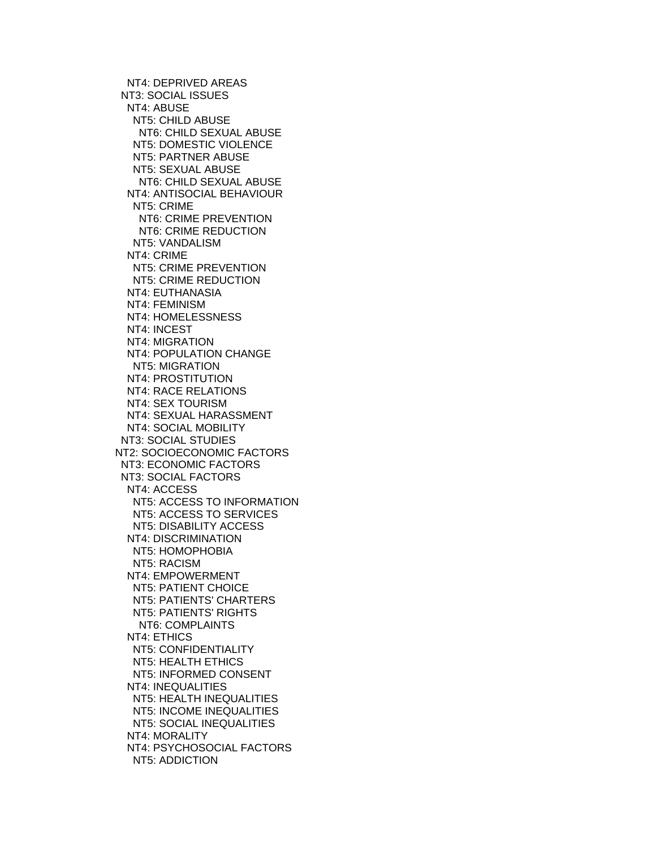NT4: DEPRIVED AREAS NT3: SOCIAL ISSUES NT4: ABUSE NT5: CHILD ABUSE NT6: CHILD SEXUAL ABUSE NT5: DOMESTIC VIOLENCE NT5: PARTNER ABUSE NT5: SEXUAL ABUSE NT6: CHILD SEXUAL ABUSE NT4: ANTISOCIAL BEHAVIOUR NT5: CRIME NT6: CRIME PREVENTION NT6: CRIME REDUCTION NT5: VANDALISM NT4: CRIME NT5: CRIME PREVENTION NT5: CRIME REDUCTION NT4: EUTHANASIA NT4: FEMINISM NT4: HOMELESSNESS NT4: INCEST NT4: MIGRATION NT4: POPULATION CHANGE NT5: MIGRATION NT4: PROSTITUTION NT4: RACE RELATIONS NT4: SEX TOURISM NT4: SEXUAL HARASSMENT NT4: SOCIAL MOBILITY NT3: SOCIAL STUDIES NT2: SOCIOECONOMIC FACTORS NT3: ECONOMIC FACTORS NT3: SOCIAL FACTORS NT4: ACCESS NT5: ACCESS TO INFORMATION NT5: ACCESS TO SERVICES NT5: DISABILITY ACCESS NT4: DISCRIMINATION NT5: HOMOPHOBIA NT5: RACISM NT4: EMPOWERMENT NT5: PATIENT CHOICE NT5: PATIENTS' CHARTERS NT5: PATIENTS' RIGHTS NT6: COMPLAINTS NT4: ETHICS NT5: CONFIDENTIALITY NT5: HEALTH ETHICS NT5: INFORMED CONSENT NT4: INEQUALITIES NT5: HEALTH INEQUALITIES NT5: INCOME INEQUALITIES NT5: SOCIAL INEQUALITIES NT4: MORALITY NT4: PSYCHOSOCIAL FACTORS NT5: ADDICTION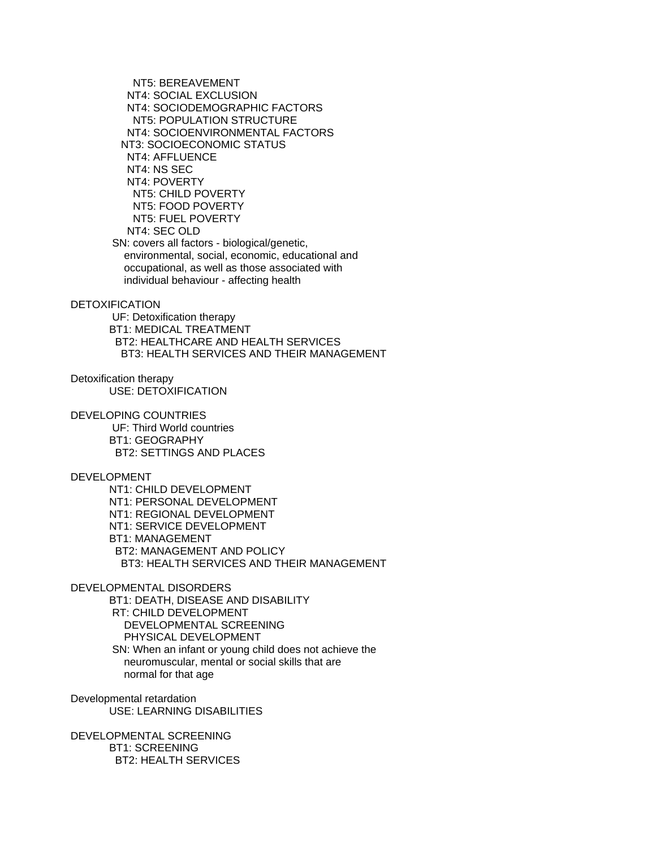NT5: BEREAVEMENT NT4: SOCIAL EXCLUSION NT4: SOCIODEMOGRAPHIC FACTORS NT5: POPULATION STRUCTURE NT4: SOCIOENVIRONMENTAL FACTORS NT3: SOCIOECONOMIC STATUS NT4: AFFLUENCE NT4: NS SEC NT4: POVERTY NT5: CHILD POVERTY NT5: FOOD POVERTY NT5: FUEL POVERTY NT4: SEC OLD SN: covers all factors - biological/genetic, environmental, social, economic, educational and

 occupational, as well as those associated with individual behaviour - affecting health

DETOXIFICATION

 UF: Detoxification therapy BT1: MEDICAL TREATMENT BT2: HEALTHCARE AND HEALTH SERVICES BT3: HEALTH SERVICES AND THEIR MANAGEMENT

Detoxification therapy USE: DETOXIFICATION

DEVELOPING COUNTRIES

 UF: Third World countries BT1: GEOGRAPHY BT2: SETTINGS AND PLACES

DEVELOPMENT

 NT1: CHILD DEVELOPMENT NT1: PERSONAL DEVELOPMENT NT1: REGIONAL DEVELOPMENT NT1: SERVICE DEVELOPMENT BT1: MANAGEMENT BT2: MANAGEMENT AND POLICY BT3: HEALTH SERVICES AND THEIR MANAGEMENT

DEVELOPMENTAL DISORDERS

 BT1: DEATH, DISEASE AND DISABILITY RT: CHILD DEVELOPMENT DEVELOPMENTAL SCREENING PHYSICAL DEVELOPMENT SN: When an infant or young child does not achieve the neuromuscular, mental or social skills that are normal for that age

Developmental retardation USE: LEARNING DISABILITIES

DEVELOPMENTAL SCREENING BT1: SCREENING BT2: HEALTH SERVICES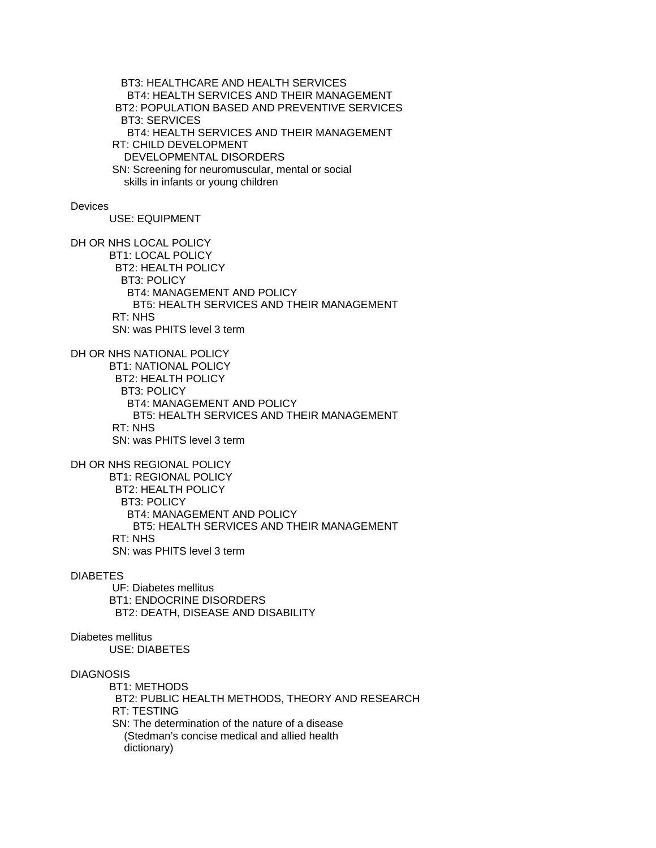BT3: HEALTHCARE AND HEALTH SERVICES BT4: HEALTH SERVICES AND THEIR MANAGEMENT BT2: POPULATION BASED AND PREVENTIVE SERVICES BT3: SERVICES BT4: HEALTH SERVICES AND THEIR MANAGEMENT RT: CHILD DEVELOPMENT DEVELOPMENTAL DISORDERS SN: Screening for neuromuscular, mental or social skills in infants or young children

#### **Devices**

USE: EQUIPMENT

DH OR NHS LOCAL POLICY BT1: LOCAL POLICY BT2: HEALTH POLICY BT3: POLICY BT4: MANAGEMENT AND POLICY BT5: HEALTH SERVICES AND THEIR MANAGEMENT RT: NHS SN: was PHITS level 3 term

DH OR NHS NATIONAL POLICY BT1: NATIONAL POLICY BT2: HEALTH POLICY BT3: POLICY BT4: MANAGEMENT AND POLICY BT5: HEALTH SERVICES AND THEIR MANAGEMENT RT: NHS

SN: was PHITS level 3 term

DH OR NHS REGIONAL POLICY BT1: REGIONAL POLICY

 BT2: HEALTH POLICY BT3: POLICY BT4: MANAGEMENT AND POLICY BT5: HEALTH SERVICES AND THEIR MANAGEMENT RT: NHS SN: was PHITS level 3 term

### DIABETES

 UF: Diabetes mellitus BT1: ENDOCRINE DISORDERS BT2: DEATH, DISEASE AND DISABILITY

# Diabetes mellitus

USE: DIABETES

## DIAGNOSIS

 BT1: METHODS BT2: PUBLIC HEALTH METHODS, THEORY AND RESEARCH RT: TESTING SN: The determination of the nature of a disease (Stedman's concise medical and allied health dictionary)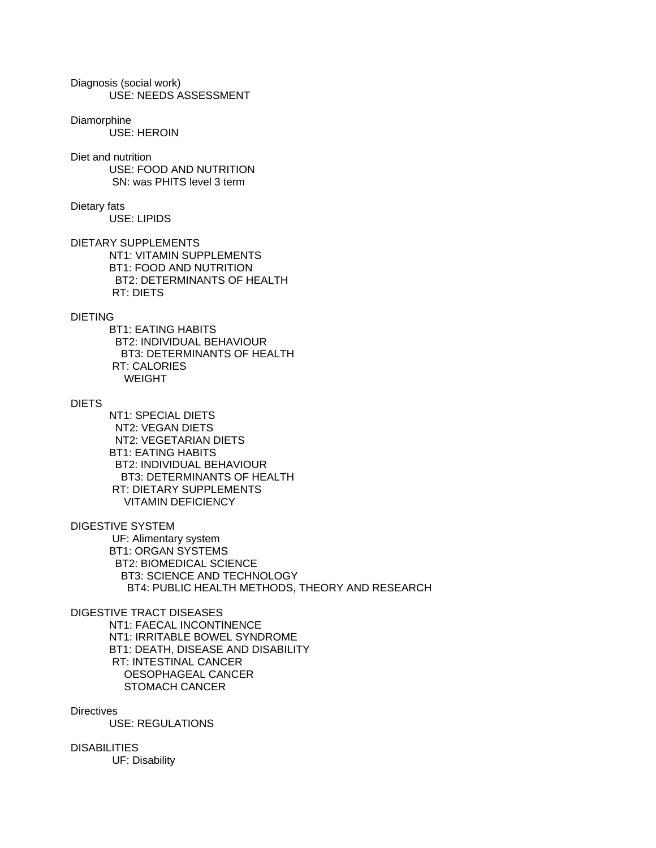Diagnosis (social work) USE: NEEDS ASSESSMENT

Diamorphine USE: HEROIN

Diet and nutrition USE: FOOD AND NUTRITION SN: was PHITS level 3 term

Dietary fats USE: LIPIDS

DIETARY SUPPLEMENTS NT1: VITAMIN SUPPLEMENTS BT1: FOOD AND NUTRITION BT2: DETERMINANTS OF HEALTH RT: DIETS

# DIETING

 BT1: EATING HABITS BT2: INDIVIDUAL BEHAVIOUR BT3: DETERMINANTS OF HEALTH RT: CALORIES WEIGHT

# DIETS

 NT1: SPECIAL DIETS NT2: VEGAN DIETS NT2: VEGETARIAN DIETS BT1: EATING HABITS BT2: INDIVIDUAL BEHAVIOUR BT3: DETERMINANTS OF HEALTH RT: DIETARY SUPPLEMENTS VITAMIN DEFICIENCY

DIGESTIVE SYSTEM

 UF: Alimentary system BT1: ORGAN SYSTEMS BT2: BIOMEDICAL SCIENCE BT3: SCIENCE AND TECHNOLOGY BT4: PUBLIC HEALTH METHODS, THEORY AND RESEARCH

# DIGESTIVE TRACT DISEASES

 NT1: FAECAL INCONTINENCE NT1: IRRITABLE BOWEL SYNDROME BT1: DEATH, DISEASE AND DISABILITY RT: INTESTINAL CANCER OESOPHAGEAL CANCER STOMACH CANCER

**Directives** 

USE: REGULATIONS

DISABILITIES

UF: Disability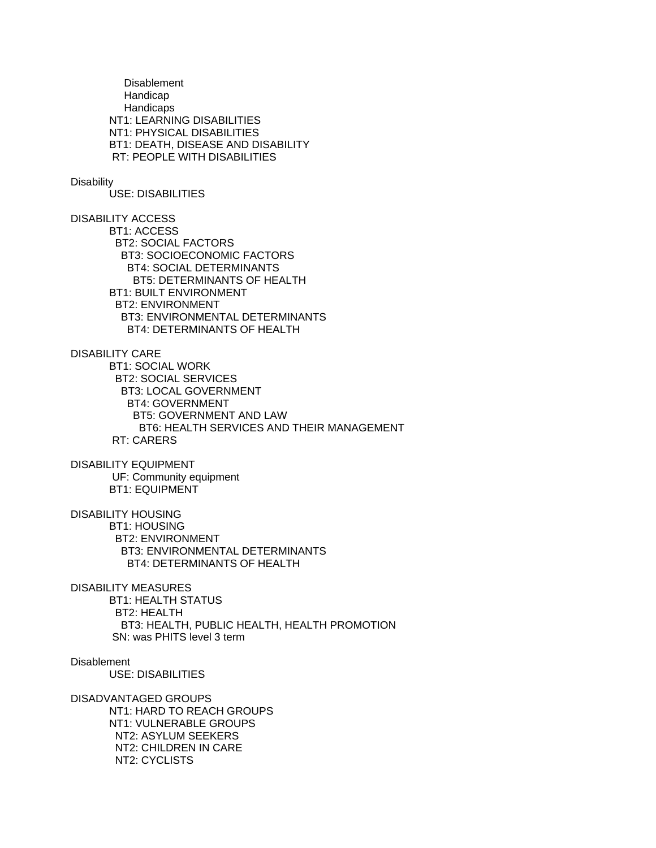**Disablement**  Handicap **Handicaps**  NT1: LEARNING DISABILITIES NT1: PHYSICAL DISABILITIES BT1: DEATH, DISEASE AND DISABILITY RT: PEOPLE WITH DISABILITIES

## **Disability**

USE: DISABILITIES

DISABILITY ACCESS BT1: ACCESS BT2: SOCIAL FACTORS BT3: SOCIOECONOMIC FACTORS BT4: SOCIAL DETERMINANTS BT5: DETERMINANTS OF HEALTH BT1: BUILT ENVIRONMENT BT2: ENVIRONMENT BT3: ENVIRONMENTAL DETERMINANTS BT4: DETERMINANTS OF HEALTH

DISABILITY CARE

 BT1: SOCIAL WORK BT2: SOCIAL SERVICES BT3: LOCAL GOVERNMENT BT4: GOVERNMENT BT5: GOVERNMENT AND LAW BT6: HEALTH SERVICES AND THEIR MANAGEMENT RT: CARERS

DISABILITY EQUIPMENT UF: Community equipment BT1: EQUIPMENT

DISABILITY HOUSING

 BT1: HOUSING BT2: ENVIRONMENT BT3: ENVIRONMENTAL DETERMINANTS BT4: DETERMINANTS OF HEALTH

DISABILITY MEASURES BT1: HEALTH STATUS BT2: HEALTH BT3: HEALTH, PUBLIC HEALTH, HEALTH PROMOTION SN: was PHITS level 3 term

**Disablement** 

USE: DISABILITIES

DISADVANTAGED GROUPS NT1: HARD TO REACH GROUPS NT1: VULNERABLE GROUPS NT2: ASYLUM SEEKERS NT2: CHILDREN IN CARE NT2: CYCLISTS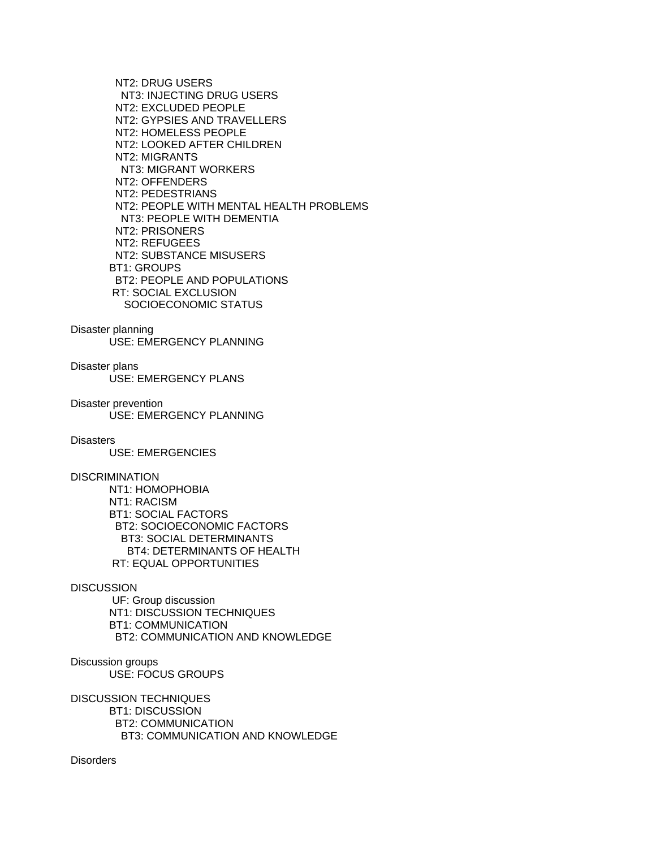NT2: DRUG USERS NT3: INJECTING DRUG USERS NT2: EXCLUDED PEOPLE NT2: GYPSIES AND TRAVELLERS NT2: HOMELESS PEOPLE NT2: LOOKED AFTER CHILDREN NT2: MIGRANTS NT3: MIGRANT WORKERS NT2: OFFENDERS NT2: PEDESTRIANS NT2: PEOPLE WITH MENTAL HEALTH PROBLEMS NT3: PEOPLE WITH DEMENTIA NT2: PRISONERS NT2: REFUGEES NT2: SUBSTANCE MISUSERS BT1: GROUPS BT2: PEOPLE AND POPULATIONS RT: SOCIAL EXCLUSION SOCIOECONOMIC STATUS

Disaster planning

USE: EMERGENCY PLANNING

Disaster plans USE: EMERGENCY PLANS

Disaster prevention USE: EMERGENCY PLANNING

**Disasters** 

USE: EMERGENCIES

DISCRIMINATION

 NT1: HOMOPHOBIA NT1: RACISM BT1: SOCIAL FACTORS BT2: SOCIOECONOMIC FACTORS BT3: SOCIAL DETERMINANTS BT4: DETERMINANTS OF HEALTH RT: EQUAL OPPORTUNITIES

## **DISCUSSION**

 UF: Group discussion NT1: DISCUSSION TECHNIQUES BT1: COMMUNICATION BT2: COMMUNICATION AND KNOWLEDGE

Discussion groups USE: FOCUS GROUPS

DISCUSSION TECHNIQUES BT1: DISCUSSION BT2: COMMUNICATION BT3: COMMUNICATION AND KNOWLEDGE

**Disorders**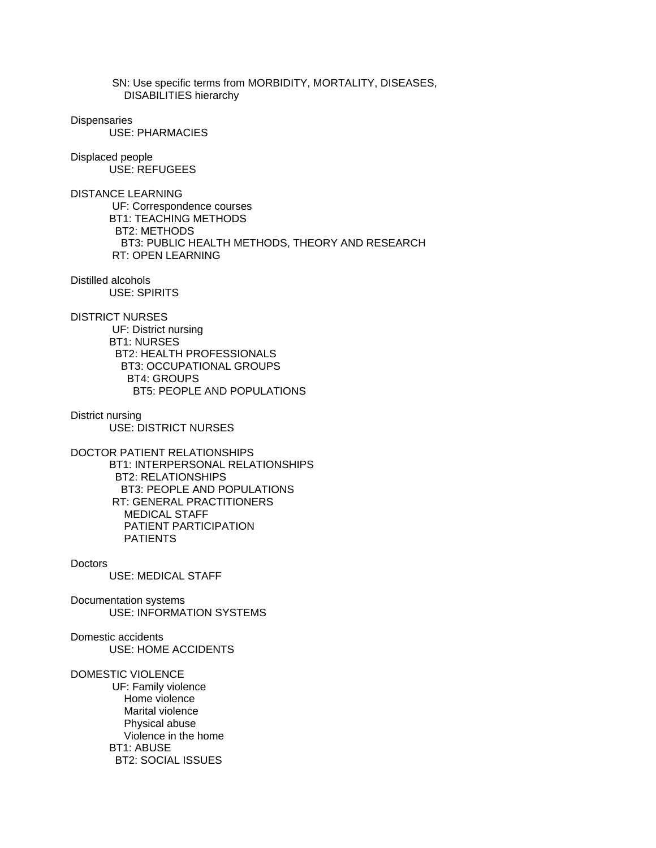SN: Use specific terms from MORBIDITY, MORTALITY, DISEASES, DISABILITIES hierarchy

## **Dispensaries**

USE: PHARMACIES

Displaced people USE: REFUGEES

DISTANCE LEARNING UF: Correspondence courses BT1: TEACHING METHODS BT2: METHODS BT3: PUBLIC HEALTH METHODS, THEORY AND RESEARCH RT: OPEN LEARNING

Distilled alcohols USE: SPIRITS

DISTRICT NURSES

 UF: District nursing BT1: NURSES BT2: HEALTH PROFESSIONALS BT3: OCCUPATIONAL GROUPS BT4: GROUPS BT5: PEOPLE AND POPULATIONS

District nursing USE: DISTRICT NURSES

DOCTOR PATIENT RELATIONSHIPS BT1: INTERPERSONAL RELATIONSHIPS BT2: RELATIONSHIPS BT3: PEOPLE AND POPULATIONS RT: GENERAL PRACTITIONERS MEDICAL STAFF PATIENT PARTICIPATION PATIENTS

**Doctors** 

USE: MEDICAL STAFF

Documentation systems USE: INFORMATION SYSTEMS

Domestic accidents USE: HOME ACCIDENTS

DOMESTIC VIOLENCE

 UF: Family violence Home violence Marital violence Physical abuse Violence in the home BT1: ABUSE BT2: SOCIAL ISSUES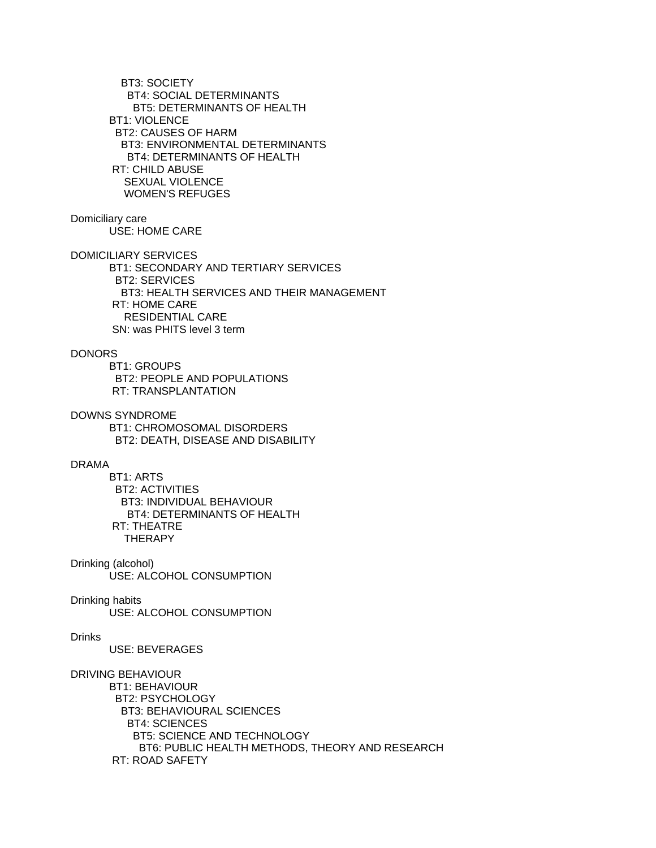BT3: SOCIETY BT4: SOCIAL DETERMINANTS BT5: DETERMINANTS OF HEALTH BT1: VIOLENCE BT2: CAUSES OF HARM BT3: ENVIRONMENTAL DETERMINANTS BT4: DETERMINANTS OF HEALTH RT: CHILD ABUSE SEXUAL VIOLENCE WOMEN'S REFUGES

# Domiciliary care

USE: HOME CARE

DOMICILIARY SERVICES

 BT1: SECONDARY AND TERTIARY SERVICES BT2: SERVICES BT3: HEALTH SERVICES AND THEIR MANAGEMENT RT: HOME CARE RESIDENTIAL CARE SN: was PHITS level 3 term

## DONORS

 BT1: GROUPS BT2: PEOPLE AND POPULATIONS RT: TRANSPLANTATION

DOWNS SYNDROME

 BT1: CHROMOSOMAL DISORDERS BT2: DEATH, DISEASE AND DISABILITY

# DRAMA

 BT1: ARTS BT2: ACTIVITIES BT3: INDIVIDUAL BEHAVIOUR BT4: DETERMINANTS OF HEALTH RT: THEATRE **THERAPY** 

Drinking (alcohol) USE: ALCOHOL CONSUMPTION

# Drinking habits

USE: ALCOHOL CONSUMPTION

Drinks

USE: BEVERAGES

### DRIVING BEHAVIOUR

 BT1: BEHAVIOUR BT2: PSYCHOLOGY BT3: BEHAVIOURAL SCIENCES BT4: SCIENCES BT5: SCIENCE AND TECHNOLOGY BT6: PUBLIC HEALTH METHODS, THEORY AND RESEARCH RT: ROAD SAFETY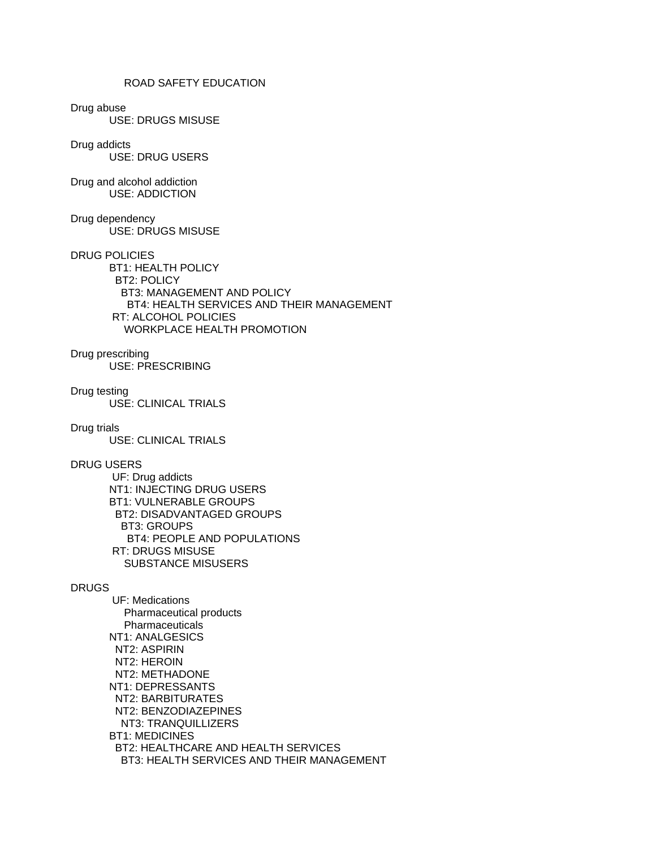# ROAD SAFETY EDUCATION

Drug abuse

USE: DRUGS MISUSE

### Drug addicts

USE: DRUG USERS

## Drug and alcohol addiction USE: ADDICTION

Drug dependency USE: DRUGS MISUSE

### DRUG POLICIES

 BT1: HEALTH POLICY BT2: POLICY BT3: MANAGEMENT AND POLICY BT4: HEALTH SERVICES AND THEIR MANAGEMENT RT: ALCOHOL POLICIES WORKPLACE HEALTH PROMOTION

# Drug prescribing

USE: PRESCRIBING

# Drug testing

USE: CLINICAL TRIALS

# Drug trials

USE: CLINICAL TRIALS

# DRUG USERS

 UF: Drug addicts NT1: INJECTING DRUG USERS BT1: VULNERABLE GROUPS BT2: DISADVANTAGED GROUPS BT3: GROUPS BT4: PEOPLE AND POPULATIONS RT: DRUGS MISUSE SUBSTANCE MISUSERS

## DRUGS

 UF: Medications Pharmaceutical products **Pharmaceuticals**  NT1: ANALGESICS NT2: ASPIRIN NT2: HEROIN NT2: METHADONE NT1: DEPRESSANTS NT2: BARBITURATES NT2: BENZODIAZEPINES NT3: TRANQUILLIZERS BT1: MEDICINES BT2: HEALTHCARE AND HEALTH SERVICES BT3: HEALTH SERVICES AND THEIR MANAGEMENT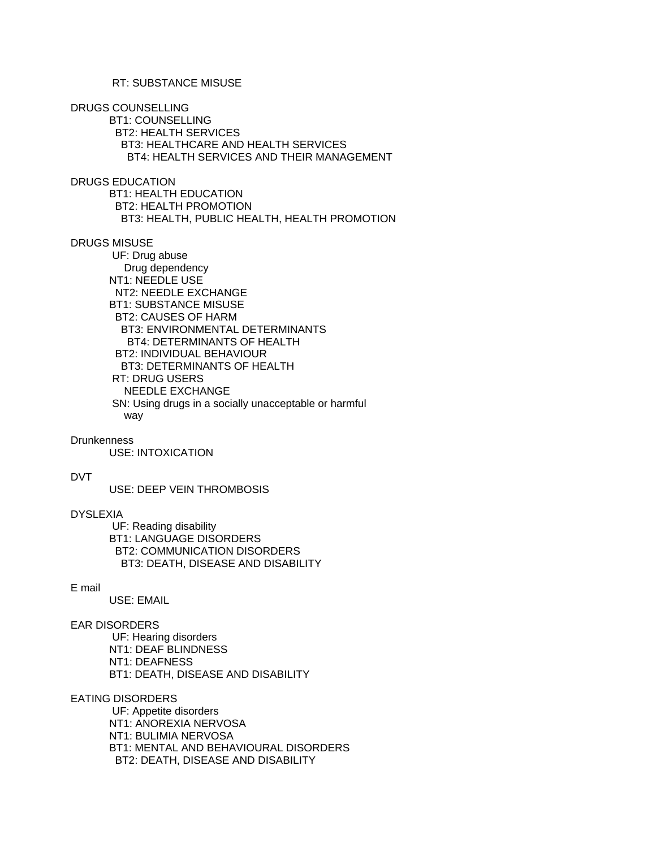DRUGS COUNSELLING

 BT1: COUNSELLING BT2: HEALTH SERVICES BT3: HEALTHCARE AND HEALTH SERVICES BT4: HEALTH SERVICES AND THEIR MANAGEMENT

DRUGS EDUCATION

 BT1: HEALTH EDUCATION BT2: HEALTH PROMOTION BT3: HEALTH, PUBLIC HEALTH, HEALTH PROMOTION

DRUGS MISUSE

 UF: Drug abuse Drug dependency NT1: NEEDLE USE NT2: NEEDLE EXCHANGE BT1: SUBSTANCE MISUSE BT2: CAUSES OF HARM BT3: ENVIRONMENTAL DETERMINANTS BT4: DETERMINANTS OF HEALTH BT2: INDIVIDUAL BEHAVIOUR BT3: DETERMINANTS OF HEALTH RT: DRUG USERS NEEDLE EXCHANGE SN: Using drugs in a socially unacceptable or harmful way

**Drunkenness** 

USE: INTOXICATION

## DVT

USE: DEEP VEIN THROMBOSIS

## DYSLEXIA

 UF: Reading disability BT1: LANGUAGE DISORDERS BT2: COMMUNICATION DISORDERS BT3: DEATH, DISEASE AND DISABILITY

### E mail

USE: EMAIL

### EAR DISORDERS

 UF: Hearing disorders NT1: DEAF BLINDNESS NT1: DEAFNESS BT1: DEATH, DISEASE AND DISABILITY

### EATING DISORDERS

 UF: Appetite disorders NT1: ANOREXIA NERVOSA NT1: BULIMIA NERVOSA BT1: MENTAL AND BEHAVIOURAL DISORDERS BT2: DEATH, DISEASE AND DISABILITY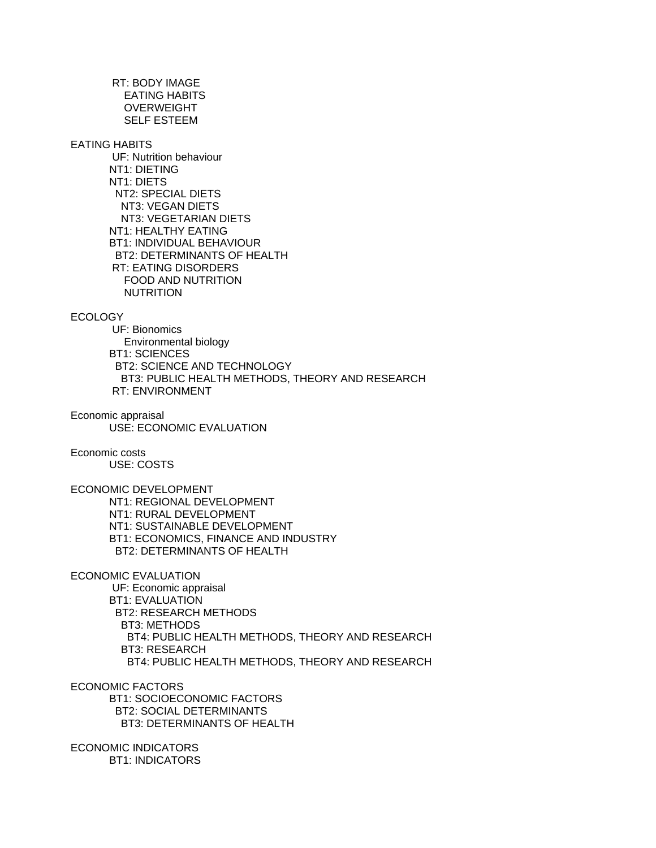RT: BODY IMAGE EATING HABITS **OVERWEIGHT** SELF ESTEEM

### EATING HABITS

 UF: Nutrition behaviour NT1: DIETING NT1: DIETS NT2: SPECIAL DIETS NT3: VEGAN DIETS NT3: VEGETARIAN DIETS NT1: HEALTHY EATING BT1: INDIVIDUAL BEHAVIOUR BT2: DETERMINANTS OF HEALTH RT: EATING DISORDERS FOOD AND NUTRITION NUTRITION

# ECOLOGY

 UF: Bionomics Environmental biology BT1: SCIENCES BT2: SCIENCE AND TECHNOLOGY BT3: PUBLIC HEALTH METHODS, THEORY AND RESEARCH RT: ENVIRONMENT

Economic appraisal USE: ECONOMIC EVALUATION

# Economic costs

USE: COSTS

ECONOMIC DEVELOPMENT

 NT1: REGIONAL DEVELOPMENT NT1: RURAL DEVELOPMENT NT1: SUSTAINABLE DEVELOPMENT BT1: ECONOMICS, FINANCE AND INDUSTRY BT2: DETERMINANTS OF HEALTH

ECONOMIC EVALUATION

 UF: Economic appraisal BT1: EVALUATION BT2: RESEARCH METHODS BT3: METHODS BT4: PUBLIC HEALTH METHODS, THEORY AND RESEARCH BT3: RESEARCH BT4: PUBLIC HEALTH METHODS, THEORY AND RESEARCH

ECONOMIC FACTORS

 BT1: SOCIOECONOMIC FACTORS BT2: SOCIAL DETERMINANTS BT3: DETERMINANTS OF HEALTH

ECONOMIC INDICATORS BT1: INDICATORS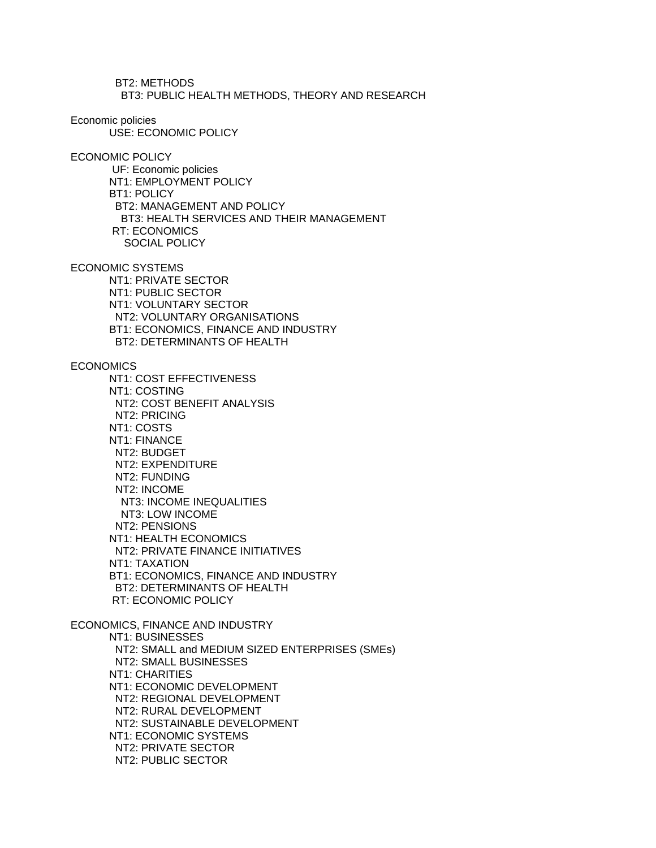BT2: METHODS BT3: PUBLIC HEALTH METHODS, THEORY AND RESEARCH

Economic policies

USE: ECONOMIC POLICY

ECONOMIC POLICY

 UF: Economic policies NT1: EMPLOYMENT POLICY BT1: POLICY BT2: MANAGEMENT AND POLICY BT3: HEALTH SERVICES AND THEIR MANAGEMENT RT: ECONOMICS SOCIAL POLICY

ECONOMIC SYSTEMS

 NT1: PRIVATE SECTOR NT1: PUBLIC SECTOR NT1: VOLUNTARY SECTOR NT2: VOLUNTARY ORGANISATIONS BT1: ECONOMICS, FINANCE AND INDUSTRY BT2: DETERMINANTS OF HEALTH

**ECONOMICS** 

 NT1: COST EFFECTIVENESS NT1: COSTING NT2: COST BENEFIT ANALYSIS NT2: PRICING NT1: COSTS NT1: FINANCE NT2: BUDGET NT2: EXPENDITURE NT2: FUNDING NT2: INCOME NT3: INCOME INEQUALITIES NT3: LOW INCOME NT2: PENSIONS NT1: HEALTH ECONOMICS NT2: PRIVATE FINANCE INITIATIVES NT1: TAXATION BT1: ECONOMICS, FINANCE AND INDUSTRY BT2: DETERMINANTS OF HEALTH RT: ECONOMIC POLICY ECONOMICS, FINANCE AND INDUSTRY NT1: BUSINESSES

 NT2: SMALL and MEDIUM SIZED ENTERPRISES (SMEs) NT2: SMALL BUSINESSES NT1: CHARITIES NT1: ECONOMIC DEVELOPMENT NT2: REGIONAL DEVELOPMENT NT2: RURAL DEVELOPMENT NT2: SUSTAINABLE DEVELOPMENT NT1: ECONOMIC SYSTEMS NT2: PRIVATE SECTOR NT2: PUBLIC SECTOR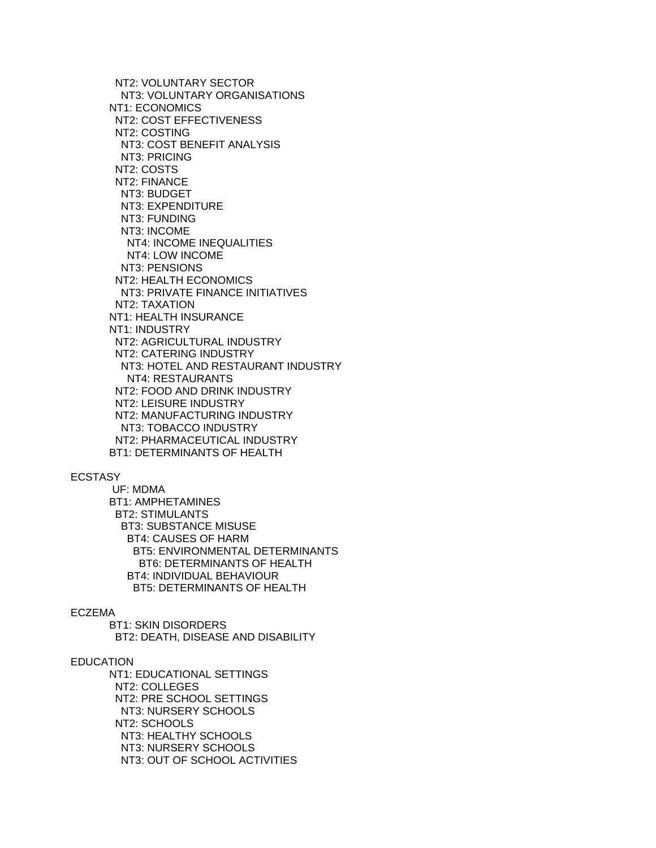NT2: VOLUNTARY SECTOR NT3: VOLUNTARY ORGANISATIONS NT1: ECONOMICS NT2: COST EFFECTIVENESS NT2: COSTING NT3: COST BENEFIT ANALYSIS NT3: PRICING NT2: COSTS NT2: FINANCE NT3: BUDGET NT3: EXPENDITURE NT3: FUNDING NT3: INCOME NT4: INCOME INEQUALITIES NT4: LOW INCOME NT3: PENSIONS NT2: HEALTH ECONOMICS NT3: PRIVATE FINANCE INITIATIVES NT2: TAXATION NT1: HEALTH INSURANCE NT1: INDUSTRY NT2: AGRICULTURAL INDUSTRY NT2: CATERING INDUSTRY NT3: HOTEL AND RESTAURANT INDUSTRY NT4: RESTAURANTS NT2: FOOD AND DRINK INDUSTRY NT2: LEISURE INDUSTRY NT2: MANUFACTURING INDUSTRY NT3: TOBACCO INDUSTRY NT2: PHARMACEUTICAL INDUSTRY BT1: DETERMINANTS OF HEALTH

### ECSTASY

 UF: MDMA BT1: AMPHETAMINES BT2: STIMULANTS BT3: SUBSTANCE MISUSE BT4: CAUSES OF HARM BT5: ENVIRONMENTAL DETERMINANTS BT6: DETERMINANTS OF HEALTH BT4: INDIVIDUAL BEHAVIOUR BT5: DETERMINANTS OF HEALTH

### ECZEMA

 BT1: SKIN DISORDERS BT2: DEATH, DISEASE AND DISABILITY

## EDUCATION

 NT1: EDUCATIONAL SETTINGS NT2: COLLEGES NT2: PRE SCHOOL SETTINGS NT3: NURSERY SCHOOLS NT2: SCHOOLS NT3: HEALTHY SCHOOLS NT3: NURSERY SCHOOLS NT3: OUT OF SCHOOL ACTIVITIES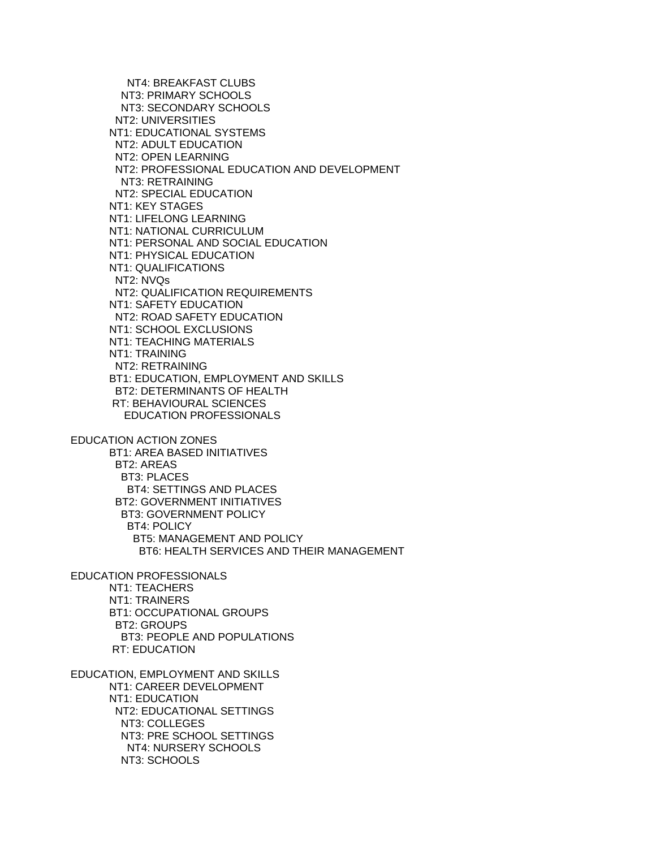NT4: BREAKFAST CLUBS NT3: PRIMARY SCHOOLS NT3: SECONDARY SCHOOLS NT2: UNIVERSITIES NT1: EDUCATIONAL SYSTEMS NT2: ADULT EDUCATION NT2: OPEN LEARNING NT2: PROFESSIONAL EDUCATION AND DEVELOPMENT NT3: RETRAINING NT2: SPECIAL EDUCATION NT1: KEY STAGES NT1: LIFELONG LEARNING NT1: NATIONAL CURRICULUM NT1: PERSONAL AND SOCIAL EDUCATION NT1: PHYSICAL EDUCATION NT1: QUALIFICATIONS NT2: NVQs NT2: QUALIFICATION REQUIREMENTS NT1: SAFETY EDUCATION NT2: ROAD SAFETY EDUCATION NT1: SCHOOL EXCLUSIONS NT1: TEACHING MATERIALS NT1: TRAINING NT2: RETRAINING BT1: EDUCATION, EMPLOYMENT AND SKILLS BT2: DETERMINANTS OF HEALTH RT: BEHAVIOURAL SCIENCES EDUCATION PROFESSIONALS EDUCATION ACTION ZONES BT1: AREA BASED INITIATIVES BT2: AREAS BT3: PLACES BT4: SETTINGS AND PLACES BT2: GOVERNMENT INITIATIVES BT3: GOVERNMENT POLICY

 BT4: POLICY BT5: MANAGEMENT AND POLICY BT6: HEALTH SERVICES AND THEIR MANAGEMENT EDUCATION PROFESSIONALS

 NT1: TEACHERS NT1: TRAINERS BT1: OCCUPATIONAL GROUPS BT2: GROUPS BT3: PEOPLE AND POPULATIONS RT: EDUCATION

EDUCATION, EMPLOYMENT AND SKILLS NT1: CAREER DEVELOPMENT NT1: EDUCATION NT2: EDUCATIONAL SETTINGS NT3: COLLEGES NT3: PRE SCHOOL SETTINGS NT4: NURSERY SCHOOLS NT3: SCHOOLS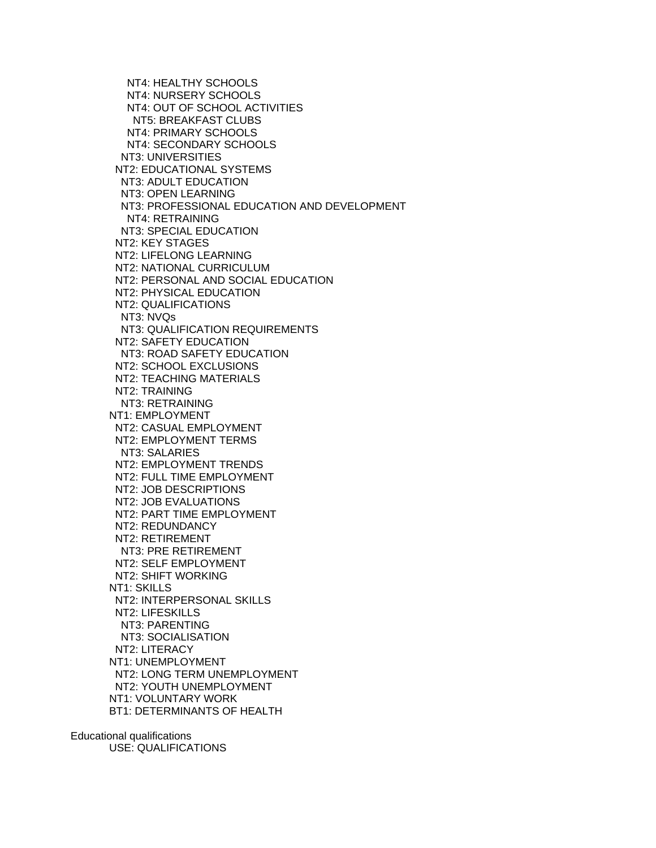NT4: HEALTHY SCHOOLS NT4: NURSERY SCHOOLS NT4: OUT OF SCHOOL ACTIVITIES NT5: BREAKFAST CLUBS NT4: PRIMARY SCHOOLS NT4: SECONDARY SCHOOLS NT3: UNIVERSITIES NT2: EDUCATIONAL SYSTEMS NT3: ADULT EDUCATION NT3: OPEN LEARNING NT3: PROFESSIONAL EDUCATION AND DEVELOPMENT NT4: RETRAINING NT3: SPECIAL EDUCATION NT2: KEY STAGES NT2: LIFELONG LEARNING NT2: NATIONAL CURRICULUM NT2: PERSONAL AND SOCIAL EDUCATION NT2: PHYSICAL EDUCATION NT2: QUALIFICATIONS NT3: NVQs NT3: QUALIFICATION REQUIREMENTS NT2: SAFETY EDUCATION NT3: ROAD SAFETY EDUCATION NT2: SCHOOL EXCLUSIONS NT2: TEACHING MATERIALS NT2: TRAINING NT3: RETRAINING NT1: EMPLOYMENT NT2: CASUAL EMPLOYMENT NT2: EMPLOYMENT TERMS NT3: SALARIES NT2: EMPLOYMENT TRENDS NT2: FULL TIME EMPLOYMENT NT2: JOB DESCRIPTIONS NT2: JOB EVALUATIONS NT2: PART TIME EMPLOYMENT NT2: REDUNDANCY NT2: RETIREMENT NT3: PRE RETIREMENT NT2: SELF EMPLOYMENT NT2: SHIFT WORKING NT1: SKILLS NT2: INTERPERSONAL SKILLS NT2: LIFESKILLS NT3: PARENTING NT3: SOCIALISATION NT2: LITERACY NT1: UNEMPLOYMENT NT2: LONG TERM UNEMPLOYMENT NT2: YOUTH UNEMPLOYMENT NT1: VOLUNTARY WORK BT1: DETERMINANTS OF HEALTH

Educational qualifications USE: QUALIFICATIONS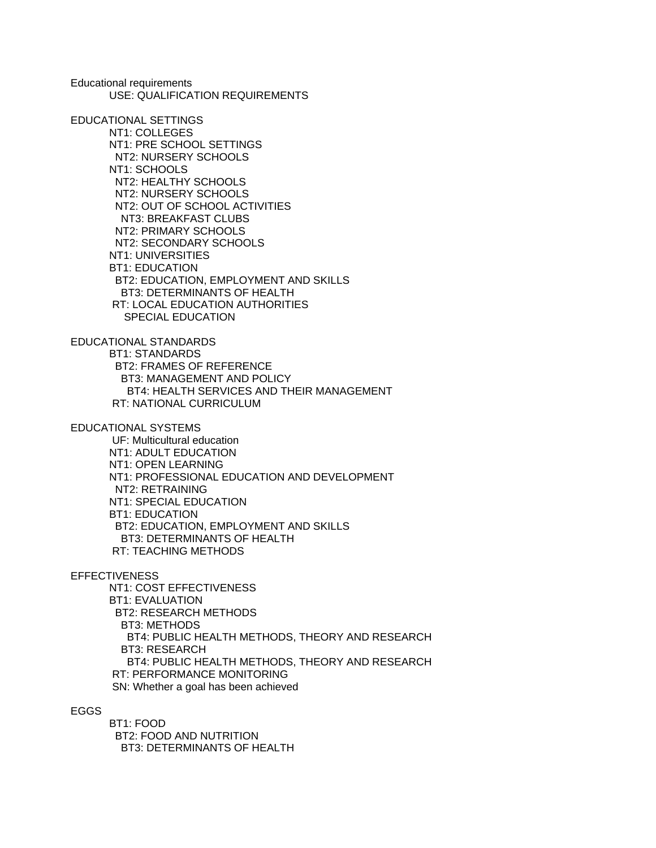Educational requirements USE: QUALIFICATION REQUIREMENTS

EDUCATIONAL SETTINGS NT1: COLLEGES NT1: PRE SCHOOL SETTINGS NT2: NURSERY SCHOOLS NT1: SCHOOLS NT2: HEALTHY SCHOOLS NT2: NURSERY SCHOOLS NT2: OUT OF SCHOOL ACTIVITIES NT3: BREAKFAST CLUBS NT2: PRIMARY SCHOOLS NT2: SECONDARY SCHOOLS NT1: UNIVERSITIES BT1: EDUCATION BT2: EDUCATION, EMPLOYMENT AND SKILLS BT3: DETERMINANTS OF HEALTH RT: LOCAL EDUCATION AUTHORITIES SPECIAL EDUCATION

EDUCATIONAL STANDARDS BT1: STANDARDS BT2: FRAMES OF REFERENCE BT3: MANAGEMENT AND POLICY BT4: HEALTH SERVICES AND THEIR MANAGEMENT RT: NATIONAL CURRICULUM

EDUCATIONAL SYSTEMS UF: Multicultural education NT1: ADULT EDUCATION

 NT1: OPEN LEARNING NT1: PROFESSIONAL EDUCATION AND DEVELOPMENT NT2: RETRAINING NT1: SPECIAL EDUCATION BT1: EDUCATION BT2: EDUCATION, EMPLOYMENT AND SKILLS BT3: DETERMINANTS OF HEALTH RT: TEACHING METHODS

#### **EFFECTIVENESS**

 NT1: COST EFFECTIVENESS BT1: EVALUATION BT2: RESEARCH METHODS BT3: METHODS BT4: PUBLIC HEALTH METHODS, THEORY AND RESEARCH BT3: RESEARCH BT4: PUBLIC HEALTH METHODS, THEORY AND RESEARCH RT: PERFORMANCE MONITORING SN: Whether a goal has been achieved

## EGGS

 BT1: FOOD BT2: FOOD AND NUTRITION BT3: DETERMINANTS OF HEALTH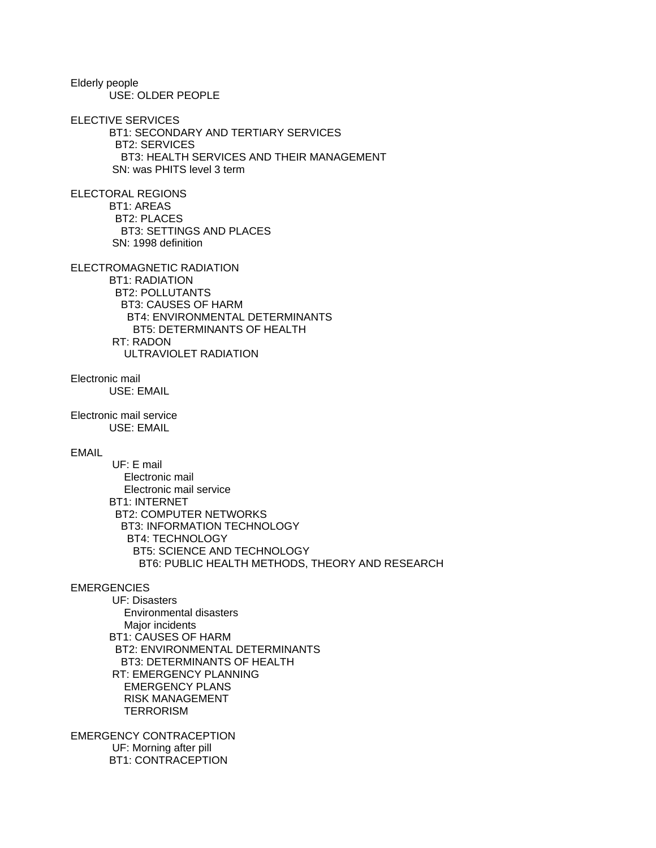Elderly people USE: OLDER PEOPLE

ELECTIVE SERVICES

 BT1: SECONDARY AND TERTIARY SERVICES BT2: SERVICES BT3: HEALTH SERVICES AND THEIR MANAGEMENT SN: was PHITS level 3 term

ELECTORAL REGIONS BT1: AREAS BT2: PLACES BT3: SETTINGS AND PLACES SN: 1998 definition

ELECTROMAGNETIC RADIATION

 BT1: RADIATION BT2: POLLUTANTS BT3: CAUSES OF HARM BT4: ENVIRONMENTAL DETERMINANTS BT5: DETERMINANTS OF HEALTH RT: RADON ULTRAVIOLET RADIATION

Electronic mail USE: EMAIL

Electronic mail service USE: EMAIL

## EMAIL

 UF: E mail Electronic mail Electronic mail service BT1: INTERNET BT2: COMPUTER NETWORKS BT3: INFORMATION TECHNOLOGY BT4: TECHNOLOGY BT5: SCIENCE AND TECHNOLOGY BT6: PUBLIC HEALTH METHODS, THEORY AND RESEARCH

# **EMERGENCIES**

 UF: Disasters Environmental disasters Major incidents BT1: CAUSES OF HARM BT2: ENVIRONMENTAL DETERMINANTS BT3: DETERMINANTS OF HEALTH RT: EMERGENCY PLANNING EMERGENCY PLANS RISK MANAGEMENT **TERRORISM** 

EMERGENCY CONTRACEPTION UF: Morning after pill BT1: CONTRACEPTION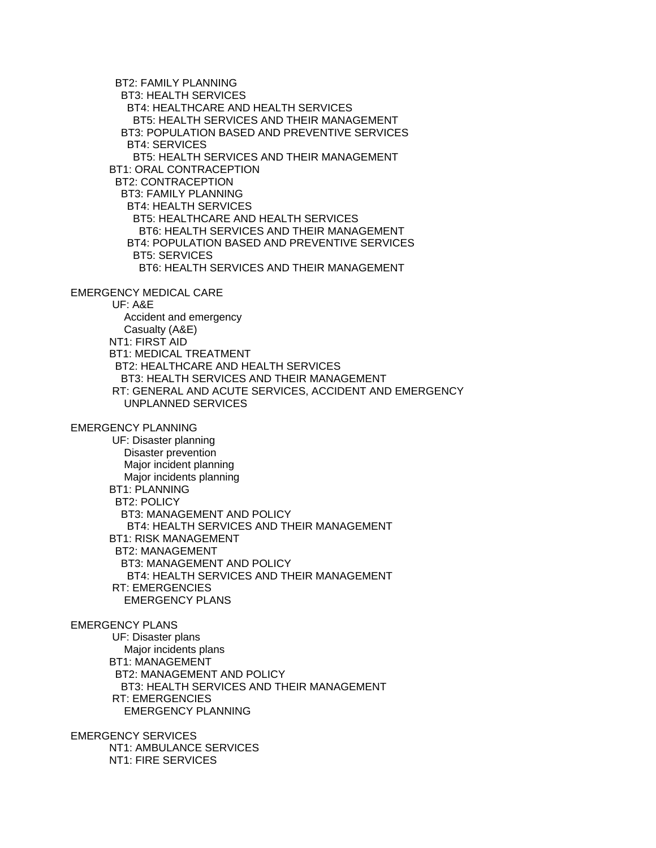BT2: FAMILY PLANNING BT3: HEALTH SERVICES BT4: HEALTHCARE AND HEALTH SERVICES BT5: HEALTH SERVICES AND THEIR MANAGEMENT BT3: POPULATION BASED AND PREVENTIVE SERVICES BT4: SERVICES BT5: HEALTH SERVICES AND THEIR MANAGEMENT BT1: ORAL CONTRACEPTION BT2: CONTRACEPTION BT3: FAMILY PLANNING BT4: HEALTH SERVICES BT5: HEALTHCARE AND HEALTH SERVICES BT6: HEALTH SERVICES AND THEIR MANAGEMENT BT4: POPULATION BASED AND PREVENTIVE SERVICES BT5: SERVICES BT6: HEALTH SERVICES AND THEIR MANAGEMENT

# EMERGENCY MEDICAL CARE

 UF: A&E Accident and emergency Casualty (A&E) NT1: FIRST AID BT1: MEDICAL TREATMENT BT2: HEALTHCARE AND HEALTH SERVICES BT3: HEALTH SERVICES AND THEIR MANAGEMENT RT: GENERAL AND ACUTE SERVICES, ACCIDENT AND EMERGENCY UNPLANNED SERVICES

## EMERGENCY PLANNING

 UF: Disaster planning Disaster prevention Major incident planning Major incidents planning BT1: PLANNING BT2: POLICY BT3: MANAGEMENT AND POLICY BT4: HEALTH SERVICES AND THEIR MANAGEMENT BT1: RISK MANAGEMENT BT2: MANAGEMENT BT3: MANAGEMENT AND POLICY BT4: HEALTH SERVICES AND THEIR MANAGEMENT RT: EMERGENCIES EMERGENCY PLANS

#### EMERGENCY PLANS

 UF: Disaster plans Major incidents plans BT1: MANAGEMENT BT2: MANAGEMENT AND POLICY BT3: HEALTH SERVICES AND THEIR MANAGEMENT RT: EMERGENCIES EMERGENCY PLANNING

EMERGENCY SERVICES NT1: AMBULANCE SERVICES NT1: FIRE SERVICES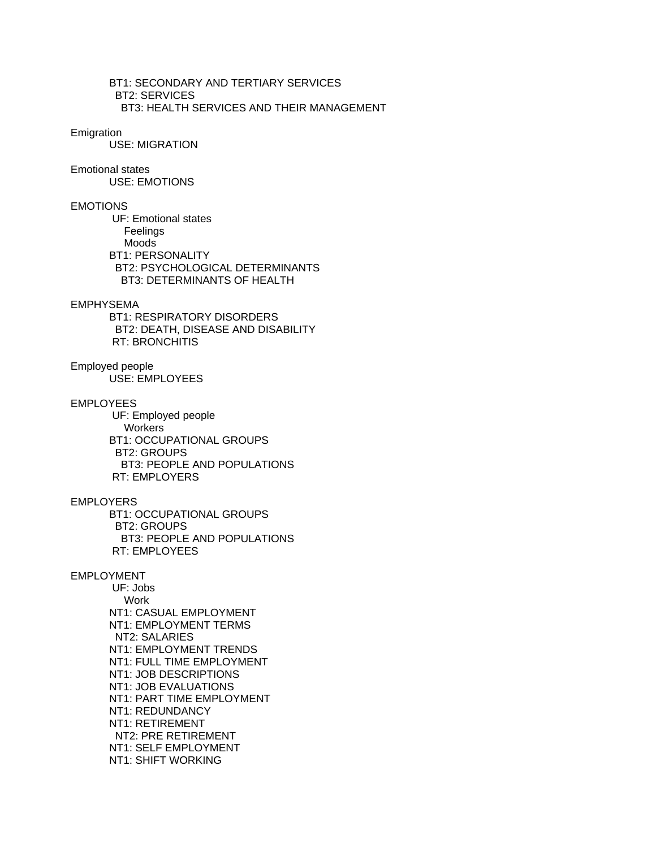BT1: SECONDARY AND TERTIARY SERVICES BT2: SERVICES BT3: HEALTH SERVICES AND THEIR MANAGEMENT

#### Emigration

USE: MIGRATION

## Emotional states

USE: EMOTIONS

## EMOTIONS

 UF: Emotional states Feelings Moods BT1: PERSONALITY BT2: PSYCHOLOGICAL DETERMINANTS BT3: DETERMINANTS OF HEALTH

### EMPHYSEMA

 BT1: RESPIRATORY DISORDERS BT2: DEATH, DISEASE AND DISABILITY RT: BRONCHITIS

#### Employed people USE: EMPLOYEES

### EMPLOYEES

 UF: Employed people **Workers**  BT1: OCCUPATIONAL GROUPS BT2: GROUPS BT3: PEOPLE AND POPULATIONS RT: EMPLOYERS

## EMPLOYERS

 BT1: OCCUPATIONAL GROUPS BT2: GROUPS BT3: PEOPLE AND POPULATIONS RT: EMPLOYEES

### EMPLOYMENT

 UF: Jobs Work NT1: CASUAL EMPLOYMENT NT1: EMPLOYMENT TERMS NT2: SALARIES NT1: EMPLOYMENT TRENDS NT1: FULL TIME EMPLOYMENT NT1: JOB DESCRIPTIONS NT1: JOB EVALUATIONS NT1: PART TIME EMPLOYMENT NT1: REDUNDANCY NT1: RETIREMENT NT2: PRE RETIREMENT NT1: SELF EMPLOYMENT NT1: SHIFT WORKING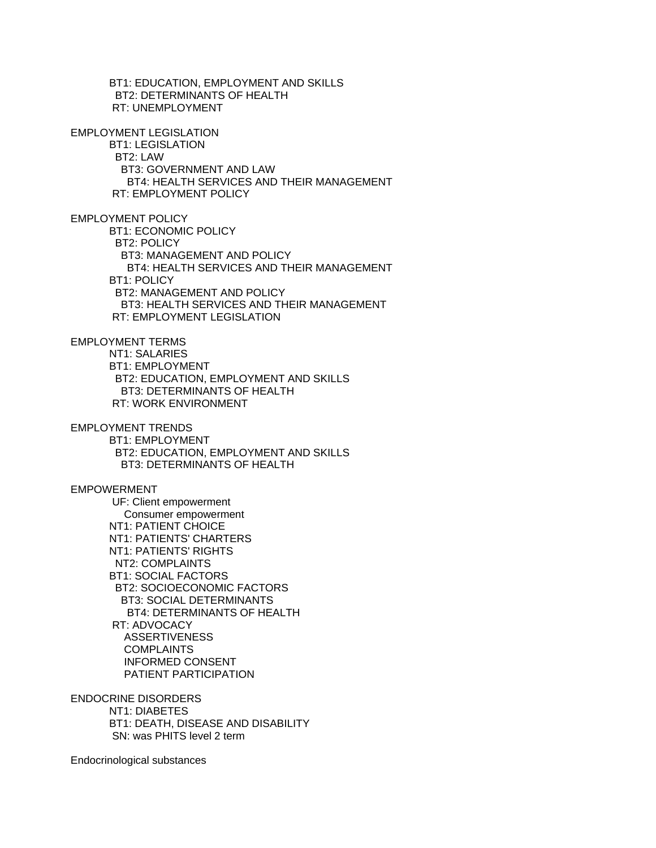BT1: EDUCATION, EMPLOYMENT AND SKILLS BT2: DETERMINANTS OF HEALTH RT: UNEMPLOYMENT

EMPLOYMENT LEGISLATION BT1: LEGISLATION BT2: LAW BT3: GOVERNMENT AND LAW BT4: HEALTH SERVICES AND THEIR MANAGEMENT RT: EMPLOYMENT POLICY

EMPLOYMENT POLICY BT1: ECONOMIC POLICY BT2: POLICY BT3: MANAGEMENT AND POLICY BT4: HEALTH SERVICES AND THEIR MANAGEMENT BT1: POLICY BT2: MANAGEMENT AND POLICY BT3: HEALTH SERVICES AND THEIR MANAGEMENT RT: EMPLOYMENT LEGISLATION

EMPLOYMENT TERMS NT1: SALARIES BT1: EMPLOYMENT BT2: EDUCATION, EMPLOYMENT AND SKILLS BT3: DETERMINANTS OF HEALTH RT: WORK ENVIRONMENT

EMPLOYMENT TRENDS BT1: EMPLOYMENT BT2: EDUCATION, EMPLOYMENT AND SKILLS BT3: DETERMINANTS OF HEALTH

EMPOWERMENT UF: Client empowerment Consumer empowerment NT1: PATIENT CHOICE NT1: PATIENTS' CHARTERS NT1: PATIENTS' RIGHTS NT2: COMPLAINTS BT1: SOCIAL FACTORS BT2: SOCIOECONOMIC FACTORS BT3: SOCIAL DETERMINANTS BT4: DETERMINANTS OF HEALTH RT: ADVOCACY ASSERTIVENESS COMPLAINTS INFORMED CONSENT PATIENT PARTICIPATION

ENDOCRINE DISORDERS NT1: DIABETES BT1: DEATH, DISEASE AND DISABILITY SN: was PHITS level 2 term

Endocrinological substances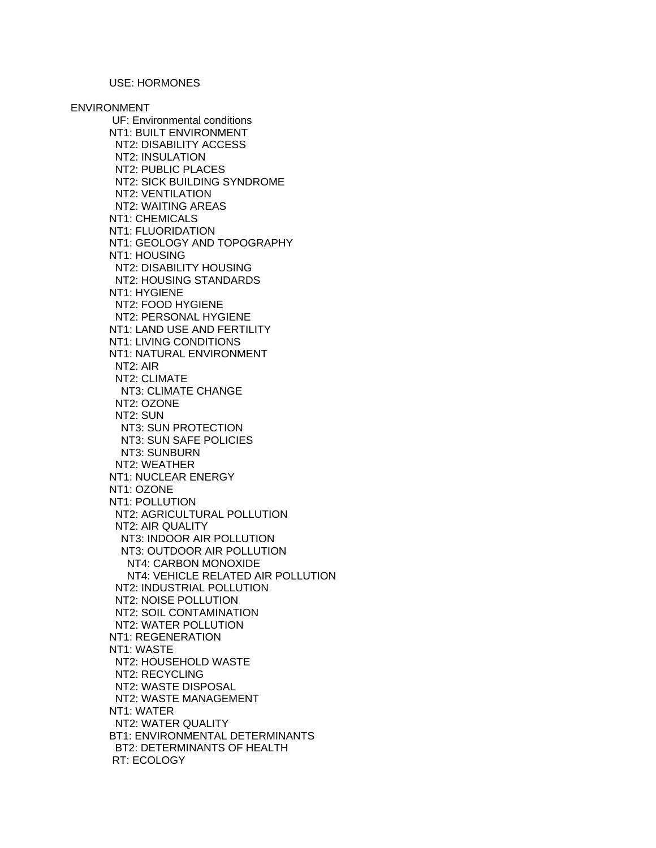# USE: HORMONES

ENVIRONMENT UF: Environmental conditions NT1: BUILT ENVIRONMENT NT2: DISABILITY ACCESS NT2: INSULATION NT2: PUBLIC PLACES NT2: SICK BUILDING SYNDROME NT2: VENTILATION NT2: WAITING AREAS NT1: CHEMICALS NT1: FLUORIDATION NT1: GEOLOGY AND TOPOGRAPHY NT1: HOUSING NT2: DISABILITY HOUSING NT2: HOUSING STANDARDS NT1: HYGIENE NT2: FOOD HYGIENE NT2: PERSONAL HYGIENE NT1: LAND USE AND FERTILITY NT1: LIVING CONDITIONS NT1: NATURAL ENVIRONMENT NT2: AIR NT2: CLIMATE NT3: CLIMATE CHANGE NT2: OZONE NT2: SUN NT3: SUN PROTECTION NT3: SUN SAFE POLICIES NT3: SUNBURN NT2: WEATHER NT1: NUCLEAR ENERGY NT1: OZONE NT1: POLLUTION NT2: AGRICULTURAL POLLUTION NT2: AIR QUALITY NT3: INDOOR AIR POLLUTION NT3: OUTDOOR AIR POLLUTION NT4: CARBON MONOXIDE NT4: VEHICLE RELATED AIR POLLUTION NT2: INDUSTRIAL POLLUTION NT2: NOISE POLLUTION NT2: SOIL CONTAMINATION NT2: WATER POLLUTION NT1: REGENERATION NT1: WASTE NT2: HOUSEHOLD WASTE NT2: RECYCLING NT2: WASTE DISPOSAL NT2: WASTE MANAGEMENT NT1: WATER NT2: WATER QUALITY BT1: ENVIRONMENTAL DETERMINANTS BT2: DETERMINANTS OF HEALTH RT: ECOLOGY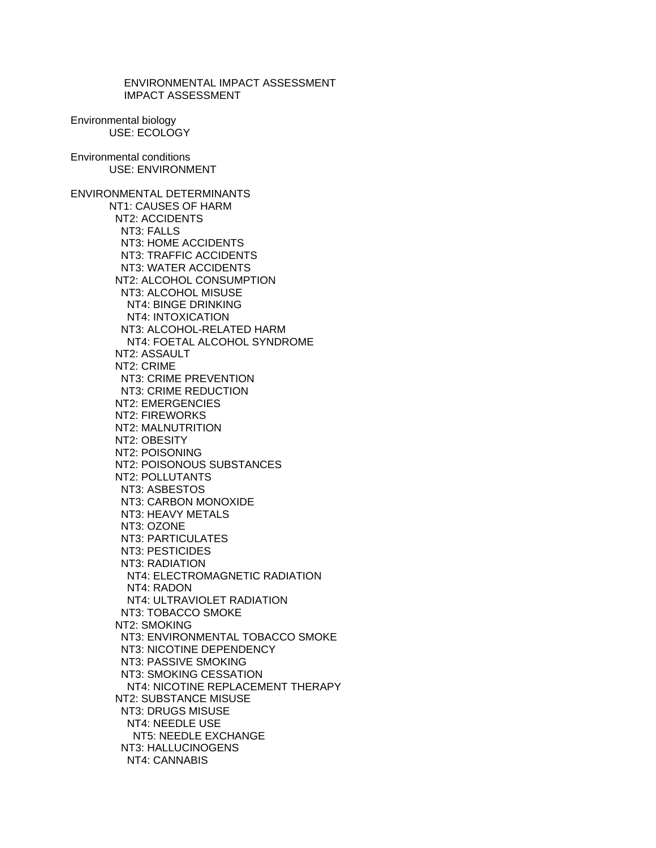ENVIRONMENTAL IMPACT ASSESSMENT IMPACT ASSESSMENT Environmental biology USE: ECOLOGY Environmental conditions USE: ENVIRONMENT ENVIRONMENTAL DETERMINANTS NT1: CAUSES OF HARM NT2: ACCIDENTS NT3: FALLS NT3: HOME ACCIDENTS NT3: TRAFFIC ACCIDENTS NT3: WATER ACCIDENTS NT2: ALCOHOL CONSUMPTION NT3: ALCOHOL MISUSE NT4: BINGE DRINKING NT4: INTOXICATION NT3: ALCOHOL-RELATED HARM NT4: FOETAL ALCOHOL SYNDROME NT2: ASSAULT NT2: CRIME NT3: CRIME PREVENTION NT3: CRIME REDUCTION NT2: EMERGENCIES NT2: FIREWORKS NT2: MALNUTRITION NT2: OBESITY NT2: POISONING NT2: POISONOUS SUBSTANCES NT2: POLLUTANTS NT3: ASBESTOS NT3: CARBON MONOXIDE NT3: HEAVY METALS NT3: OZONE NT3: PARTICULATES NT3: PESTICIDES NT3: RADIATION NT4: ELECTROMAGNETIC RADIATION NT4: RADON NT4: ULTRAVIOLET RADIATION NT3: TOBACCO SMOKE NT2: SMOKING NT3: ENVIRONMENTAL TOBACCO SMOKE NT3: NICOTINE DEPENDENCY NT3: PASSIVE SMOKING NT3: SMOKING CESSATION NT4: NICOTINE REPLACEMENT THERAPY NT2: SUBSTANCE MISUSE NT3: DRUGS MISUSE NT4: NEEDLE USE NT5: NEEDLE EXCHANGE NT3: HALLUCINOGENS NT4: CANNABIS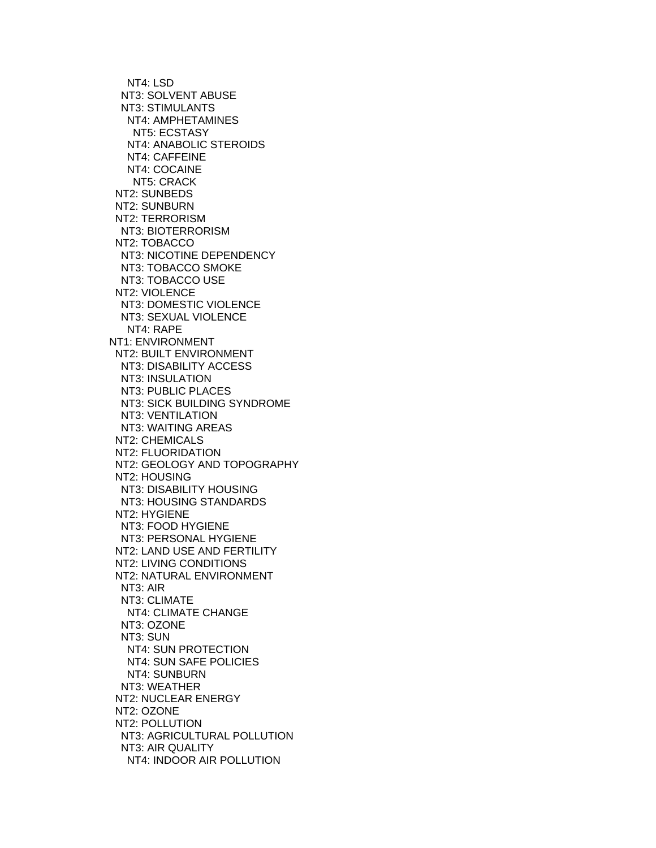NT4: LSD NT3: SOLVENT ABUSE NT3: STIMULANTS NT4: AMPHETAMINES NT5: ECSTASY NT4: ANABOLIC STEROIDS NT4: CAFFEINE NT4: COCAINE NT5: CRACK NT2: SUNBEDS NT2: SUNBURN NT2: TERRORISM NT3: BIOTERRORISM NT2: TOBACCO NT3: NICOTINE DEPENDENCY NT3: TOBACCO SMOKE NT3: TOBACCO USE NT2: VIOLENCE NT3: DOMESTIC VIOLENCE NT3: SEXUAL VIOLENCE NT4: RAPE NT1: ENVIRONMENT NT2: BUILT ENVIRONMENT NT3: DISABILITY ACCESS NT3: INSULATION NT3: PUBLIC PLACES NT3: SICK BUILDING SYNDROME NT3: VENTILATION NT3: WAITING AREAS NT2: CHEMICALS NT2: FLUORIDATION NT2: GEOLOGY AND TOPOGRAPHY NT2: HOUSING NT3: DISABILITY HOUSING NT3: HOUSING STANDARDS NT2: HYGIENE NT3: FOOD HYGIENE NT3: PERSONAL HYGIENE NT2: LAND USE AND FERTILITY NT2: LIVING CONDITIONS NT2: NATURAL ENVIRONMENT NT3: AIR NT3: CLIMATE NT4: CLIMATE CHANGE NT3: OZONE NT3: SUN NT4: SUN PROTECTION NT4: SUN SAFE POLICIES NT4: SUNBURN NT3: WEATHER NT2: NUCLEAR ENERGY NT2: OZONE NT2: POLLUTION NT3: AGRICULTURAL POLLUTION NT3: AIR QUALITY NT4: INDOOR AIR POLLUTION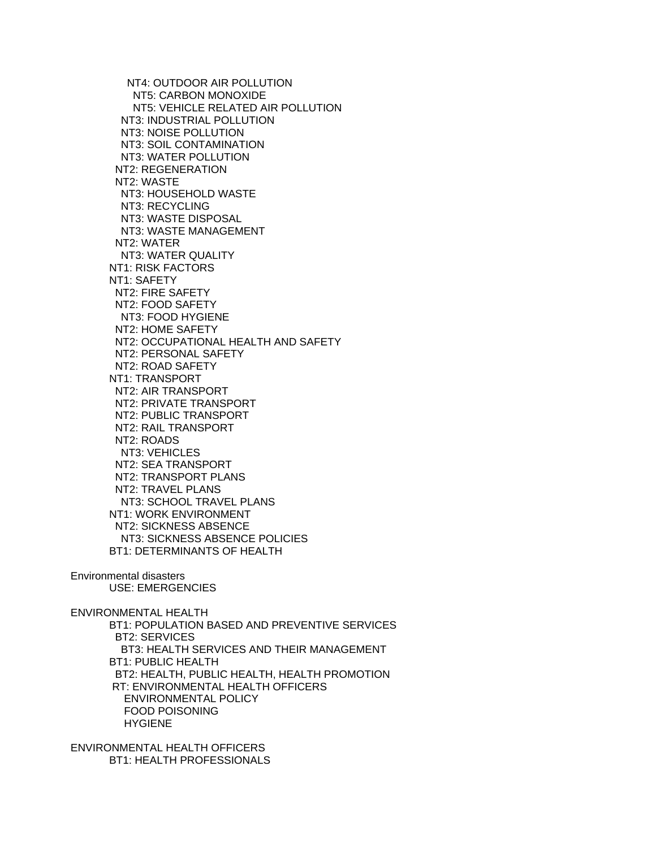NT4: OUTDOOR AIR POLLUTION NT5: CARBON MONOXIDE NT5: VEHICLE RELATED AIR POLLUTION NT3: INDUSTRIAL POLLUTION NT3: NOISE POLLUTION NT3: SOIL CONTAMINATION NT3: WATER POLLUTION NT2: REGENERATION NT2: WASTE NT3: HOUSEHOLD WASTE NT3: RECYCLING NT3: WASTE DISPOSAL NT3: WASTE MANAGEMENT NT2: WATER NT3: WATER QUALITY NT1: RISK FACTORS NT1: SAFETY NT2: FIRE SAFETY NT2: FOOD SAFETY NT3: FOOD HYGIENE NT2: HOME SAFETY NT2: OCCUPATIONAL HEALTH AND SAFETY NT2: PERSONAL SAFETY NT2: ROAD SAFETY NT1: TRANSPORT NT2: AIR TRANSPORT NT2: PRIVATE TRANSPORT NT2: PUBLIC TRANSPORT NT2: RAIL TRANSPORT NT2: ROADS NT3: VEHICLES NT2: SEA TRANSPORT NT2: TRANSPORT PLANS NT2: TRAVEL PLANS NT3: SCHOOL TRAVEL PLANS NT1: WORK ENVIRONMENT NT2: SICKNESS ABSENCE NT3: SICKNESS ABSENCE POLICIES BT1: DETERMINANTS OF HEALTH

Environmental disasters USE: EMERGENCIES

ENVIRONMENTAL HEALTH

 BT1: POPULATION BASED AND PREVENTIVE SERVICES BT2: SERVICES BT3: HEALTH SERVICES AND THEIR MANAGEMENT BT1: PUBLIC HEALTH BT2: HEALTH, PUBLIC HEALTH, HEALTH PROMOTION RT: ENVIRONMENTAL HEALTH OFFICERS ENVIRONMENTAL POLICY FOOD POISONING HYGIENE

ENVIRONMENTAL HEALTH OFFICERS BT1: HEALTH PROFESSIONALS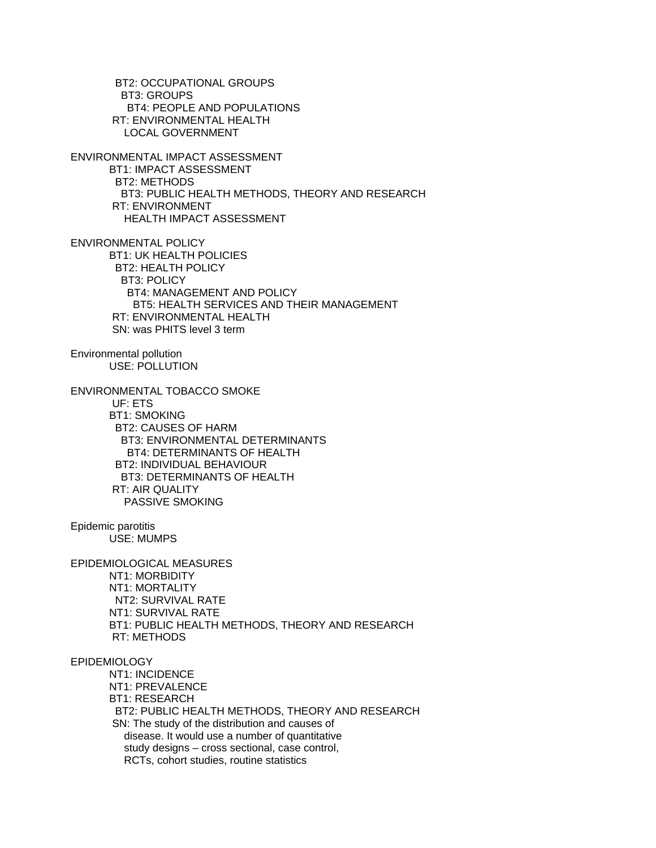BT2: OCCUPATIONAL GROUPS BT3: GROUPS BT4: PEOPLE AND POPULATIONS RT: ENVIRONMENTAL HEALTH LOCAL GOVERNMENT ENVIRONMENTAL IMPACT ASSESSMENT BT1: IMPACT ASSESSMENT BT2: METHODS BT3: PUBLIC HEALTH METHODS, THEORY AND RESEARCH RT: ENVIRONMENT HEALTH IMPACT ASSESSMENT ENVIRONMENTAL POLICY BT1: UK HEALTH POLICIES BT2: HEALTH POLICY BT3: POLICY BT4: MANAGEMENT AND POLICY BT5: HEALTH SERVICES AND THEIR MANAGEMENT RT: ENVIRONMENTAL HEALTH SN: was PHITS level 3 term Environmental pollution USE: POLLUTION ENVIRONMENTAL TOBACCO SMOKE UF: ETS BT1: SMOKING BT2: CAUSES OF HARM BT3: ENVIRONMENTAL DETERMINANTS BT4: DETERMINANTS OF HEALTH BT2: INDIVIDUAL BEHAVIOUR BT3: DETERMINANTS OF HEALTH RT: AIR QUALITY PASSIVE SMOKING Epidemic parotitis USE: MUMPS EPIDEMIOLOGICAL MEASURES NT1: MORBIDITY NT1: MORTALITY NT2: SURVIVAL RATE NT1: SURVIVAL RATE BT1: PUBLIC HEALTH METHODS, THEORY AND RESEARCH RT: METHODS EPIDEMIOLOGY NT1: INCIDENCE NT1: PREVALENCE BT1: RESEARCH BT2: PUBLIC HEALTH METHODS, THEORY AND RESEARCH SN: The study of the distribution and causes of disease. It would use a number of quantitative study designs – cross sectional, case control, RCTs, cohort studies, routine statistics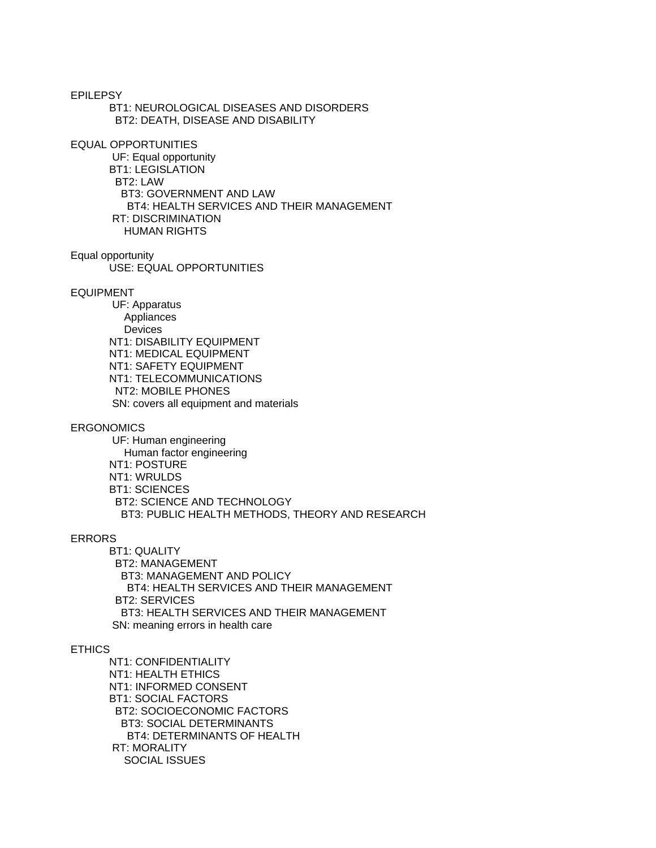EPILEPSY BT1: NEUROLOGICAL DISEASES AND DISORDERS BT2: DEATH, DISEASE AND DISABILITY

EQUAL OPPORTUNITIES

 UF: Equal opportunity BT1: LEGISLATION BT2: LAW BT3: GOVERNMENT AND LAW BT4: HEALTH SERVICES AND THEIR MANAGEMENT RT: DISCRIMINATION HUMAN RIGHTS

Equal opportunity USE: EQUAL OPPORTUNITIES

#### EQUIPMENT

 UF: Apparatus Appliances Devices NT1: DISABILITY EQUIPMENT NT1: MEDICAL EQUIPMENT NT1: SAFETY EQUIPMENT NT1: TELECOMMUNICATIONS NT2: MOBILE PHONES SN: covers all equipment and materials

## ERGONOMICS

 UF: Human engineering Human factor engineering NT1: POSTURE NT1: WRULDS BT1: SCIENCES BT2: SCIENCE AND TECHNOLOGY BT3: PUBLIC HEALTH METHODS, THEORY AND RESEARCH

#### ERRORS

 BT1: QUALITY BT2: MANAGEMENT BT3: MANAGEMENT AND POLICY BT4: HEALTH SERVICES AND THEIR MANAGEMENT BT2: SERVICES BT3: HEALTH SERVICES AND THEIR MANAGEMENT SN: meaning errors in health care

## ETHICS

 NT1: CONFIDENTIALITY NT1: HEALTH ETHICS NT1: INFORMED CONSENT BT1: SOCIAL FACTORS BT2: SOCIOECONOMIC FACTORS BT3: SOCIAL DETERMINANTS BT4: DETERMINANTS OF HEALTH RT: MORALITY SOCIAL ISSUES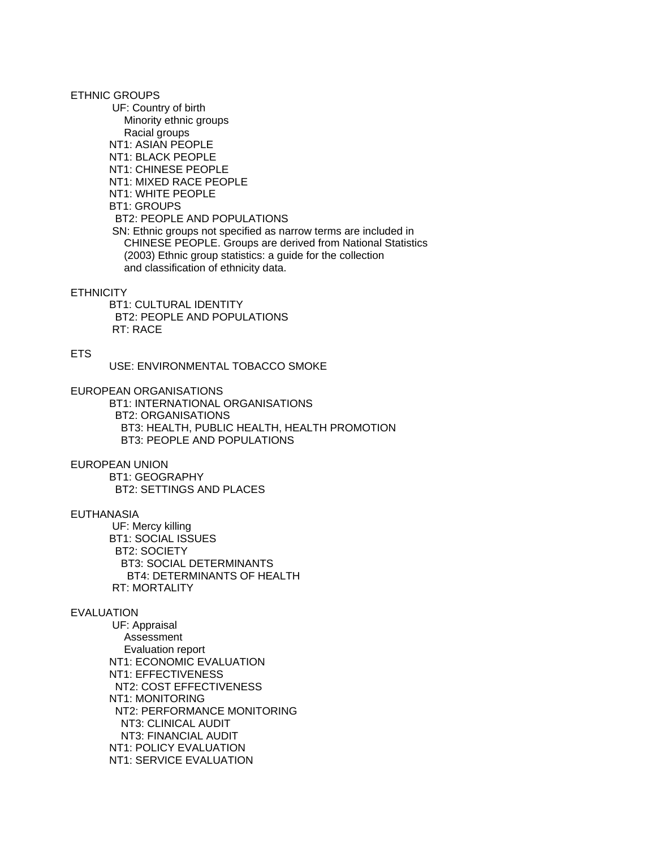ETHNIC GROUPS

 UF: Country of birth Minority ethnic groups Racial groups NT1: ASIAN PEOPLE NT1: BLACK PEOPLE NT1: CHINESE PEOPLE NT1: MIXED RACE PEOPLE NT1: WHITE PEOPLE BT1: GROUPS BT2: PEOPLE AND POPULATIONS SN: Ethnic groups not specified as narrow terms are included in CHINESE PEOPLE. Groups are derived from National Statistics (2003) Ethnic group statistics: a guide for the collection and classification of ethnicity data.

### **ETHNICITY**

 BT1: CULTURAL IDENTITY BT2: PEOPLE AND POPULATIONS RT: RACE

## ETS

USE: ENVIRONMENTAL TOBACCO SMOKE

EUROPEAN ORGANISATIONS

 BT1: INTERNATIONAL ORGANISATIONS BT2: ORGANISATIONS BT3: HEALTH, PUBLIC HEALTH, HEALTH PROMOTION BT3: PEOPLE AND POPULATIONS

### EUROPEAN UNION

 BT1: GEOGRAPHY BT2: SETTINGS AND PLACES

## EUTHANASIA

 UF: Mercy killing BT1: SOCIAL ISSUES BT2: SOCIETY BT3: SOCIAL DETERMINANTS BT4: DETERMINANTS OF HEALTH RT: MORTALITY

## EVALUATION

 UF: Appraisal Assessment Evaluation report NT1: ECONOMIC EVALUATION NT1: EFFECTIVENESS NT2: COST EFFECTIVENESS NT1: MONITORING NT2: PERFORMANCE MONITORING NT3: CLINICAL AUDIT NT3: FINANCIAL AUDIT NT1: POLICY EVALUATION NT1: SERVICE EVALUATION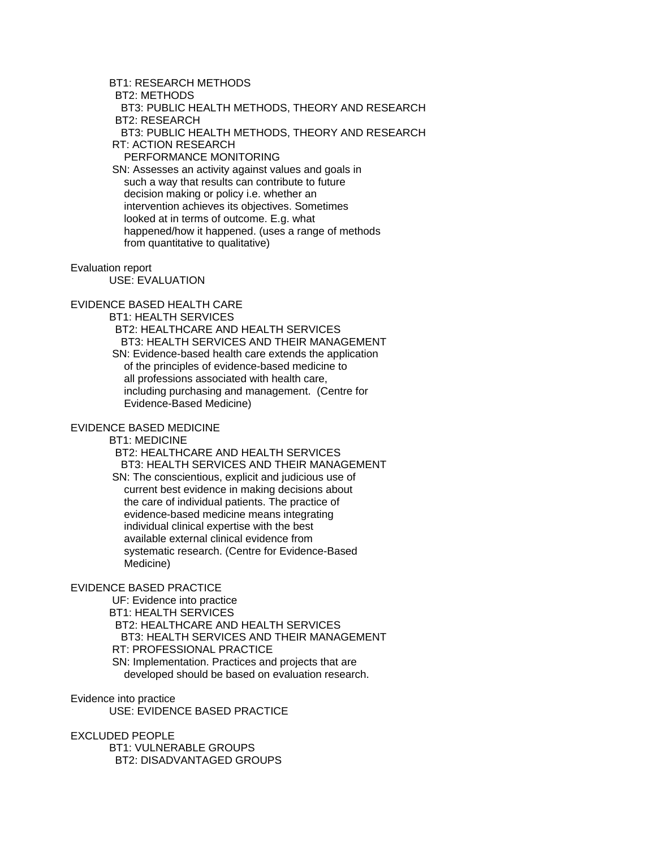# BT1: RESEARCH METHODS

BT2: METHODS

 BT3: PUBLIC HEALTH METHODS, THEORY AND RESEARCH BT2: RESEARCH

BT3: PUBLIC HEALTH METHODS, THEORY AND RESEARCH

RT: ACTION RESEARCH

PERFORMANCE MONITORING

 SN: Assesses an activity against values and goals in such a way that results can contribute to future decision making or policy i.e. whether an intervention achieves its objectives. Sometimes looked at in terms of outcome. E.g. what happened/how it happened. (uses a range of methods from quantitative to qualitative)

#### Evaluation report

USE: EVALUATION

# EVIDENCE BASED HEALTH CARE

BT1: HEALTH SERVICES

 BT2: HEALTHCARE AND HEALTH SERVICES BT3: HEALTH SERVICES AND THEIR MANAGEMENT

 SN: Evidence-based health care extends the application of the principles of evidence-based medicine to all professions associated with health care, including purchasing and management. (Centre for Evidence-Based Medicine)

## EVIDENCE BASED MEDICINE

BT1: MEDICINE

 BT2: HEALTHCARE AND HEALTH SERVICES BT3: HEALTH SERVICES AND THEIR MANAGEMENT SN: The conscientious, explicit and judicious use of current best evidence in making decisions about the care of individual patients. The practice of evidence-based medicine means integrating individual clinical expertise with the best available external clinical evidence from systematic research. (Centre for Evidence-Based Medicine)

## EVIDENCE BASED PRACTICE

 UF: Evidence into practice BT1: HEALTH SERVICES BT2: HEALTHCARE AND HEALTH SERVICES BT3: HEALTH SERVICES AND THEIR MANAGEMENT RT: PROFESSIONAL PRACTICE SN: Implementation. Practices and projects that are developed should be based on evaluation research.

Evidence into practice USE: EVIDENCE BASED PRACTICE

# EXCLUDED PEOPLE

 BT1: VULNERABLE GROUPS BT2: DISADVANTAGED GROUPS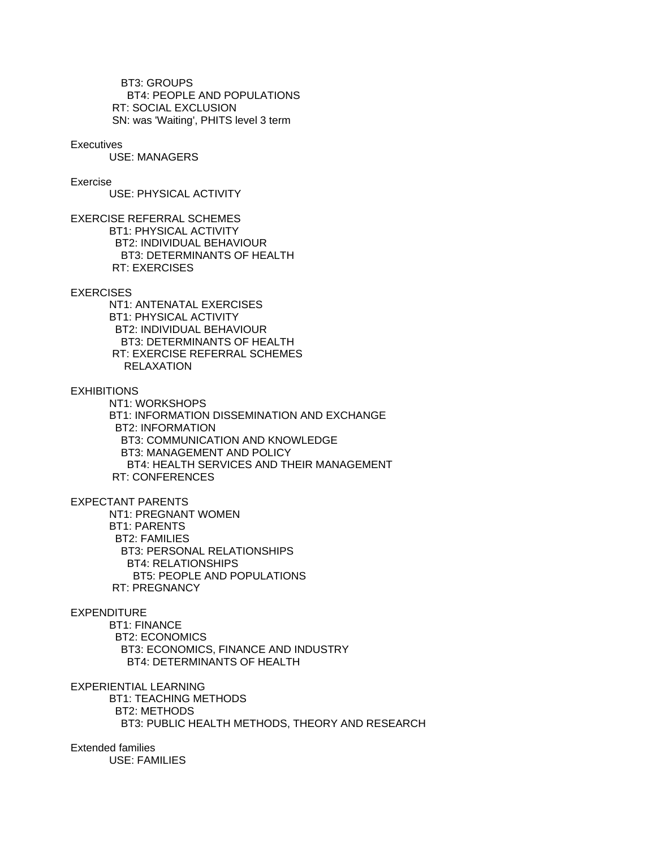BT3: GROUPS BT4: PEOPLE AND POPULATIONS RT: SOCIAL EXCLUSION SN: was 'Waiting', PHITS level 3 term

### **Executives**

USE: MANAGERS

## Exercise

USE: PHYSICAL ACTIVITY

EXERCISE REFERRAL SCHEMES BT1: PHYSICAL ACTIVITY BT2: INDIVIDUAL BEHAVIOUR BT3: DETERMINANTS OF HEALTH RT: EXERCISES

### **EXERCISES**

 NT1: ANTENATAL EXERCISES BT1: PHYSICAL ACTIVITY BT2: INDIVIDUAL BEHAVIOUR BT3: DETERMINANTS OF HEALTH RT: EXERCISE REFERRAL SCHEMES RELAXATION

**EXHIBITIONS** 

 NT1: WORKSHOPS BT1: INFORMATION DISSEMINATION AND EXCHANGE BT2: INFORMATION BT3: COMMUNICATION AND KNOWLEDGE BT3: MANAGEMENT AND POLICY BT4: HEALTH SERVICES AND THEIR MANAGEMENT RT: CONFERENCES

EXPECTANT PARENTS

 NT1: PREGNANT WOMEN BT1: PARENTS BT2: FAMILIES BT3: PERSONAL RELATIONSHIPS BT4: RELATIONSHIPS BT5: PEOPLE AND POPULATIONS RT: PREGNANCY

### EXPENDITURE

 BT1: FINANCE BT2: ECONOMICS BT3: ECONOMICS, FINANCE AND INDUSTRY BT4: DETERMINANTS OF HEALTH

EXPERIENTIAL LEARNING

 BT1: TEACHING METHODS BT2: METHODS BT3: PUBLIC HEALTH METHODS, THEORY AND RESEARCH

Extended families USE: FAMILIES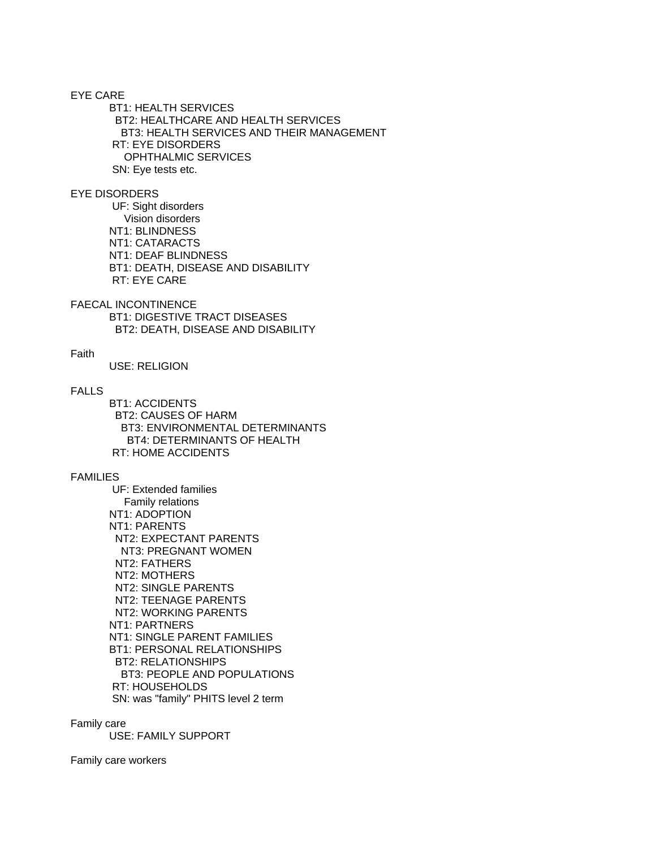EYE CARE BT1: HEALTH SERVICES BT2: HEALTHCARE AND HEALTH SERVICES BT3: HEALTH SERVICES AND THEIR MANAGEMENT RT: EYE DISORDERS OPHTHALMIC SERVICES SN: Eye tests etc.

## EYE DISORDERS

 UF: Sight disorders Vision disorders NT1: BLINDNESS NT1: CATARACTS NT1: DEAF BLINDNESS BT1: DEATH, DISEASE AND DISABILITY RT: EYE CARE

FAECAL INCONTINENCE BT1: DIGESTIVE TRACT DISEASES BT2: DEATH, DISEASE AND DISABILITY

### Faith

USE: RELIGION

# FALLS

 BT1: ACCIDENTS BT2: CAUSES OF HARM BT3: ENVIRONMENTAL DETERMINANTS BT4: DETERMINANTS OF HEALTH RT: HOME ACCIDENTS

### FAMILIES

 UF: Extended families Family relations NT1: ADOPTION NT1: PARENTS NT2: EXPECTANT PARENTS NT3: PREGNANT WOMEN NT2: FATHERS NT2: MOTHERS NT2: SINGLE PARENTS NT2: TEENAGE PARENTS NT2: WORKING PARENTS NT1: PARTNERS NT1: SINGLE PARENT FAMILIES BT1: PERSONAL RELATIONSHIPS BT2: RELATIONSHIPS BT3: PEOPLE AND POPULATIONS RT: HOUSEHOLDS SN: was "family" PHITS level 2 term

Family care

USE: FAMILY SUPPORT

Family care workers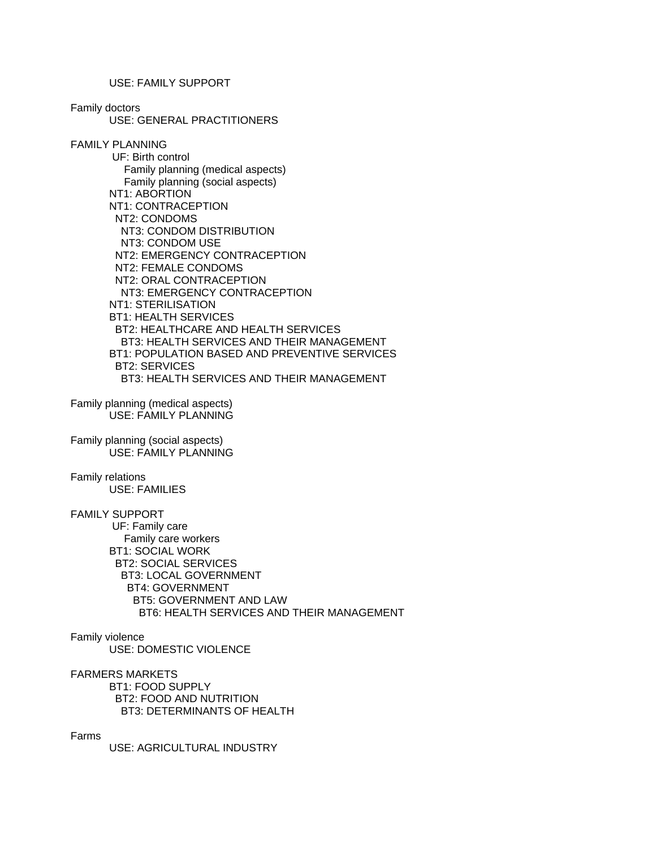USE: FAMILY SUPPORT

Family doctors

USE: GENERAL PRACTITIONERS

FAMILY PLANNING UF: Birth control Family planning (medical aspects) Family planning (social aspects) NT1: ABORTION NT1: CONTRACEPTION NT2: CONDOMS NT3: CONDOM DISTRIBUTION NT3: CONDOM USE NT2: EMERGENCY CONTRACEPTION NT2: FEMALE CONDOMS NT2: ORAL CONTRACEPTION NT3: EMERGENCY CONTRACEPTION NT1: STERILISATION BT1: HEALTH SERVICES BT2: HEALTHCARE AND HEALTH SERVICES BT3: HEALTH SERVICES AND THEIR MANAGEMENT BT1: POPULATION BASED AND PREVENTIVE SERVICES BT2: SERVICES BT3: HEALTH SERVICES AND THEIR MANAGEMENT

Family planning (medical aspects) USE: FAMILY PLANNING

Family planning (social aspects) USE: FAMILY PLANNING

Family relations USE: FAMILIES

FAMILY SUPPORT

 UF: Family care Family care workers BT1: SOCIAL WORK BT2: SOCIAL SERVICES BT3: LOCAL GOVERNMENT BT4: GOVERNMENT BT5: GOVERNMENT AND LAW BT6: HEALTH SERVICES AND THEIR MANAGEMENT

Family violence USE: DOMESTIC VIOLENCE

FARMERS MARKETS BT1: FOOD SUPPLY BT2: FOOD AND NUTRITION BT3: DETERMINANTS OF HEALTH

Farms

USE: AGRICULTURAL INDUSTRY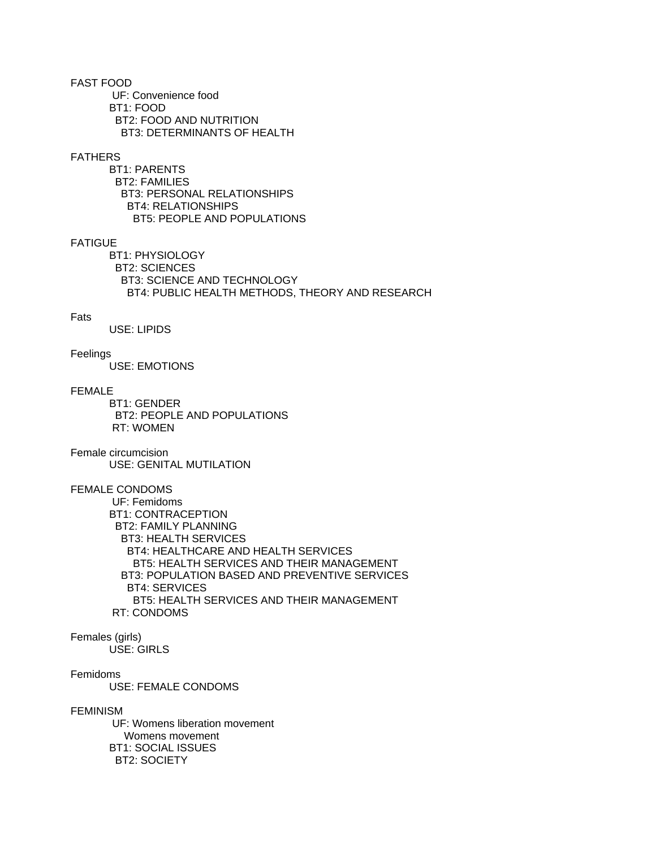FAST FOOD UF: Convenience food BT1: FOOD BT2: FOOD AND NUTRITION BT3: DETERMINANTS OF HEALTH

### FATHERS

 BT1: PARENTS BT2: FAMILIES BT3: PERSONAL RELATIONSHIPS BT4: RELATIONSHIPS BT5: PEOPLE AND POPULATIONS

## **FATIGUE**

 BT1: PHYSIOLOGY BT2: SCIENCES BT3: SCIENCE AND TECHNOLOGY BT4: PUBLIC HEALTH METHODS, THEORY AND RESEARCH

## Fats

USE: LIPIDS

### Feelings

USE: EMOTIONS

## FEMALE

 BT1: GENDER BT2: PEOPLE AND POPULATIONS RT: WOMEN

Female circumcision USE: GENITAL MUTILATION

# FEMALE CONDOMS

 UF: Femidoms BT1: CONTRACEPTION BT2: FAMILY PLANNING BT3: HEALTH SERVICES BT4: HEALTHCARE AND HEALTH SERVICES BT5: HEALTH SERVICES AND THEIR MANAGEMENT BT3: POPULATION BASED AND PREVENTIVE SERVICES BT4: SERVICES BT5: HEALTH SERVICES AND THEIR MANAGEMENT RT: CONDOMS

# Females (girls)

USE: GIRLS

## Femidoms

USE: FEMALE CONDOMS

### FEMINISM

 UF: Womens liberation movement Womens movement BT1: SOCIAL ISSUES BT2: SOCIETY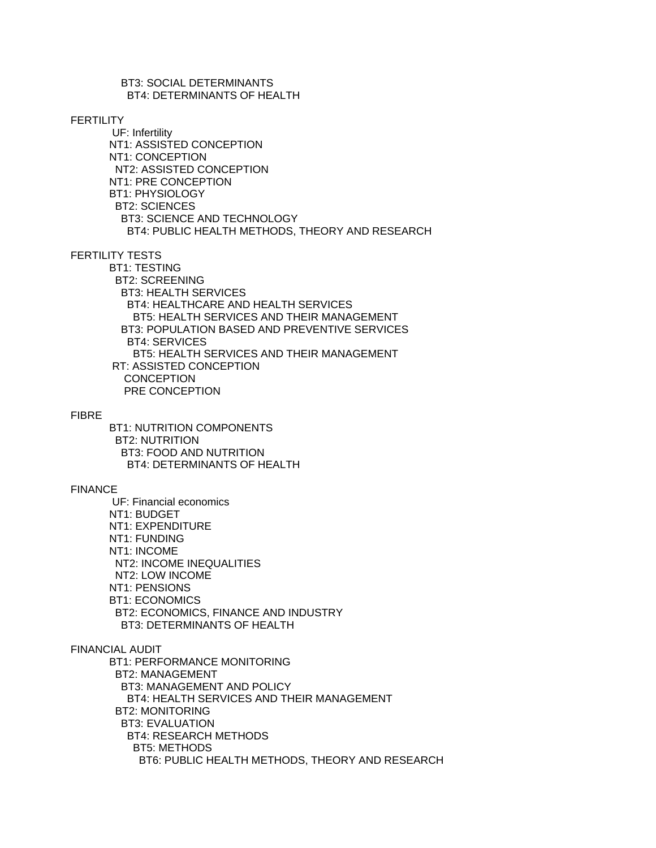BT3: SOCIAL DETERMINANTS BT4: DETERMINANTS OF HEALTH

### **FFRTILITY**

 UF: Infertility NT1: ASSISTED CONCEPTION NT1: CONCEPTION NT2: ASSISTED CONCEPTION NT1: PRE CONCEPTION BT1: PHYSIOLOGY BT2: SCIENCES BT3: SCIENCE AND TECHNOLOGY BT4: PUBLIC HEALTH METHODS, THEORY AND RESEARCH

FERTILITY TESTS

 BT1: TESTING BT2: SCREENING BT3: HEALTH SERVICES BT4: HEALTHCARE AND HEALTH SERVICES BT5: HEALTH SERVICES AND THEIR MANAGEMENT BT3: POPULATION BASED AND PREVENTIVE SERVICES BT4: SERVICES BT5: HEALTH SERVICES AND THEIR MANAGEMENT RT: ASSISTED CONCEPTION **CONCEPTION** PRE CONCEPTION

### FIBRE

 BT1: NUTRITION COMPONENTS BT2: NUTRITION BT3: FOOD AND NUTRITION BT4: DETERMINANTS OF HEALTH

### FINANCE

 UF: Financial economics NT1: BUDGET NT1: EXPENDITURE NT1: FUNDING NT1: INCOME NT2: INCOME INEQUALITIES NT2: LOW INCOME NT1: PENSIONS BT1: ECONOMICS BT2: ECONOMICS, FINANCE AND INDUSTRY BT3: DETERMINANTS OF HEALTH

## FINANCIAL AUDIT

 BT1: PERFORMANCE MONITORING BT2: MANAGEMENT BT3: MANAGEMENT AND POLICY BT4: HEALTH SERVICES AND THEIR MANAGEMENT BT2: MONITORING BT3: EVALUATION BT4: RESEARCH METHODS BT5: METHODS BT6: PUBLIC HEALTH METHODS, THEORY AND RESEARCH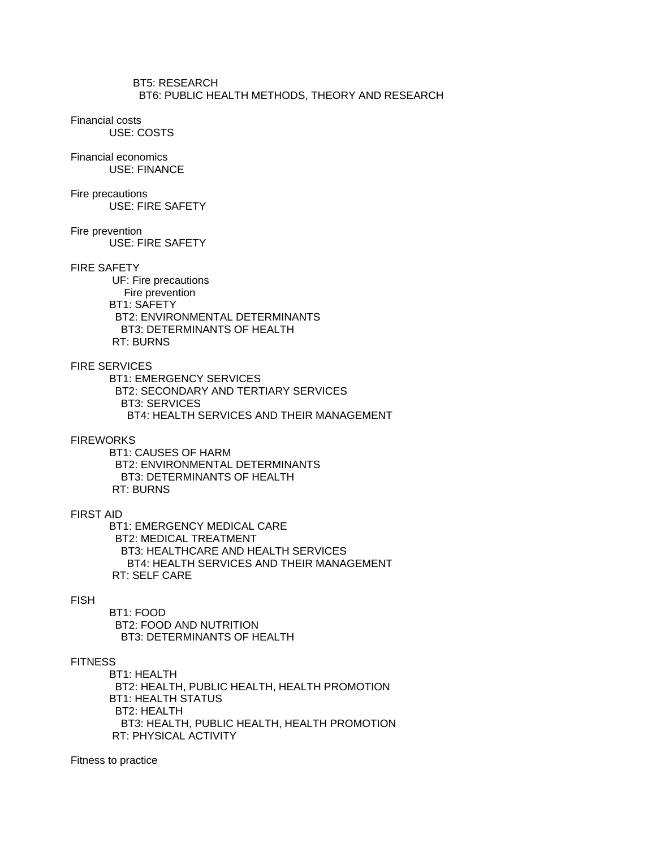BT5: RESEARCH BT6: PUBLIC HEALTH METHODS, THEORY AND RESEARCH

# Financial costs

USE: COSTS

# Financial economics

USE: FINANCE

# Fire precautions

USE: FIRE SAFETY

## Fire prevention

USE: FIRE SAFETY

# FIRE SAFETY

 UF: Fire precautions Fire prevention BT1: SAFETY BT2: ENVIRONMENTAL DETERMINANTS BT3: DETERMINANTS OF HEALTH RT: BURNS

## FIRE SERVICES

 BT1: EMERGENCY SERVICES BT2: SECONDARY AND TERTIARY SERVICES BT3: SERVICES BT4: HEALTH SERVICES AND THEIR MANAGEMENT

### **FIREWORKS**

 BT1: CAUSES OF HARM BT2: ENVIRONMENTAL DETERMINANTS BT3: DETERMINANTS OF HEALTH RT: BURNS

# FIRST AID

 BT1: EMERGENCY MEDICAL CARE BT2: MEDICAL TREATMENT BT3: HEALTHCARE AND HEALTH SERVICES BT4: HEALTH SERVICES AND THEIR MANAGEMENT RT: SELF CARE

## FISH

 BT1: FOOD BT2: FOOD AND NUTRITION BT3: DETERMINANTS OF HEALTH

### **FITNESS**

 BT1: HEALTH BT2: HEALTH, PUBLIC HEALTH, HEALTH PROMOTION BT1: HEALTH STATUS BT2: HEALTH BT3: HEALTH, PUBLIC HEALTH, HEALTH PROMOTION RT: PHYSICAL ACTIVITY

Fitness to practice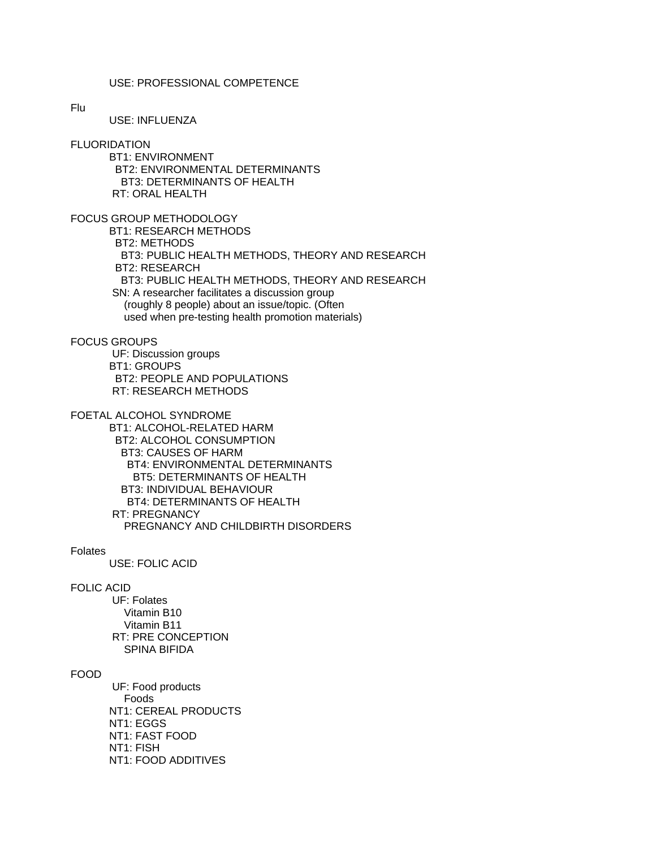# USE: PROFESSIONAL COMPETENCE

#### Flu

USE: INFLUENZA

#### **FLUORIDATION**

 BT1: ENVIRONMENT BT2: ENVIRONMENTAL DETERMINANTS BT3: DETERMINANTS OF HEALTH RT: ORAL HEALTH

FOCUS GROUP METHODOLOGY BT1: RESEARCH METHODS BT2: METHODS BT3: PUBLIC HEALTH METHODS, THEORY AND RESEARCH BT2: RESEARCH

BT3: PUBLIC HEALTH METHODS, THEORY AND RESEARCH

 SN: A researcher facilitates a discussion group (roughly 8 people) about an issue/topic. (Often

used when pre-testing health promotion materials)

# FOCUS GROUPS

 UF: Discussion groups BT1: GROUPS BT2: PEOPLE AND POPULATIONS RT: RESEARCH METHODS

# FOETAL ALCOHOL SYNDROME

 BT1: ALCOHOL-RELATED HARM BT2: ALCOHOL CONSUMPTION BT3: CAUSES OF HARM BT4: ENVIRONMENTAL DETERMINANTS BT5: DETERMINANTS OF HEALTH BT3: INDIVIDUAL BEHAVIOUR BT4: DETERMINANTS OF HEALTH RT: PREGNANCY PREGNANCY AND CHILDBIRTH DISORDERS

#### Folates

USE: FOLIC ACID

# FOLIC ACID

 UF: Folates Vitamin B10 Vitamin B11 RT: PRE CONCEPTION SPINA BIFIDA

# FOOD

 UF: Food products Foods NT1: CEREAL PRODUCTS NT1: EGGS NT1: FAST FOOD NT1: FISH NT1: FOOD ADDITIVES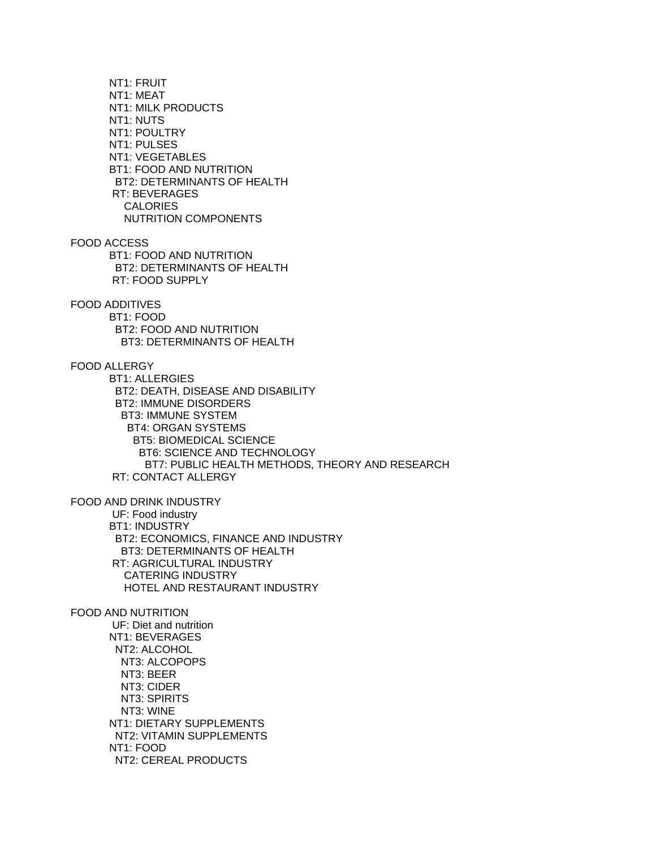NT1: FRUIT NT1: MEAT NT1: MILK PRODUCTS NT1: NUTS NT1: POULTRY NT1: PULSES NT1: VEGETABLES BT1: FOOD AND NUTRITION BT2: DETERMINANTS OF HEALTH RT: BEVERAGES **CALORIES**  NUTRITION COMPONENTS FOOD ACCESS BT1: FOOD AND NUTRITION BT2: DETERMINANTS OF HEALTH RT: FOOD SUPPLY FOOD ADDITIVES BT1: FOOD BT2: FOOD AND NUTRITION BT3: DETERMINANTS OF HEALTH FOOD ALLERGY BT1: ALLERGIES BT2: DEATH, DISEASE AND DISABILITY BT2: IMMUNE DISORDERS BT3: IMMUNE SYSTEM BT4: ORGAN SYSTEMS BT5: BIOMEDICAL SCIENCE BT6: SCIENCE AND TECHNOLOGY BT7: PUBLIC HEALTH METHODS, THEORY AND RESEARCH RT: CONTACT ALLERGY FOOD AND DRINK INDUSTRY UF: Food industry BT1: INDUSTRY BT2: ECONOMICS, FINANCE AND INDUSTRY BT3: DETERMINANTS OF HEALTH RT: AGRICULTURAL INDUSTRY CATERING INDUSTRY HOTEL AND RESTAURANT INDUSTRY FOOD AND NUTRITION UF: Diet and nutrition NT1: BEVERAGES NT2: ALCOHOL NT3: ALCOPOPS NT3: BEER NT3: CIDER NT3: SPIRITS NT3: WINE NT1: DIETARY SUPPLEMENTS NT2: VITAMIN SUPPLEMENTS NT1: FOOD NT2: CEREAL PRODUCTS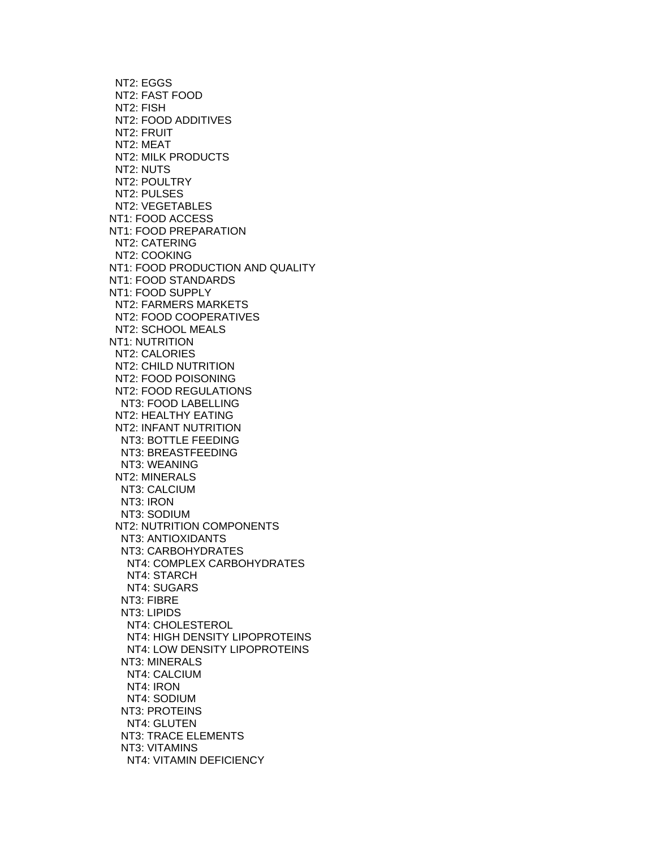NT2: EGGS NT2: FAST FOOD NT2: FISH NT2: FOOD ADDITIVES NT2: FRUIT NT2: MEAT NT2: MILK PRODUCTS NT2: NUTS NT2: POULTRY NT2: PULSES NT2: VEGETABLES NT1: FOOD ACCESS NT1: FOOD PREPARATION NT2: CATERING NT2: COOKING NT1: FOOD PRODUCTION AND QUALITY NT1: FOOD STANDARDS NT1: FOOD SUPPLY NT2: FARMERS MARKETS NT2: FOOD COOPERATIVES NT2: SCHOOL MEALS NT1: NUTRITION NT2: CALORIES NT2: CHILD NUTRITION NT2: FOOD POISONING NT2: FOOD REGULATIONS NT3: FOOD LABELLING NT2: HEALTHY EATING NT2: INFANT NUTRITION NT3: BOTTLE FEEDING NT3: BREASTFEEDING NT3: WEANING NT2: MINERALS NT3: CALCIUM NT3: IRON NT3: SODIUM NT2: NUTRITION COMPONENTS NT3: ANTIOXIDANTS NT3: CARBOHYDRATES NT4: COMPLEX CARBOHYDRATES NT4: STARCH NT4: SUGARS NT3: FIBRE NT3: LIPIDS NT4: CHOLESTEROL NT4: HIGH DENSITY LIPOPROTEINS NT4: LOW DENSITY LIPOPROTEINS NT3: MINERALS NT4: CALCIUM NT4: IRON NT4: SODIUM NT3: PROTEINS NT4: GLUTEN NT3: TRACE ELEMENTS NT3: VITAMINS NT4: VITAMIN DEFICIENCY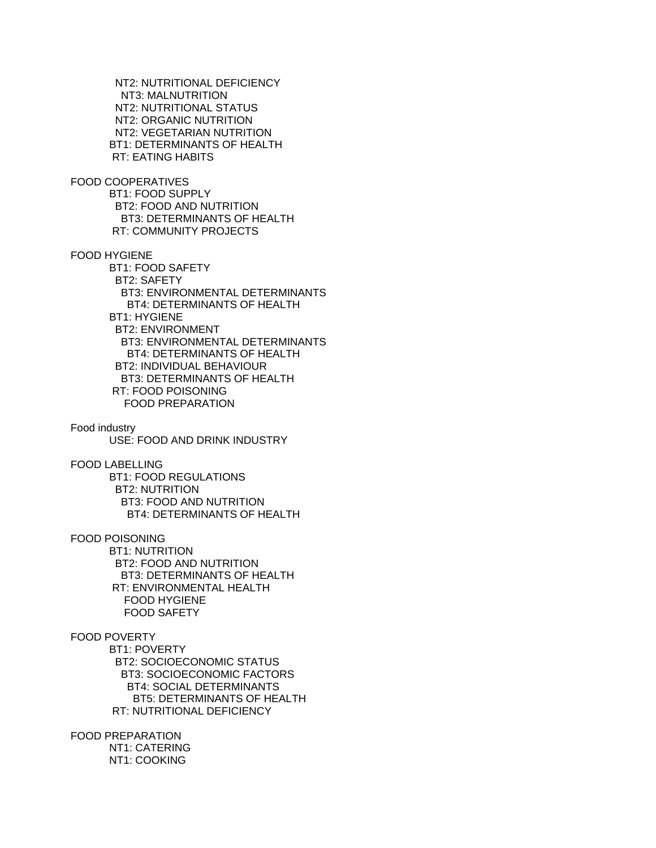NT2: NUTRITIONAL DEFICIENCY NT3: MALNUTRITION NT2: NUTRITIONAL STATUS NT2: ORGANIC NUTRITION NT2: VEGETARIAN NUTRITION BT1: DETERMINANTS OF HEALTH RT: EATING HABITS

FOOD COOPERATIVES BT1: FOOD SUPPLY BT2: FOOD AND NUTRITION BT3: DETERMINANTS OF HEALTH RT: COMMUNITY PROJECTS

FOOD HYGIENE

 BT1: FOOD SAFETY BT2: SAFETY BT3: ENVIRONMENTAL DETERMINANTS BT4: DETERMINANTS OF HEALTH BT1: HYGIENE BT2: ENVIRONMENT BT3: ENVIRONMENTAL DETERMINANTS BT4: DETERMINANTS OF HEALTH BT2: INDIVIDUAL BEHAVIOUR BT3: DETERMINANTS OF HEALTH RT: FOOD POISONING FOOD PREPARATION

Food industry USE: FOOD AND DRINK INDUSTRY

FOOD LABELLING

 BT1: FOOD REGULATIONS BT2: NUTRITION BT3: FOOD AND NUTRITION BT4: DETERMINANTS OF HEALTH

FOOD POISONING

 BT1: NUTRITION BT2: FOOD AND NUTRITION BT3: DETERMINANTS OF HEALTH RT: ENVIRONMENTAL HEALTH FOOD HYGIENE FOOD SAFETY

# FOOD POVERTY

 BT1: POVERTY BT2: SOCIOECONOMIC STATUS BT3: SOCIOECONOMIC FACTORS BT4: SOCIAL DETERMINANTS BT5: DETERMINANTS OF HEALTH RT: NUTRITIONAL DEFICIENCY

FOOD PREPARATION

 NT1: CATERING NT1: COOKING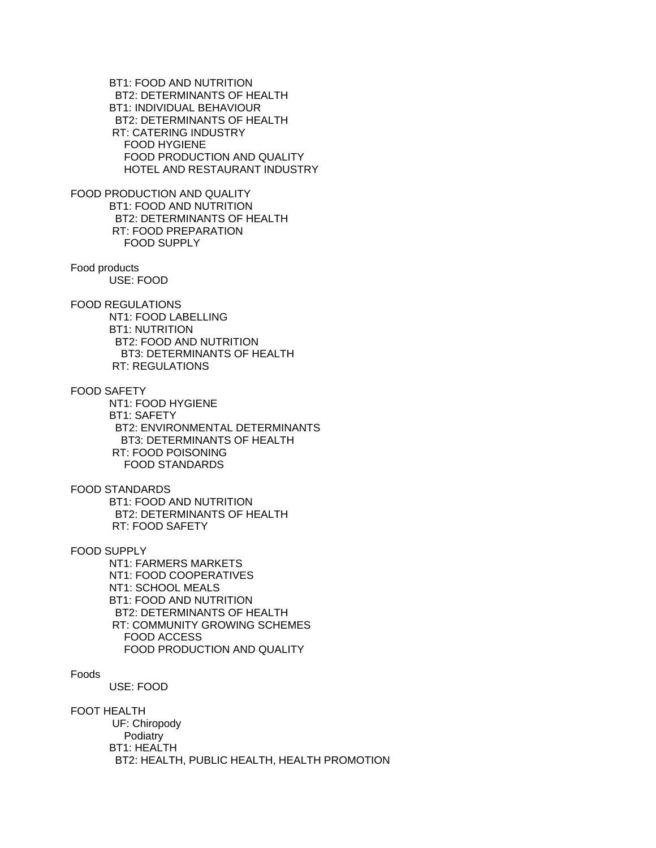BT1: FOOD AND NUTRITION BT2: DETERMINANTS OF HEALTH BT1: INDIVIDUAL BEHAVIOUR BT2: DETERMINANTS OF HEALTH RT: CATERING INDUSTRY FOOD HYGIENE FOOD PRODUCTION AND QUALITY HOTEL AND RESTAURANT INDUSTRY

FOOD PRODUCTION AND QUALITY BT1: FOOD AND NUTRITION BT2: DETERMINANTS OF HEALTH RT: FOOD PREPARATION FOOD SUPPLY

Food products USE: FOOD

FOOD REGULATIONS NT1: FOOD LABELLING BT1: NUTRITION BT2: FOOD AND NUTRITION

 BT3: DETERMINANTS OF HEALTH RT: REGULATIONS

FOOD SAFETY NT1: FOOD HYGIENE BT1: SAFETY BT2: ENVIRONMENTAL DETERMINANTS BT3: DETERMINANTS OF HEALTH RT: FOOD POISONING FOOD STANDARDS

FOOD STANDARDS BT1: FOOD AND NUTRITION BT2: DETERMINANTS OF HEALTH RT: FOOD SAFETY

FOOD SUPPLY NT1: FARMERS MARKETS NT1: FOOD COOPERATIVES NT1: SCHOOL MEALS BT1: FOOD AND NUTRITION BT2: DETERMINANTS OF HEALTH RT: COMMUNITY GROWING SCHEMES FOOD ACCESS FOOD PRODUCTION AND QUALITY

Foods

USE: FOOD

FOOT HEALTH

 UF: Chiropody Podiatry BT1: HEALTH BT2: HEALTH, PUBLIC HEALTH, HEALTH PROMOTION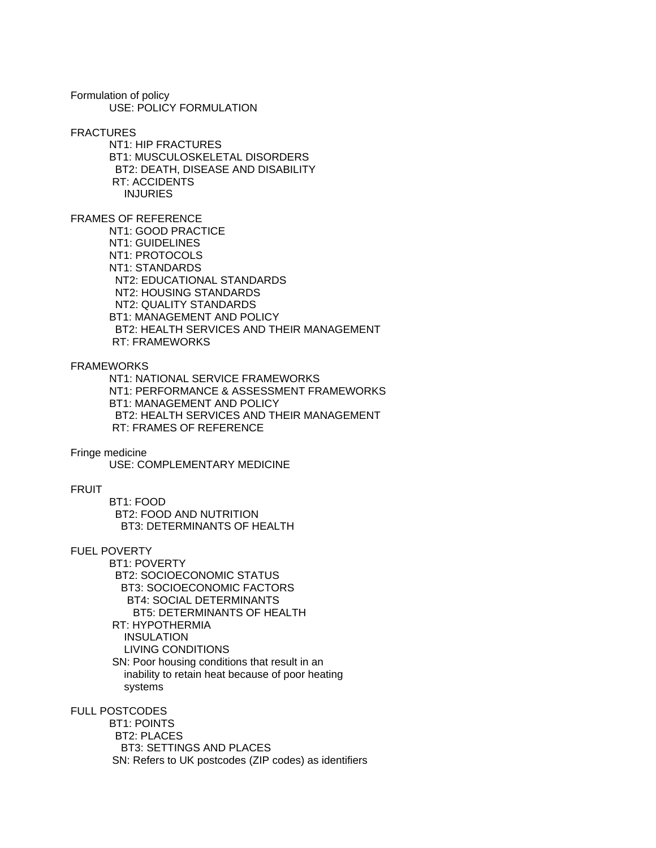Formulation of policy USE: POLICY FORMULATION

FRACTURES

 NT1: HIP FRACTURES BT1: MUSCULOSKELETAL DISORDERS BT2: DEATH, DISEASE AND DISABILITY RT: ACCIDENTS INJURIES

FRAMES OF REFERENCE

 NT1: GOOD PRACTICE NT1: GUIDELINES NT1: PROTOCOLS NT1: STANDARDS NT2: EDUCATIONAL STANDARDS NT2: HOUSING STANDARDS NT2: QUALITY STANDARDS BT1: MANAGEMENT AND POLICY BT2: HEALTH SERVICES AND THEIR MANAGEMENT RT: FRAMEWORKS

FRAMEWORKS

 NT1: NATIONAL SERVICE FRAMEWORKS NT1: PERFORMANCE & ASSESSMENT FRAMEWORKS BT1: MANAGEMENT AND POLICY BT2: HEALTH SERVICES AND THEIR MANAGEMENT RT: FRAMES OF REFERENCE

Fringe medicine

USE: COMPLEMENTARY MEDICINE

#### FRUIT

 BT1: FOOD BT2: FOOD AND NUTRITION BT3: DETERMINANTS OF HEALTH

# FUEL POVERTY

 BT1: POVERTY BT2: SOCIOECONOMIC STATUS BT3: SOCIOECONOMIC FACTORS BT4: SOCIAL DETERMINANTS BT5: DETERMINANTS OF HEALTH RT: HYPOTHERMIA INSULATION LIVING CONDITIONS SN: Poor housing conditions that result in an inability to retain heat because of poor heating systems

FULL POSTCODES

 BT1: POINTS BT2: PLACES BT3: SETTINGS AND PLACES SN: Refers to UK postcodes (ZIP codes) as identifiers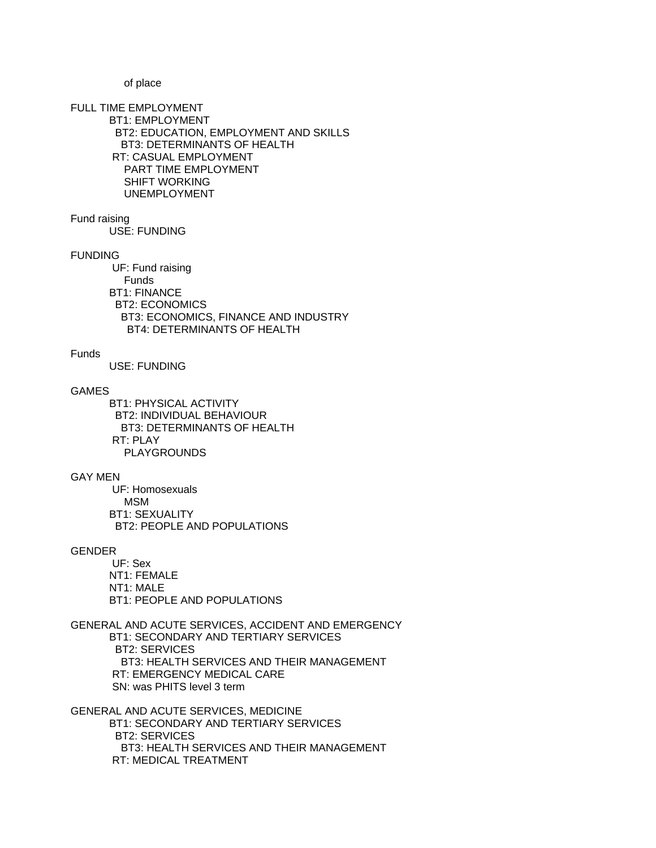of place

FULL TIME EMPLOYMENT BT1: EMPLOYMENT BT2: EDUCATION, EMPLOYMENT AND SKILLS BT3: DETERMINANTS OF HEALTH RT: CASUAL EMPLOYMENT PART TIME EMPLOYMENT SHIFT WORKING UNEMPLOYMENT

Fund raising

USE: FUNDING

## FUNDING

 UF: Fund raising Funds BT1: FINANCE BT2: ECONOMICS BT3: ECONOMICS, FINANCE AND INDUSTRY BT4: DETERMINANTS OF HEALTH

# Funds

USE: FUNDING

# GAMES

 BT1: PHYSICAL ACTIVITY BT2: INDIVIDUAL BEHAVIOUR BT3: DETERMINANTS OF HEALTH RT: PLAY PLAYGROUNDS

# GAY MEN

 UF: Homosexuals MSM BT1: SEXUALITY BT2: PEOPLE AND POPULATIONS

# GENDER

 UF: Sex NT1: FEMALE NT1: MALE BT1: PEOPLE AND POPULATIONS

GENERAL AND ACUTE SERVICES, ACCIDENT AND EMERGENCY BT1: SECONDARY AND TERTIARY SERVICES BT2: SERVICES BT3: HEALTH SERVICES AND THEIR MANAGEMENT RT: EMERGENCY MEDICAL CARE SN: was PHITS level 3 term

GENERAL AND ACUTE SERVICES, MEDICINE BT1: SECONDARY AND TERTIARY SERVICES BT2: SERVICES BT3: HEALTH SERVICES AND THEIR MANAGEMENT RT: MEDICAL TREATMENT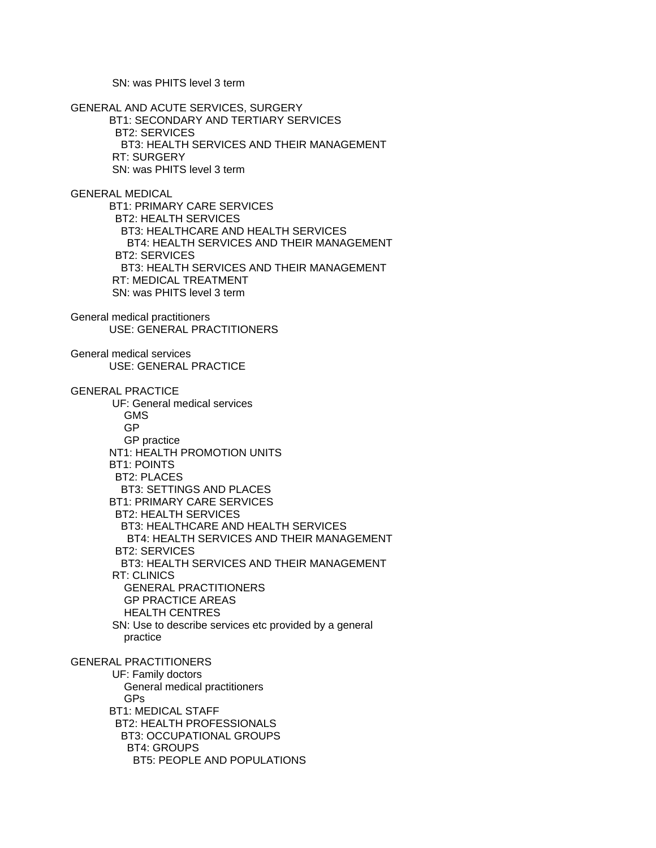SN: was PHITS level 3 term

GENERAL AND ACUTE SERVICES, SURGERY BT1: SECONDARY AND TERTIARY SERVICES BT2: SERVICES BT3: HEALTH SERVICES AND THEIR MANAGEMENT RT: SURGERY SN: was PHITS level 3 term GENERAL MEDICAL BT1: PRIMARY CARE SERVICES BT2: HEALTH SERVICES BT3: HEALTHCARE AND HEALTH SERVICES BT4: HEALTH SERVICES AND THEIR MANAGEMENT BT2: SERVICES BT3: HEALTH SERVICES AND THEIR MANAGEMENT RT: MEDICAL TREATMENT SN: was PHITS level 3 term General medical practitioners USE: GENERAL PRACTITIONERS General medical services USE: GENERAL PRACTICE GENERAL PRACTICE UF: General medical services GMS GP GP practice NT1: HEALTH PROMOTION UNITS BT1: POINTS BT2: PLACES BT3: SETTINGS AND PLACES BT1: PRIMARY CARE SERVICES BT2: HEALTH SERVICES BT3: HEALTHCARE AND HEALTH SERVICES BT4: HEALTH SERVICES AND THEIR MANAGEMENT BT2: SERVICES BT3: HEALTH SERVICES AND THEIR MANAGEMENT RT: CLINICS GENERAL PRACTITIONERS GP PRACTICE AREAS HEALTH CENTRES SN: Use to describe services etc provided by a general practice GENERAL PRACTITIONERS UF: Family doctors General medical practitioners GPs BT1: MEDICAL STAFF BT2: HEALTH PROFESSIONALS BT3: OCCUPATIONAL GROUPS BT4: GROUPS BT5: PEOPLE AND POPULATIONS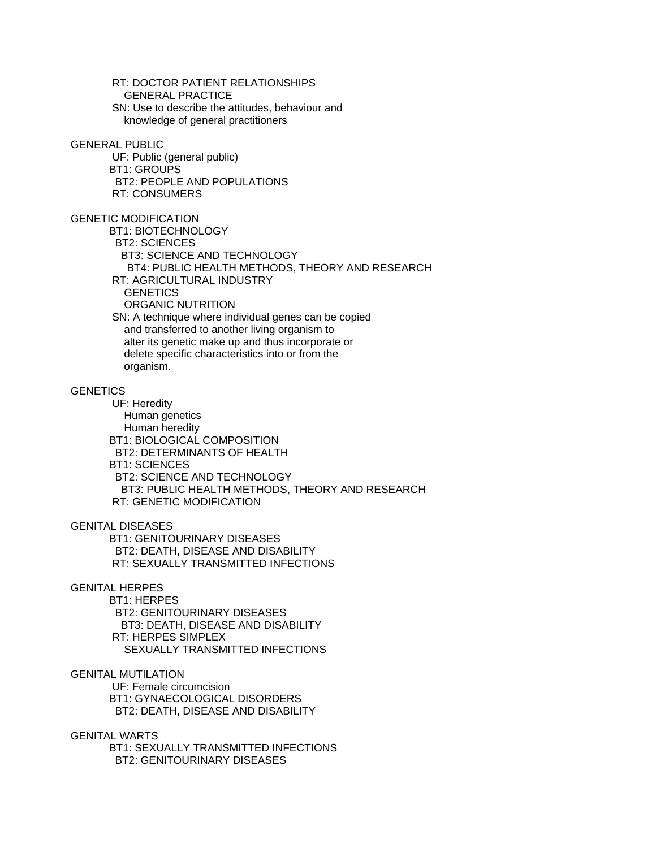RT: DOCTOR PATIENT RELATIONSHIPS GENERAL PRACTICE SN: Use to describe the attitudes, behaviour and knowledge of general practitioners

#### GENERAL PUBLIC

 UF: Public (general public) BT1: GROUPS BT2: PEOPLE AND POPULATIONS RT: CONSUMERS

GENETIC MODIFICATION

 BT1: BIOTECHNOLOGY BT2: SCIENCES BT3: SCIENCE AND TECHNOLOGY BT4: PUBLIC HEALTH METHODS, THEORY AND RESEARCH RT: AGRICULTURAL INDUSTRY **GENETICS** ORGANIC NUTRITION

 SN: A technique where individual genes can be copied and transferred to another living organism to alter its genetic make up and thus incorporate or delete specific characteristics into or from the organism.

# **GENETICS**

 UF: Heredity Human genetics Human heredity BT1: BIOLOGICAL COMPOSITION BT2: DETERMINANTS OF HEALTH BT1: SCIENCES BT2: SCIENCE AND TECHNOLOGY BT3: PUBLIC HEALTH METHODS, THEORY AND RESEARCH RT: GENETIC MODIFICATION

# GENITAL DISEASES

 BT1: GENITOURINARY DISEASES BT2: DEATH, DISEASE AND DISABILITY RT: SEXUALLY TRANSMITTED INFECTIONS

# GENITAL HERPES

BT1: HERPES

 BT2: GENITOURINARY DISEASES BT3: DEATH, DISEASE AND DISABILITY RT: HERPES SIMPLEX SEXUALLY TRANSMITTED INFECTIONS

GENITAL MUTILATION

 UF: Female circumcision BT1: GYNAECOLOGICAL DISORDERS BT2: DEATH, DISEASE AND DISABILITY

# GENITAL WARTS

 BT1: SEXUALLY TRANSMITTED INFECTIONS BT2: GENITOURINARY DISEASES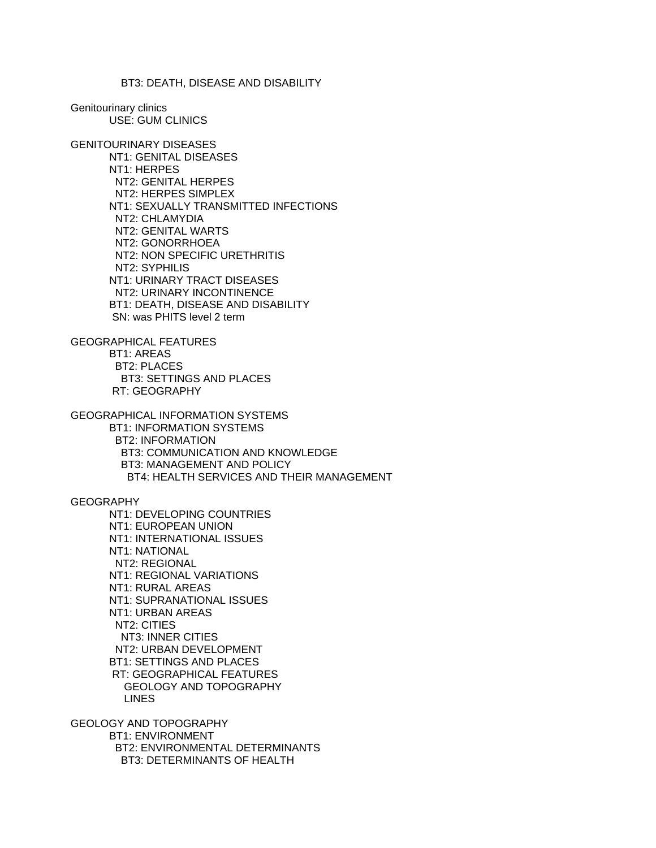### BT3: DEATH, DISEASE AND DISABILITY

Genitourinary clinics USE: GUM CLINICS

GENITOURINARY DISEASES NT1: GENITAL DISEASES NT1: HERPES NT2: GENITAL HERPES NT2: HERPES SIMPLEX NT1: SEXUALLY TRANSMITTED INFECTIONS NT2: CHLAMYDIA NT2: GENITAL WARTS NT2: GONORRHOEA NT2: NON SPECIFIC URETHRITIS NT2: SYPHILIS NT1: URINARY TRACT DISEASES NT2: URINARY INCONTINENCE BT1: DEATH, DISEASE AND DISABILITY SN: was PHITS level 2 term

GEOGRAPHICAL FEATURES BT1: AREAS BT2: PLACES BT3: SETTINGS AND PLACES RT: GEOGRAPHY

GEOGRAPHICAL INFORMATION SYSTEMS BT1: INFORMATION SYSTEMS BT2: INFORMATION BT3: COMMUNICATION AND KNOWLEDGE BT3: MANAGEMENT AND POLICY BT4: HEALTH SERVICES AND THEIR MANAGEMENT

**GEOGRAPHY** 

 NT1: DEVELOPING COUNTRIES NT1: EUROPEAN UNION NT1: INTERNATIONAL ISSUES NT1: NATIONAL NT2: REGIONAL NT1: REGIONAL VARIATIONS NT1: RURAL AREAS NT1: SUPRANATIONAL ISSUES NT1: URBAN AREAS NT2: CITIES NT3: INNER CITIES NT2: URBAN DEVELOPMENT BT1: SETTINGS AND PLACES RT: GEOGRAPHICAL FEATURES GEOLOGY AND TOPOGRAPHY LINES

GEOLOGY AND TOPOGRAPHY BT1: ENVIRONMENT BT2: ENVIRONMENTAL DETERMINANTS BT3: DETERMINANTS OF HEALTH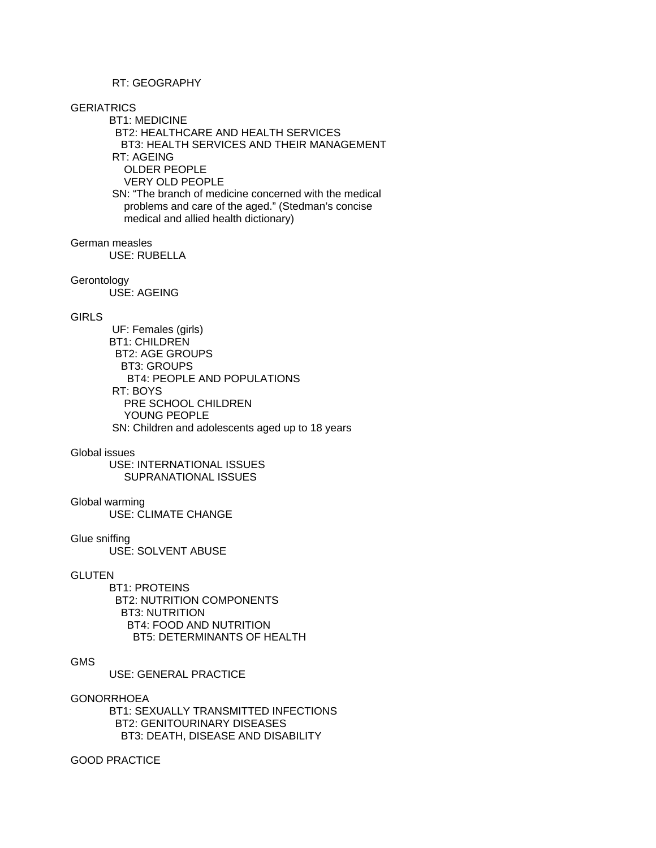# RT: GEOGRAPHY

# **GERIATRICS**

 BT1: MEDICINE BT2: HEALTHCARE AND HEALTH SERVICES BT3: HEALTH SERVICES AND THEIR MANAGEMENT RT: AGEING OLDER PEOPLE VERY OLD PEOPLE SN: "The branch of medicine concerned with the medical

 problems and care of the aged." (Stedman's concise medical and allied health dictionary)

# German measles

USE: RUBELLA

# Gerontology

USE: AGEING

# **GIRLS**

 UF: Females (girls) BT1: CHILDREN BT2: AGE GROUPS BT3: GROUPS BT4: PEOPLE AND POPULATIONS RT: BOYS PRE SCHOOL CHILDREN YOUNG PEOPLE SN: Children and adolescents aged up to 18 years

#### Global issues

 USE: INTERNATIONAL ISSUES SUPRANATIONAL ISSUES

# Global warming

USE: CLIMATE CHANGE

#### Glue sniffing

USE: SOLVENT ABUSE

## GLUTEN

 BT1: PROTEINS BT2: NUTRITION COMPONENTS BT3: NUTRITION BT4: FOOD AND NUTRITION BT5: DETERMINANTS OF HEALTH

# GMS

USE: GENERAL PRACTICE

#### GONORRHOEA

 BT1: SEXUALLY TRANSMITTED INFECTIONS BT2: GENITOURINARY DISEASES BT3: DEATH, DISEASE AND DISABILITY

# GOOD PRACTICE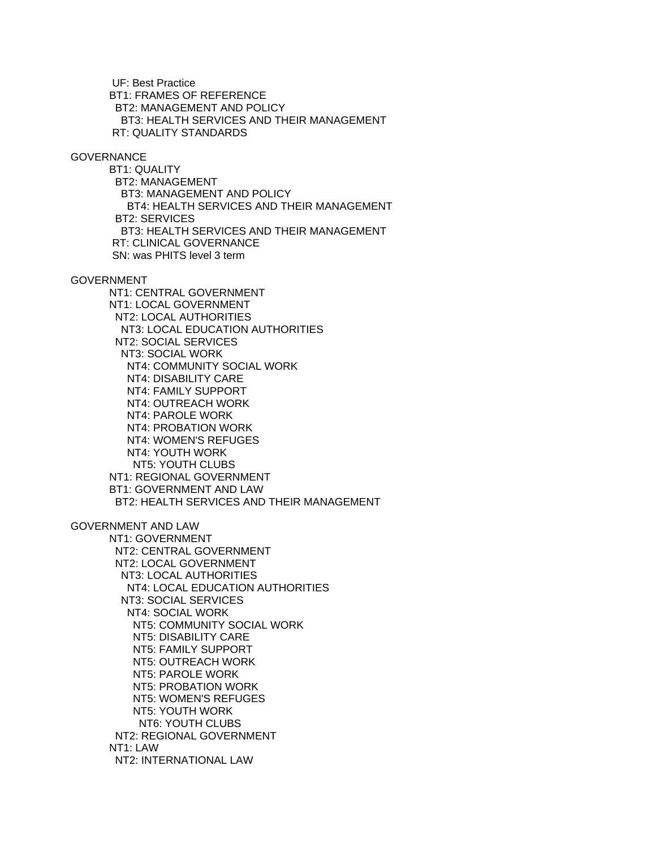UF: Best Practice BT1: FRAMES OF REFERENCE BT2: MANAGEMENT AND POLICY BT3: HEALTH SERVICES AND THEIR MANAGEMENT RT: QUALITY STANDARDS

### **GOVERNANCE**

 BT1: QUALITY BT2: MANAGEMENT BT3: MANAGEMENT AND POLICY BT4: HEALTH SERVICES AND THEIR MANAGEMENT BT2: SERVICES BT3: HEALTH SERVICES AND THEIR MANAGEMENT RT: CLINICAL GOVERNANCE SN: was PHITS level 3 term

GOVERNMENT

 NT1: CENTRAL GOVERNMENT NT1: LOCAL GOVERNMENT NT2: LOCAL AUTHORITIES NT3: LOCAL EDUCATION AUTHORITIES NT2: SOCIAL SERVICES NT3: SOCIAL WORK NT4: COMMUNITY SOCIAL WORK NT4: DISABILITY CARE NT4: FAMILY SUPPORT NT4: OUTREACH WORK NT4: PAROLE WORK NT4: PROBATION WORK NT4: WOMEN'S REFUGES NT4: YOUTH WORK NT5: YOUTH CLUBS NT1: REGIONAL GOVERNMENT BT1: GOVERNMENT AND LAW BT2: HEALTH SERVICES AND THEIR MANAGEMENT GOVERNMENT AND LAW NT1: GOVERNMENT NT2: CENTRAL GOVERNMENT NT2: LOCAL GOVERNMENT NT3: LOCAL AUTHORITIES NT4: LOCAL EDUCATION AUTHORITIES NT3: SOCIAL SERVICES NT4: SOCIAL WORK NT5: COMMUNITY SOCIAL WORK NT5: DISABILITY CARE NT5: FAMILY SUPPORT NT5: OUTREACH WORK NT5: PAROLE WORK NT5: PROBATION WORK NT5: WOMEN'S REFUGES NT5: YOUTH WORK NT6: YOUTH CLUBS NT2: REGIONAL GOVERNMENT NT1: LAW NT2: INTERNATIONAL LAW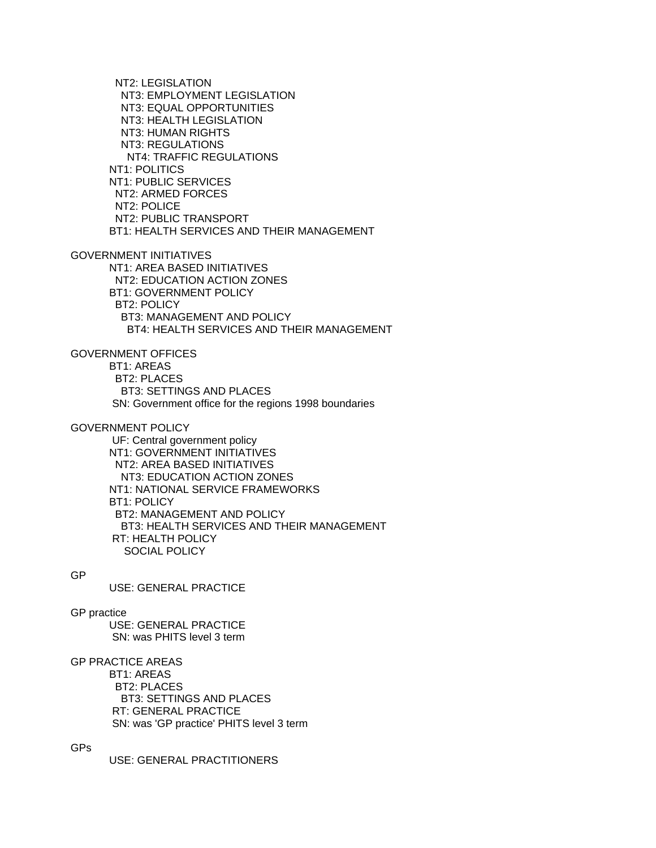NT2: LEGISLATION NT3: EMPLOYMENT LEGISLATION NT3: EQUAL OPPORTUNITIES NT3: HEALTH LEGISLATION NT3: HUMAN RIGHTS NT3: REGULATIONS NT4: TRAFFIC REGULATIONS NT1: POLITICS NT1: PUBLIC SERVICES NT2: ARMED FORCES NT2: POLICE NT2: PUBLIC TRANSPORT BT1: HEALTH SERVICES AND THEIR MANAGEMENT GOVERNMENT INITIATIVES NT1: AREA BASED INITIATIVES NT2: EDUCATION ACTION ZONES BT1: GOVERNMENT POLICY BT2: POLICY BT3: MANAGEMENT AND POLICY BT4: HEALTH SERVICES AND THEIR MANAGEMENT GOVERNMENT OFFICES BT1: AREAS BT2: PLACES BT3: SETTINGS AND PLACES SN: Government office for the regions 1998 boundaries GOVERNMENT POLICY UF: Central government policy NT1: GOVERNMENT INITIATIVES NT2: AREA BASED INITIATIVES NT3: EDUCATION ACTION ZONES NT1: NATIONAL SERVICE FRAMEWORKS BT1: POLICY BT2: MANAGEMENT AND POLICY BT3: HEALTH SERVICES AND THEIR MANAGEMENT RT: HEALTH POLICY SOCIAL POLICY GP USE: GENERAL PRACTICE

GP practice USE: GENERAL PRACTICE SN: was PHITS level 3 term

# GP PRACTICE AREAS

 BT1: AREAS BT2: PLACES BT3: SETTINGS AND PLACES RT: GENERAL PRACTICE SN: was 'GP practice' PHITS level 3 term

GPs

USE: GENERAL PRACTITIONERS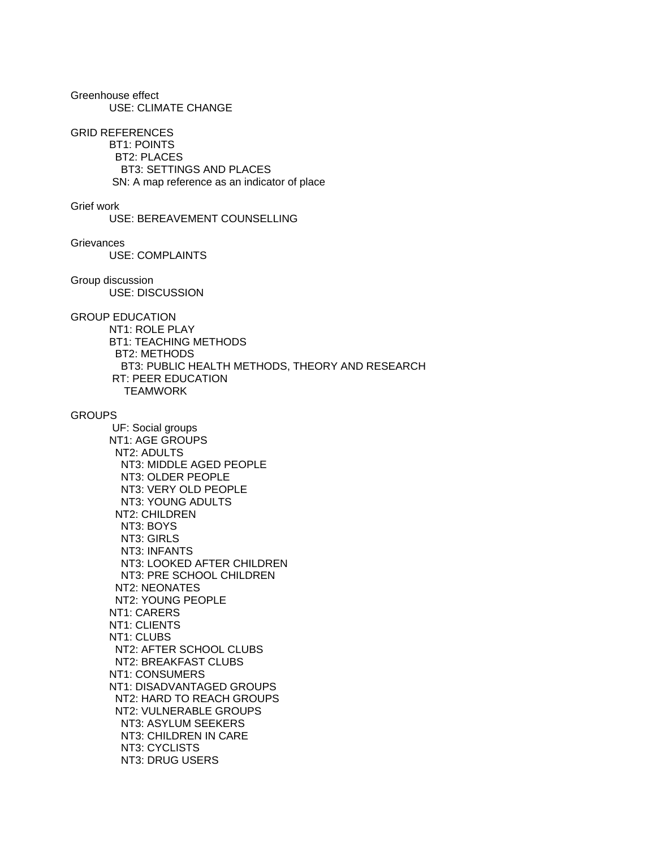Greenhouse effect USE: CLIMATE CHANGE

#### GRID REFERENCES

 BT1: POINTS BT2: PLACES BT3: SETTINGS AND PLACES SN: A map reference as an indicator of place

#### Grief work

USE: BEREAVEMENT COUNSELLING

# **Grievances**

USE: COMPLAINTS

#### Group discussion USE: DISCUSSION

# GROUP EDUCATION

 NT1: ROLE PLAY BT1: TEACHING METHODS BT2: METHODS BT3: PUBLIC HEALTH METHODS, THEORY AND RESEARCH RT: PEER EDUCATION **TEAMWORK** 

# **GROUPS**

 UF: Social groups NT1: AGE GROUPS NT2: ADULTS NT3: MIDDLE AGED PEOPLE NT3: OLDER PEOPLE NT3: VERY OLD PEOPLE NT3: YOUNG ADULTS NT2: CHILDREN NT3: BOYS NT3: GIRLS NT3: INFANTS NT3: LOOKED AFTER CHILDREN NT3: PRE SCHOOL CHILDREN NT2: NEONATES NT2: YOUNG PEOPLE NT1: CARERS NT1: CLIENTS NT1: CLUBS NT2: AFTER SCHOOL CLUBS NT2: BREAKFAST CLUBS NT1: CONSUMERS NT1: DISADVANTAGED GROUPS NT2: HARD TO REACH GROUPS NT2: VULNERABLE GROUPS NT3: ASYLUM SEEKERS NT3: CHILDREN IN CARE NT3: CYCLISTS NT3: DRUG USERS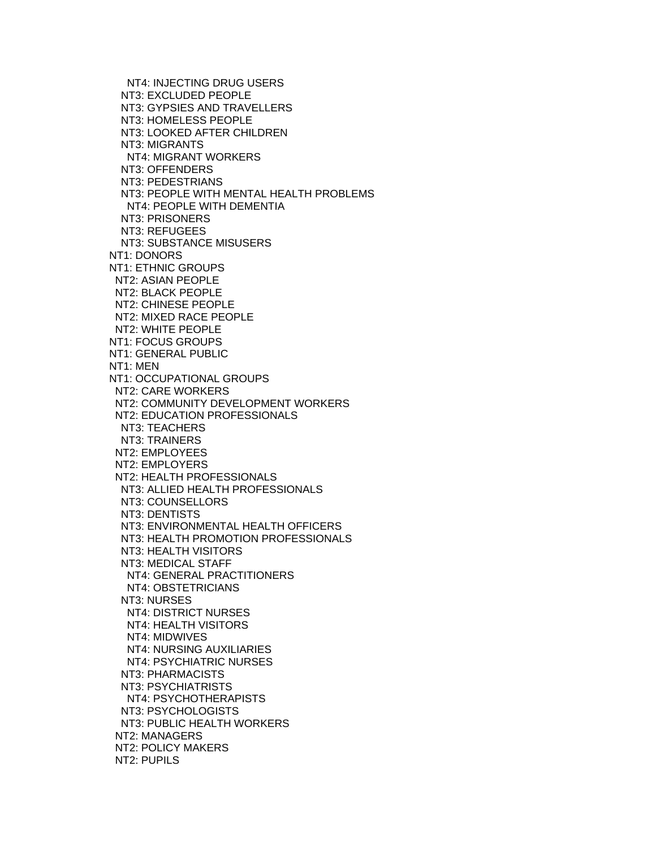NT4: INJECTING DRUG USERS NT3: EXCLUDED PEOPLE NT3: GYPSIES AND TRAVELLERS NT3: HOMELESS PEOPLE NT3: LOOKED AFTER CHILDREN NT3: MIGRANTS NT4: MIGRANT WORKERS NT3: OFFENDERS NT3: PEDESTRIANS NT3: PEOPLE WITH MENTAL HEALTH PROBLEMS NT4: PEOPLE WITH DEMENTIA NT3: PRISONERS NT3: REFUGEES NT3: SUBSTANCE MISUSERS NT1: DONORS NT1: ETHNIC GROUPS NT2: ASIAN PEOPLE NT2: BLACK PEOPLE NT2: CHINESE PEOPLE NT2: MIXED RACE PEOPLE NT2: WHITE PEOPLE NT1: FOCUS GROUPS NT1: GENERAL PUBLIC NT1: MEN NT1: OCCUPATIONAL GROUPS NT2: CARE WORKERS NT2: COMMUNITY DEVELOPMENT WORKERS NT2: EDUCATION PROFESSIONALS NT3: TEACHERS NT3: TRAINERS NT2: EMPLOYEES NT2: EMPLOYERS NT2: HEALTH PROFESSIONALS NT3: ALLIED HEALTH PROFESSIONALS NT3: COUNSELLORS NT3: DENTISTS NT3: ENVIRONMENTAL HEALTH OFFICERS NT3: HEALTH PROMOTION PROFESSIONALS NT3: HEALTH VISITORS NT3: MEDICAL STAFF NT4: GENERAL PRACTITIONERS NT4: OBSTETRICIANS NT3: NURSES NT4: DISTRICT NURSES NT4: HEALTH VISITORS NT4: MIDWIVES NT4: NURSING AUXILIARIES NT4: PSYCHIATRIC NURSES NT3: PHARMACISTS NT3: PSYCHIATRISTS NT4: PSYCHOTHERAPISTS NT3: PSYCHOLOGISTS NT3: PUBLIC HEALTH WORKERS NT2: MANAGERS NT2: POLICY MAKERS NT2: PUPILS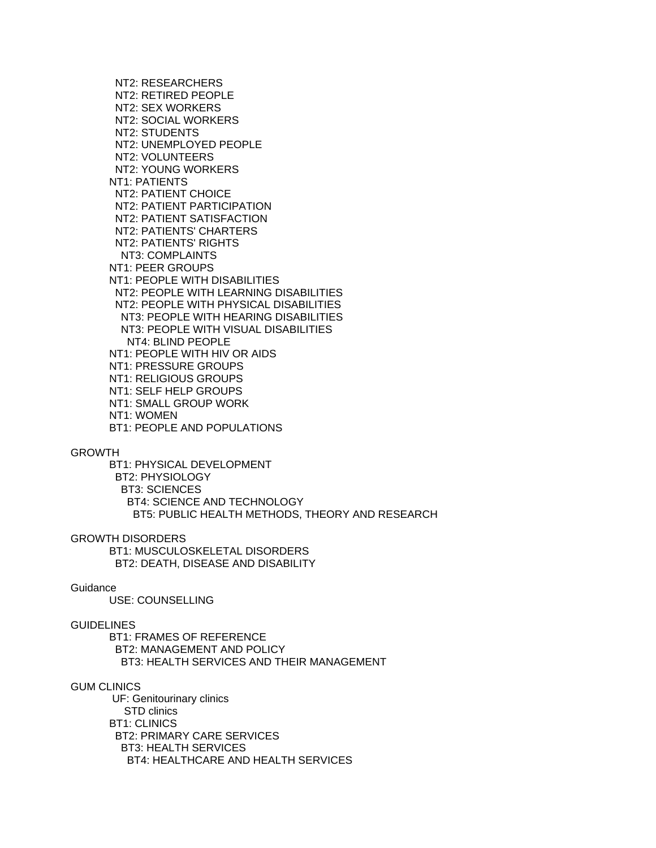NT2: RESEARCHERS NT2: RETIRED PEOPLE NT2: SEX WORKERS NT2: SOCIAL WORKERS NT2: STUDENTS NT2: UNEMPLOYED PEOPLE NT2: VOLUNTEERS NT2: YOUNG WORKERS NT1: PATIENTS NT2: PATIENT CHOICE NT2: PATIENT PARTICIPATION NT2: PATIENT SATISFACTION NT2: PATIENTS' CHARTERS NT2: PATIENTS' RIGHTS NT3: COMPLAINTS NT1: PEER GROUPS NT1: PEOPLE WITH DISABILITIES NT2: PEOPLE WITH LEARNING DISABILITIES NT2: PEOPLE WITH PHYSICAL DISABILITIES NT3: PEOPLE WITH HEARING DISABILITIES NT3: PEOPLE WITH VISUAL DISABILITIES NT4: BLIND PEOPLE NT1: PEOPLE WITH HIV OR AIDS NT1: PRESSURE GROUPS NT1: RELIGIOUS GROUPS NT1: SELF HELP GROUPS NT1: SMALL GROUP WORK NT1: WOMEN BT1: PEOPLE AND POPULATIONS

# GROWTH

 BT1: PHYSICAL DEVELOPMENT BT2: PHYSIOLOGY BT3: SCIENCES BT4: SCIENCE AND TECHNOLOGY BT5: PUBLIC HEALTH METHODS, THEORY AND RESEARCH

#### GROWTH DISORDERS

 BT1: MUSCULOSKELETAL DISORDERS BT2: DEATH, DISEASE AND DISABILITY

# **Guidance**

USE: COUNSELLING

#### GUIDELINES

 BT1: FRAMES OF REFERENCE BT2: MANAGEMENT AND POLICY BT3: HEALTH SERVICES AND THEIR MANAGEMENT

#### GUM CLINICS

 UF: Genitourinary clinics STD clinics BT1: CLINICS BT2: PRIMARY CARE SERVICES BT3: HEALTH SERVICES BT4: HEALTHCARE AND HEALTH SERVICES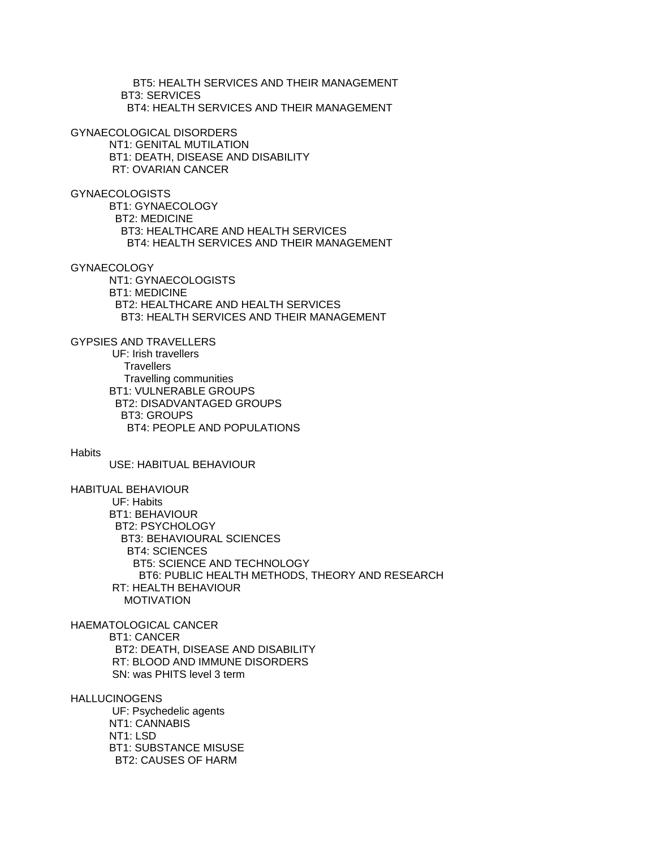BT5: HEALTH SERVICES AND THEIR MANAGEMENT BT3: SERVICES BT4: HEALTH SERVICES AND THEIR MANAGEMENT

GYNAECOLOGICAL DISORDERS

 NT1: GENITAL MUTILATION BT1: DEATH, DISEASE AND DISABILITY RT: OVARIAN CANCER

GYNAECOLOGISTS

 BT1: GYNAECOLOGY BT2: MEDICINE BT3: HEALTHCARE AND HEALTH SERVICES BT4: HEALTH SERVICES AND THEIR MANAGEMENT

GYNAECOLOGY

 NT1: GYNAECOLOGISTS BT1: MEDICINE BT2: HEALTHCARE AND HEALTH SERVICES BT3: HEALTH SERVICES AND THEIR MANAGEMENT

GYPSIES AND TRAVELLERS UF: Irish travellers **Travellers**  Travelling communities BT1: VULNERABLE GROUPS BT2: DISADVANTAGED GROUPS BT3: GROUPS BT4: PEOPLE AND POPULATIONS

**Habits** 

USE: HABITUAL BEHAVIOUR

HABITUAL BEHAVIOUR

 UF: Habits BT1: BEHAVIOUR BT2: PSYCHOLOGY BT3: BEHAVIOURAL SCIENCES BT4: SCIENCES BT5: SCIENCE AND TECHNOLOGY BT6: PUBLIC HEALTH METHODS, THEORY AND RESEARCH RT: HEALTH BEHAVIOUR MOTIVATION

HAEMATOLOGICAL CANCER BT1: CANCER BT2: DEATH, DISEASE AND DISABILITY RT: BLOOD AND IMMUNE DISORDERS SN: was PHITS level 3 term

**HALLUCINOGENS**  UF: Psychedelic agents NT1: CANNABIS NT1: LSD BT1: SUBSTANCE MISUSE

BT2: CAUSES OF HARM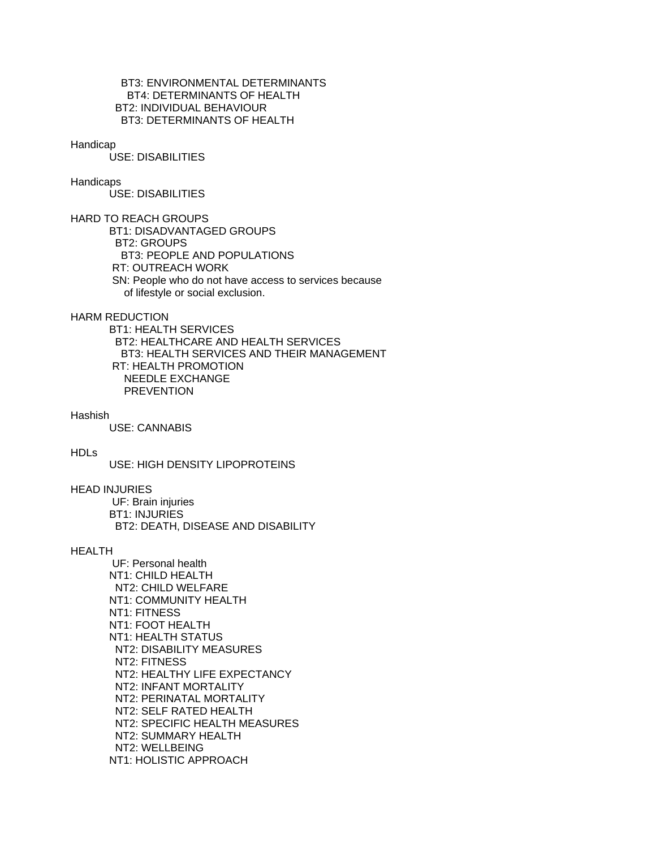# BT3: ENVIRONMENTAL DETERMINANTS BT4: DETERMINANTS OF HEALTH BT2: INDIVIDUAL BEHAVIOUR BT3: DETERMINANTS OF HEALTH

#### Handicap

USE: DISABILITIES

# **Handicaps**

USE: DISABILITIES

HARD TO REACH GROUPS BT1: DISADVANTAGED GROUPS BT2: GROUPS BT3: PEOPLE AND POPULATIONS RT: OUTREACH WORK SN: People who do not have access to services because of lifestyle or social exclusion.

HARM REDUCTION

 BT1: HEALTH SERVICES BT2: HEALTHCARE AND HEALTH SERVICES BT3: HEALTH SERVICES AND THEIR MANAGEMENT RT: HEALTH PROMOTION NEEDLE EXCHANGE **PREVENTION** 

Hashish

USE: CANNABIS

#### HDLs

USE: HIGH DENSITY LIPOPROTEINS

# HEAD INJURIES

 UF: Brain injuries BT1: INJURIES BT2: DEATH, DISEASE AND DISABILITY

# **HEALTH**

 UF: Personal health NT1: CHILD HEALTH NT2: CHILD WELFARE NT1: COMMUNITY HEALTH NT1: FITNESS NT1: FOOT HEALTH NT1: HEALTH STATUS NT2: DISABILITY MEASURES NT2: FITNESS NT2: HEALTHY LIFE EXPECTANCY NT2: INFANT MORTALITY NT2: PERINATAL MORTALITY NT2: SELF RATED HEALTH NT2: SPECIFIC HEALTH MEASURES NT2: SUMMARY HEALTH NT2: WELLBEING NT1: HOLISTIC APPROACH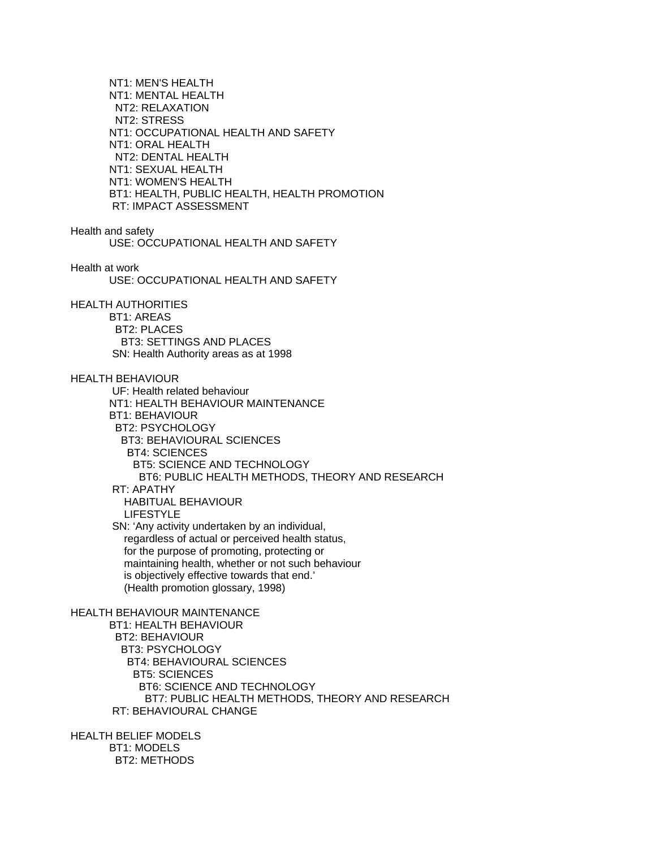NT1: MEN'S HEALTH NT1: MENTAL HEALTH NT2: RELAXATION NT2: STRESS NT1: OCCUPATIONAL HEALTH AND SAFETY NT1: ORAL HEALTH NT2: DENTAL HEALTH NT1: SEXUAL HEALTH NT1: WOMEN'S HEALTH BT1: HEALTH, PUBLIC HEALTH, HEALTH PROMOTION RT: IMPACT ASSESSMENT Health and safety USE: OCCUPATIONAL HEALTH AND SAFETY Health at work USE: OCCUPATIONAL HEALTH AND SAFETY HEALTH AUTHORITIES BT1: AREAS BT2: PLACES BT3: SETTINGS AND PLACES SN: Health Authority areas as at 1998 HEALTH BEHAVIOUR UF: Health related behaviour NT1: HEALTH BEHAVIOUR MAINTENANCE BT1: BEHAVIOUR BT2: PSYCHOLOGY BT3: BEHAVIOURAL SCIENCES BT4: SCIENCES BT5: SCIENCE AND TECHNOLOGY BT6: PUBLIC HEALTH METHODS, THEORY AND RESEARCH RT: APATHY HABITUAL BEHAVIOUR

LIFESTYLE

 SN: 'Any activity undertaken by an individual, regardless of actual or perceived health status, for the purpose of promoting, protecting or maintaining health, whether or not such behaviour is objectively effective towards that end.' (Health promotion glossary, 1998)

#### HEALTH BEHAVIOUR MAINTENANCE

 BT1: HEALTH BEHAVIOUR BT2: BEHAVIOUR BT3: PSYCHOLOGY BT4: BEHAVIOURAL SCIENCES BT5: SCIENCES BT6: SCIENCE AND TECHNOLOGY BT7: PUBLIC HEALTH METHODS, THEORY AND RESEARCH RT: BEHAVIOURAL CHANGE

HEALTH BELIEF MODELS BT1: MODELS BT2: METHODS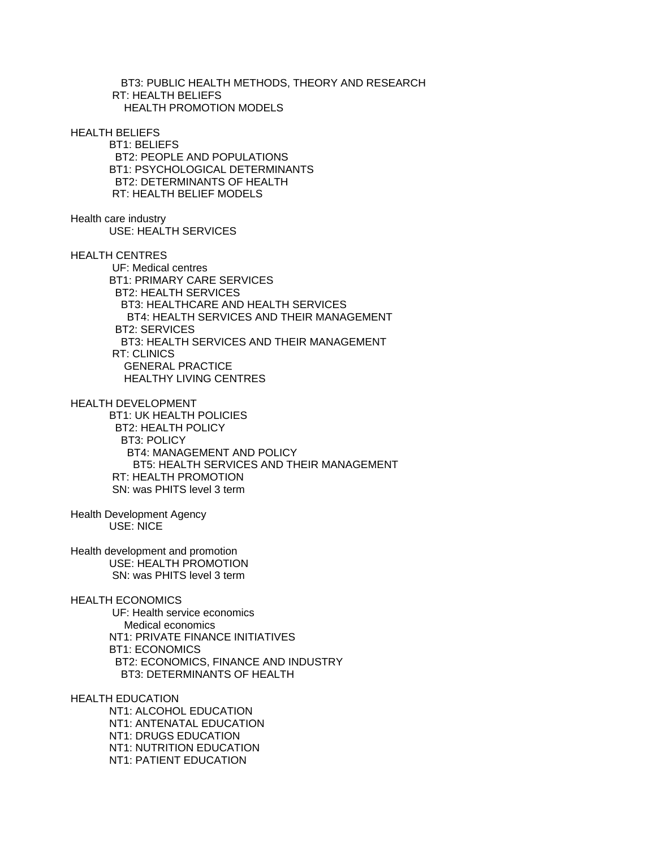BT3: PUBLIC HEALTH METHODS, THEORY AND RESEARCH RT: HEALTH BELIEFS HEALTH PROMOTION MODELS

HEALTH BELIEFS

 BT1: BELIEFS BT2: PEOPLE AND POPULATIONS BT1: PSYCHOLOGICAL DETERMINANTS BT2: DETERMINANTS OF HEALTH RT: HEALTH BELIEF MODELS

Health care industry USE: HEALTH SERVICES

HEALTH CENTRES

 UF: Medical centres BT1: PRIMARY CARE SERVICES BT2: HEALTH SERVICES BT3: HEALTHCARE AND HEALTH SERVICES BT4: HEALTH SERVICES AND THEIR MANAGEMENT BT2: SERVICES BT3: HEALTH SERVICES AND THEIR MANAGEMENT RT: CLINICS GENERAL PRACTICE HEALTHY LIVING CENTRES

HEALTH DEVELOPMENT

 BT1: UK HEALTH POLICIES BT2: HEALTH POLICY BT3: POLICY BT4: MANAGEMENT AND POLICY BT5: HEALTH SERVICES AND THEIR MANAGEMENT RT: HEALTH PROMOTION SN: was PHITS level 3 term

Health Development Agency USE: NICE

Health development and promotion USE: HEALTH PROMOTION SN: was PHITS level 3 term

HEALTH ECONOMICS

 UF: Health service economics Medical economics NT1: PRIVATE FINANCE INITIATIVES BT1: ECONOMICS BT2: ECONOMICS, FINANCE AND INDUSTRY BT3: DETERMINANTS OF HEALTH

HEALTH EDUCATION

 NT1: ALCOHOL EDUCATION NT1: ANTENATAL EDUCATION NT1: DRUGS EDUCATION NT1: NUTRITION EDUCATION NT1: PATIENT EDUCATION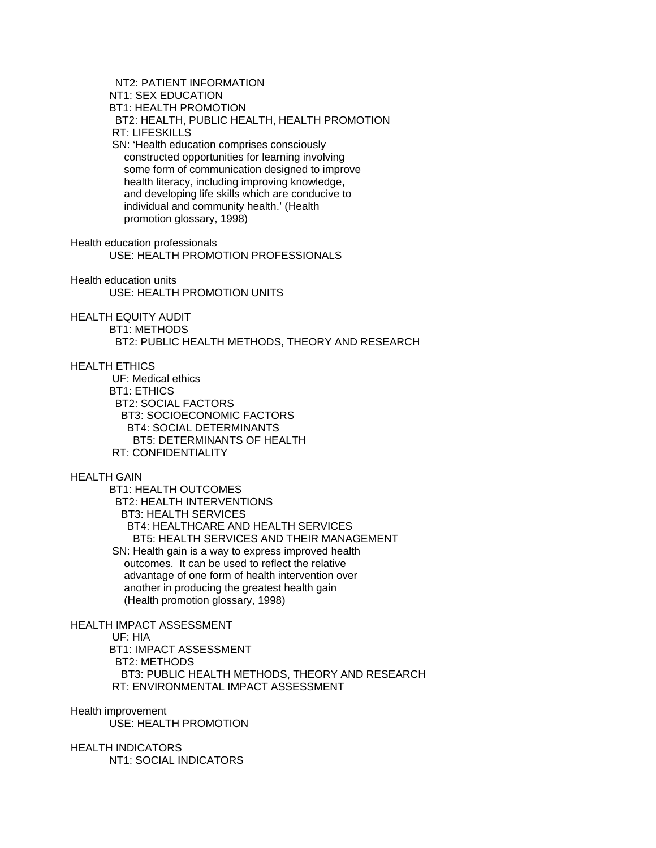NT2: PATIENT INFORMATION NT1: SEX EDUCATION BT1: HEALTH PROMOTION BT2: HEALTH, PUBLIC HEALTH, HEALTH PROMOTION RT: LIFESKILLS SN: 'Health education comprises consciously constructed opportunities for learning involving some form of communication designed to improve health literacy, including improving knowledge, and developing life skills which are conducive to individual and community health.' (Health promotion glossary, 1998) Health education professionals USE: HEALTH PROMOTION PROFESSIONALS Health education units USE: HEALTH PROMOTION UNITS HEALTH EQUITY AUDIT BT1: METHODS BT2: PUBLIC HEALTH METHODS, THEORY AND RESEARCH HEALTH ETHICS UF: Medical ethics BT1: ETHICS BT2: SOCIAL FACTORS BT3: SOCIOECONOMIC FACTORS BT4: SOCIAL DETERMINANTS BT5: DETERMINANTS OF HEALTH RT: CONFIDENTIALITY HEALTH GAIN BT1: HEALTH OUTCOMES BT2: HEALTH INTERVENTIONS BT3: HEALTH SERVICES BT4: HEALTHCARE AND HEALTH SERVICES BT5: HEALTH SERVICES AND THEIR MANAGEMENT SN: Health gain is a way to express improved health outcomes. It can be used to reflect the relative advantage of one form of health intervention over

HEALTH IMPACT ASSESSMENT

UF: HIA

 BT1: IMPACT ASSESSMENT BT2: METHODS BT3: PUBLIC HEALTH METHODS, THEORY AND RESEARCH RT: ENVIRONMENTAL IMPACT ASSESSMENT

another in producing the greatest health gain

(Health promotion glossary, 1998)

Health improvement

USE: HEALTH PROMOTION

HEALTH INDICATORS NT1: SOCIAL INDICATORS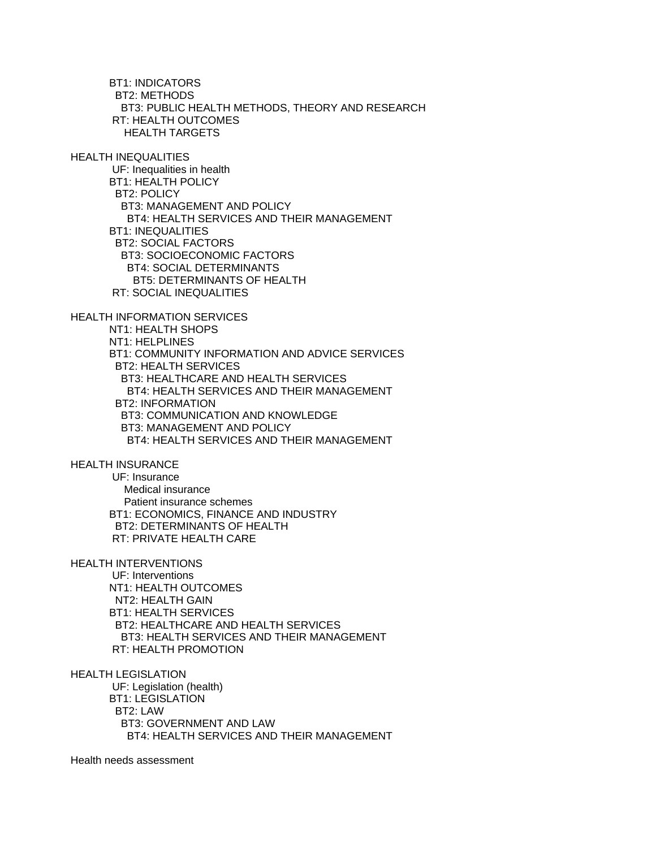BT1: INDICATORS BT2: METHODS BT3: PUBLIC HEALTH METHODS, THEORY AND RESEARCH RT: HEALTH OUTCOMES HEALTH TARGETS

HEALTH INEQUALITIES

 UF: Inequalities in health BT1: HEALTH POLICY BT2: POLICY BT3: MANAGEMENT AND POLICY BT4: HEALTH SERVICES AND THEIR MANAGEMENT BT1: INEQUALITIES BT2: SOCIAL FACTORS BT3: SOCIOECONOMIC FACTORS BT4: SOCIAL DETERMINANTS BT5: DETERMINANTS OF HEALTH RT: SOCIAL INEQUALITIES

HEALTH INFORMATION SERVICES

 NT1: HEALTH SHOPS NT1: HELPLINES BT1: COMMUNITY INFORMATION AND ADVICE SERVICES BT2: HEALTH SERVICES BT3: HEALTHCARE AND HEALTH SERVICES BT4: HEALTH SERVICES AND THEIR MANAGEMENT BT2: INFORMATION BT3: COMMUNICATION AND KNOWLEDGE BT3: MANAGEMENT AND POLICY BT4: HEALTH SERVICES AND THEIR MANAGEMENT

HEALTH INSURANCE

 UF: Insurance Medical insurance Patient insurance schemes BT1: ECONOMICS, FINANCE AND INDUSTRY BT2: DETERMINANTS OF HEALTH RT: PRIVATE HEALTH CARE

HEALTH INTERVENTIONS

 UF: Interventions NT1: HEALTH OUTCOMES NT2: HEALTH GAIN BT1: HEALTH SERVICES BT2: HEALTHCARE AND HEALTH SERVICES BT3: HEALTH SERVICES AND THEIR MANAGEMENT RT: HEALTH PROMOTION

HEALTH LEGISLATION

 UF: Legislation (health) BT1: LEGISLATION BT2: LAW BT3: GOVERNMENT AND LAW BT4: HEALTH SERVICES AND THEIR MANAGEMENT

Health needs assessment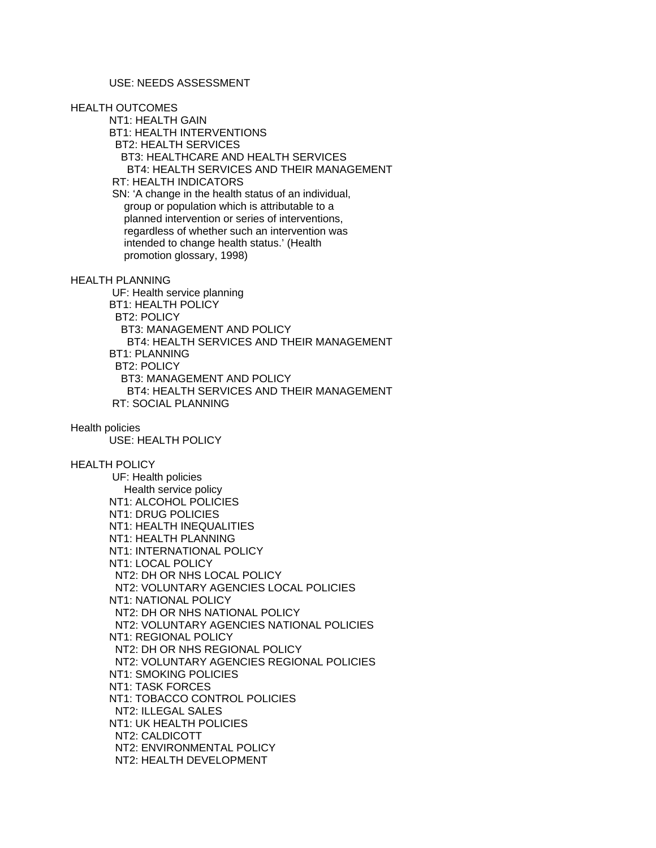HEALTH OUTCOMES

 NT1: HEALTH GAIN BT1: HEALTH INTERVENTIONS BT2: HEALTH SERVICES BT3: HEALTHCARE AND HEALTH SERVICES BT4: HEALTH SERVICES AND THEIR MANAGEMENT RT: HEALTH INDICATORS SN: 'A change in the health status of an individual, group or population which is attributable to a planned intervention or series of interventions, regardless of whether such an intervention was intended to change health status.' (Health promotion glossary, 1998)

HEALTH PLANNING

 UF: Health service planning BT1: HEALTH POLICY BT2: POLICY BT3: MANAGEMENT AND POLICY BT4: HEALTH SERVICES AND THEIR MANAGEMENT BT1: PLANNING BT2: POLICY BT3: MANAGEMENT AND POLICY BT4: HEALTH SERVICES AND THEIR MANAGEMENT RT: SOCIAL PLANNING

# Health policies

USE: HEALTH POLICY

# HEALTH POLICY

 UF: Health policies Health service policy NT1: ALCOHOL POLICIES NT1: DRUG POLICIES NT1: HEALTH INEQUALITIES NT1: HEALTH PLANNING NT1: INTERNATIONAL POLICY NT1: LOCAL POLICY NT2: DH OR NHS LOCAL POLICY NT2: VOLUNTARY AGENCIES LOCAL POLICIES NT1: NATIONAL POLICY NT2: DH OR NHS NATIONAL POLICY NT2: VOLUNTARY AGENCIES NATIONAL POLICIES NT1: REGIONAL POLICY NT2: DH OR NHS REGIONAL POLICY NT2: VOLUNTARY AGENCIES REGIONAL POLICIES NT1: SMOKING POLICIES NT1: TASK FORCES NT1: TOBACCO CONTROL POLICIES NT2: ILLEGAL SALES NT1: UK HEALTH POLICIES NT2: CALDICOTT NT2: ENVIRONMENTAL POLICY NT2: HEALTH DEVELOPMENT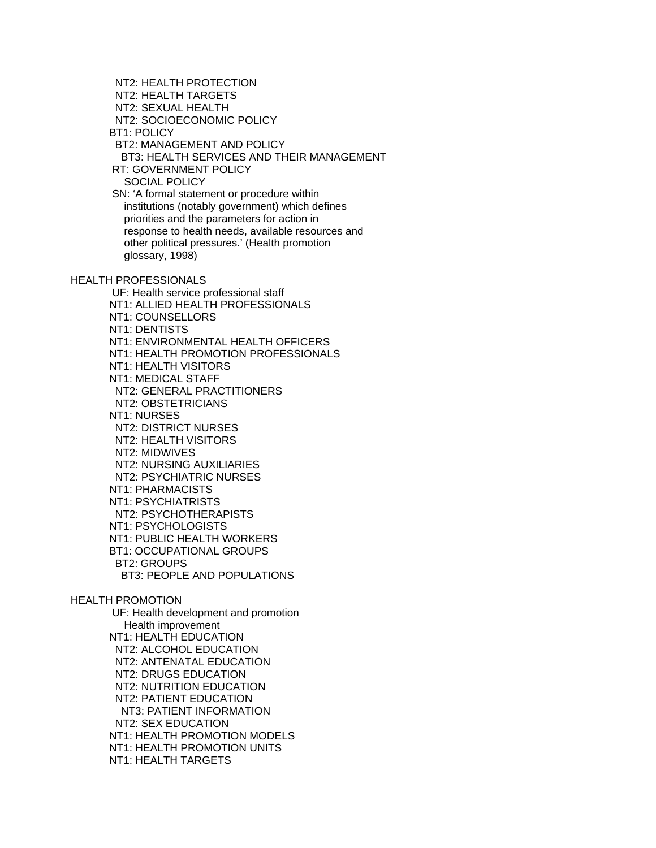NT2: HEALTH PROTECTION NT2: HEALTH TARGETS NT2: SEXUAL HEALTH NT2: SOCIOECONOMIC POLICY BT1: POLICY BT2: MANAGEMENT AND POLICY BT3: HEALTH SERVICES AND THEIR MANAGEMENT RT: GOVERNMENT POLICY SOCIAL POLICY SN: 'A formal statement or procedure within institutions (notably government) which defines priorities and the parameters for action in response to health needs, available resources and other political pressures.' (Health promotion glossary, 1998) HEALTH PROFESSIONALS UF: Health service professional staff NT1: ALLIED HEALTH PROFESSIONALS NT1: COUNSELLORS NT1: DENTISTS NT1: ENVIRONMENTAL HEALTH OFFICERS NT1: HEALTH PROMOTION PROFESSIONALS NT1: HEALTH VISITORS NT1: MEDICAL STAFF NT2: GENERAL PRACTITIONERS NT2: OBSTETRICIANS NT1: NURSES NT2: DISTRICT NURSES NT2: HEALTH VISITORS NT2: MIDWIVES NT2: NURSING AUXILIARIES NT2: PSYCHIATRIC NURSES NT1: PHARMACISTS NT1: PSYCHIATRISTS NT2: PSYCHOTHERAPISTS NT1: PSYCHOLOGISTS NT1: PUBLIC HEALTH WORKERS BT1: OCCUPATIONAL GROUPS BT2: GROUPS BT3: PEOPLE AND POPULATIONS HEALTH PROMOTION UF: Health development and promotion Health improvement NT1: HEALTH EDUCATION NT2: ALCOHOL EDUCATION NT2: ANTENATAL EDUCATION NT2: DRUGS EDUCATION NT2: NUTRITION EDUCATION NT2: PATIENT EDUCATION NT3: PATIENT INFORMATION NT2: SEX EDUCATION NT1: HEALTH PROMOTION MODELS NT1: HEALTH PROMOTION UNITS NT1: HEALTH TARGETS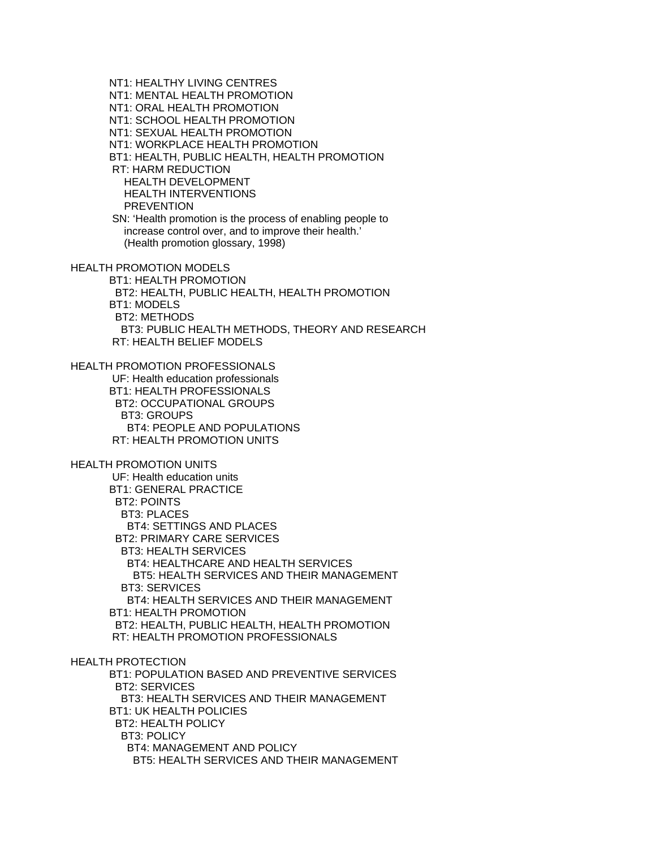NT1: HEALTHY LIVING CENTRES NT1: MENTAL HEALTH PROMOTION NT1: ORAL HEALTH PROMOTION NT1: SCHOOL HEALTH PROMOTION NT1: SEXUAL HEALTH PROMOTION NT1: WORKPLACE HEALTH PROMOTION BT1: HEALTH, PUBLIC HEALTH, HEALTH PROMOTION RT: HARM REDUCTION HEALTH DEVELOPMENT HEALTH INTERVENTIONS **PREVENTION**  SN: 'Health promotion is the process of enabling people to increase control over, and to improve their health.' (Health promotion glossary, 1998) HEALTH PROMOTION MODELS BT1: HEALTH PROMOTION BT2: HEALTH, PUBLIC HEALTH, HEALTH PROMOTION BT1: MODELS BT2: METHODS BT3: PUBLIC HEALTH METHODS, THEORY AND RESEARCH RT: HEALTH BELIEF MODELS HEALTH PROMOTION PROFESSIONALS UF: Health education professionals BT1: HEALTH PROFESSIONALS BT2: OCCUPATIONAL GROUPS BT3: GROUPS BT4: PEOPLE AND POPULATIONS RT: HEALTH PROMOTION UNITS HEALTH PROMOTION UNITS UF: Health education units BT1: GENERAL PRACTICE BT2: POINTS BT3: PLACES BT4: SETTINGS AND PLACES BT2: PRIMARY CARE SERVICES BT3: HEALTH SERVICES BT4: HEALTHCARE AND HEALTH SERVICES BT5: HEALTH SERVICES AND THEIR MANAGEMENT BT3: SERVICES BT4: HEALTH SERVICES AND THEIR MANAGEMENT BT1: HEALTH PROMOTION BT2: HEALTH, PUBLIC HEALTH, HEALTH PROMOTION RT: HEALTH PROMOTION PROFESSIONALS HEALTH PROTECTION BT1: POPULATION BASED AND PREVENTIVE SERVICES BT2: SERVICES BT3: HEALTH SERVICES AND THEIR MANAGEMENT BT1: UK HEALTH POLICIES BT2: HEALTH POLICY BT3: POLICY BT4: MANAGEMENT AND POLICY BT5: HEALTH SERVICES AND THEIR MANAGEMENT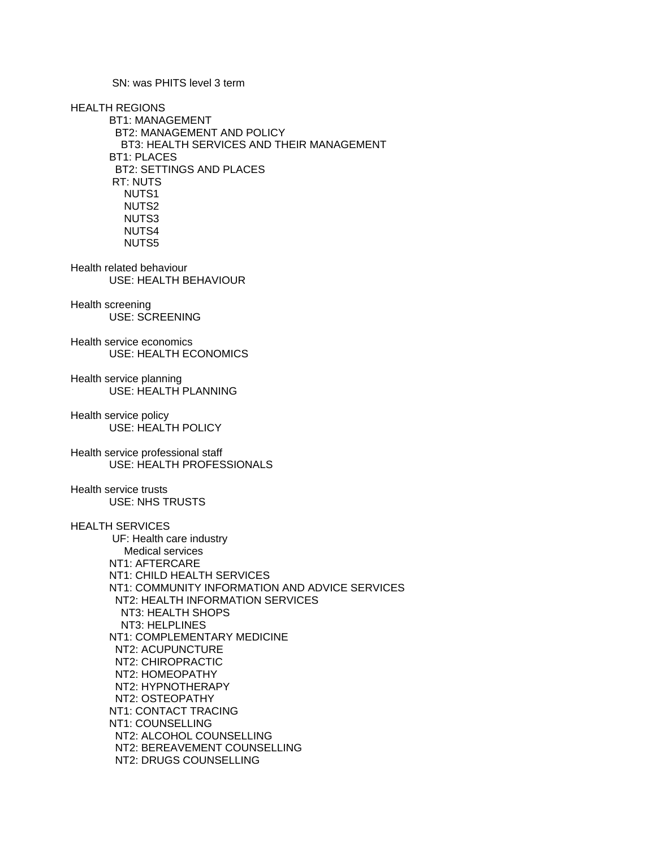SN: was PHITS level 3 term

HEALTH REGIONS BT1: MANAGEMENT BT2: MANAGEMENT AND POLICY BT3: HEALTH SERVICES AND THEIR MANAGEMENT BT1: PLACES BT2: SETTINGS AND PLACES RT: NUTS NUTS1 NUTS2 NUTS3 NUTS4 NUTS5

Health related behaviour USE: HEALTH BEHAVIOUR

Health screening USE: SCREENING

Health service economics USE: HEALTH ECONOMICS

Health service planning USE: HEALTH PLANNING

Health service policy USE: HEALTH POLICY

Health service professional staff USE: HEALTH PROFESSIONALS

Health service trusts USE: NHS TRUSTS

# HEALTH SERVICES

 UF: Health care industry Medical services NT1: AFTERCARE NT1: CHILD HEALTH SERVICES NT1: COMMUNITY INFORMATION AND ADVICE SERVICES NT2: HEALTH INFORMATION SERVICES NT3: HEALTH SHOPS NT3: HELPLINES NT1: COMPLEMENTARY MEDICINE NT2: ACUPUNCTURE NT2: CHIROPRACTIC NT2: HOMEOPATHY NT2: HYPNOTHERAPY NT2: OSTEOPATHY NT1: CONTACT TRACING NT1: COUNSELLING NT2: ALCOHOL COUNSELLING NT2: BEREAVEMENT COUNSELLING NT2: DRUGS COUNSELLING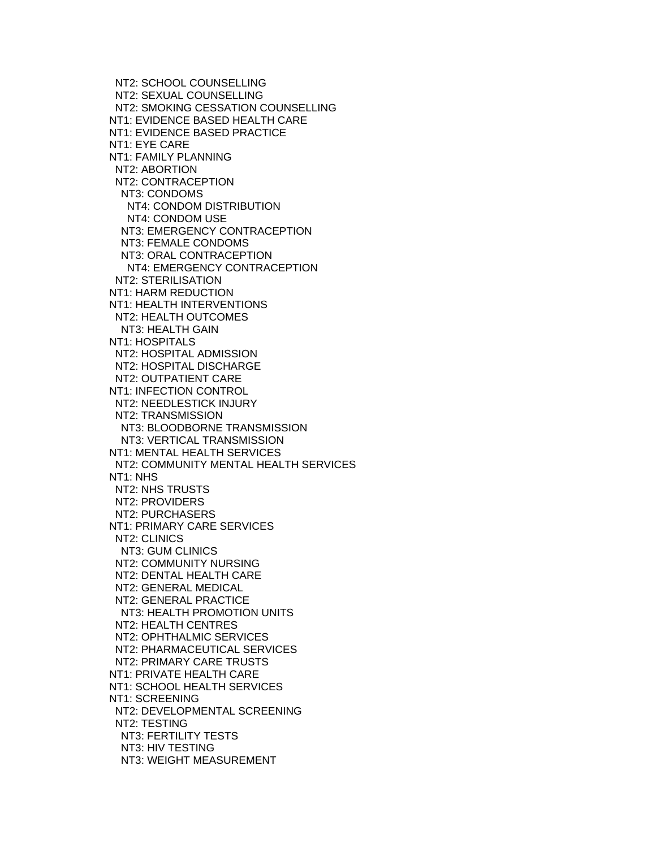NT2: SCHOOL COUNSELLING NT2: SEXUAL COUNSELLING NT2: SMOKING CESSATION COUNSELLING NT1: EVIDENCE BASED HEALTH CARE NT1: EVIDENCE BASED PRACTICE NT1: EYE CARE NT1: FAMILY PLANNING NT2: ABORTION NT2: CONTRACEPTION NT3: CONDOMS NT4: CONDOM DISTRIBUTION NT4: CONDOM USE NT3: EMERGENCY CONTRACEPTION NT3: FEMALE CONDOMS NT3: ORAL CONTRACEPTION NT4: EMERGENCY CONTRACEPTION NT2: STERILISATION NT1: HARM REDUCTION NT1: HEALTH INTERVENTIONS NT2: HEALTH OUTCOMES NT3: HEALTH GAIN NT1: HOSPITALS NT2: HOSPITAL ADMISSION NT2: HOSPITAL DISCHARGE NT2: OUTPATIENT CARE NT1: INFECTION CONTROL NT2: NEEDLESTICK INJURY NT2: TRANSMISSION NT3: BLOODBORNE TRANSMISSION NT3: VERTICAL TRANSMISSION NT1: MENTAL HEALTH SERVICES NT2: COMMUNITY MENTAL HEALTH SERVICES NT1: NHS NT2: NHS TRUSTS NT2: PROVIDERS NT2: PURCHASERS NT1: PRIMARY CARE SERVICES NT2: CLINICS NT3: GUM CLINICS NT2: COMMUNITY NURSING NT2: DENTAL HEALTH CARE NT2: GENERAL MEDICAL NT2: GENERAL PRACTICE NT3: HEALTH PROMOTION UNITS NT2: HEALTH CENTRES NT2: OPHTHALMIC SERVICES NT2: PHARMACEUTICAL SERVICES NT2: PRIMARY CARE TRUSTS NT1: PRIVATE HEALTH CARE NT1: SCHOOL HEALTH SERVICES NT1: SCREENING NT2: DEVELOPMENTAL SCREENING NT2: TESTING NT3: FERTILITY TESTS NT3: HIV TESTING NT3: WEIGHT MEASUREMENT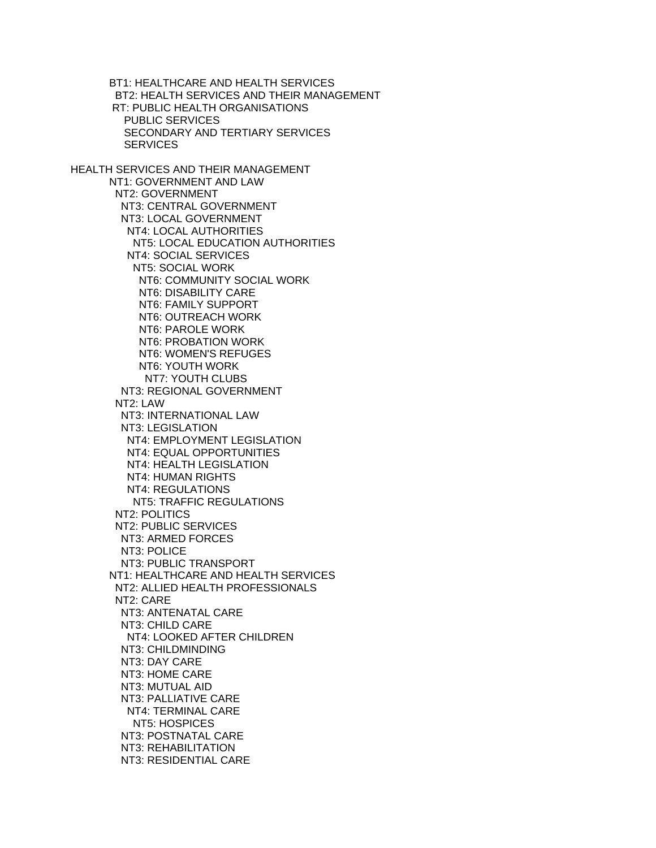BT1: HEALTHCARE AND HEALTH SERVICES BT2: HEALTH SERVICES AND THEIR MANAGEMENT RT: PUBLIC HEALTH ORGANISATIONS PUBLIC SERVICES SECONDARY AND TERTIARY SERVICES **SERVICES** HEALTH SERVICES AND THEIR MANAGEMENT NT1: GOVERNMENT AND LAW NT2: GOVERNMENT NT3: CENTRAL GOVERNMENT NT3: LOCAL GOVERNMENT NT4: LOCAL AUTHORITIES NT5: LOCAL EDUCATION AUTHORITIES NT4: SOCIAL SERVICES NT5: SOCIAL WORK NT6: COMMUNITY SOCIAL WORK NT6: DISABILITY CARE NT6: FAMILY SUPPORT NT6: OUTREACH WORK NT6: PAROLE WORK NT6: PROBATION WORK NT6: WOMEN'S REFUGES NT6: YOUTH WORK NT7: YOUTH CLUBS NT3: REGIONAL GOVERNMENT NT2: LAW NT3: INTERNATIONAL LAW NT3: LEGISLATION NT4: EMPLOYMENT LEGISLATION NT4: EQUAL OPPORTUNITIES NT4: HEALTH LEGISLATION NT4: HUMAN RIGHTS NT4: REGULATIONS NT5: TRAFFIC REGULATIONS NT2: POLITICS NT2: PUBLIC SERVICES NT3: ARMED FORCES NT3: POLICE NT3: PUBLIC TRANSPORT NT1: HEALTHCARE AND HEALTH SERVICES NT2: ALLIED HEALTH PROFESSIONALS NT2: CARE NT3: ANTENATAL CARE NT3: CHILD CARE NT4: LOOKED AFTER CHILDREN NT3: CHILDMINDING NT3: DAY CARE NT3: HOME CARE NT3: MUTUAL AID NT3: PALLIATIVE CARE NT4: TERMINAL CARE NT5: HOSPICES NT3: POSTNATAL CARE NT3: REHABILITATION NT3: RESIDENTIAL CARE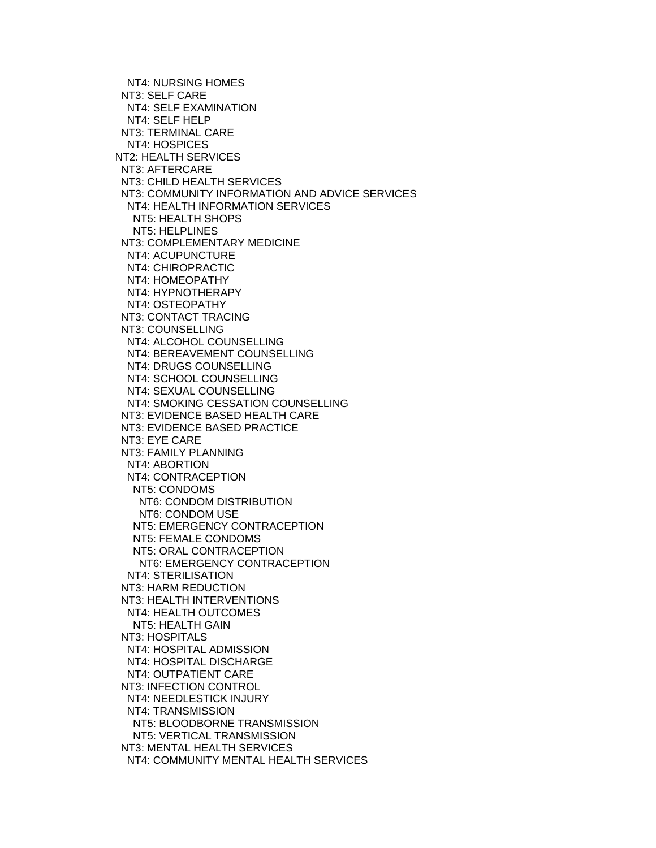NT4: NURSING HOMES NT3: SELF CARE NT4: SELF EXAMINATION NT4: SELF HELP NT3: TERMINAL CARE NT4: HOSPICES NT2: HEALTH SERVICES NT3: AFTERCARE NT3: CHILD HEALTH SERVICES NT3: COMMUNITY INFORMATION AND ADVICE SERVICES NT4: HEALTH INFORMATION SERVICES NT5: HEALTH SHOPS NT5: HELPLINES NT3: COMPLEMENTARY MEDICINE NT4: ACUPUNCTURE NT4: CHIROPRACTIC NT4: HOMEOPATHY NT4: HYPNOTHERAPY NT4: OSTEOPATHY NT3: CONTACT TRACING NT3: COUNSELLING NT4: ALCOHOL COUNSELLING NT4: BEREAVEMENT COUNSELLING NT4: DRUGS COUNSELLING NT4: SCHOOL COUNSELLING NT4: SEXUAL COUNSELLING NT4: SMOKING CESSATION COUNSELLING NT3: EVIDENCE BASED HEALTH CARE NT3: EVIDENCE BASED PRACTICE NT3: EYE CARE NT3: FAMILY PLANNING NT4: ABORTION NT4: CONTRACEPTION NT5: CONDOMS NT6: CONDOM DISTRIBUTION NT6: CONDOM USE NT5: EMERGENCY CONTRACEPTION NT5: FEMALE CONDOMS NT5: ORAL CONTRACEPTION NT6: EMERGENCY CONTRACEPTION NT4: STERILISATION NT3: HARM REDUCTION NT3: HEALTH INTERVENTIONS NT4: HEALTH OUTCOMES NT5: HEALTH GAIN NT3: HOSPITALS NT4: HOSPITAL ADMISSION NT4: HOSPITAL DISCHARGE NT4: OUTPATIENT CARE NT3: INFECTION CONTROL NT4: NEEDLESTICK INJURY NT4: TRANSMISSION NT5: BLOODBORNE TRANSMISSION NT5: VERTICAL TRANSMISSION NT3: MENTAL HEALTH SERVICES NT4: COMMUNITY MENTAL HEALTH SERVICES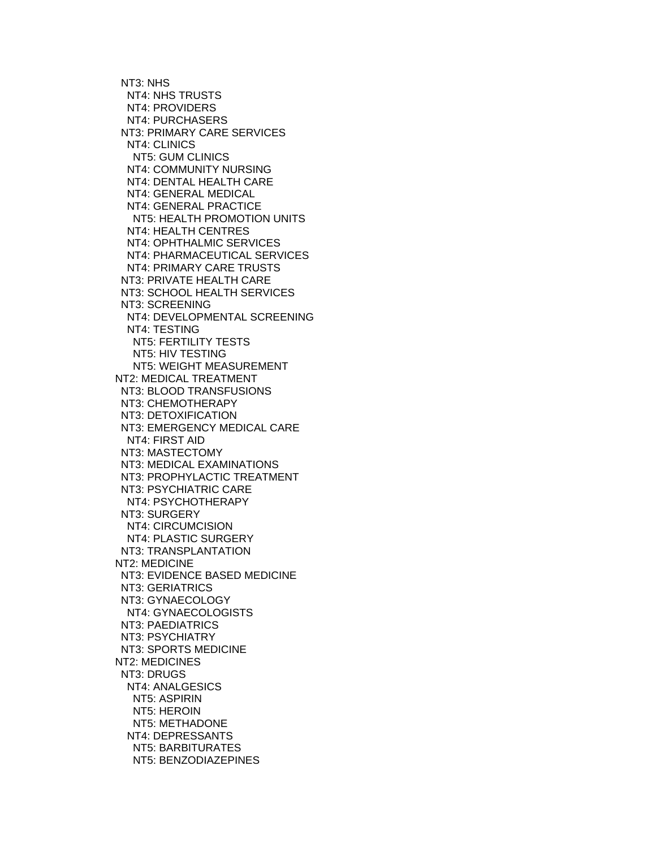NT3: NHS NT4: NHS TRUSTS NT4: PROVIDERS NT4: PURCHASERS NT3: PRIMARY CARE SERVICES NT4: CLINICS NT5: GUM CLINICS NT4: COMMUNITY NURSING NT4: DENTAL HEALTH CARE NT4: GENERAL MEDICAL NT4: GENERAL PRACTICE NT5: HEALTH PROMOTION UNITS NT4: HEALTH CENTRES NT4: OPHTHALMIC SERVICES NT4: PHARMACEUTICAL SERVICES NT4: PRIMARY CARE TRUSTS NT3: PRIVATE HEALTH CARE NT3: SCHOOL HEALTH SERVICES NT3: SCREENING NT4: DEVELOPMENTAL SCREENING NT4: TESTING NT5: FERTILITY TESTS NT5: HIV TESTING NT5: WEIGHT MEASUREMENT NT2: MEDICAL TREATMENT NT3: BLOOD TRANSFUSIONS NT3: CHEMOTHERAPY NT3: DETOXIFICATION NT3: EMERGENCY MEDICAL CARE NT4: FIRST AID NT3: MASTECTOMY NT3: MEDICAL EXAMINATIONS NT3: PROPHYLACTIC TREATMENT NT3: PSYCHIATRIC CARE NT4: PSYCHOTHERAPY NT3: SURGERY NT4: CIRCUMCISION NT4: PLASTIC SURGERY NT3: TRANSPLANTATION NT2: MEDICINE NT3: EVIDENCE BASED MEDICINE NT3: GERIATRICS NT3: GYNAECOLOGY NT4: GYNAECOLOGISTS NT3: PAEDIATRICS NT3: PSYCHIATRY NT3: SPORTS MEDICINE NT2: MEDICINES NT3: DRUGS NT4: ANALGESICS NT5: ASPIRIN NT5: HEROIN NT5: METHADONE NT4: DEPRESSANTS NT5: BARBITURATES NT5: BENZODIAZEPINES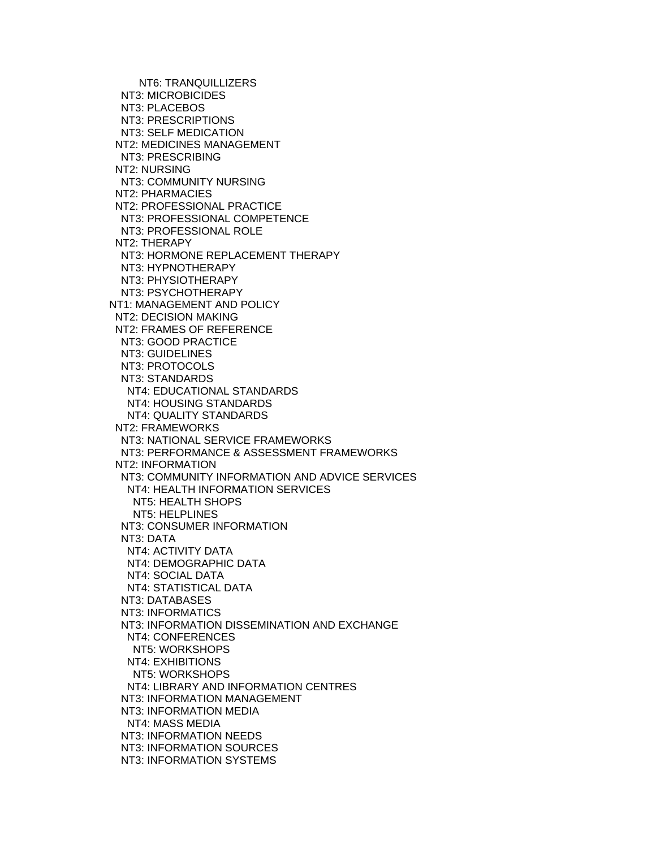NT6: TRANQUILLIZERS NT3: MICROBICIDES NT3: PLACEBOS NT3: PRESCRIPTIONS NT3: SELF MEDICATION NT2: MEDICINES MANAGEMENT NT3: PRESCRIBING NT2: NURSING NT3: COMMUNITY NURSING NT2: PHARMACIES NT2: PROFESSIONAL PRACTICE NT3: PROFESSIONAL COMPETENCE NT3: PROFESSIONAL ROLE NT2: THERAPY NT3: HORMONE REPLACEMENT THERAPY NT3: HYPNOTHERAPY NT3: PHYSIOTHERAPY NT3: PSYCHOTHERAPY NT1: MANAGEMENT AND POLICY NT2: DECISION MAKING NT2: FRAMES OF REFERENCE NT3: GOOD PRACTICE NT3: GUIDELINES NT3: PROTOCOLS NT3: STANDARDS NT4: EDUCATIONAL STANDARDS NT4: HOUSING STANDARDS NT4: QUALITY STANDARDS NT2: FRAMEWORKS NT3: NATIONAL SERVICE FRAMEWORKS NT3: PERFORMANCE & ASSESSMENT FRAMEWORKS NT2: INFORMATION NT3: COMMUNITY INFORMATION AND ADVICE SERVICES NT4: HEALTH INFORMATION SERVICES NT5: HEALTH SHOPS NT5: HELPLINES NT3: CONSUMER INFORMATION NT3: DATA NT4: ACTIVITY DATA NT4: DEMOGRAPHIC DATA NT4: SOCIAL DATA NT4: STATISTICAL DATA NT3: DATABASES NT3: INFORMATICS NT3: INFORMATION DISSEMINATION AND EXCHANGE NT4: CONFERENCES NT5: WORKSHOPS NT4: EXHIBITIONS NT5: WORKSHOPS NT4: LIBRARY AND INFORMATION CENTRES NT3: INFORMATION MANAGEMENT NT3: INFORMATION MEDIA NT4: MASS MEDIA NT3: INFORMATION NEEDS NT3: INFORMATION SOURCES NT3: INFORMATION SYSTEMS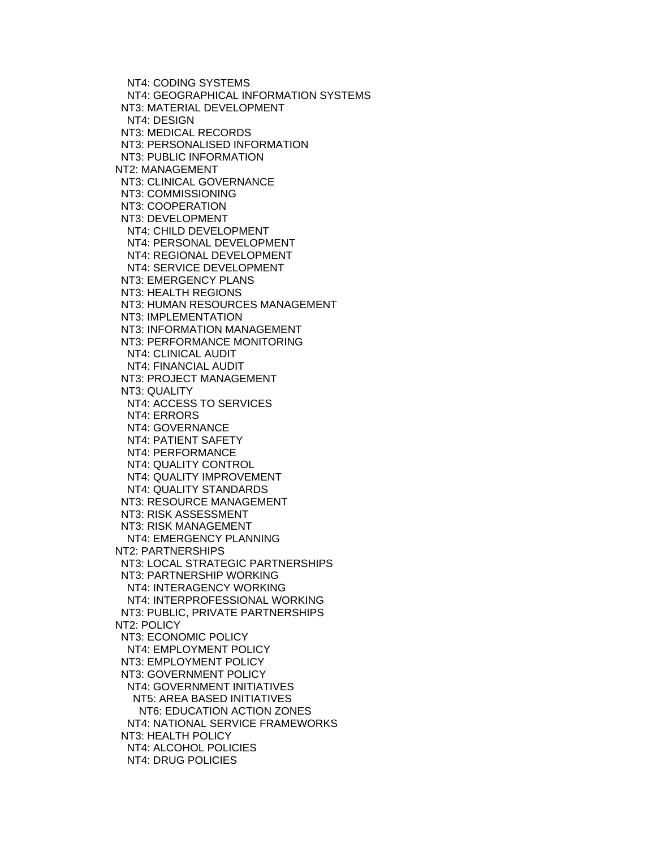NT4: CODING SYSTEMS NT4: GEOGRAPHICAL INFORMATION SYSTEMS NT3: MATERIAL DEVELOPMENT NT4: DESIGN NT3: MEDICAL RECORDS NT3: PERSONALISED INFORMATION NT3: PUBLIC INFORMATION NT2: MANAGEMENT NT3: CLINICAL GOVERNANCE NT3: COMMISSIONING NT3: COOPERATION NT3: DEVELOPMENT NT4: CHILD DEVELOPMENT NT4: PERSONAL DEVELOPMENT NT4: REGIONAL DEVELOPMENT NT4: SERVICE DEVELOPMENT NT3: EMERGENCY PLANS NT3: HEALTH REGIONS NT3: HUMAN RESOURCES MANAGEMENT NT3: IMPLEMENTATION NT3: INFORMATION MANAGEMENT NT3: PERFORMANCE MONITORING NT4: CLINICAL AUDIT NT4: FINANCIAL AUDIT NT3: PROJECT MANAGEMENT NT3: QUALITY NT4: ACCESS TO SERVICES NT4: ERRORS NT4: GOVERNANCE NT4: PATIENT SAFETY NT4: PERFORMANCE NT4: QUALITY CONTROL NT4: QUALITY IMPROVEMENT NT4: QUALITY STANDARDS NT3: RESOURCE MANAGEMENT NT3: RISK ASSESSMENT NT3: RISK MANAGEMENT NT4: EMERGENCY PLANNING NT2: PARTNERSHIPS NT3: LOCAL STRATEGIC PARTNERSHIPS NT3: PARTNERSHIP WORKING NT4: INTERAGENCY WORKING NT4: INTERPROFESSIONAL WORKING NT3: PUBLIC, PRIVATE PARTNERSHIPS NT2: POLICY NT3: ECONOMIC POLICY NT4: EMPLOYMENT POLICY NT3: EMPLOYMENT POLICY NT3: GOVERNMENT POLICY NT4: GOVERNMENT INITIATIVES NT5: AREA BASED INITIATIVES NT6: EDUCATION ACTION ZONES NT4: NATIONAL SERVICE FRAMEWORKS NT3: HEALTH POLICY NT4: ALCOHOL POLICIES NT4: DRUG POLICIES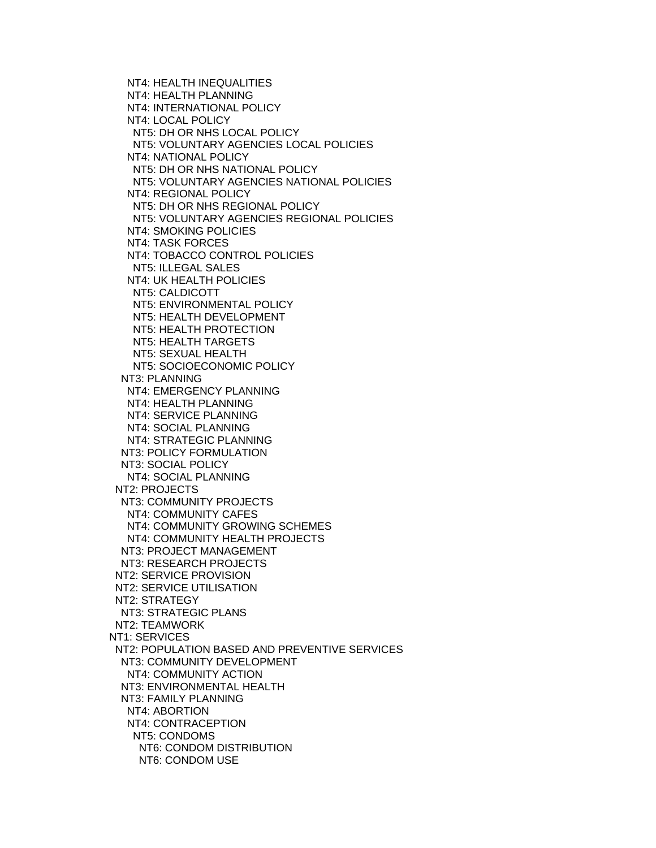NT4: HEALTH INEQUALITIES NT4: HEALTH PLANNING NT4: INTERNATIONAL POLICY NT4: LOCAL POLICY NT5: DH OR NHS LOCAL POLICY NT5: VOLUNTARY AGENCIES LOCAL POLICIES NT4: NATIONAL POLICY NT5: DH OR NHS NATIONAL POLICY NT5: VOLUNTARY AGENCIES NATIONAL POLICIES NT4: REGIONAL POLICY NT5: DH OR NHS REGIONAL POLICY NT5: VOLUNTARY AGENCIES REGIONAL POLICIES NT4: SMOKING POLICIES NT4: TASK FORCES NT4: TOBACCO CONTROL POLICIES NT5: ILLEGAL SALES NT4: UK HEALTH POLICIES NT5: CALDICOTT NT5: ENVIRONMENTAL POLICY NT5: HEALTH DEVELOPMENT NT5: HEALTH PROTECTION NT5: HEALTH TARGETS NT5: SEXUAL HEALTH NT5: SOCIOECONOMIC POLICY NT3: PLANNING NT4: EMERGENCY PLANNING NT4: HEALTH PLANNING NT4: SERVICE PLANNING NT4: SOCIAL PLANNING NT4: STRATEGIC PLANNING NT3: POLICY FORMULATION NT3: SOCIAL POLICY NT4: SOCIAL PLANNING NT2: PROJECTS NT3: COMMUNITY PROJECTS NT4: COMMUNITY CAFES NT4: COMMUNITY GROWING SCHEMES NT4: COMMUNITY HEALTH PROJECTS NT3: PROJECT MANAGEMENT NT3: RESEARCH PROJECTS NT2: SERVICE PROVISION NT2: SERVICE UTILISATION NT2: STRATEGY NT3: STRATEGIC PLANS NT2: TEAMWORK NT1: SERVICES NT2: POPULATION BASED AND PREVENTIVE SERVICES NT3: COMMUNITY DEVELOPMENT NT4: COMMUNITY ACTION NT3: ENVIRONMENTAL HEALTH NT3: FAMILY PLANNING NT4: ABORTION NT4: CONTRACEPTION NT5: CONDOMS NT6: CONDOM DISTRIBUTION NT6: CONDOM USE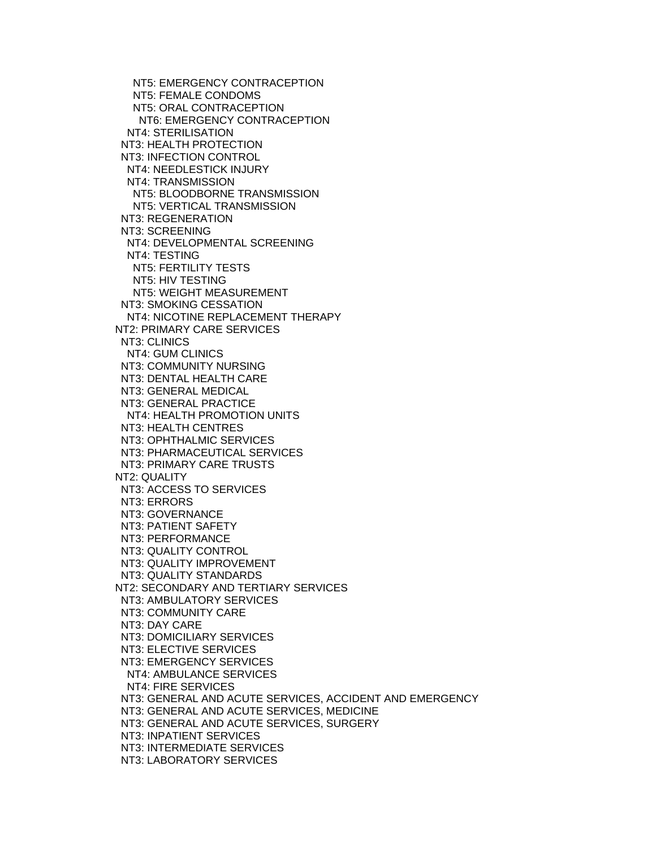NT5: EMERGENCY CONTRACEPTION NT5: FEMALE CONDOMS NT5: ORAL CONTRACEPTION NT6: EMERGENCY CONTRACEPTION NT4: STERILISATION NT3: HEALTH PROTECTION NT3: INFECTION CONTROL NT4: NEEDLESTICK INJURY NT4: TRANSMISSION NT5: BLOODBORNE TRANSMISSION NT5: VERTICAL TRANSMISSION NT3: REGENERATION NT3: SCREENING NT4: DEVELOPMENTAL SCREENING NT4: TESTING NT5: FERTILITY TESTS NT5: HIV TESTING NT5: WEIGHT MEASUREMENT NT3: SMOKING CESSATION NT4: NICOTINE REPLACEMENT THERAPY NT2: PRIMARY CARE SERVICES NT3: CLINICS NT4: GUM CLINICS NT3: COMMUNITY NURSING NT3: DENTAL HEALTH CARE NT3: GENERAL MEDICAL NT3: GENERAL PRACTICE NT4: HEALTH PROMOTION UNITS NT3: HEALTH CENTRES NT3: OPHTHALMIC SERVICES NT3: PHARMACEUTICAL SERVICES NT3: PRIMARY CARE TRUSTS NT2: QUALITY NT3: ACCESS TO SERVICES NT3: ERRORS NT3: GOVERNANCE NT3: PATIENT SAFETY NT3: PERFORMANCE NT3: QUALITY CONTROL NT3: QUALITY IMPROVEMENT NT3: QUALITY STANDARDS NT2: SECONDARY AND TERTIARY SERVICES NT3: AMBULATORY SERVICES NT3: COMMUNITY CARE NT3: DAY CARE NT3: DOMICILIARY SERVICES NT3: ELECTIVE SERVICES NT3: EMERGENCY SERVICES NT4: AMBULANCE SERVICES NT4: FIRE SERVICES NT3: GENERAL AND ACUTE SERVICES, ACCIDENT AND EMERGENCY NT3: GENERAL AND ACUTE SERVICES, MEDICINE NT3: GENERAL AND ACUTE SERVICES, SURGERY NT3: INPATIENT SERVICES NT3: INTERMEDIATE SERVICES NT3: LABORATORY SERVICES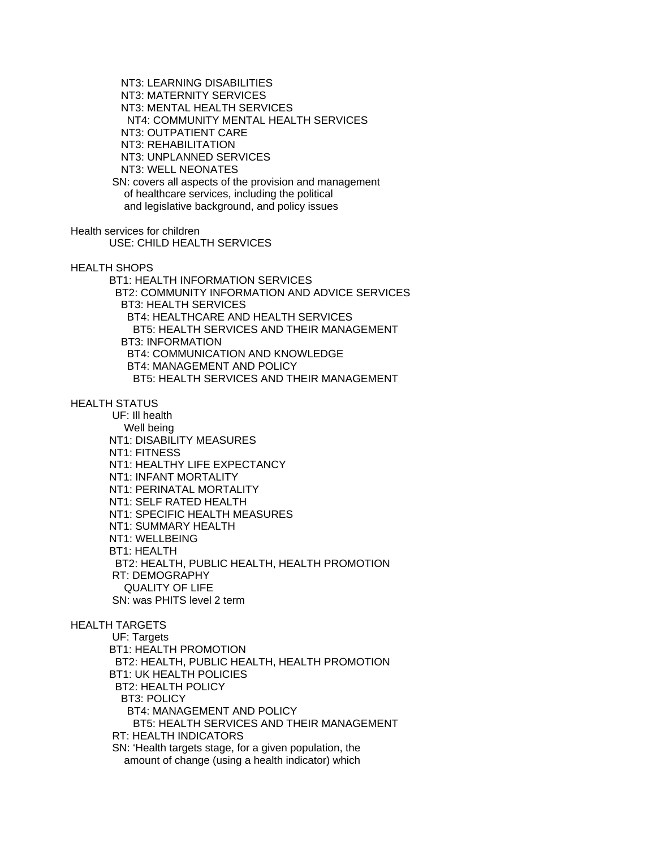NT3: LEARNING DISABILITIES NT3: MATERNITY SERVICES NT3: MENTAL HEALTH SERVICES NT4: COMMUNITY MENTAL HEALTH SERVICES NT3: OUTPATIENT CARE NT3: REHABILITATION NT3: UNPLANNED SERVICES NT3: WELL NEONATES SN: covers all aspects of the provision and management of healthcare services, including the political and legislative background, and policy issues

Health services for children USE: CHILD HEALTH SERVICES

HEALTH SHOPS

 BT1: HEALTH INFORMATION SERVICES BT2: COMMUNITY INFORMATION AND ADVICE SERVICES BT3: HEALTH SERVICES BT4: HEALTHCARE AND HEALTH SERVICES BT5: HEALTH SERVICES AND THEIR MANAGEMENT BT3: INFORMATION BT4: COMMUNICATION AND KNOWLEDGE BT4: MANAGEMENT AND POLICY BT5: HEALTH SERVICES AND THEIR MANAGEMENT

HEALTH STATUS

 UF: Ill health Well being NT1: DISABILITY MEASURES NT1: FITNESS NT1: HEALTHY LIFE EXPECTANCY NT1: INFANT MORTALITY NT1: PERINATAL MORTALITY NT1: SELF RATED HEALTH NT1: SPECIFIC HEALTH MEASURES NT1: SUMMARY HEALTH NT1: WELLBEING BT1: HEALTH BT2: HEALTH, PUBLIC HEALTH, HEALTH PROMOTION RT: DEMOGRAPHY QUALITY OF LIFE SN: was PHITS level 2 term

#### HEALTH TARGETS

 UF: Targets BT1: HEALTH PROMOTION BT2: HEALTH, PUBLIC HEALTH, HEALTH PROMOTION BT1: UK HEALTH POLICIES BT2: HEALTH POLICY BT3: POLICY BT4: MANAGEMENT AND POLICY BT5: HEALTH SERVICES AND THEIR MANAGEMENT RT: HEALTH INDICATORS SN: 'Health targets stage, for a given population, the amount of change (using a health indicator) which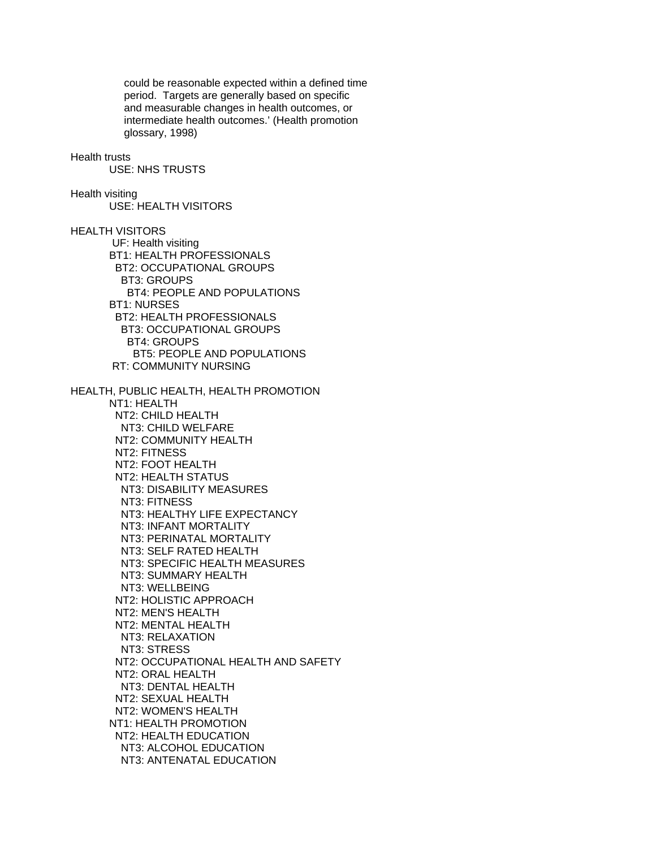could be reasonable expected within a defined time period. Targets are generally based on specific and measurable changes in health outcomes, or intermediate health outcomes.' (Health promotion glossary, 1998)

#### Health trusts

USE: NHS TRUSTS

# Health visiting

USE: HEALTH VISITORS

HEALTH VISITORS

 UF: Health visiting BT1: HEALTH PROFESSIONALS BT2: OCCUPATIONAL GROUPS BT3: GROUPS BT4: PEOPLE AND POPULATIONS BT1: NURSES BT2: HEALTH PROFESSIONALS BT3: OCCUPATIONAL GROUPS BT4: GROUPS BT5: PEOPLE AND POPULATIONS RT: COMMUNITY NURSING

HEALTH, PUBLIC HEALTH, HEALTH PROMOTION NT1: HEALTH NT2: CHILD HEALTH NT3: CHILD WELFARE NT2: COMMUNITY HEALTH NT2: FITNESS NT2: FOOT HEALTH NT2: HEALTH STATUS NT3: DISABILITY MEASURES NT3: FITNESS NT3: HEALTHY LIFE EXPECTANCY NT3: INFANT MORTALITY NT3: PERINATAL MORTALITY NT3: SELF RATED HEALTH NT3: SPECIFIC HEALTH MEASURES NT3: SUMMARY HEALTH NT3: WELLBEING NT2: HOLISTIC APPROACH NT2: MEN'S HEALTH NT2: MENTAL HEALTH NT3: RELAXATION NT3: STRESS NT2: OCCUPATIONAL HEALTH AND SAFETY NT2: ORAL HEALTH NT3: DENTAL HEALTH NT2: SEXUAL HEALTH NT2: WOMEN'S HEALTH NT1: HEALTH PROMOTION NT2: HEALTH EDUCATION NT3: ALCOHOL EDUCATION NT3: ANTENATAL EDUCATION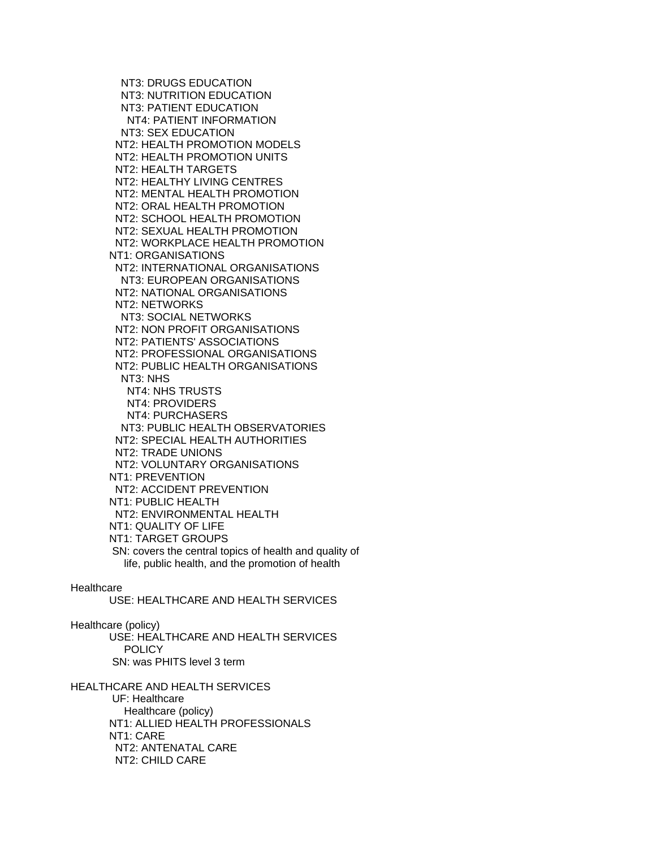NT3: DRUGS EDUCATION NT3: NUTRITION EDUCATION NT3: PATIENT EDUCATION NT4: PATIENT INFORMATION NT3: SEX EDUCATION NT2: HEALTH PROMOTION MODELS NT2: HEALTH PROMOTION UNITS NT2: HEALTH TARGETS NT2: HEALTHY LIVING CENTRES NT2: MENTAL HEALTH PROMOTION NT2: ORAL HEALTH PROMOTION NT2: SCHOOL HEALTH PROMOTION NT2: SEXUAL HEALTH PROMOTION NT2: WORKPLACE HEALTH PROMOTION NT1: ORGANISATIONS NT2: INTERNATIONAL ORGANISATIONS NT3: EUROPEAN ORGANISATIONS NT2: NATIONAL ORGANISATIONS NT2: NETWORKS NT3: SOCIAL NETWORKS NT2: NON PROFIT ORGANISATIONS NT2: PATIENTS' ASSOCIATIONS NT2: PROFESSIONAL ORGANISATIONS NT2: PUBLIC HEALTH ORGANISATIONS NT3: NHS NT4: NHS TRUSTS NT4: PROVIDERS NT4: PURCHASERS NT3: PUBLIC HEALTH OBSERVATORIES NT2: SPECIAL HEALTH AUTHORITIES NT2: TRADE UNIONS NT2: VOLUNTARY ORGANISATIONS NT1: PREVENTION NT2: ACCIDENT PREVENTION NT1: PUBLIC HEALTH NT2: ENVIRONMENTAL HEALTH NT1: QUALITY OF LIFE NT1: TARGET GROUPS SN: covers the central topics of health and quality of life, public health, and the promotion of health

#### **Healthcare**

USE: HEALTHCARE AND HEALTH SERVICES

Healthcare (policy)

 USE: HEALTHCARE AND HEALTH SERVICES **POLICY** SN: was PHITS level 3 term

HEALTHCARE AND HEALTH SERVICES UF: Healthcare Healthcare (policy) NT1: ALLIED HEALTH PROFESSIONALS NT1: CARE NT2: ANTENATAL CARE NT2: CHILD CARE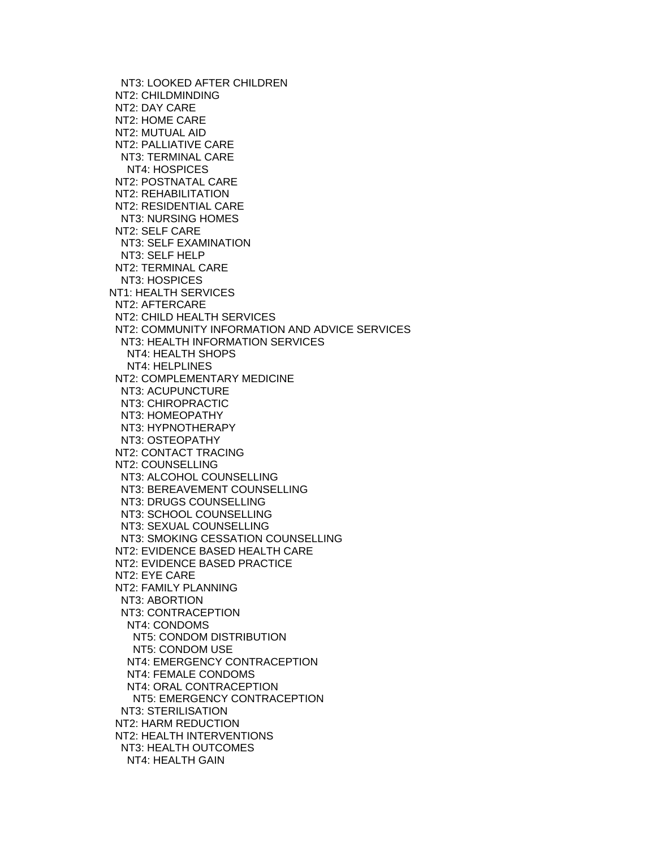NT3: LOOKED AFTER CHILDREN NT2: CHILDMINDING NT2: DAY CARE NT2: HOME CARE NT2: MUTUAL AID NT2: PALLIATIVE CARE NT3: TERMINAL CARE NT4: HOSPICES NT2: POSTNATAL CARE NT2: REHABILITATION NT2: RESIDENTIAL CARE NT3: NURSING HOMES NT2: SELF CARE NT3: SELF EXAMINATION NT3: SELF HELP NT2: TERMINAL CARE NT3: HOSPICES NT1: HEALTH SERVICES NT2: AFTERCARE NT2: CHILD HEALTH SERVICES NT2: COMMUNITY INFORMATION AND ADVICE SERVICES NT3: HEALTH INFORMATION SERVICES NT4: HEALTH SHOPS NT4: HELPLINES NT2: COMPLEMENTARY MEDICINE NT3: ACUPUNCTURE NT3: CHIROPRACTIC NT3: HOMEOPATHY NT3: HYPNOTHERAPY NT3: OSTEOPATHY NT2: CONTACT TRACING NT2: COUNSELLING NT3: ALCOHOL COUNSELLING NT3: BEREAVEMENT COUNSELLING NT3: DRUGS COUNSELLING NT3: SCHOOL COUNSELLING NT3: SEXUAL COUNSELLING NT3: SMOKING CESSATION COUNSELLING NT2: EVIDENCE BASED HEALTH CARE NT2: EVIDENCE BASED PRACTICE NT2: EYE CARE NT2: FAMILY PLANNING NT3: ABORTION NT3: CONTRACEPTION NT4: CONDOMS NT5: CONDOM DISTRIBUTION NT5: CONDOM USE NT4: EMERGENCY CONTRACEPTION NT4: FEMALE CONDOMS NT4: ORAL CONTRACEPTION NT5: EMERGENCY CONTRACEPTION NT3: STERILISATION NT2: HARM REDUCTION NT2: HEALTH INTERVENTIONS NT3: HEALTH OUTCOMES NT4: HEALTH GAIN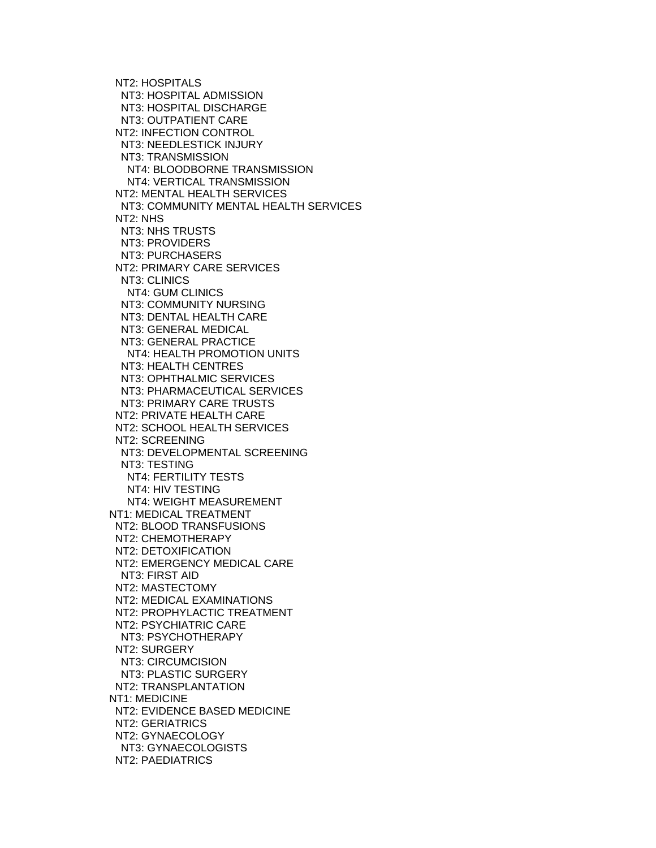NT2: HOSPITALS NT3: HOSPITAL ADMISSION NT3: HOSPITAL DISCHARGE NT3: OUTPATIENT CARE NT2: INFECTION CONTROL NT3: NEEDLESTICK INJURY NT3: TRANSMISSION NT4: BLOODBORNE TRANSMISSION NT4: VERTICAL TRANSMISSION NT2: MENTAL HEALTH SERVICES NT3: COMMUNITY MENTAL HEALTH SERVICES NT2: NHS NT3: NHS TRUSTS NT3: PROVIDERS NT3: PURCHASERS NT2: PRIMARY CARE SERVICES NT3: CLINICS NT4: GUM CLINICS NT3: COMMUNITY NURSING NT3: DENTAL HEALTH CARE NT3: GENERAL MEDICAL NT3: GENERAL PRACTICE NT4: HEALTH PROMOTION UNITS NT3: HEALTH CENTRES NT3: OPHTHALMIC SERVICES NT3: PHARMACEUTICAL SERVICES NT3: PRIMARY CARE TRUSTS NT2: PRIVATE HEALTH CARE NT2: SCHOOL HEALTH SERVICES NT2: SCREENING NT3: DEVELOPMENTAL SCREENING NT3: TESTING NT4: FERTILITY TESTS NT4: HIV TESTING NT4: WEIGHT MEASUREMENT NT1: MEDICAL TREATMENT NT2: BLOOD TRANSFUSIONS NT2: CHEMOTHERAPY NT2: DETOXIFICATION NT2: EMERGENCY MEDICAL CARE NT3: FIRST AID NT2: MASTECTOMY NT2: MEDICAL EXAMINATIONS NT2: PROPHYLACTIC TREATMENT NT2: PSYCHIATRIC CARE NT3: PSYCHOTHERAPY NT2: SURGERY NT3: CIRCUMCISION NT3: PLASTIC SURGERY NT2: TRANSPLANTATION NT1: MEDICINE NT2: EVIDENCE BASED MEDICINE NT2: GERIATRICS NT2: GYNAECOLOGY NT3: GYNAECOLOGISTS NT2: PAEDIATRICS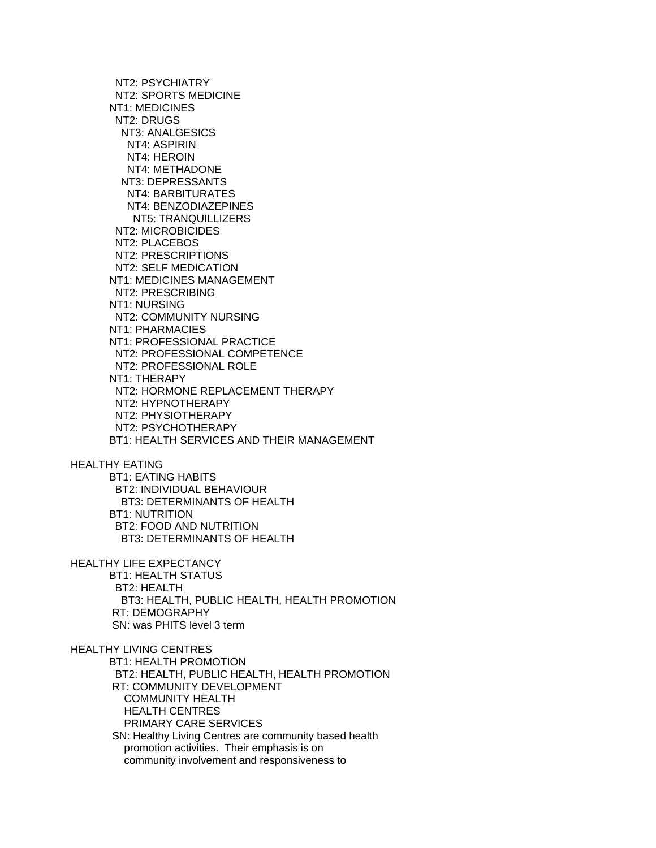NT2: PSYCHIATRY NT2: SPORTS MEDICINE NT1: MEDICINES NT2: DRUGS NT3: ANALGESICS NT4: ASPIRIN NT4: HEROIN NT4: METHADONE NT3: DEPRESSANTS NT4: BARBITURATES NT4: BENZODIAZEPINES NT5: TRANQUILLIZERS NT2: MICROBICIDES NT2: PLACEBOS NT2: PRESCRIPTIONS NT2: SELF MEDICATION NT1: MEDICINES MANAGEMENT NT2: PRESCRIBING NT1: NURSING NT2: COMMUNITY NURSING NT1: PHARMACIES NT1: PROFESSIONAL PRACTICE NT2: PROFESSIONAL COMPETENCE NT2: PROFESSIONAL ROLE NT1: THERAPY NT2: HORMONE REPLACEMENT THERAPY NT2: HYPNOTHERAPY NT2: PHYSIOTHERAPY NT2: PSYCHOTHERAPY BT1: HEALTH SERVICES AND THEIR MANAGEMENT HEALTHY EATING BT1: EATING HABITS BT2: INDIVIDUAL BEHAVIOUR BT3: DETERMINANTS OF HEALTH BT1: NUTRITION BT2: FOOD AND NUTRITION BT3: DETERMINANTS OF HEALTH HEALTHY LIFE EXPECTANCY BT1: HEALTH STATUS BT2: HEALTH BT3: HEALTH, PUBLIC HEALTH, HEALTH PROMOTION RT: DEMOGRAPHY SN: was PHITS level 3 term HEALTHY LIVING CENTRES BT1: HEALTH PROMOTION BT2: HEALTH, PUBLIC HEALTH, HEALTH PROMOTION RT: COMMUNITY DEVELOPMENT COMMUNITY HEALTH HEALTH CENTRES PRIMARY CARE SERVICES SN: Healthy Living Centres are community based health promotion activities. Their emphasis is on community involvement and responsiveness to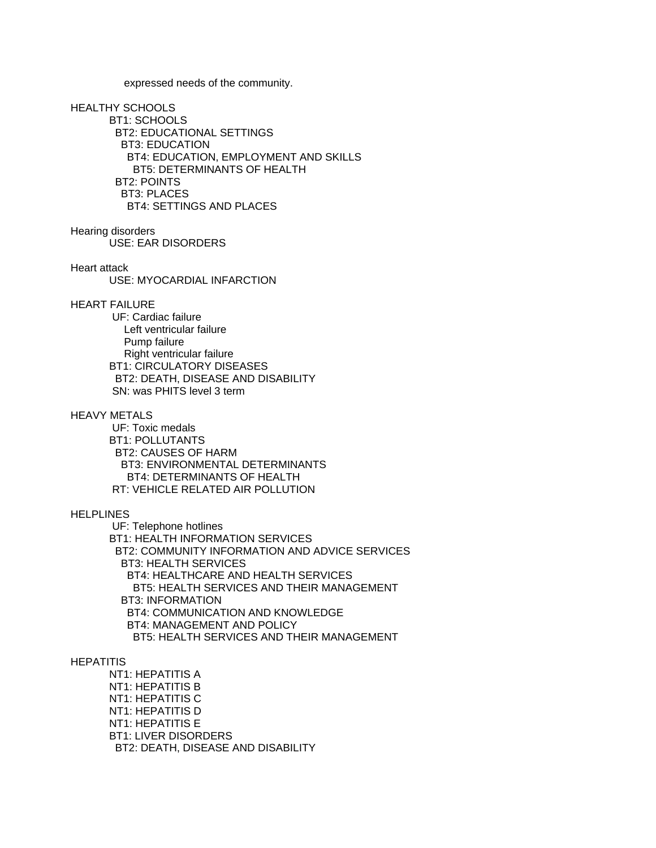expressed needs of the community.

#### HEALTHY SCHOOLS

 BT1: SCHOOLS BT2: EDUCATIONAL SETTINGS BT3: EDUCATION BT4: EDUCATION, EMPLOYMENT AND SKILLS BT5: DETERMINANTS OF HEALTH BT2: POINTS BT3: PLACES BT4: SETTINGS AND PLACES

#### Hearing disorders

USE: EAR DISORDERS

## Heart attack

USE: MYOCARDIAL INFARCTION

#### HEART FAILURE

 UF: Cardiac failure Left ventricular failure Pump failure Right ventricular failure BT1: CIRCULATORY DISEASES BT2: DEATH, DISEASE AND DISABILITY SN: was PHITS level 3 term

#### HEAVY METALS

 UF: Toxic medals BT1: POLLUTANTS BT2: CAUSES OF HARM BT3: ENVIRONMENTAL DETERMINANTS BT4: DETERMINANTS OF HEALTH RT: VEHICLE RELATED AIR POLLUTION

# **HELPLINES**

 UF: Telephone hotlines BT1: HEALTH INFORMATION SERVICES BT2: COMMUNITY INFORMATION AND ADVICE SERVICES BT3: HEALTH SERVICES BT4: HEALTHCARE AND HEALTH SERVICES BT5: HEALTH SERVICES AND THEIR MANAGEMENT BT3: INFORMATION BT4: COMMUNICATION AND KNOWLEDGE BT4: MANAGEMENT AND POLICY BT5: HEALTH SERVICES AND THEIR MANAGEMENT

# **HEPATITIS**

 NT1: HEPATITIS A NT1: HEPATITIS B NT1: HEPATITIS C NT1: HEPATITIS D NT1: HEPATITIS E BT1: LIVER DISORDERS BT2: DEATH, DISEASE AND DISABILITY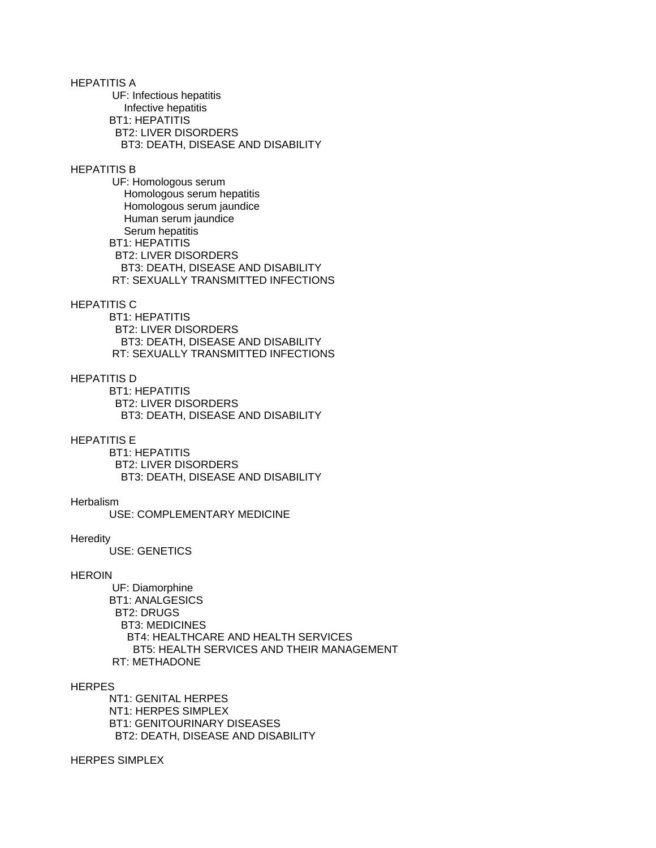HEPATITIS A UF: Infectious hepatitis Infective hepatitis BT1: HEPATITIS BT2: LIVER DISORDERS BT3: DEATH, DISEASE AND DISABILITY HEPATITIS B UF: Homologous serum Homologous serum hepatitis Homologous serum jaundice Human serum jaundice Serum hepatitis

 BT1: HEPATITIS BT2: LIVER DISORDERS BT3: DEATH, DISEASE AND DISABILITY RT: SEXUALLY TRANSMITTED INFECTIONS

# HEPATITIS C

 BT1: HEPATITIS BT2: LIVER DISORDERS BT3: DEATH, DISEASE AND DISABILITY RT: SEXUALLY TRANSMITTED INFECTIONS

# HEPATITIS D

 BT1: HEPATITIS BT2: LIVER DISORDERS BT3: DEATH, DISEASE AND DISABILITY

#### HEPATITIS E

 BT1: HEPATITIS BT2: LIVER DISORDERS BT3: DEATH, DISEASE AND DISABILITY

### **Herbalism**

USE: COMPLEMENTARY MEDICINE

#### **Heredity**

USE: GENETICS

## HEROIN

 UF: Diamorphine BT1: ANALGESICS BT2: DRUGS BT3: MEDICINES BT4: HEALTHCARE AND HEALTH SERVICES BT5: HEALTH SERVICES AND THEIR MANAGEMENT RT: METHADONE

#### **HERPES**

 NT1: GENITAL HERPES NT1: HERPES SIMPLEX BT1: GENITOURINARY DISEASES BT2: DEATH, DISEASE AND DISABILITY

# HERPES SIMPLEX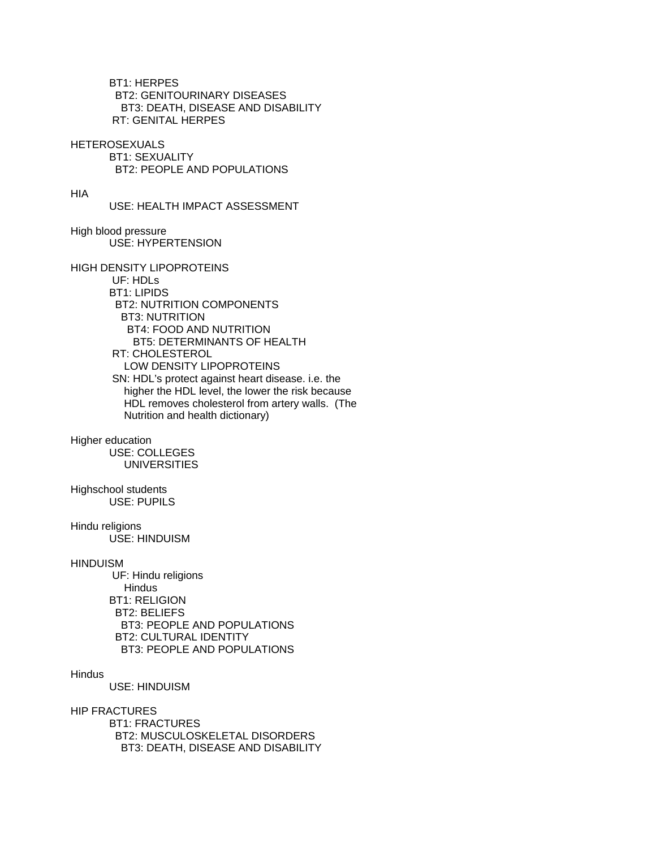BT1: HERPES BT2: GENITOURINARY DISEASES BT3: DEATH, DISEASE AND DISABILITY RT: GENITAL HERPES

**HETEROSEXUALS** 

 BT1: SEXUALITY BT2: PEOPLE AND POPULATIONS

HIA

USE: HEALTH IMPACT ASSESSMENT

High blood pressure USE: HYPERTENSION

HIGH DENSITY LIPOPROTEINS

 UF: HDLs BT1: LIPIDS BT2: NUTRITION COMPONENTS BT3: NUTRITION BT4: FOOD AND NUTRITION BT5: DETERMINANTS OF HEALTH RT: CHOLESTEROL LOW DENSITY LIPOPROTEINS SN: HDL's protect against heart disease. i.e. the higher the HDL level, the lower the risk because HDL removes cholesterol from artery walls. (The Nutrition and health dictionary)

Higher education USE: COLLEGES UNIVERSITIES

Highschool students USE: PUPILS

Hindu religions USE: HINDUISM

**HINDUISM** 

 UF: Hindu religions **Hindus**  BT1: RELIGION BT2: BELIEFS BT3: PEOPLE AND POPULATIONS BT2: CULTURAL IDENTITY BT3: PEOPLE AND POPULATIONS

# **Hindus**

USE: HINDUISM

HIP FRACTURES

 BT1: FRACTURES BT2: MUSCULOSKELETAL DISORDERS BT3: DEATH, DISEASE AND DISABILITY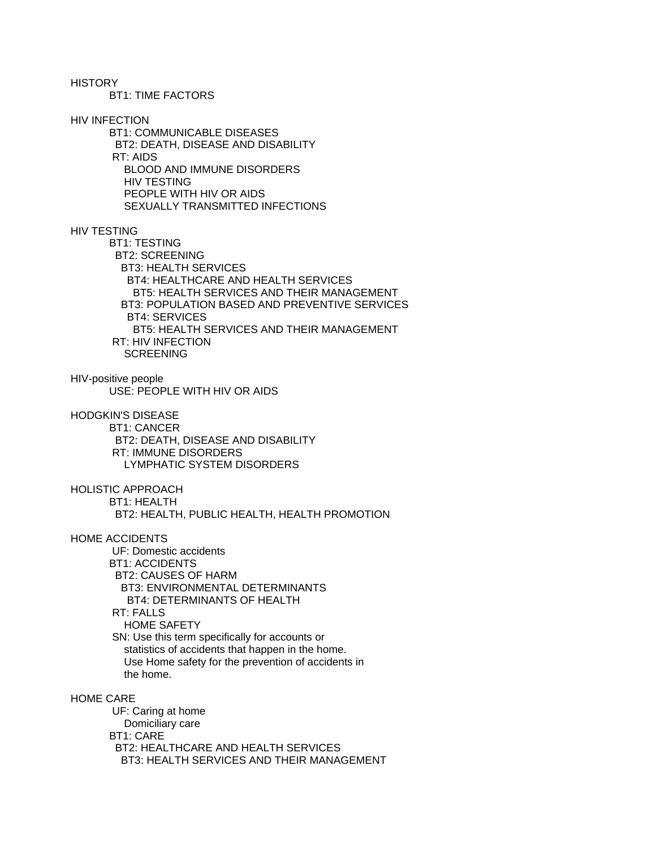**HISTORY** 

BT1: TIME FACTORS

HIV INFECTION

 BT1: COMMUNICABLE DISEASES BT2: DEATH, DISEASE AND DISABILITY RT: AIDS BLOOD AND IMMUNE DISORDERS HIV TESTING PEOPLE WITH HIV OR AIDS SEXUALLY TRANSMITTED INFECTIONS

# HIV TESTING

 BT1: TESTING BT2: SCREENING BT3: HEALTH SERVICES BT4: HEALTHCARE AND HEALTH SERVICES BT5: HEALTH SERVICES AND THEIR MANAGEMENT BT3: POPULATION BASED AND PREVENTIVE SERVICES BT4: SERVICES BT5: HEALTH SERVICES AND THEIR MANAGEMENT RT: HIV INFECTION SCREENING

HIV-positive people USE: PEOPLE WITH HIV OR AIDS

HODGKIN'S DISEASE

 BT1: CANCER BT2: DEATH, DISEASE AND DISABILITY RT: IMMUNE DISORDERS LYMPHATIC SYSTEM DISORDERS

HOLISTIC APPROACH BT1: HEALTH BT2: HEALTH, PUBLIC HEALTH, HEALTH PROMOTION

HOME ACCIDENTS UF: Domestic accidents BT1: ACCIDENTS BT2: CAUSES OF HARM BT3: ENVIRONMENTAL DETERMINANTS BT4: DETERMINANTS OF HEALTH RT: FALLS HOME SAFETY SN: Use this term specifically for accounts or

 statistics of accidents that happen in the home. Use Home safety for the prevention of accidents in the home.

HOME CARE

 UF: Caring at home Domiciliary care BT1: CARE BT2: HEALTHCARE AND HEALTH SERVICES BT3: HEALTH SERVICES AND THEIR MANAGEMENT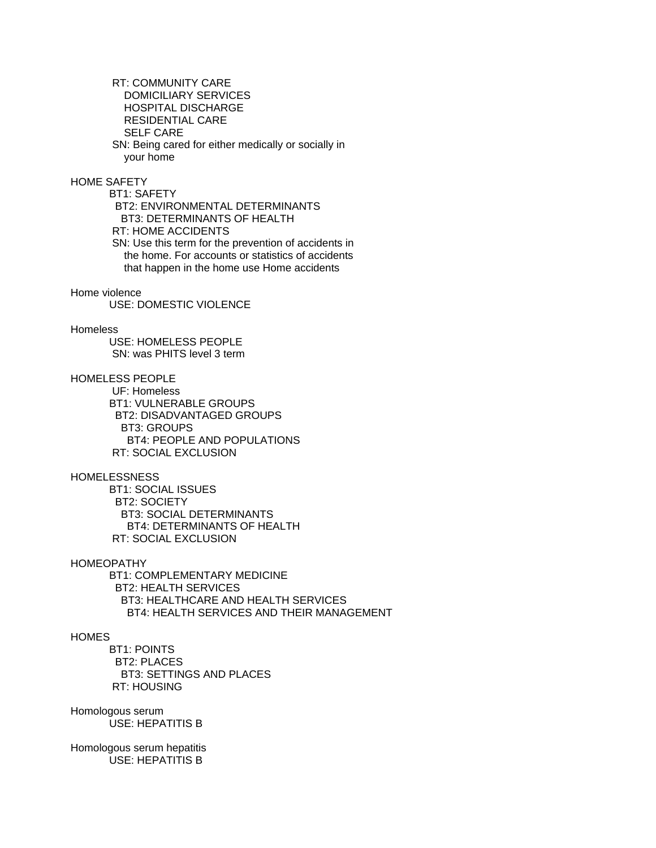RT: COMMUNITY CARE DOMICILIARY SERVICES HOSPITAL DISCHARGE RESIDENTIAL CARE SELF CARE SN: Being cared for either medically or socially in your home

# HOME SAFETY

 BT1: SAFETY BT2: ENVIRONMENTAL DETERMINANTS BT3: DETERMINANTS OF HEALTH RT: HOME ACCIDENTS SN: Use this term for the prevention of accidents in the home. For accounts or statistics of accidents that happen in the home use Home accidents

# Home violence

USE: DOMESTIC VIOLENCE

# **Homeless**

 USE: HOMELESS PEOPLE SN: was PHITS level 3 term

# HOMELESS PEOPLE

 UF: Homeless BT1: VULNERABLE GROUPS BT2: DISADVANTAGED GROUPS BT3: GROUPS BT4: PEOPLE AND POPULATIONS RT: SOCIAL EXCLUSION

# HOMELESSNESS

 BT1: SOCIAL ISSUES BT2: SOCIETY BT3: SOCIAL DETERMINANTS BT4: DETERMINANTS OF HEALTH RT: SOCIAL EXCLUSION

# HOMEOPATHY

 BT1: COMPLEMENTARY MEDICINE BT2: HEALTH SERVICES BT3: HEALTHCARE AND HEALTH SERVICES BT4: HEALTH SERVICES AND THEIR MANAGEMENT

# **HOMES**

 BT1: POINTS BT2: PLACES BT3: SETTINGS AND PLACES RT: HOUSING

## Homologous serum USE: HEPATITIS B

Homologous serum hepatitis USE: HEPATITIS B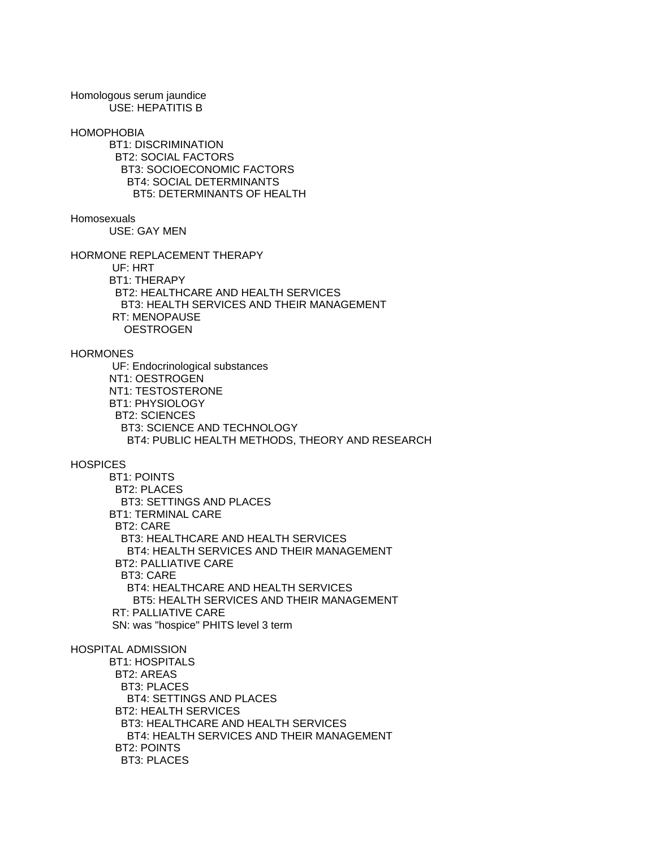Homologous serum jaundice USE: HEPATITIS B

#### HOMOPHOBIA

 BT1: DISCRIMINATION BT2: SOCIAL FACTORS BT3: SOCIOECONOMIC FACTORS BT4: SOCIAL DETERMINANTS BT5: DETERMINANTS OF HEALTH

### **Homosexuals**

USE: GAY MEN

HORMONE REPLACEMENT THERAPY

 UF: HRT BT1: THERAPY

 BT2: HEALTHCARE AND HEALTH SERVICES BT3: HEALTH SERVICES AND THEIR MANAGEMENT RT: MENOPAUSE **OESTROGEN** 

#### **HORMONES**

 UF: Endocrinological substances NT1: OESTROGEN NT1: TESTOSTERONE BT1: PHYSIOLOGY BT2: SCIENCES BT3: SCIENCE AND TECHNOLOGY BT4: PUBLIC HEALTH METHODS, THEORY AND RESEARCH

# **HOSPICES**

 BT1: POINTS BT2: PLACES BT3: SETTINGS AND PLACES BT1: TERMINAL CARE BT2: CARE BT3: HEALTHCARE AND HEALTH SERVICES BT4: HEALTH SERVICES AND THEIR MANAGEMENT BT2: PALLIATIVE CARE BT3: CARE BT4: HEALTHCARE AND HEALTH SERVICES BT5: HEALTH SERVICES AND THEIR MANAGEMENT RT: PALLIATIVE CARE SN: was "hospice" PHITS level 3 term

### HOSPITAL ADMISSION

 BT1: HOSPITALS BT2: AREAS BT3: PLACES BT4: SETTINGS AND PLACES BT2: HEALTH SERVICES BT3: HEALTHCARE AND HEALTH SERVICES BT4: HEALTH SERVICES AND THEIR MANAGEMENT BT2: POINTS BT3: PLACES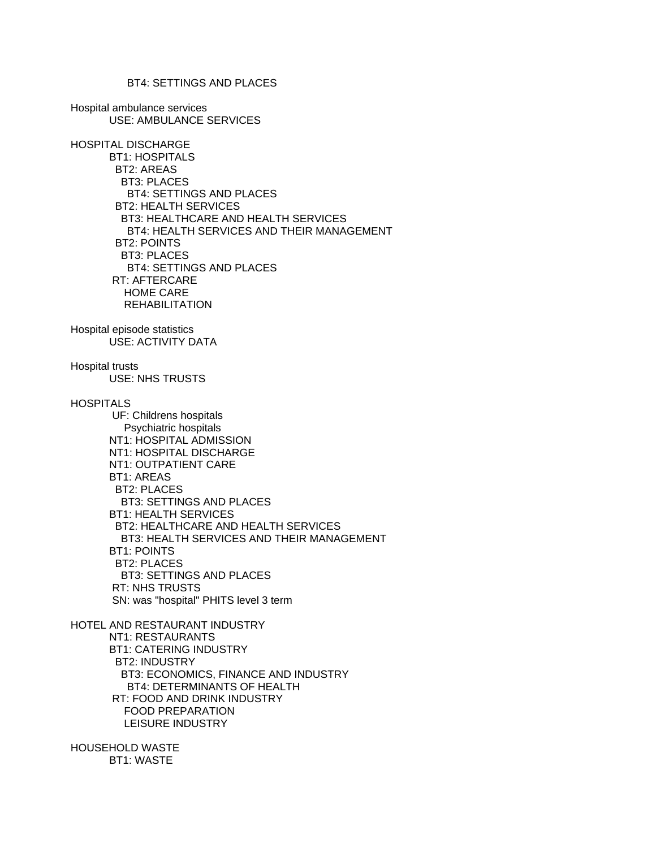BT4: SETTINGS AND PLACES

Hospital ambulance services USE: AMBULANCE SERVICES

HOSPITAL DISCHARGE BT1: HOSPITALS BT2: AREAS BT3: PLACES BT4: SETTINGS AND PLACES BT2: HEALTH SERVICES BT3: HEALTHCARE AND HEALTH SERVICES BT4: HEALTH SERVICES AND THEIR MANAGEMENT BT2: POINTS BT3: PLACES BT4: SETTINGS AND PLACES RT: AFTERCARE HOME CARE **REHABILITATION** Hospital episode statistics USE: ACTIVITY DATA

Hospital trusts USE: NHS TRUSTS **HOSPITALS**  UF: Childrens hospitals Psychiatric hospitals NT1: HOSPITAL ADMISSION NT1: HOSPITAL DISCHARGE NT1: OUTPATIENT CARE BT1: AREAS BT2: PLACES BT3: SETTINGS AND PLACES BT1: HEALTH SERVICES BT2: HEALTHCARE AND HEALTH SERVICES BT3: HEALTH SERVICES AND THEIR MANAGEMENT BT1: POINTS BT2: PLACES BT3: SETTINGS AND PLACES RT: NHS TRUSTS SN: was "hospital" PHITS level 3 term

HOTEL AND RESTAURANT INDUSTRY NT1: RESTAURANTS BT1: CATERING INDUSTRY BT2: INDUSTRY BT3: ECONOMICS, FINANCE AND INDUSTRY BT4: DETERMINANTS OF HEALTH RT: FOOD AND DRINK INDUSTRY FOOD PREPARATION LEISURE INDUSTRY

HOUSEHOLD WASTE BT1: WASTE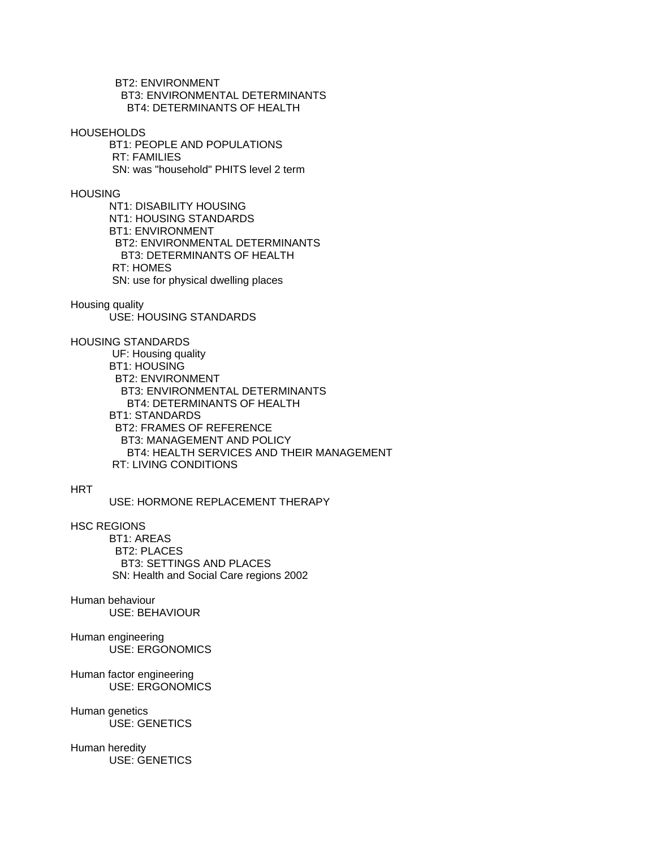BT2: ENVIRONMENT BT3: ENVIRONMENTAL DETERMINANTS BT4: DETERMINANTS OF HEALTH

**HOUSEHOLDS** 

 BT1: PEOPLE AND POPULATIONS RT: FAMILIES SN: was "household" PHITS level 2 term

**HOUSING** 

 NT1: DISABILITY HOUSING NT1: HOUSING STANDARDS BT1: ENVIRONMENT BT2: ENVIRONMENTAL DETERMINANTS BT3: DETERMINANTS OF HEALTH RT: HOMES SN: use for physical dwelling places

Housing quality

USE: HOUSING STANDARDS

HOUSING STANDARDS

 UF: Housing quality BT1: HOUSING BT2: ENVIRONMENT BT3: ENVIRONMENTAL DETERMINANTS BT4: DETERMINANTS OF HEALTH BT1: STANDARDS BT2: FRAMES OF REFERENCE BT3: MANAGEMENT AND POLICY BT4: HEALTH SERVICES AND THEIR MANAGEMENT RT: LIVING CONDITIONS

**HRT** 

USE: HORMONE REPLACEMENT THERAPY

HSC REGIONS

 BT1: AREAS BT2: PLACES BT3: SETTINGS AND PLACES SN: Health and Social Care regions 2002

Human behaviour USE: BEHAVIOUR

Human engineering USE: ERGONOMICS

Human factor engineering USE: ERGONOMICS

Human genetics USE: GENETICS

Human heredity USE: GENETICS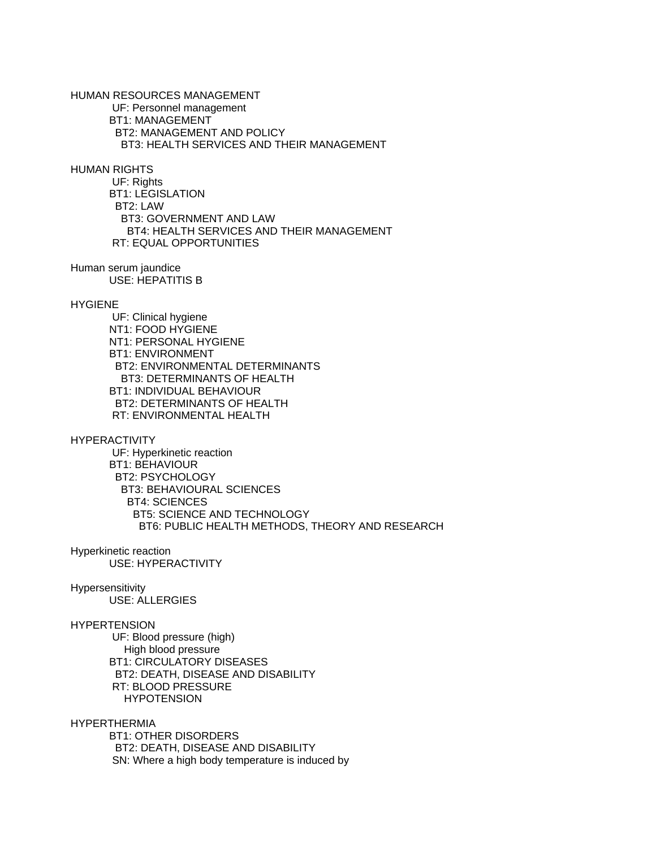HUMAN RESOURCES MANAGEMENT UF: Personnel management BT1: MANAGEMENT BT2: MANAGEMENT AND POLICY BT3: HEALTH SERVICES AND THEIR MANAGEMENT

HUMAN RIGHTS

 UF: Rights BT1: LEGISLATION BT2: LAW BT3: GOVERNMENT AND LAW BT4: HEALTH SERVICES AND THEIR MANAGEMENT RT: EQUAL OPPORTUNITIES

Human serum jaundice USE: HEPATITIS B

#### **HYGIENE**

 UF: Clinical hygiene NT1: FOOD HYGIENE NT1: PERSONAL HYGIENE BT1: ENVIRONMENT BT2: ENVIRONMENTAL DETERMINANTS BT3: DETERMINANTS OF HEALTH BT1: INDIVIDUAL BEHAVIOUR BT2: DETERMINANTS OF HEALTH RT: ENVIRONMENTAL HEALTH

**HYPERACTIVITY** 

 UF: Hyperkinetic reaction BT1: BEHAVIOUR BT2: PSYCHOLOGY BT3: BEHAVIOURAL SCIENCES BT4: SCIENCES BT5: SCIENCE AND TECHNOLOGY BT6: PUBLIC HEALTH METHODS, THEORY AND RESEARCH

Hyperkinetic reaction USE: HYPERACTIVITY

#### Hypersensitivity

USE: ALLERGIES

#### **HYPERTENSION**

 UF: Blood pressure (high) High blood pressure BT1: CIRCULATORY DISEASES BT2: DEATH, DISEASE AND DISABILITY RT: BLOOD PRESSURE **HYPOTENSION** 

HYPERTHERMIA

 BT1: OTHER DISORDERS BT2: DEATH, DISEASE AND DISABILITY SN: Where a high body temperature is induced by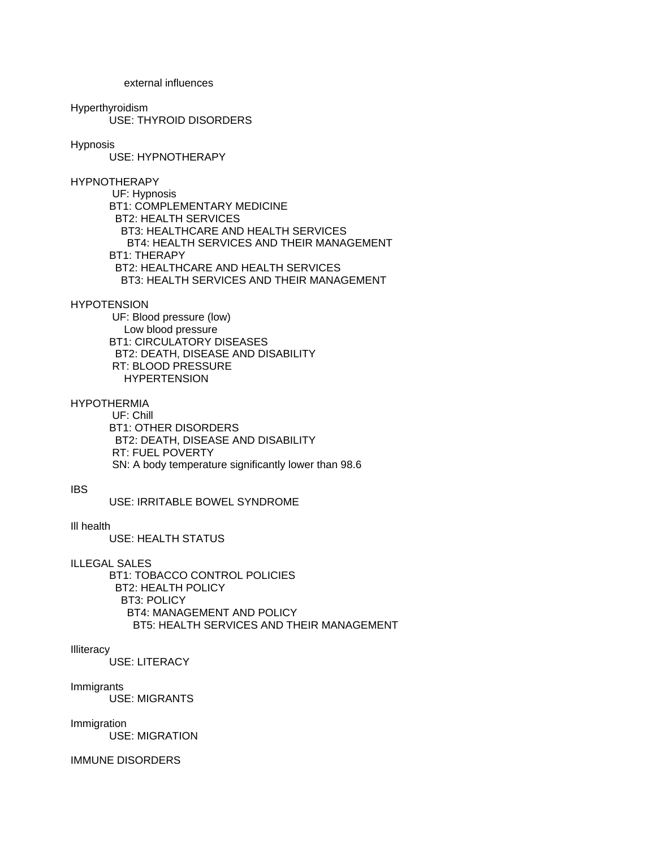external influences

#### Hyperthyroidism

USE: THYROID DISORDERS

# Hypnosis

USE: HYPNOTHERAPY

### HYPNOTHERAPY

 UF: Hypnosis BT1: COMPLEMENTARY MEDICINE BT2: HEALTH SERVICES BT3: HEALTHCARE AND HEALTH SERVICES BT4: HEALTH SERVICES AND THEIR MANAGEMENT BT1: THERAPY BT2: HEALTHCARE AND HEALTH SERVICES BT3: HEALTH SERVICES AND THEIR MANAGEMENT

# **HYPOTENSION**

 UF: Blood pressure (low) Low blood pressure BT1: CIRCULATORY DISEASES BT2: DEATH, DISEASE AND DISABILITY RT: BLOOD PRESSURE **HYPERTENSION** 

# **HYPOTHERMIA**

 UF: Chill BT1: OTHER DISORDERS BT2: DEATH, DISEASE AND DISABILITY RT: FUEL POVERTY SN: A body temperature significantly lower than 98.6

#### IBS

USE: IRRITABLE BOWEL SYNDROME

# Ill health

USE: HEALTH STATUS

ILLEGAL SALES

 BT1: TOBACCO CONTROL POLICIES BT2: HEALTH POLICY BT3: POLICY BT4: MANAGEMENT AND POLICY BT5: HEALTH SERVICES AND THEIR MANAGEMENT

### **Illiteracy**

USE: LITERACY

# Immigrants

USE: MIGRANTS

# Immigration

USE: MIGRATION

# IMMUNE DISORDERS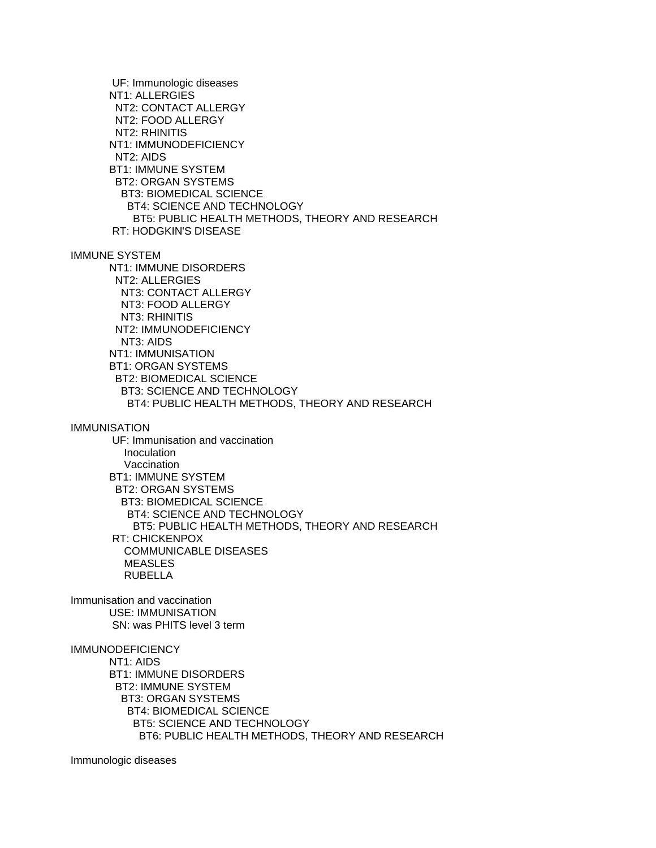UF: Immunologic diseases NT1: ALLERGIES NT2: CONTACT ALLERGY NT2: FOOD ALLERGY NT2: RHINITIS NT1: IMMUNODEFICIENCY NT2: AIDS BT1: IMMUNE SYSTEM BT2: ORGAN SYSTEMS BT3: BIOMEDICAL SCIENCE BT4: SCIENCE AND TECHNOLOGY BT5: PUBLIC HEALTH METHODS, THEORY AND RESEARCH RT: HODGKIN'S DISEASE IMMUNE SYSTEM NT1: IMMUNE DISORDERS NT2: ALLERGIES NT3: CONTACT ALLERGY NT3: FOOD ALLERGY NT3: RHINITIS NT2: IMMUNODEFICIENCY NT3: AIDS NT1: IMMUNISATION BT1: ORGAN SYSTEMS BT2: BIOMEDICAL SCIENCE BT3: SCIENCE AND TECHNOLOGY BT4: PUBLIC HEALTH METHODS, THEORY AND RESEARCH IMMUNISATION UF: Immunisation and vaccination **Inoculation**  Vaccination BT1: IMMUNE SYSTEM BT2: ORGAN SYSTEMS BT3: BIOMEDICAL SCIENCE BT4: SCIENCE AND TECHNOLOGY BT5: PUBLIC HEALTH METHODS, THEORY AND RESEARCH RT: CHICKENPOX COMMUNICABLE DISEASES **MEASLES**  RUBELLA Immunisation and vaccination USE: IMMUNISATION SN: was PHITS level 3 term **IMMUNODEFICIENCY**  NT1: AIDS BT1: IMMUNE DISORDERS BT2: IMMUNE SYSTEM BT3: ORGAN SYSTEMS BT4: BIOMEDICAL SCIENCE BT5: SCIENCE AND TECHNOLOGY BT6: PUBLIC HEALTH METHODS, THEORY AND RESEARCH

Immunologic diseases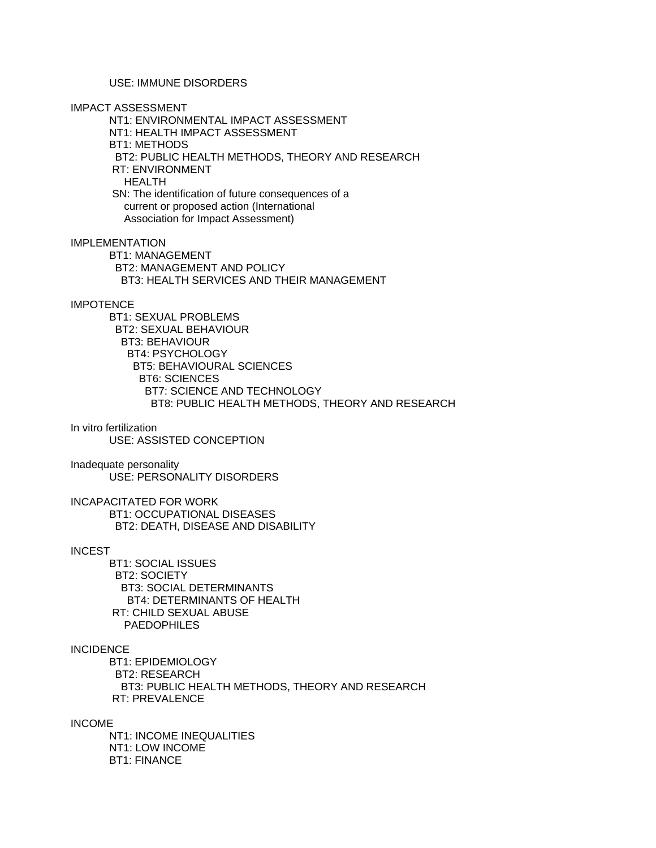# USE: IMMUNE DISORDERS

IMPACT ASSESSMENT

 NT1: ENVIRONMENTAL IMPACT ASSESSMENT NT1: HEALTH IMPACT ASSESSMENT BT1: METHODS BT2: PUBLIC HEALTH METHODS, THEORY AND RESEARCH RT: ENVIRONMENT HEALTH SN: The identification of future consequences of a current or proposed action (International Association for Impact Assessment)

IMPLEMENTATION BT1: MANAGEMENT BT2: MANAGEMENT AND POLICY BT3: HEALTH SERVICES AND THEIR MANAGEMENT

# **IMPOTENCE**

 BT1: SEXUAL PROBLEMS BT2: SEXUAL BEHAVIOUR BT3: BEHAVIOUR BT4: PSYCHOLOGY BT5: BEHAVIOURAL SCIENCES BT6: SCIENCES BT7: SCIENCE AND TECHNOLOGY BT8: PUBLIC HEALTH METHODS, THEORY AND RESEARCH

## In vitro fertilization

USE: ASSISTED CONCEPTION

Inadequate personality USE: PERSONALITY DISORDERS

INCAPACITATED FOR WORK BT1: OCCUPATIONAL DISEASES BT2: DEATH, DISEASE AND DISABILITY

#### INCEST

 BT1: SOCIAL ISSUES BT2: SOCIETY BT3: SOCIAL DETERMINANTS BT4: DETERMINANTS OF HEALTH RT: CHILD SEXUAL ABUSE PAEDOPHILES

### INCIDENCE

 BT1: EPIDEMIOLOGY BT2: RESEARCH BT3: PUBLIC HEALTH METHODS, THEORY AND RESEARCH RT: PREVALENCE

#### INCOME

 NT1: INCOME INEQUALITIES NT1: LOW INCOME BT1: FINANCE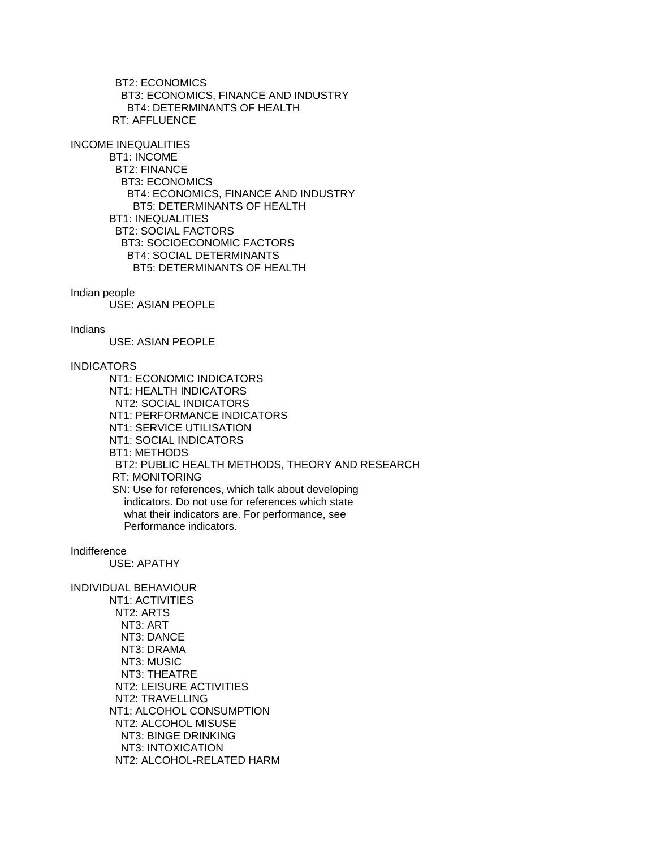BT2: ECONOMICS BT3: ECONOMICS, FINANCE AND INDUSTRY BT4: DETERMINANTS OF HEALTH RT: AFFLUENCE

INCOME INEQUALITIES

 BT1: INCOME BT2: FINANCE BT3: ECONOMICS BT4: ECONOMICS, FINANCE AND INDUSTRY BT5: DETERMINANTS OF HEALTH BT1: INEQUALITIES BT2: SOCIAL FACTORS BT3: SOCIOECONOMIC FACTORS BT4: SOCIAL DETERMINANTS BT5: DETERMINANTS OF HEALTH

Indian people

USE: ASIAN PEOPLE

Indians

USE: ASIAN PEOPLE

# INDICATORS

 NT1: ECONOMIC INDICATORS NT1: HEALTH INDICATORS NT2: SOCIAL INDICATORS NT1: PERFORMANCE INDICATORS NT1: SERVICE UTILISATION NT1: SOCIAL INDICATORS BT1: METHODS BT2: PUBLIC HEALTH METHODS, THEORY AND RESEARCH RT: MONITORING SN: Use for references, which talk about developing indicators. Do not use for references which state what their indicators are. For performance, see Performance indicators.

Indifference

USE: APATHY

INDIVIDUAL BEHAVIOUR NT1: ACTIVITIES NT2: ARTS NT3: ART NT3: DANCE NT3: DRAMA NT3: MUSIC NT3: THEATRE NT2: LEISURE ACTIVITIES NT2: TRAVELLING NT1: ALCOHOL CONSUMPTION NT2: ALCOHOL MISUSE NT3: BINGE DRINKING NT3: INTOXICATION NT2: ALCOHOL-RELATED HARM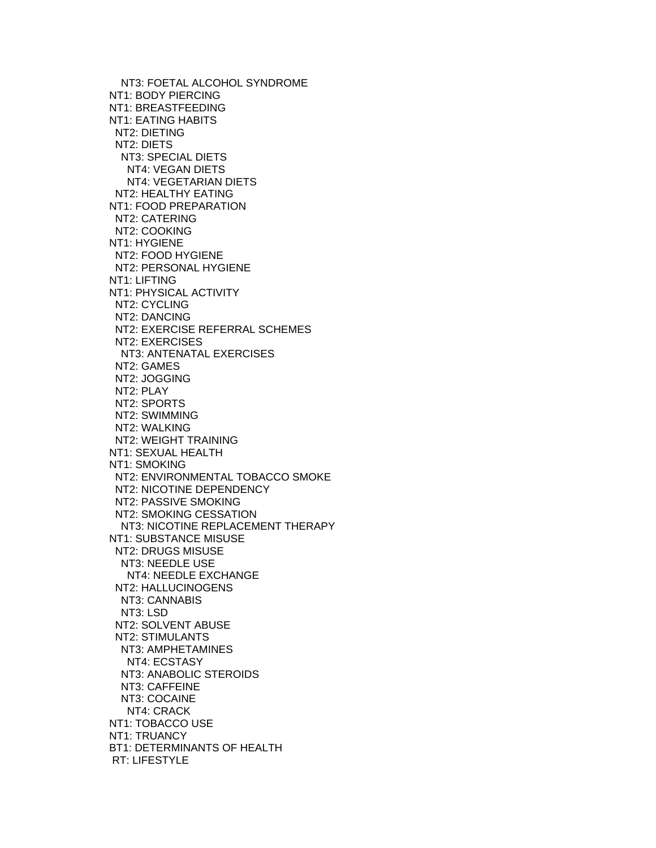NT3: FOETAL ALCOHOL SYNDROME NT1: BODY PIERCING NT1: BREASTFEEDING NT1: EATING HABITS NT2: DIETING NT2: DIETS NT3: SPECIAL DIETS NT4: VEGAN DIETS NT4: VEGETARIAN DIETS NT2: HEALTHY EATING NT1: FOOD PREPARATION NT2: CATERING NT2: COOKING NT1: HYGIENE NT2: FOOD HYGIENE NT2: PERSONAL HYGIENE NT1: LIFTING NT1: PHYSICAL ACTIVITY NT2: CYCLING NT2: DANCING NT2: EXERCISE REFERRAL SCHEMES NT2: EXERCISES NT3: ANTENATAL EXERCISES NT2: GAMES NT2: JOGGING NT2: PLAY NT2: SPORTS NT2: SWIMMING NT2: WALKING NT2: WEIGHT TRAINING NT1: SEXUAL HEALTH NT1: SMOKING NT2: ENVIRONMENTAL TOBACCO SMOKE NT2: NICOTINE DEPENDENCY NT2: PASSIVE SMOKING NT2: SMOKING CESSATION NT3: NICOTINE REPLACEMENT THERAPY NT1: SUBSTANCE MISUSE NT2: DRUGS MISUSE NT3: NEEDLE USE NT4: NEEDLE EXCHANGE NT2: HALLUCINOGENS NT3: CANNABIS NT3: LSD NT2: SOLVENT ABUSE NT2: STIMULANTS NT3: AMPHETAMINES NT4: ECSTASY NT3: ANABOLIC STEROIDS NT3: CAFFEINE NT3: COCAINE NT4: CRACK NT1: TOBACCO USE NT1: TRUANCY BT1: DETERMINANTS OF HEALTH RT: LIFESTYLE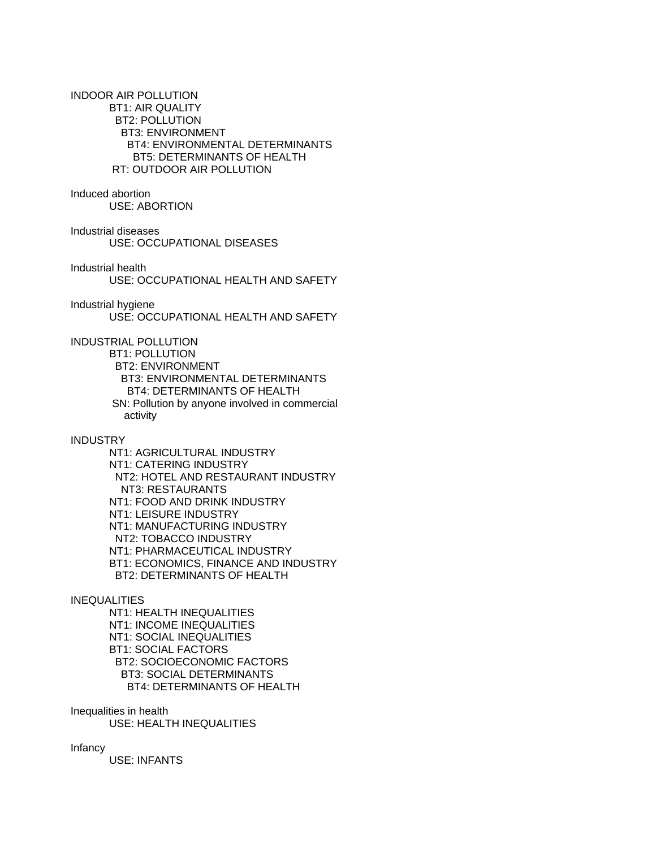INDOOR AIR POLLUTION BT1: AIR QUALITY BT2: POLLUTION BT3: ENVIRONMENT BT4: ENVIRONMENTAL DETERMINANTS BT5: DETERMINANTS OF HEALTH RT: OUTDOOR AIR POLLUTION

# Induced abortion

USE: ABORTION

Industrial diseases

USE: OCCUPATIONAL DISEASES

Industrial health

USE: OCCUPATIONAL HEALTH AND SAFETY

# Industrial hygiene

USE: OCCUPATIONAL HEALTH AND SAFETY

INDUSTRIAL POLLUTION

 BT1: POLLUTION BT2: ENVIRONMENT BT3: ENVIRONMENTAL DETERMINANTS BT4: DETERMINANTS OF HEALTH SN: Pollution by anyone involved in commercial activity

# **INDUSTRY**

 NT1: AGRICULTURAL INDUSTRY NT1: CATERING INDUSTRY NT2: HOTEL AND RESTAURANT INDUSTRY NT3: RESTAURANTS NT1: FOOD AND DRINK INDUSTRY NT1: LEISURE INDUSTRY NT1: MANUFACTURING INDUSTRY NT2: TOBACCO INDUSTRY NT1: PHARMACEUTICAL INDUSTRY BT1: ECONOMICS, FINANCE AND INDUSTRY BT2: DETERMINANTS OF HEALTH

# INEQUALITIES

 NT1: HEALTH INEQUALITIES NT1: INCOME INEQUALITIES NT1: SOCIAL INEQUALITIES BT1: SOCIAL FACTORS BT2: SOCIOECONOMIC FACTORS BT3: SOCIAL DETERMINANTS BT4: DETERMINANTS OF HEALTH

Inequalities in health USE: HEALTH INEQUALITIES

Infancy

USE: INFANTS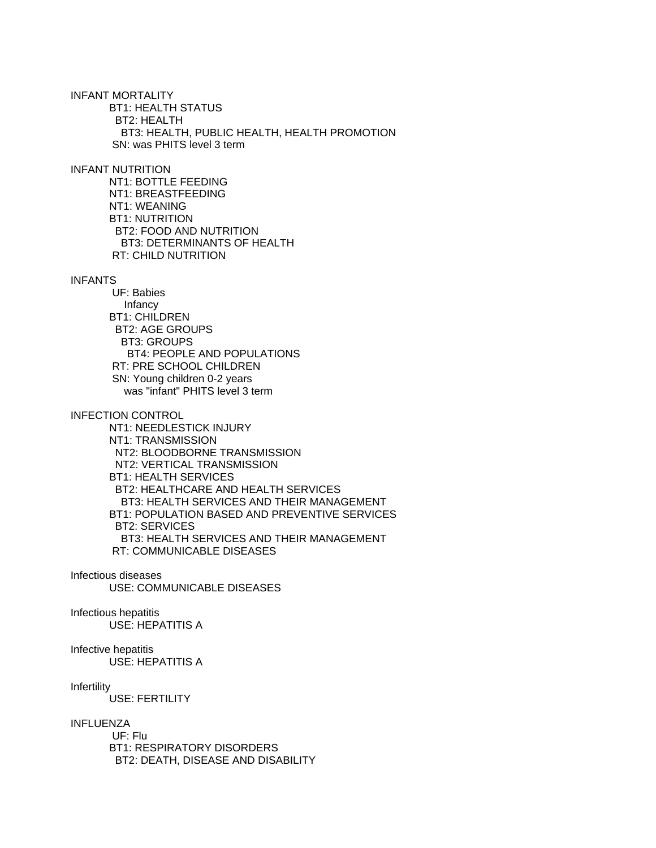INFANT MORTALITY BT1: HEALTH STATUS BT2: HEALTH BT3: HEALTH, PUBLIC HEALTH, HEALTH PROMOTION SN: was PHITS level 3 term

#### INFANT NUTRITION

 NT1: BOTTLE FEEDING NT1: BREASTFEEDING NT1: WEANING BT1: NUTRITION BT2: FOOD AND NUTRITION BT3: DETERMINANTS OF HEALTH RT: CHILD NUTRITION

#### INFANTS

 UF: Babies Infancy BT1: CHILDREN BT2: AGE GROUPS BT3: GROUPS BT4: PEOPLE AND POPULATIONS RT: PRE SCHOOL CHILDREN SN: Young children 0-2 years was "infant" PHITS level 3 term

## INFECTION CONTROL

 NT1: NEEDLESTICK INJURY NT1: TRANSMISSION NT2: BLOODBORNE TRANSMISSION NT2: VERTICAL TRANSMISSION BT1: HEALTH SERVICES BT2: HEALTHCARE AND HEALTH SERVICES BT3: HEALTH SERVICES AND THEIR MANAGEMENT BT1: POPULATION BASED AND PREVENTIVE SERVICES BT2: SERVICES BT3: HEALTH SERVICES AND THEIR MANAGEMENT RT: COMMUNICABLE DISEASES

## Infectious diseases

USE: COMMUNICABLE DISEASES

## Infectious hepatitis

USE: HEPATITIS A

# Infective hepatitis

USE: HEPATITIS A

#### Infertility

USE: FERTILITY

#### INFLUENZA

 UF: Flu BT1: RESPIRATORY DISORDERS BT2: DEATH, DISEASE AND DISABILITY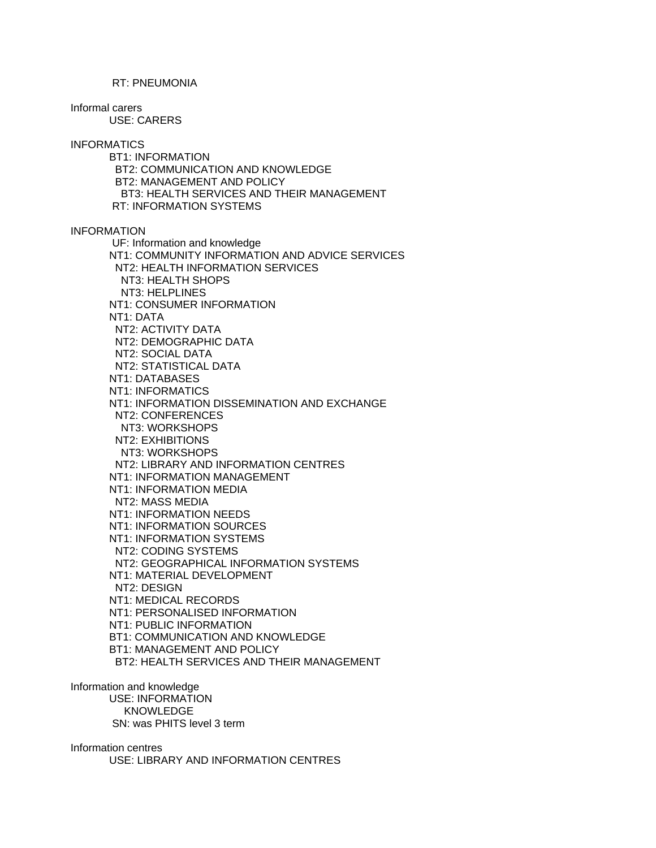#### RT: PNEUMONIA

Informal carers USE: CARERS

INFORMATICS

 BT1: INFORMATION BT2: COMMUNICATION AND KNOWLEDGE BT2: MANAGEMENT AND POLICY BT3: HEALTH SERVICES AND THEIR MANAGEMENT RT: INFORMATION SYSTEMS

INFORMATION

 UF: Information and knowledge NT1: COMMUNITY INFORMATION AND ADVICE SERVICES NT2: HEALTH INFORMATION SERVICES NT3: HEALTH SHOPS NT3: HELPLINES NT1: CONSUMER INFORMATION NT1: DATA NT2: ACTIVITY DATA NT2: DEMOGRAPHIC DATA NT2: SOCIAL DATA NT2: STATISTICAL DATA NT1: DATABASES NT1: INFORMATICS NT1: INFORMATION DISSEMINATION AND EXCHANGE NT2: CONFERENCES NT3: WORKSHOPS NT2: EXHIBITIONS NT3: WORKSHOPS NT2: LIBRARY AND INFORMATION CENTRES NT1: INFORMATION MANAGEMENT NT1: INFORMATION MEDIA NT2: MASS MEDIA NT1: INFORMATION NEEDS NT1: INFORMATION SOURCES NT1: INFORMATION SYSTEMS NT2: CODING SYSTEMS NT2: GEOGRAPHICAL INFORMATION SYSTEMS NT1: MATERIAL DEVELOPMENT NT2: DESIGN NT1: MEDICAL RECORDS NT1: PERSONALISED INFORMATION NT1: PUBLIC INFORMATION BT1: COMMUNICATION AND KNOWLEDGE BT1: MANAGEMENT AND POLICY BT2: HEALTH SERVICES AND THEIR MANAGEMENT

Information and knowledge USE: INFORMATION KNOWLEDGE SN: was PHITS level 3 term

Information centres USE: LIBRARY AND INFORMATION CENTRES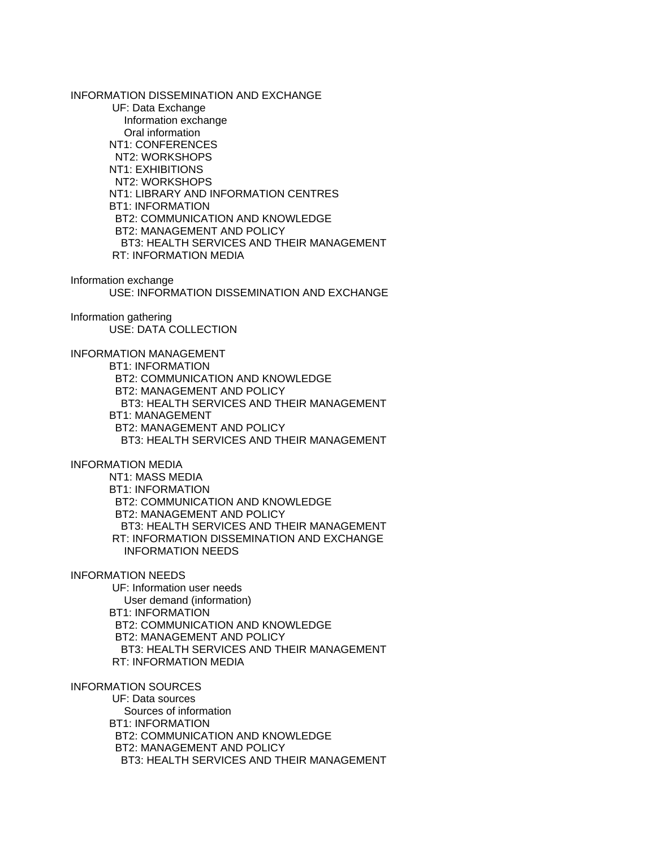INFORMATION DISSEMINATION AND EXCHANGE UF: Data Exchange Information exchange Oral information NT1: CONFERENCES NT2: WORKSHOPS NT1: EXHIBITIONS NT2: WORKSHOPS NT1: LIBRARY AND INFORMATION CENTRES BT1: INFORMATION BT2: COMMUNICATION AND KNOWLEDGE BT2: MANAGEMENT AND POLICY BT3: HEALTH SERVICES AND THEIR MANAGEMENT RT: INFORMATION MEDIA Information exchange USE: INFORMATION DISSEMINATION AND EXCHANGE Information gathering USE: DATA COLLECTION INFORMATION MANAGEMENT BT1: INFORMATION BT2: COMMUNICATION AND KNOWLEDGE BT2: MANAGEMENT AND POLICY BT3: HEALTH SERVICES AND THEIR MANAGEMENT BT1: MANAGEMENT BT2: MANAGEMENT AND POLICY

BT3: HEALTH SERVICES AND THEIR MANAGEMENT

INFORMATION MEDIA

 NT1: MASS MEDIA BT1: INFORMATION BT2: COMMUNICATION AND KNOWLEDGE BT2: MANAGEMENT AND POLICY BT3: HEALTH SERVICES AND THEIR MANAGEMENT RT: INFORMATION DISSEMINATION AND EXCHANGE INFORMATION NEEDS

INFORMATION NEEDS

 UF: Information user needs User demand (information) BT1: INFORMATION BT2: COMMUNICATION AND KNOWLEDGE BT2: MANAGEMENT AND POLICY BT3: HEALTH SERVICES AND THEIR MANAGEMENT RT: INFORMATION MEDIA

INFORMATION SOURCES

 UF: Data sources Sources of information BT1: INFORMATION BT2: COMMUNICATION AND KNOWLEDGE BT2: MANAGEMENT AND POLICY BT3: HEALTH SERVICES AND THEIR MANAGEMENT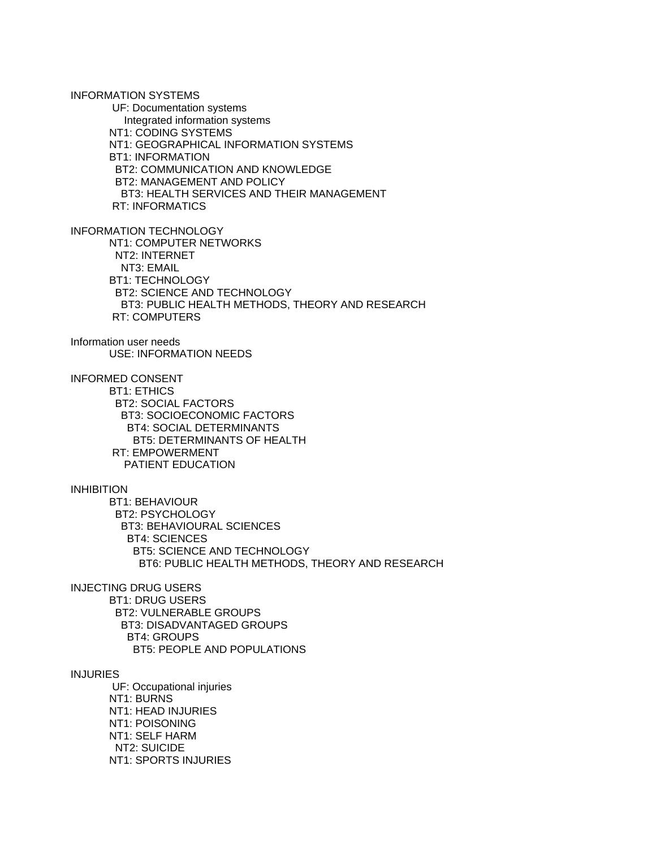INFORMATION SYSTEMS UF: Documentation systems Integrated information systems NT1: CODING SYSTEMS NT1: GEOGRAPHICAL INFORMATION SYSTEMS BT1: INFORMATION BT2: COMMUNICATION AND KNOWLEDGE BT2: MANAGEMENT AND POLICY BT3: HEALTH SERVICES AND THEIR MANAGEMENT RT: INFORMATICS

INFORMATION TECHNOLOGY

 NT1: COMPUTER NETWORKS NT2: INTERNET NT3: EMAIL BT1: TECHNOLOGY BT2: SCIENCE AND TECHNOLOGY BT3: PUBLIC HEALTH METHODS, THEORY AND RESEARCH RT: COMPUTERS

Information user needs USE: INFORMATION NEEDS

INFORMED CONSENT

 BT1: ETHICS BT2: SOCIAL FACTORS BT3: SOCIOECONOMIC FACTORS BT4: SOCIAL DETERMINANTS BT5: DETERMINANTS OF HEALTH RT: EMPOWERMENT PATIENT EDUCATION

INHIBITION

 BT1: BEHAVIOUR BT2: PSYCHOLOGY BT3: BEHAVIOURAL SCIENCES BT4: SCIENCES BT5: SCIENCE AND TECHNOLOGY BT6: PUBLIC HEALTH METHODS, THEORY AND RESEARCH

INJECTING DRUG USERS BT1: DRUG USERS BT2: VULNERABLE GROUPS BT3: DISADVANTAGED GROUPS BT4: GROUPS BT5: PEOPLE AND POPULATIONS

INJURIES

 UF: Occupational injuries NT1: BURNS NT1: HEAD INJURIES NT1: POISONING NT1: SELF HARM NT2: SUICIDE NT1: SPORTS INJURIES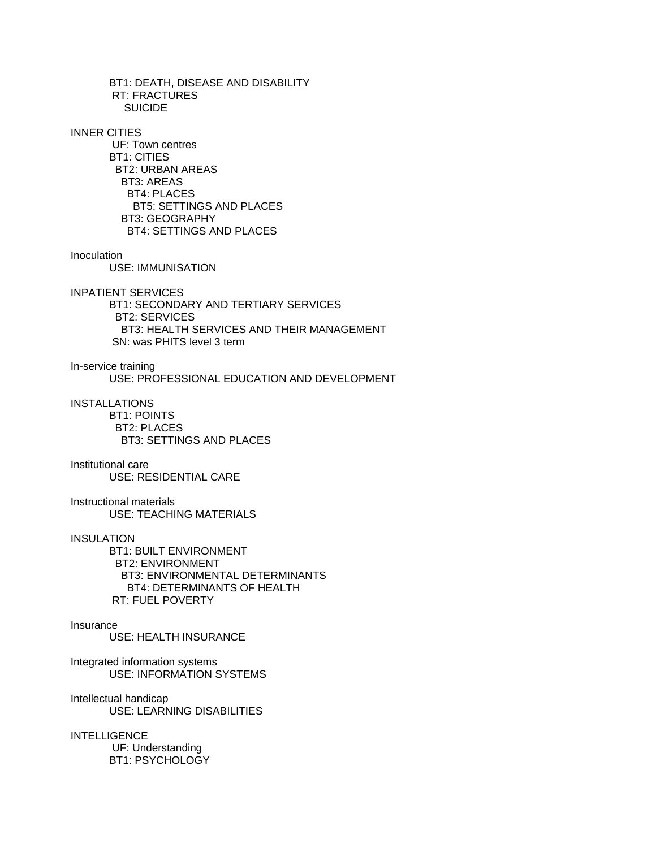BT1: DEATH, DISEASE AND DISABILITY RT: FRACTURES **SUICIDE** 

INNER CITIES

 UF: Town centres BT1: CITIES BT2: URBAN AREAS BT3: AREAS BT4: PLACES BT5: SETTINGS AND PLACES BT3: GEOGRAPHY BT4: SETTINGS AND PLACES

#### **Inoculation**

USE: IMMUNISATION

INPATIENT SERVICES

 BT1: SECONDARY AND TERTIARY SERVICES BT2: SERVICES BT3: HEALTH SERVICES AND THEIR MANAGEMENT SN: was PHITS level 3 term

In-service training

USE: PROFESSIONAL EDUCATION AND DEVELOPMENT

**INSTALLATIONS**  BT1: POINTS BT2: PLACES

BT3: SETTINGS AND PLACES

### Institutional care

USE: RESIDENTIAL CARE

Instructional materials USE: TEACHING MATERIALS

#### INSULATION

 BT1: BUILT ENVIRONMENT BT2: ENVIRONMENT BT3: ENVIRONMENTAL DETERMINANTS BT4: DETERMINANTS OF HEALTH RT: FUEL POVERTY

#### Insurance

USE: HEALTH INSURANCE

Integrated information systems USE: INFORMATION SYSTEMS

Intellectual handicap USE: LEARNING DISABILITIES

**INTELLIGENCE**  UF: Understanding BT1: PSYCHOLOGY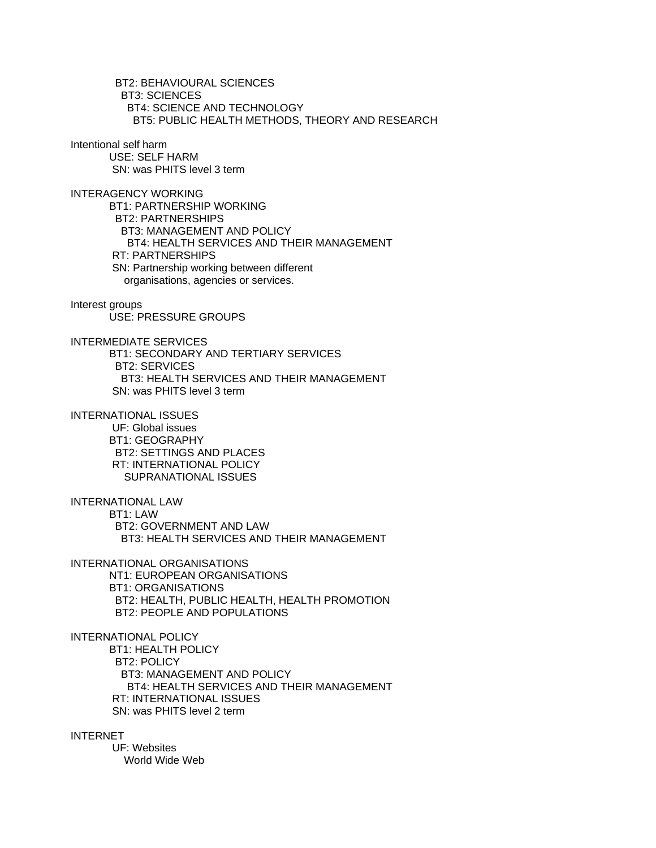BT2: BEHAVIOURAL SCIENCES BT3: SCIENCES BT4: SCIENCE AND TECHNOLOGY BT5: PUBLIC HEALTH METHODS, THEORY AND RESEARCH

Intentional self harm

 USE: SELF HARM SN: was PHITS level 3 term

INTERAGENCY WORKING BT1: PARTNERSHIP WORKING BT2: PARTNERSHIPS BT3: MANAGEMENT AND POLICY BT4: HEALTH SERVICES AND THEIR MANAGEMENT RT: PARTNERSHIPS SN: Partnership working between different organisations, agencies or services.

Interest groups

USE: PRESSURE GROUPS

INTERMEDIATE SERVICES

 BT1: SECONDARY AND TERTIARY SERVICES BT2: SERVICES BT3: HEALTH SERVICES AND THEIR MANAGEMENT SN: was PHITS level 3 term

INTERNATIONAL ISSUES

 UF: Global issues BT1: GEOGRAPHY BT2: SETTINGS AND PLACES RT: INTERNATIONAL POLICY SUPRANATIONAL ISSUES

INTERNATIONAL LAW

 BT1: LAW BT2: GOVERNMENT AND LAW BT3: HEALTH SERVICES AND THEIR MANAGEMENT

INTERNATIONAL ORGANISATIONS NT1: EUROPEAN ORGANISATIONS BT1: ORGANISATIONS BT2: HEALTH, PUBLIC HEALTH, HEALTH PROMOTION BT2: PEOPLE AND POPULATIONS

INTERNATIONAL POLICY BT1: HEALTH POLICY BT2: POLICY BT3: MANAGEMENT AND POLICY BT4: HEALTH SERVICES AND THEIR MANAGEMENT RT: INTERNATIONAL ISSUES SN: was PHITS level 2 term

INTERNET

 UF: Websites World Wide Web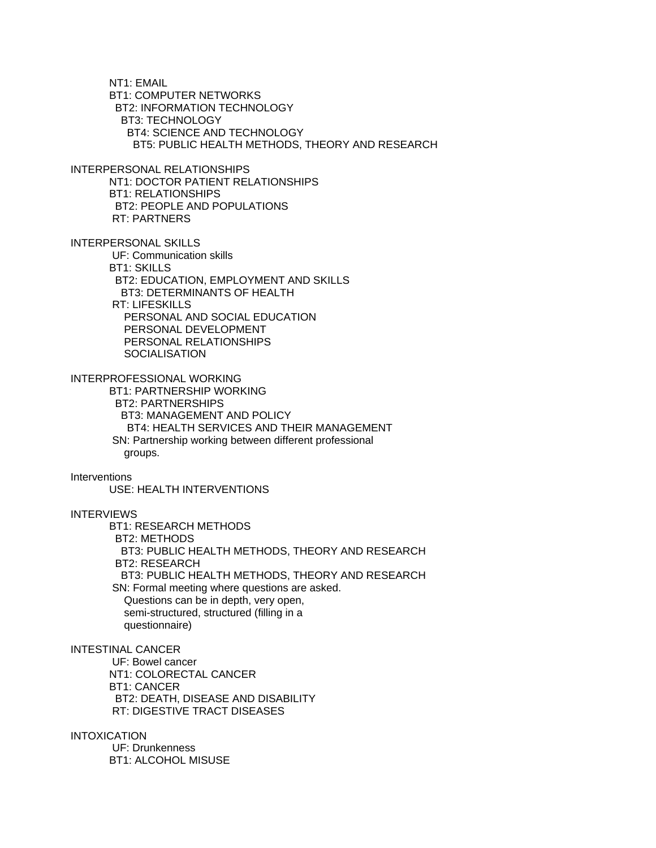NT1: EMAIL BT1: COMPUTER NETWORKS BT2: INFORMATION TECHNOLOGY BT3: TECHNOLOGY BT4: SCIENCE AND TECHNOLOGY BT5: PUBLIC HEALTH METHODS, THEORY AND RESEARCH INTERPERSONAL RELATIONSHIPS NT1: DOCTOR PATIENT RELATIONSHIPS BT1: RELATIONSHIPS BT2: PEOPLE AND POPULATIONS RT: PARTNERS INTERPERSONAL SKILLS UF: Communication skills BT1: SKILLS BT2: EDUCATION, EMPLOYMENT AND SKILLS BT3: DETERMINANTS OF HEALTH RT: LIFESKILLS PERSONAL AND SOCIAL EDUCATION PERSONAL DEVELOPMENT PERSONAL RELATIONSHIPS **SOCIALISATION** INTERPROFESSIONAL WORKING BT1: PARTNERSHIP WORKING BT2: PARTNERSHIPS BT3: MANAGEMENT AND POLICY BT4: HEALTH SERVICES AND THEIR MANAGEMENT SN: Partnership working between different professional groups. **Interventions**  USE: HEALTH INTERVENTIONS INTERVIEWS BT1: RESEARCH METHODS BT2: METHODS BT3: PUBLIC HEALTH METHODS, THEORY AND RESEARCH BT2: RESEARCH BT3: PUBLIC HEALTH METHODS, THEORY AND RESEARCH SN: Formal meeting where questions are asked. Questions can be in depth, very open, semi-structured, structured (filling in a questionnaire) INTESTINAL CANCER UF: Bowel cancer NT1: COLORECTAL CANCER BT1: CANCER BT2: DEATH, DISEASE AND DISABILITY RT: DIGESTIVE TRACT DISEASES INTOXICATION UF: Drunkenness BT1: ALCOHOL MISUSE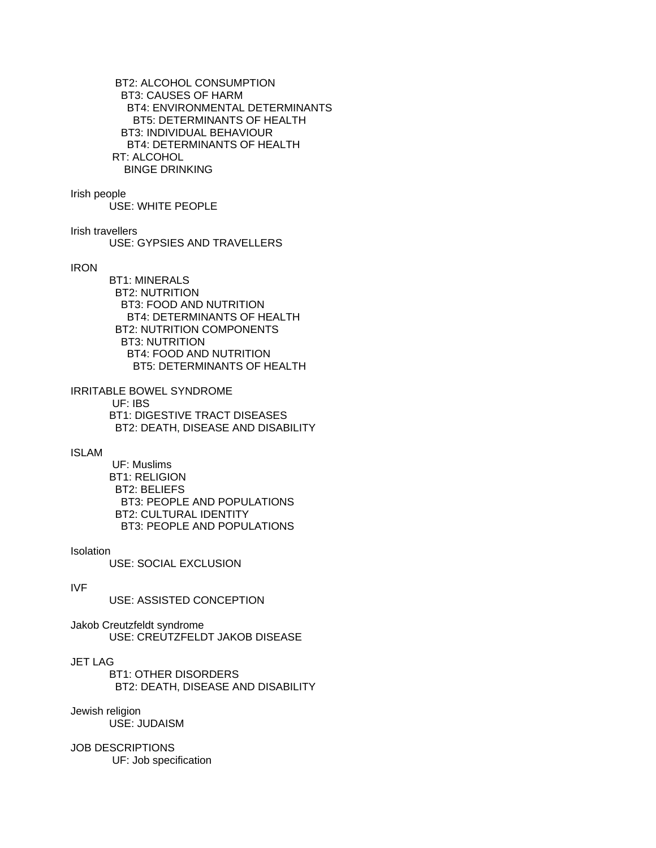BT2: ALCOHOL CONSUMPTION BT3: CAUSES OF HARM BT4: ENVIRONMENTAL DETERMINANTS BT5: DETERMINANTS OF HEALTH BT3: INDIVIDUAL BEHAVIOUR BT4: DETERMINANTS OF HEALTH RT: ALCOHOL BINGE DRINKING

#### Irish people

USE: WHITE PEOPLE

Irish travellers

USE: GYPSIES AND TRAVELLERS

# IRON

 BT1: MINERALS BT2: NUTRITION BT3: FOOD AND NUTRITION BT4: DETERMINANTS OF HEALTH BT2: NUTRITION COMPONENTS BT3: NUTRITION BT4: FOOD AND NUTRITION BT5: DETERMINANTS OF HEALTH

IRRITABLE BOWEL SYNDROME UF: IBS BT1: DIGESTIVE TRACT DISEASES BT2: DEATH, DISEASE AND DISABILITY

### ISLAM

 UF: Muslims BT1: RELIGION BT2: BELIEFS BT3: PEOPLE AND POPULATIONS BT2: CULTURAL IDENTITY BT3: PEOPLE AND POPULATIONS

#### **Isolation**

USE: SOCIAL EXCLUSION

#### IVF

USE: ASSISTED CONCEPTION

Jakob Creutzfeldt syndrome USE: CREUTZFELDT JAKOB DISEASE

# JET LAG

 BT1: OTHER DISORDERS BT2: DEATH, DISEASE AND DISABILITY

# Jewish religion

USE: JUDAISM

# JOB DESCRIPTIONS

UF: Job specification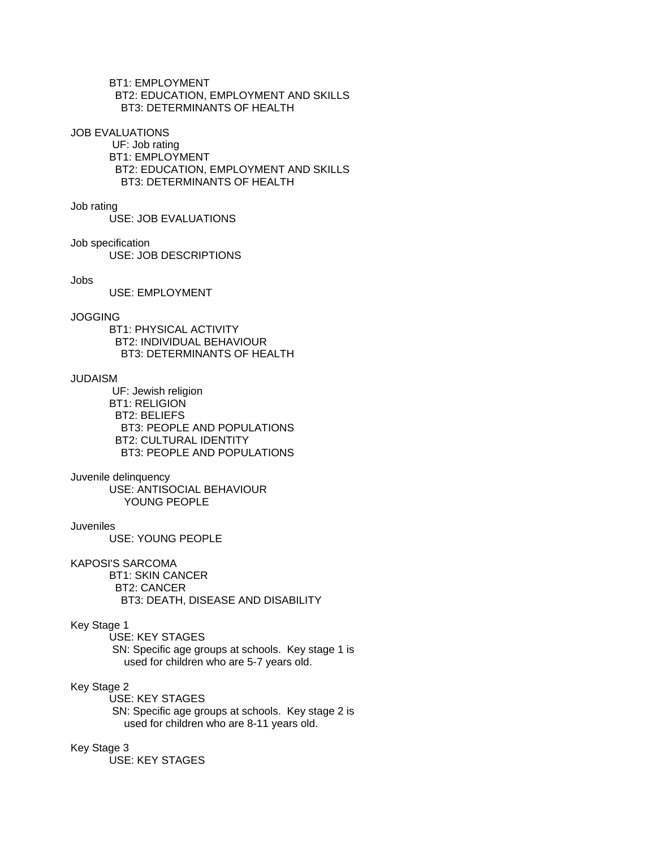BT1: EMPLOYMENT BT2: EDUCATION, EMPLOYMENT AND SKILLS BT3: DETERMINANTS OF HEALTH

#### JOB EVALUATIONS

 UF: Job rating BT1: EMPLOYMENT BT2: EDUCATION, EMPLOYMENT AND SKILLS BT3: DETERMINANTS OF HEALTH

Job rating

USE: JOB EVALUATIONS

Job specification

USE: JOB DESCRIPTIONS

Jobs

USE: EMPLOYMENT

# JOGGING

 BT1: PHYSICAL ACTIVITY BT2: INDIVIDUAL BEHAVIOUR BT3: DETERMINANTS OF HEALTH

### JUDAISM

 UF: Jewish religion BT1: RELIGION BT2: BELIEFS BT3: PEOPLE AND POPULATIONS BT2: CULTURAL IDENTITY BT3: PEOPLE AND POPULATIONS

### Juvenile delinquency

 USE: ANTISOCIAL BEHAVIOUR YOUNG PEOPLE

# Juveniles

USE: YOUNG PEOPLE

## KAPOSI'S SARCOMA

 BT1: SKIN CANCER BT2: CANCER BT3: DEATH, DISEASE AND DISABILITY

## Key Stage 1

USE: KEY STAGES

 SN: Specific age groups at schools. Key stage 1 is used for children who are 5-7 years old.

# Key Stage 2

USE: KEY STAGES

 SN: Specific age groups at schools. Key stage 2 is used for children who are 8-11 years old.

# Key Stage 3

USE: KEY STAGES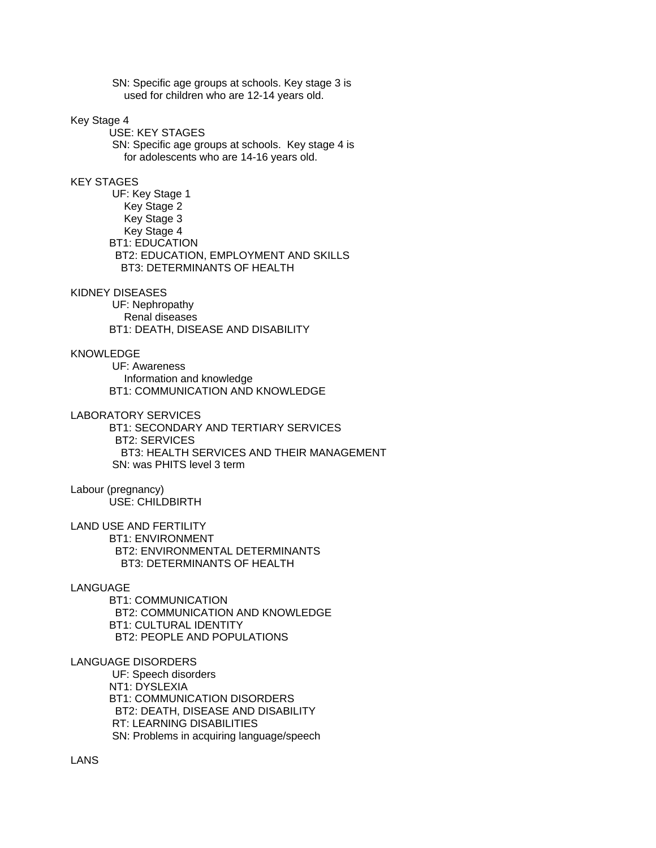SN: Specific age groups at schools. Key stage 3 is used for children who are 12-14 years old.

## Key Stage 4

 USE: KEY STAGES SN: Specific age groups at schools. Key stage 4 is for adolescents who are 14-16 years old.

## KEY STAGES

 UF: Key Stage 1 Key Stage 2 Key Stage 3 Key Stage 4 BT1: EDUCATION BT2: EDUCATION, EMPLOYMENT AND SKILLS BT3: DETERMINANTS OF HEALTH

#### KIDNEY DISEASES

 UF: Nephropathy Renal diseases BT1: DEATH, DISEASE AND DISABILITY

# KNOWLEDGE

 UF: Awareness Information and knowledge BT1: COMMUNICATION AND KNOWLEDGE

#### LABORATORY SERVICES

 BT1: SECONDARY AND TERTIARY SERVICES BT2: SERVICES BT3: HEALTH SERVICES AND THEIR MANAGEMENT SN: was PHITS level 3 term

## Labour (pregnancy) USE: CHILDBIRTH

LAND USE AND FERTILITY BT1: ENVIRONMENT BT2: ENVIRONMENTAL DETERMINANTS BT3: DETERMINANTS OF HEALTH

# LANGUAGE

 BT1: COMMUNICATION BT2: COMMUNICATION AND KNOWLEDGE BT1: CULTURAL IDENTITY BT2: PEOPLE AND POPULATIONS

### LANGUAGE DISORDERS

 UF: Speech disorders NT1: DYSLEXIA BT1: COMMUNICATION DISORDERS BT2: DEATH, DISEASE AND DISABILITY RT: LEARNING DISABILITIES SN: Problems in acquiring language/speech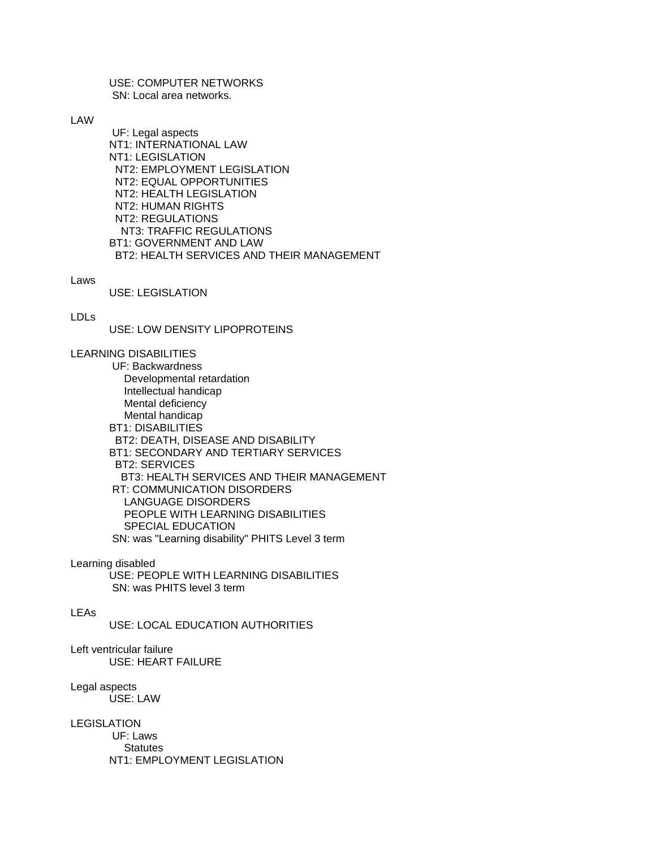USE: COMPUTER NETWORKS SN: Local area networks.

LAW

 UF: Legal aspects NT1: INTERNATIONAL LAW NT1: LEGISLATION NT2: EMPLOYMENT LEGISLATION NT2: EQUAL OPPORTUNITIES NT2: HEALTH LEGISLATION NT2: HUMAN RIGHTS NT2: REGULATIONS NT3: TRAFFIC REGULATIONS BT1: GOVERNMENT AND LAW BT2: HEALTH SERVICES AND THEIR MANAGEMENT

Laws

USE: LEGISLATION

LDLs

USE: LOW DENSITY LIPOPROTEINS

LEARNING DISABILITIES

 UF: Backwardness Developmental retardation Intellectual handicap Mental deficiency Mental handicap BT1: DISABILITIES BT2: DEATH, DISEASE AND DISABILITY BT1: SECONDARY AND TERTIARY SERVICES BT2: SERVICES BT3: HEALTH SERVICES AND THEIR MANAGEMENT RT: COMMUNICATION DISORDERS LANGUAGE DISORDERS PEOPLE WITH LEARNING DISABILITIES SPECIAL EDUCATION SN: was "Learning disability" PHITS Level 3 term

Learning disabled

 USE: PEOPLE WITH LEARNING DISABILITIES SN: was PHITS level 3 term

# LEAs

USE: LOCAL EDUCATION AUTHORITIES

Left ventricular failure USE: HEART FAILURE

Legal aspects USE: LAW

LEGISLATION UF: Laws **Statutes** NT1: EMPLOYMENT LEGISLATION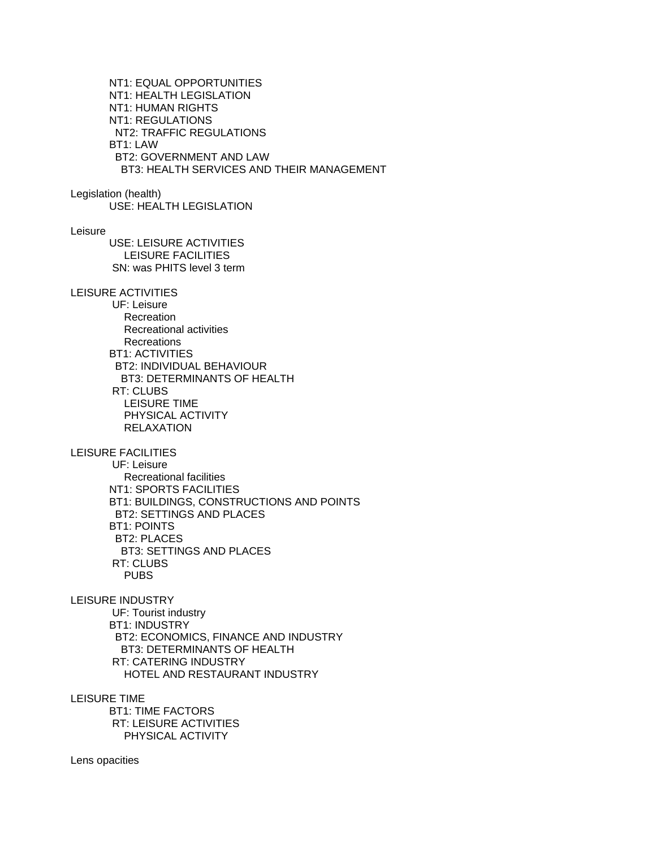NT1: EQUAL OPPORTUNITIES NT1: HEALTH LEGISLATION NT1: HUMAN RIGHTS NT1: REGULATIONS NT2: TRAFFIC REGULATIONS BT1: LAW BT2: GOVERNMENT AND LAW BT3: HEALTH SERVICES AND THEIR MANAGEMENT Legislation (health) USE: HEALTH LEGISLATION Leisure USE: LEISURE ACTIVITIES LEISURE FACILITIES SN: was PHITS level 3 term LEISURE ACTIVITIES UF: Leisure Recreation Recreational activities Recreations BT1: ACTIVITIES BT2: INDIVIDUAL BEHAVIOUR BT3: DETERMINANTS OF HEALTH RT: CLUBS LEISURE TIME PHYSICAL ACTIVITY RELAXATION LEISURE FACILITIES UF: Leisure Recreational facilities NT1: SPORTS FACILITIES BT1: BUILDINGS, CONSTRUCTIONS AND POINTS BT2: SETTINGS AND PLACES BT1: POINTS BT2: PLACES BT3: SETTINGS AND PLACES RT: CLUBS PUBS LEISURE INDUSTRY UF: Tourist industry BT1: INDUSTRY BT2: ECONOMICS, FINANCE AND INDUSTRY BT3: DETERMINANTS OF HEALTH RT: CATERING INDUSTRY HOTEL AND RESTAURANT INDUSTRY LEISURE TIME BT1: TIME FACTORS RT: LEISURE ACTIVITIES PHYSICAL ACTIVITY

Lens opacities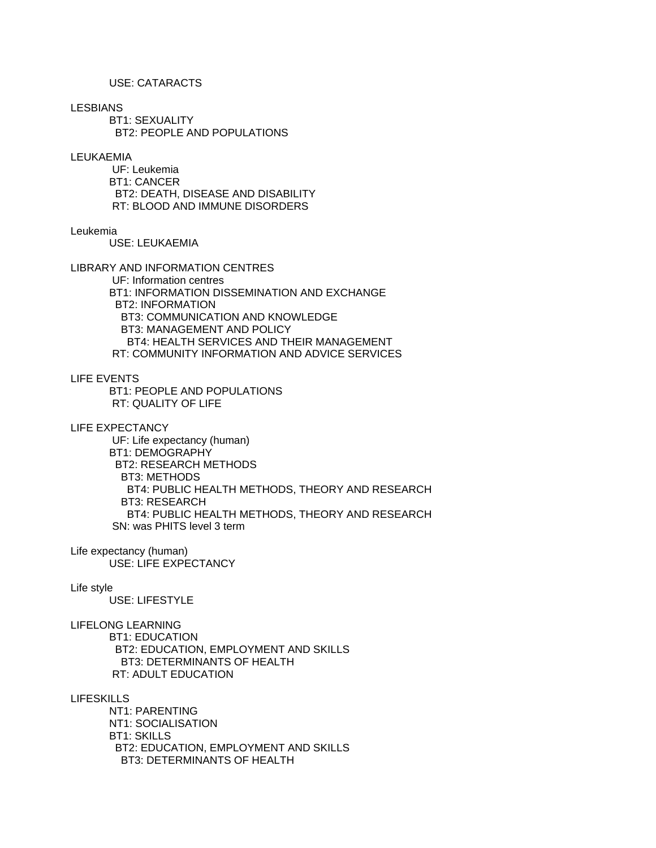# USE: CATARACTS

LESBIANS

 BT1: SEXUALITY BT2: PEOPLE AND POPULATIONS

#### LEUKAEMIA

 UF: Leukemia BT1: CANCER BT2: DEATH, DISEASE AND DISABILITY RT: BLOOD AND IMMUNE DISORDERS

#### Leukemia

USE: LEUKAEMIA

LIBRARY AND INFORMATION CENTRES

 UF: Information centres BT1: INFORMATION DISSEMINATION AND EXCHANGE BT2: INFORMATION BT3: COMMUNICATION AND KNOWLEDGE BT3: MANAGEMENT AND POLICY BT4: HEALTH SERVICES AND THEIR MANAGEMENT RT: COMMUNITY INFORMATION AND ADVICE SERVICES

LIFE EVENTS

 BT1: PEOPLE AND POPULATIONS RT: QUALITY OF LIFE

LIFE EXPECTANCY UF: Life expectancy (human) BT1: DEMOGRAPHY BT2: RESEARCH METHODS BT3: METHODS BT4: PUBLIC HEALTH METHODS, THEORY AND RESEARCH BT3: RESEARCH BT4: PUBLIC HEALTH METHODS, THEORY AND RESEARCH SN: was PHITS level 3 term

Life expectancy (human) USE: LIFE EXPECTANCY

## Life style

USE: LIFESTYLE

LIFELONG LEARNING

 BT1: EDUCATION BT2: EDUCATION, EMPLOYMENT AND SKILLS BT3: DETERMINANTS OF HEALTH RT: ADULT EDUCATION

LIFESKILLS

 NT1: PARENTING NT1: SOCIALISATION BT1: SKILLS BT2: EDUCATION, EMPLOYMENT AND SKILLS BT3: DETERMINANTS OF HEALTH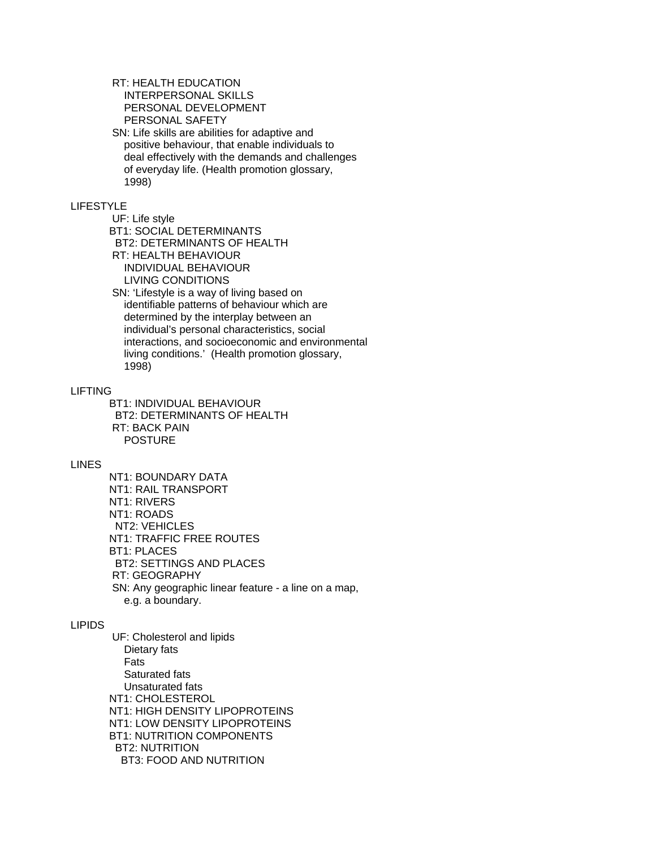# RT: HEALTH EDUCATION INTERPERSONAL SKILLS PERSONAL DEVELOPMENT PERSONAL SAFETY

 SN: Life skills are abilities for adaptive and positive behaviour, that enable individuals to deal effectively with the demands and challenges of everyday life. (Health promotion glossary, 1998)

# LIFESTYLE

UF: Life style

BT1: SOCIAL DETERMINANTS

 BT2: DETERMINANTS OF HEALTH RT: HEALTH BEHAVIOUR

INDIVIDUAL BEHAVIOUR

LIVING CONDITIONS

 SN: 'Lifestyle is a way of living based on identifiable patterns of behaviour which are determined by the interplay between an individual's personal characteristics, social interactions, and socioeconomic and environmental living conditions.' (Health promotion glossary, 1998)

# LIFTING

 BT1: INDIVIDUAL BEHAVIOUR BT2: DETERMINANTS OF HEALTH RT: BACK PAIN POSTURE

# LINES

 NT1: BOUNDARY DATA NT1: RAIL TRANSPORT NT1: RIVERS NT1: ROADS NT2: VEHICLES NT1: TRAFFIC FREE ROUTES BT1: PLACES BT2: SETTINGS AND PLACES RT: GEOGRAPHY SN: Any geographic linear feature - a line on a map, e.g. a boundary.

# LIPIDS

 UF: Cholesterol and lipids Dietary fats Fats Saturated fats Unsaturated fats NT1: CHOLESTEROL NT1: HIGH DENSITY LIPOPROTEINS NT1: LOW DENSITY LIPOPROTEINS BT1: NUTRITION COMPONENTS BT2: NUTRITION BT3: FOOD AND NUTRITION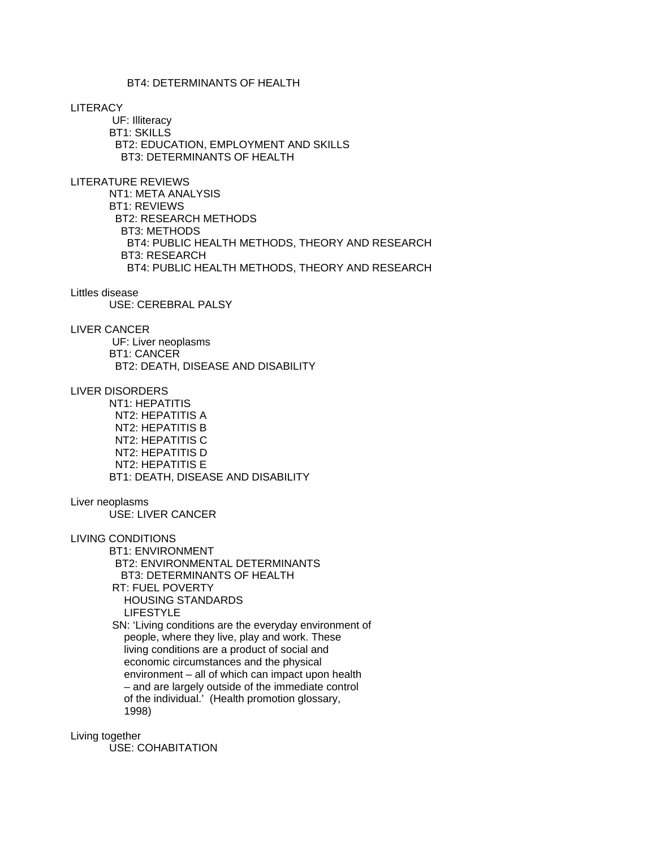# BT4: DETERMINANTS OF HEALTH

**LITERACY** 

 UF: Illiteracy BT1: SKILLS BT2: EDUCATION, EMPLOYMENT AND SKILLS BT3: DETERMINANTS OF HEALTH

LITERATURE REVIEWS

 NT1: META ANALYSIS BT1: REVIEWS BT2: RESEARCH METHODS BT3: METHODS BT4: PUBLIC HEALTH METHODS, THEORY AND RESEARCH BT3: RESEARCH BT4: PUBLIC HEALTH METHODS, THEORY AND RESEARCH

#### Littles disease

USE: CEREBRAL PALSY

# LIVER CANCER

 UF: Liver neoplasms BT1: CANCER BT2: DEATH, DISEASE AND DISABILITY

LIVER DISORDERS

 NT1: HEPATITIS NT2: HEPATITIS A NT2: HEPATITIS B NT2: HEPATITIS C NT2: HEPATITIS D NT2: HEPATITIS E BT1: DEATH, DISEASE AND DISABILITY

### Liver neoplasms

USE: LIVER CANCER

LIVING CONDITIONS

 BT1: ENVIRONMENT BT2: ENVIRONMENTAL DETERMINANTS BT3: DETERMINANTS OF HEALTH RT: FUEL POVERTY HOUSING STANDARDS LIFESTYLE

 SN: 'Living conditions are the everyday environment of people, where they live, play and work. These living conditions are a product of social and economic circumstances and the physical environment – all of which can impact upon health – and are largely outside of the immediate control of the individual.' (Health promotion glossary, 1998)

Living together

USE: COHABITATION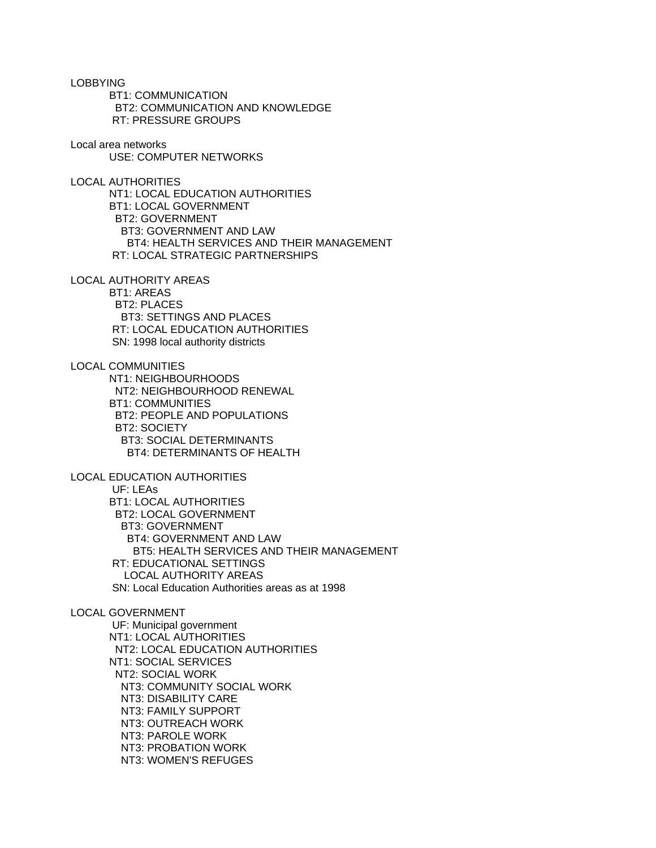LOBBYING BT1: COMMUNICATION BT2: COMMUNICATION AND KNOWLEDGE RT: PRESSURE GROUPS Local area networks USE: COMPUTER NETWORKS LOCAL AUTHORITIES NT1: LOCAL EDUCATION AUTHORITIES BT1: LOCAL GOVERNMENT BT2: GOVERNMENT BT3: GOVERNMENT AND LAW BT4: HEALTH SERVICES AND THEIR MANAGEMENT RT: LOCAL STRATEGIC PARTNERSHIPS LOCAL AUTHORITY AREAS BT1: AREAS BT2: PLACES BT3: SETTINGS AND PLACES RT: LOCAL EDUCATION AUTHORITIES SN: 1998 local authority districts LOCAL COMMUNITIES NT1: NEIGHBOURHOODS NT2: NEIGHBOURHOOD RENEWAL BT1: COMMUNITIES BT2: PEOPLE AND POPULATIONS BT2: SOCIETY BT3: SOCIAL DETERMINANTS BT4: DETERMINANTS OF HEALTH LOCAL EDUCATION AUTHORITIES UF: LEAs BT1: LOCAL AUTHORITIES BT2: LOCAL GOVERNMENT BT3: GOVERNMENT BT4: GOVERNMENT AND LAW BT5: HEALTH SERVICES AND THEIR MANAGEMENT RT: EDUCATIONAL SETTINGS LOCAL AUTHORITY AREAS SN: Local Education Authorities areas as at 1998 LOCAL GOVERNMENT UF: Municipal government NT1: LOCAL AUTHORITIES NT2: LOCAL EDUCATION AUTHORITIES NT1: SOCIAL SERVICES NT2: SOCIAL WORK NT3: COMMUNITY SOCIAL WORK NT3: DISABILITY CARE NT3: FAMILY SUPPORT NT3: OUTREACH WORK NT3: PAROLE WORK NT3: PROBATION WORK

NT3: WOMEN'S REFUGES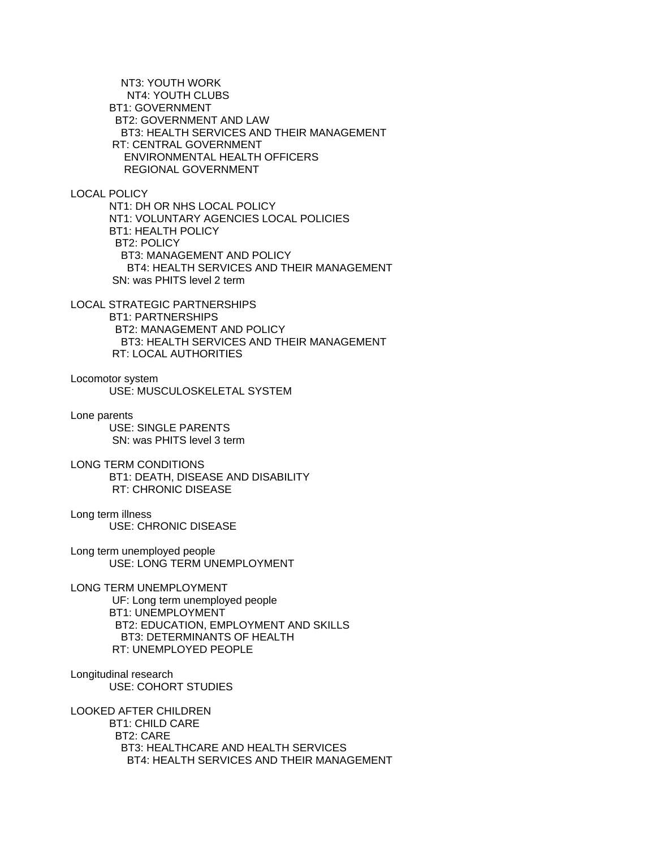NT3: YOUTH WORK NT4: YOUTH CLUBS BT1: GOVERNMENT BT2: GOVERNMENT AND LAW BT3: HEALTH SERVICES AND THEIR MANAGEMENT RT: CENTRAL GOVERNMENT ENVIRONMENTAL HEALTH OFFICERS REGIONAL GOVERNMENT

LOCAL POLICY

 NT1: DH OR NHS LOCAL POLICY NT1: VOLUNTARY AGENCIES LOCAL POLICIES BT1: HEALTH POLICY BT2: POLICY BT3: MANAGEMENT AND POLICY BT4: HEALTH SERVICES AND THEIR MANAGEMENT SN: was PHITS level 2 term

LOCAL STRATEGIC PARTNERSHIPS BT1: PARTNERSHIPS BT2: MANAGEMENT AND POLICY BT3: HEALTH SERVICES AND THEIR MANAGEMENT RT: LOCAL AUTHORITIES

Locomotor system USE: MUSCULOSKELETAL SYSTEM

Lone parents USE: SINGLE PARENTS SN: was PHITS level 3 term

LONG TERM CONDITIONS BT1: DEATH, DISEASE AND DISABILITY RT: CHRONIC DISEASE

Long term illness USE: CHRONIC DISEASE

Long term unemployed people USE: LONG TERM UNEMPLOYMENT

LONG TERM UNEMPLOYMENT UF: Long term unemployed people BT1: UNEMPLOYMENT BT2: EDUCATION, EMPLOYMENT AND SKILLS BT3: DETERMINANTS OF HEALTH RT: UNEMPLOYED PEOPLE

Longitudinal research USE: COHORT STUDIES

LOOKED AFTER CHILDREN BT1: CHILD CARE BT2: CARE BT3: HEALTHCARE AND HEALTH SERVICES BT4: HEALTH SERVICES AND THEIR MANAGEMENT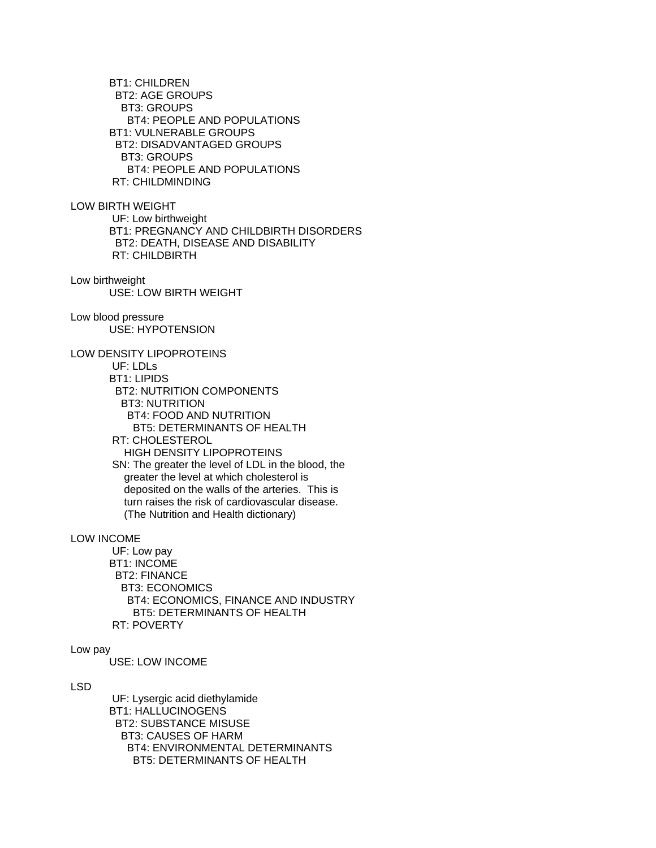BT1: CHILDREN BT2: AGE GROUPS BT3: GROUPS BT4: PEOPLE AND POPULATIONS BT1: VULNERABLE GROUPS BT2: DISADVANTAGED GROUPS BT3: GROUPS BT4: PEOPLE AND POPULATIONS RT: CHILDMINDING

LOW BIRTH WEIGHT

 UF: Low birthweight BT1: PREGNANCY AND CHILDBIRTH DISORDERS BT2: DEATH, DISEASE AND DISABILITY RT: CHILDBIRTH

Low birthweight USE: LOW BIRTH WEIGHT

Low blood pressure USE: HYPOTENSION

LOW DENSITY LIPOPROTEINS

 UF: LDLs BT1: LIPIDS BT2: NUTRITION COMPONENTS BT3: NUTRITION BT4: FOOD AND NUTRITION BT5: DETERMINANTS OF HEALTH RT: CHOLESTEROL HIGH DENSITY LIPOPROTEINS SN: The greater the level of LDL in the blood, the greater the level at which cholesterol is deposited on the walls of the arteries. This is turn raises the risk of cardiovascular disease. (The Nutrition and Health dictionary)

LOW INCOME

 UF: Low pay BT1: INCOME BT2: FINANCE BT3: ECONOMICS BT4: ECONOMICS, FINANCE AND INDUSTRY BT5: DETERMINANTS OF HEALTH RT: POVERTY

Low pay

USE: LOW INCOME

LSD

 UF: Lysergic acid diethylamide BT1: HALLUCINOGENS BT2: SUBSTANCE MISUSE BT3: CAUSES OF HARM BT4: ENVIRONMENTAL DETERMINANTS BT5: DETERMINANTS OF HEALTH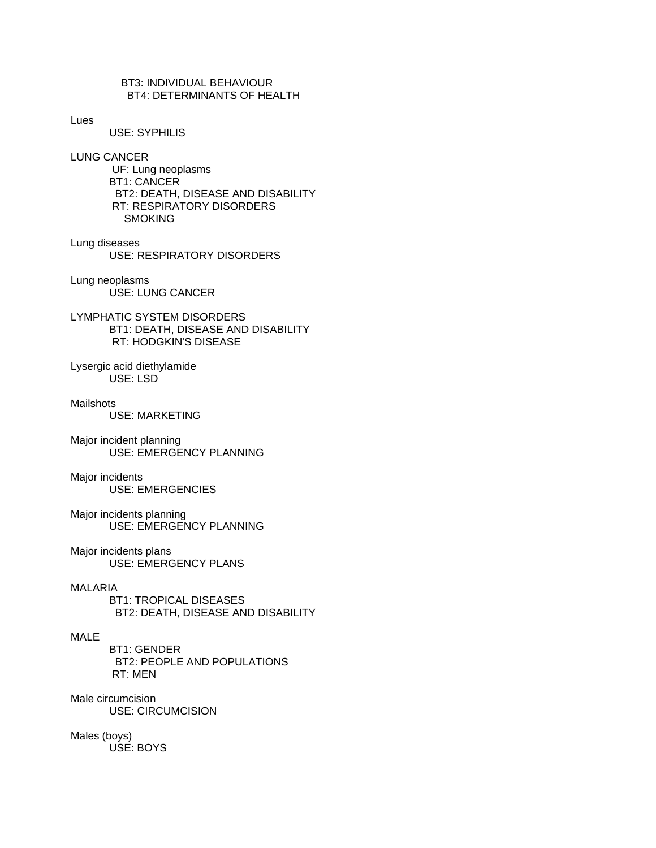# BT3: INDIVIDUAL BEHAVIOUR BT4: DETERMINANTS OF HEALTH

#### Lues

USE: SYPHILIS

LUNG CANCER

 UF: Lung neoplasms BT1: CANCER BT2: DEATH, DISEASE AND DISABILITY RT: RESPIRATORY DISORDERS **SMOKING** 

#### Lung diseases USE: RESPIRATORY DISORDERS

Lung neoplasms USE: LUNG CANCER

LYMPHATIC SYSTEM DISORDERS BT1: DEATH, DISEASE AND DISABILITY RT: HODGKIN'S DISEASE

Lysergic acid diethylamide USE: LSD

Mailshots

USE: MARKETING

Major incident planning USE: EMERGENCY PLANNING

Major incidents USE: EMERGENCIES

Major incidents planning USE: EMERGENCY PLANNING

Major incidents plans USE: EMERGENCY PLANS

## MALARIA

 BT1: TROPICAL DISEASES BT2: DEATH, DISEASE AND DISABILITY

# MALE

 BT1: GENDER BT2: PEOPLE AND POPULATIONS RT: MEN

Male circumcision USE: CIRCUMCISION

Males (boys) USE: BOYS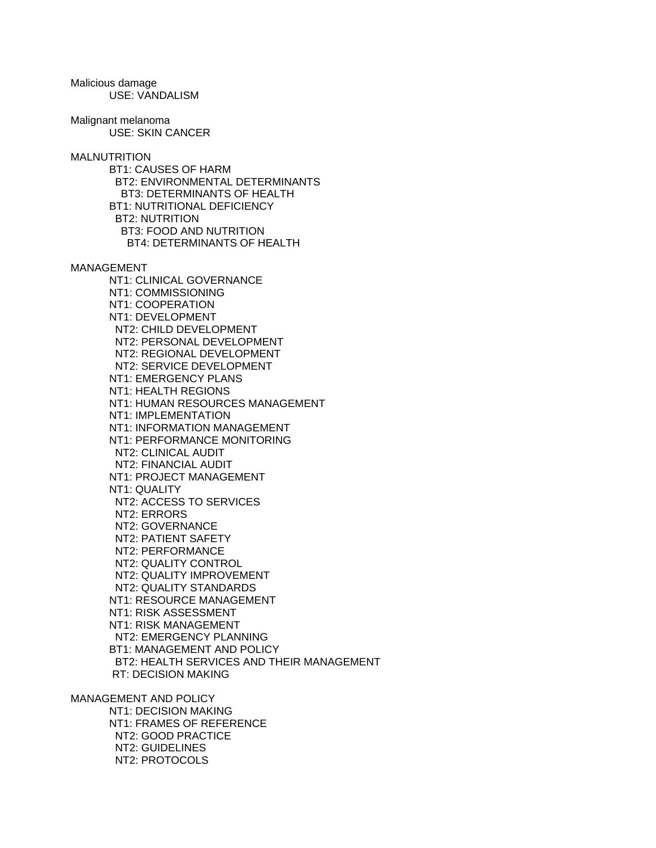Malicious damage USE: VANDALISM

Malignant melanoma USE: SKIN CANCER

**MALNUTRITION**  BT1: CAUSES OF HARM BT2: ENVIRONMENTAL DETERMINANTS BT3: DETERMINANTS OF HEALTH BT1: NUTRITIONAL DEFICIENCY BT2: NUTRITION BT3: FOOD AND NUTRITION BT4: DETERMINANTS OF HEALTH

MANAGEMENT

 NT1: CLINICAL GOVERNANCE NT1: COMMISSIONING NT1: COOPERATION NT1: DEVELOPMENT NT2: CHILD DEVELOPMENT NT2: PERSONAL DEVELOPMENT NT2: REGIONAL DEVELOPMENT NT2: SERVICE DEVELOPMENT NT1: EMERGENCY PLANS NT1: HEALTH REGIONS NT1: HUMAN RESOURCES MANAGEMENT NT1: IMPLEMENTATION NT1: INFORMATION MANAGEMENT NT1: PERFORMANCE MONITORING NT2: CLINICAL AUDIT NT2: FINANCIAL AUDIT NT1: PROJECT MANAGEMENT NT1: QUALITY NT2: ACCESS TO SERVICES NT2: ERRORS NT2: GOVERNANCE NT2: PATIENT SAFETY NT2: PERFORMANCE NT2: QUALITY CONTROL NT2: QUALITY IMPROVEMENT NT2: QUALITY STANDARDS NT1: RESOURCE MANAGEMENT NT1: RISK ASSESSMENT NT1: RISK MANAGEMENT NT2: EMERGENCY PLANNING BT1: MANAGEMENT AND POLICY BT2: HEALTH SERVICES AND THEIR MANAGEMENT RT: DECISION MAKING

MANAGEMENT AND POLICY NT1: DECISION MAKING NT1: FRAMES OF REFERENCE NT2: GOOD PRACTICE NT2: GUIDELINES NT2: PROTOCOLS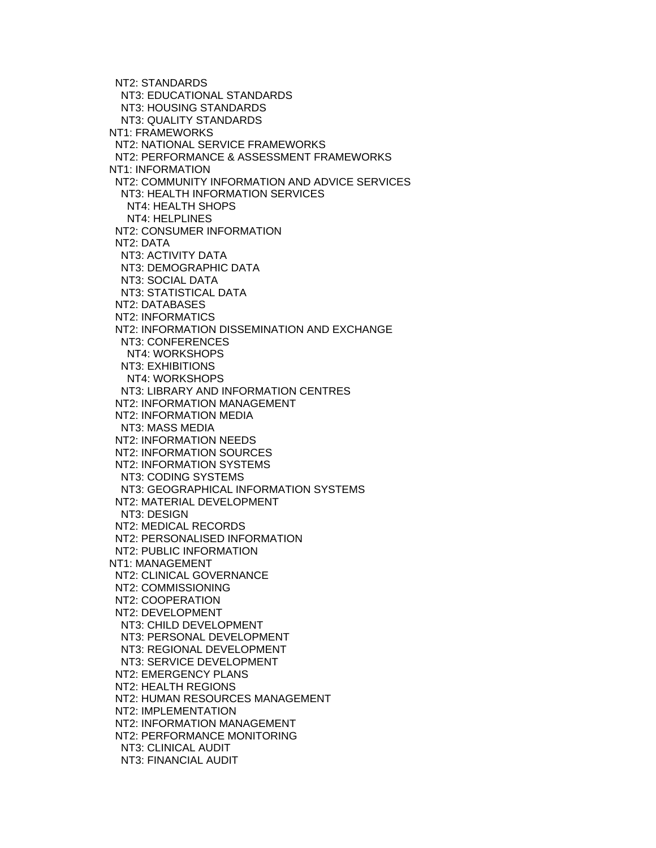NT2: STANDARDS NT3: EDUCATIONAL STANDARDS NT3: HOUSING STANDARDS NT3: QUALITY STANDARDS NT1: FRAMEWORKS NT2: NATIONAL SERVICE FRAMEWORKS NT2: PERFORMANCE & ASSESSMENT FRAMEWORKS NT1: INFORMATION NT2: COMMUNITY INFORMATION AND ADVICE SERVICES NT3: HEALTH INFORMATION SERVICES NT4: HEALTH SHOPS NT4: HELPLINES NT2: CONSUMER INFORMATION NT2: DATA NT3: ACTIVITY DATA NT3: DEMOGRAPHIC DATA NT3: SOCIAL DATA NT3: STATISTICAL DATA NT2: DATABASES NT2: INFORMATICS NT2: INFORMATION DISSEMINATION AND EXCHANGE NT3: CONFERENCES NT4: WORKSHOPS NT3: EXHIBITIONS NT4: WORKSHOPS NT3: LIBRARY AND INFORMATION CENTRES NT2: INFORMATION MANAGEMENT NT2: INFORMATION MEDIA NT3: MASS MEDIA NT2: INFORMATION NEEDS NT2: INFORMATION SOURCES NT2: INFORMATION SYSTEMS NT3: CODING SYSTEMS NT3: GEOGRAPHICAL INFORMATION SYSTEMS NT2: MATERIAL DEVELOPMENT NT3: DESIGN NT2: MEDICAL RECORDS NT2: PERSONALISED INFORMATION NT2: PUBLIC INFORMATION NT1: MANAGEMENT NT2: CLINICAL GOVERNANCE NT2: COMMISSIONING NT2: COOPERATION NT2: DEVELOPMENT NT3: CHILD DEVELOPMENT NT3: PERSONAL DEVELOPMENT NT3: REGIONAL DEVELOPMENT NT3: SERVICE DEVELOPMENT NT2: EMERGENCY PLANS NT2: HEALTH REGIONS NT2: HUMAN RESOURCES MANAGEMENT NT2: IMPLEMENTATION NT2: INFORMATION MANAGEMENT NT2: PERFORMANCE MONITORING NT3: CLINICAL AUDIT NT3: FINANCIAL AUDIT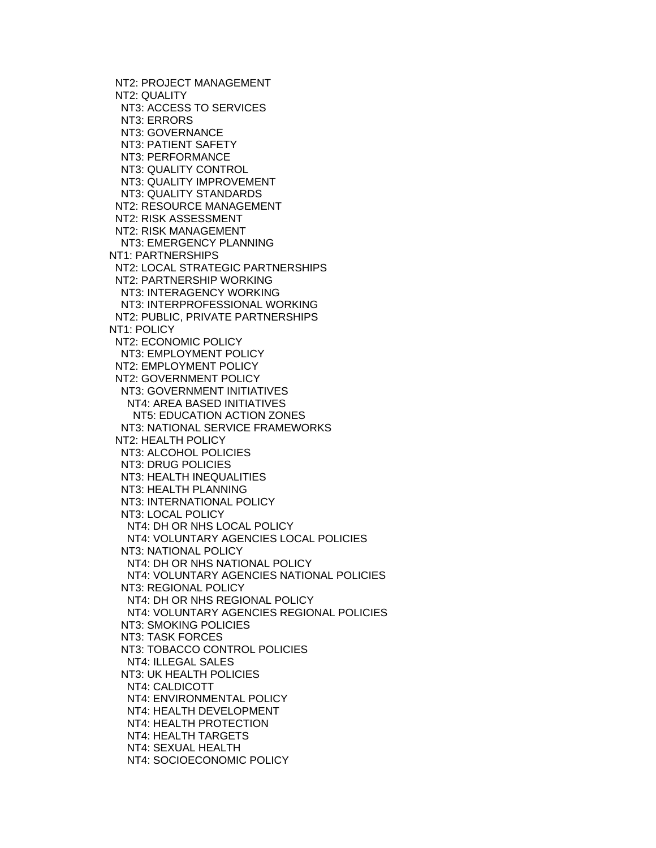NT2: PROJECT MANAGEMENT NT2: QUALITY NT3: ACCESS TO SERVICES NT3: ERRORS NT3: GOVERNANCE NT3: PATIENT SAFETY NT3: PERFORMANCE NT3: QUALITY CONTROL NT3: QUALITY IMPROVEMENT NT3: QUALITY STANDARDS NT2: RESOURCE MANAGEMENT NT2: RISK ASSESSMENT NT2: RISK MANAGEMENT NT3: EMERGENCY PLANNING NT1: PARTNERSHIPS NT2: LOCAL STRATEGIC PARTNERSHIPS NT2: PARTNERSHIP WORKING NT3: INTERAGENCY WORKING NT3: INTERPROFESSIONAL WORKING NT2: PUBLIC, PRIVATE PARTNERSHIPS NT1: POLICY NT2: ECONOMIC POLICY NT3: EMPLOYMENT POLICY NT2: EMPLOYMENT POLICY NT2: GOVERNMENT POLICY NT3: GOVERNMENT INITIATIVES NT4: AREA BASED INITIATIVES NT5: EDUCATION ACTION ZONES NT3: NATIONAL SERVICE FRAMEWORKS NT2: HEALTH POLICY NT3: ALCOHOL POLICIES NT3: DRUG POLICIES NT3: HEALTH INEQUALITIES NT3: HEALTH PLANNING NT3: INTERNATIONAL POLICY NT3: LOCAL POLICY NT4: DH OR NHS LOCAL POLICY NT4: VOLUNTARY AGENCIES LOCAL POLICIES NT3: NATIONAL POLICY NT4: DH OR NHS NATIONAL POLICY NT4: VOLUNTARY AGENCIES NATIONAL POLICIES NT3: REGIONAL POLICY NT4: DH OR NHS REGIONAL POLICY NT4: VOLUNTARY AGENCIES REGIONAL POLICIES NT3: SMOKING POLICIES NT3: TASK FORCES NT3: TOBACCO CONTROL POLICIES NT4: ILLEGAL SALES NT3: UK HEALTH POLICIES NT4: CALDICOTT NT4: ENVIRONMENTAL POLICY NT4: HEALTH DEVELOPMENT NT4: HEALTH PROTECTION NT4: HEALTH TARGETS NT4: SEXUAL HEALTH NT4: SOCIOECONOMIC POLICY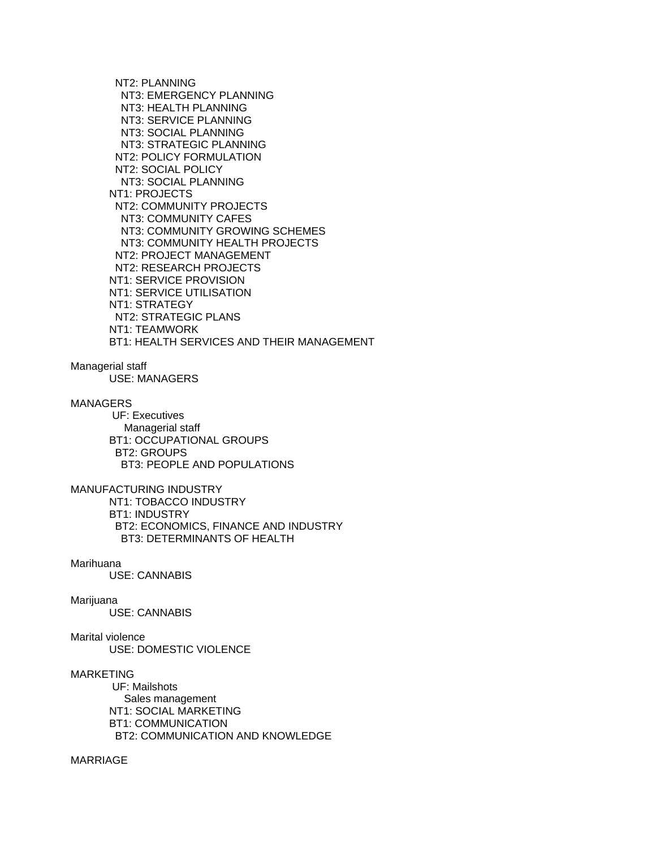NT2: PLANNING NT3: EMERGENCY PLANNING NT3: HEALTH PLANNING NT3: SERVICE PLANNING NT3: SOCIAL PLANNING NT3: STRATEGIC PLANNING NT2: POLICY FORMULATION NT2: SOCIAL POLICY NT3: SOCIAL PLANNING NT1: PROJECTS NT2: COMMUNITY PROJECTS NT3: COMMUNITY CAFES NT3: COMMUNITY GROWING SCHEMES NT3: COMMUNITY HEALTH PROJECTS NT2: PROJECT MANAGEMENT NT2: RESEARCH PROJECTS NT1: SERVICE PROVISION NT1: SERVICE UTILISATION NT1: STRATEGY NT2: STRATEGIC PLANS NT1: TEAMWORK BT1: HEALTH SERVICES AND THEIR MANAGEMENT

# Managerial staff

USE: MANAGERS

# MANAGERS

 UF: Executives Managerial staff BT1: OCCUPATIONAL GROUPS BT2: GROUPS BT3: PEOPLE AND POPULATIONS

## MANUFACTURING INDUSTRY

 NT1: TOBACCO INDUSTRY BT1: INDUSTRY BT2: ECONOMICS, FINANCE AND INDUSTRY BT3: DETERMINANTS OF HEALTH

#### Marihuana

USE: CANNABIS

# Marijuana

USE: CANNABIS

# Marital violence

USE: DOMESTIC VIOLENCE

# MARKETING

 UF: Mailshots Sales management NT1: SOCIAL MARKETING BT1: COMMUNICATION BT2: COMMUNICATION AND KNOWLEDGE

# MARRIAGE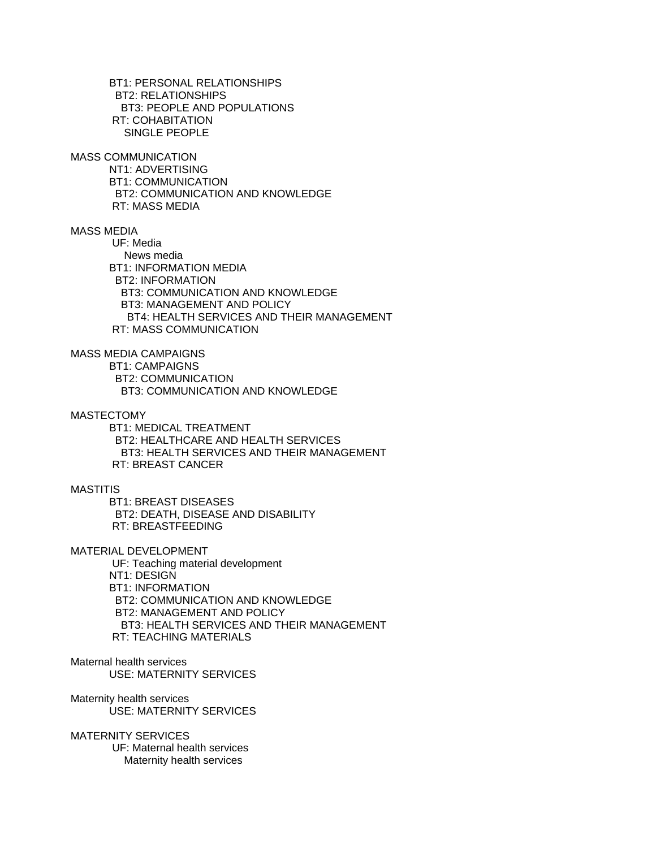BT1: PERSONAL RELATIONSHIPS BT2: RELATIONSHIPS BT3: PEOPLE AND POPULATIONS RT: COHABITATION SINGLE PEOPLE

MASS COMMUNICATION

 NT1: ADVERTISING BT1: COMMUNICATION BT2: COMMUNICATION AND KNOWLEDGE RT: MASS MEDIA

MASS MEDIA

 UF: Media News media BT1: INFORMATION MEDIA BT2: INFORMATION BT3: COMMUNICATION AND KNOWLEDGE BT3: MANAGEMENT AND POLICY BT4: HEALTH SERVICES AND THEIR MANAGEMENT RT: MASS COMMUNICATION

MASS MEDIA CAMPAIGNS

 BT1: CAMPAIGNS BT2: COMMUNICATION BT3: COMMUNICATION AND KNOWLEDGE

MASTECTOMY

 BT1: MEDICAL TREATMENT BT2: HEALTHCARE AND HEALTH SERVICES BT3: HEALTH SERVICES AND THEIR MANAGEMENT RT: BREAST CANCER

MASTITIS

 BT1: BREAST DISEASES BT2: DEATH, DISEASE AND DISABILITY RT: BREASTFEEDING

MATERIAL DEVELOPMENT

 UF: Teaching material development NT1: DESIGN BT1: INFORMATION BT2: COMMUNICATION AND KNOWLEDGE BT2: MANAGEMENT AND POLICY BT3: HEALTH SERVICES AND THEIR MANAGEMENT RT: TEACHING MATERIALS

Maternal health services USE: MATERNITY SERVICES

Maternity health services USE: MATERNITY SERVICES

MATERNITY SERVICES

 UF: Maternal health services Maternity health services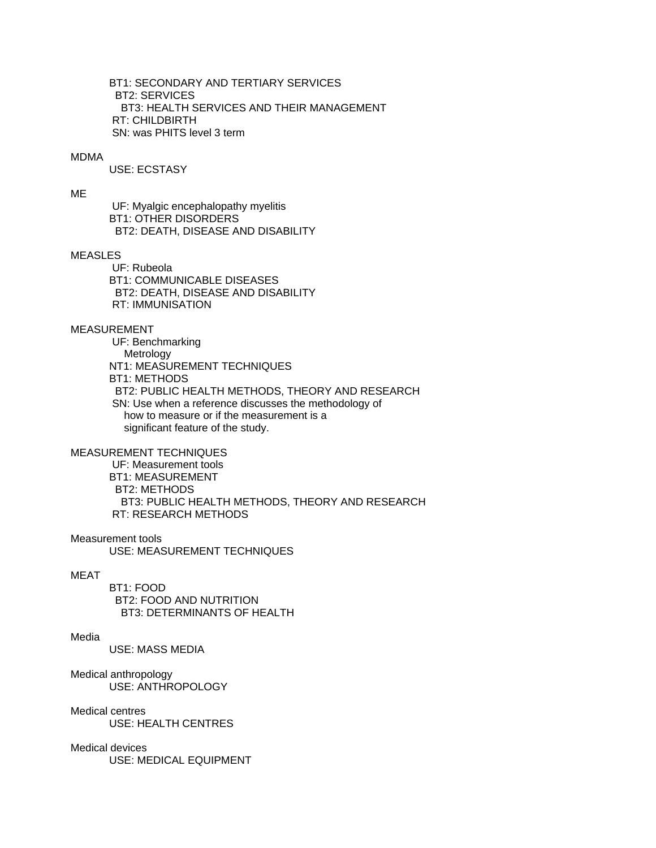BT1: SECONDARY AND TERTIARY SERVICES BT2: SERVICES BT3: HEALTH SERVICES AND THEIR MANAGEMENT RT: CHILDBIRTH SN: was PHITS level 3 term

#### MDMA

USE: ECSTASY

# ME

 UF: Myalgic encephalopathy myelitis BT1: OTHER DISORDERS BT2: DEATH, DISEASE AND DISABILITY

# MEASLES

 UF: Rubeola BT1: COMMUNICABLE DISEASES BT2: DEATH, DISEASE AND DISABILITY RT: IMMUNISATION

# MEASUREMENT

 UF: Benchmarking Metrology NT1: MEASUREMENT TECHNIQUES BT1: METHODS BT2: PUBLIC HEALTH METHODS, THEORY AND RESEARCH SN: Use when a reference discusses the methodology of how to measure or if the measurement is a significant feature of the study.

## MEASUREMENT TECHNIQUES

 UF: Measurement tools BT1: MEASUREMENT BT2: METHODS BT3: PUBLIC HEALTH METHODS, THEORY AND RESEARCH RT: RESEARCH METHODS

## Measurement tools

USE: MEASUREMENT TECHNIQUES

#### MEAT

 BT1: FOOD BT2: FOOD AND NUTRITION BT3: DETERMINANTS OF HEALTH

## Media

USE: MASS MEDIA

Medical anthropology USE: ANTHROPOLOGY

# Medical centres

USE: HEALTH CENTRES

## Medical devices

USE: MEDICAL EQUIPMENT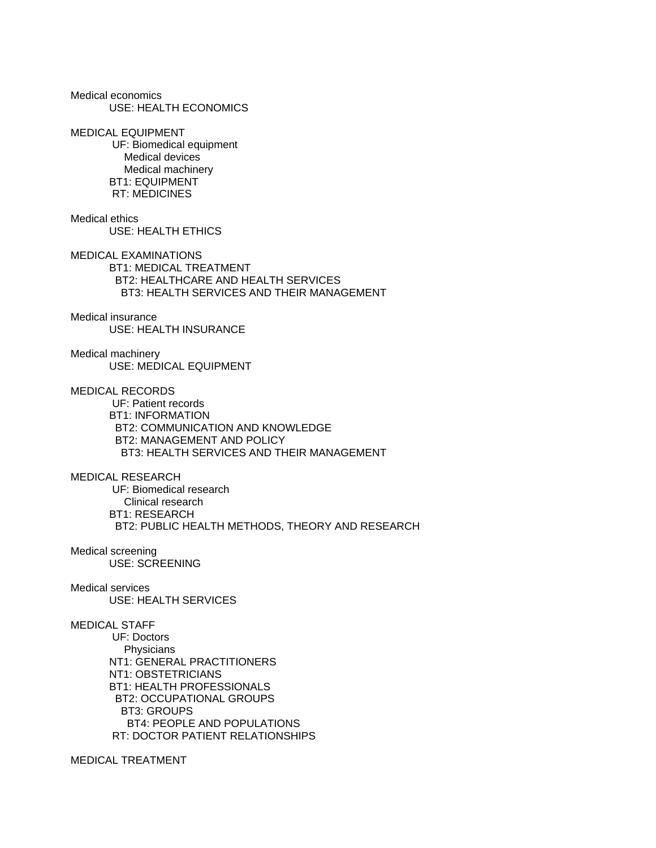Medical economics USE: HEALTH ECONOMICS

MEDICAL EQUIPMENT UF: Biomedical equipment Medical devices Medical machinery BT1: EQUIPMENT RT: MEDICINES

Medical ethics USE: HEALTH ETHICS MEDICAL EXAMINATIONS

 BT1: MEDICAL TREATMENT BT2: HEALTHCARE AND HEALTH SERVICES BT3: HEALTH SERVICES AND THEIR MANAGEMENT

Medical insurance USE: HEALTH INSURANCE

Medical machinery USE: MEDICAL EQUIPMENT

MEDICAL RECORDS UF: Patient records BT1: INFORMATION BT2: COMMUNICATION AND KNOWLEDGE BT2: MANAGEMENT AND POLICY BT3: HEALTH SERVICES AND THEIR MANAGEMENT

MEDICAL RESEARCH UF: Biomedical research Clinical research BT1: RESEARCH BT2: PUBLIC HEALTH METHODS, THEORY AND RESEARCH

Medical screening USE: SCREENING

Medical services USE: HEALTH SERVICES

MEDICAL STAFF

 UF: Doctors **Physicians**  NT1: GENERAL PRACTITIONERS NT1: OBSTETRICIANS BT1: HEALTH PROFESSIONALS BT2: OCCUPATIONAL GROUPS BT3: GROUPS BT4: PEOPLE AND POPULATIONS RT: DOCTOR PATIENT RELATIONSHIPS

MEDICAL TREATMENT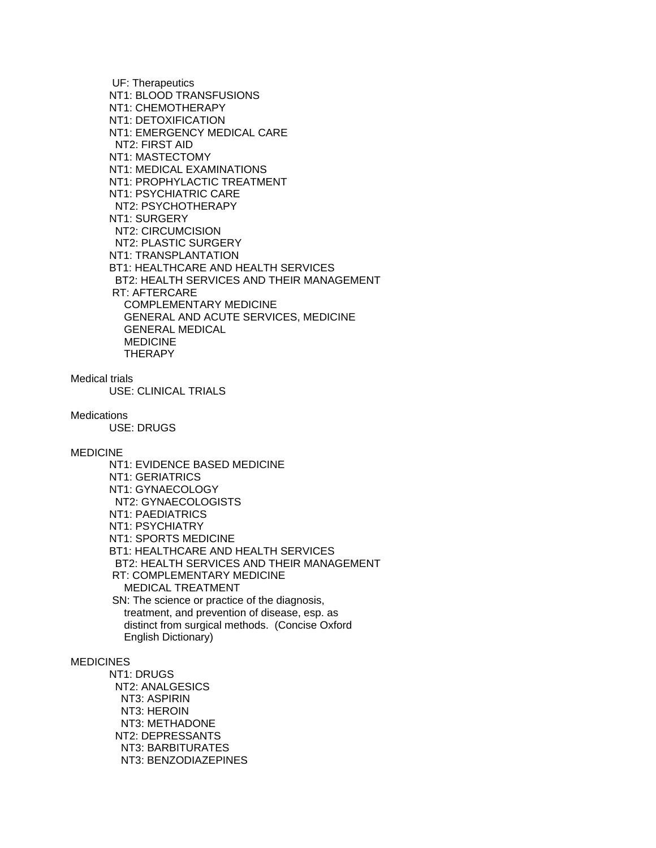UF: Therapeutics NT1: BLOOD TRANSFUSIONS NT1: CHEMOTHERAPY NT1: DETOXIFICATION NT1: EMERGENCY MEDICAL CARE NT2: FIRST AID NT1: MASTECTOMY NT1: MEDICAL EXAMINATIONS NT1: PROPHYLACTIC TREATMENT NT1: PSYCHIATRIC CARE NT2: PSYCHOTHERAPY NT1: SURGERY NT2: CIRCUMCISION NT2: PLASTIC SURGERY NT1: TRANSPLANTATION BT1: HEALTHCARE AND HEALTH SERVICES BT2: HEALTH SERVICES AND THEIR MANAGEMENT RT: AFTERCARE COMPLEMENTARY MEDICINE GENERAL AND ACUTE SERVICES, MEDICINE GENERAL MEDICAL MEDICINE **THERAPY** 

Medical trials

USE: CLINICAL TRIALS

**Medications** 

USE: DRUGS

#### MEDICINE

 NT1: EVIDENCE BASED MEDICINE NT1: GERIATRICS NT1: GYNAECOLOGY NT2: GYNAECOLOGISTS NT1: PAEDIATRICS NT1: PSYCHIATRY NT1: SPORTS MEDICINE BT1: HEALTHCARE AND HEALTH SERVICES BT2: HEALTH SERVICES AND THEIR MANAGEMENT RT: COMPLEMENTARY MEDICINE MEDICAL TREATMENT SN: The science or practice of the diagnosis, treatment, and prevention of disease, esp. as

 distinct from surgical methods. (Concise Oxford English Dictionary)

# MEDICINES

 NT1: DRUGS NT2: ANALGESICS NT3: ASPIRIN NT3: HEROIN NT3: METHADONE NT2: DEPRESSANTS NT3: BARBITURATES NT3: BENZODIAZEPINES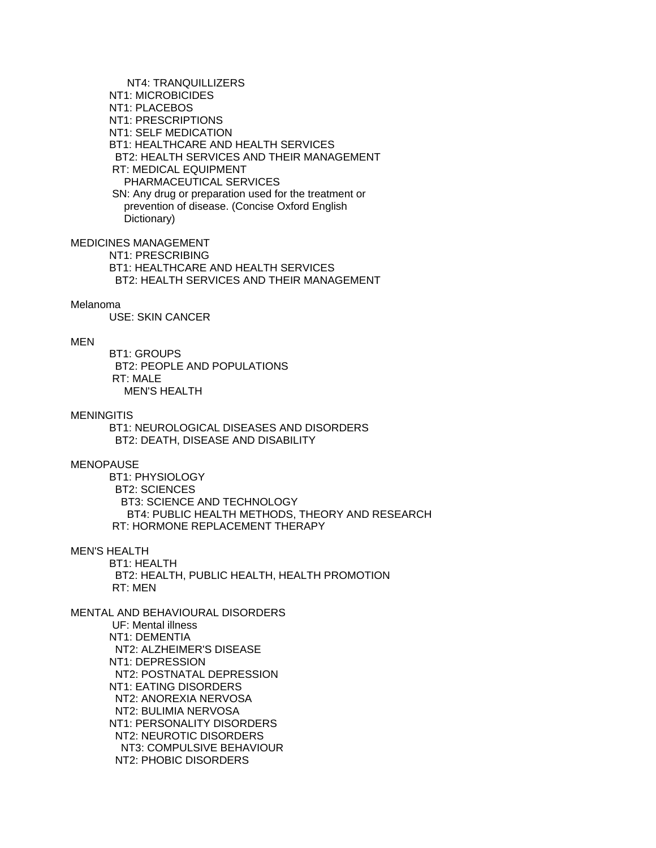NT4: TRANQUILLIZERS NT1: MICROBICIDES NT1: PLACEBOS NT1: PRESCRIPTIONS NT1: SELF MEDICATION BT1: HEALTHCARE AND HEALTH SERVICES BT2: HEALTH SERVICES AND THEIR MANAGEMENT RT: MEDICAL EQUIPMENT PHARMACEUTICAL SERVICES SN: Any drug or preparation used for the treatment or prevention of disease. (Concise Oxford English Dictionary)

MEDICINES MANAGEMENT

 NT1: PRESCRIBING BT1: HEALTHCARE AND HEALTH SERVICES BT2: HEALTH SERVICES AND THEIR MANAGEMENT

## Melanoma

USE: SKIN CANCER

## MEN

 BT1: GROUPS BT2: PEOPLE AND POPULATIONS RT: MALE MEN'S HEALTH

#### **MENINGITIS**

 BT1: NEUROLOGICAL DISEASES AND DISORDERS BT2: DEATH, DISEASE AND DISABILITY

# MENOPAUSE

 BT1: PHYSIOLOGY BT2: SCIENCES BT3: SCIENCE AND TECHNOLOGY BT4: PUBLIC HEALTH METHODS, THEORY AND RESEARCH RT: HORMONE REPLACEMENT THERAPY

## MEN'S HEALTH

 BT1: HEALTH BT2: HEALTH, PUBLIC HEALTH, HEALTH PROMOTION RT: MEN

MENTAL AND BEHAVIOURAL DISORDERS

 UF: Mental illness NT1: DEMENTIA NT2: ALZHEIMER'S DISEASE NT1: DEPRESSION NT2: POSTNATAL DEPRESSION NT1: EATING DISORDERS NT2: ANOREXIA NERVOSA NT2: BULIMIA NERVOSA NT1: PERSONALITY DISORDERS NT2: NEUROTIC DISORDERS NT3: COMPULSIVE BEHAVIOUR NT2: PHOBIC DISORDERS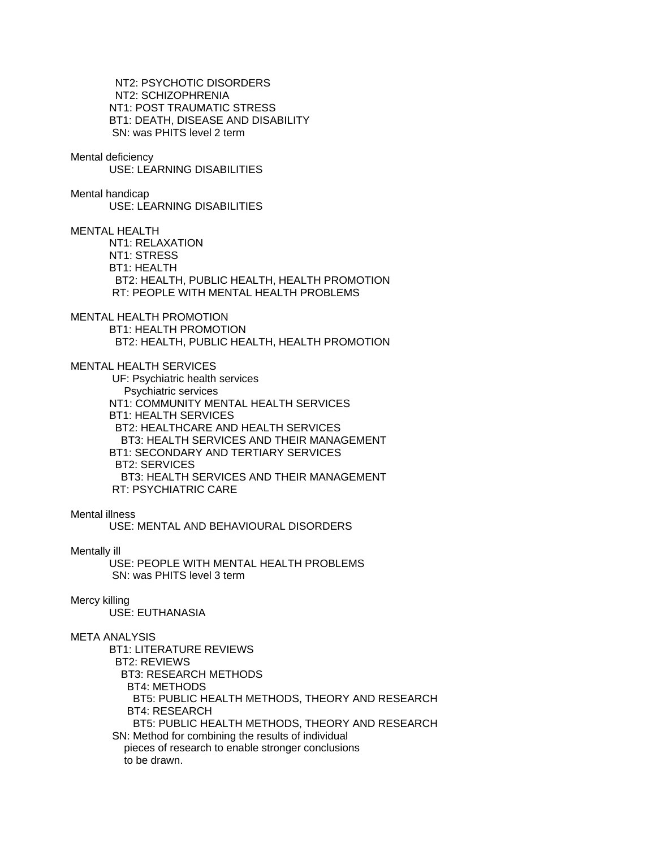NT2: PSYCHOTIC DISORDERS NT2: SCHIZOPHRENIA NT1: POST TRAUMATIC STRESS BT1: DEATH, DISEASE AND DISABILITY SN: was PHITS level 2 term

#### Mental deficiency

USE: LEARNING DISABILITIES

## Mental handicap

USE: LEARNING DISABILITIES

MENTAL HEALTH

 NT1: RELAXATION NT1: STRESS BT1: HEALTH BT2: HEALTH, PUBLIC HEALTH, HEALTH PROMOTION RT: PEOPLE WITH MENTAL HEALTH PROBLEMS

# MENTAL HEALTH PROMOTION

 BT1: HEALTH PROMOTION BT2: HEALTH, PUBLIC HEALTH, HEALTH PROMOTION

## MENTAL HEALTH SERVICES

 UF: Psychiatric health services Psychiatric services NT1: COMMUNITY MENTAL HEALTH SERVICES BT1: HEALTH SERVICES BT2: HEALTHCARE AND HEALTH SERVICES BT3: HEALTH SERVICES AND THEIR MANAGEMENT BT1: SECONDARY AND TERTIARY SERVICES BT2: SERVICES BT3: HEALTH SERVICES AND THEIR MANAGEMENT RT: PSYCHIATRIC CARE

## Mental illness

USE: MENTAL AND BEHAVIOURAL DISORDERS

### Mentally ill

 USE: PEOPLE WITH MENTAL HEALTH PROBLEMS SN: was PHITS level 3 term

# Mercy killing

USE: EUTHANASIA

# META ANALYSIS

 BT1: LITERATURE REVIEWS BT2: REVIEWS BT3: RESEARCH METHODS BT4: METHODS BT5: PUBLIC HEALTH METHODS, THEORY AND RESEARCH BT4: RESEARCH BT5: PUBLIC HEALTH METHODS, THEORY AND RESEARCH SN: Method for combining the results of individual pieces of research to enable stronger conclusions to be drawn.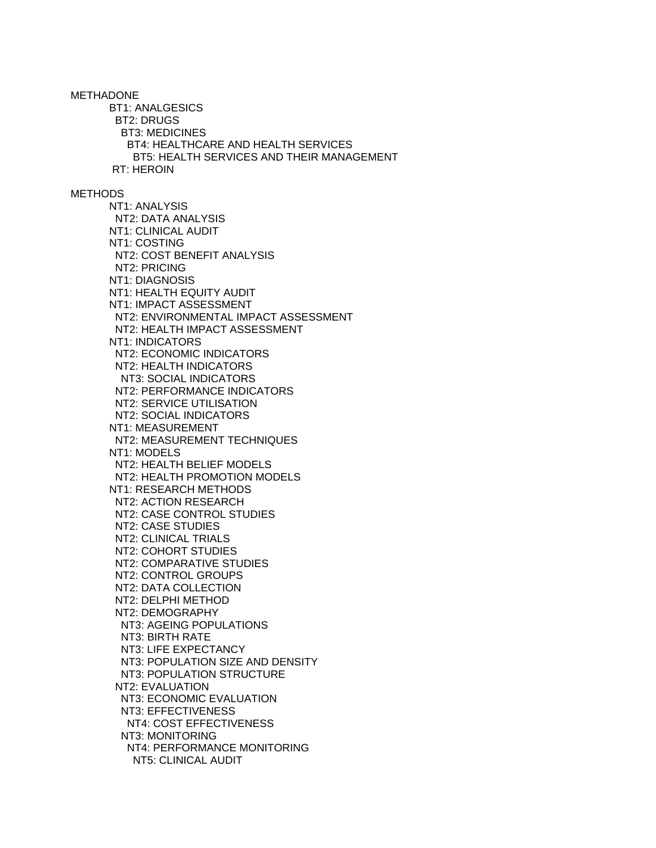METHADONE BT1: ANALGESICS BT2: DRUGS BT3: MEDICINES BT4: HEALTHCARE AND HEALTH SERVICES BT5: HEALTH SERVICES AND THEIR MANAGEMENT RT: HEROIN **METHODS**  NT1: ANALYSIS NT2: DATA ANALYSIS NT1: CLINICAL AUDIT NT1: COSTING NT2: COST BENEFIT ANALYSIS NT2: PRICING NT1: DIAGNOSIS NT1: HEALTH EQUITY AUDIT NT1: IMPACT ASSESSMENT NT2: ENVIRONMENTAL IMPACT ASSESSMENT NT2: HEALTH IMPACT ASSESSMENT NT1: INDICATORS NT2: ECONOMIC INDICATORS NT2: HEALTH INDICATORS NT3: SOCIAL INDICATORS NT2: PERFORMANCE INDICATORS NT2: SERVICE UTILISATION NT2: SOCIAL INDICATORS NT1: MEASUREMENT NT2: MEASUREMENT TECHNIQUES NT1: MODELS NT2: HEALTH BELIEF MODELS NT2: HEALTH PROMOTION MODELS NT1: RESEARCH METHODS NT2: ACTION RESEARCH NT2: CASE CONTROL STUDIES NT2: CASE STUDIES NT2: CLINICAL TRIALS NT2: COHORT STUDIES NT2: COMPARATIVE STUDIES NT2: CONTROL GROUPS NT2: DATA COLLECTION NT2: DELPHI METHOD NT2: DEMOGRAPHY NT3: AGEING POPULATIONS NT3: BIRTH RATE NT3: LIFE EXPECTANCY NT3: POPULATION SIZE AND DENSITY NT3: POPULATION STRUCTURE NT2: EVALUATION NT3: ECONOMIC EVALUATION NT3: EFFECTIVENESS NT4: COST EFFECTIVENESS NT3: MONITORING NT4: PERFORMANCE MONITORING NT5: CLINICAL AUDIT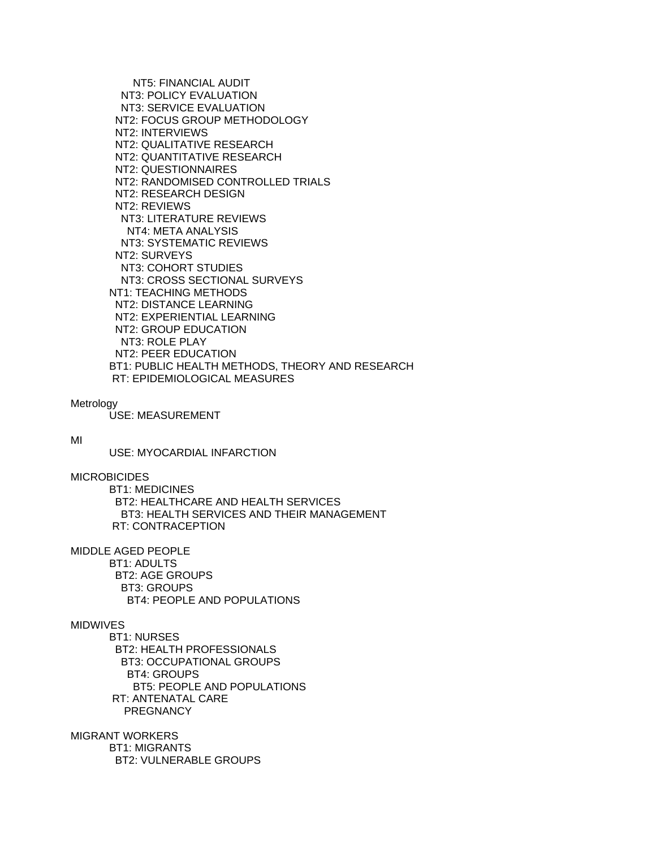NT5: FINANCIAL AUDIT NT3: POLICY EVALUATION NT3: SERVICE EVALUATION NT2: FOCUS GROUP METHODOLOGY NT2: INTERVIEWS NT2: QUALITATIVE RESEARCH NT2: QUANTITATIVE RESEARCH NT2: QUESTIONNAIRES NT2: RANDOMISED CONTROLLED TRIALS NT2: RESEARCH DESIGN NT2: REVIEWS NT3: LITERATURE REVIEWS NT4: META ANALYSIS NT3: SYSTEMATIC REVIEWS NT2: SURVEYS NT3: COHORT STUDIES NT3: CROSS SECTIONAL SURVEYS NT1: TEACHING METHODS NT2: DISTANCE LEARNING NT2: EXPERIENTIAL LEARNING NT2: GROUP EDUCATION NT3: ROLE PLAY NT2: PEER EDUCATION BT1: PUBLIC HEALTH METHODS, THEORY AND RESEARCH RT: EPIDEMIOLOGICAL MEASURES

#### Metrology

USE: MEASUREMENT

#### MI

USE: MYOCARDIAL INFARCTION

#### MICROBICIDES

 BT1: MEDICINES BT2: HEALTHCARE AND HEALTH SERVICES BT3: HEALTH SERVICES AND THEIR MANAGEMENT RT: CONTRACEPTION

MIDDLE AGED PEOPLE

 BT1: ADULTS BT2: AGE GROUPS BT3: GROUPS BT4: PEOPLE AND POPULATIONS

#### MIDWIVES

 BT1: NURSES BT2: HEALTH PROFESSIONALS BT3: OCCUPATIONAL GROUPS BT4: GROUPS BT5: PEOPLE AND POPULATIONS RT: ANTENATAL CARE PREGNANCY

MIGRANT WORKERS BT1: MIGRANTS BT2: VULNERABLE GROUPS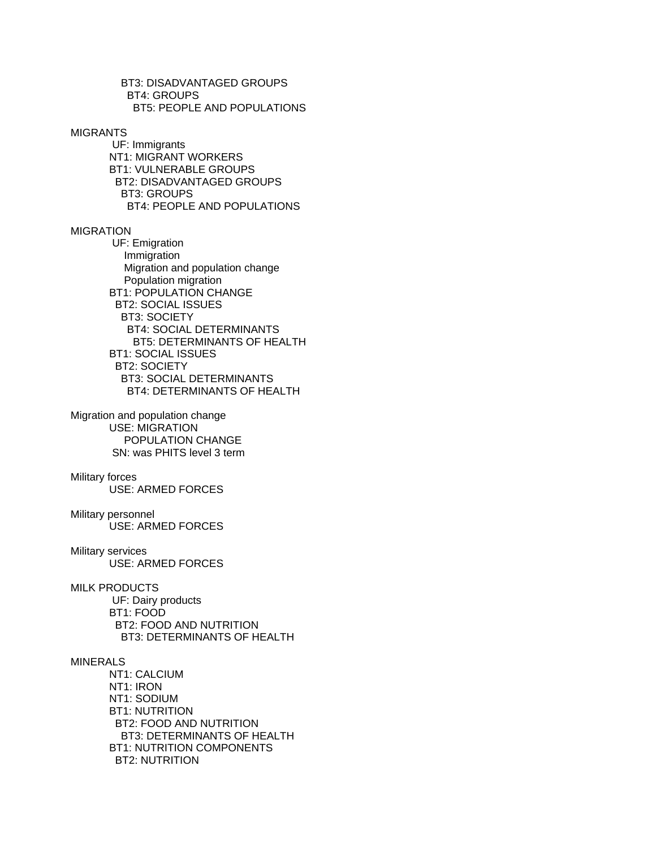BT3: DISADVANTAGED GROUPS BT4: GROUPS BT5: PEOPLE AND POPULATIONS

MIGRANTS

 UF: Immigrants NT1: MIGRANT WORKERS BT1: VULNERABLE GROUPS BT2: DISADVANTAGED GROUPS BT3: GROUPS BT4: PEOPLE AND POPULATIONS

# MIGRATION

 UF: Emigration Immigration Migration and population change Population migration BT1: POPULATION CHANGE BT2: SOCIAL ISSUES BT3: SOCIETY BT4: SOCIAL DETERMINANTS BT5: DETERMINANTS OF HEALTH BT1: SOCIAL ISSUES BT2: SOCIETY BT3: SOCIAL DETERMINANTS BT4: DETERMINANTS OF HEALTH

Migration and population change USE: MIGRATION POPULATION CHANGE SN: was PHITS level 3 term

#### Military forces

USE: ARMED FORCES

## Military personnel

USE: ARMED FORCES

## Military services

USE: ARMED FORCES

### MILK PRODUCTS

 UF: Dairy products BT1: FOOD BT2: FOOD AND NUTRITION BT3: DETERMINANTS OF HEALTH

## MINERALS

 NT1: CALCIUM NT1: IRON NT1: SODIUM BT1: NUTRITION BT2: FOOD AND NUTRITION BT3: DETERMINANTS OF HEALTH BT1: NUTRITION COMPONENTS BT2: NUTRITION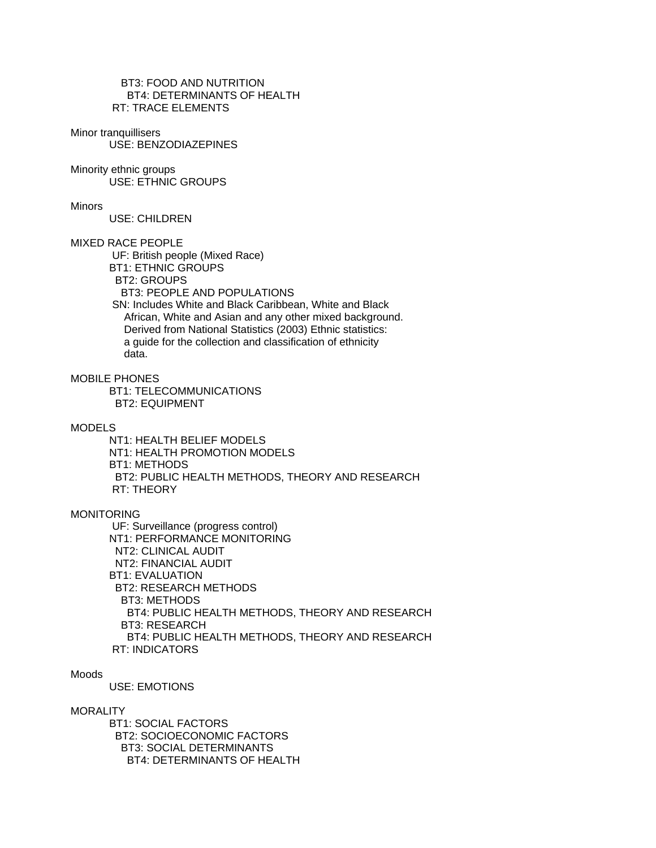BT3: FOOD AND NUTRITION BT4: DETERMINANTS OF HEALTH RT: TRACE ELEMENTS

# Minor tranquillisers

USE: BENZODIAZEPINES

# Minority ethnic groups

USE: ETHNIC GROUPS

#### Minors

USE: CHILDREN

### MIXED RACE PEOPLE

UF: British people (Mixed Race)

- BT1: ETHNIC GROUPS
- BT2: GROUPS

BT3: PEOPLE AND POPULATIONS

 SN: Includes White and Black Caribbean, White and Black African, White and Asian and any other mixed background. Derived from National Statistics (2003) Ethnic statistics: a guide for the collection and classification of ethnicity data.

## MOBILE PHONES

 BT1: TELECOMMUNICATIONS BT2: EQUIPMENT

### MODELS

 NT1: HEALTH BELIEF MODELS NT1: HEALTH PROMOTION MODELS BT1: METHODS BT2: PUBLIC HEALTH METHODS, THEORY AND RESEARCH RT: THEORY

## **MONITORING**

 UF: Surveillance (progress control) NT1: PERFORMANCE MONITORING NT2: CLINICAL AUDIT NT2: FINANCIAL AUDIT BT1: EVALUATION BT2: RESEARCH METHODS BT3: METHODS BT4: PUBLIC HEALTH METHODS, THEORY AND RESEARCH BT3: RESEARCH BT4: PUBLIC HEALTH METHODS, THEORY AND RESEARCH RT: INDICATORS

# Moods

USE: EMOTIONS

## **MORALITY**

 BT1: SOCIAL FACTORS BT2: SOCIOECONOMIC FACTORS BT3: SOCIAL DETERMINANTS BT4: DETERMINANTS OF HEALTH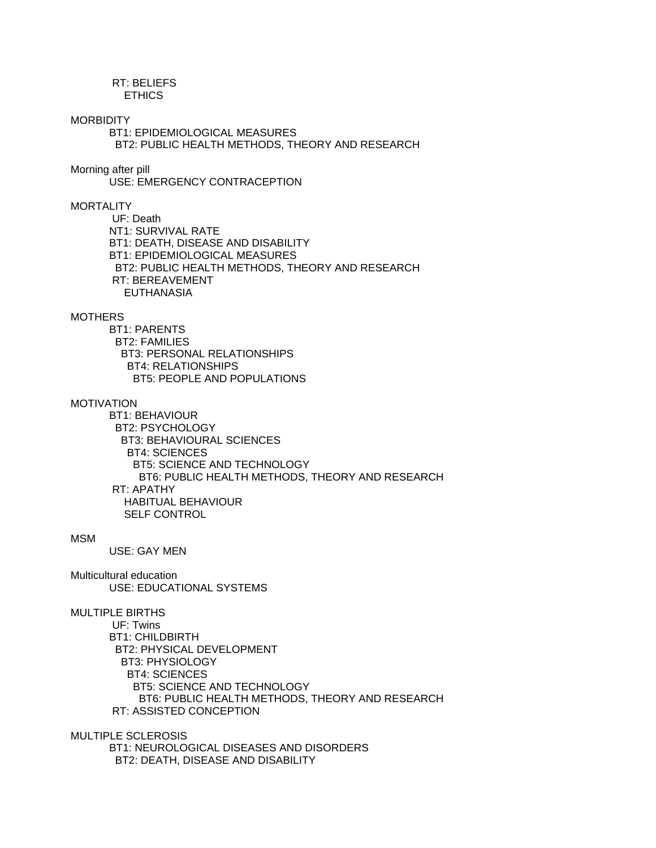## RT: BELIEFS ETHICS

#### **MORBIDITY**

 BT1: EPIDEMIOLOGICAL MEASURES BT2: PUBLIC HEALTH METHODS, THEORY AND RESEARCH

## Morning after pill

USE: EMERGENCY CONTRACEPTION

## **MORTALITY**

 UF: Death NT1: SURVIVAL RATE BT1: DEATH, DISEASE AND DISABILITY BT1: EPIDEMIOLOGICAL MEASURES BT2: PUBLIC HEALTH METHODS, THEORY AND RESEARCH RT: BEREAVEMENT EUTHANASIA

### **MOTHERS**

 BT1: PARENTS BT2: FAMILIES BT3: PERSONAL RELATIONSHIPS BT4: RELATIONSHIPS BT5: PEOPLE AND POPULATIONS

## MOTIVATION

 BT1: BEHAVIOUR BT2: PSYCHOLOGY BT3: BEHAVIOURAL SCIENCES BT4: SCIENCES BT5: SCIENCE AND TECHNOLOGY BT6: PUBLIC HEALTH METHODS, THEORY AND RESEARCH RT: APATHY HABITUAL BEHAVIOUR SELF CONTROL

## MSM

USE: GAY MEN

Multicultural education USE: EDUCATIONAL SYSTEMS

## MULTIPLE BIRTHS

 UF: Twins BT1: CHILDBIRTH BT2: PHYSICAL DEVELOPMENT BT3: PHYSIOLOGY BT4: SCIENCES BT5: SCIENCE AND TECHNOLOGY BT6: PUBLIC HEALTH METHODS, THEORY AND RESEARCH RT: ASSISTED CONCEPTION

MULTIPLE SCLEROSIS

 BT1: NEUROLOGICAL DISEASES AND DISORDERS BT2: DEATH, DISEASE AND DISABILITY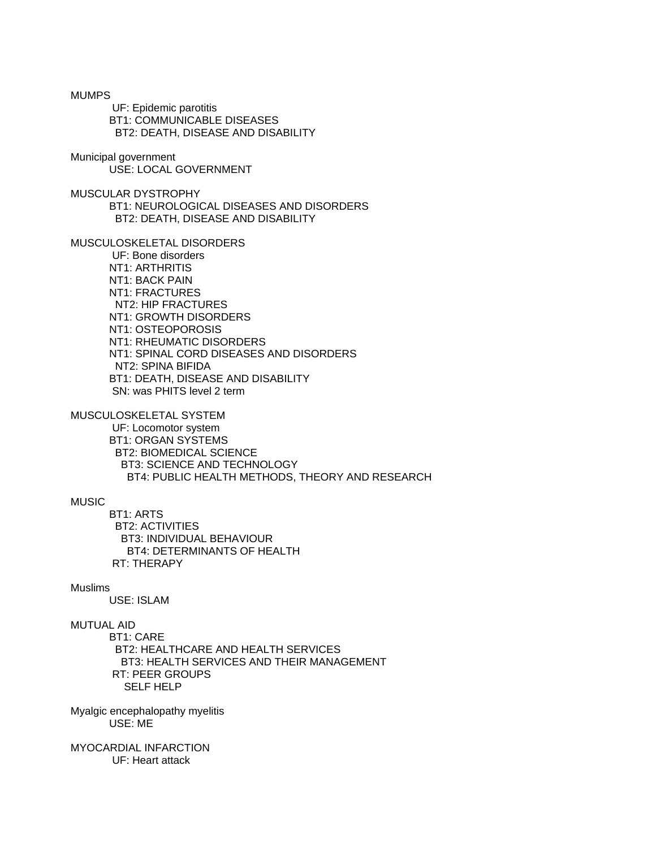UF: Epidemic parotitis BT1: COMMUNICABLE DISEASES BT2: DEATH, DISEASE AND DISABILITY Municipal government USE: LOCAL GOVERNMENT MUSCULAR DYSTROPHY BT1: NEUROLOGICAL DISEASES AND DISORDERS BT2: DEATH, DISEASE AND DISABILITY MUSCULOSKELETAL DISORDERS UF: Bone disorders NT1: ARTHRITIS NT1: BACK PAIN NT1: FRACTURES NT2: HIP FRACTURES NT1: GROWTH DISORDERS NT1: OSTEOPOROSIS NT1: RHEUMATIC DISORDERS NT1: SPINAL CORD DISEASES AND DISORDERS NT2: SPINA BIFIDA BT1: DEATH, DISEASE AND DISABILITY SN: was PHITS level 2 term MUSCULOSKELETAL SYSTEM UF: Locomotor system BT1: ORGAN SYSTEMS BT2: BIOMEDICAL SCIENCE BT3: SCIENCE AND TECHNOLOGY BT4: PUBLIC HEALTH METHODS, THEORY AND RESEARCH MUSIC BT1: ARTS BT2: ACTIVITIES BT3: INDIVIDUAL BEHAVIOUR BT4: DETERMINANTS OF HEALTH RT: THERAPY Muslims USE: ISLAM

MUTUAL AID

MUMPS

 BT1: CARE BT2: HEALTHCARE AND HEALTH SERVICES BT3: HEALTH SERVICES AND THEIR MANAGEMENT RT: PEER GROUPS SELF HELP

Myalgic encephalopathy myelitis USE: ME

MYOCARDIAL INFARCTION UF: Heart attack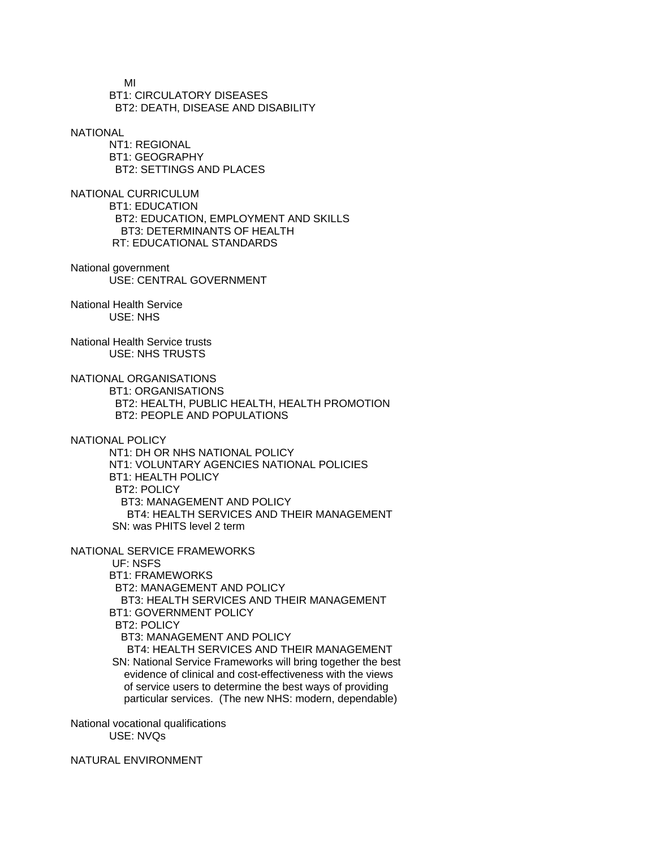MI BT1: CIRCULATORY DISEASES BT2: DEATH, DISEASE AND DISABILITY

**NATIONAL** 

 NT1: REGIONAL BT1: GEOGRAPHY BT2: SETTINGS AND PLACES

NATIONAL CURRICULUM BT1: EDUCATION BT2: EDUCATION, EMPLOYMENT AND SKILLS BT3: DETERMINANTS OF HEALTH RT: EDUCATIONAL STANDARDS

National government USE: CENTRAL GOVERNMENT

National Health Service USE: NHS

National Health Service trusts USE: NHS TRUSTS

NATIONAL ORGANISATIONS

 BT1: ORGANISATIONS BT2: HEALTH, PUBLIC HEALTH, HEALTH PROMOTION BT2: PEOPLE AND POPULATIONS

NATIONAL POLICY

 NT1: DH OR NHS NATIONAL POLICY NT1: VOLUNTARY AGENCIES NATIONAL POLICIES BT1: HEALTH POLICY BT2: POLICY BT3: MANAGEMENT AND POLICY BT4: HEALTH SERVICES AND THEIR MANAGEMENT SN: was PHITS level 2 term

NATIONAL SERVICE FRAMEWORKS

 UF: NSFS BT1: FRAMEWORKS BT2: MANAGEMENT AND POLICY BT3: HEALTH SERVICES AND THEIR MANAGEMENT BT1: GOVERNMENT POLICY BT2: POLICY BT3: MANAGEMENT AND POLICY BT4: HEALTH SERVICES AND THEIR MANAGEMENT SN: National Service Frameworks will bring together the best evidence of clinical and cost-effectiveness with the views of service users to determine the best ways of providing particular services. (The new NHS: modern, dependable)

National vocational qualifications USE: NVQs

NATURAL ENVIRONMENT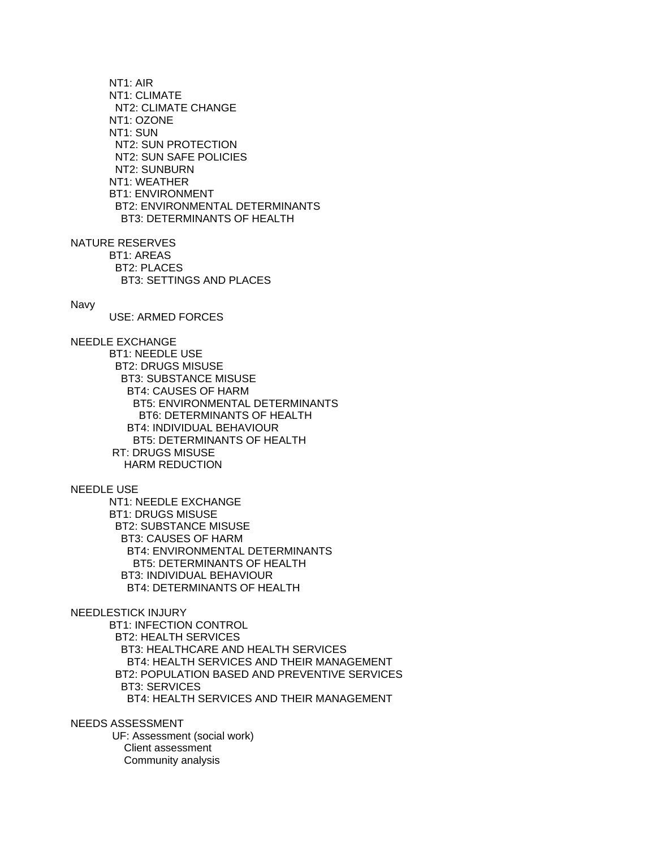NT1: AIR NT1: CLIMATE NT2: CLIMATE CHANGE NT1: OZONE NT1: SUN NT2: SUN PROTECTION NT2: SUN SAFE POLICIES NT2: SUNBURN NT1: WEATHER BT1: ENVIRONMENT BT2: ENVIRONMENTAL DETERMINANTS BT3: DETERMINANTS OF HEALTH

NATURE RESERVES BT1: AREAS BT2: PLACES BT3: SETTINGS AND PLACES

#### Navy

USE: ARMED FORCES

NEEDLE EXCHANGE

 BT1: NEEDLE USE BT2: DRUGS MISUSE BT3: SUBSTANCE MISUSE BT4: CAUSES OF HARM BT5: ENVIRONMENTAL DETERMINANTS BT6: DETERMINANTS OF HEALTH BT4: INDIVIDUAL BEHAVIOUR BT5: DETERMINANTS OF HEALTH RT: DRUGS MISUSE HARM REDUCTION

NEEDLE USE

 NT1: NEEDLE EXCHANGE BT1: DRUGS MISUSE BT2: SUBSTANCE MISUSE BT3: CAUSES OF HARM BT4: ENVIRONMENTAL DETERMINANTS BT5: DETERMINANTS OF HEALTH BT3: INDIVIDUAL BEHAVIOUR BT4: DETERMINANTS OF HEALTH

### NEEDLESTICK INJURY

 BT1: INFECTION CONTROL BT2: HEALTH SERVICES BT3: HEALTHCARE AND HEALTH SERVICES BT4: HEALTH SERVICES AND THEIR MANAGEMENT BT2: POPULATION BASED AND PREVENTIVE SERVICES BT3: SERVICES BT4: HEALTH SERVICES AND THEIR MANAGEMENT

NEEDS ASSESSMENT

 UF: Assessment (social work) Client assessment Community analysis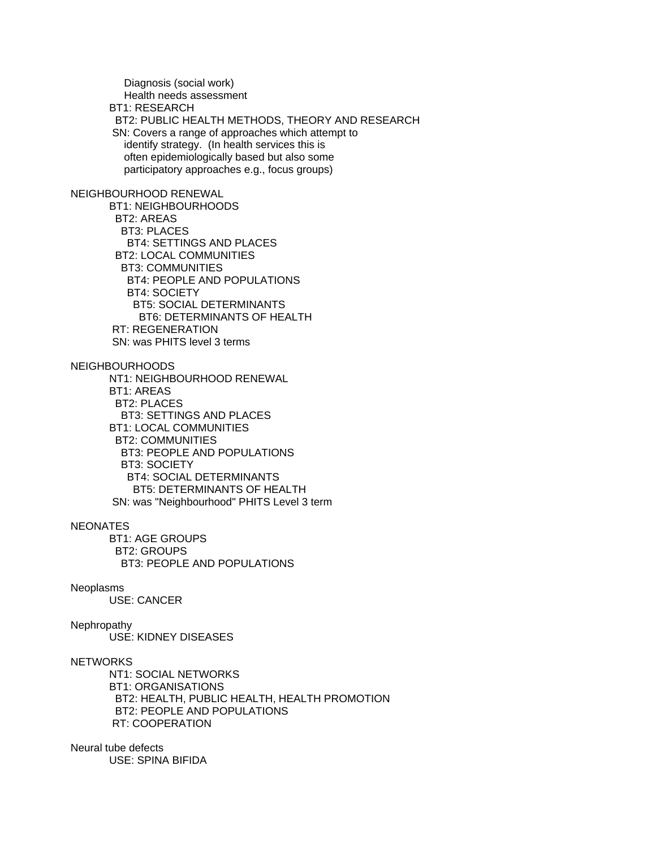Diagnosis (social work) Health needs assessment BT1: RESEARCH BT2: PUBLIC HEALTH METHODS, THEORY AND RESEARCH SN: Covers a range of approaches which attempt to identify strategy. (In health services this is often epidemiologically based but also some participatory approaches e.g., focus groups) NEIGHBOURHOOD RENEWAL BT1: NEIGHBOURHOODS BT2: AREAS BT3: PLACES BT4: SETTINGS AND PLACES BT2: LOCAL COMMUNITIES BT3: COMMUNITIES BT4: PEOPLE AND POPULATIONS BT4: SOCIETY BT5: SOCIAL DETERMINANTS BT6: DETERMINANTS OF HEALTH RT: REGENERATION SN: was PHITS level 3 terms NEIGHBOURHOODS NT1: NEIGHBOURHOOD RENEWAL BT1: AREAS BT2: PLACES BT3: SETTINGS AND PLACES BT1: LOCAL COMMUNITIES BT2: COMMUNITIES BT3: PEOPLE AND POPULATIONS BT3: SOCIETY BT4: SOCIAL DETERMINANTS BT5: DETERMINANTS OF HEALTH SN: was "Neighbourhood" PHITS Level 3 term **NEONATES**  BT1: AGE GROUPS BT2: GROUPS BT3: PEOPLE AND POPULATIONS Neoplasms USE: CANCER Nephropathy USE: KIDNEY DISEASES

**NETWORKS** 

 NT1: SOCIAL NETWORKS BT1: ORGANISATIONS BT2: HEALTH, PUBLIC HEALTH, HEALTH PROMOTION BT2: PEOPLE AND POPULATIONS RT: COOPERATION

Neural tube defects USE: SPINA BIFIDA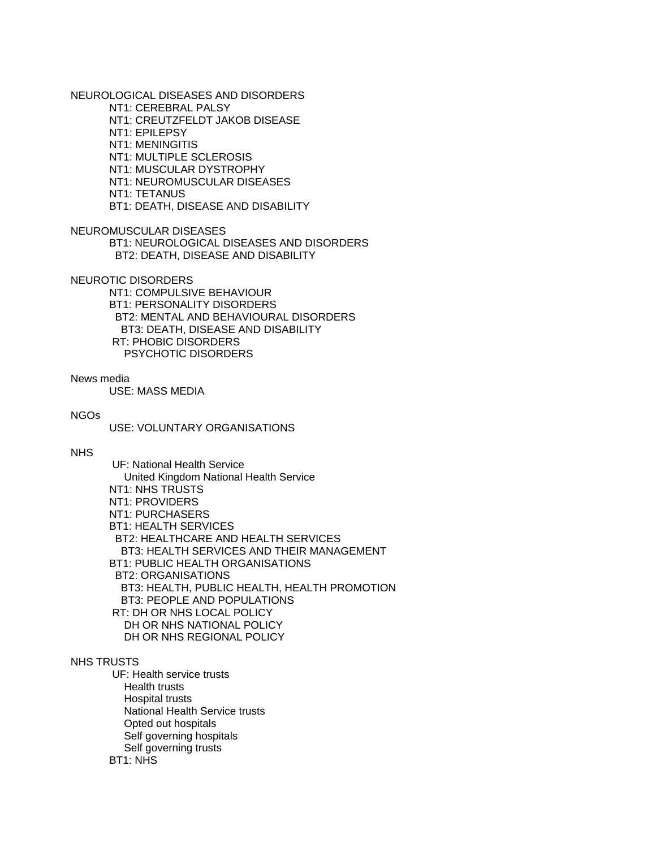NEUROLOGICAL DISEASES AND DISORDERS

NT1: CEREBRAL PALSY

NT1: CREUTZFELDT JAKOB DISEASE

NT1: EPILEPSY

NT1: MENINGITIS

NT1: MULTIPLE SCLEROSIS

NT1: MUSCULAR DYSTROPHY

NT1: NEUROMUSCULAR DISEASES

NT1: TETANUS

BT1: DEATH, DISEASE AND DISABILITY

NEUROMUSCULAR DISEASES

 BT1: NEUROLOGICAL DISEASES AND DISORDERS BT2: DEATH, DISEASE AND DISABILITY

NEUROTIC DISORDERS

 NT1: COMPULSIVE BEHAVIOUR BT1: PERSONALITY DISORDERS BT2: MENTAL AND BEHAVIOURAL DISORDERS BT3: DEATH, DISEASE AND DISABILITY RT: PHOBIC DISORDERS PSYCHOTIC DISORDERS

#### News media

USE: MASS MEDIA

## NGOs

USE: VOLUNTARY ORGANISATIONS

## NHS

 UF: National Health Service United Kingdom National Health Service NT1: NHS TRUSTS NT1: PROVIDERS NT1: PURCHASERS BT1: HEALTH SERVICES BT2: HEALTHCARE AND HEALTH SERVICES BT3: HEALTH SERVICES AND THEIR MANAGEMENT BT1: PUBLIC HEALTH ORGANISATIONS BT2: ORGANISATIONS BT3: HEALTH, PUBLIC HEALTH, HEALTH PROMOTION BT3: PEOPLE AND POPULATIONS RT: DH OR NHS LOCAL POLICY DH OR NHS NATIONAL POLICY DH OR NHS REGIONAL POLICY

## NHS TRUSTS

 UF: Health service trusts Health trusts Hospital trusts National Health Service trusts Opted out hospitals Self governing hospitals Self governing trusts BT1: NHS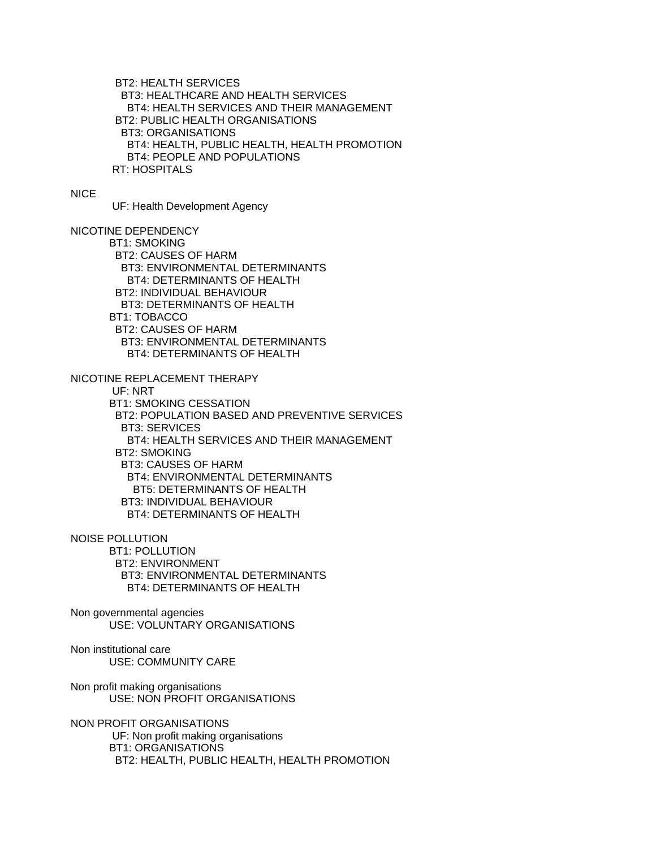BT2: HEALTH SERVICES BT3: HEALTHCARE AND HEALTH SERVICES BT4: HEALTH SERVICES AND THEIR MANAGEMENT BT2: PUBLIC HEALTH ORGANISATIONS BT3: ORGANISATIONS BT4: HEALTH, PUBLIC HEALTH, HEALTH PROMOTION BT4: PEOPLE AND POPULATIONS RT: HOSPITALS

## NICE

UF: Health Development Agency

# NICOTINE DEPENDENCY

 BT1: SMOKING BT2: CAUSES OF HARM BT3: ENVIRONMENTAL DETERMINANTS BT4: DETERMINANTS OF HEALTH BT2: INDIVIDUAL BEHAVIOUR BT3: DETERMINANTS OF HEALTH BT1: TOBACCO BT2: CAUSES OF HARM BT3: ENVIRONMENTAL DETERMINANTS BT4: DETERMINANTS OF HEALTH

NICOTINE REPLACEMENT THERAPY

UF: NRT

 BT1: SMOKING CESSATION BT2: POPULATION BASED AND PREVENTIVE SERVICES BT3: SERVICES BT4: HEALTH SERVICES AND THEIR MANAGEMENT BT2: SMOKING BT3: CAUSES OF HARM BT4: ENVIRONMENTAL DETERMINANTS BT5: DETERMINANTS OF HEALTH BT3: INDIVIDUAL BEHAVIOUR BT4: DETERMINANTS OF HEALTH

NOISE POLLUTION

 BT1: POLLUTION BT2: ENVIRONMENT BT3: ENVIRONMENTAL DETERMINANTS BT4: DETERMINANTS OF HEALTH

Non governmental agencies USE: VOLUNTARY ORGANISATIONS

Non institutional care USE: COMMUNITY CARE

Non profit making organisations USE: NON PROFIT ORGANISATIONS

NON PROFIT ORGANISATIONS UF: Non profit making organisations BT1: ORGANISATIONS BT2: HEALTH, PUBLIC HEALTH, HEALTH PROMOTION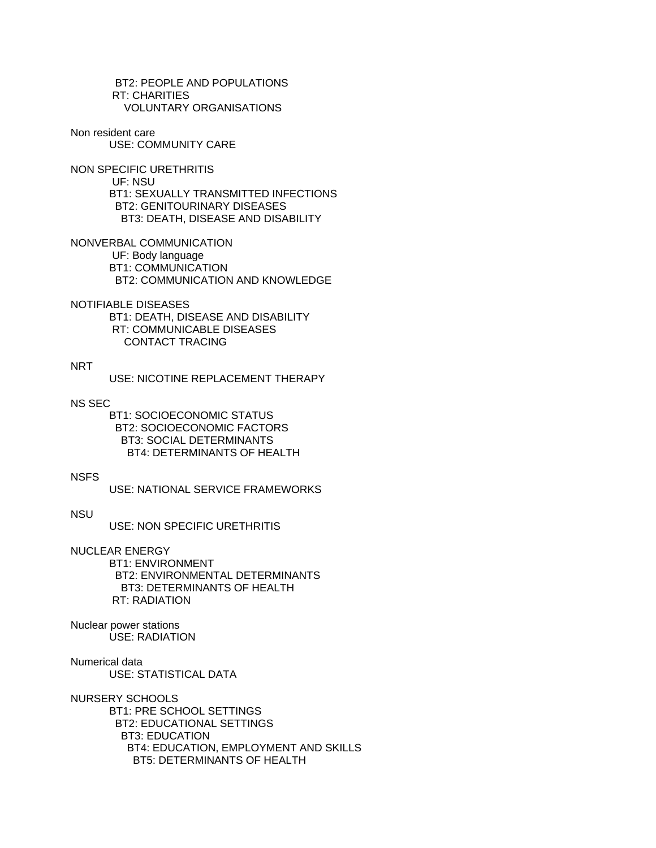BT2: PEOPLE AND POPULATIONS RT: CHARITIES VOLUNTARY ORGANISATIONS

Non resident care USE: COMMUNITY CARE

NON SPECIFIC URETHRITIS UF: NSU BT1: SEXUALLY TRANSMITTED INFECTIONS BT2: GENITOURINARY DISEASES BT3: DEATH, DISEASE AND DISABILITY

NONVERBAL COMMUNICATION UF: Body language BT1: COMMUNICATION BT2: COMMUNICATION AND KNOWLEDGE

NOTIFIABLE DISEASES BT1: DEATH, DISEASE AND DISABILITY RT: COMMUNICABLE DISEASES CONTACT TRACING

# NRT

USE: NICOTINE REPLACEMENT THERAPY

NS SEC

 BT1: SOCIOECONOMIC STATUS BT2: SOCIOECONOMIC FACTORS BT3: SOCIAL DETERMINANTS BT4: DETERMINANTS OF HEALTH

NSFS

USE: NATIONAL SERVICE FRAMEWORKS

NSU

USE: NON SPECIFIC URETHRITIS

NUCLEAR ENERGY BT1: ENVIRONMENT BT2: ENVIRONMENTAL DETERMINANTS BT3: DETERMINANTS OF HEALTH RT: RADIATION

Nuclear power stations USE: RADIATION

Numerical data USE: STATISTICAL DATA

NURSERY SCHOOLS BT1: PRE SCHOOL SETTINGS BT2: EDUCATIONAL SETTINGS BT3: EDUCATION BT4: EDUCATION, EMPLOYMENT AND SKILLS BT5: DETERMINANTS OF HEALTH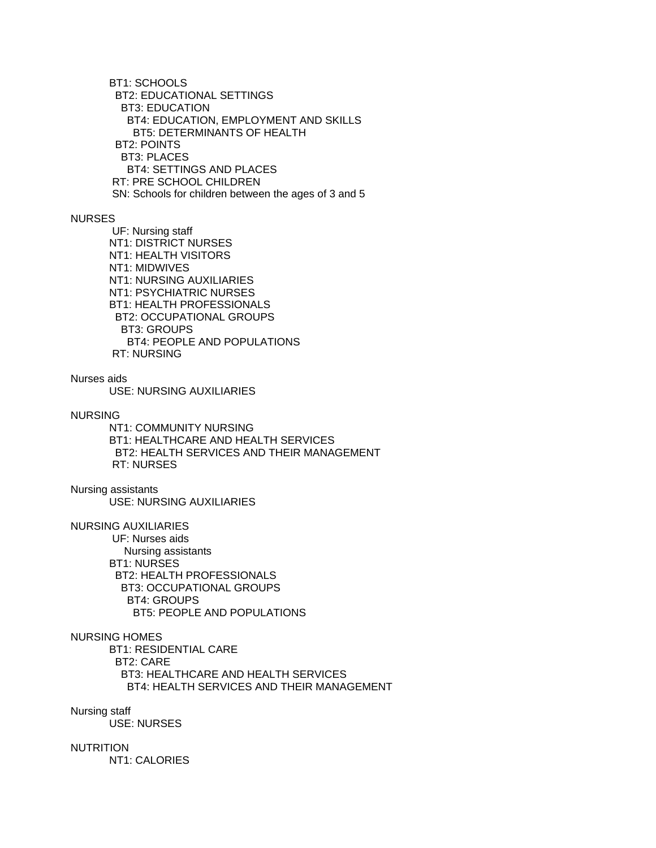BT1: SCHOOLS BT2: EDUCATIONAL SETTINGS BT3: EDUCATION BT4: EDUCATION, EMPLOYMENT AND SKILLS BT5: DETERMINANTS OF HEALTH BT2: POINTS BT3: PLACES BT4: SETTINGS AND PLACES RT: PRE SCHOOL CHILDREN SN: Schools for children between the ages of 3 and 5

### NURSES

 UF: Nursing staff NT1: DISTRICT NURSES NT1: HEALTH VISITORS NT1: MIDWIVES NT1: NURSING AUXILIARIES NT1: PSYCHIATRIC NURSES BT1: HEALTH PROFESSIONALS BT2: OCCUPATIONAL GROUPS BT3: GROUPS BT4: PEOPLE AND POPULATIONS RT: NURSING

Nurses aids

USE: NURSING AUXILIARIES

NURSING

 NT1: COMMUNITY NURSING BT1: HEALTHCARE AND HEALTH SERVICES BT2: HEALTH SERVICES AND THEIR MANAGEMENT RT: NURSES

Nursing assistants USE: NURSING AUXILIARIES

NURSING AUXILIARIES

 UF: Nurses aids Nursing assistants BT1: NURSES BT2: HEALTH PROFESSIONALS BT3: OCCUPATIONAL GROUPS BT4: GROUPS BT5: PEOPLE AND POPULATIONS

# NURSING HOMES

 BT1: RESIDENTIAL CARE BT2: CARE BT3: HEALTHCARE AND HEALTH SERVICES BT4: HEALTH SERVICES AND THEIR MANAGEMENT

## Nursing staff

USE: NURSES

### NUTRITION

NT1: CALORIES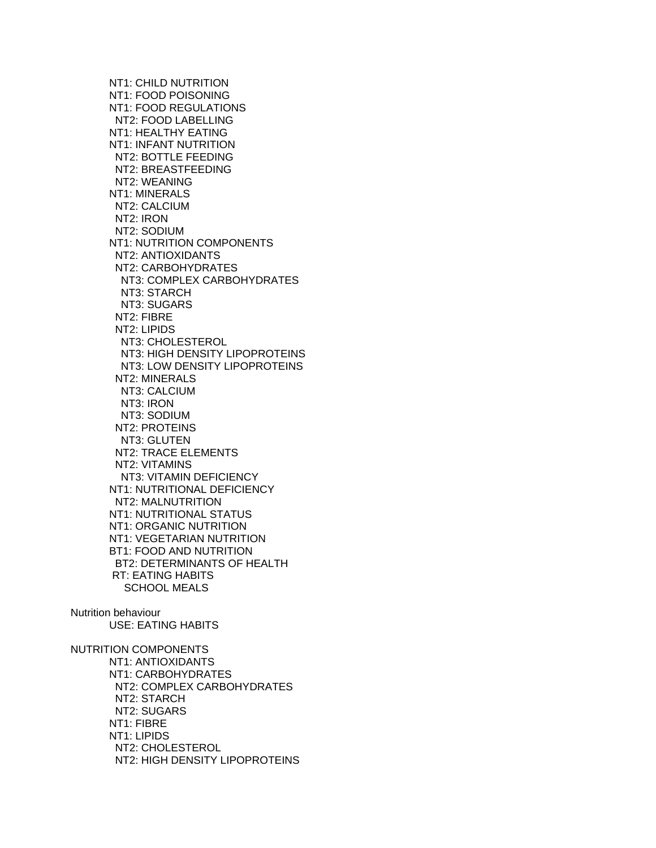NT1: CHILD NUTRITION NT1: FOOD POISONING NT1: FOOD REGULATIONS NT2: FOOD LABELLING NT1: HEALTHY EATING NT1: INFANT NUTRITION NT2: BOTTLE FEEDING NT2: BREASTFEEDING NT2: WEANING NT1: MINERALS NT2: CALCIUM NT2: IRON NT2: SODIUM NT1: NUTRITION COMPONENTS NT2: ANTIOXIDANTS NT2: CARBOHYDRATES NT3: COMPLEX CARBOHYDRATES NT3: STARCH NT3: SUGARS NT2: FIBRE NT2: LIPIDS NT3: CHOLESTEROL NT3: HIGH DENSITY LIPOPROTEINS NT3: LOW DENSITY LIPOPROTEINS NT2: MINERALS NT3: CALCIUM NT3: IRON NT3: SODIUM NT2: PROTEINS NT3: GLUTEN NT2: TRACE ELEMENTS NT2: VITAMINS NT3: VITAMIN DEFICIENCY NT1: NUTRITIONAL DEFICIENCY NT2: MALNUTRITION NT1: NUTRITIONAL STATUS NT1: ORGANIC NUTRITION NT1: VEGETARIAN NUTRITION BT1: FOOD AND NUTRITION BT2: DETERMINANTS OF HEALTH RT: EATING HABITS SCHOOL MEALS Nutrition behaviour USE: EATING HABITS NUTRITION COMPONENTS NT1: ANTIOXIDANTS NT1: CARBOHYDRATES NT2: COMPLEX CARBOHYDRATES

 NT2: STARCH NT2: SUGARS NT1: FIBRE NT1: LIPIDS NT2: CHOLESTEROL

NT2: HIGH DENSITY LIPOPROTEINS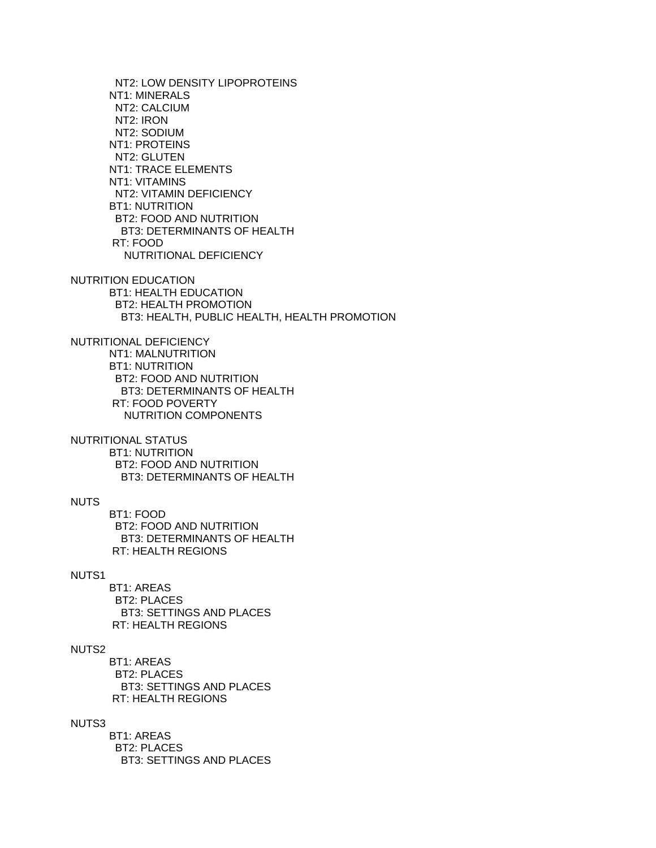NT2: LOW DENSITY LIPOPROTEINS NT1: MINERALS NT2: CALCIUM NT2: IRON NT2: SODIUM NT1: PROTEINS NT2: GLUTEN NT1: TRACE ELEMENTS NT1: VITAMINS NT2: VITAMIN DEFICIENCY BT1: NUTRITION BT2: FOOD AND NUTRITION BT3: DETERMINANTS OF HEALTH RT: FOOD NUTRITIONAL DEFICIENCY NUTRITION EDUCATION BT1: HEALTH EDUCATION BT2: HEALTH PROMOTION BT3: HEALTH, PUBLIC HEALTH, HEALTH PROMOTION NUTRITIONAL DEFICIENCY NT1: MALNUTRITION BT1: NUTRITION BT2: FOOD AND NUTRITION BT3: DETERMINANTS OF HEALTH RT: FOOD POVERTY NUTRITION COMPONENTS NUTRITIONAL STATUS BT1: NUTRITION BT2: FOOD AND NUTRITION BT3: DETERMINANTS OF HEALTH NUTS BT1: FOOD BT2: FOOD AND NUTRITION BT3: DETERMINANTS OF HEALTH RT: HEALTH REGIONS NUTS1 BT1: AREAS BT2: PLACES BT3: SETTINGS AND PLACES RT: HEALTH REGIONS NUTS2 BT1: AREAS BT2: PLACES BT3: SETTINGS AND PLACES RT: HEALTH REGIONS NUTS3 BT1: AREAS BT2: PLACES

BT3: SETTINGS AND PLACES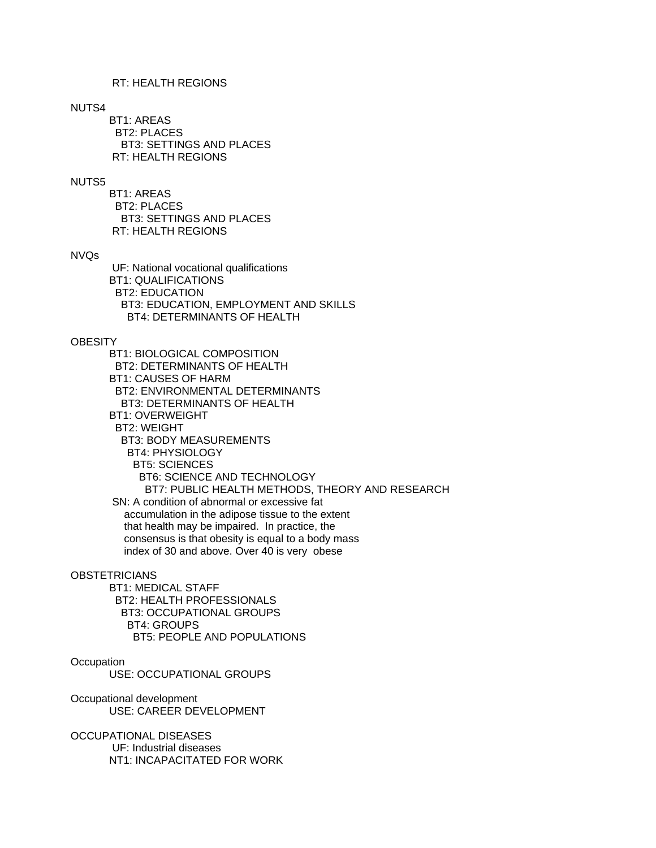# RT: HEALTH REGIONS

## NUTS4

 BT1: AREAS BT2: PLACES BT3: SETTINGS AND PLACES RT: HEALTH REGIONS

## NUTS5

 BT1: AREAS BT2: PLACES BT3: SETTINGS AND PLACES RT: HEALTH REGIONS

## NVQs

 UF: National vocational qualifications BT1: QUALIFICATIONS BT2: EDUCATION BT3: EDUCATION, EMPLOYMENT AND SKILLS BT4: DETERMINANTS OF HEALTH

#### **OBESITY**

 BT1: BIOLOGICAL COMPOSITION BT2: DETERMINANTS OF HEALTH BT1: CAUSES OF HARM BT2: ENVIRONMENTAL DETERMINANTS BT3: DETERMINANTS OF HEALTH BT1: OVERWEIGHT BT2: WEIGHT BT3: BODY MEASUREMENTS BT4: PHYSIOLOGY BT5: SCIENCES BT6: SCIENCE AND TECHNOLOGY BT7: PUBLIC HEALTH METHODS, THEORY AND RESEARCH SN: A condition of abnormal or excessive fat accumulation in the adipose tissue to the extent that health may be impaired. In practice, the consensus is that obesity is equal to a body mass index of 30 and above. Over 40 is very obese

#### **OBSTETRICIANS**

 BT1: MEDICAL STAFF BT2: HEALTH PROFESSIONALS BT3: OCCUPATIONAL GROUPS BT4: GROUPS BT5: PEOPLE AND POPULATIONS

## **Occupation**

USE: OCCUPATIONAL GROUPS

Occupational development USE: CAREER DEVELOPMENT

OCCUPATIONAL DISEASES UF: Industrial diseases NT1: INCAPACITATED FOR WORK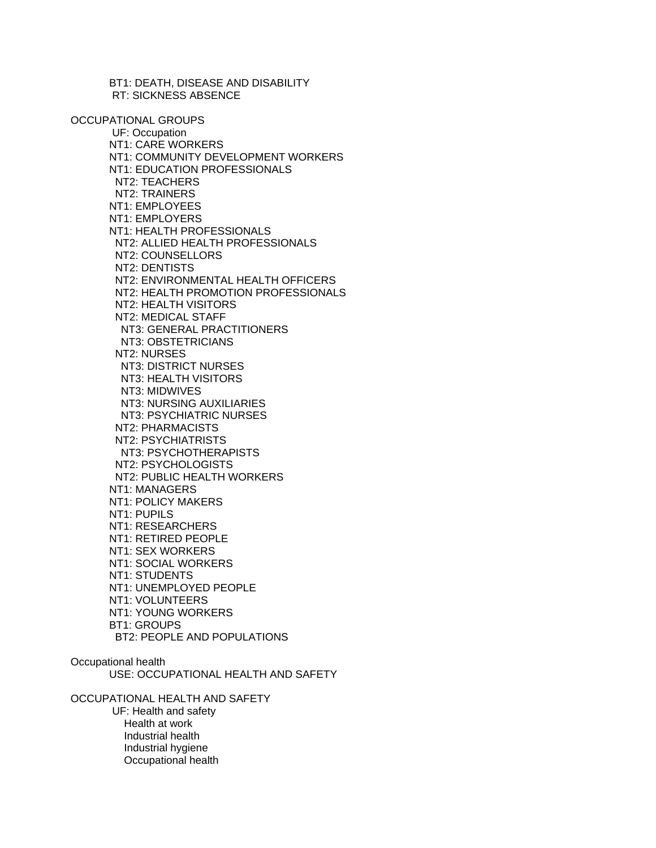BT1: DEATH, DISEASE AND DISABILITY RT: SICKNESS ABSENCE

OCCUPATIONAL GROUPS

 UF: Occupation NT1: CARE WORKERS NT1: COMMUNITY DEVELOPMENT WORKERS NT1: EDUCATION PROFESSIONALS NT2: TEACHERS NT2: TRAINERS NT1: EMPLOYEES NT1: EMPLOYERS NT1: HEALTH PROFESSIONALS NT2: ALLIED HEALTH PROFESSIONALS NT2: COUNSELLORS NT2: DENTISTS NT2: ENVIRONMENTAL HEALTH OFFICERS NT2: HEALTH PROMOTION PROFESSIONALS NT2: HEALTH VISITORS NT2: MEDICAL STAFF NT3: GENERAL PRACTITIONERS NT3: OBSTETRICIANS NT2: NURSES NT3: DISTRICT NURSES NT3: HEALTH VISITORS NT3: MIDWIVES NT3: NURSING AUXILIARIES NT3: PSYCHIATRIC NURSES NT2: PHARMACISTS NT2: PSYCHIATRISTS NT3: PSYCHOTHERAPISTS NT2: PSYCHOLOGISTS NT2: PUBLIC HEALTH WORKERS NT1: MANAGERS NT1: POLICY MAKERS NT1: PUPILS NT1: RESEARCHERS NT1: RETIRED PEOPLE NT1: SEX WORKERS NT1: SOCIAL WORKERS NT1: STUDENTS NT1: UNEMPLOYED PEOPLE NT1: VOLUNTEERS NT1: YOUNG WORKERS BT1: GROUPS BT2: PEOPLE AND POPULATIONS

Occupational health

USE: OCCUPATIONAL HEALTH AND SAFETY

OCCUPATIONAL HEALTH AND SAFETY UF: Health and safety Health at work Industrial health Industrial hygiene Occupational health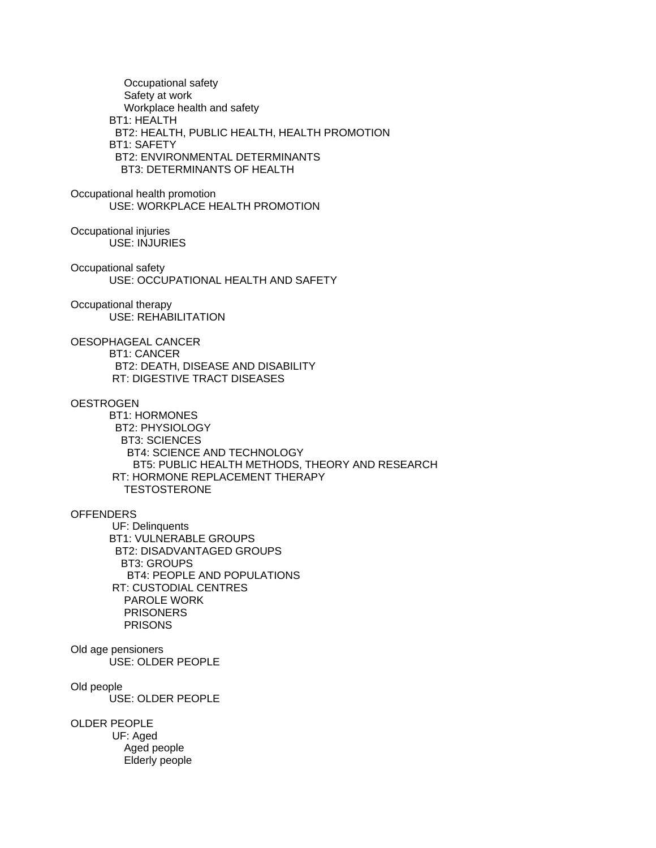Occupational safety Safety at work Workplace health and safety BT1: HEALTH BT2: HEALTH, PUBLIC HEALTH, HEALTH PROMOTION BT1: SAFETY BT2: ENVIRONMENTAL DETERMINANTS BT3: DETERMINANTS OF HEALTH Occupational health promotion USE: WORKPLACE HEALTH PROMOTION Occupational injuries USE: INJURIES Occupational safety USE: OCCUPATIONAL HEALTH AND SAFETY Occupational therapy USE: REHABILITATION OESOPHAGEAL CANCER BT1: CANCER BT2: DEATH, DISEASE AND DISABILITY RT: DIGESTIVE TRACT DISEASES **OESTROGEN**  BT1: HORMONES BT2: PHYSIOLOGY BT3: SCIENCES BT4: SCIENCE AND TECHNOLOGY BT5: PUBLIC HEALTH METHODS, THEORY AND RESEARCH RT: HORMONE REPLACEMENT THERAPY **TESTOSTERONE OFFENDERS**  UF: Delinquents BT1: VULNERABLE GROUPS BT2: DISADVANTAGED GROUPS BT3: GROUPS BT4: PEOPLE AND POPULATIONS RT: CUSTODIAL CENTRES PAROLE WORK PRISONERS PRISONS Old age pensioners USE: OLDER PEOPLE Old people USE: OLDER PEOPLE OLDER PEOPLE UF: Aged Aged people Elderly people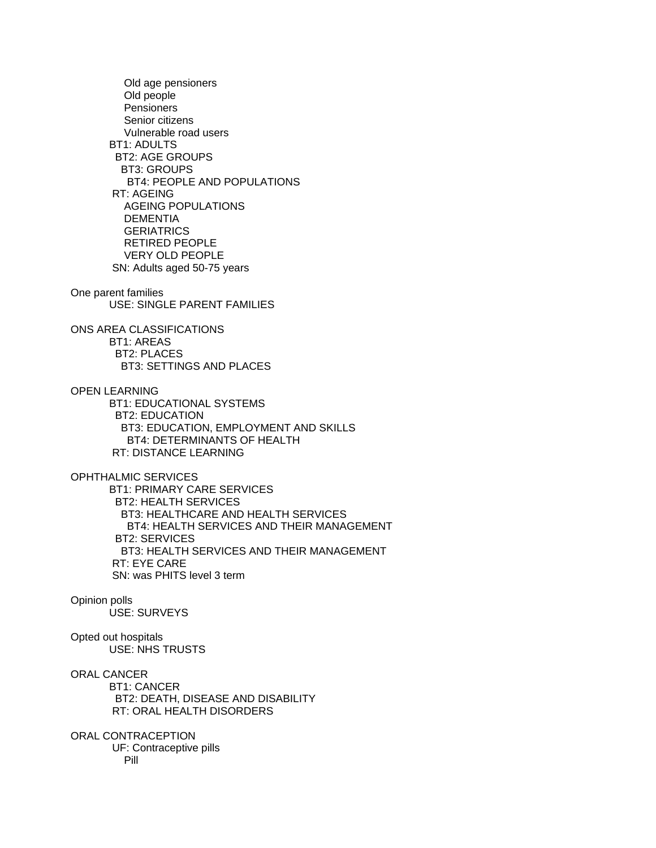Old age pensioners Old people **Pensioners**  Senior citizens Vulnerable road users BT1: ADULTS BT2: AGE GROUPS BT3: GROUPS BT4: PEOPLE AND POPULATIONS RT: AGEING AGEING POPULATIONS **DEMENTIA GERIATRICS**  RETIRED PEOPLE VERY OLD PEOPLE SN: Adults aged 50-75 years One parent families USE: SINGLE PARENT FAMILIES ONS AREA CLASSIFICATIONS BT1: AREAS BT2: PLACES BT3: SETTINGS AND PLACES OPEN LEARNING BT1: EDUCATIONAL SYSTEMS BT2: EDUCATION BT3: EDUCATION, EMPLOYMENT AND SKILLS BT4: DETERMINANTS OF HEALTH RT: DISTANCE LEARNING OPHTHALMIC SERVICES BT1: PRIMARY CARE SERVICES BT2: HEALTH SERVICES BT3: HEALTHCARE AND HEALTH SERVICES BT4: HEALTH SERVICES AND THEIR MANAGEMENT BT2: SERVICES BT3: HEALTH SERVICES AND THEIR MANAGEMENT RT: EYE CARE SN: was PHITS level 3 term Opinion polls USE: SURVEYS Opted out hospitals USE: NHS TRUSTS ORAL CANCER BT1: CANCER BT2: DEATH, DISEASE AND DISABILITY RT: ORAL HEALTH DISORDERS ORAL CONTRACEPTION UF: Contraceptive pills Pill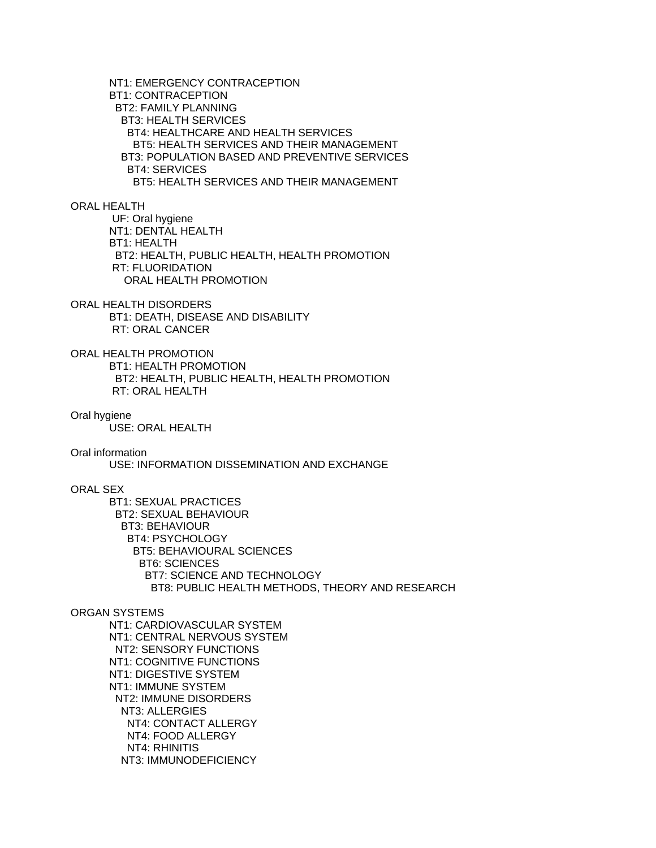NT1: EMERGENCY CONTRACEPTION BT1: CONTRACEPTION BT2: FAMILY PLANNING BT3: HEALTH SERVICES BT4: HEALTHCARE AND HEALTH SERVICES BT5: HEALTH SERVICES AND THEIR MANAGEMENT BT3: POPULATION BASED AND PREVENTIVE SERVICES BT4: SERVICES BT5: HEALTH SERVICES AND THEIR MANAGEMENT

ORAL HEALTH

 UF: Oral hygiene NT1: DENTAL HEALTH BT1: HEALTH BT2: HEALTH, PUBLIC HEALTH, HEALTH PROMOTION RT: FLUORIDATION ORAL HEALTH PROMOTION

ORAL HEALTH DISORDERS BT1: DEATH, DISEASE AND DISABILITY RT: ORAL CANCER

ORAL HEALTH PROMOTION BT1: HEALTH PROMOTION BT2: HEALTH, PUBLIC HEALTH, HEALTH PROMOTION RT: ORAL HEALTH

Oral hygiene

USE: ORAL HEALTH

Oral information

USE: INFORMATION DISSEMINATION AND EXCHANGE

ORAL SEX

 BT1: SEXUAL PRACTICES BT2: SEXUAL BEHAVIOUR BT3: BEHAVIOUR BT4: PSYCHOLOGY BT5: BEHAVIOURAL SCIENCES BT6: SCIENCES BT7: SCIENCE AND TECHNOLOGY BT8: PUBLIC HEALTH METHODS, THEORY AND RESEARCH

## ORGAN SYSTEMS

 NT1: CARDIOVASCULAR SYSTEM NT1: CENTRAL NERVOUS SYSTEM NT2: SENSORY FUNCTIONS NT1: COGNITIVE FUNCTIONS NT1: DIGESTIVE SYSTEM NT1: IMMUNE SYSTEM NT2: IMMUNE DISORDERS NT3: ALLERGIES NT4: CONTACT ALLERGY NT4: FOOD ALLERGY NT4: RHINITIS NT3: IMMUNODEFICIENCY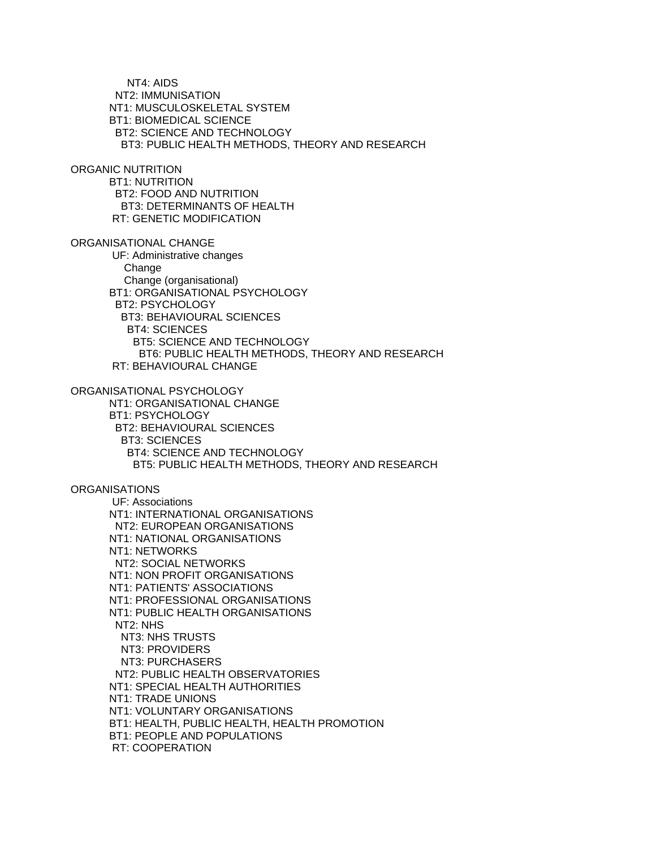NT4: AIDS NT2: IMMUNISATION NT1: MUSCULOSKELETAL SYSTEM BT1: BIOMEDICAL SCIENCE BT2: SCIENCE AND TECHNOLOGY BT3: PUBLIC HEALTH METHODS, THEORY AND RESEARCH ORGANIC NUTRITION BT1: NUTRITION BT2: FOOD AND NUTRITION BT3: DETERMINANTS OF HEALTH RT: GENETIC MODIFICATION ORGANISATIONAL CHANGE UF: Administrative changes Change Change (organisational) BT1: ORGANISATIONAL PSYCHOLOGY BT2: PSYCHOLOGY BT3: BEHAVIOURAL SCIENCES BT4: SCIENCES BT5: SCIENCE AND TECHNOLOGY BT6: PUBLIC HEALTH METHODS, THEORY AND RESEARCH RT: BEHAVIOURAL CHANGE ORGANISATIONAL PSYCHOLOGY NT1: ORGANISATIONAL CHANGE BT1: PSYCHOLOGY BT2: BEHAVIOURAL SCIENCES BT3: SCIENCES BT4: SCIENCE AND TECHNOLOGY BT5: PUBLIC HEALTH METHODS, THEORY AND RESEARCH **ORGANISATIONS**  UF: Associations NT1: INTERNATIONAL ORGANISATIONS NT2: EUROPEAN ORGANISATIONS NT1: NATIONAL ORGANISATIONS NT1: NETWORKS NT2: SOCIAL NETWORKS NT1: NON PROFIT ORGANISATIONS NT1: PATIENTS' ASSOCIATIONS NT1: PROFESSIONAL ORGANISATIONS NT1: PUBLIC HEALTH ORGANISATIONS NT2: NHS NT3: NHS TRUSTS NT3: PROVIDERS NT3: PURCHASERS NT2: PUBLIC HEALTH OBSERVATORIES NT1: SPECIAL HEALTH AUTHORITIES NT1: TRADE UNIONS NT1: VOLUNTARY ORGANISATIONS BT1: HEALTH, PUBLIC HEALTH, HEALTH PROMOTION BT1: PEOPLE AND POPULATIONS RT: COOPERATION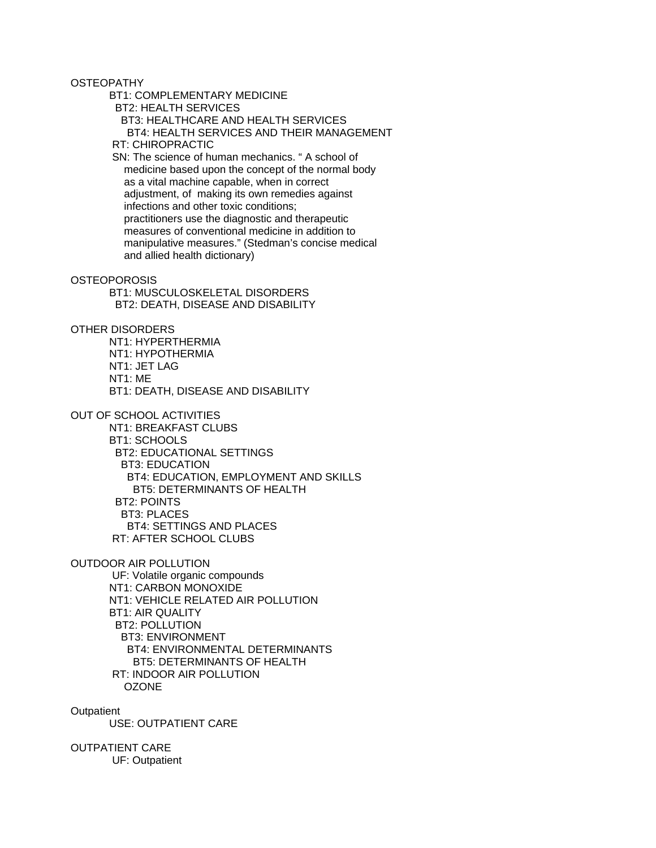**OSTEOPATHY** 

BT1: COMPLEMENTARY MEDICINE

BT2: HEALTH SERVICES

BT3: HEALTHCARE AND HEALTH SERVICES

# BT4: HEALTH SERVICES AND THEIR MANAGEMENT

RT: CHIROPRACTIC

 SN: The science of human mechanics. " A school of medicine based upon the concept of the normal body as a vital machine capable, when in correct adjustment, of making its own remedies against infections and other toxic conditions; practitioners use the diagnostic and therapeutic measures of conventional medicine in addition to manipulative measures." (Stedman's concise medical and allied health dictionary)

## **OSTEOPOROSIS**

 BT1: MUSCULOSKELETAL DISORDERS BT2: DEATH, DISEASE AND DISABILITY

OTHER DISORDERS

 NT1: HYPERTHERMIA NT1: HYPOTHERMIA NT1: JET LAG NT1: ME BT1: DEATH, DISEASE AND DISABILITY

OUT OF SCHOOL ACTIVITIES

 NT1: BREAKFAST CLUBS BT1: SCHOOLS BT2: EDUCATIONAL SETTINGS BT3: EDUCATION BT4: EDUCATION, EMPLOYMENT AND SKILLS BT5: DETERMINANTS OF HEALTH BT2: POINTS BT3: PLACES BT4: SETTINGS AND PLACES RT: AFTER SCHOOL CLUBS

OUTDOOR AIR POLLUTION

 UF: Volatile organic compounds NT1: CARBON MONOXIDE NT1: VEHICLE RELATED AIR POLLUTION BT1: AIR QUALITY BT2: POLLUTION BT3: ENVIRONMENT BT4: ENVIRONMENTAL DETERMINANTS BT5: DETERMINANTS OF HEALTH RT: INDOOR AIR POLLUTION OZONE

**Outpatient** 

USE: OUTPATIENT CARE

OUTPATIENT CARE UF: Outpatient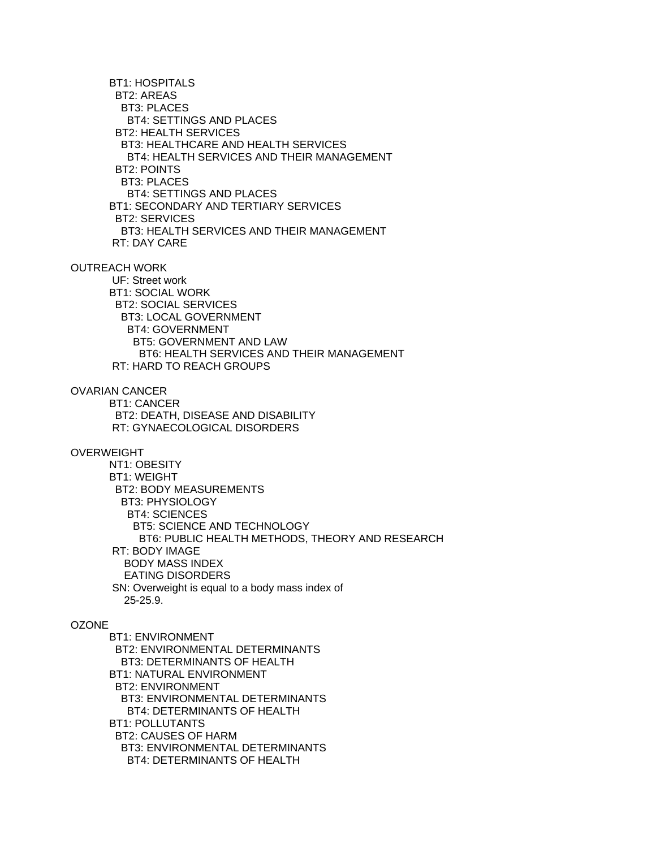BT1: HOSPITALS BT2: AREAS BT3: PLACES BT4: SETTINGS AND PLACES BT2: HEALTH SERVICES BT3: HEALTHCARE AND HEALTH SERVICES BT4: HEALTH SERVICES AND THEIR MANAGEMENT BT2: POINTS BT3: PLACES BT4: SETTINGS AND PLACES BT1: SECONDARY AND TERTIARY SERVICES BT2: SERVICES BT3: HEALTH SERVICES AND THEIR MANAGEMENT RT: DAY CARE OUTREACH WORK UF: Street work BT1: SOCIAL WORK BT2: SOCIAL SERVICES BT3: LOCAL GOVERNMENT BT4: GOVERNMENT BT5: GOVERNMENT AND LAW BT6: HEALTH SERVICES AND THEIR MANAGEMENT RT: HARD TO REACH GROUPS OVARIAN CANCER BT1: CANCER BT2: DEATH, DISEASE AND DISABILITY RT: GYNAECOLOGICAL DISORDERS OVERWEIGHT NT1: OBESITY BT1: WEIGHT

 BT2: BODY MEASUREMENTS BT3: PHYSIOLOGY BT4: SCIENCES BT5: SCIENCE AND TECHNOLOGY BT6: PUBLIC HEALTH METHODS, THEORY AND RESEARCH RT: BODY IMAGE BODY MASS INDEX EATING DISORDERS SN: Overweight is equal to a body mass index of 25-25.9.

# **OZONE**

 BT1: ENVIRONMENT BT2: ENVIRONMENTAL DETERMINANTS BT3: DETERMINANTS OF HEALTH BT1: NATURAL ENVIRONMENT BT2: ENVIRONMENT BT3: ENVIRONMENTAL DETERMINANTS BT4: DETERMINANTS OF HEALTH BT1: POLLUTANTS BT2: CAUSES OF HARM BT3: ENVIRONMENTAL DETERMINANTS BT4: DETERMINANTS OF HEALTH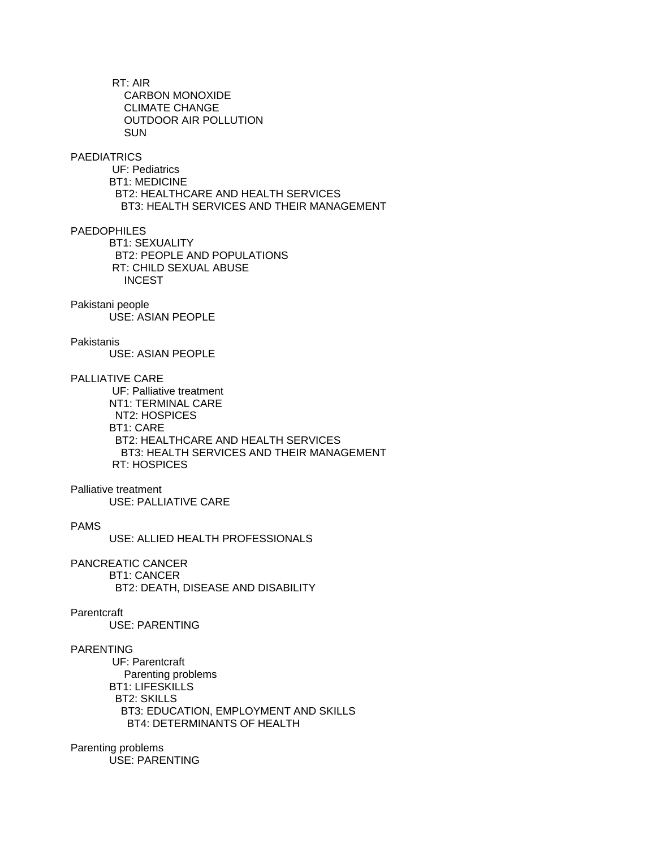RT: AIR CARBON MONOXIDE CLIMATE CHANGE OUTDOOR AIR POLLUTION SUN

# **PAEDIATRICS**

 UF: Pediatrics BT1: MEDICINE BT2: HEALTHCARE AND HEALTH SERVICES BT3: HEALTH SERVICES AND THEIR MANAGEMENT

# PAEDOPHILES

 BT1: SEXUALITY BT2: PEOPLE AND POPULATIONS RT: CHILD SEXUAL ABUSE **INCEST** 

#### Pakistani people

USE: ASIAN PEOPLE

# Pakistanis

USE: ASIAN PEOPLE

## PALLIATIVE CARE

 UF: Palliative treatment NT1: TERMINAL CARE NT2: HOSPICES BT1: CARE BT2: HEALTHCARE AND HEALTH SERVICES BT3: HEALTH SERVICES AND THEIR MANAGEMENT RT: HOSPICES

## Palliative treatment

USE: PALLIATIVE CARE

# PAMS

USE: ALLIED HEALTH PROFESSIONALS

# PANCREATIC CANCER

BT1: CANCER

BT2: DEATH, DISEASE AND DISABILITY

## **Parentcraft**

USE: PARENTING

# PARENTING

 UF: Parentcraft Parenting problems BT1: LIFESKILLS BT2: SKILLS BT3: EDUCATION, EMPLOYMENT AND SKILLS BT4: DETERMINANTS OF HEALTH

## Parenting problems USE: PARENTING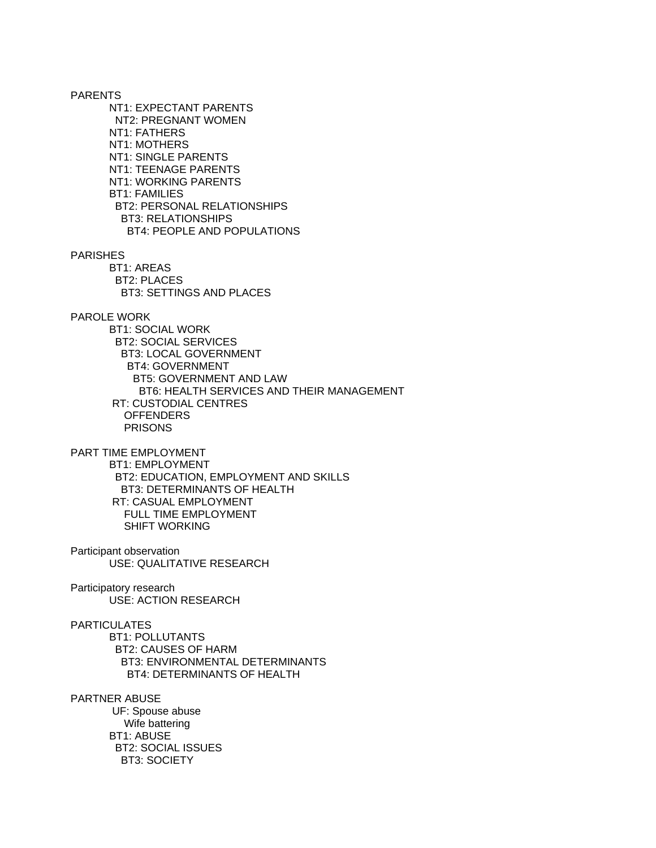PARENTS NT1: EXPECTANT PARENTS NT2: PREGNANT WOMEN NT1: FATHERS NT1: MOTHERS NT1: SINGLE PARENTS NT1: TEENAGE PARENTS NT1: WORKING PARENTS BT1: FAMILIES BT2: PERSONAL RELATIONSHIPS BT3: RELATIONSHIPS BT4: PEOPLE AND POPULATIONS PARISHES BT1: AREAS BT2: PLACES BT3: SETTINGS AND PLACES

PAROLE WORK

 BT1: SOCIAL WORK BT2: SOCIAL SERVICES BT3: LOCAL GOVERNMENT BT4: GOVERNMENT BT5: GOVERNMENT AND LAW BT6: HEALTH SERVICES AND THEIR MANAGEMENT RT: CUSTODIAL CENTRES **OFFENDERS** PRISONS

PART TIME EMPLOYMENT

 BT1: EMPLOYMENT BT2: EDUCATION, EMPLOYMENT AND SKILLS BT3: DETERMINANTS OF HEALTH RT: CASUAL EMPLOYMENT FULL TIME EMPLOYMENT SHIFT WORKING

Participant observation USE: QUALITATIVE RESEARCH

Participatory research USE: ACTION RESEARCH

**PARTICULATES** 

 BT1: POLLUTANTS BT2: CAUSES OF HARM BT3: ENVIRONMENTAL DETERMINANTS BT4: DETERMINANTS OF HEALTH

PARTNER ABUSE UF: Spouse abuse Wife battering BT1: ABUSE BT2: SOCIAL ISSUES BT3: SOCIETY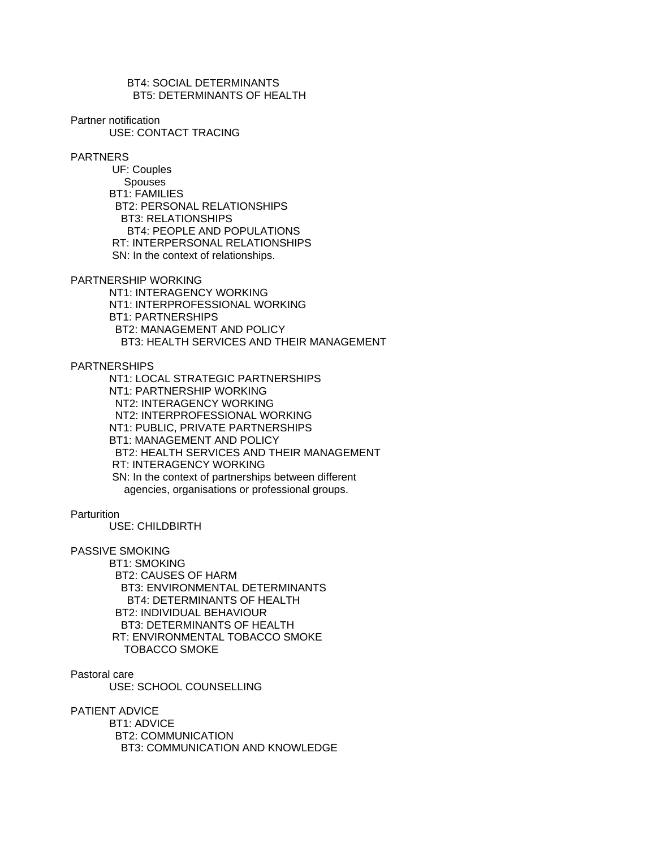BT4: SOCIAL DETERMINANTS BT5: DETERMINANTS OF HEALTH

Partner notification

USE: CONTACT TRACING

PARTNERS

 UF: Couples Spouses BT1: FAMILIES BT2: PERSONAL RELATIONSHIPS BT3: RELATIONSHIPS BT4: PEOPLE AND POPULATIONS RT: INTERPERSONAL RELATIONSHIPS SN: In the context of relationships.

PARTNERSHIP WORKING

 NT1: INTERAGENCY WORKING NT1: INTERPROFESSIONAL WORKING BT1: PARTNERSHIPS BT2: MANAGEMENT AND POLICY BT3: HEALTH SERVICES AND THEIR MANAGEMENT

PARTNERSHIPS

 NT1: LOCAL STRATEGIC PARTNERSHIPS NT1: PARTNERSHIP WORKING NT2: INTERAGENCY WORKING NT2: INTERPROFESSIONAL WORKING NT1: PUBLIC, PRIVATE PARTNERSHIPS BT1: MANAGEMENT AND POLICY BT2: HEALTH SERVICES AND THEIR MANAGEMENT RT: INTERAGENCY WORKING SN: In the context of partnerships between different agencies, organisations or professional groups.

**Parturition** 

USE: CHILDBIRTH

PASSIVE SMOKING

 BT1: SMOKING BT2: CAUSES OF HARM BT3: ENVIRONMENTAL DETERMINANTS BT4: DETERMINANTS OF HEALTH BT2: INDIVIDUAL BEHAVIOUR BT3: DETERMINANTS OF HEALTH RT: ENVIRONMENTAL TOBACCO SMOKE TOBACCO SMOKE

Pastoral care

USE: SCHOOL COUNSELLING

PATIENT ADVICE

 BT1: ADVICE BT2: COMMUNICATION BT3: COMMUNICATION AND KNOWLEDGE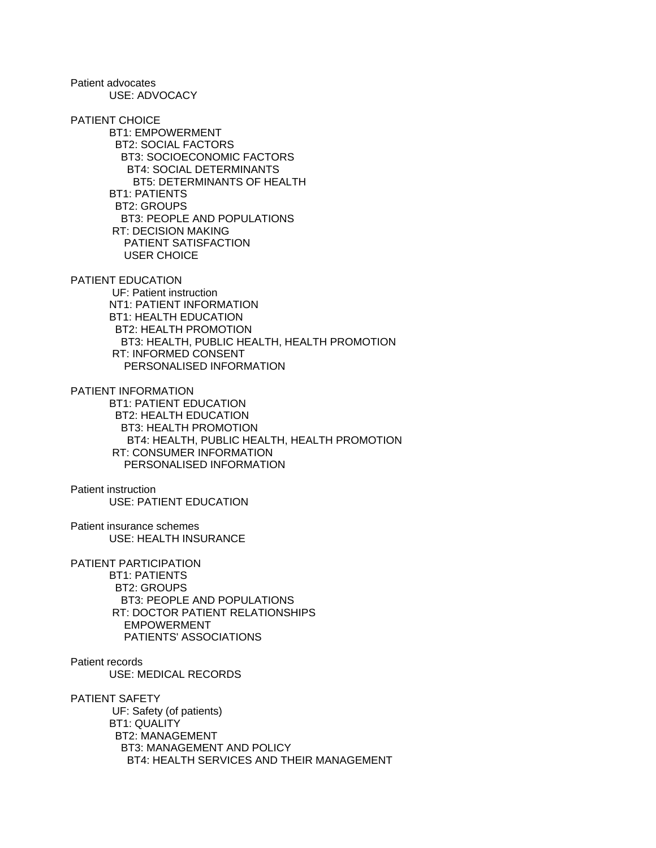Patient advocates USE: ADVOCACY

PATIENT CHOICE BT1: EMPOWERMENT BT2: SOCIAL FACTORS BT3: SOCIOECONOMIC FACTORS BT4: SOCIAL DETERMINANTS BT5: DETERMINANTS OF HEALTH BT1: PATIENTS BT2: GROUPS BT3: PEOPLE AND POPULATIONS RT: DECISION MAKING PATIENT SATISFACTION USER CHOICE

PATIENT EDUCATION UF: Patient instruction NT1: PATIENT INFORMATION BT1: HEALTH EDUCATION BT2: HEALTH PROMOTION BT3: HEALTH, PUBLIC HEALTH, HEALTH PROMOTION RT: INFORMED CONSENT PERSONALISED INFORMATION

PATIENT INFORMATION BT1: PATIENT EDUCATION BT2: HEALTH EDUCATION BT3: HEALTH PROMOTION BT4: HEALTH, PUBLIC HEALTH, HEALTH PROMOTION RT: CONSUMER INFORMATION PERSONALISED INFORMATION

Patient instruction USE: PATIENT EDUCATION

Patient insurance schemes USE: HEALTH INSURANCE

Patient records

PATIENT PARTICIPATION BT1: PATIENTS BT2: GROUPS BT3: PEOPLE AND POPULATIONS RT: DOCTOR PATIENT RELATIONSHIPS EMPOWERMENT PATIENTS' ASSOCIATIONS

 USE: MEDICAL RECORDS PATIENT SAFETY UF: Safety (of patients) BT1: QUALITY BT2: MANAGEMENT BT3: MANAGEMENT AND POLICY BT4: HEALTH SERVICES AND THEIR MANAGEMENT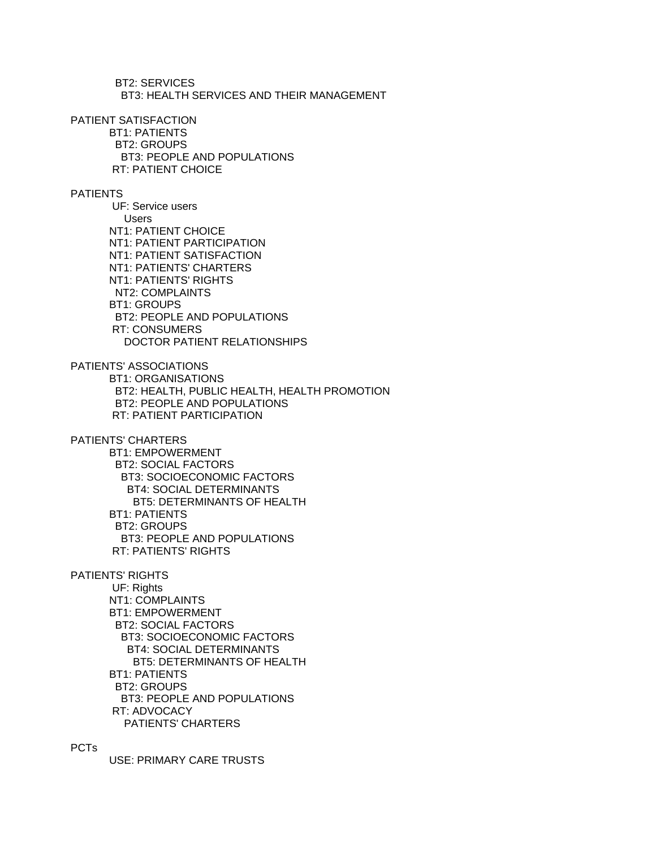BT2: SERVICES BT3: HEALTH SERVICES AND THEIR MANAGEMENT

PATIENT SATISFACTION

 BT1: PATIENTS BT2: GROUPS BT3: PEOPLE AND POPULATIONS RT: PATIENT CHOICE

# PATIENTS

 UF: Service users Users NT1: PATIENT CHOICE NT1: PATIENT PARTICIPATION NT1: PATIENT SATISFACTION NT1: PATIENTS' CHARTERS NT1: PATIENTS' RIGHTS NT2: COMPLAINTS BT1: GROUPS BT2: PEOPLE AND POPULATIONS RT: CONSUMERS DOCTOR PATIENT RELATIONSHIPS

PATIENTS' ASSOCIATIONS BT1: ORGANISATIONS BT2: HEALTH, PUBLIC HEALTH, HEALTH PROMOTION

 BT2: PEOPLE AND POPULATIONS RT: PATIENT PARTICIPATION

PATIENTS' CHARTERS

 BT1: EMPOWERMENT BT2: SOCIAL FACTORS BT3: SOCIOECONOMIC FACTORS BT4: SOCIAL DETERMINANTS BT5: DETERMINANTS OF HEALTH BT1: PATIENTS BT2: GROUPS BT3: PEOPLE AND POPULATIONS RT: PATIENTS' RIGHTS

PATIENTS' RIGHTS UF: Rights NT1: COMPLAINTS BT1: EMPOWERMENT BT2: SOCIAL FACTORS BT3: SOCIOECONOMIC FACTORS BT4: SOCIAL DETERMINANTS BT5: DETERMINANTS OF HEALTH BT1: PATIENTS BT2: GROUPS BT3: PEOPLE AND POPULATIONS RT: ADVOCACY PATIENTS' CHARTERS

PCTs

USE: PRIMARY CARE TRUSTS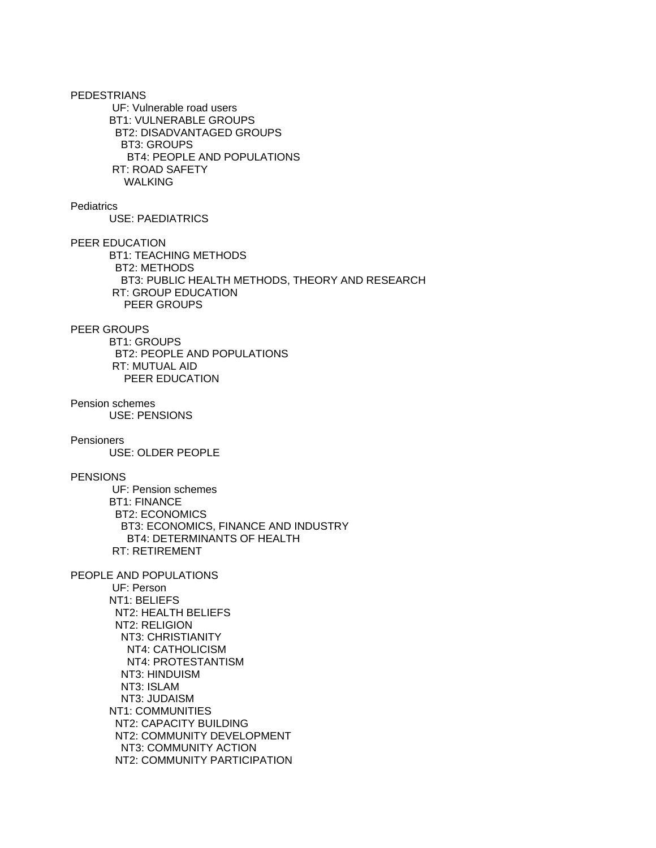PEDESTRIANS UF: Vulnerable road users BT1: VULNERABLE GROUPS BT2: DISADVANTAGED GROUPS BT3: GROUPS BT4: PEOPLE AND POPULATIONS RT: ROAD SAFETY WALKING **Pediatrics**  USE: PAEDIATRICS PEER EDUCATION BT1: TEACHING METHODS BT2: METHODS BT3: PUBLIC HEALTH METHODS, THEORY AND RESEARCH RT: GROUP EDUCATION PEER GROUPS PEER GROUPS BT1: GROUPS BT2: PEOPLE AND POPULATIONS RT: MUTUAL AID PEER EDUCATION Pension schemes USE: PENSIONS Pensioners USE: OLDER PEOPLE PENSIONS UF: Pension schemes BT1: FINANCE BT2: ECONOMICS BT3: ECONOMICS, FINANCE AND INDUSTRY BT4: DETERMINANTS OF HEALTH RT: RETIREMENT PEOPLE AND POPULATIONS UF: Person NT1: BELIEFS NT2: HEALTH BELIEFS NT2: RELIGION NT3: CHRISTIANITY NT4: CATHOLICISM NT4: PROTESTANTISM NT3: HINDUISM NT3: ISLAM NT3: JUDAISM NT1: COMMUNITIES NT2: CAPACITY BUILDING NT2: COMMUNITY DEVELOPMENT NT3: COMMUNITY ACTION NT2: COMMUNITY PARTICIPATION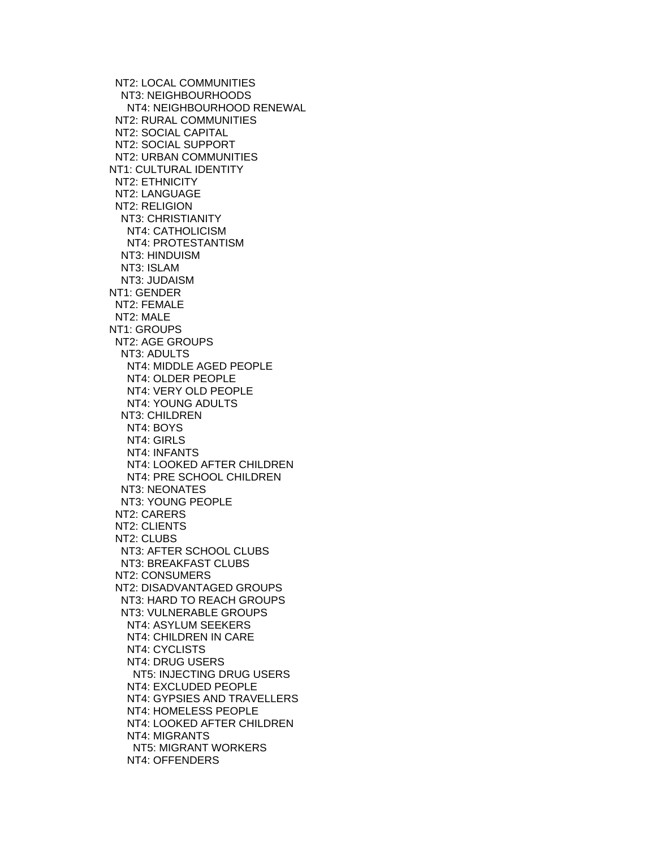NT2: LOCAL COMMUNITIES NT3: NEIGHBOURHOODS NT4: NEIGHBOURHOOD RENEWAL NT2: RURAL COMMUNITIES NT2: SOCIAL CAPITAL NT2: SOCIAL SUPPORT NT2: URBAN COMMUNITIES NT1: CULTURAL IDENTITY NT2: ETHNICITY NT2: LANGUAGE NT2: RELIGION NT3: CHRISTIANITY NT4: CATHOLICISM NT4: PROTESTANTISM NT3: HINDUISM NT3: ISLAM NT3: JUDAISM NT1: GENDER NT2: FEMALE NT2: MALE NT1: GROUPS NT2: AGE GROUPS NT3: ADULTS NT4: MIDDLE AGED PEOPLE NT4: OLDER PEOPLE NT4: VERY OLD PEOPLE NT4: YOUNG ADULTS NT3: CHILDREN NT4: BOYS NT4: GIRLS NT4: INFANTS NT4: LOOKED AFTER CHILDREN NT4: PRE SCHOOL CHILDREN NT3: NEONATES NT3: YOUNG PEOPLE NT2: CARERS NT2: CLIENTS NT2: CLUBS NT3: AFTER SCHOOL CLUBS NT3: BREAKFAST CLUBS NT2: CONSUMERS NT2: DISADVANTAGED GROUPS NT3: HARD TO REACH GROUPS NT3: VULNERABLE GROUPS NT4: ASYLUM SEEKERS NT4: CHILDREN IN CARE NT4: CYCLISTS NT4: DRUG USERS NT5: INJECTING DRUG USERS NT4: EXCLUDED PEOPLE NT4: GYPSIES AND TRAVELLERS NT4: HOMELESS PEOPLE NT4: LOOKED AFTER CHILDREN NT4: MIGRANTS NT5: MIGRANT WORKERS NT4: OFFENDERS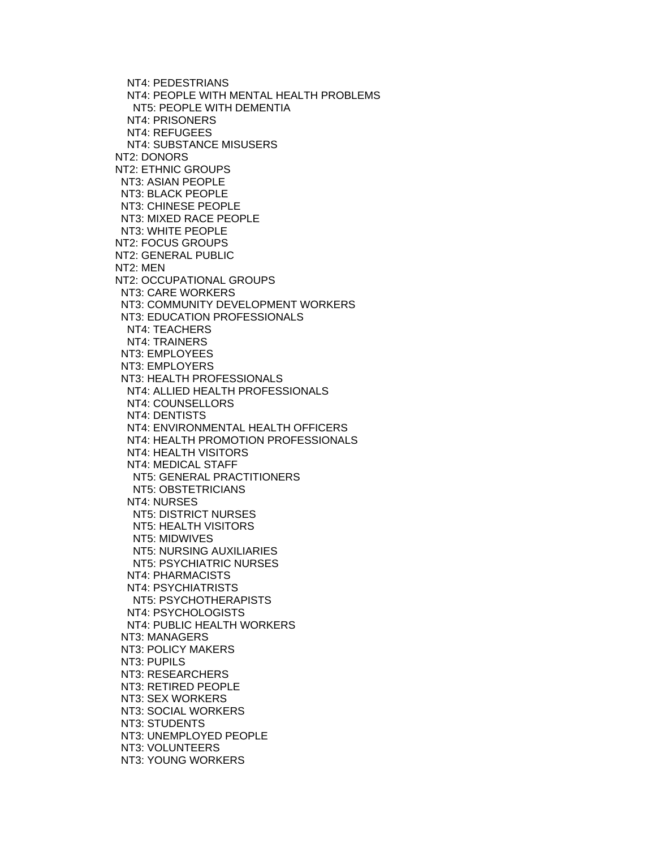NT4: PEDESTRIANS NT4: PEOPLE WITH MENTAL HEALTH PROBLEMS NT5: PEOPLE WITH DEMENTIA NT4: PRISONERS NT4: REFUGEES NT4: SUBSTANCE MISUSERS NT2: DONORS NT2: ETHNIC GROUPS NT3: ASIAN PEOPLE NT3: BLACK PEOPLE NT3: CHINESE PEOPLE NT3: MIXED RACE PEOPLE NT3: WHITE PEOPLE NT2: FOCUS GROUPS NT2: GENERAL PUBLIC NT2: MEN NT2: OCCUPATIONAL GROUPS NT3: CARE WORKERS NT3: COMMUNITY DEVELOPMENT WORKERS NT3: EDUCATION PROFESSIONALS NT4: TEACHERS NT4: TRAINERS NT3: EMPLOYEES NT3: EMPLOYERS NT3: HEALTH PROFESSIONALS NT4: ALLIED HEALTH PROFESSIONALS NT4: COUNSELLORS NT4: DENTISTS NT4: ENVIRONMENTAL HEALTH OFFICERS NT4: HEALTH PROMOTION PROFESSIONALS NT4: HEALTH VISITORS NT4: MEDICAL STAFF NT5: GENERAL PRACTITIONERS NT5: OBSTETRICIANS NT4: NURSES NT5: DISTRICT NURSES NT5: HEALTH VISITORS NT5: MIDWIVES NT5: NURSING AUXILIARIES NT5: PSYCHIATRIC NURSES NT4: PHARMACISTS NT4: PSYCHIATRISTS NT5: PSYCHOTHERAPISTS NT4: PSYCHOLOGISTS NT4: PUBLIC HEALTH WORKERS NT3: MANAGERS NT3: POLICY MAKERS NT3: PUPILS NT3: RESEARCHERS NT3: RETIRED PEOPLE NT3: SEX WORKERS NT3: SOCIAL WORKERS NT3: STUDENTS NT3: UNEMPLOYED PEOPLE NT3: VOLUNTEERS NT3: YOUNG WORKERS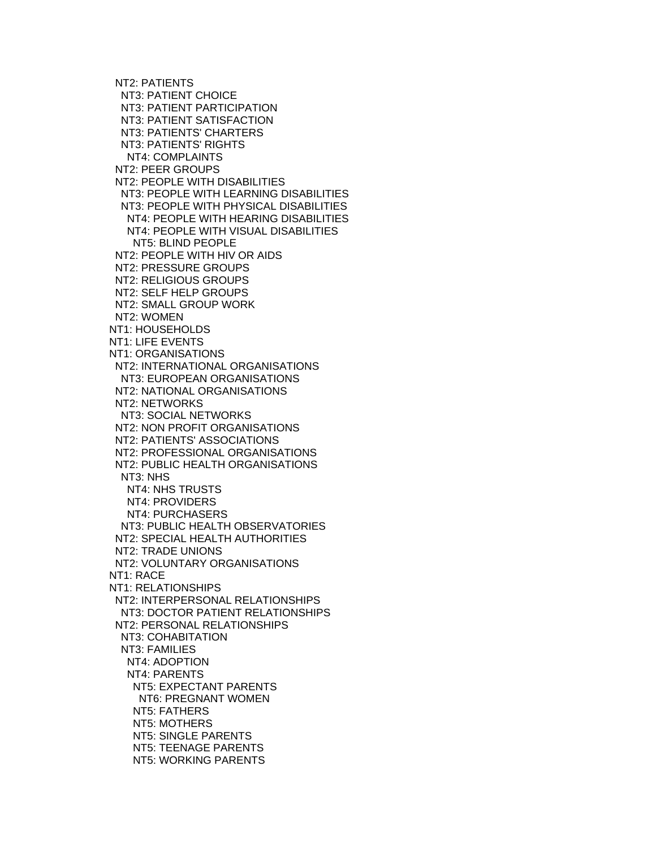NT2: PATIENTS NT3: PATIENT CHOICE NT3: PATIENT PARTICIPATION NT3: PATIENT SATISFACTION NT3: PATIENTS' CHARTERS NT3: PATIENTS' RIGHTS NT4: COMPLAINTS NT2: PEER GROUPS NT2: PEOPLE WITH DISABILITIES NT3: PEOPLE WITH LEARNING DISABILITIES NT3: PEOPLE WITH PHYSICAL DISABILITIES NT4: PEOPLE WITH HEARING DISABILITIES NT4: PEOPLE WITH VISUAL DISABILITIES NT5: BLIND PEOPLE NT2: PEOPLE WITH HIV OR AIDS NT2: PRESSURE GROUPS NT2: RELIGIOUS GROUPS NT2: SELF HELP GROUPS NT2: SMALL GROUP WORK NT2: WOMEN NT1: HOUSEHOLDS NT1: LIFE EVENTS NT1: ORGANISATIONS NT2: INTERNATIONAL ORGANISATIONS NT3: EUROPEAN ORGANISATIONS NT2: NATIONAL ORGANISATIONS NT2: NETWORKS NT3: SOCIAL NETWORKS NT2: NON PROFIT ORGANISATIONS NT2: PATIENTS' ASSOCIATIONS NT2: PROFESSIONAL ORGANISATIONS NT2: PUBLIC HEALTH ORGANISATIONS NT3: NHS NT4: NHS TRUSTS NT4: PROVIDERS NT4: PURCHASERS NT3: PUBLIC HEALTH OBSERVATORIES NT2: SPECIAL HEALTH AUTHORITIES NT2: TRADE UNIONS NT2: VOLUNTARY ORGANISATIONS NT1: RACE NT1: RELATIONSHIPS NT2: INTERPERSONAL RELATIONSHIPS NT3: DOCTOR PATIENT RELATIONSHIPS NT2: PERSONAL RELATIONSHIPS NT3: COHABITATION NT3: FAMILIES NT4: ADOPTION NT4: PARENTS NT5: EXPECTANT PARENTS NT6: PREGNANT WOMEN NT5: FATHERS NT5: MOTHERS NT5: SINGLE PARENTS NT5: TEENAGE PARENTS NT5: WORKING PARENTS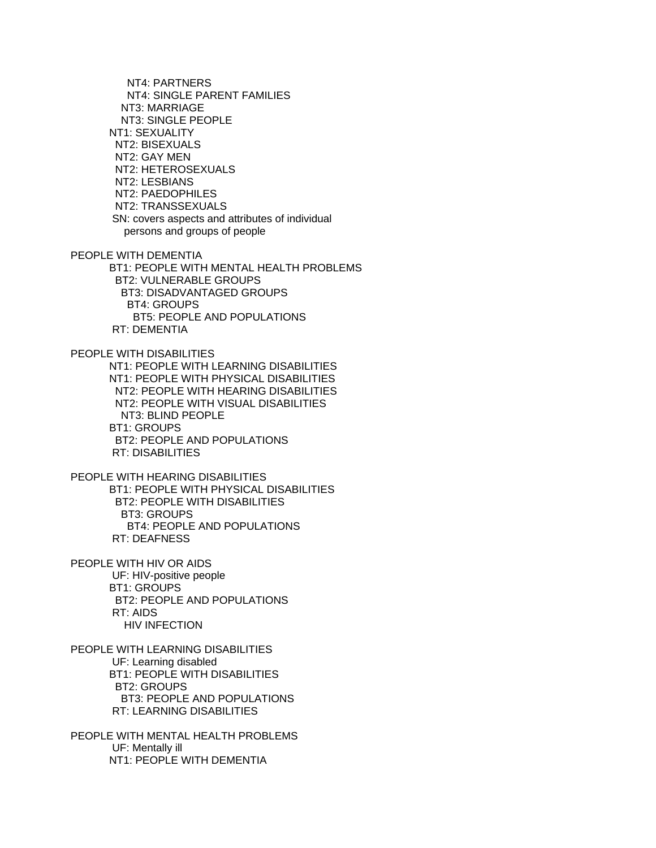NT4: PARTNERS NT4: SINGLE PARENT FAMILIES NT3: MARRIAGE NT3: SINGLE PEOPLE NT1: SEXUALITY NT2: BISEXUALS NT2: GAY MEN NT2: HETEROSEXUALS NT2: LESBIANS NT2: PAEDOPHILES NT2: TRANSSEXUALS SN: covers aspects and attributes of individual persons and groups of people PEOPLE WITH DEMENTIA BT1: PEOPLE WITH MENTAL HEALTH PROBLEMS BT2: VULNERABLE GROUPS BT3: DISADVANTAGED GROUPS BT4: GROUPS BT5: PEOPLE AND POPULATIONS RT: DEMENTIA PEOPLE WITH DISABILITIES NT1: PEOPLE WITH LEARNING DISABILITIES NT1: PEOPLE WITH PHYSICAL DISABILITIES NT2: PEOPLE WITH HEARING DISABILITIES NT2: PEOPLE WITH VISUAL DISABILITIES NT3: BLIND PEOPLE BT1: GROUPS BT2: PEOPLE AND POPULATIONS RT: DISABILITIES PEOPLE WITH HEARING DISABILITIES BT1: PEOPLE WITH PHYSICAL DISABILITIES BT2: PEOPLE WITH DISABILITIES BT3: GROUPS BT4: PEOPLE AND POPULATIONS RT: DEAFNESS PEOPLE WITH HIV OR AIDS UF: HIV-positive people BT1: GROUPS BT2: PEOPLE AND POPULATIONS RT: AIDS HIV INFECTION PEOPLE WITH LEARNING DISABILITIES UF: Learning disabled BT1: PEOPLE WITH DISABILITIES BT2: GROUPS BT3: PEOPLE AND POPULATIONS RT: LEARNING DISABILITIES PEOPLE WITH MENTAL HEALTH PROBLEMS UF: Mentally ill

NT1: PEOPLE WITH DEMENTIA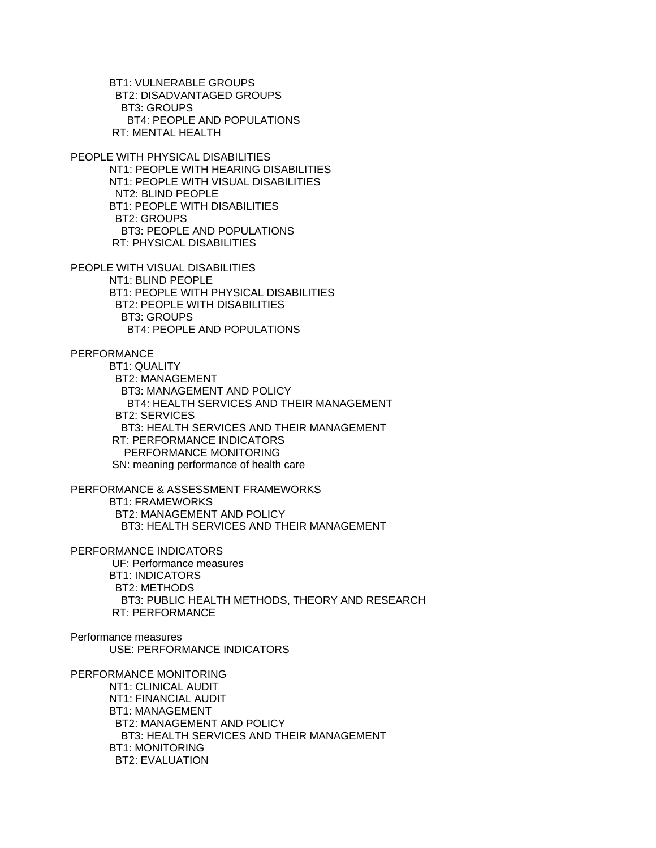BT1: VULNERABLE GROUPS BT2: DISADVANTAGED GROUPS BT3: GROUPS BT4: PEOPLE AND POPULATIONS RT: MENTAL HEALTH

PEOPLE WITH PHYSICAL DISABILITIES NT1: PEOPLE WITH HEARING DISABILITIES NT1: PEOPLE WITH VISUAL DISABILITIES NT2: BLIND PEOPLE BT1: PEOPLE WITH DISABILITIES BT2: GROUPS BT3: PEOPLE AND POPULATIONS RT: PHYSICAL DISABILITIES

PEOPLE WITH VISUAL DISABILITIES NT1: BLIND PEOPLE BT1: PEOPLE WITH PHYSICAL DISABILITIES BT2: PEOPLE WITH DISABILITIES BT3: GROUPS BT4: PEOPLE AND POPULATIONS

PERFORMANCE

 BT1: QUALITY BT2: MANAGEMENT BT3: MANAGEMENT AND POLICY BT4: HEALTH SERVICES AND THEIR MANAGEMENT BT2: SERVICES BT3: HEALTH SERVICES AND THEIR MANAGEMENT RT: PERFORMANCE INDICATORS PERFORMANCE MONITORING SN: meaning performance of health care

PERFORMANCE & ASSESSMENT FRAMEWORKS BT1: FRAMEWORKS BT2: MANAGEMENT AND POLICY BT3: HEALTH SERVICES AND THEIR MANAGEMENT

PERFORMANCE INDICATORS UF: Performance measures BT1: INDICATORS BT2: METHODS BT3: PUBLIC HEALTH METHODS, THEORY AND RESEARCH RT: PERFORMANCE

# Performance measures USE: PERFORMANCE INDICATORS

PERFORMANCE MONITORING NT1: CLINICAL AUDIT NT1: FINANCIAL AUDIT BT1: MANAGEMENT

 BT2: MANAGEMENT AND POLICY BT3: HEALTH SERVICES AND THEIR MANAGEMENT BT1: MONITORING BT2: EVALUATION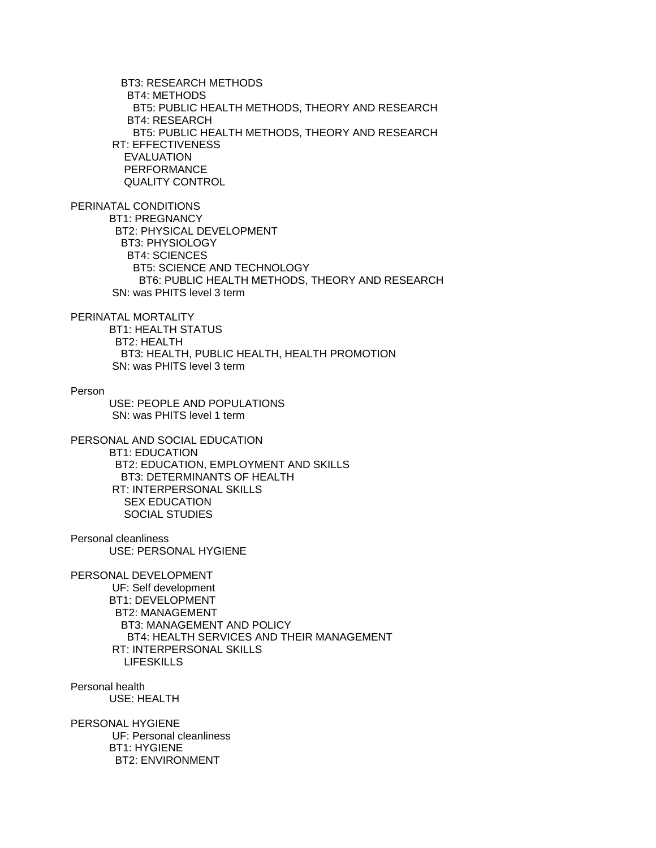BT3: RESEARCH METHODS BT4: METHODS BT5: PUBLIC HEALTH METHODS, THEORY AND RESEARCH BT4: RESEARCH BT5: PUBLIC HEALTH METHODS, THEORY AND RESEARCH RT: EFFECTIVENESS EVALUATION PERFORMANCE QUALITY CONTROL

PERINATAL CONDITIONS BT1: PREGNANCY BT2: PHYSICAL DEVELOPMENT

 BT3: PHYSIOLOGY BT4: SCIENCES BT5: SCIENCE AND TECHNOLOGY BT6: PUBLIC HEALTH METHODS, THEORY AND RESEARCH SN: was PHITS level 3 term

PERINATAL MORTALITY

 BT1: HEALTH STATUS BT2: HEALTH BT3: HEALTH, PUBLIC HEALTH, HEALTH PROMOTION SN: was PHITS level 3 term

Person

 USE: PEOPLE AND POPULATIONS SN: was PHITS level 1 term

PERSONAL AND SOCIAL EDUCATION BT1: EDUCATION BT2: EDUCATION, EMPLOYMENT AND SKILLS BT3: DETERMINANTS OF HEALTH RT: INTERPERSONAL SKILLS SEX EDUCATION SOCIAL STUDIES

Personal cleanliness USE: PERSONAL HYGIENE

PERSONAL DEVELOPMENT UF: Self development BT1: DEVELOPMENT BT2: MANAGEMENT BT3: MANAGEMENT AND POLICY BT4: HEALTH SERVICES AND THEIR MANAGEMENT RT: INTERPERSONAL SKILLS LIFESKILLS

Personal health USE: HEALTH

PERSONAL HYGIENE UF: Personal cleanliness BT1: HYGIENE BT2: ENVIRONMENT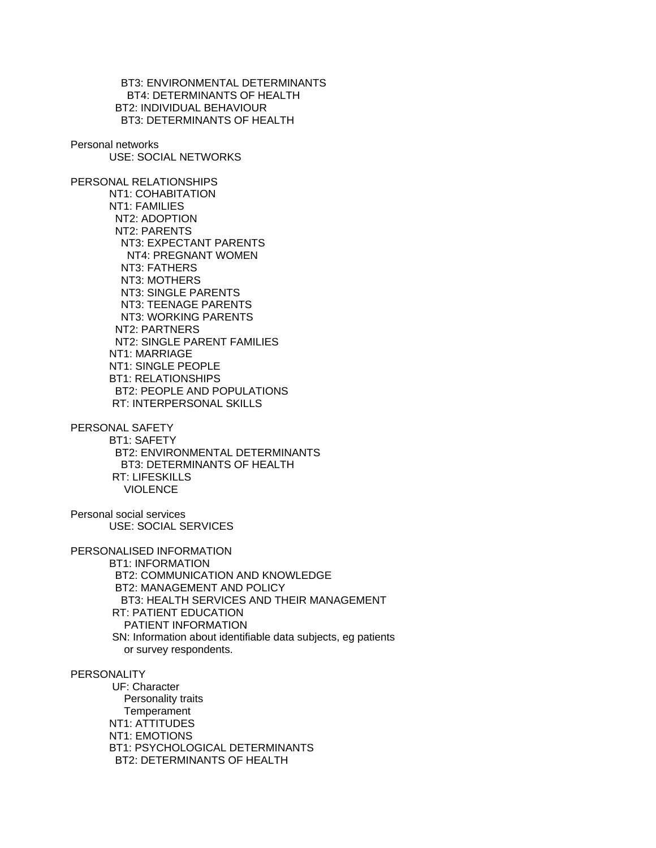BT3: ENVIRONMENTAL DETERMINANTS BT4: DETERMINANTS OF HEALTH BT2: INDIVIDUAL BEHAVIOUR BT3: DETERMINANTS OF HEALTH

Personal networks

USE: SOCIAL NETWORKS

PERSONAL RELATIONSHIPS NT1: COHABITATION NT1: FAMILIES NT2: ADOPTION NT2: PARENTS NT3: EXPECTANT PARENTS NT4: PREGNANT WOMEN NT3: FATHERS NT3: MOTHERS NT3: SINGLE PARENTS NT3: TEENAGE PARENTS NT3: WORKING PARENTS NT2: PARTNERS NT2: SINGLE PARENT FAMILIES NT1: MARRIAGE NT1: SINGLE PEOPLE BT1: RELATIONSHIPS BT2: PEOPLE AND POPULATIONS RT: INTERPERSONAL SKILLS

PERSONAL SAFETY BT1: SAFETY BT2: ENVIRONMENTAL DETERMINANTS BT3: DETERMINANTS OF HEALTH RT: LIFESKILLS VIOLENCE

Personal social services USE: SOCIAL SERVICES

PERSONALISED INFORMATION

 BT1: INFORMATION BT2: COMMUNICATION AND KNOWLEDGE BT2: MANAGEMENT AND POLICY BT3: HEALTH SERVICES AND THEIR MANAGEMENT RT: PATIENT EDUCATION PATIENT INFORMATION SN: Information about identifiable data subjects, eg patients or survey respondents.

PERSONALITY

 UF: Character Personality traits **Temperament**  NT1: ATTITUDES NT1: EMOTIONS BT1: PSYCHOLOGICAL DETERMINANTS BT2: DETERMINANTS OF HEALTH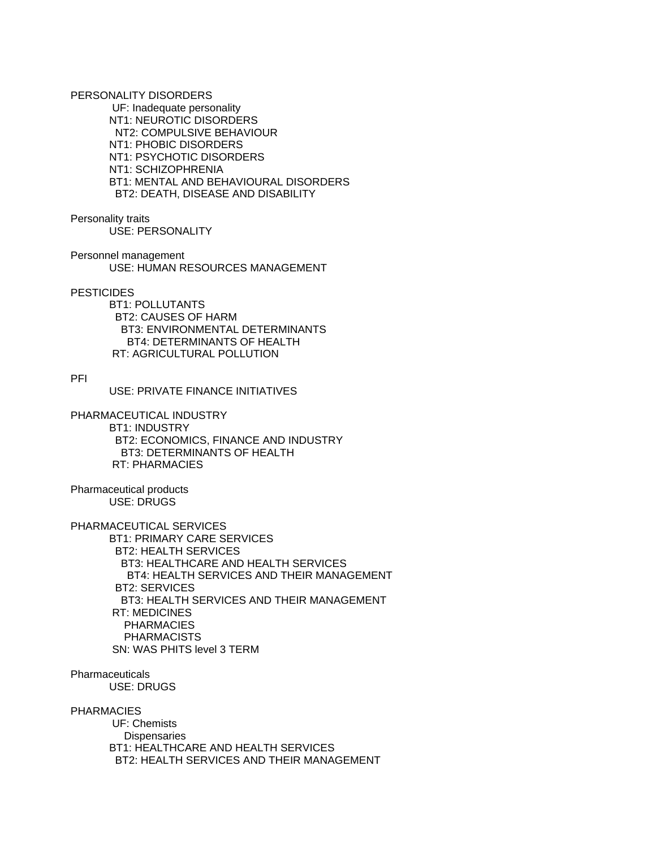PERSONALITY DISORDERS

 UF: Inadequate personality NT1: NEUROTIC DISORDERS NT2: COMPULSIVE BEHAVIOUR NT1: PHOBIC DISORDERS NT1: PSYCHOTIC DISORDERS NT1: SCHIZOPHRENIA BT1: MENTAL AND BEHAVIOURAL DISORDERS BT2: DEATH, DISEASE AND DISABILITY

Personality traits

USE: PERSONALITY

Personnel management USE: HUMAN RESOURCES MANAGEMENT

**PESTICIDES** 

 BT1: POLLUTANTS BT2: CAUSES OF HARM BT3: ENVIRONMENTAL DETERMINANTS BT4: DETERMINANTS OF HEALTH RT: AGRICULTURAL POLLUTION

PFI

USE: PRIVATE FINANCE INITIATIVES

PHARMACEUTICAL INDUSTRY BT1: INDUSTRY BT2: ECONOMICS, FINANCE AND INDUSTRY BT3: DETERMINANTS OF HEALTH RT: PHARMACIES

Pharmaceutical products USE: DRUGS

PHARMACEUTICAL SERVICES

 BT1: PRIMARY CARE SERVICES BT2: HEALTH SERVICES BT3: HEALTHCARE AND HEALTH SERVICES BT4: HEALTH SERVICES AND THEIR MANAGEMENT BT2: SERVICES BT3: HEALTH SERVICES AND THEIR MANAGEMENT RT: MEDICINES PHARMACIES PHARMACISTS SN: WAS PHITS level 3 TERM

**Pharmaceuticals** USE: DRUGS

PHARMACIES

 UF: Chemists **Dispensaries**  BT1: HEALTHCARE AND HEALTH SERVICES BT2: HEALTH SERVICES AND THEIR MANAGEMENT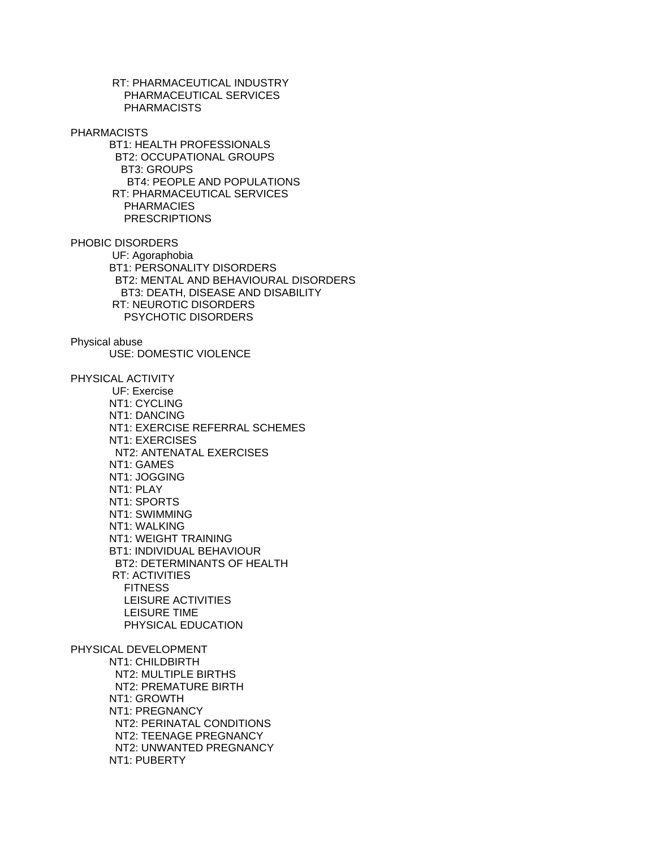RT: PHARMACEUTICAL INDUSTRY PHARMACEUTICAL SERVICES PHARMACISTS PHARMACISTS BT1: HEALTH PROFESSIONALS BT2: OCCUPATIONAL GROUPS BT3: GROUPS BT4: PEOPLE AND POPULATIONS RT: PHARMACEUTICAL SERVICES PHARMACIES **PRESCRIPTIONS** PHOBIC DISORDERS UF: Agoraphobia BT1: PERSONALITY DISORDERS BT2: MENTAL AND BEHAVIOURAL DISORDERS BT3: DEATH, DISEASE AND DISABILITY RT: NEUROTIC DISORDERS PSYCHOTIC DISORDERS Physical abuse USE: DOMESTIC VIOLENCE PHYSICAL ACTIVITY UF: Exercise NT1: CYCLING NT1: DANCING NT1: EXERCISE REFERRAL SCHEMES NT1: EXERCISES NT2: ANTENATAL EXERCISES NT1: GAMES NT1: JOGGING NT1: PLAY NT1: SPORTS NT1: SWIMMING NT1: WALKING NT1: WEIGHT TRAINING BT1: INDIVIDUAL BEHAVIOUR BT2: DETERMINANTS OF HEALTH RT: ACTIVITIES **FITNESS**  LEISURE ACTIVITIES LEISURE TIME PHYSICAL EDUCATION PHYSICAL DEVELOPMENT NT1: CHILDBIRTH NT2: MULTIPLE BIRTHS NT2: PREMATURE BIRTH NT1: GROWTH NT1: PREGNANCY NT2: PERINATAL CONDITIONS NT2: TEENAGE PREGNANCY NT2: UNWANTED PREGNANCY NT1: PUBERTY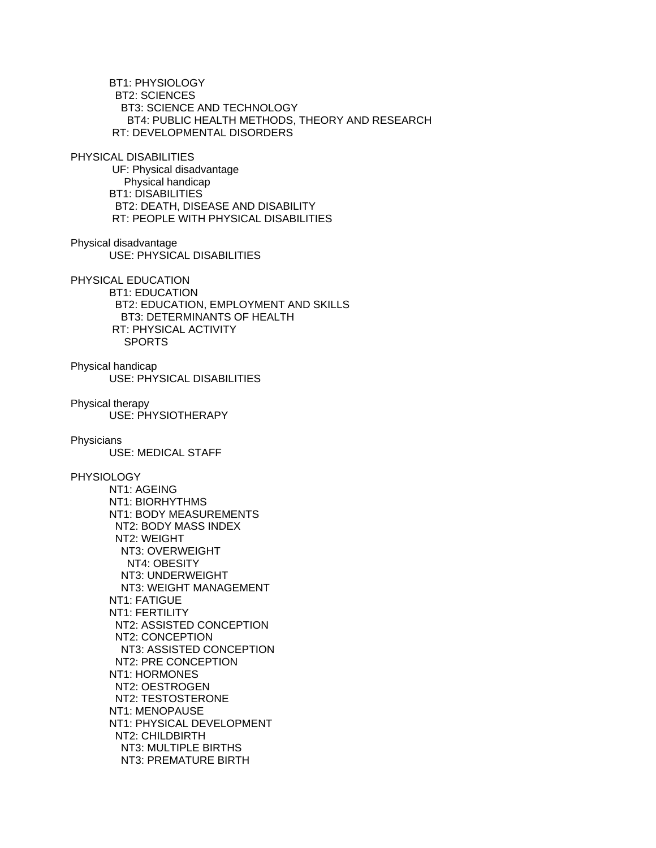BT1: PHYSIOLOGY BT2: SCIENCES BT3: SCIENCE AND TECHNOLOGY BT4: PUBLIC HEALTH METHODS, THEORY AND RESEARCH RT: DEVELOPMENTAL DISORDERS PHYSICAL DISABILITIES UF: Physical disadvantage Physical handicap BT1: DISABILITIES BT2: DEATH, DISEASE AND DISABILITY RT: PEOPLE WITH PHYSICAL DISABILITIES Physical disadvantage USE: PHYSICAL DISABILITIES PHYSICAL EDUCATION BT1: EDUCATION BT2: EDUCATION, EMPLOYMENT AND SKILLS BT3: DETERMINANTS OF HEALTH RT: PHYSICAL ACTIVITY SPORTS Physical handicap USE: PHYSICAL DISABILITIES Physical therapy USE: PHYSIOTHERAPY **Physicians**  USE: MEDICAL STAFF PHYSIOLOGY NT1: AGEING NT1: BIORHYTHMS NT1: BODY MEASUREMENTS NT2: BODY MASS INDEX NT2: WEIGHT NT3: OVERWEIGHT NT4: OBESITY NT3: UNDERWEIGHT NT3: WEIGHT MANAGEMENT NT1: FATIGUE NT1: FERTILITY NT2: ASSISTED CONCEPTION NT2: CONCEPTION NT3: ASSISTED CONCEPTION NT2: PRE CONCEPTION NT1: HORMONES NT2: OESTROGEN NT2: TESTOSTERONE NT1: MENOPAUSE NT1: PHYSICAL DEVELOPMENT NT2: CHILDBIRTH NT3: MULTIPLE BIRTHS

NT3: PREMATURE BIRTH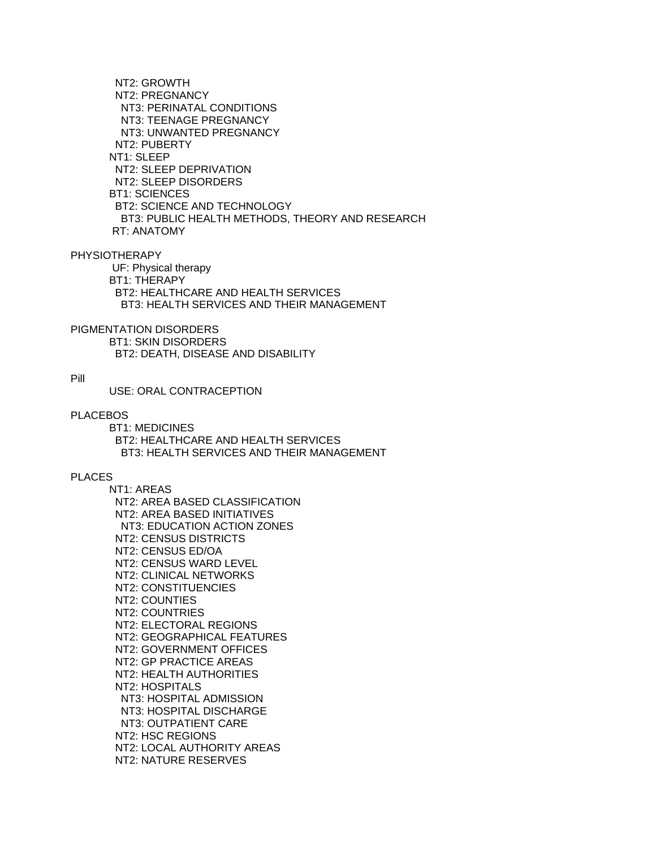NT2: GROWTH NT2: PREGNANCY NT3: PERINATAL CONDITIONS NT3: TEENAGE PREGNANCY NT3: UNWANTED PREGNANCY NT2: PUBERTY NT1: SLEEP NT2: SLEEP DEPRIVATION NT2: SLEEP DISORDERS BT1: SCIENCES BT2: SCIENCE AND TECHNOLOGY BT3: PUBLIC HEALTH METHODS, THEORY AND RESEARCH RT: ANATOMY

PHYSIOTHERAPY

 UF: Physical therapy BT1: THERAPY BT2: HEALTHCARE AND HEALTH SERVICES BT3: HEALTH SERVICES AND THEIR MANAGEMENT

PIGMENTATION DISORDERS

 BT1: SKIN DISORDERS BT2: DEATH, DISEASE AND DISABILITY

### Pill

USE: ORAL CONTRACEPTION

## PLACEBOS

 BT1: MEDICINES BT2: HEALTHCARE AND HEALTH SERVICES BT3: HEALTH SERVICES AND THEIR MANAGEMENT

## PLACES

 NT1: AREAS NT2: AREA BASED CLASSIFICATION NT2: AREA BASED INITIATIVES NT3: EDUCATION ACTION ZONES NT2: CENSUS DISTRICTS NT2: CENSUS ED/OA NT2: CENSUS WARD LEVEL NT2: CLINICAL NETWORKS NT2: CONSTITUENCIES NT2: COUNTIES NT2: COUNTRIES NT2: ELECTORAL REGIONS NT2: GEOGRAPHICAL FEATURES NT2: GOVERNMENT OFFICES NT2: GP PRACTICE AREAS NT2: HEALTH AUTHORITIES NT2: HOSPITALS NT3: HOSPITAL ADMISSION NT3: HOSPITAL DISCHARGE NT3: OUTPATIENT CARE NT2: HSC REGIONS NT2: LOCAL AUTHORITY AREAS NT2: NATURE RESERVES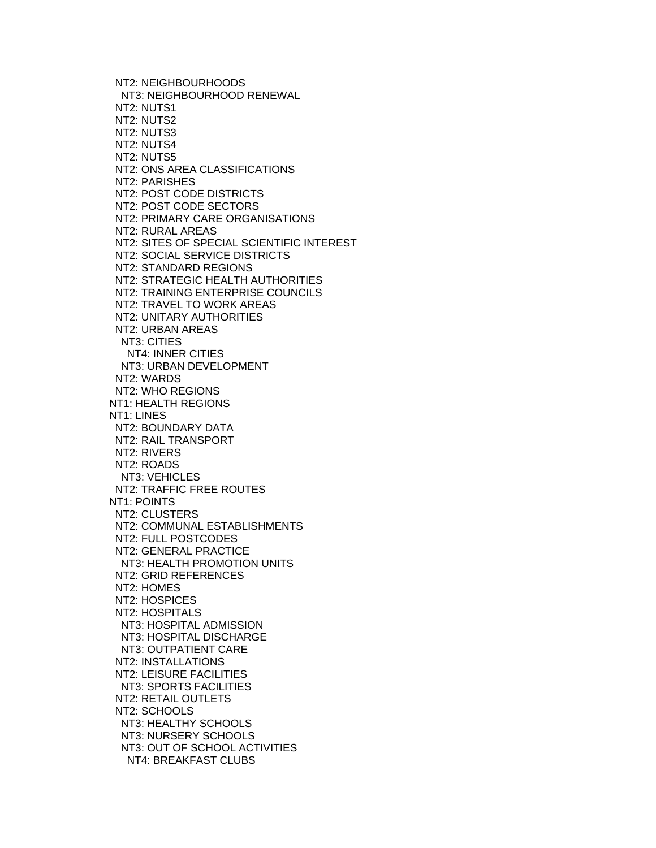NT2: NEIGHBOURHOODS NT3: NEIGHBOURHOOD RENEWAL NT2: NUTS1 NT2: NUTS2 NT2: NUTS3 NT2: NUTS4 NT2: NUTS5 NT2: ONS AREA CLASSIFICATIONS NT2: PARISHES NT2: POST CODE DISTRICTS NT2: POST CODE SECTORS NT2: PRIMARY CARE ORGANISATIONS NT2: RURAL AREAS NT2: SITES OF SPECIAL SCIENTIFIC INTEREST NT2: SOCIAL SERVICE DISTRICTS NT2: STANDARD REGIONS NT2: STRATEGIC HEALTH AUTHORITIES NT2: TRAINING ENTERPRISE COUNCILS NT2: TRAVEL TO WORK AREAS NT2: UNITARY AUTHORITIES NT2: URBAN AREAS NT3: CITIES NT4: INNER CITIES NT3: URBAN DEVELOPMENT NT2: WARDS NT2: WHO REGIONS NT1: HEALTH REGIONS NT1: LINES NT2: BOUNDARY DATA NT2: RAIL TRANSPORT NT2: RIVERS NT2: ROADS NT3: VEHICLES NT2: TRAFFIC FREE ROUTES NT1: POINTS NT2: CLUSTERS NT2: COMMUNAL ESTABLISHMENTS NT2: FULL POSTCODES NT2: GENERAL PRACTICE NT3: HEALTH PROMOTION UNITS NT2: GRID REFERENCES NT2: HOMES NT2: HOSPICES NT2: HOSPITALS NT3: HOSPITAL ADMISSION NT3: HOSPITAL DISCHARGE NT3: OUTPATIENT CARE NT2: INSTALLATIONS NT2: LEISURE FACILITIES NT3: SPORTS FACILITIES NT2: RETAIL OUTLETS NT2: SCHOOLS NT3: HEALTHY SCHOOLS NT3: NURSERY SCHOOLS NT3: OUT OF SCHOOL ACTIVITIES NT4: BREAKFAST CLUBS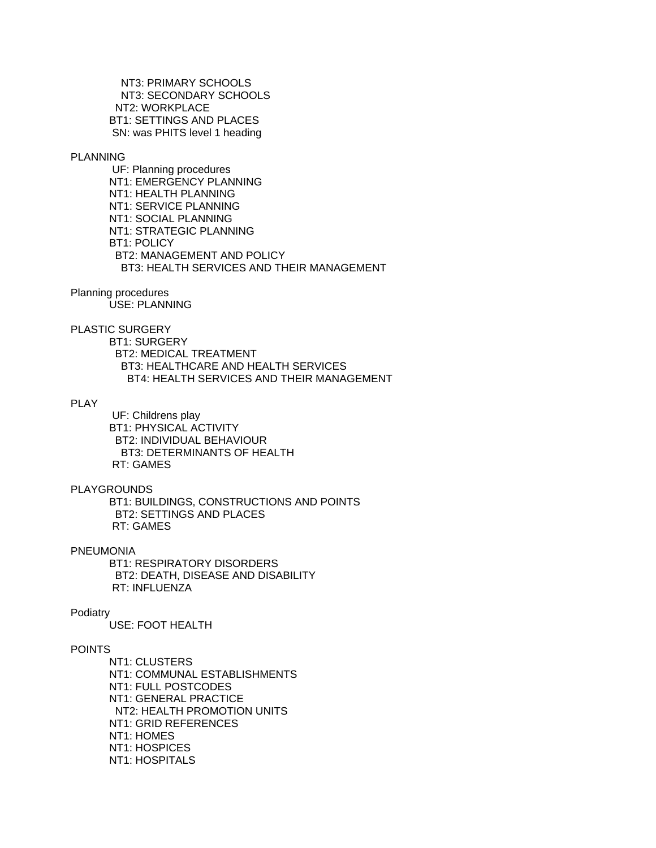NT3: PRIMARY SCHOOLS NT3: SECONDARY SCHOOLS NT2: WORKPLACE BT1: SETTINGS AND PLACES SN: was PHITS level 1 heading

## PLANNING

 UF: Planning procedures NT1: EMERGENCY PLANNING NT1: HEALTH PLANNING NT1: SERVICE PLANNING NT1: SOCIAL PLANNING NT1: STRATEGIC PLANNING BT1: POLICY BT2: MANAGEMENT AND POLICY BT3: HEALTH SERVICES AND THEIR MANAGEMENT

# Planning procedures

USE: PLANNING

# PLASTIC SURGERY

 BT1: SURGERY BT2: MEDICAL TREATMENT BT3: HEALTHCARE AND HEALTH SERVICES BT4: HEALTH SERVICES AND THEIR MANAGEMENT

# PLAY

 UF: Childrens play BT1: PHYSICAL ACTIVITY BT2: INDIVIDUAL BEHAVIOUR BT3: DETERMINANTS OF HEALTH RT: GAMES

#### PLAYGROUNDS

 BT1: BUILDINGS, CONSTRUCTIONS AND POINTS BT2: SETTINGS AND PLACES RT: GAMES

#### **PNEUMONIA**

 BT1: RESPIRATORY DISORDERS BT2: DEATH, DISEASE AND DISABILITY RT: INFLUENZA

### Podiatry

USE: FOOT HEALTH

## POINTS

 NT1: CLUSTERS NT1: COMMUNAL ESTABLISHMENTS NT1: FULL POSTCODES NT1: GENERAL PRACTICE NT2: HEALTH PROMOTION UNITS NT1: GRID REFERENCES NT1: HOMES NT1: HOSPICES NT1: HOSPITALS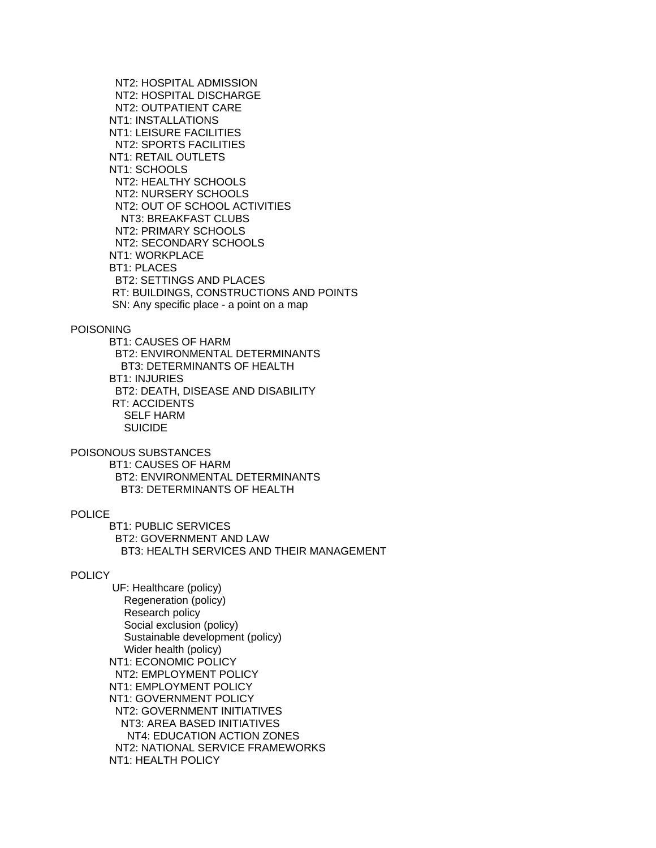NT2: HOSPITAL ADMISSION NT2: HOSPITAL DISCHARGE NT2: OUTPATIENT CARE NT1: INSTALLATIONS NT1: LEISURE FACILITIES NT2: SPORTS FACILITIES NT1: RETAIL OUTLETS NT1: SCHOOLS NT2: HEALTHY SCHOOLS NT2: NURSERY SCHOOLS NT2: OUT OF SCHOOL ACTIVITIES NT3: BREAKFAST CLUBS NT2: PRIMARY SCHOOLS NT2: SECONDARY SCHOOLS NT1: WORKPLACE BT1: PLACES BT2: SETTINGS AND PLACES RT: BUILDINGS, CONSTRUCTIONS AND POINTS SN: Any specific place - a point on a map

## POISONING

 BT1: CAUSES OF HARM BT2: ENVIRONMENTAL DETERMINANTS BT3: DETERMINANTS OF HEALTH BT1: INJURIES BT2: DEATH, DISEASE AND DISABILITY RT: ACCIDENTS SELF HARM SUICIDE

POISONOUS SUBSTANCES BT1: CAUSES OF HARM BT2: ENVIRONMENTAL DETERMINANTS BT3: DETERMINANTS OF HEALTH

# **POLICE**

 BT1: PUBLIC SERVICES BT2: GOVERNMENT AND LAW BT3: HEALTH SERVICES AND THEIR MANAGEMENT

## **POLICY**

 UF: Healthcare (policy) Regeneration (policy) Research policy Social exclusion (policy) Sustainable development (policy) Wider health (policy) NT1: ECONOMIC POLICY NT2: EMPLOYMENT POLICY NT1: EMPLOYMENT POLICY NT1: GOVERNMENT POLICY NT2: GOVERNMENT INITIATIVES NT3: AREA BASED INITIATIVES NT4: EDUCATION ACTION ZONES NT2: NATIONAL SERVICE FRAMEWORKS NT1: HEALTH POLICY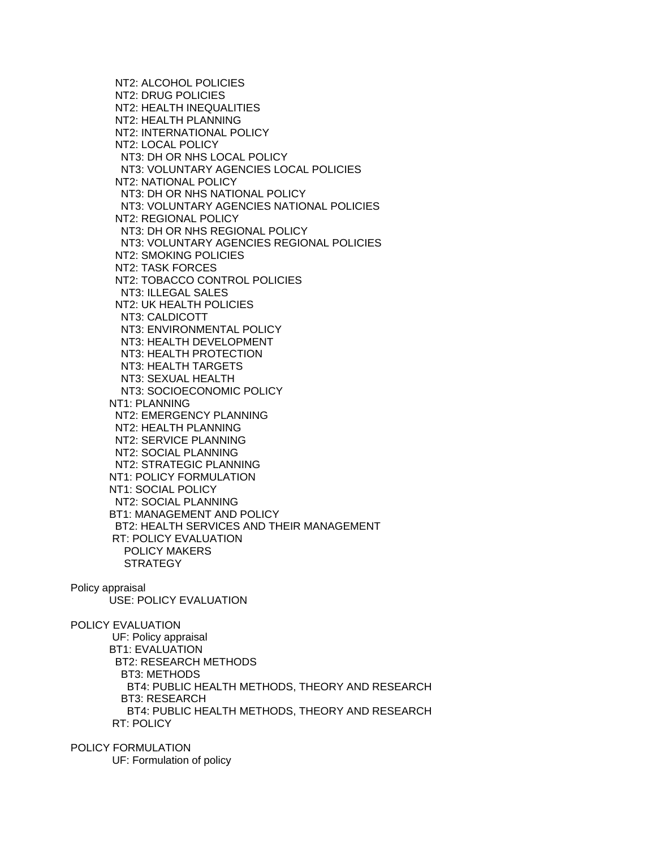NT2: ALCOHOL POLICIES NT2: DRUG POLICIES NT2: HEALTH INEQUALITIES NT2: HEALTH PLANNING NT2: INTERNATIONAL POLICY NT2: LOCAL POLICY NT3: DH OR NHS LOCAL POLICY NT3: VOLUNTARY AGENCIES LOCAL POLICIES NT2: NATIONAL POLICY NT3: DH OR NHS NATIONAL POLICY NT3: VOLUNTARY AGENCIES NATIONAL POLICIES NT2: REGIONAL POLICY NT3: DH OR NHS REGIONAL POLICY NT3: VOLUNTARY AGENCIES REGIONAL POLICIES NT2: SMOKING POLICIES NT2: TASK FORCES NT2: TOBACCO CONTROL POLICIES NT3: ILLEGAL SALES NT2: UK HEALTH POLICIES NT3: CALDICOTT NT3: ENVIRONMENTAL POLICY NT3: HEALTH DEVELOPMENT NT3: HEALTH PROTECTION NT3: HEALTH TARGETS NT3: SEXUAL HEALTH NT3: SOCIOECONOMIC POLICY NT1: PLANNING NT2: EMERGENCY PLANNING NT2: HEALTH PLANNING NT2: SERVICE PLANNING NT2: SOCIAL PLANNING NT2: STRATEGIC PLANNING NT1: POLICY FORMULATION NT1: SOCIAL POLICY NT2: SOCIAL PLANNING BT1: MANAGEMENT AND POLICY BT2: HEALTH SERVICES AND THEIR MANAGEMENT RT: POLICY EVALUATION POLICY MAKERS **STRATEGY** Policy appraisal

USE: POLICY EVALUATION

POLICY EVALUATION UF: Policy appraisal BT1: EVALUATION BT2: RESEARCH METHODS BT3: METHODS BT4: PUBLIC HEALTH METHODS, THEORY AND RESEARCH BT3: RESEARCH BT4: PUBLIC HEALTH METHODS, THEORY AND RESEARCH RT: POLICY

POLICY FORMULATION UF: Formulation of policy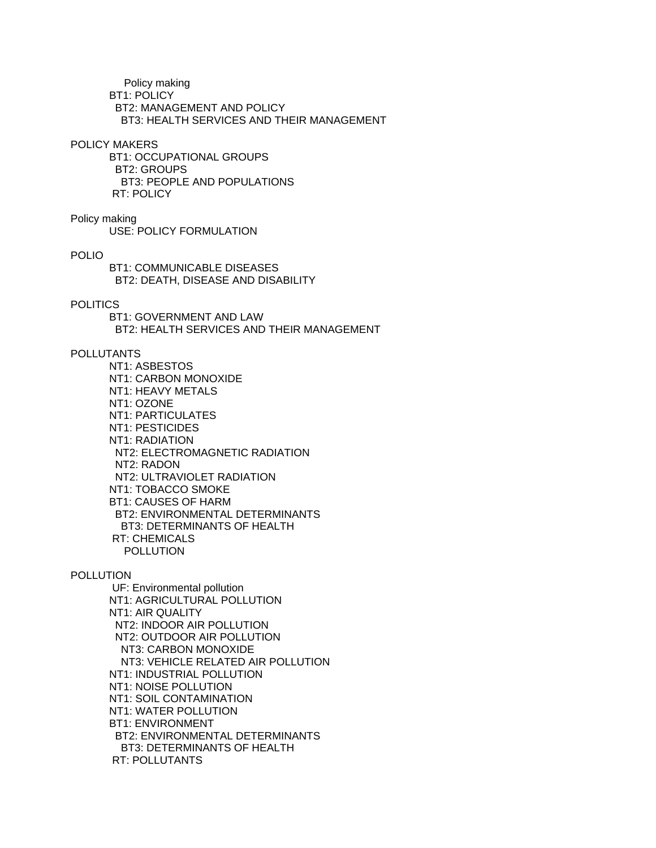Policy making BT1: POLICY BT2: MANAGEMENT AND POLICY BT3: HEALTH SERVICES AND THEIR MANAGEMENT

#### POLICY MAKERS

 BT1: OCCUPATIONAL GROUPS BT2: GROUPS BT3: PEOPLE AND POPULATIONS RT: POLICY

# Policy making

USE: POLICY FORMULATION

# POLIO

 BT1: COMMUNICABLE DISEASES BT2: DEATH, DISEASE AND DISABILITY

## POLITICS

 BT1: GOVERNMENT AND LAW BT2: HEALTH SERVICES AND THEIR MANAGEMENT

# POLLUTANTS

 NT1: ASBESTOS NT1: CARBON MONOXIDE NT1: HEAVY METALS NT1: OZONE NT1: PARTICULATES NT1: PESTICIDES NT1: RADIATION NT2: ELECTROMAGNETIC RADIATION NT2: RADON NT2: ULTRAVIOLET RADIATION NT1: TOBACCO SMOKE BT1: CAUSES OF HARM BT2: ENVIRONMENTAL DETERMINANTS BT3: DETERMINANTS OF HEALTH RT: CHEMICALS POLLUTION

## POLLUTION

 UF: Environmental pollution NT1: AGRICULTURAL POLLUTION NT1: AIR QUALITY NT2: INDOOR AIR POLLUTION NT2: OUTDOOR AIR POLLUTION NT3: CARBON MONOXIDE NT3: VEHICLE RELATED AIR POLLUTION NT1: INDUSTRIAL POLLUTION NT1: NOISE POLLUTION NT1: SOIL CONTAMINATION NT1: WATER POLLUTION BT1: ENVIRONMENT BT2: ENVIRONMENTAL DETERMINANTS BT3: DETERMINANTS OF HEALTH RT: POLLUTANTS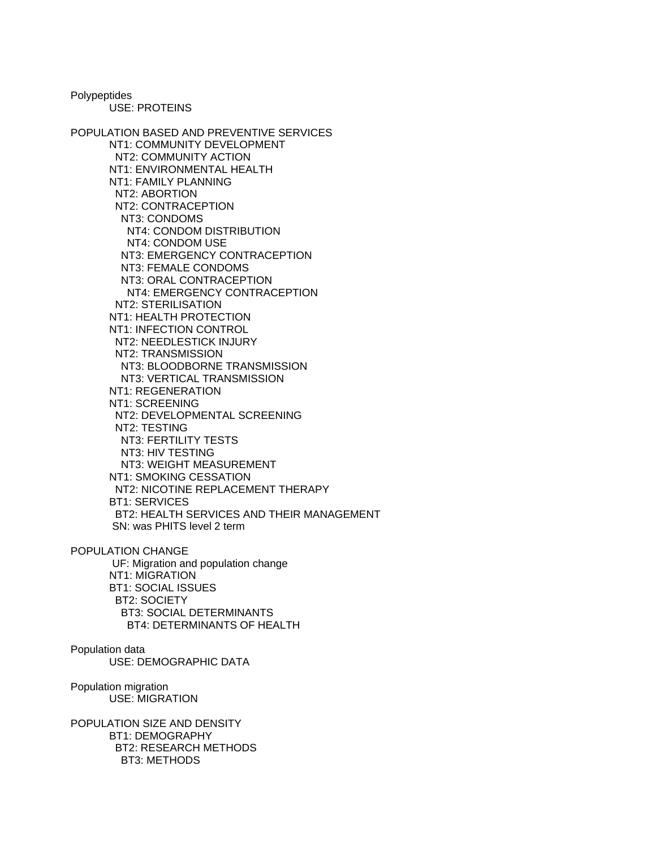Polypeptides USE: PROTEINS

POPULATION BASED AND PREVENTIVE SERVICES NT1: COMMUNITY DEVELOPMENT NT2: COMMUNITY ACTION NT1: ENVIRONMENTAL HEALTH NT1: FAMILY PLANNING NT2: ABORTION NT2: CONTRACEPTION NT3: CONDOMS NT4: CONDOM DISTRIBUTION NT4: CONDOM USE NT3: EMERGENCY CONTRACEPTION NT3: FEMALE CONDOMS NT3: ORAL CONTRACEPTION NT4: EMERGENCY CONTRACEPTION NT2: STERILISATION NT1: HEALTH PROTECTION NT1: INFECTION CONTROL NT2: NEEDLESTICK INJURY NT2: TRANSMISSION NT3: BLOODBORNE TRANSMISSION NT3: VERTICAL TRANSMISSION NT1: REGENERATION NT1: SCREENING NT2: DEVELOPMENTAL SCREENING NT2: TESTING NT3: FERTILITY TESTS NT3: HIV TESTING NT3: WEIGHT MEASUREMENT NT1: SMOKING CESSATION NT2: NICOTINE REPLACEMENT THERAPY BT1: SERVICES BT2: HEALTH SERVICES AND THEIR MANAGEMENT SN: was PHITS level 2 term POPULATION CHANGE

 UF: Migration and population change NT1: MIGRATION BT1: SOCIAL ISSUES BT2: SOCIETY BT3: SOCIAL DETERMINANTS BT4: DETERMINANTS OF HEALTH

## Population data USE: DEMOGRAPHIC DATA

Population migration USE: MIGRATION

POPULATION SIZE AND DENSITY BT1: DEMOGRAPHY BT2: RESEARCH METHODS BT3: METHODS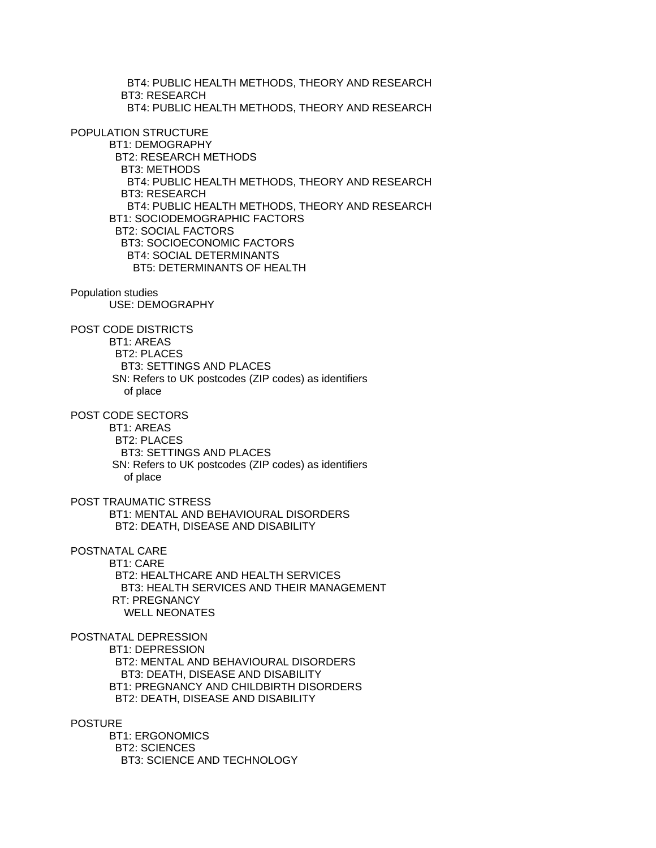BT4: PUBLIC HEALTH METHODS, THEORY AND RESEARCH BT3: RESEARCH BT4: PUBLIC HEALTH METHODS, THEORY AND RESEARCH POPULATION STRUCTURE BT1: DEMOGRAPHY BT2: RESEARCH METHODS BT3: METHODS BT4: PUBLIC HEALTH METHODS, THEORY AND RESEARCH BT3: RESEARCH BT4: PUBLIC HEALTH METHODS, THEORY AND RESEARCH BT1: SOCIODEMOGRAPHIC FACTORS BT2: SOCIAL FACTORS BT3: SOCIOECONOMIC FACTORS BT4: SOCIAL DETERMINANTS BT5: DETERMINANTS OF HEALTH Population studies USE: DEMOGRAPHY POST CODE DISTRICTS BT1: AREAS BT2: PLACES BT3: SETTINGS AND PLACES SN: Refers to UK postcodes (ZIP codes) as identifiers of place POST CODE SECTORS BT1: AREAS BT2: PLACES BT3: SETTINGS AND PLACES SN: Refers to UK postcodes (ZIP codes) as identifiers of place POST TRAUMATIC STRESS BT1: MENTAL AND BEHAVIOURAL DISORDERS BT2: DEATH, DISEASE AND DISABILITY POSTNATAL CARE BT1: CARE BT2: HEALTHCARE AND HEALTH SERVICES BT3: HEALTH SERVICES AND THEIR MANAGEMENT RT: PREGNANCY WELL NEONATES POSTNATAL DEPRESSION BT1: DEPRESSION BT2: MENTAL AND BEHAVIOURAL DISORDERS BT3: DEATH, DISEASE AND DISABILITY BT1: PREGNANCY AND CHILDBIRTH DISORDERS BT2: DEATH, DISEASE AND DISABILITY POSTURE BT1: ERGONOMICS BT2: SCIENCES BT3: SCIENCE AND TECHNOLOGY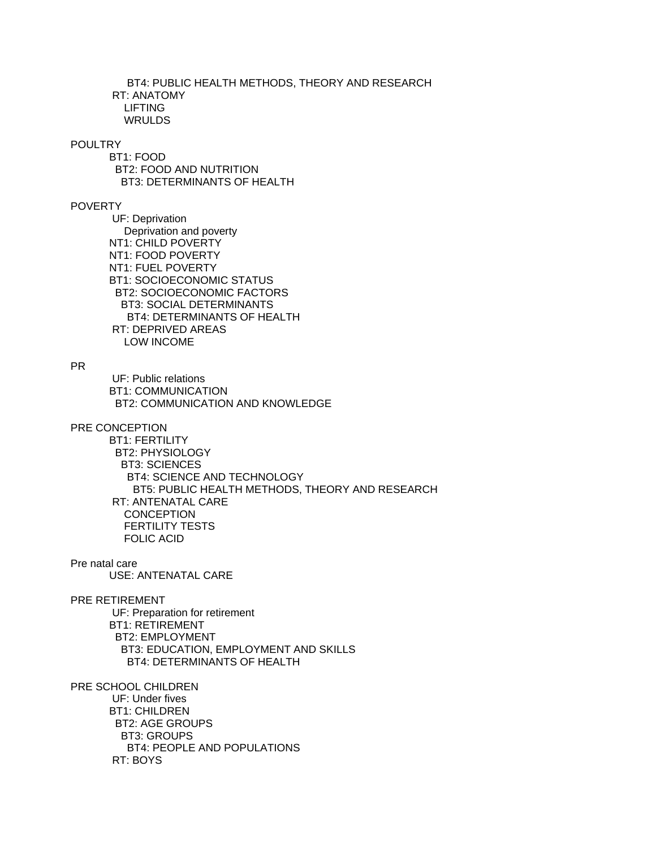BT4: PUBLIC HEALTH METHODS, THEORY AND RESEARCH RT: ANATOMY LIFTING WRULDS

# **POULTRY**

 BT1: FOOD BT2: FOOD AND NUTRITION BT3: DETERMINANTS OF HEALTH

## POVERTY

 UF: Deprivation Deprivation and poverty NT1: CHILD POVERTY NT1: FOOD POVERTY NT1: FUEL POVERTY BT1: SOCIOECONOMIC STATUS BT2: SOCIOECONOMIC FACTORS BT3: SOCIAL DETERMINANTS BT4: DETERMINANTS OF HEALTH RT: DEPRIVED AREAS LOW INCOME

## PR

 UF: Public relations BT1: COMMUNICATION BT2: COMMUNICATION AND KNOWLEDGE

## PRE CONCEPTION

 BT1: FERTILITY BT2: PHYSIOLOGY BT3: SCIENCES BT4: SCIENCE AND TECHNOLOGY BT5: PUBLIC HEALTH METHODS, THEORY AND RESEARCH RT: ANTENATAL CARE **CONCEPTION**  FERTILITY TESTS FOLIC ACID

Pre natal care USE: ANTENATAL CARE

# PRE RETIREMENT

 UF: Preparation for retirement BT1: RETIREMENT BT2: EMPLOYMENT BT3: EDUCATION, EMPLOYMENT AND SKILLS BT4: DETERMINANTS OF HEALTH

PRE SCHOOL CHILDREN

 UF: Under fives BT1: CHILDREN BT2: AGE GROUPS BT3: GROUPS BT4: PEOPLE AND POPULATIONS RT: BOYS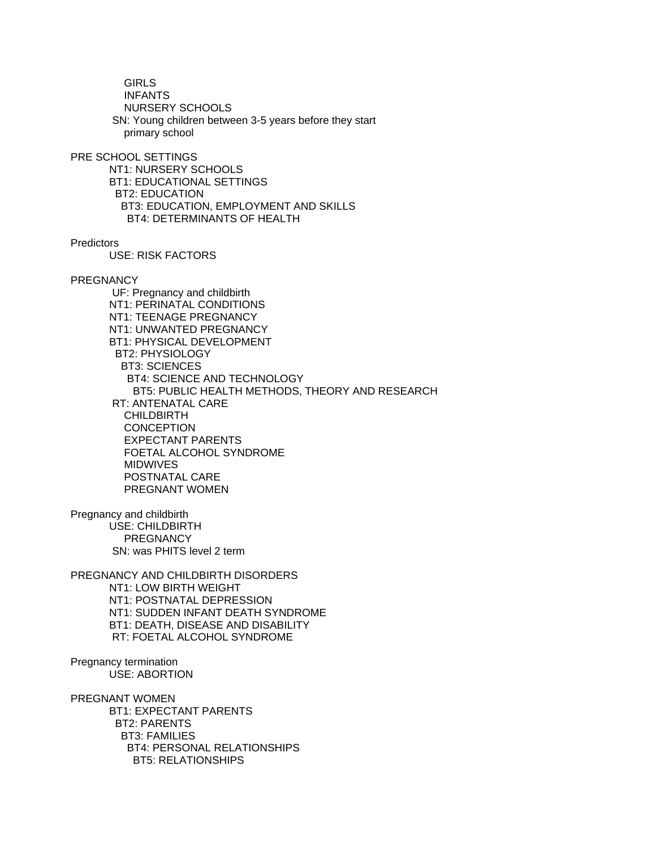GIRLS INFANTS NURSERY SCHOOLS SN: Young children between 3-5 years before they start primary school

PRE SCHOOL SETTINGS

 NT1: NURSERY SCHOOLS BT1: EDUCATIONAL SETTINGS BT2: EDUCATION BT3: EDUCATION, EMPLOYMENT AND SKILLS BT4: DETERMINANTS OF HEALTH

**Predictors** 

USE: RISK FACTORS

**PREGNANCY** 

 UF: Pregnancy and childbirth NT1: PERINATAL CONDITIONS NT1: TEENAGE PREGNANCY NT1: UNWANTED PREGNANCY BT1: PHYSICAL DEVELOPMENT BT2: PHYSIOLOGY BT3: SCIENCES BT4: SCIENCE AND TECHNOLOGY BT5: PUBLIC HEALTH METHODS, THEORY AND RESEARCH RT: ANTENATAL CARE CHILDBIRTH **CONCEPTION**  EXPECTANT PARENTS FOETAL ALCOHOL SYNDROME MIDWIVES POSTNATAL CARE PREGNANT WOMEN

Pregnancy and childbirth USE: CHILDBIRTH **PREGNANCY** SN: was PHITS level 2 term

PREGNANCY AND CHILDBIRTH DISORDERS NT1: LOW BIRTH WEIGHT NT1: POSTNATAL DEPRESSION NT1: SUDDEN INFANT DEATH SYNDROME BT1: DEATH, DISEASE AND DISABILITY RT: FOETAL ALCOHOL SYNDROME

Pregnancy termination USE: ABORTION

PREGNANT WOMEN BT1: EXPECTANT PARENTS BT2: PARENTS BT3: FAMILIES BT4: PERSONAL RELATIONSHIPS BT5: RELATIONSHIPS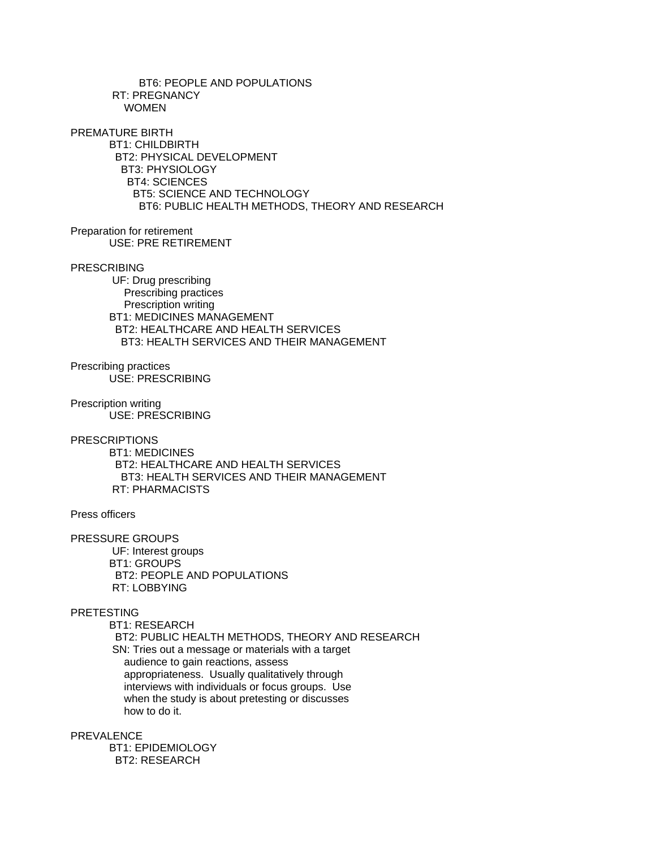BT6: PEOPLE AND POPULATIONS RT: PREGNANCY WOMEN PREMATURE BIRTH BT1: CHILDBIRTH BT2: PHYSICAL DEVELOPMENT BT3: PHYSIOLOGY BT4: SCIENCES BT5: SCIENCE AND TECHNOLOGY BT6: PUBLIC HEALTH METHODS, THEORY AND RESEARCH

Preparation for retirement USE: PRE RETIREMENT

# PRESCRIBING

 UF: Drug prescribing Prescribing practices Prescription writing BT1: MEDICINES MANAGEMENT BT2: HEALTHCARE AND HEALTH SERVICES BT3: HEALTH SERVICES AND THEIR MANAGEMENT

Prescribing practices USE: PRESCRIBING

Prescription writing USE: PRESCRIBING

**PRESCRIPTIONS** 

 BT1: MEDICINES BT2: HEALTHCARE AND HEALTH SERVICES BT3: HEALTH SERVICES AND THEIR MANAGEMENT RT: PHARMACISTS

Press officers

PRESSURE GROUPS UF: Interest groups BT1: GROUPS BT2: PEOPLE AND POPULATIONS RT: LOBBYING

# PRETESTING

 BT1: RESEARCH BT2: PUBLIC HEALTH METHODS, THEORY AND RESEARCH SN: Tries out a message or materials with a target audience to gain reactions, assess appropriateness. Usually qualitatively through interviews with individuals or focus groups. Use when the study is about pretesting or discusses how to do it.

PREVALENCE

 BT1: EPIDEMIOLOGY BT2: RESEARCH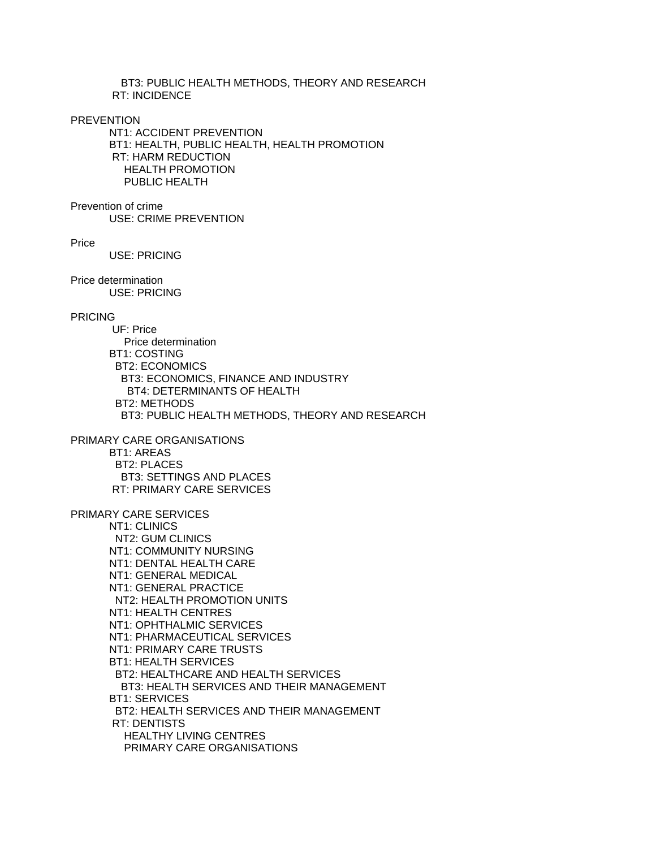BT3: PUBLIC HEALTH METHODS, THEORY AND RESEARCH RT: INCIDENCE

PREVENTION

 NT1: ACCIDENT PREVENTION BT1: HEALTH, PUBLIC HEALTH, HEALTH PROMOTION RT: HARM REDUCTION HEALTH PROMOTION PUBLIC HEALTH

Prevention of crime

USE: CRIME PREVENTION

Price

USE: PRICING

Price determination USE: PRICING

# PRICING

 UF: Price Price determination BT1: COSTING BT2: ECONOMICS BT3: ECONOMICS, FINANCE AND INDUSTRY BT4: DETERMINANTS OF HEALTH BT2: METHODS BT3: PUBLIC HEALTH METHODS, THEORY AND RESEARCH

PRIMARY CARE ORGANISATIONS BT1: AREAS BT2: PLACES BT3: SETTINGS AND PLACES RT: PRIMARY CARE SERVICES

# PRIMARY CARE SERVICES

 NT1: CLINICS NT2: GUM CLINICS NT1: COMMUNITY NURSING NT1: DENTAL HEALTH CARE NT1: GENERAL MEDICAL NT1: GENERAL PRACTICE NT2: HEALTH PROMOTION UNITS NT1: HEALTH CENTRES NT1: OPHTHALMIC SERVICES NT1: PHARMACEUTICAL SERVICES NT1: PRIMARY CARE TRUSTS BT1: HEALTH SERVICES BT2: HEALTHCARE AND HEALTH SERVICES BT3: HEALTH SERVICES AND THEIR MANAGEMENT BT1: SERVICES BT2: HEALTH SERVICES AND THEIR MANAGEMENT RT: DENTISTS HEALTHY LIVING CENTRES PRIMARY CARE ORGANISATIONS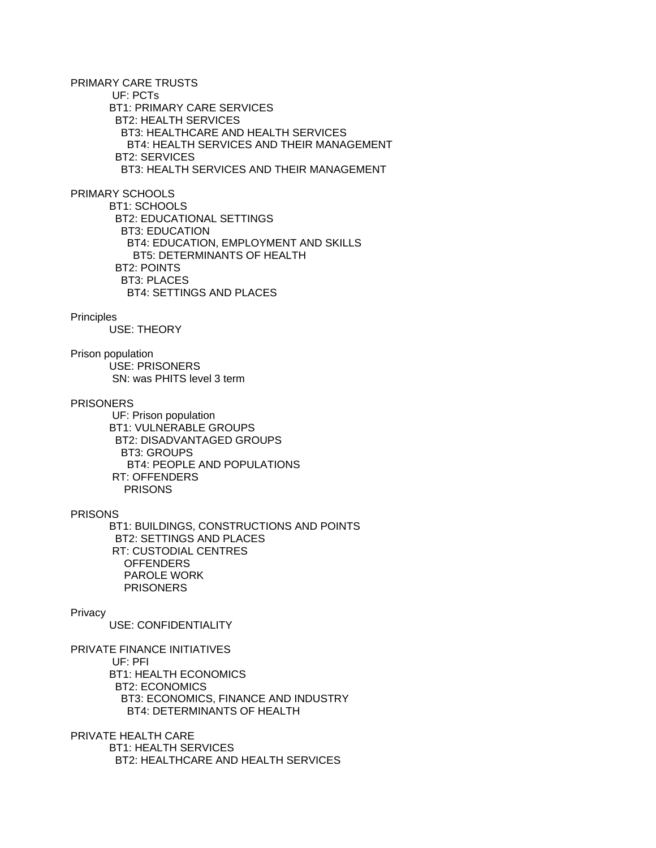PRIMARY CARE TRUSTS UF: PCTs BT1: PRIMARY CARE SERVICES BT2: HEALTH SERVICES BT3: HEALTHCARE AND HEALTH SERVICES BT4: HEALTH SERVICES AND THEIR MANAGEMENT BT2: SERVICES BT3: HEALTH SERVICES AND THEIR MANAGEMENT

PRIMARY SCHOOLS

 BT1: SCHOOLS BT2: EDUCATIONAL SETTINGS BT3: EDUCATION BT4: EDUCATION, EMPLOYMENT AND SKILLS BT5: DETERMINANTS OF HEALTH BT2: POINTS BT3: PLACES BT4: SETTINGS AND PLACES

#### **Principles**

USE: THEORY

Prison population USE: PRISONERS SN: was PHITS level 3 term

#### PRISONERS

 UF: Prison population BT1: VULNERABLE GROUPS BT2: DISADVANTAGED GROUPS BT3: GROUPS BT4: PEOPLE AND POPULATIONS RT: OFFENDERS PRISONS

## PRISONS

 BT1: BUILDINGS, CONSTRUCTIONS AND POINTS BT2: SETTINGS AND PLACES RT: CUSTODIAL CENTRES **OFFENDERS**  PAROLE WORK PRISONERS

# Privacy

USE: CONFIDENTIALITY

PRIVATE FINANCE INITIATIVES UF: PFI BT1: HEALTH ECONOMICS BT2: ECONOMICS BT3: ECONOMICS, FINANCE AND INDUSTRY BT4: DETERMINANTS OF HEALTH

PRIVATE HEALTH CARE BT1: HEALTH SERVICES BT2: HEALTHCARE AND HEALTH SERVICES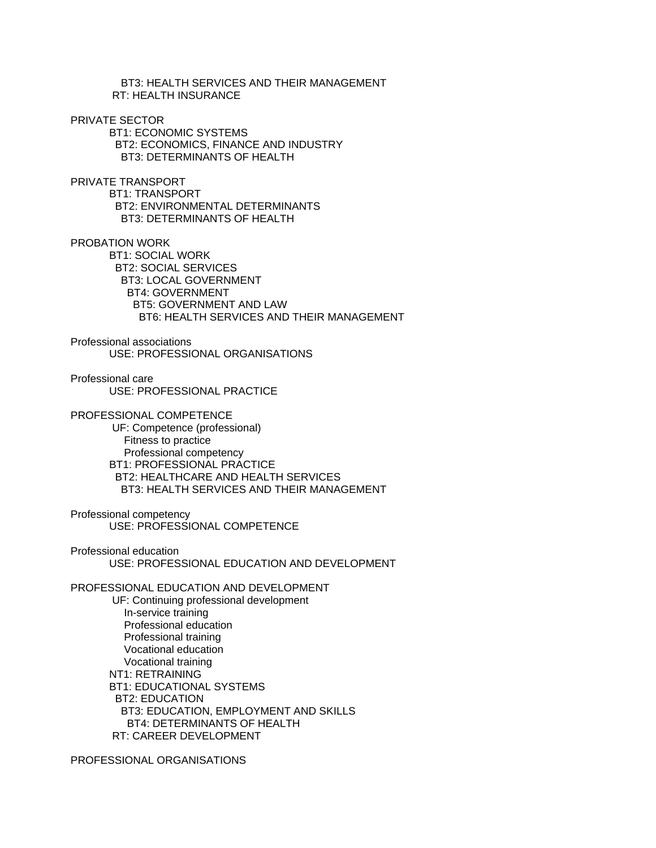BT3: HEALTH SERVICES AND THEIR MANAGEMENT RT: HEALTH INSURANCE

# PRIVATE SECTOR

 BT1: ECONOMIC SYSTEMS BT2: ECONOMICS, FINANCE AND INDUSTRY BT3: DETERMINANTS OF HEALTH

PRIVATE TRANSPORT

 BT1: TRANSPORT BT2: ENVIRONMENTAL DETERMINANTS BT3: DETERMINANTS OF HEALTH

PROBATION WORK

 BT1: SOCIAL WORK BT2: SOCIAL SERVICES BT3: LOCAL GOVERNMENT BT4: GOVERNMENT BT5: GOVERNMENT AND LAW BT6: HEALTH SERVICES AND THEIR MANAGEMENT

Professional associations USE: PROFESSIONAL ORGANISATIONS

Professional care USE: PROFESSIONAL PRACTICE

PROFESSIONAL COMPETENCE

 UF: Competence (professional) Fitness to practice Professional competency BT1: PROFESSIONAL PRACTICE BT2: HEALTHCARE AND HEALTH SERVICES BT3: HEALTH SERVICES AND THEIR MANAGEMENT

Professional competency USE: PROFESSIONAL COMPETENCE

Professional education USE: PROFESSIONAL EDUCATION AND DEVELOPMENT

PROFESSIONAL EDUCATION AND DEVELOPMENT

 UF: Continuing professional development In-service training Professional education Professional training Vocational education Vocational training NT1: RETRAINING BT1: EDUCATIONAL SYSTEMS BT2: EDUCATION BT3: EDUCATION, EMPLOYMENT AND SKILLS BT4: DETERMINANTS OF HEALTH RT: CAREER DEVELOPMENT

PROFESSIONAL ORGANISATIONS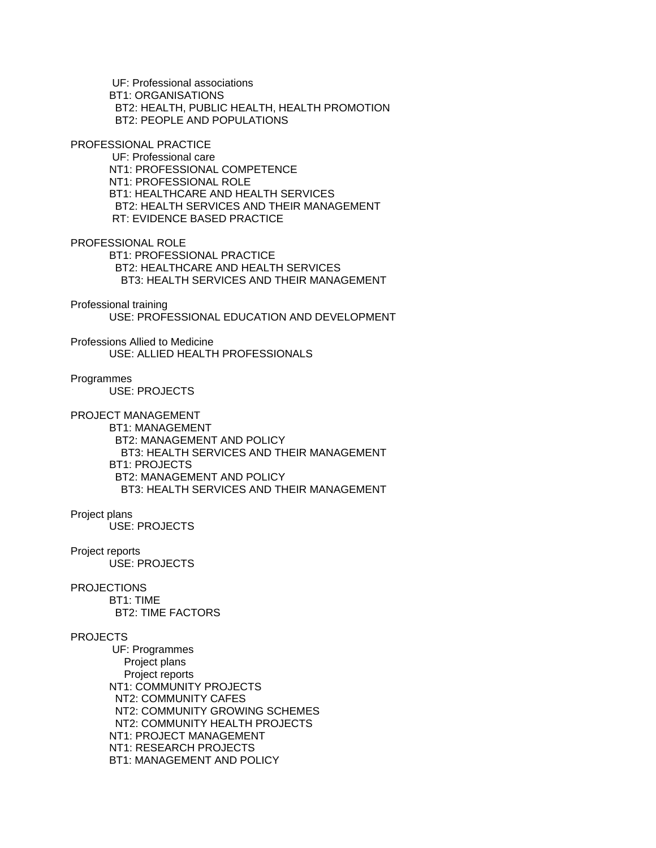UF: Professional associations BT1: ORGANISATIONS BT2: HEALTH, PUBLIC HEALTH, HEALTH PROMOTION BT2: PEOPLE AND POPULATIONS

PROFESSIONAL PRACTICE

 UF: Professional care NT1: PROFESSIONAL COMPETENCE NT1: PROFESSIONAL ROLE BT1: HEALTHCARE AND HEALTH SERVICES BT2: HEALTH SERVICES AND THEIR MANAGEMENT RT: EVIDENCE BASED PRACTICE

PROFESSIONAL ROLE

 BT1: PROFESSIONAL PRACTICE BT2: HEALTHCARE AND HEALTH SERVICES BT3: HEALTH SERVICES AND THEIR MANAGEMENT

#### Professional training

USE: PROFESSIONAL EDUCATION AND DEVELOPMENT

Professions Allied to Medicine USE: ALLIED HEALTH PROFESSIONALS

#### **Programmes**

USE: PROJECTS

# PROJECT MANAGEMENT

 BT1: MANAGEMENT BT2: MANAGEMENT AND POLICY BT3: HEALTH SERVICES AND THEIR MANAGEMENT BT1: PROJECTS BT2: MANAGEMENT AND POLICY BT3: HEALTH SERVICES AND THEIR MANAGEMENT

#### Project plans

USE: PROJECTS

## Project reports

USE: PROJECTS

# **PROJECTIONS**

 BT1: TIME BT2: TIME FACTORS

# PROJECTS

 UF: Programmes Project plans Project reports NT1: COMMUNITY PROJECTS NT2: COMMUNITY CAFES NT2: COMMUNITY GROWING SCHEMES NT2: COMMUNITY HEALTH PROJECTS NT1: PROJECT MANAGEMENT NT1: RESEARCH PROJECTS BT1: MANAGEMENT AND POLICY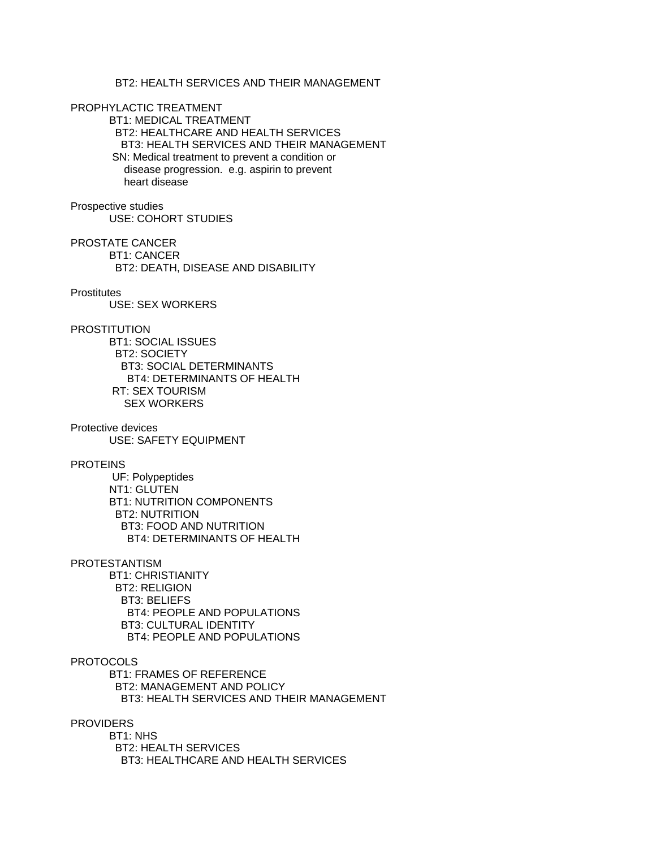# BT2: HEALTH SERVICES AND THEIR MANAGEMENT

PROPHYLACTIC TREATMENT

 BT1: MEDICAL TREATMENT BT2: HEALTHCARE AND HEALTH SERVICES BT3: HEALTH SERVICES AND THEIR MANAGEMENT SN: Medical treatment to prevent a condition or disease progression. e.g. aspirin to prevent heart disease

Prospective studies USE: COHORT STUDIES

PROSTATE CANCER BT1: CANCER BT2: DEATH, DISEASE AND DISABILITY

#### **Prostitutes**

USE: SEX WORKERS

# PROSTITUTION

 BT1: SOCIAL ISSUES BT2: SOCIETY BT3: SOCIAL DETERMINANTS BT4: DETERMINANTS OF HEALTH RT: SEX TOURISM SEX WORKERS

Protective devices USE: SAFETY EQUIPMENT

# PROTEINS

 UF: Polypeptides NT1: GLUTEN BT1: NUTRITION COMPONENTS BT2: NUTRITION BT3: FOOD AND NUTRITION BT4: DETERMINANTS OF HEALTH

# PROTESTANTISM

 BT1: CHRISTIANITY BT2: RELIGION BT3: BELIEFS BT4: PEOPLE AND POPULATIONS BT3: CULTURAL IDENTITY BT4: PEOPLE AND POPULATIONS

## **PROTOCOLS**

 BT1: FRAMES OF REFERENCE BT2: MANAGEMENT AND POLICY BT3: HEALTH SERVICES AND THEIR MANAGEMENT

#### **PROVIDERS**

 BT1: NHS BT2: HEALTH SERVICES BT3: HEALTHCARE AND HEALTH SERVICES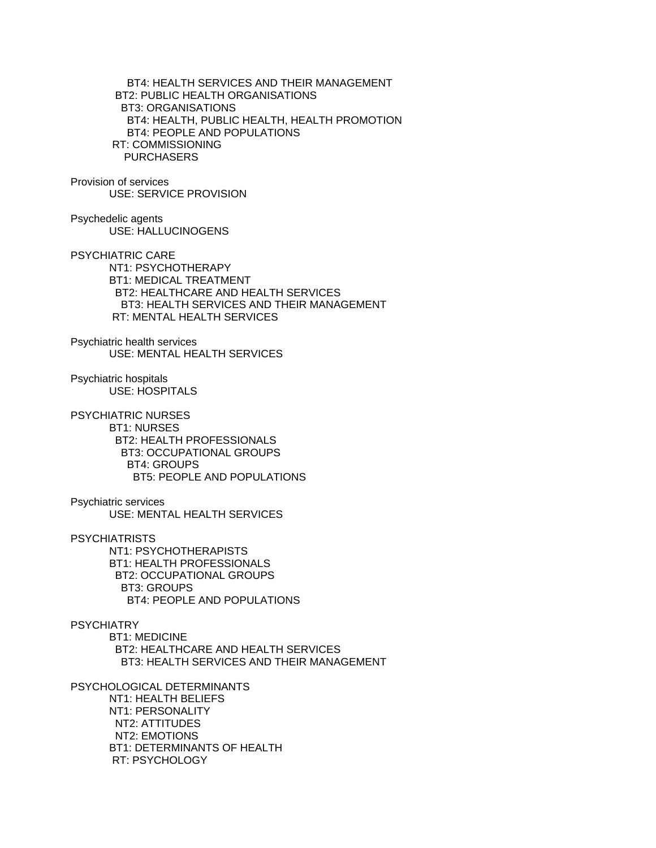BT4: HEALTH SERVICES AND THEIR MANAGEMENT BT2: PUBLIC HEALTH ORGANISATIONS BT3: ORGANISATIONS BT4: HEALTH, PUBLIC HEALTH, HEALTH PROMOTION BT4: PEOPLE AND POPULATIONS RT: COMMISSIONING PURCHASERS

Provision of services USE: SERVICE PROVISION

Psychedelic agents USE: HALLUCINOGENS

PSYCHIATRIC CARE NT1: PSYCHOTHERAPY BT1: MEDICAL TREATMENT BT2: HEALTHCARE AND HEALTH SERVICES BT3: HEALTH SERVICES AND THEIR MANAGEMENT RT: MENTAL HEALTH SERVICES

Psychiatric health services USE: MENTAL HEALTH SERVICES

Psychiatric hospitals USE: HOSPITALS

PSYCHIATRIC NURSES BT1: NURSES BT2: HEALTH PROFESSIONALS BT3: OCCUPATIONAL GROUPS BT4: GROUPS BT5: PEOPLE AND POPULATIONS

Psychiatric services USE: MENTAL HEALTH SERVICES

**PSYCHIATRISTS**  NT1: PSYCHOTHERAPISTS BT1: HEALTH PROFESSIONALS BT2: OCCUPATIONAL GROUPS BT3: GROUPS BT4: PEOPLE AND POPULATIONS

**PSYCHIATRY**  BT1: MEDICINE BT2: HEALTHCARE AND HEALTH SERVICES BT3: HEALTH SERVICES AND THEIR MANAGEMENT

PSYCHOLOGICAL DETERMINANTS NT1: HEALTH BELIEFS NT1: PERSONALITY NT2: ATTITUDES NT2: EMOTIONS BT1: DETERMINANTS OF HEALTH RT: PSYCHOLOGY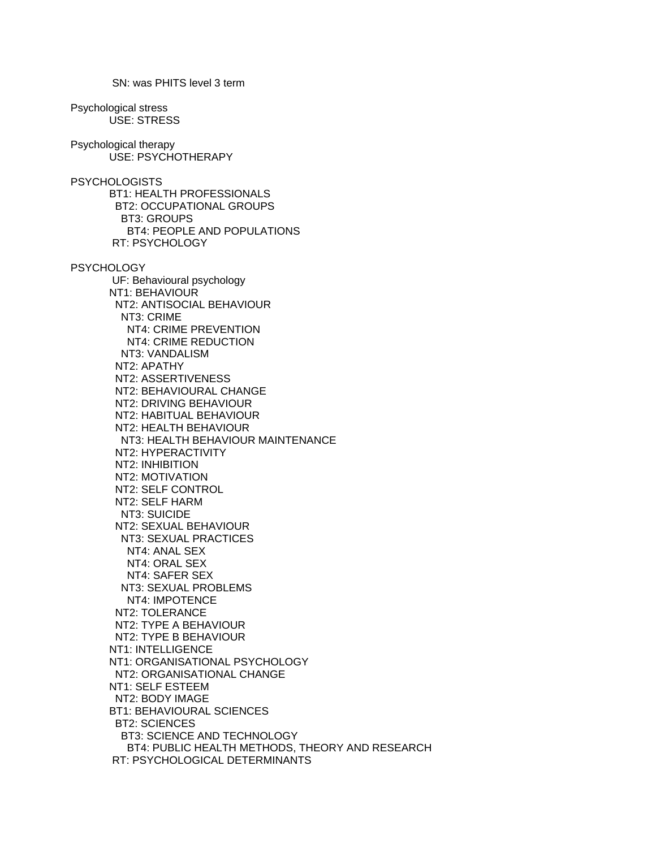Psychological stress USE: STRESS Psychological therapy USE: PSYCHOTHERAPY **PSYCHOLOGISTS**  BT1: HEALTH PROFESSIONALS BT2: OCCUPATIONAL GROUPS BT3: GROUPS BT4: PEOPLE AND POPULATIONS RT: PSYCHOLOGY **PSYCHOLOGY**  UF: Behavioural psychology NT1: BEHAVIOUR NT2: ANTISOCIAL BEHAVIOUR NT3: CRIME NT4: CRIME PREVENTION NT4: CRIME REDUCTION NT3: VANDALISM NT2: APATHY NT2: ASSERTIVENESS NT2: BEHAVIOURAL CHANGE NT2: DRIVING BEHAVIOUR NT2: HABITUAL BEHAVIOUR NT2: HEALTH BEHAVIOUR NT3: HEALTH BEHAVIOUR MAINTENANCE NT2: HYPERACTIVITY NT2: INHIBITION NT2: MOTIVATION NT2: SELF CONTROL NT2: SELF HARM NT3: SUICIDE NT2: SEXUAL BEHAVIOUR NT3: SEXUAL PRACTICES NT4: ANAL SEX NT4: ORAL SEX NT4: SAFER SEX NT3: SEXUAL PROBLEMS NT4: IMPOTENCE NT2: TOLERANCE NT2: TYPE A BEHAVIOUR NT2: TYPE B BEHAVIOUR NT1: INTELLIGENCE NT1: ORGANISATIONAL PSYCHOLOGY NT2: ORGANISATIONAL CHANGE NT1: SELF ESTEEM NT2: BODY IMAGE BT1: BEHAVIOURAL SCIENCES BT2: SCIENCES BT3: SCIENCE AND TECHNOLOGY BT4: PUBLIC HEALTH METHODS, THEORY AND RESEARCH RT: PSYCHOLOGICAL DETERMINANTS

SN: was PHITS level 3 term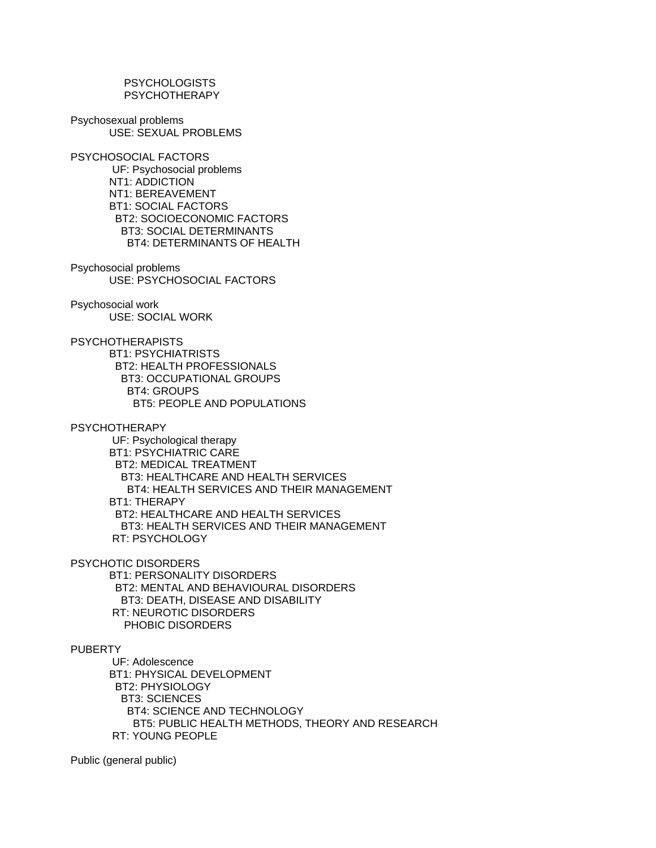**PSYCHOLOGISTS** PSYCHOTHERAPY

Psychosexual problems USE: SEXUAL PROBLEMS

PSYCHOSOCIAL FACTORS UF: Psychosocial problems NT1: ADDICTION NT1: BEREAVEMENT BT1: SOCIAL FACTORS BT2: SOCIOECONOMIC FACTORS BT3: SOCIAL DETERMINANTS BT4: DETERMINANTS OF HEALTH

Psychosocial problems USE: PSYCHOSOCIAL FACTORS

Psychosocial work USE: SOCIAL WORK

**PSYCHOTHERAPISTS**  BT1: PSYCHIATRISTS BT2: HEALTH PROFESSIONALS BT3: OCCUPATIONAL GROUPS BT4: GROUPS BT5: PEOPLE AND POPULATIONS

PSYCHOTHERAPY

 UF: Psychological therapy BT1: PSYCHIATRIC CARE BT2: MEDICAL TREATMENT BT3: HEALTHCARE AND HEALTH SERVICES BT4: HEALTH SERVICES AND THEIR MANAGEMENT BT1: THERAPY BT2: HEALTHCARE AND HEALTH SERVICES BT3: HEALTH SERVICES AND THEIR MANAGEMENT RT: PSYCHOLOGY

PSYCHOTIC DISORDERS

 BT1: PERSONALITY DISORDERS BT2: MENTAL AND BEHAVIOURAL DISORDERS BT3: DEATH, DISEASE AND DISABILITY RT: NEUROTIC DISORDERS PHOBIC DISORDERS

PUBERTY

 UF: Adolescence BT1: PHYSICAL DEVELOPMENT BT2: PHYSIOLOGY BT3: SCIENCES BT4: SCIENCE AND TECHNOLOGY BT5: PUBLIC HEALTH METHODS, THEORY AND RESEARCH RT: YOUNG PEOPLE

Public (general public)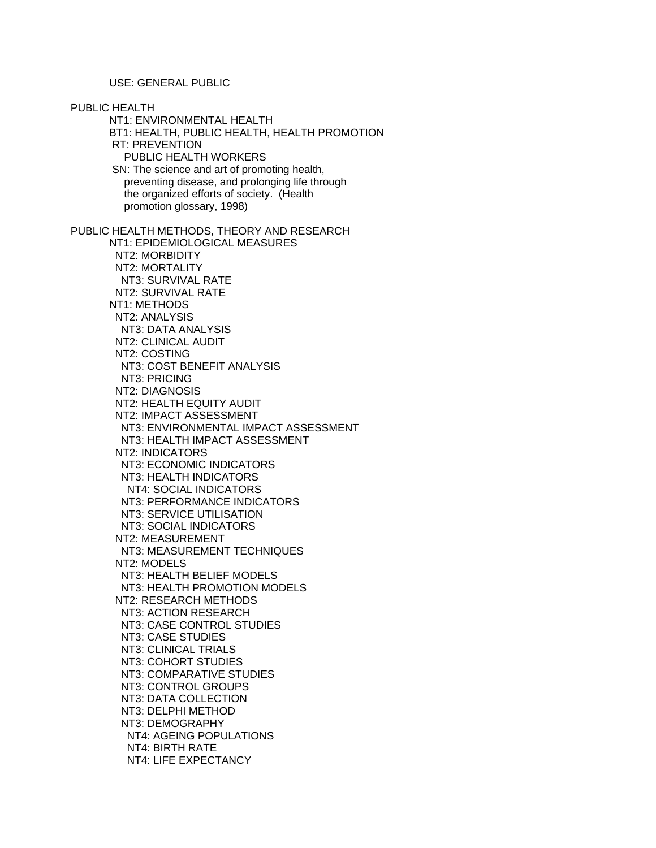USE: GENERAL PUBLIC

PUBLIC HEALTH NT1: ENVIRONMENTAL HEALTH BT1: HEALTH, PUBLIC HEALTH, HEALTH PROMOTION RT: PREVENTION PUBLIC HEALTH WORKERS SN: The science and art of promoting health, preventing disease, and prolonging life through the organized efforts of society. (Health promotion glossary, 1998) PUBLIC HEALTH METHODS, THEORY AND RESEARCH NT1: EPIDEMIOLOGICAL MEASURES NT2: MORBIDITY NT2: MORTALITY NT3: SURVIVAL RATE NT2: SURVIVAL RATE NT1: METHODS NT2: ANALYSIS NT3: DATA ANALYSIS NT2: CLINICAL AUDIT NT2: COSTING NT3: COST BENEFIT ANALYSIS NT3: PRICING NT2: DIAGNOSIS NT2: HEALTH EQUITY AUDIT NT2: IMPACT ASSESSMENT NT3: ENVIRONMENTAL IMPACT ASSESSMENT NT3: HEALTH IMPACT ASSESSMENT NT2: INDICATORS NT3: ECONOMIC INDICATORS NT3: HEALTH INDICATORS NT4: SOCIAL INDICATORS NT3: PERFORMANCE INDICATORS NT3: SERVICE UTILISATION NT3: SOCIAL INDICATORS NT2: MEASUREMENT NT3: MEASUREMENT TECHNIQUES NT2: MODELS NT3: HEALTH BELIEF MODELS NT3: HEALTH PROMOTION MODELS NT2: RESEARCH METHODS NT3: ACTION RESEARCH NT3: CASE CONTROL STUDIES NT3: CASE STUDIES NT3: CLINICAL TRIALS NT3: COHORT STUDIES NT3: COMPARATIVE STUDIES NT3: CONTROL GROUPS NT3: DATA COLLECTION NT3: DELPHI METHOD NT3: DEMOGRAPHY NT4: AGEING POPULATIONS NT4: BIRTH RATE NT4: LIFE EXPECTANCY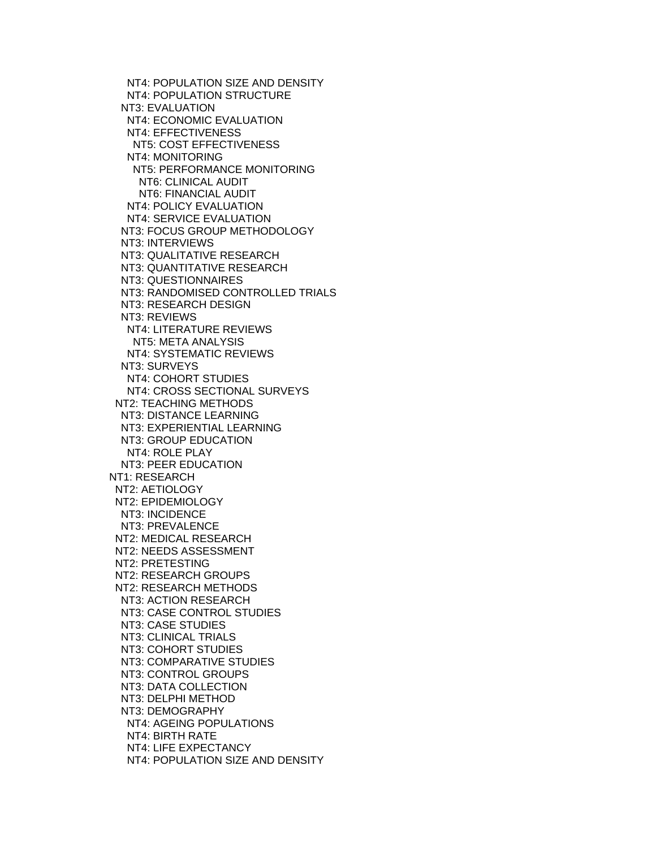NT4: POPULATION SIZE AND DENSITY NT4: POPULATION STRUCTURE NT3: EVALUATION NT4: ECONOMIC EVALUATION NT4: EFFECTIVENESS NT5: COST EFFECTIVENESS NT4: MONITORING NT5: PERFORMANCE MONITORING NT6: CLINICAL AUDIT NT6: FINANCIAL AUDIT NT4: POLICY EVALUATION NT4: SERVICE EVALUATION NT3: FOCUS GROUP METHODOLOGY NT3: INTERVIEWS NT3: QUALITATIVE RESEARCH NT3: QUANTITATIVE RESEARCH NT3: QUESTIONNAIRES NT3: RANDOMISED CONTROLLED TRIALS NT3: RESEARCH DESIGN NT3: REVIEWS NT4: LITERATURE REVIEWS NT5: META ANALYSIS NT4: SYSTEMATIC REVIEWS NT3: SURVEYS NT4: COHORT STUDIES NT4: CROSS SECTIONAL SURVEYS NT2: TEACHING METHODS NT3: DISTANCE LEARNING NT3: EXPERIENTIAL LEARNING NT3: GROUP EDUCATION NT4: ROLE PLAY NT3: PEER EDUCATION NT1: RESEARCH NT2: AETIOLOGY NT2: EPIDEMIOLOGY NT3: INCIDENCE NT3: PREVALENCE NT2: MEDICAL RESEARCH NT2: NEEDS ASSESSMENT NT2: PRETESTING NT2: RESEARCH GROUPS NT2: RESEARCH METHODS NT3: ACTION RESEARCH NT3: CASE CONTROL STUDIES NT3: CASE STUDIES NT3: CLINICAL TRIALS NT3: COHORT STUDIES NT3: COMPARATIVE STUDIES NT3: CONTROL GROUPS NT3: DATA COLLECTION NT3: DELPHI METHOD NT3: DEMOGRAPHY NT4: AGEING POPULATIONS NT4: BIRTH RATE NT4: LIFE EXPECTANCY NT4: POPULATION SIZE AND DENSITY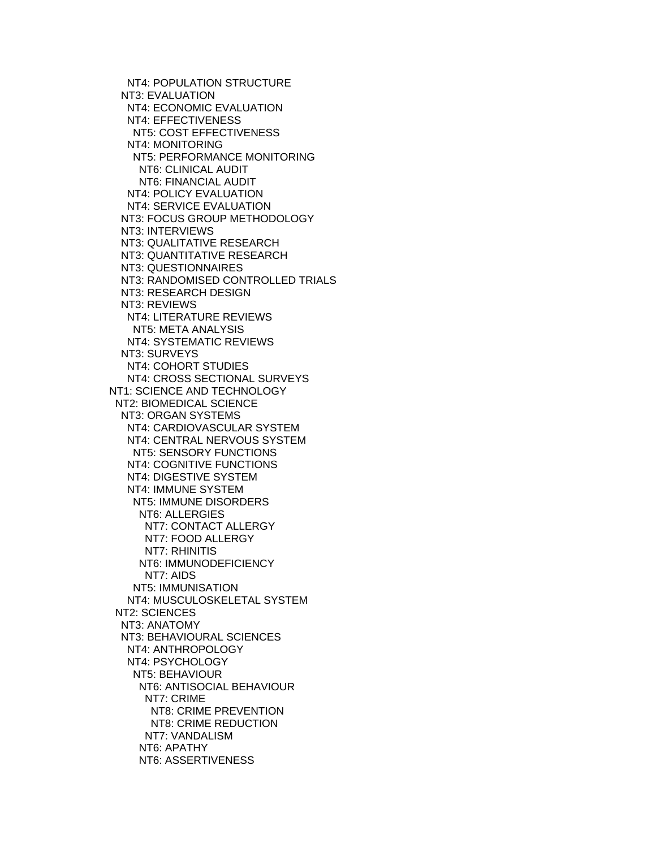NT4: POPULATION STRUCTURE NT3: EVALUATION NT4: ECONOMIC EVALUATION NT4: EFFECTIVENESS NT5: COST EFFECTIVENESS NT4: MONITORING NT5: PERFORMANCE MONITORING NT6: CLINICAL AUDIT NT6: FINANCIAL AUDIT NT4: POLICY EVALUATION NT4: SERVICE EVALUATION NT3: FOCUS GROUP METHODOLOGY NT3: INTERVIEWS NT3: QUALITATIVE RESEARCH NT3: QUANTITATIVE RESEARCH NT3: QUESTIONNAIRES NT3: RANDOMISED CONTROLLED TRIALS NT3: RESEARCH DESIGN NT3: REVIEWS NT4: LITERATURE REVIEWS NT5: META ANALYSIS NT4: SYSTEMATIC REVIEWS NT3: SURVEYS NT4: COHORT STUDIES NT4: CROSS SECTIONAL SURVEYS NT1: SCIENCE AND TECHNOLOGY NT2: BIOMEDICAL SCIENCE NT3: ORGAN SYSTEMS NT4: CARDIOVASCULAR SYSTEM NT4: CENTRAL NERVOUS SYSTEM NT5: SENSORY FUNCTIONS NT4: COGNITIVE FUNCTIONS NT4: DIGESTIVE SYSTEM NT4: IMMUNE SYSTEM NT5: IMMUNE DISORDERS NT6: ALLERGIES NT7: CONTACT ALLERGY NT7: FOOD ALLERGY NT7: RHINITIS NT6: IMMUNODEFICIENCY NT7: AIDS NT5: IMMUNISATION NT4: MUSCULOSKELETAL SYSTEM NT2: SCIENCES NT3: ANATOMY NT3: BEHAVIOURAL SCIENCES NT4: ANTHROPOLOGY NT4: PSYCHOLOGY NT5: BEHAVIOUR NT6: ANTISOCIAL BEHAVIOUR NT7: CRIME NT8: CRIME PREVENTION NT8: CRIME REDUCTION NT7: VANDALISM NT6: APATHY NT6: ASSERTIVENESS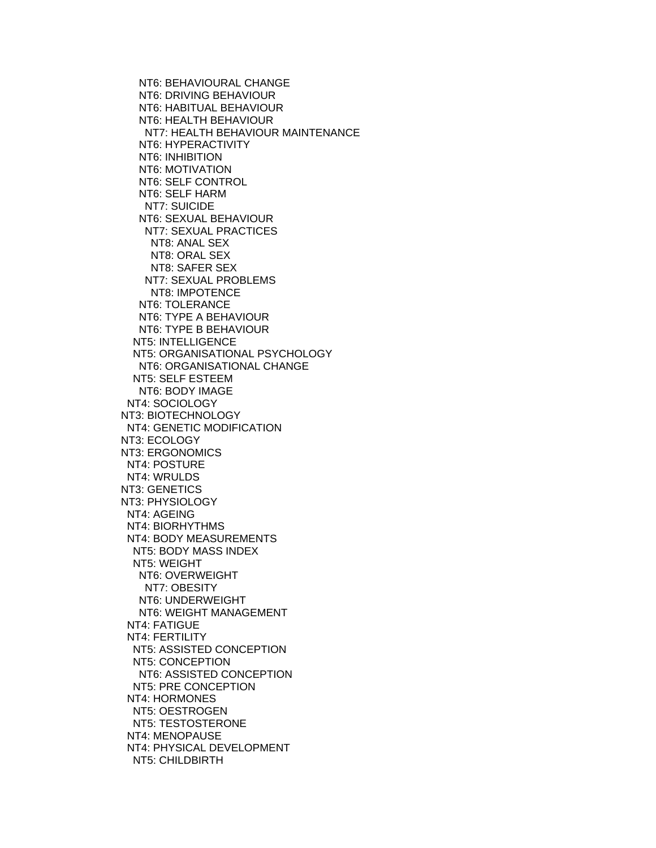NT6: BEHAVIOURAL CHANGE NT6: DRIVING BEHAVIOUR NT6: HABITUAL BEHAVIOUR NT6: HEALTH BEHAVIOUR NT7: HEALTH BEHAVIOUR MAINTENANCE NT6: HYPERACTIVITY NT6: INHIBITION NT6: MOTIVATION NT6: SELF CONTROL NT6: SELF HARM NT7: SUICIDE NT6: SEXUAL BEHAVIOUR NT7: SEXUAL PRACTICES NT8: ANAL SEX NT8: ORAL SEX NT8: SAFER SEX NT7: SEXUAL PROBLEMS NT8: IMPOTENCE NT6: TOLERANCE NT6: TYPE A BEHAVIOUR NT6: TYPE B BEHAVIOUR NT5: INTELLIGENCE NT5: ORGANISATIONAL PSYCHOLOGY NT6: ORGANISATIONAL CHANGE NT5: SELF ESTEEM NT6: BODY IMAGE NT4: SOCIOLOGY NT3: BIOTECHNOLOGY NT4: GENETIC MODIFICATION NT3: ECOLOGY NT3: ERGONOMICS NT4: POSTURE NT4: WRULDS NT3: GENETICS NT3: PHYSIOLOGY NT4: AGEING NT4: BIORHYTHMS NT4: BODY MEASUREMENTS NT5: BODY MASS INDEX NT5: WEIGHT NT6: OVERWEIGHT NT7: OBESITY NT6: UNDERWEIGHT NT6: WEIGHT MANAGEMENT NT4: FATIGUE NT4: FERTILITY NT5: ASSISTED CONCEPTION NT5: CONCEPTION NT6: ASSISTED CONCEPTION NT5: PRE CONCEPTION NT4: HORMONES NT5: OESTROGEN NT5: TESTOSTERONE NT4: MENOPAUSE NT4: PHYSICAL DEVELOPMENT NT5: CHILDBIRTH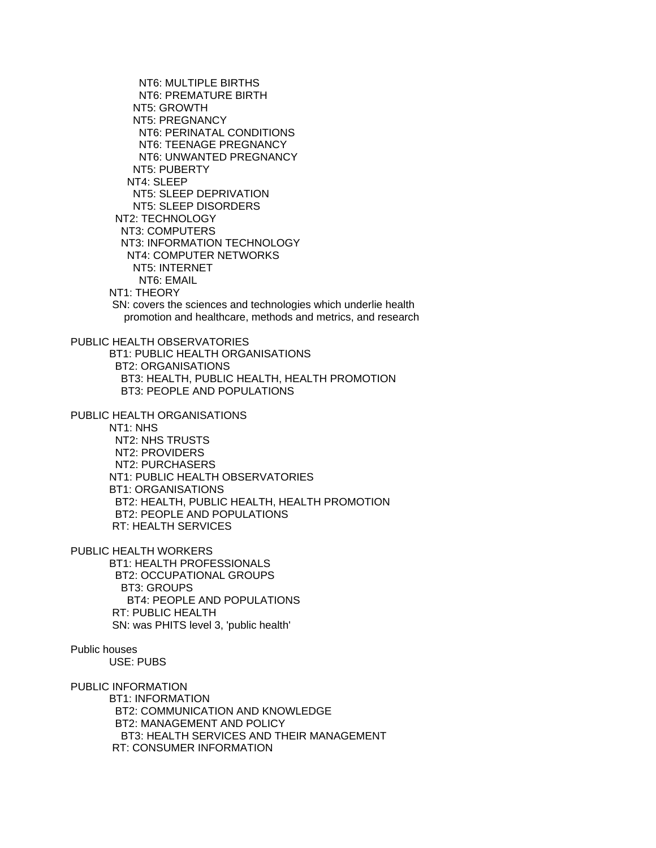NT6: MULTIPLE BIRTHS NT6: PREMATURE BIRTH NT5: GROWTH NT5: PREGNANCY NT6: PERINATAL CONDITIONS NT6: TEENAGE PREGNANCY NT6: UNWANTED PREGNANCY NT5: PUBERTY NT4: SLEEP NT5: SLEEP DEPRIVATION NT5: SLEEP DISORDERS NT2: TECHNOLOGY NT3: COMPUTERS NT3: INFORMATION TECHNOLOGY NT4: COMPUTER NETWORKS NT5: INTERNET NT6: EMAIL NT1: THEORY SN: covers the sciences and technologies which underlie health promotion and healthcare, methods and metrics, and research PUBLIC HEALTH OBSERVATORIES BT1: PUBLIC HEALTH ORGANISATIONS BT2: ORGANISATIONS BT3: HEALTH, PUBLIC HEALTH, HEALTH PROMOTION BT3: PEOPLE AND POPULATIONS PUBLIC HEALTH ORGANISATIONS NT1: NHS NT2: NHS TRUSTS NT2: PROVIDERS NT2: PURCHASERS NT1: PUBLIC HEALTH OBSERVATORIES BT1: ORGANISATIONS BT2: HEALTH, PUBLIC HEALTH, HEALTH PROMOTION BT2: PEOPLE AND POPULATIONS RT: HEALTH SERVICES PUBLIC HEALTH WORKERS BT1: HEALTH PROFESSIONALS BT2: OCCUPATIONAL GROUPS BT3: GROUPS BT4: PEOPLE AND POPULATIONS RT: PUBLIC HEALTH SN: was PHITS level 3, 'public health' Public houses USE: PUBS PUBLIC INFORMATION BT1: INFORMATION BT2: COMMUNICATION AND KNOWLEDGE BT2: MANAGEMENT AND POLICY

 BT3: HEALTH SERVICES AND THEIR MANAGEMENT RT: CONSUMER INFORMATION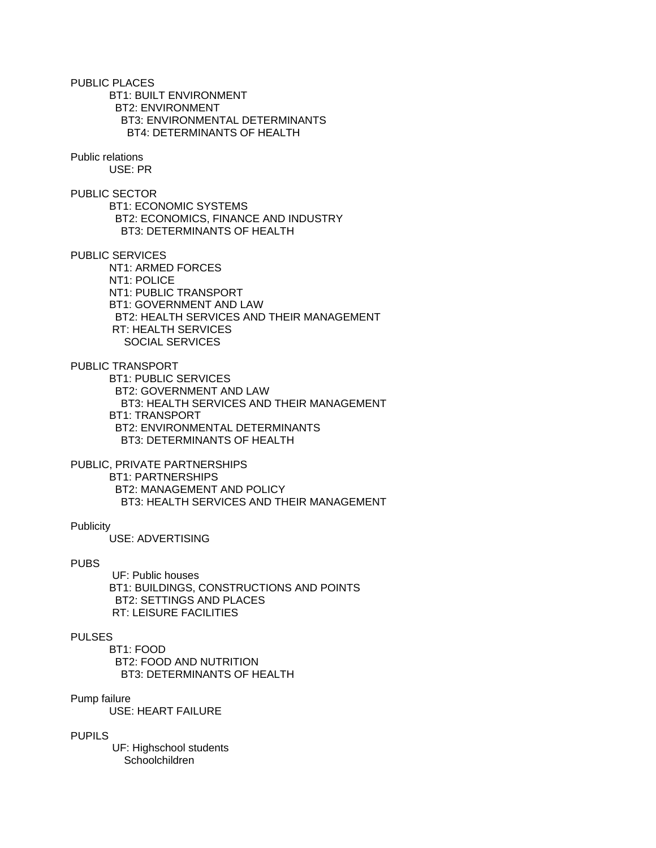PUBLIC PLACES BT1: BUILT ENVIRONMENT BT2: ENVIRONMENT BT3: ENVIRONMENTAL DETERMINANTS BT4: DETERMINANTS OF HEALTH

Public relations USE: PR

PUBLIC SECTOR BT1: ECONOMIC SYSTEMS BT2: ECONOMICS, FINANCE AND INDUSTRY BT3: DETERMINANTS OF HEALTH

PUBLIC SERVICES NT1: ARMED FORCES NT1: POLICE NT1: PUBLIC TRANSPORT BT1: GOVERNMENT AND LAW BT2: HEALTH SERVICES AND THEIR MANAGEMENT RT: HEALTH SERVICES SOCIAL SERVICES

PUBLIC TRANSPORT

 BT1: PUBLIC SERVICES BT2: GOVERNMENT AND LAW BT3: HEALTH SERVICES AND THEIR MANAGEMENT BT1: TRANSPORT BT2: ENVIRONMENTAL DETERMINANTS BT3: DETERMINANTS OF HEALTH

PUBLIC, PRIVATE PARTNERSHIPS BT1: PARTNERSHIPS BT2: MANAGEMENT AND POLICY BT3: HEALTH SERVICES AND THEIR MANAGEMENT

# **Publicity**

USE: ADVERTISING

### PUBS

 UF: Public houses BT1: BUILDINGS, CONSTRUCTIONS AND POINTS BT2: SETTINGS AND PLACES RT: LEISURE FACILITIES

# PULSES

 BT1: FOOD BT2: FOOD AND NUTRITION BT3: DETERMINANTS OF HEALTH

## Pump failure

USE: HEART FAILURE

## PUPILS

 UF: Highschool students Schoolchildren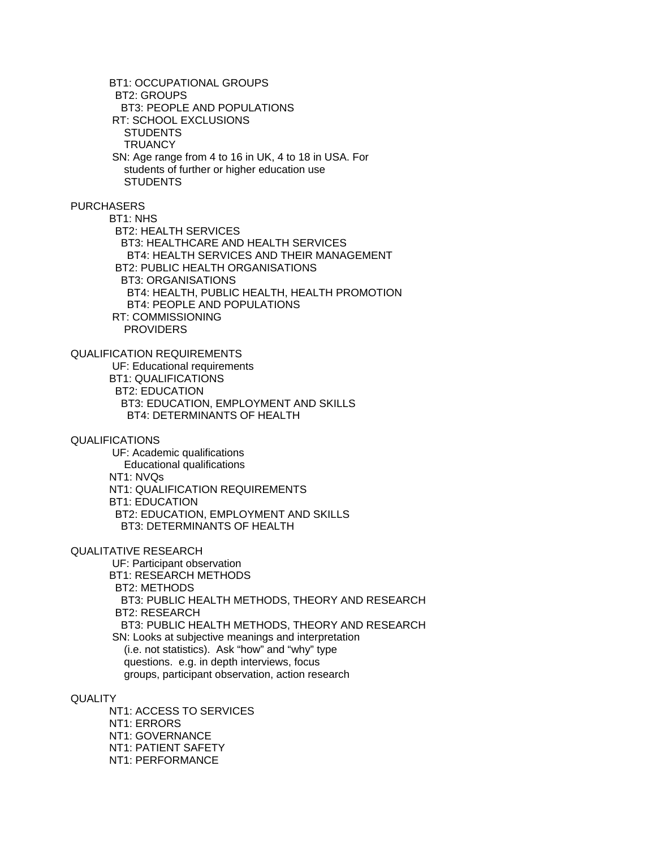BT1: OCCUPATIONAL GROUPS BT2: GROUPS BT3: PEOPLE AND POPULATIONS RT: SCHOOL EXCLUSIONS STUDENTS **TRUANCY**  SN: Age range from 4 to 16 in UK, 4 to 18 in USA. For students of further or higher education use **STUDENTS** PURCHASERS BT1: NHS BT2: HEALTH SERVICES BT3: HEALTHCARE AND HEALTH SERVICES BT4: HEALTH SERVICES AND THEIR MANAGEMENT BT2: PUBLIC HEALTH ORGANISATIONS BT3: ORGANISATIONS BT4: HEALTH, PUBLIC HEALTH, HEALTH PROMOTION BT4: PEOPLE AND POPULATIONS RT: COMMISSIONING **PROVIDERS** QUALIFICATION REQUIREMENTS UF: Educational requirements BT1: QUALIFICATIONS BT2: EDUCATION BT3: EDUCATION, EMPLOYMENT AND SKILLS BT4: DETERMINANTS OF HEALTH QUALIFICATIONS UF: Academic qualifications Educational qualifications NT1: NVQs NT1: QUALIFICATION REQUIREMENTS BT1: EDUCATION BT2: EDUCATION, EMPLOYMENT AND SKILLS BT3: DETERMINANTS OF HEALTH QUALITATIVE RESEARCH UF: Participant observation BT1: RESEARCH METHODS BT2: METHODS BT3: PUBLIC HEALTH METHODS, THEORY AND RESEARCH BT2: RESEARCH BT3: PUBLIC HEALTH METHODS, THEORY AND RESEARCH SN: Looks at subjective meanings and interpretation (i.e. not statistics). Ask "how" and "why" type questions. e.g. in depth interviews, focus groups, participant observation, action research

**QUALITY** 

 NT1: ACCESS TO SERVICES NT1: ERRORS NT1: GOVERNANCE NT1: PATIENT SAFETY NT1: PERFORMANCE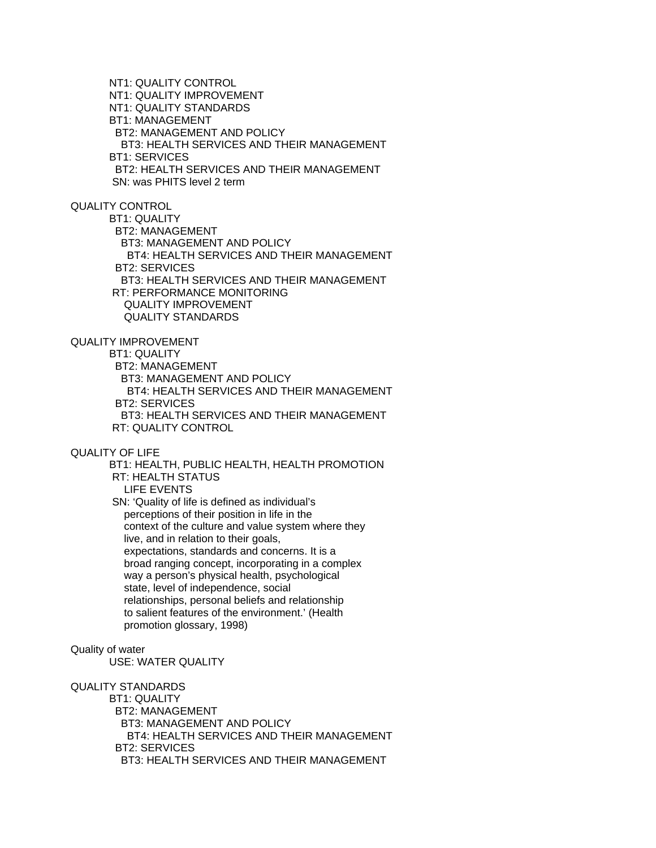NT1: QUALITY CONTROL NT1: QUALITY IMPROVEMENT NT1: QUALITY STANDARDS BT1: MANAGEMENT BT2: MANAGEMENT AND POLICY BT3: HEALTH SERVICES AND THEIR MANAGEMENT BT1: SERVICES BT2: HEALTH SERVICES AND THEIR MANAGEMENT SN: was PHITS level 2 term

# QUALITY CONTROL

 BT1: QUALITY BT2: MANAGEMENT BT3: MANAGEMENT AND POLICY BT4: HEALTH SERVICES AND THEIR MANAGEMENT BT2: SERVICES BT3: HEALTH SERVICES AND THEIR MANAGEMENT RT: PERFORMANCE MONITORING QUALITY IMPROVEMENT QUALITY STANDARDS

# QUALITY IMPROVEMENT

BT1: QUALITY

BT2: MANAGEMENT

BT3: MANAGEMENT AND POLICY

 BT4: HEALTH SERVICES AND THEIR MANAGEMENT BT2: SERVICES BT3: HEALTH SERVICES AND THEIR MANAGEMENT

RT: QUALITY CONTROL

### QUALITY OF LIFE

 BT1: HEALTH, PUBLIC HEALTH, HEALTH PROMOTION RT: HEALTH STATUS LIFE EVENTS

 SN: 'Quality of life is defined as individual's perceptions of their position in life in the context of the culture and value system where they live, and in relation to their goals, expectations, standards and concerns. It is a broad ranging concept, incorporating in a complex way a person's physical health, psychological state, level of independence, social relationships, personal beliefs and relationship to salient features of the environment.' (Health promotion glossary, 1998)

# Quality of water

USE: WATER QUALITY

#### QUALITY STANDARDS

 BT1: QUALITY BT2: MANAGEMENT BT3: MANAGEMENT AND POLICY BT4: HEALTH SERVICES AND THEIR MANAGEMENT BT2: SERVICES BT3: HEALTH SERVICES AND THEIR MANAGEMENT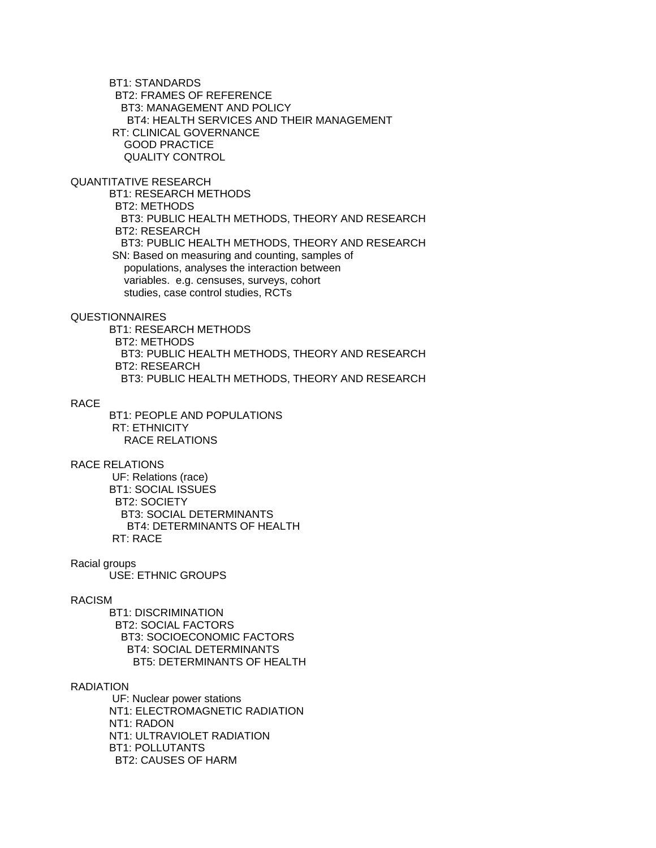BT1: STANDARDS BT2: FRAMES OF REFERENCE BT3: MANAGEMENT AND POLICY BT4: HEALTH SERVICES AND THEIR MANAGEMENT RT: CLINICAL GOVERNANCE GOOD PRACTICE QUALITY CONTROL

# QUANTITATIVE RESEARCH

 BT1: RESEARCH METHODS BT2: METHODS BT3: PUBLIC HEALTH METHODS, THEORY AND RESEARCH BT2: RESEARCH BT3: PUBLIC HEALTH METHODS, THEORY AND RESEARCH SN: Based on measuring and counting, samples of populations, analyses the interaction between variables. e.g. censuses, surveys, cohort studies, case control studies, RCTs

## QUESTIONNAIRES

 BT1: RESEARCH METHODS BT2: METHODS BT3: PUBLIC HEALTH METHODS, THEORY AND RESEARCH BT2: RESEARCH BT3: PUBLIC HEALTH METHODS, THEORY AND RESEARCH

## RACE

 BT1: PEOPLE AND POPULATIONS RT: ETHNICITY RACE RELATIONS

## RACE RELATIONS

 UF: Relations (race) BT1: SOCIAL ISSUES BT2: SOCIETY BT3: SOCIAL DETERMINANTS BT4: DETERMINANTS OF HEALTH RT: RACE

#### Racial groups

USE: ETHNIC GROUPS

# RACISM

 BT1: DISCRIMINATION BT2: SOCIAL FACTORS BT3: SOCIOECONOMIC FACTORS BT4: SOCIAL DETERMINANTS BT5: DETERMINANTS OF HEALTH

#### RADIATION

 UF: Nuclear power stations NT1: ELECTROMAGNETIC RADIATION NT1: RADON NT1: ULTRAVIOLET RADIATION BT1: POLLUTANTS BT2: CAUSES OF HARM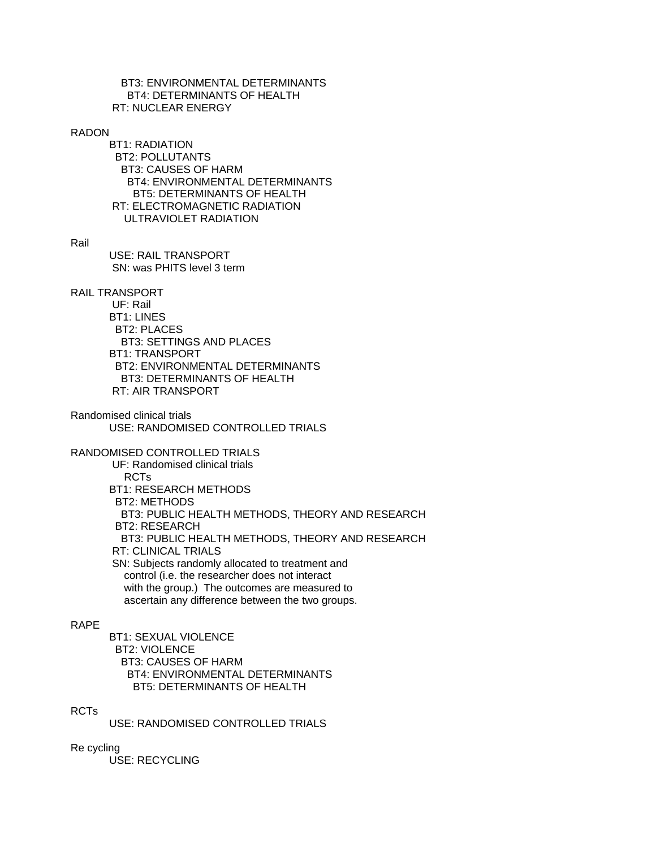## BT3: ENVIRONMENTAL DETERMINANTS BT4: DETERMINANTS OF HEALTH RT: NUCLEAR ENERGY

### RADON

 BT1: RADIATION BT2: POLLUTANTS BT3: CAUSES OF HARM BT4: ENVIRONMENTAL DETERMINANTS BT5: DETERMINANTS OF HEALTH RT: ELECTROMAGNETIC RADIATION ULTRAVIOLET RADIATION

### Rail

 USE: RAIL TRANSPORT SN: was PHITS level 3 term

## RAIL TRANSPORT

 UF: Rail BT1: LINES BT2: PLACES BT3: SETTINGS AND PLACES BT1: TRANSPORT BT2: ENVIRONMENTAL DETERMINANTS BT3: DETERMINANTS OF HEALTH RT: AIR TRANSPORT

Randomised clinical trials USE: RANDOMISED CONTROLLED TRIALS

# RANDOMISED CONTROLLED TRIALS

 UF: Randomised clinical trials RCTs BT1: RESEARCH METHODS BT2: METHODS BT3: PUBLIC HEALTH METHODS, THEORY AND RESEARCH BT2: RESEARCH BT3: PUBLIC HEALTH METHODS, THEORY AND RESEARCH RT: CLINICAL TRIALS SN: Subjects randomly allocated to treatment and control (i.e. the researcher does not interact with the group.) The outcomes are measured to ascertain any difference between the two groups.

## RAPE

 BT1: SEXUAL VIOLENCE BT2: VIOLENCE BT3: CAUSES OF HARM BT4: ENVIRONMENTAL DETERMINANTS BT5: DETERMINANTS OF HEALTH

# RCTs

USE: RANDOMISED CONTROLLED TRIALS

## Re cycling

USE: RECYCLING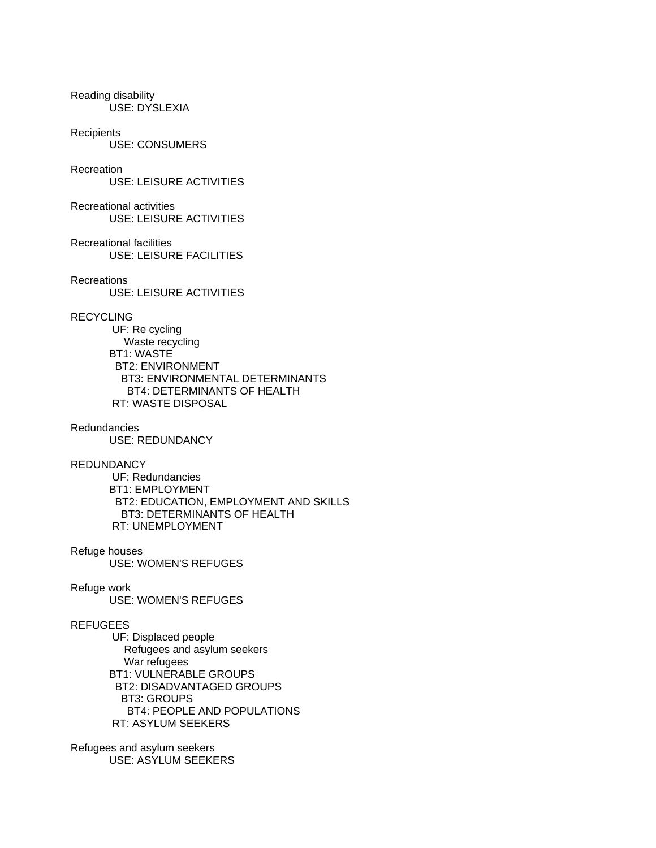Reading disability USE: DYSLEXIA

**Recipients** 

USE: CONSUMERS

## Recreation

USE: LEISURE ACTIVITIES

Recreational activities USE: LEISURE ACTIVITIES

Recreational facilities

USE: LEISURE FACILITIES

Recreations

USE: LEISURE ACTIVITIES

# RECYCLING

 UF: Re cycling Waste recycling BT1: WASTE BT2: ENVIRONMENT BT3: ENVIRONMENTAL DETERMINANTS BT4: DETERMINANTS OF HEALTH RT: WASTE DISPOSAL

# Redundancies

USE: REDUNDANCY

**REDUNDANCY** 

 UF: Redundancies BT1: EMPLOYMENT BT2: EDUCATION, EMPLOYMENT AND SKILLS BT3: DETERMINANTS OF HEALTH RT: UNEMPLOYMENT

Refuge houses

USE: WOMEN'S REFUGES

## Refuge work

USE: WOMEN'S REFUGES

# REFUGEES

 UF: Displaced people Refugees and asylum seekers War refugees BT1: VULNERABLE GROUPS BT2: DISADVANTAGED GROUPS BT3: GROUPS BT4: PEOPLE AND POPULATIONS RT: ASYLUM SEEKERS

Refugees and asylum seekers USE: ASYLUM SEEKERS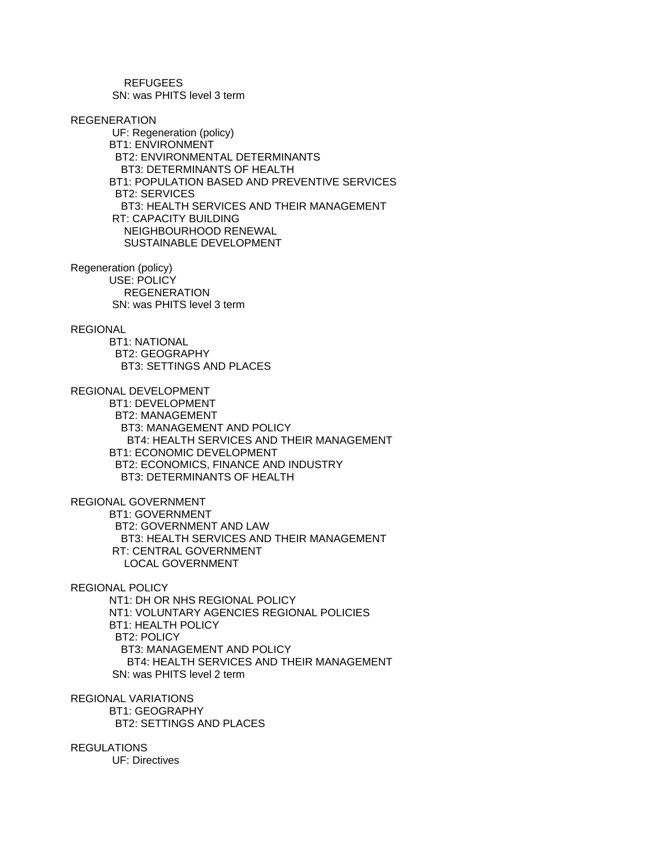REFUGEES SN: was PHITS level 3 term

## REGENERATION

 UF: Regeneration (policy) BT1: ENVIRONMENT BT2: ENVIRONMENTAL DETERMINANTS BT3: DETERMINANTS OF HEALTH BT1: POPULATION BASED AND PREVENTIVE SERVICES BT2: SERVICES BT3: HEALTH SERVICES AND THEIR MANAGEMENT RT: CAPACITY BUILDING NEIGHBOURHOOD RENEWAL SUSTAINABLE DEVELOPMENT

Regeneration (policy) USE: POLICY REGENERATION SN: was PHITS level 3 term

## REGIONAL

 BT1: NATIONAL BT2: GEOGRAPHY BT3: SETTINGS AND PLACES

REGIONAL DEVELOPMENT

 BT1: DEVELOPMENT BT2: MANAGEMENT BT3: MANAGEMENT AND POLICY BT4: HEALTH SERVICES AND THEIR MANAGEMENT BT1: ECONOMIC DEVELOPMENT BT2: ECONOMICS, FINANCE AND INDUSTRY BT3: DETERMINANTS OF HEALTH

REGIONAL GOVERNMENT

 BT1: GOVERNMENT BT2: GOVERNMENT AND LAW BT3: HEALTH SERVICES AND THEIR MANAGEMENT RT: CENTRAL GOVERNMENT LOCAL GOVERNMENT

REGIONAL POLICY

 NT1: DH OR NHS REGIONAL POLICY NT1: VOLUNTARY AGENCIES REGIONAL POLICIES BT1: HEALTH POLICY BT2: POLICY BT3: MANAGEMENT AND POLICY BT4: HEALTH SERVICES AND THEIR MANAGEMENT SN: was PHITS level 2 term

REGIONAL VARIATIONS BT1: GEOGRAPHY BT2: SETTINGS AND PLACES

REGULATIONS UF: Directives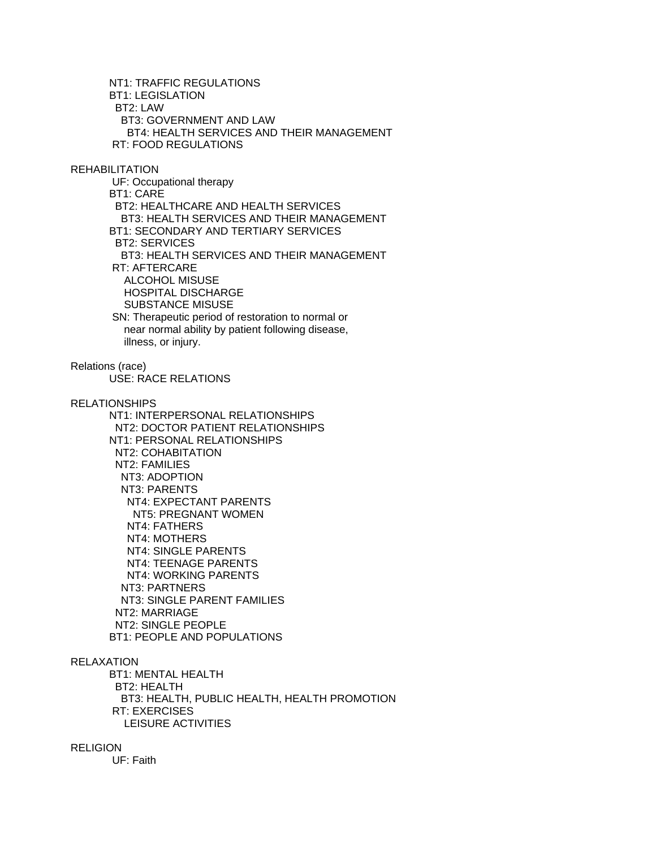NT1: TRAFFIC REGULATIONS BT1: LEGISLATION BT2: LAW BT3: GOVERNMENT AND LAW BT4: HEALTH SERVICES AND THEIR MANAGEMENT RT: FOOD REGULATIONS

REHABILITATION

 UF: Occupational therapy BT1: CARE BT2: HEALTHCARE AND HEALTH SERVICES BT3: HEALTH SERVICES AND THEIR MANAGEMENT BT1: SECONDARY AND TERTIARY SERVICES BT2: SERVICES BT3: HEALTH SERVICES AND THEIR MANAGEMENT RT: AFTERCARE ALCOHOL MISUSE HOSPITAL DISCHARGE SUBSTANCE MISUSE

 SN: Therapeutic period of restoration to normal or near normal ability by patient following disease, illness, or injury.

Relations (race)

USE: RACE RELATIONS

RELATIONSHIPS

 NT1: INTERPERSONAL RELATIONSHIPS NT2: DOCTOR PATIENT RELATIONSHIPS NT1: PERSONAL RELATIONSHIPS NT2: COHABITATION NT2: FAMILIES NT3: ADOPTION NT3: PARENTS NT4: EXPECTANT PARENTS NT5: PREGNANT WOMEN NT4: FATHERS NT4: MOTHERS NT4: SINGLE PARENTS NT4: TEENAGE PARENTS NT4: WORKING PARENTS NT3: PARTNERS NT3: SINGLE PARENT FAMILIES NT2: MARRIAGE NT2: SINGLE PEOPLE BT1: PEOPLE AND POPULATIONS

## RELAXATION

 BT1: MENTAL HEALTH BT2: HEALTH BT3: HEALTH, PUBLIC HEALTH, HEALTH PROMOTION RT: EXERCISES LEISURE ACTIVITIES

# RELIGION

UF: Faith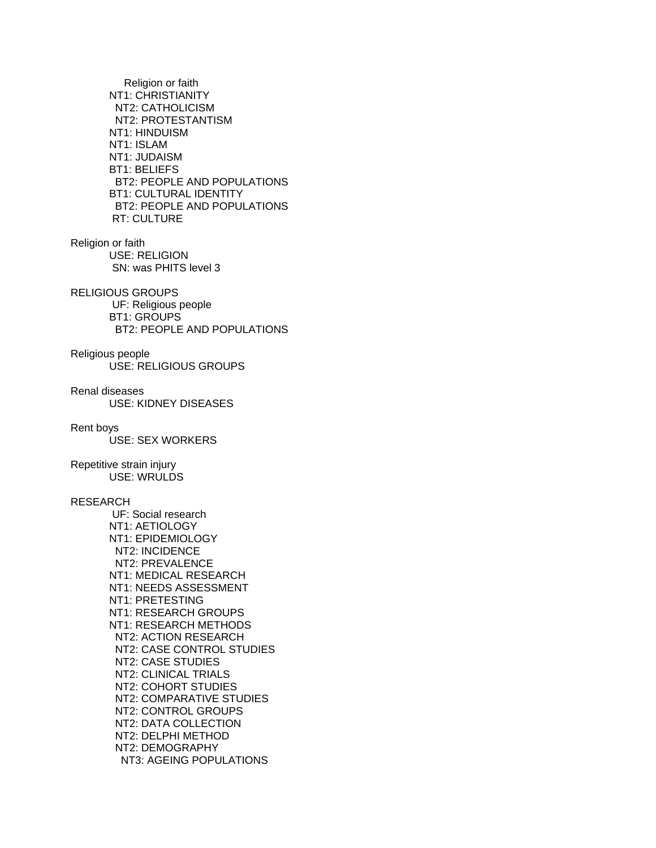Religion or faith NT1: CHRISTIANITY NT2: CATHOLICISM NT2: PROTESTANTISM NT1: HINDUISM NT1: ISLAM NT1: JUDAISM BT1: BELIEFS BT2: PEOPLE AND POPULATIONS BT1: CULTURAL IDENTITY BT2: PEOPLE AND POPULATIONS RT: CULTURE

Religion or faith USE: RELIGION SN: was PHITS level 3

RELIGIOUS GROUPS UF: Religious people BT1: GROUPS BT2: PEOPLE AND POPULATIONS

Religious people USE: RELIGIOUS GROUPS

Renal diseases USE: KIDNEY DISEASES

### Rent boys

USE: SEX WORKERS

### Repetitive strain injury USE: WRULDS

# RESEARCH

 UF: Social research NT1: AETIOLOGY NT1: EPIDEMIOLOGY NT2: INCIDENCE NT2: PREVALENCE NT1: MEDICAL RESEARCH NT1: NEEDS ASSESSMENT NT1: PRETESTING NT1: RESEARCH GROUPS NT1: RESEARCH METHODS NT2: ACTION RESEARCH NT2: CASE CONTROL STUDIES NT2: CASE STUDIES NT2: CLINICAL TRIALS NT2: COHORT STUDIES NT2: COMPARATIVE STUDIES NT2: CONTROL GROUPS NT2: DATA COLLECTION NT2: DELPHI METHOD NT2: DEMOGRAPHY NT3: AGEING POPULATIONS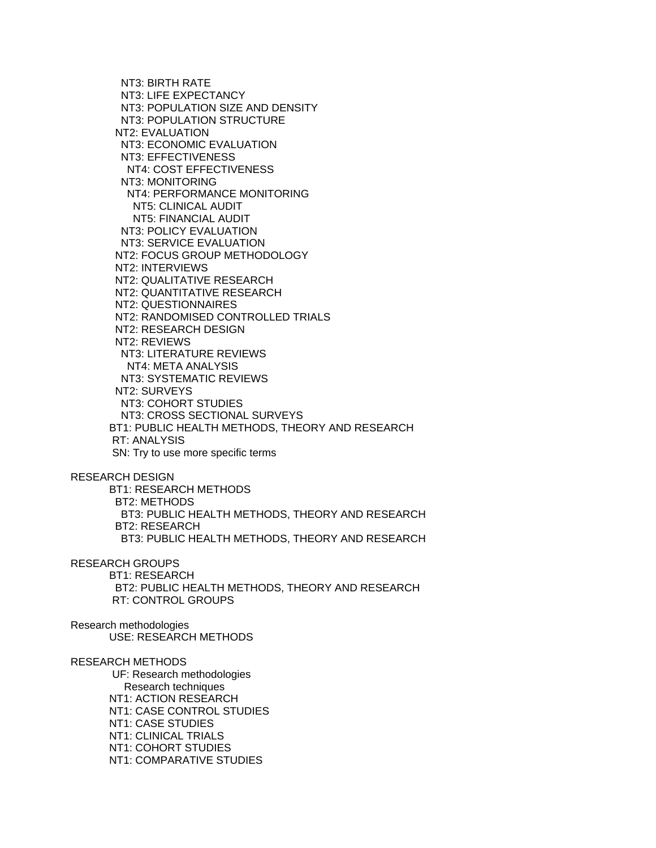NT3: BIRTH RATE NT3: LIFE EXPECTANCY NT3: POPULATION SIZE AND DENSITY NT3: POPULATION STRUCTURE NT2: EVALUATION NT3: ECONOMIC EVALUATION NT3: EFFECTIVENESS NT4: COST EFFECTIVENESS NT3: MONITORING NT4: PERFORMANCE MONITORING NT5: CLINICAL AUDIT NT5: FINANCIAL AUDIT NT3: POLICY EVALUATION NT3: SERVICE EVALUATION NT2: FOCUS GROUP METHODOLOGY NT2: INTERVIEWS NT2: QUALITATIVE RESEARCH NT2: QUANTITATIVE RESEARCH NT2: QUESTIONNAIRES NT2: RANDOMISED CONTROLLED TRIALS NT2: RESEARCH DESIGN NT2: REVIEWS NT3: LITERATURE REVIEWS NT4: META ANALYSIS NT3: SYSTEMATIC REVIEWS NT2: SURVEYS NT3: COHORT STUDIES NT3: CROSS SECTIONAL SURVEYS BT1: PUBLIC HEALTH METHODS, THEORY AND RESEARCH RT: ANALYSIS SN: Try to use more specific terms RESEARCH DESIGN BT1: RESEARCH METHODS BT2: METHODS BT3: PUBLIC HEALTH METHODS, THEORY AND RESEARCH BT2: RESEARCH BT3: PUBLIC HEALTH METHODS, THEORY AND RESEARCH RESEARCH GROUPS BT1: RESEARCH BT2: PUBLIC HEALTH METHODS, THEORY AND RESEARCH RT: CONTROL GROUPS Research methodologies USE: RESEARCH METHODS RESEARCH METHODS UF: Research methodologies Research techniques

 NT1: ACTION RESEARCH NT1: CASE CONTROL STUDIES NT1: CASE STUDIES NT1: CLINICAL TRIALS NT1: COHORT STUDIES NT1: COMPARATIVE STUDIES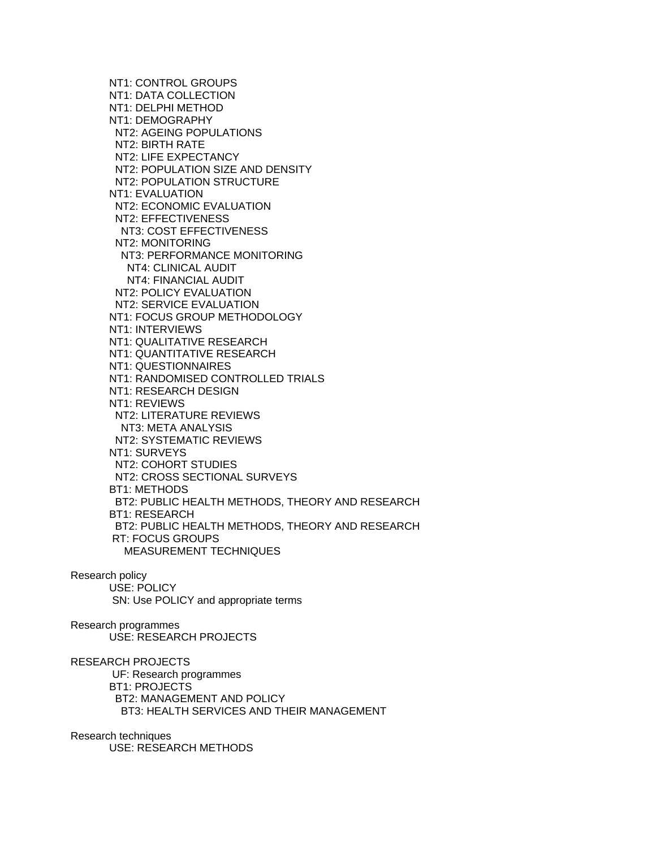NT1: CONTROL GROUPS NT1: DATA COLLECTION NT1: DELPHI METHOD NT1: DEMOGRAPHY NT2: AGEING POPULATIONS NT2: BIRTH RATE NT2: LIFE EXPECTANCY NT2: POPULATION SIZE AND DENSITY NT2: POPULATION STRUCTURE NT1: EVALUATION NT2: ECONOMIC EVALUATION NT2: EFFECTIVENESS NT3: COST EFFECTIVENESS NT2: MONITORING NT3: PERFORMANCE MONITORING NT4: CLINICAL AUDIT NT4: FINANCIAL AUDIT NT2: POLICY EVALUATION NT2: SERVICE EVALUATION NT1: FOCUS GROUP METHODOLOGY NT1: INTERVIEWS NT1: QUALITATIVE RESEARCH NT1: QUANTITATIVE RESEARCH NT1: QUESTIONNAIRES NT1: RANDOMISED CONTROLLED TRIALS NT1: RESEARCH DESIGN NT1: REVIEWS NT2: LITERATURE REVIEWS NT3: META ANALYSIS NT2: SYSTEMATIC REVIEWS NT1: SURVEYS NT2: COHORT STUDIES NT2: CROSS SECTIONAL SURVEYS BT1: METHODS BT2: PUBLIC HEALTH METHODS, THEORY AND RESEARCH BT1: RESEARCH BT2: PUBLIC HEALTH METHODS, THEORY AND RESEARCH RT: FOCUS GROUPS MEASUREMENT TECHNIQUES

Research policy

 USE: POLICY SN: Use POLICY and appropriate terms

Research programmes USE: RESEARCH PROJECTS

RESEARCH PROJECTS UF: Research programmes BT1: PROJECTS BT2: MANAGEMENT AND POLICY BT3: HEALTH SERVICES AND THEIR MANAGEMENT

Research techniques

USE: RESEARCH METHODS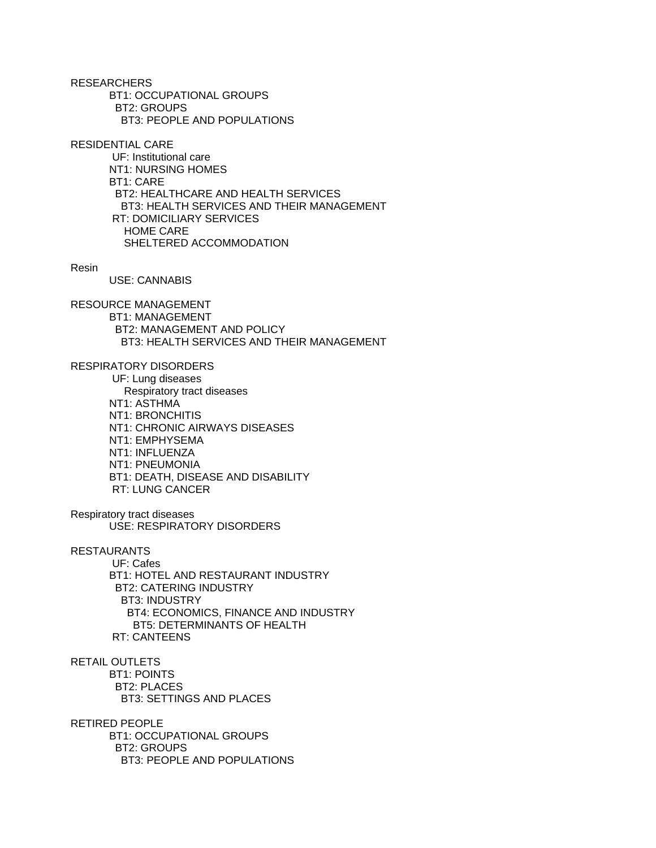**RESEARCHERS**  BT1: OCCUPATIONAL GROUPS BT2: GROUPS BT3: PEOPLE AND POPULATIONS

RESIDENTIAL CARE

 UF: Institutional care NT1: NURSING HOMES BT1: CARE BT2: HEALTHCARE AND HEALTH SERVICES BT3: HEALTH SERVICES AND THEIR MANAGEMENT RT: DOMICILIARY SERVICES HOME CARE SHELTERED ACCOMMODATION

Resin

USE: CANNABIS

RESOURCE MANAGEMENT BT1: MANAGEMENT BT2: MANAGEMENT AND POLICY BT3: HEALTH SERVICES AND THEIR MANAGEMENT

RESPIRATORY DISORDERS

 UF: Lung diseases Respiratory tract diseases NT1: ASTHMA NT1: BRONCHITIS NT1: CHRONIC AIRWAYS DISEASES NT1: EMPHYSEMA NT1: INFLUENZA NT1: PNEUMONIA BT1: DEATH, DISEASE AND DISABILITY RT: LUNG CANCER

Respiratory tract diseases USE: RESPIRATORY DISORDERS

RESTAURANTS

 UF: Cafes BT1: HOTEL AND RESTAURANT INDUSTRY BT2: CATERING INDUSTRY BT3: INDUSTRY BT4: ECONOMICS, FINANCE AND INDUSTRY BT5: DETERMINANTS OF HEALTH RT: CANTEENS

RETAIL OUTLETS BT1: POINTS BT2: PLACES BT3: SETTINGS AND PLACES

RETIRED PEOPLE BT1: OCCUPATIONAL GROUPS BT2: GROUPS BT3: PEOPLE AND POPULATIONS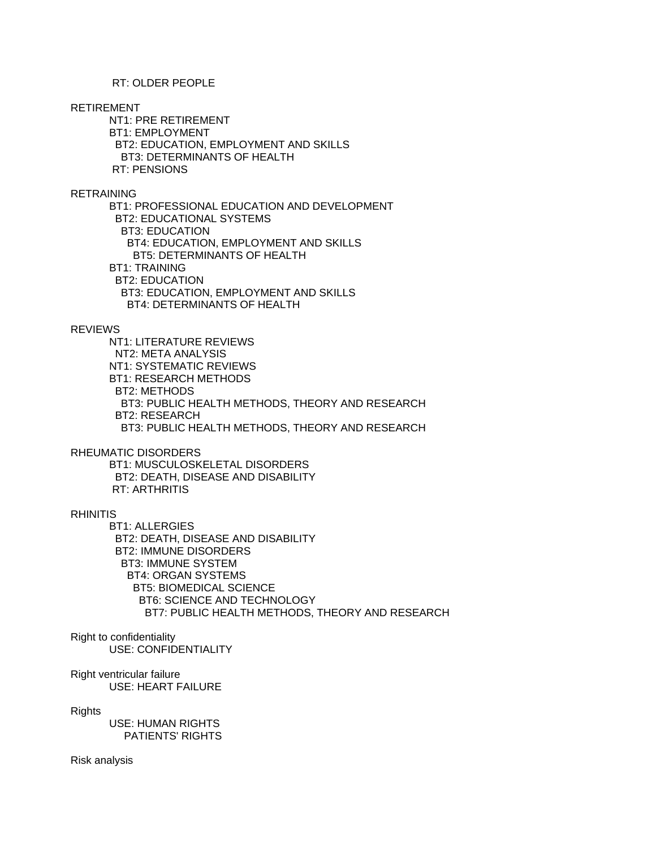# RT: OLDER PEOPLE

### RETIREMENT

 NT1: PRE RETIREMENT BT1: EMPLOYMENT BT2: EDUCATION, EMPLOYMENT AND SKILLS BT3: DETERMINANTS OF HEALTH RT: PENSIONS

# RETRAINING

 BT1: PROFESSIONAL EDUCATION AND DEVELOPMENT BT2: EDUCATIONAL SYSTEMS BT3: EDUCATION BT4: EDUCATION, EMPLOYMENT AND SKILLS BT5: DETERMINANTS OF HEALTH BT1: TRAINING BT2: EDUCATION BT3: EDUCATION, EMPLOYMENT AND SKILLS BT4: DETERMINANTS OF HEALTH

# REVIEWS

 NT1: LITERATURE REVIEWS NT2: META ANALYSIS NT1: SYSTEMATIC REVIEWS BT1: RESEARCH METHODS BT2: METHODS BT3: PUBLIC HEALTH METHODS, THEORY AND RESEARCH BT2: RESEARCH BT3: PUBLIC HEALTH METHODS, THEORY AND RESEARCH

## RHEUMATIC DISORDERS

 BT1: MUSCULOSKELETAL DISORDERS BT2: DEATH, DISEASE AND DISABILITY RT: ARTHRITIS

## RHINITIS

 BT1: ALLERGIES BT2: DEATH, DISEASE AND DISABILITY BT2: IMMUNE DISORDERS BT3: IMMUNE SYSTEM BT4: ORGAN SYSTEMS BT5: BIOMEDICAL SCIENCE BT6: SCIENCE AND TECHNOLOGY BT7: PUBLIC HEALTH METHODS, THEORY AND RESEARCH

# Right to confidentiality USE: CONFIDENTIALITY

Right ventricular failure USE: HEART FAILURE

### Rights

 USE: HUMAN RIGHTS PATIENTS' RIGHTS

Risk analysis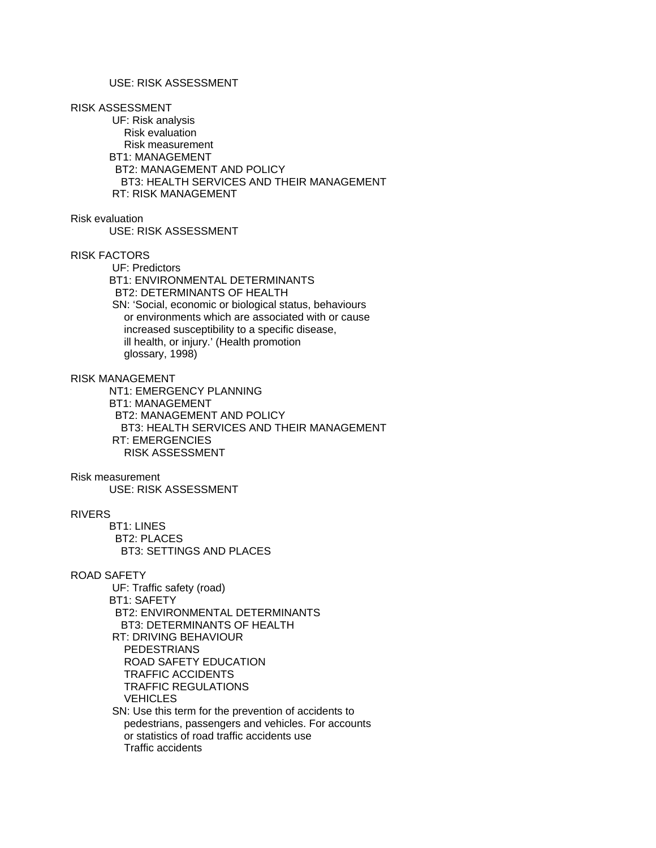# USE: RISK ASSESSMENT

#### RISK ASSESSMENT

 UF: Risk analysis Risk evaluation Risk measurement BT1: MANAGEMENT BT2: MANAGEMENT AND POLICY BT3: HEALTH SERVICES AND THEIR MANAGEMENT RT: RISK MANAGEMENT

## Risk evaluation

USE: RISK ASSESSMENT

## RISK FACTORS

 UF: Predictors BT1: ENVIRONMENTAL DETERMINANTS BT2: DETERMINANTS OF HEALTH SN: 'Social, economic or biological status, behaviours or environments which are associated with or cause increased susceptibility to a specific disease, ill health, or injury.' (Health promotion glossary, 1998)

## RISK MANAGEMENT

 NT1: EMERGENCY PLANNING BT1: MANAGEMENT BT2: MANAGEMENT AND POLICY BT3: HEALTH SERVICES AND THEIR MANAGEMENT RT: EMERGENCIES RISK ASSESSMENT

### Risk measurement

USE: RISK ASSESSMENT

# RIVERS

 BT1: LINES BT2: PLACES BT3: SETTINGS AND PLACES

#### ROAD SAFETY

 UF: Traffic safety (road) BT1: SAFETY BT2: ENVIRONMENTAL DETERMINANTS BT3: DETERMINANTS OF HEALTH RT: DRIVING BEHAVIOUR PEDESTRIANS ROAD SAFETY EDUCATION TRAFFIC ACCIDENTS TRAFFIC REGULATIONS VEHICLES SN: Use this term for the prevention of accidents to pedestrians, passengers and vehicles. For accounts or statistics of road traffic accidents use Traffic accidents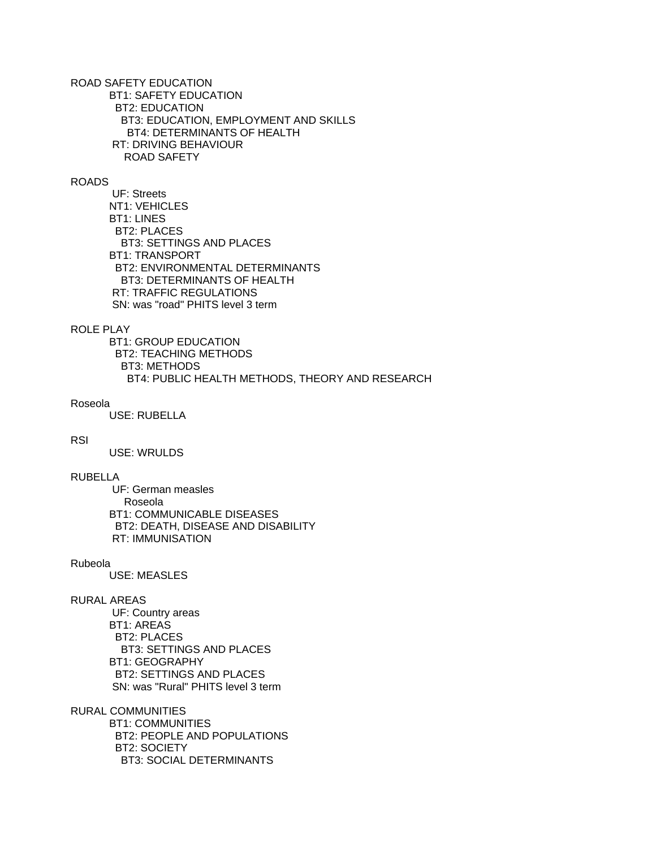ROAD SAFETY EDUCATION BT1: SAFETY EDUCATION BT2: EDUCATION BT3: EDUCATION, EMPLOYMENT AND SKILLS BT4: DETERMINANTS OF HEALTH RT: DRIVING BEHAVIOUR ROAD SAFETY

## ROADS

 UF: Streets NT1: VEHICLES BT1: LINES BT2: PLACES BT3: SETTINGS AND PLACES BT1: TRANSPORT BT2: ENVIRONMENTAL DETERMINANTS BT3: DETERMINANTS OF HEALTH RT: TRAFFIC REGULATIONS SN: was "road" PHITS level 3 term

# ROLE PLAY

 BT1: GROUP EDUCATION BT2: TEACHING METHODS BT3: METHODS BT4: PUBLIC HEALTH METHODS, THEORY AND RESEARCH

### Roseola

USE: RUBELLA

### **RSI**

USE: WRULDS

# RUBELLA

 UF: German measles Roseola BT1: COMMUNICABLE DISEASES BT2: DEATH, DISEASE AND DISABILITY RT: IMMUNISATION

#### Rubeola

USE: MEASLES

# RURAL AREAS

 UF: Country areas BT1: AREAS BT2: PLACES BT3: SETTINGS AND PLACES BT1: GEOGRAPHY BT2: SETTINGS AND PLACES SN: was "Rural" PHITS level 3 term

## RURAL COMMUNITIES

 BT1: COMMUNITIES BT2: PEOPLE AND POPULATIONS BT2: SOCIETY BT3: SOCIAL DETERMINANTS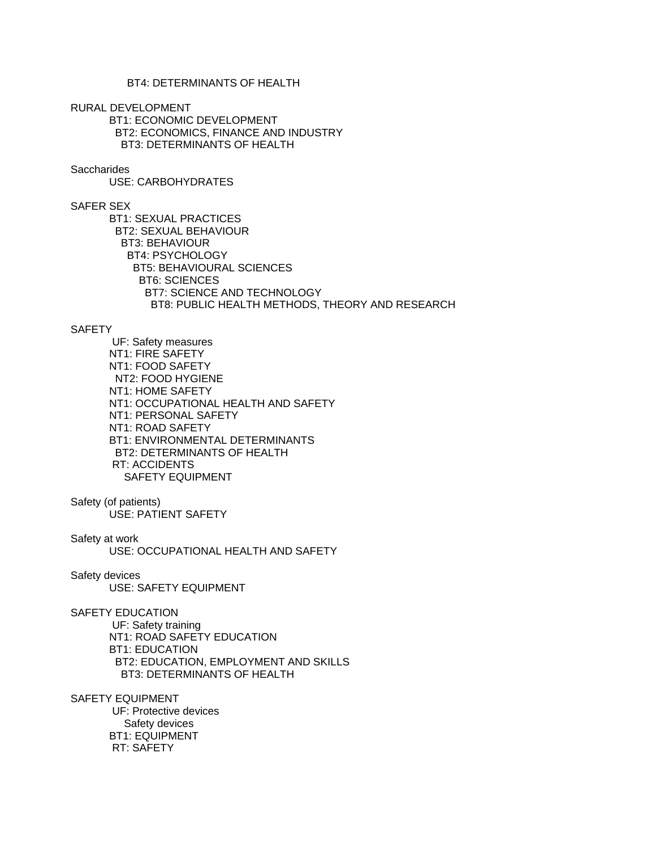# BT4: DETERMINANTS OF HEALTH

RURAL DEVELOPMENT

 BT1: ECONOMIC DEVELOPMENT BT2: ECONOMICS, FINANCE AND INDUSTRY BT3: DETERMINANTS OF HEALTH

## **Saccharides**

USE: CARBOHYDRATES

### SAFER SEX

 BT1: SEXUAL PRACTICES BT2: SEXUAL BEHAVIOUR BT3: BEHAVIOUR BT4: PSYCHOLOGY BT5: BEHAVIOURAL SCIENCES BT6: SCIENCES BT7: SCIENCE AND TECHNOLOGY BT8: PUBLIC HEALTH METHODS, THEORY AND RESEARCH

## **SAFETY**

 UF: Safety measures NT1: FIRE SAFETY NT1: FOOD SAFETY NT2: FOOD HYGIENE NT1: HOME SAFETY NT1: OCCUPATIONAL HEALTH AND SAFETY NT1: PERSONAL SAFETY NT1: ROAD SAFETY BT1: ENVIRONMENTAL DETERMINANTS BT2: DETERMINANTS OF HEALTH RT: ACCIDENTS SAFETY EQUIPMENT

Safety (of patients)

USE: PATIENT SAFETY

Safety at work

USE: OCCUPATIONAL HEALTH AND SAFETY

Safety devices

USE: SAFETY EQUIPMENT

### SAFETY EDUCATION

 UF: Safety training NT1: ROAD SAFETY EDUCATION BT1: EDUCATION BT2: EDUCATION, EMPLOYMENT AND SKILLS BT3: DETERMINANTS OF HEALTH

SAFETY EQUIPMENT

 UF: Protective devices Safety devices BT1: EQUIPMENT RT: SAFETY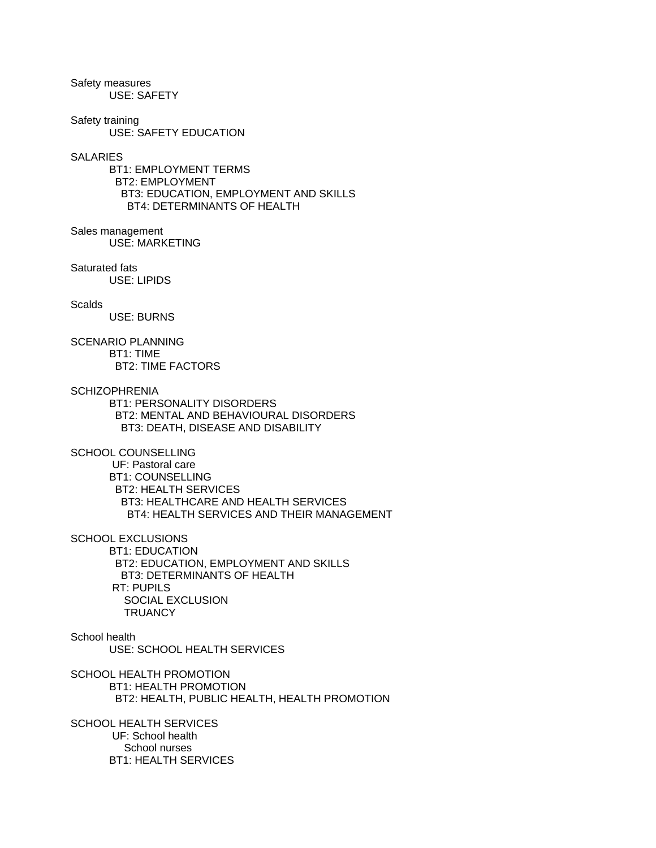Safety measures USE: SAFETY

Safety training USE: SAFETY EDUCATION

### **SALARIES**

 BT1: EMPLOYMENT TERMS BT2: EMPLOYMENT BT3: EDUCATION, EMPLOYMENT AND SKILLS BT4: DETERMINANTS OF HEALTH

## Sales management

USE: MARKETING

## Saturated fats

USE: LIPIDS

### **Scalds**

USE: BURNS

SCENARIO PLANNING BT1: TIME BT2: TIME FACTORS

# **SCHIZOPHRENIA**

 BT1: PERSONALITY DISORDERS BT2: MENTAL AND BEHAVIOURAL DISORDERS BT3: DEATH, DISEASE AND DISABILITY

### SCHOOL COUNSELLING

 UF: Pastoral care BT1: COUNSELLING BT2: HEALTH SERVICES BT3: HEALTHCARE AND HEALTH SERVICES BT4: HEALTH SERVICES AND THEIR MANAGEMENT

SCHOOL EXCLUSIONS

 BT1: EDUCATION BT2: EDUCATION, EMPLOYMENT AND SKILLS BT3: DETERMINANTS OF HEALTH RT: PUPILS SOCIAL EXCLUSION **TRUANCY** 

### School health USE: SCHOOL HEALTH SERVICES

SCHOOL HEALTH PROMOTION BT1: HEALTH PROMOTION BT2: HEALTH, PUBLIC HEALTH, HEALTH PROMOTION

SCHOOL HEALTH SERVICES UF: School health School nurses BT1: HEALTH SERVICES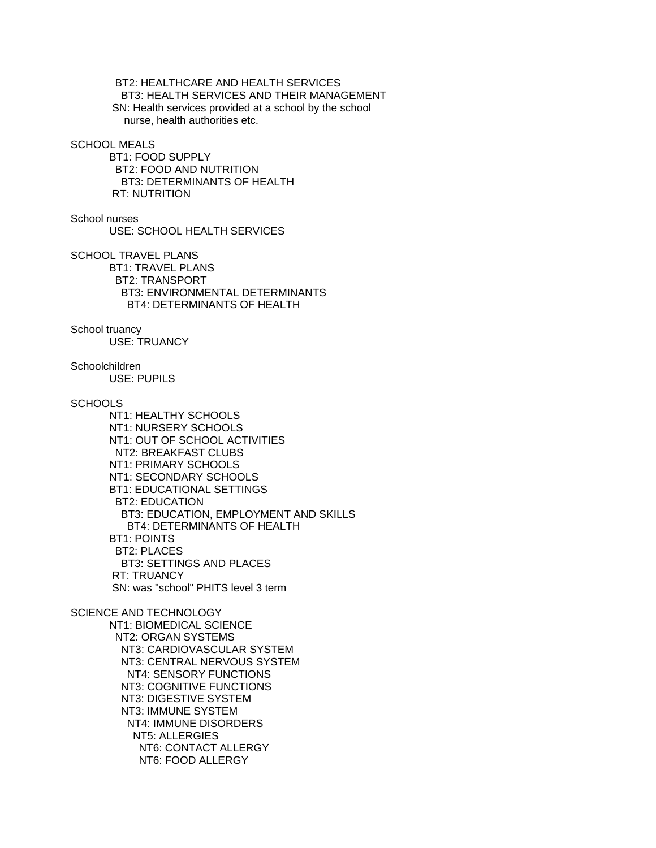BT2: HEALTHCARE AND HEALTH SERVICES BT3: HEALTH SERVICES AND THEIR MANAGEMENT SN: Health services provided at a school by the school nurse, health authorities etc.

### SCHOOL MEALS

 BT1: FOOD SUPPLY BT2: FOOD AND NUTRITION BT3: DETERMINANTS OF HEALTH RT: NUTRITION

School nurses

USE: SCHOOL HEALTH SERVICES

SCHOOL TRAVEL PLANS BT1: TRAVEL PLANS BT2: TRANSPORT BT3: ENVIRONMENTAL DETERMINANTS BT4: DETERMINANTS OF HEALTH

School truancy USE: TRUANCY

Schoolchildren USE: PUPILS

# **SCHOOLS**

 NT1: HEALTHY SCHOOLS NT1: NURSERY SCHOOLS NT1: OUT OF SCHOOL ACTIVITIES NT2: BREAKFAST CLUBS NT1: PRIMARY SCHOOLS NT1: SECONDARY SCHOOLS BT1: EDUCATIONAL SETTINGS BT2: EDUCATION BT3: EDUCATION, EMPLOYMENT AND SKILLS BT4: DETERMINANTS OF HEALTH BT1: POINTS BT2: PLACES BT3: SETTINGS AND PLACES RT: TRUANCY SN: was "school" PHITS level 3 term SCIENCE AND TECHNOLOGY NT1: BIOMEDICAL SCIENCE NT2: ORGAN SYSTEMS NT3: CARDIOVASCULAR SYSTEM

 NT3: CENTRAL NERVOUS SYSTEM NT4: SENSORY FUNCTIONS NT3: COGNITIVE FUNCTIONS NT3: DIGESTIVE SYSTEM NT3: IMMUNE SYSTEM NT4: IMMUNE DISORDERS NT5: ALLERGIES NT6: CONTACT ALLERGY NT6: FOOD ALLERGY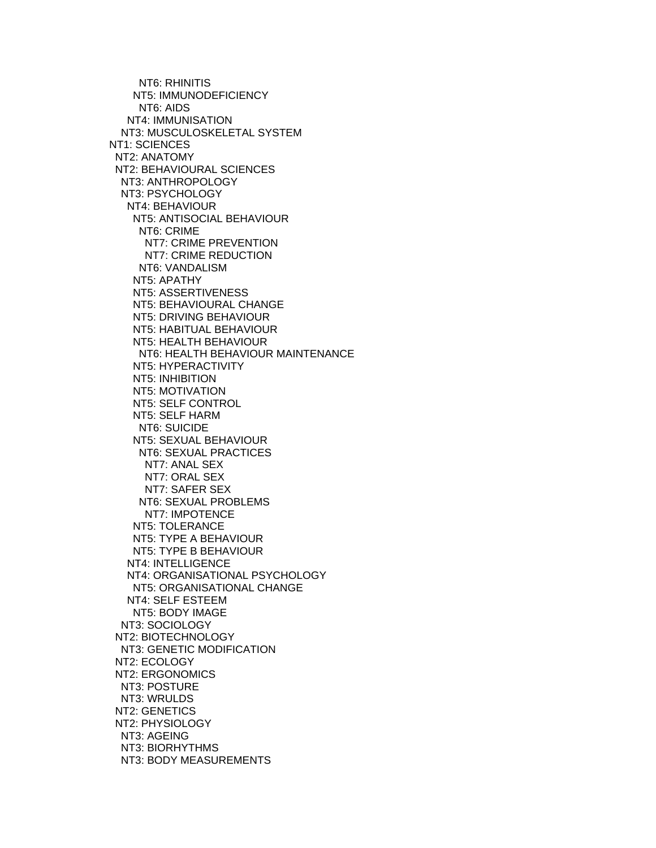NT6: RHINITIS NT5: IMMUNODEFICIENCY NT6: AIDS NT4: IMMUNISATION NT3: MUSCULOSKELETAL SYSTEM NT1: SCIENCES NT2: ANATOMY NT2: BEHAVIOURAL SCIENCES NT3: ANTHROPOLOGY NT3: PSYCHOLOGY NT4: BEHAVIOUR NT5: ANTISOCIAL BEHAVIOUR NT6: CRIME NT7: CRIME PREVENTION NT7: CRIME REDUCTION NT6: VANDALISM NT5: APATHY NT5: ASSERTIVENESS NT5: BEHAVIOURAL CHANGE NT5: DRIVING BEHAVIOUR NT5: HABITUAL BEHAVIOUR NT5: HEALTH BEHAVIOUR NT6: HEALTH BEHAVIOUR MAINTENANCE NT5: HYPERACTIVITY NT5: INHIBITION NT5: MOTIVATION NT5: SELF CONTROL NT5: SELF HARM NT6: SUICIDE NT5: SEXUAL BEHAVIOUR NT6: SEXUAL PRACTICES NT7: ANAL SEX NT7: ORAL SEX NT7: SAFER SEX NT6: SEXUAL PROBLEMS NT7: IMPOTENCE NT5: TOLERANCE NT5: TYPE A BEHAVIOUR NT5: TYPE B BEHAVIOUR NT4: INTELLIGENCE NT4: ORGANISATIONAL PSYCHOLOGY NT5: ORGANISATIONAL CHANGE NT4: SELF ESTEEM NT5: BODY IMAGE NT3: SOCIOLOGY NT2: BIOTECHNOLOGY NT3: GENETIC MODIFICATION NT2: ECOLOGY NT2: ERGONOMICS NT3: POSTURE NT3: WRULDS NT2: GENETICS NT2: PHYSIOLOGY NT3: AGEING NT3: BIORHYTHMS NT3: BODY MEASUREMENTS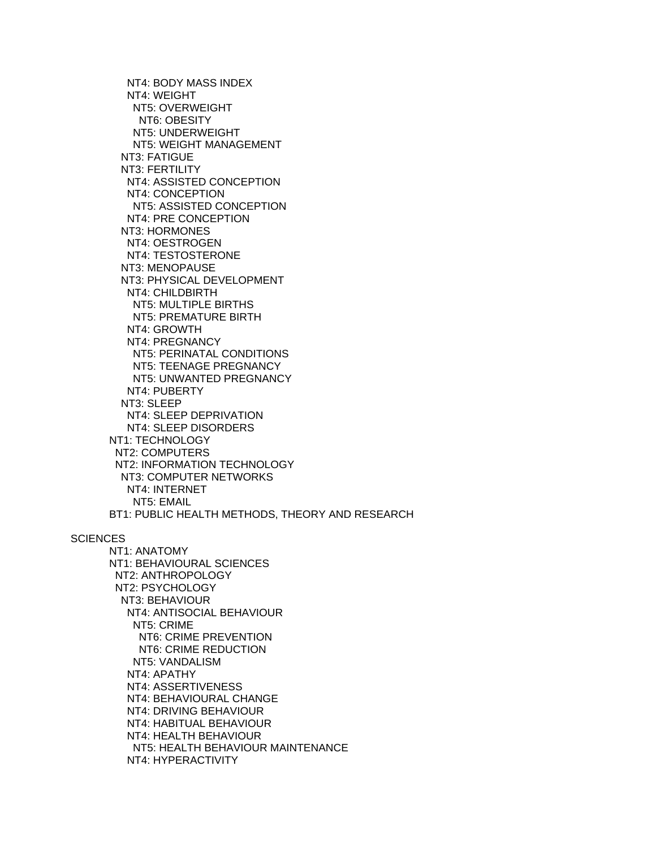NT4: BODY MASS INDEX NT4: WEIGHT NT5: OVERWEIGHT NT6: OBESITY NT5: UNDERWEIGHT NT5: WEIGHT MANAGEMENT NT3: FATIGUE NT3: FERTILITY NT4: ASSISTED CONCEPTION NT4: CONCEPTION NT5: ASSISTED CONCEPTION NT4: PRE CONCEPTION NT3: HORMONES NT4: OESTROGEN NT4: TESTOSTERONE NT3: MENOPAUSE NT3: PHYSICAL DEVELOPMENT NT4: CHILDBIRTH NT5: MULTIPLE BIRTHS NT5: PREMATURE BIRTH NT4: GROWTH NT4: PREGNANCY NT5: PERINATAL CONDITIONS NT5: TEENAGE PREGNANCY NT5: UNWANTED PREGNANCY NT4: PUBERTY NT3: SLEEP NT4: SLEEP DEPRIVATION NT4: SLEEP DISORDERS NT1: TECHNOLOGY NT2: COMPUTERS NT2: INFORMATION TECHNOLOGY NT3: COMPUTER NETWORKS NT4: INTERNET NT5: EMAIL BT1: PUBLIC HEALTH METHODS, THEORY AND RESEARCH

#### **SCIENCES**

 NT1: ANATOMY NT1: BEHAVIOURAL SCIENCES NT2: ANTHROPOLOGY NT2: PSYCHOLOGY NT3: BEHAVIOUR NT4: ANTISOCIAL BEHAVIOUR NT5: CRIME NT6: CRIME PREVENTION NT6: CRIME REDUCTION NT5: VANDALISM NT4: APATHY NT4: ASSERTIVENESS NT4: BEHAVIOURAL CHANGE NT4: DRIVING BEHAVIOUR NT4: HABITUAL BEHAVIOUR NT4: HEALTH BEHAVIOUR NT5: HEALTH BEHAVIOUR MAINTENANCE NT4: HYPERACTIVITY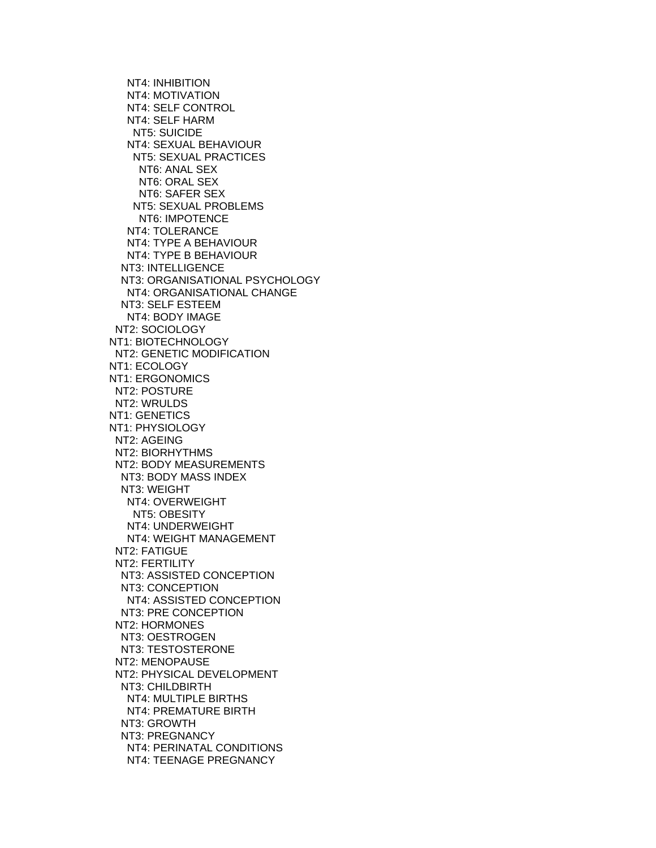NT4: INHIBITION NT4: MOTIVATION NT4: SELF CONTROL NT4: SELF HARM NT5: SUICIDE NT4: SEXUAL BEHAVIOUR NT5: SEXUAL PRACTICES NT6: ANAL SEX NT6: ORAL SEX NT6: SAFER SEX NT5: SEXUAL PROBLEMS NT6: IMPOTENCE NT4: TOLERANCE NT4: TYPE A BEHAVIOUR NT4: TYPE B BEHAVIOUR NT3: INTELLIGENCE NT3: ORGANISATIONAL PSYCHOLOGY NT4: ORGANISATIONAL CHANGE NT3: SELF ESTEEM NT4: BODY IMAGE NT2: SOCIOLOGY NT1: BIOTECHNOLOGY NT2: GENETIC MODIFICATION NT1: ECOLOGY NT1: ERGONOMICS NT2: POSTURE NT2: WRULDS NT1: GENETICS NT1: PHYSIOLOGY NT2: AGEING NT2: BIORHYTHMS NT2: BODY MEASUREMENTS NT3: BODY MASS INDEX NT3: WEIGHT NT4: OVERWEIGHT NT5: OBESITY NT4: UNDERWEIGHT NT4: WEIGHT MANAGEMENT NT2: FATIGUE NT2: FERTILITY NT3: ASSISTED CONCEPTION NT3: CONCEPTION NT4: ASSISTED CONCEPTION NT3: PRE CONCEPTION NT2: HORMONES NT3: OESTROGEN NT3: TESTOSTERONE NT2: MENOPAUSE NT2: PHYSICAL DEVELOPMENT NT3: CHILDBIRTH NT4: MULTIPLE BIRTHS NT4: PREMATURE BIRTH NT3: GROWTH NT3: PREGNANCY NT4: PERINATAL CONDITIONS NT4: TEENAGE PREGNANCY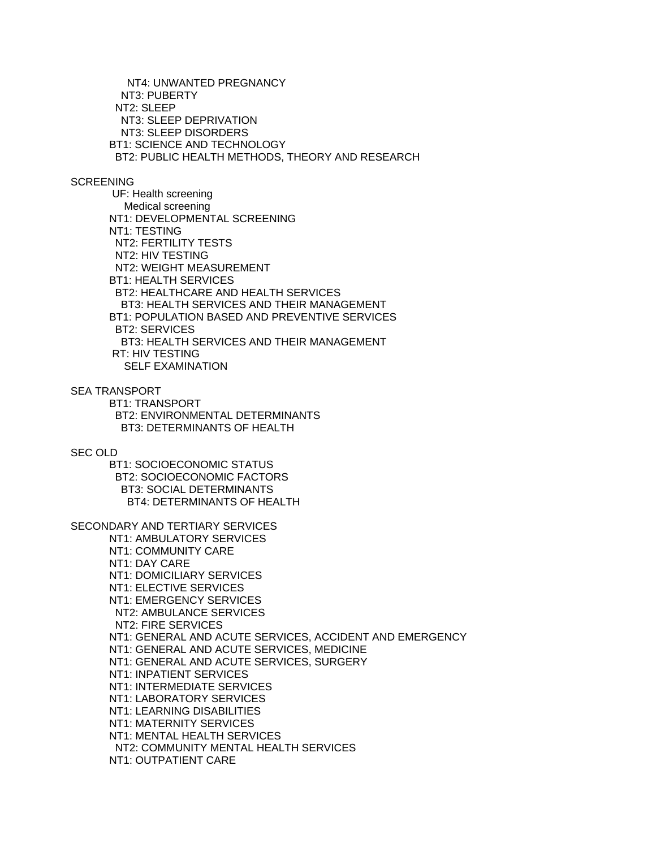NT4: UNWANTED PREGNANCY NT3: PUBERTY NT2: SLEEP NT3: SLEEP DEPRIVATION NT3: SLEEP DISORDERS BT1: SCIENCE AND TECHNOLOGY BT2: PUBLIC HEALTH METHODS, THEORY AND RESEARCH

# **SCREENING**

 UF: Health screening Medical screening NT1: DEVELOPMENTAL SCREENING NT1: TESTING NT2: FERTILITY TESTS NT2: HIV TESTING NT2: WEIGHT MEASUREMENT BT1: HEALTH SERVICES BT2: HEALTHCARE AND HEALTH SERVICES BT3: HEALTH SERVICES AND THEIR MANAGEMENT BT1: POPULATION BASED AND PREVENTIVE SERVICES BT2: SERVICES BT3: HEALTH SERVICES AND THEIR MANAGEMENT RT: HIV TESTING SELF EXAMINATION

## SEA TRANSPORT

 BT1: TRANSPORT BT2: ENVIRONMENTAL DETERMINANTS BT3: DETERMINANTS OF HEALTH

## SEC OLD

 BT1: SOCIOECONOMIC STATUS BT2: SOCIOECONOMIC FACTORS BT3: SOCIAL DETERMINANTS BT4: DETERMINANTS OF HEALTH

SECONDARY AND TERTIARY SERVICES

 NT1: AMBULATORY SERVICES NT1: COMMUNITY CARE NT1: DAY CARE NT1: DOMICILIARY SERVICES NT1: ELECTIVE SERVICES NT1: EMERGENCY SERVICES NT2: AMBULANCE SERVICES NT2: FIRE SERVICES NT1: GENERAL AND ACUTE SERVICES, ACCIDENT AND EMERGENCY NT1: GENERAL AND ACUTE SERVICES, MEDICINE NT1: GENERAL AND ACUTE SERVICES, SURGERY NT1: INPATIENT SERVICES NT1: INTERMEDIATE SERVICES NT1: LABORATORY SERVICES NT1: LEARNING DISABILITIES NT1: MATERNITY SERVICES NT1: MENTAL HEALTH SERVICES NT2: COMMUNITY MENTAL HEALTH SERVICES NT1: OUTPATIENT CARE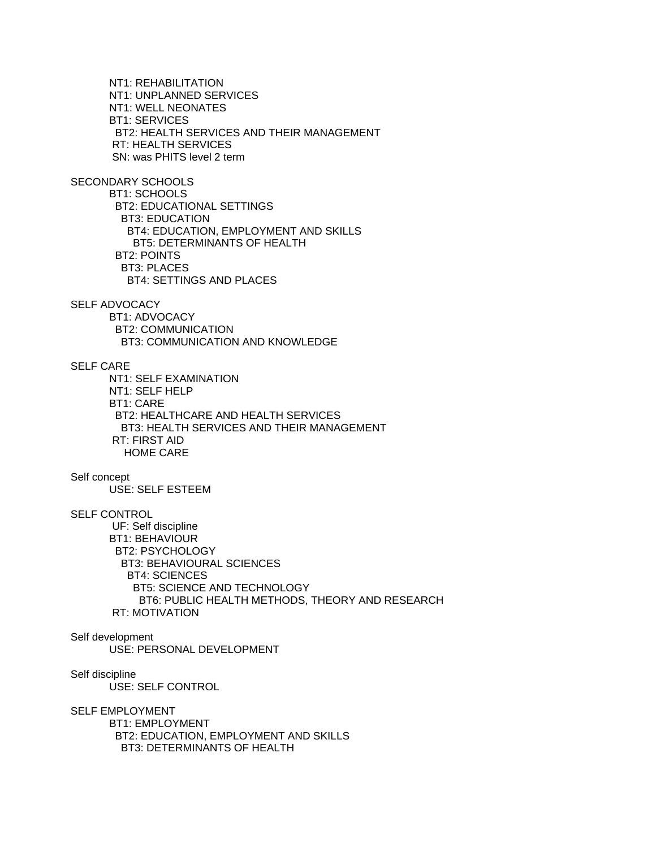NT1: REHABILITATION NT1: UNPLANNED SERVICES NT1: WELL NEONATES BT1: SERVICES BT2: HEALTH SERVICES AND THEIR MANAGEMENT RT: HEALTH SERVICES SN: was PHITS level 2 term

SECONDARY SCHOOLS

 BT1: SCHOOLS BT2: EDUCATIONAL SETTINGS BT3: EDUCATION BT4: EDUCATION, EMPLOYMENT AND SKILLS BT5: DETERMINANTS OF HEALTH BT2: POINTS BT3: PLACES BT4: SETTINGS AND PLACES

### SELF ADVOCACY

 BT1: ADVOCACY BT2: COMMUNICATION BT3: COMMUNICATION AND KNOWLEDGE

# SELF CARE

 NT1: SELF EXAMINATION NT1: SELF HELP BT1: CARE BT2: HEALTHCARE AND HEALTH SERVICES BT3: HEALTH SERVICES AND THEIR MANAGEMENT RT: FIRST AID HOME CARE

## Self concept

USE: SELF ESTEEM

## SELF CONTROL

 UF: Self discipline BT1: BEHAVIOUR BT2: PSYCHOLOGY BT3: BEHAVIOURAL SCIENCES BT4: SCIENCES BT5: SCIENCE AND TECHNOLOGY BT6: PUBLIC HEALTH METHODS, THEORY AND RESEARCH RT: MOTIVATION

# Self development USE: PERSONAL DEVELOPMENT

Self discipline USE: SELF CONTROL

SELF EMPLOYMENT

 BT1: EMPLOYMENT BT2: EDUCATION, EMPLOYMENT AND SKILLS BT3: DETERMINANTS OF HEALTH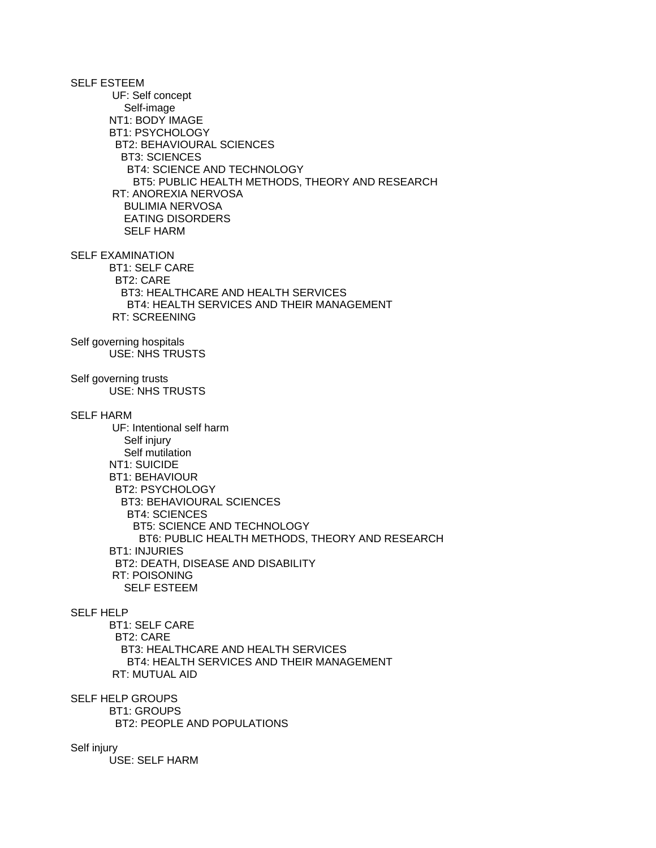SELF ESTEEM UF: Self concept Self-image NT1: BODY IMAGE BT1: PSYCHOLOGY BT2: BEHAVIOURAL SCIENCES BT3: SCIENCES BT4: SCIENCE AND TECHNOLOGY BT5: PUBLIC HEALTH METHODS, THEORY AND RESEARCH RT: ANOREXIA NERVOSA BULIMIA NERVOSA EATING DISORDERS SELF HARM SELF EXAMINATION BT1: SELF CARE BT2: CARE BT3: HEALTHCARE AND HEALTH SERVICES BT4: HEALTH SERVICES AND THEIR MANAGEMENT RT: SCREENING Self governing hospitals USE: NHS TRUSTS Self governing trusts USE: NHS TRUSTS SELF HARM UF: Intentional self harm Self injury Self mutilation NT1: SUICIDE BT1: BEHAVIOUR BT2: PSYCHOLOGY BT3: BEHAVIOURAL SCIENCES BT4: SCIENCES BT5: SCIENCE AND TECHNOLOGY BT6: PUBLIC HEALTH METHODS, THEORY AND RESEARCH BT1: INJURIES BT2: DEATH, DISEASE AND DISABILITY RT: POISONING SELF ESTEEM SELF HELP BT1: SELF CARE BT2: CARE BT3: HEALTHCARE AND HEALTH SERVICES BT4: HEALTH SERVICES AND THEIR MANAGEMENT RT: MUTUAL AID SELF HELP GROUPS BT1: GROUPS BT2: PEOPLE AND POPULATIONS Self injury

USE: SELF HARM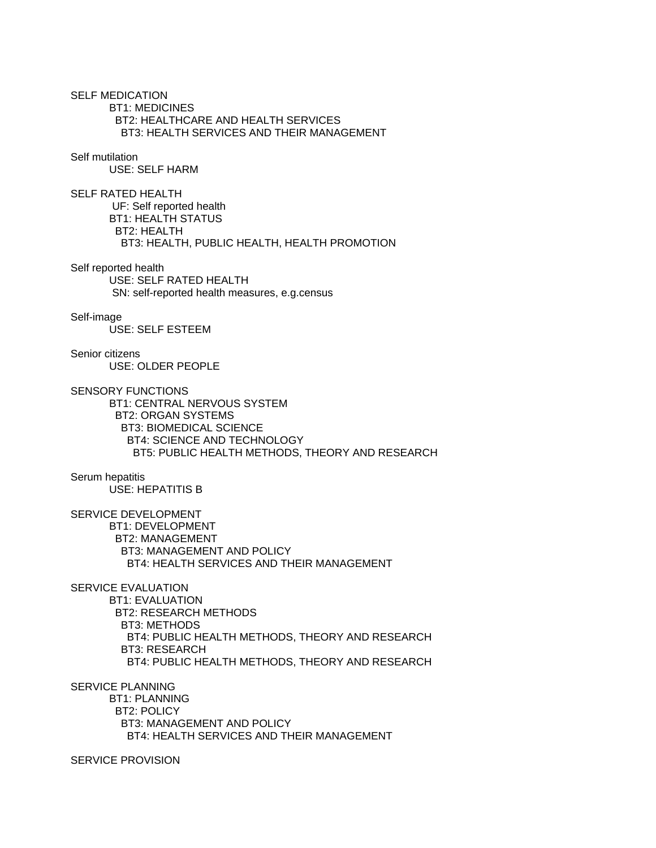SELF MEDICATION BT1: MEDICINES BT2: HEALTHCARE AND HEALTH SERVICES BT3: HEALTH SERVICES AND THEIR MANAGEMENT Self mutilation USE: SELF HARM SELF RATED HEALTH UF: Self reported health BT1: HEALTH STATUS BT2: HEALTH BT3: HEALTH, PUBLIC HEALTH, HEALTH PROMOTION Self reported health

 USE: SELF RATED HEALTH SN: self-reported health measures, e.g.census

Self-image USE: SELF ESTEEM

Senior citizens USE: OLDER PEOPLE

SENSORY FUNCTIONS BT1: CENTRAL NERVOUS SYSTEM BT2: ORGAN SYSTEMS BT3: BIOMEDICAL SCIENCE BT4: SCIENCE AND TECHNOLOGY BT5: PUBLIC HEALTH METHODS, THEORY AND RESEARCH

Serum hepatitis USE: HEPATITIS B

SERVICE DEVELOPMENT BT1: DEVELOPMENT BT2: MANAGEMENT BT3: MANAGEMENT AND POLICY BT4: HEALTH SERVICES AND THEIR MANAGEMENT

SERVICE EVALUATION

 BT1: EVALUATION BT2: RESEARCH METHODS BT3: METHODS BT4: PUBLIC HEALTH METHODS, THEORY AND RESEARCH BT3: RESEARCH BT4: PUBLIC HEALTH METHODS, THEORY AND RESEARCH

SERVICE PLANNING

 BT1: PLANNING BT2: POLICY BT3: MANAGEMENT AND POLICY BT4: HEALTH SERVICES AND THEIR MANAGEMENT

SERVICE PROVISION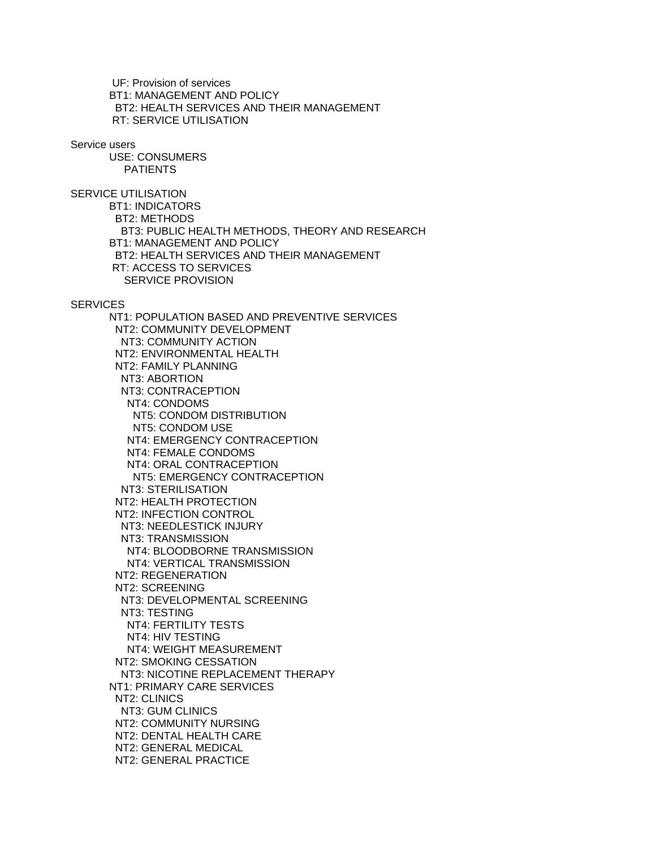UF: Provision of services BT1: MANAGEMENT AND POLICY BT2: HEALTH SERVICES AND THEIR MANAGEMENT RT: SERVICE UTILISATION

Service users

 USE: CONSUMERS PATIENTS

SERVICE UTILISATION BT1: INDICATORS BT2: METHODS BT3: PUBLIC HEALTH METHODS, THEORY AND RESEARCH BT1: MANAGEMENT AND POLICY BT2: HEALTH SERVICES AND THEIR MANAGEMENT RT: ACCESS TO SERVICES SERVICE PROVISION

### **SERVICES**

 NT1: POPULATION BASED AND PREVENTIVE SERVICES NT2: COMMUNITY DEVELOPMENT NT3: COMMUNITY ACTION NT2: ENVIRONMENTAL HEALTH NT2: FAMILY PLANNING NT3: ABORTION NT3: CONTRACEPTION NT4: CONDOMS NT5: CONDOM DISTRIBUTION NT5: CONDOM USE NT4: EMERGENCY CONTRACEPTION NT4: FEMALE CONDOMS NT4: ORAL CONTRACEPTION NT5: EMERGENCY CONTRACEPTION NT3: STERILISATION NT2: HEALTH PROTECTION NT2: INFECTION CONTROL NT3: NEEDLESTICK INJURY NT3: TRANSMISSION NT4: BLOODBORNE TRANSMISSION NT4: VERTICAL TRANSMISSION NT2: REGENERATION NT2: SCREENING NT3: DEVELOPMENTAL SCREENING NT3: TESTING NT4: FERTILITY TESTS NT4: HIV TESTING NT4: WEIGHT MEASUREMENT NT2: SMOKING CESSATION NT3: NICOTINE REPLACEMENT THERAPY NT1: PRIMARY CARE SERVICES NT2: CLINICS NT3: GUM CLINICS NT2: COMMUNITY NURSING NT2: DENTAL HEALTH CARE NT2: GENERAL MEDICAL NT2: GENERAL PRACTICE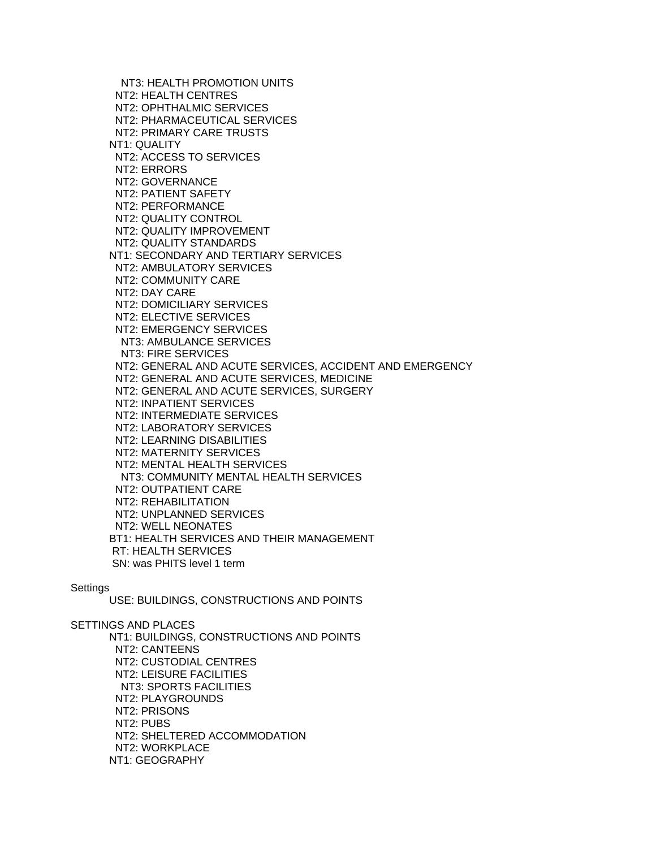NT3: HEALTH PROMOTION UNITS NT2: HEALTH CENTRES NT2: OPHTHALMIC SERVICES NT2: PHARMACEUTICAL SERVICES NT2: PRIMARY CARE TRUSTS NT1: QUALITY NT2: ACCESS TO SERVICES NT2: ERRORS NT2: GOVERNANCE NT2: PATIENT SAFETY NT2: PERFORMANCE NT2: QUALITY CONTROL NT2: QUALITY IMPROVEMENT NT2: QUALITY STANDARDS NT1: SECONDARY AND TERTIARY SERVICES NT2: AMBULATORY SERVICES NT2: COMMUNITY CARE NT2: DAY CARE NT2: DOMICILIARY SERVICES NT2: ELECTIVE SERVICES NT2: EMERGENCY SERVICES NT3: AMBULANCE SERVICES NT3: FIRE SERVICES NT2: GENERAL AND ACUTE SERVICES, ACCIDENT AND EMERGENCY NT2: GENERAL AND ACUTE SERVICES, MEDICINE NT2: GENERAL AND ACUTE SERVICES, SURGERY NT2: INPATIENT SERVICES NT2: INTERMEDIATE SERVICES NT2: LABORATORY SERVICES NT2: LEARNING DISABILITIES NT2: MATERNITY SERVICES NT2: MENTAL HEALTH SERVICES NT3: COMMUNITY MENTAL HEALTH SERVICES NT2: OUTPATIENT CARE NT2: REHABILITATION NT2: UNPLANNED SERVICES NT2: WELL NEONATES BT1: HEALTH SERVICES AND THEIR MANAGEMENT RT: HEALTH SERVICES SN: was PHITS level 1 term

## **Settings**

USE: BUILDINGS, CONSTRUCTIONS AND POINTS

SETTINGS AND PLACES NT1: BUILDINGS, CONSTRUCTIONS AND POINTS NT2: CANTEENS NT2: CUSTODIAL CENTRES NT2: LEISURE FACILITIES NT3: SPORTS FACILITIES NT2: PLAYGROUNDS NT2: PRISONS NT2: PUBS NT2: SHELTERED ACCOMMODATION NT2: WORKPLACE NT1: GEOGRAPHY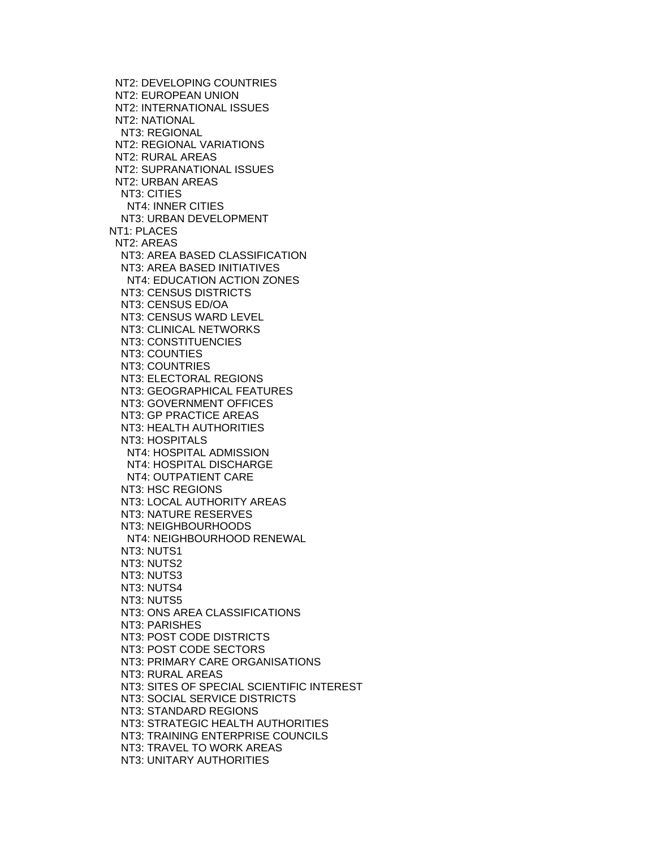NT2: DEVELOPING COUNTRIES NT2: EUROPEAN UNION NT2: INTERNATIONAL ISSUES NT2: NATIONAL NT3: REGIONAL NT2: REGIONAL VARIATIONS NT2: RURAL AREAS NT2: SUPRANATIONAL ISSUES NT2: URBAN AREAS NT3: CITIES NT4: INNER CITIES NT3: URBAN DEVELOPMENT NT1: PLACES NT2: AREAS NT3: AREA BASED CLASSIFICATION NT3: AREA BASED INITIATIVES NT4: EDUCATION ACTION ZONES NT3: CENSUS DISTRICTS NT3: CENSUS ED/OA NT3: CENSUS WARD LEVEL NT3: CLINICAL NETWORKS NT3: CONSTITUENCIES NT3: COUNTIES NT3: COUNTRIES NT3: ELECTORAL REGIONS NT3: GEOGRAPHICAL FEATURES NT3: GOVERNMENT OFFICES NT3: GP PRACTICE AREAS NT3: HEALTH AUTHORITIES NT3: HOSPITALS NT4: HOSPITAL ADMISSION NT4: HOSPITAL DISCHARGE NT4: OUTPATIENT CARE NT3: HSC REGIONS NT3: LOCAL AUTHORITY AREAS NT3: NATURE RESERVES NT3: NEIGHBOURHOODS NT4: NEIGHBOURHOOD RENEWAL NT3: NUTS1 NT3: NUTS2 NT3: NUTS3 NT3: NUTS4 NT3: NUTS5 NT3: ONS AREA CLASSIFICATIONS NT3: PARISHES NT3: POST CODE DISTRICTS NT3: POST CODE SECTORS NT3: PRIMARY CARE ORGANISATIONS NT3: RURAL AREAS NT3: SITES OF SPECIAL SCIENTIFIC INTEREST NT3: SOCIAL SERVICE DISTRICTS NT3: STANDARD REGIONS NT3: STRATEGIC HEALTH AUTHORITIES NT3: TRAINING ENTERPRISE COUNCILS NT3: TRAVEL TO WORK AREAS NT3: UNITARY AUTHORITIES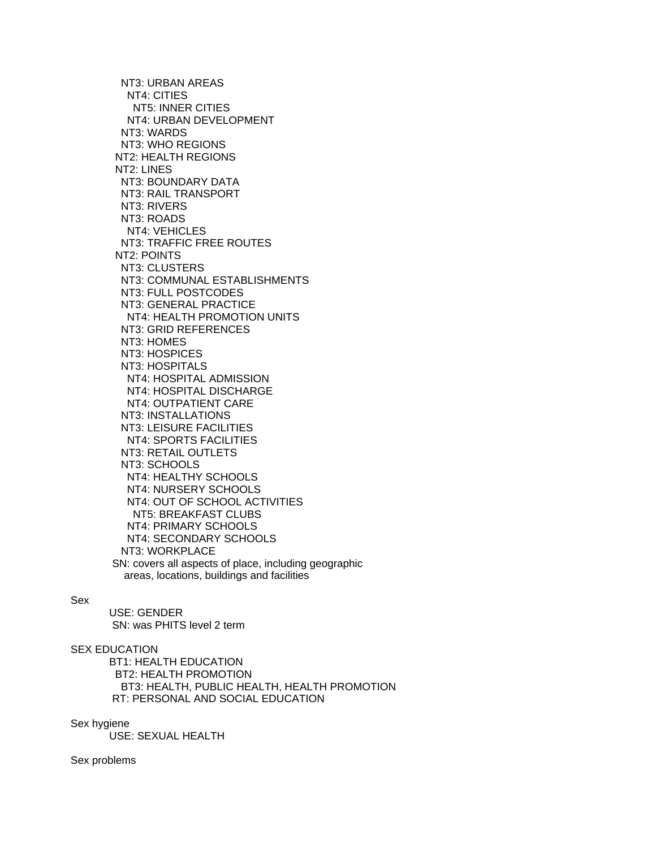NT3: URBAN AREAS NT4: CITIES NT5: INNER CITIES NT4: URBAN DEVELOPMENT NT3: WARDS NT3: WHO REGIONS NT2: HEALTH REGIONS NT2: LINES NT3: BOUNDARY DATA NT3: RAIL TRANSPORT NT3: RIVERS NT3: ROADS NT4: VEHICLES NT3: TRAFFIC FREE ROUTES NT2: POINTS NT3: CLUSTERS NT3: COMMUNAL ESTABLISHMENTS NT3: FULL POSTCODES NT3: GENERAL PRACTICE NT4: HEALTH PROMOTION UNITS NT3: GRID REFERENCES NT3: HOMES NT3: HOSPICES NT3: HOSPITALS NT4: HOSPITAL ADMISSION NT4: HOSPITAL DISCHARGE NT4: OUTPATIENT CARE NT3: INSTALLATIONS NT3: LEISURE FACILITIES NT4: SPORTS FACILITIES NT3: RETAIL OUTLETS NT3: SCHOOLS NT4: HEALTHY SCHOOLS NT4: NURSERY SCHOOLS NT4: OUT OF SCHOOL ACTIVITIES NT5: BREAKFAST CLUBS NT4: PRIMARY SCHOOLS NT4: SECONDARY SCHOOLS NT3: WORKPLACE SN: covers all aspects of place, including geographic areas, locations, buildings and facilities

# Sex

 USE: GENDER SN: was PHITS level 2 term

# SEX EDUCATION

 BT1: HEALTH EDUCATION BT2: HEALTH PROMOTION BT3: HEALTH, PUBLIC HEALTH, HEALTH PROMOTION RT: PERSONAL AND SOCIAL EDUCATION

#### Sex hygiene

USE: SEXUAL HEALTH

Sex problems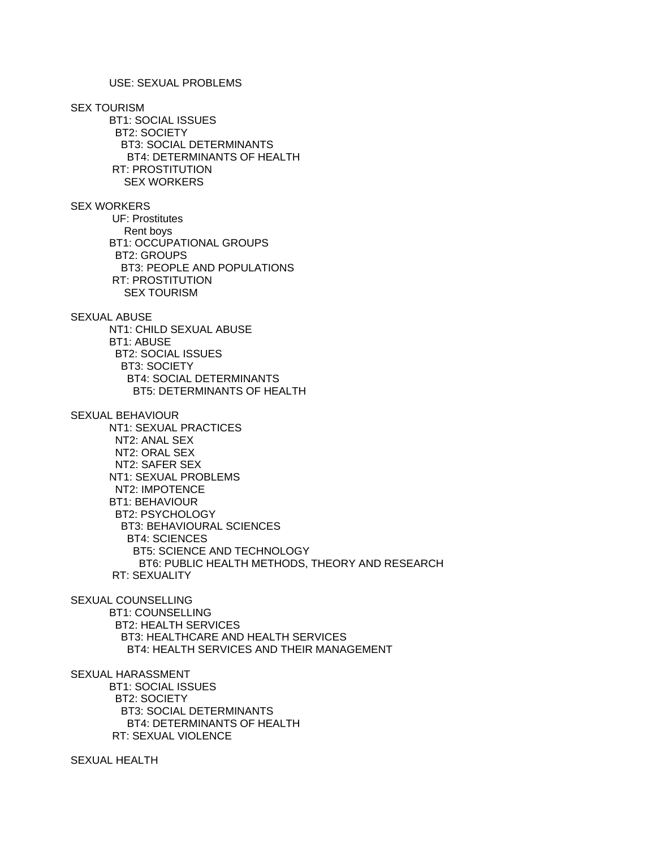# USE: SEXUAL PROBLEMS

SEX TOURISM

 BT1: SOCIAL ISSUES BT2: SOCIETY BT3: SOCIAL DETERMINANTS BT4: DETERMINANTS OF HEALTH RT: PROSTITUTION SEX WORKERS

SEX WORKERS

 UF: Prostitutes Rent boys BT1: OCCUPATIONAL GROUPS BT2: GROUPS BT3: PEOPLE AND POPULATIONS RT: PROSTITUTION SEX TOURISM

# SEXUAL ABUSE

 NT1: CHILD SEXUAL ABUSE BT1: ABUSE BT2: SOCIAL ISSUES BT3: SOCIETY BT4: SOCIAL DETERMINANTS BT5: DETERMINANTS OF HEALTH

## SEXUAL BEHAVIOUR

 NT1: SEXUAL PRACTICES NT2: ANAL SEX NT2: ORAL SEX NT2: SAFER SEX NT1: SEXUAL PROBLEMS NT2: IMPOTENCE BT1: BEHAVIOUR BT2: PSYCHOLOGY BT3: BEHAVIOURAL SCIENCES BT4: SCIENCES BT5: SCIENCE AND TECHNOLOGY BT6: PUBLIC HEALTH METHODS, THEORY AND RESEARCH RT: SEXUALITY

## SEXUAL COUNSELLING

 BT1: COUNSELLING BT2: HEALTH SERVICES BT3: HEALTHCARE AND HEALTH SERVICES BT4: HEALTH SERVICES AND THEIR MANAGEMENT

SEXUAL HARASSMENT

 BT1: SOCIAL ISSUES BT2: SOCIETY BT3: SOCIAL DETERMINANTS BT4: DETERMINANTS OF HEALTH RT: SEXUAL VIOLENCE

SEXUAL HEALTH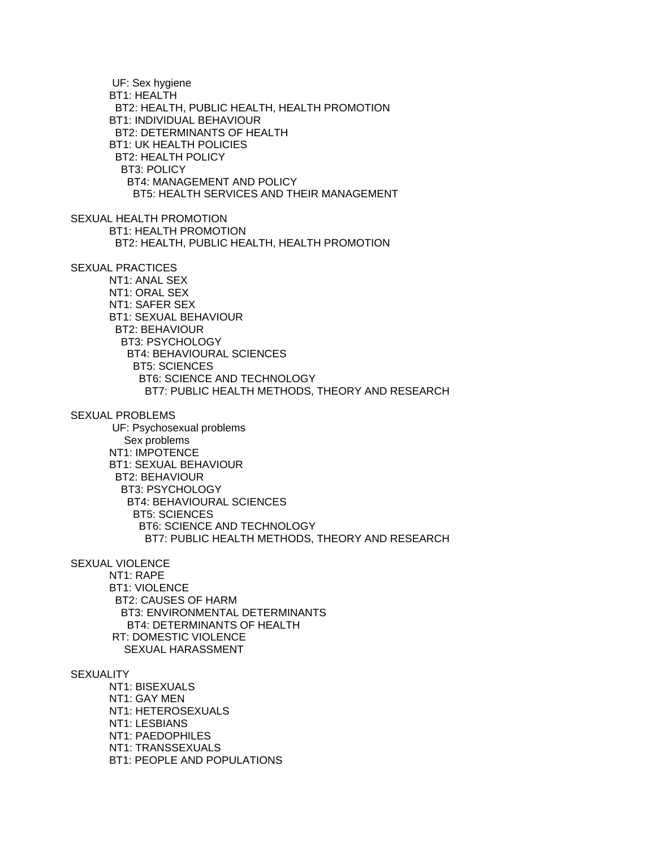UF: Sex hygiene BT1: HEALTH BT2: HEALTH, PUBLIC HEALTH, HEALTH PROMOTION BT1: INDIVIDUAL BEHAVIOUR BT2: DETERMINANTS OF HEALTH BT1: UK HEALTH POLICIES BT2: HEALTH POLICY BT3: POLICY BT4: MANAGEMENT AND POLICY BT5: HEALTH SERVICES AND THEIR MANAGEMENT SEXUAL HEALTH PROMOTION BT1: HEALTH PROMOTION BT2: HEALTH, PUBLIC HEALTH, HEALTH PROMOTION SEXUAL PRACTICES NT1: ANAL SEX NT1: ORAL SEX NT1: SAFER SEX BT1: SEXUAL BEHAVIOUR BT2: BEHAVIOUR BT3: PSYCHOLOGY BT4: BEHAVIOURAL SCIENCES BT5: SCIENCES BT6: SCIENCE AND TECHNOLOGY BT7: PUBLIC HEALTH METHODS, THEORY AND RESEARCH SEXUAL PROBLEMS UF: Psychosexual problems Sex problems NT1: IMPOTENCE BT1: SEXUAL BEHAVIOUR BT2: BEHAVIOUR BT3: PSYCHOLOGY BT4: BEHAVIOURAL SCIENCES BT5: SCIENCES BT6: SCIENCE AND TECHNOLOGY BT7: PUBLIC HEALTH METHODS, THEORY AND RESEARCH SEXUAL VIOLENCE NT1: RAPE BT1: VIOLENCE BT2: CAUSES OF HARM BT3: ENVIRONMENTAL DETERMINANTS BT4: DETERMINANTS OF HEALTH RT: DOMESTIC VIOLENCE SEXUAL HARASSMENT **SEXUALITY**  NT1: BISEXUALS NT1: GAY MEN NT1: HETEROSEXUALS NT1: LESBIANS NT1: PAEDOPHILES NT1: TRANSSEXUALS BT1: PEOPLE AND POPULATIONS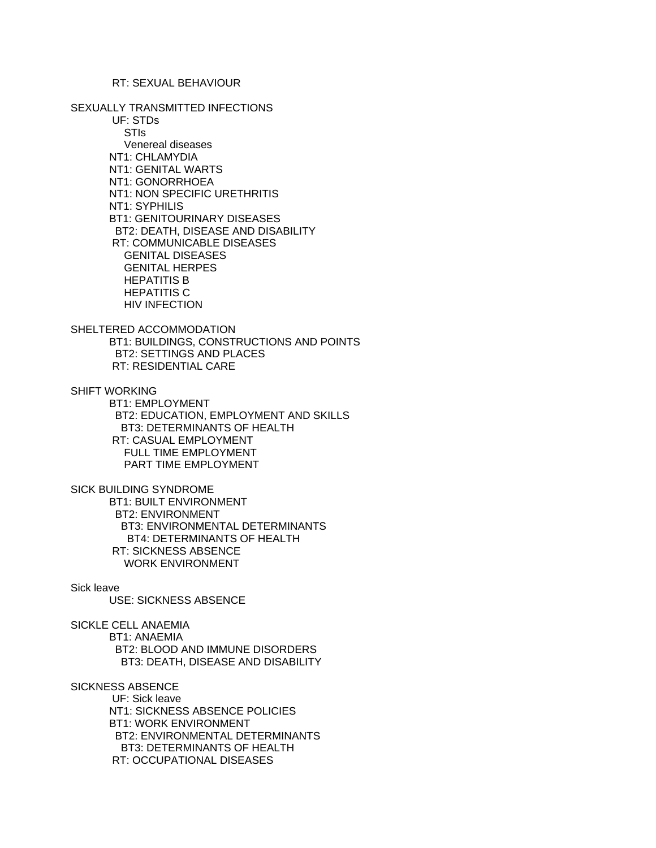## RT: SEXUAL BEHAVIOUR

### SEXUALLY TRANSMITTED INFECTIONS

 UF: STDs STIs Venereal diseases NT1: CHLAMYDIA NT1: GENITAL WARTS NT1: GONORRHOEA NT1: NON SPECIFIC URETHRITIS NT1: SYPHILIS BT1: GENITOURINARY DISEASES BT2: DEATH, DISEASE AND DISABILITY RT: COMMUNICABLE DISEASES GENITAL DISEASES GENITAL HERPES HEPATITIS B HEPATITIS C HIV INFECTION

# SHELTERED ACCOMMODATION BT1: BUILDINGS, CONSTRUCTIONS AND POINTS BT2: SETTINGS AND PLACES RT: RESIDENTIAL CARE

SHIFT WORKING

 BT1: EMPLOYMENT BT2: EDUCATION, EMPLOYMENT AND SKILLS BT3: DETERMINANTS OF HEALTH RT: CASUAL EMPLOYMENT FULL TIME EMPLOYMENT PART TIME EMPLOYMENT

### SICK BUILDING SYNDROME

 BT1: BUILT ENVIRONMENT BT2: ENVIRONMENT BT3: ENVIRONMENTAL DETERMINANTS BT4: DETERMINANTS OF HEALTH RT: SICKNESS ABSENCE WORK ENVIRONMENT

## Sick leave

USE: SICKNESS ABSENCE

SICKLE CELL ANAEMIA

 BT1: ANAEMIA BT2: BLOOD AND IMMUNE DISORDERS BT3: DEATH, DISEASE AND DISABILITY

## SICKNESS ABSENCE

 UF: Sick leave NT1: SICKNESS ABSENCE POLICIES BT1: WORK ENVIRONMENT BT2: ENVIRONMENTAL DETERMINANTS BT3: DETERMINANTS OF HEALTH RT: OCCUPATIONAL DISEASES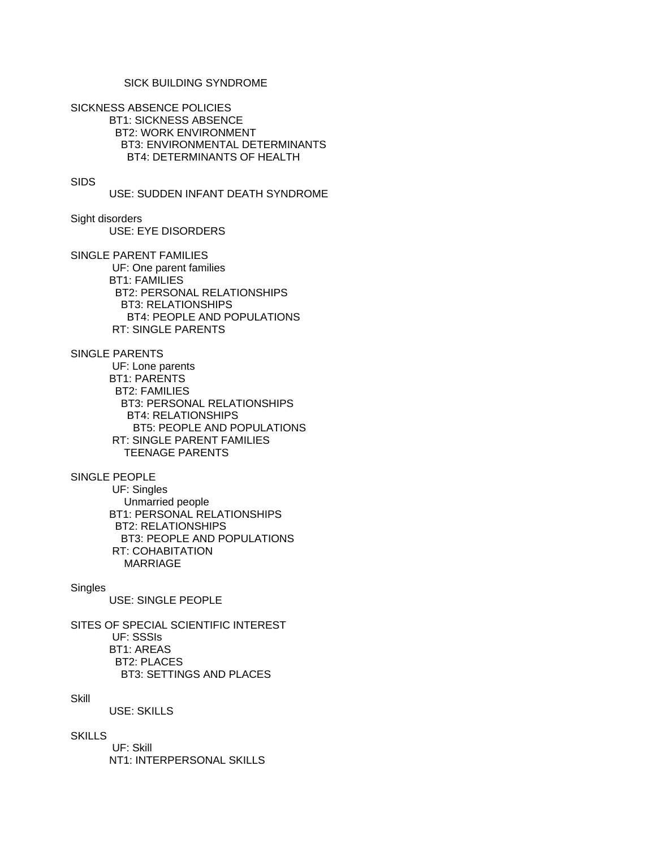# SICK BUILDING SYNDROME

SICKNESS ABSENCE POLICIES BT1: SICKNESS ABSENCE BT2: WORK ENVIRONMENT BT3: ENVIRONMENTAL DETERMINANTS BT4: DETERMINANTS OF HEALTH

### SIDS

USE: SUDDEN INFANT DEATH SYNDROME

Sight disorders USE: EYE DISORDERS

SINGLE PARENT FAMILIES UF: One parent families BT1: FAMILIES BT2: PERSONAL RELATIONSHIPS BT3: RELATIONSHIPS BT4: PEOPLE AND POPULATIONS RT: SINGLE PARENTS

SINGLE PARENTS UF: Lone parents BT1: PARENTS BT2: FAMILIES BT3: PERSONAL RELATIONSHIPS BT4: RELATIONSHIPS BT5: PEOPLE AND POPULATIONS RT: SINGLE PARENT FAMILIES TEENAGE PARENTS

SINGLE PEOPLE UF: Singles Unmarried people BT1: PERSONAL RELATIONSHIPS BT2: RELATIONSHIPS BT3: PEOPLE AND POPULATIONS RT: COHABITATION MARRIAGE

## Singles

USE: SINGLE PEOPLE

SITES OF SPECIAL SCIENTIFIC INTEREST UF: SSSIs BT1: AREAS BT2: PLACES BT3: SETTINGS AND PLACES

# **Skill**

USE: SKILLS

# **SKILLS**

 UF: Skill NT1: INTERPERSONAL SKILLS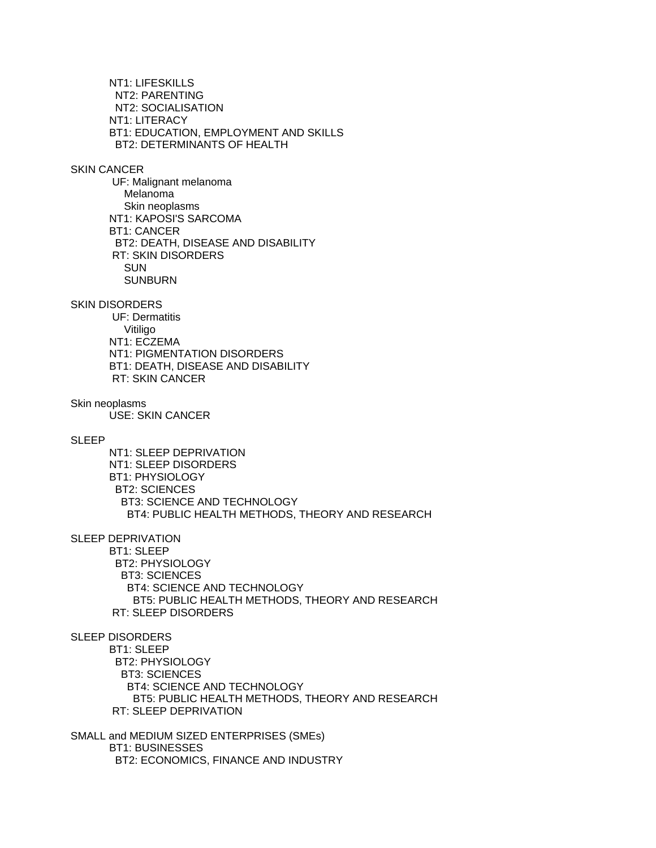NT1: LIFESKILLS NT2: PARENTING NT2: SOCIALISATION NT1: LITERACY BT1: EDUCATION, EMPLOYMENT AND SKILLS BT2: DETERMINANTS OF HEALTH SKIN CANCER

 UF: Malignant melanoma Melanoma Skin neoplasms NT1: KAPOSI'S SARCOMA BT1: CANCER BT2: DEATH, DISEASE AND DISABILITY RT: SKIN DISORDERS **SUN** SUNBURN

SKIN DISORDERS

 UF: Dermatitis Vitiligo NT1: ECZEMA NT1: PIGMENTATION DISORDERS BT1: DEATH, DISEASE AND DISABILITY RT: SKIN CANCER

Skin neoplasms USE: SKIN CANCER

SLEEP

 NT1: SLEEP DEPRIVATION NT1: SLEEP DISORDERS BT1: PHYSIOLOGY BT2: SCIENCES BT3: SCIENCE AND TECHNOLOGY BT4: PUBLIC HEALTH METHODS, THEORY AND RESEARCH

SLEEP DEPRIVATION

 BT1: SLEEP BT2: PHYSIOLOGY BT3: SCIENCES BT4: SCIENCE AND TECHNOLOGY BT5: PUBLIC HEALTH METHODS, THEORY AND RESEARCH RT: SLEEP DISORDERS

SLEEP DISORDERS

 BT1: SLEEP BT2: PHYSIOLOGY BT3: SCIENCES BT4: SCIENCE AND TECHNOLOGY BT5: PUBLIC HEALTH METHODS, THEORY AND RESEARCH RT: SLEEP DEPRIVATION

SMALL and MEDIUM SIZED ENTERPRISES (SMEs) BT1: BUSINESSES BT2: ECONOMICS, FINANCE AND INDUSTRY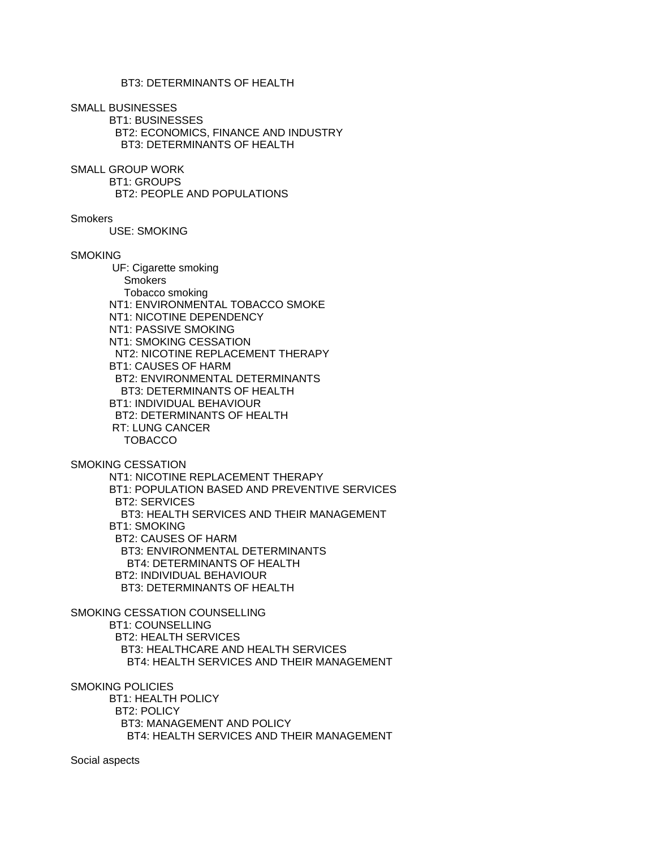# BT3: DETERMINANTS OF HEALTH

SMALL BUSINESSES

 BT1: BUSINESSES BT2: ECONOMICS, FINANCE AND INDUSTRY BT3: DETERMINANTS OF HEALTH

SMALL GROUP WORK

BT1: GROUPS

BT2: PEOPLE AND POPULATIONS

**Smokers** 

USE: SMOKING

#### **SMOKING**

 UF: Cigarette smoking **Smokers**  Tobacco smoking NT1: ENVIRONMENTAL TOBACCO SMOKE NT1: NICOTINE DEPENDENCY NT1: PASSIVE SMOKING NT1: SMOKING CESSATION NT2: NICOTINE REPLACEMENT THERAPY BT1: CAUSES OF HARM BT2: ENVIRONMENTAL DETERMINANTS BT3: DETERMINANTS OF HEALTH BT1: INDIVIDUAL BEHAVIOUR BT2: DETERMINANTS OF HEALTH RT: LUNG CANCER TOBACCO

SMOKING CESSATION

 NT1: NICOTINE REPLACEMENT THERAPY BT1: POPULATION BASED AND PREVENTIVE SERVICES BT2: SERVICES BT3: HEALTH SERVICES AND THEIR MANAGEMENT BT1: SMOKING BT2: CAUSES OF HARM BT3: ENVIRONMENTAL DETERMINANTS BT4: DETERMINANTS OF HEALTH BT2: INDIVIDUAL BEHAVIOUR BT3: DETERMINANTS OF HEALTH

SMOKING CESSATION COUNSELLING BT1: COUNSELLING BT2: HEALTH SERVICES BT3: HEALTHCARE AND HEALTH SERVICES BT4: HEALTH SERVICES AND THEIR MANAGEMENT

SMOKING POLICIES

 BT1: HEALTH POLICY BT2: POLICY BT3: MANAGEMENT AND POLICY BT4: HEALTH SERVICES AND THEIR MANAGEMENT

Social aspects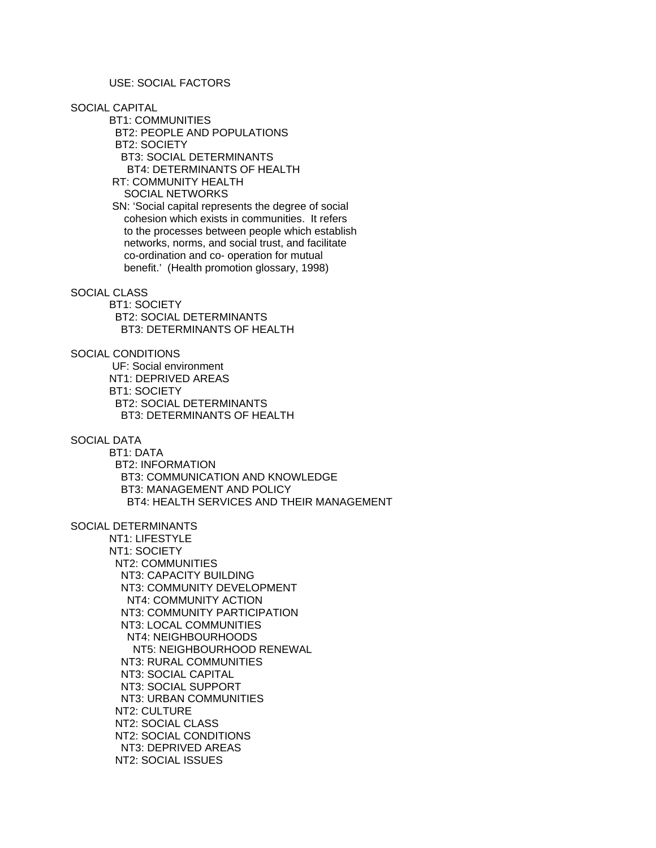USE: SOCIAL FACTORS

SOCIAL CAPITAL

 BT1: COMMUNITIES BT2: PEOPLE AND POPULATIONS BT2: SOCIETY BT3: SOCIAL DETERMINANTS BT4: DETERMINANTS OF HEALTH RT: COMMUNITY HEALTH SOCIAL NETWORKS

 SN: 'Social capital represents the degree of social cohesion which exists in communities. It refers to the processes between people which establish networks, norms, and social trust, and facilitate co-ordination and co- operation for mutual benefit.' (Health promotion glossary, 1998)

### SOCIAL CLASS

 BT1: SOCIETY BT2: SOCIAL DETERMINANTS BT3: DETERMINANTS OF HEALTH

SOCIAL CONDITIONS

 UF: Social environment NT1: DEPRIVED AREAS BT1: SOCIETY BT2: SOCIAL DETERMINANTS BT3: DETERMINANTS OF HEALTH

SOCIAL DATA

 BT1: DATA BT2: INFORMATION BT3: COMMUNICATION AND KNOWLEDGE BT3: MANAGEMENT AND POLICY BT4: HEALTH SERVICES AND THEIR MANAGEMENT

SOCIAL DETERMINANTS

 NT1: LIFESTYLE NT1: SOCIETY NT2: COMMUNITIES NT3: CAPACITY BUILDING NT3: COMMUNITY DEVELOPMENT NT4: COMMUNITY ACTION NT3: COMMUNITY PARTICIPATION NT3: LOCAL COMMUNITIES NT4: NEIGHBOURHOODS NT5: NEIGHBOURHOOD RENEWAL NT3: RURAL COMMUNITIES NT3: SOCIAL CAPITAL NT3: SOCIAL SUPPORT NT3: URBAN COMMUNITIES NT2: CULTURE NT2: SOCIAL CLASS NT2: SOCIAL CONDITIONS NT3: DEPRIVED AREAS NT2: SOCIAL ISSUES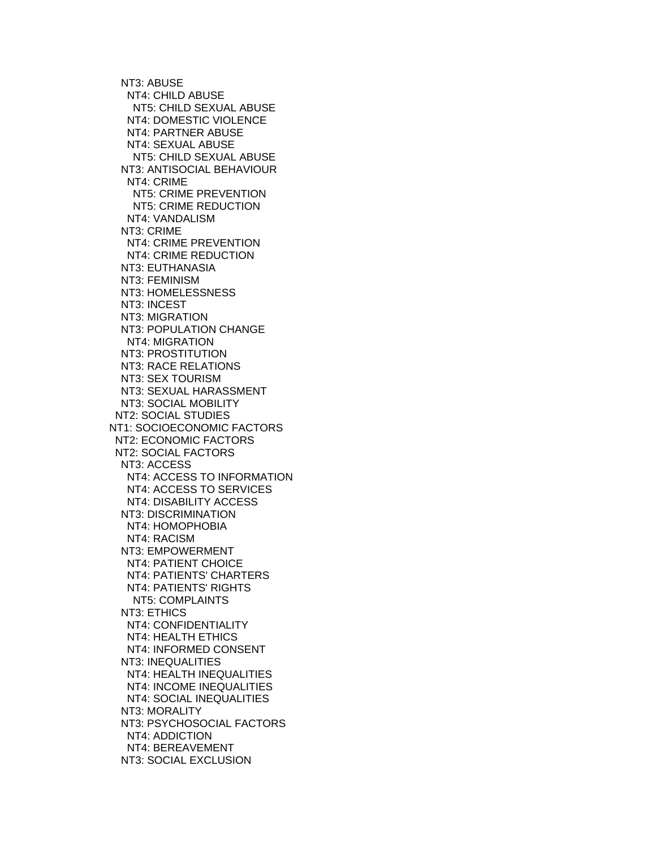NT3: ABUSE NT4: CHILD ABUSE NT5: CHILD SEXUAL ABUSE NT4: DOMESTIC VIOLENCE NT4: PARTNER ABUSE NT4: SEXUAL ABUSE NT5: CHILD SEXUAL ABUSE NT3: ANTISOCIAL BEHAVIOUR NT4: CRIME NT5: CRIME PREVENTION NT5: CRIME REDUCTION NT4: VANDALISM NT3: CRIME NT4: CRIME PREVENTION NT4: CRIME REDUCTION NT3: EUTHANASIA NT3: FEMINISM NT3: HOMELESSNESS NT3: INCEST NT3: MIGRATION NT3: POPULATION CHANGE NT4: MIGRATION NT3: PROSTITUTION NT3: RACE RELATIONS NT3: SEX TOURISM NT3: SEXUAL HARASSMENT NT3: SOCIAL MOBILITY NT2: SOCIAL STUDIES NT1: SOCIOECONOMIC FACTORS NT2: ECONOMIC FACTORS NT2: SOCIAL FACTORS NT3: ACCESS NT4: ACCESS TO INFORMATION NT4: ACCESS TO SERVICES NT4: DISABILITY ACCESS NT3: DISCRIMINATION NT4: HOMOPHOBIA NT4: RACISM NT3: EMPOWERMENT NT4: PATIENT CHOICE NT4: PATIENTS' CHARTERS NT4: PATIENTS' RIGHTS NT5: COMPLAINTS NT3: ETHICS NT4: CONFIDENTIALITY NT4: HEALTH ETHICS NT4: INFORMED CONSENT NT3: INEQUALITIES NT4: HEALTH INEQUALITIES NT4: INCOME INEQUALITIES NT4: SOCIAL INEQUALITIES NT3: MORALITY NT3: PSYCHOSOCIAL FACTORS NT4: ADDICTION NT4: BEREAVEMENT NT3: SOCIAL EXCLUSION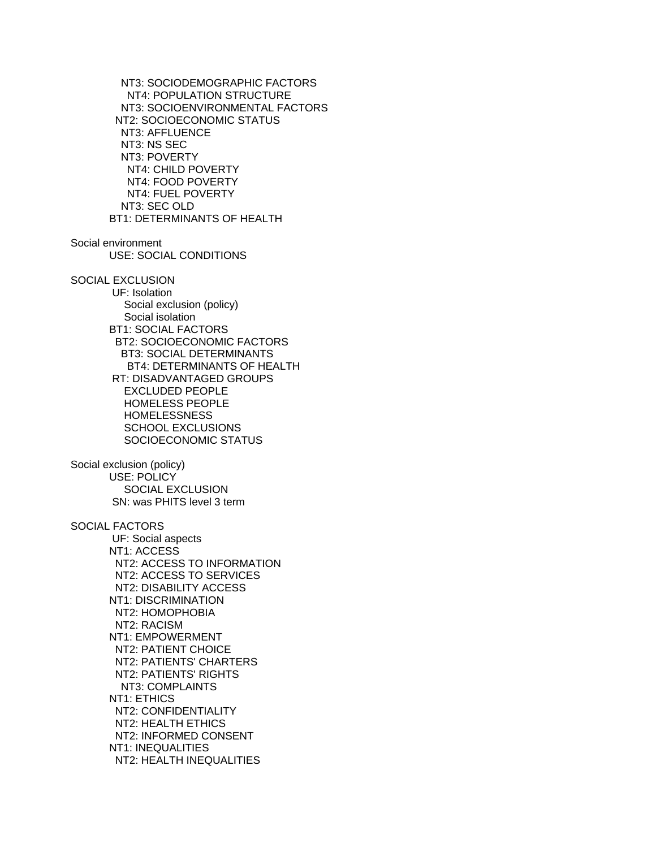NT3: SOCIODEMOGRAPHIC FACTORS NT4: POPULATION STRUCTURE NT3: SOCIOENVIRONMENTAL FACTORS NT2: SOCIOECONOMIC STATUS NT3: AFFLUENCE NT3: NS SEC NT3: POVERTY NT4: CHILD POVERTY NT4: FOOD POVERTY NT4: FUEL POVERTY NT3: SEC OLD BT1: DETERMINANTS OF HEALTH Social environment USE: SOCIAL CONDITIONS SOCIAL EXCLUSION UF: Isolation Social exclusion (policy) Social isolation BT1: SOCIAL FACTORS BT2: SOCIOECONOMIC FACTORS BT3: SOCIAL DETERMINANTS BT4: DETERMINANTS OF HEALTH RT: DISADVANTAGED GROUPS EXCLUDED PEOPLE HOMELESS PEOPLE **HOMELESSNESS**  SCHOOL EXCLUSIONS SOCIOECONOMIC STATUS Social exclusion (policy) USE: POLICY SOCIAL EXCLUSION SN: was PHITS level 3 term SOCIAL FACTORS UF: Social aspects NT1: ACCESS NT2: ACCESS TO INFORMATION NT2: ACCESS TO SERVICES NT2: DISABILITY ACCESS NT1: DISCRIMINATION NT2: HOMOPHOBIA NT2: RACISM NT1: EMPOWERMENT NT2: PATIENT CHOICE NT2: PATIENTS' CHARTERS NT2: PATIENTS' RIGHTS NT3: COMPLAINTS NT1: ETHICS NT2: CONFIDENTIALITY NT2: HEALTH ETHICS NT2: INFORMED CONSENT NT1: INEQUALITIES NT2: HEALTH INEQUALITIES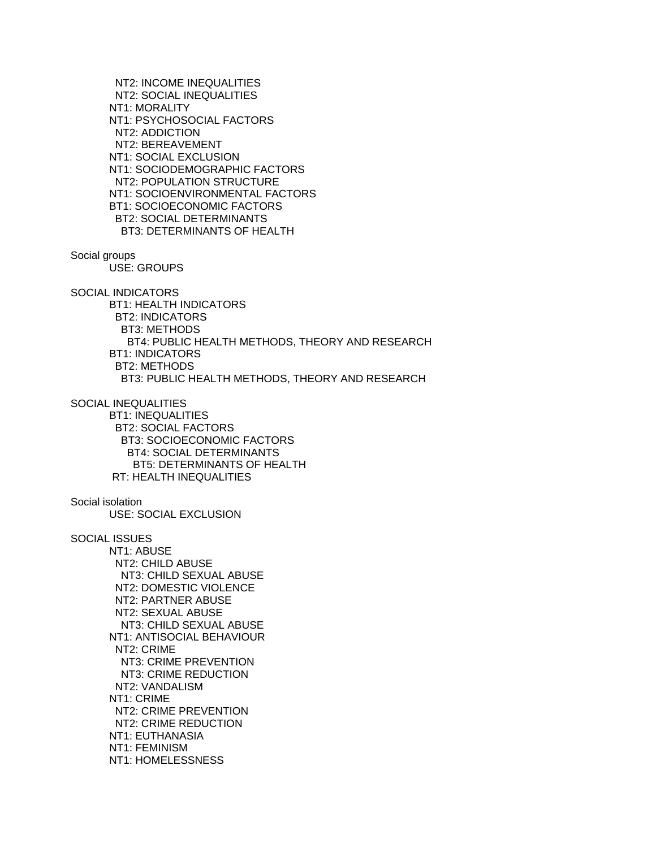NT2: INCOME INEQUALITIES NT2: SOCIAL INEQUALITIES NT1: MORALITY NT1: PSYCHOSOCIAL FACTORS NT2: ADDICTION NT2: BEREAVEMENT NT1: SOCIAL EXCLUSION NT1: SOCIODEMOGRAPHIC FACTORS NT2: POPULATION STRUCTURE NT1: SOCIOENVIRONMENTAL FACTORS BT1: SOCIOECONOMIC FACTORS BT2: SOCIAL DETERMINANTS BT3: DETERMINANTS OF HEALTH

Social groups

USE: GROUPS

SOCIAL INDICATORS

 BT1: HEALTH INDICATORS BT2: INDICATORS BT3: METHODS BT4: PUBLIC HEALTH METHODS, THEORY AND RESEARCH BT1: INDICATORS BT2: METHODS BT3: PUBLIC HEALTH METHODS, THEORY AND RESEARCH

SOCIAL INEQUALITIES

 BT1: INEQUALITIES BT2: SOCIAL FACTORS BT3: SOCIOECONOMIC FACTORS BT4: SOCIAL DETERMINANTS BT5: DETERMINANTS OF HEALTH RT: HEALTH INEQUALITIES

Social isolation

USE: SOCIAL EXCLUSION

SOCIAL ISSUES

 NT1: ABUSE NT2: CHILD ABUSE NT3: CHILD SEXUAL ABUSE NT2: DOMESTIC VIOLENCE NT2: PARTNER ABUSE NT2: SEXUAL ABUSE NT3: CHILD SEXUAL ABUSE NT1: ANTISOCIAL BEHAVIOUR NT2: CRIME NT3: CRIME PREVENTION NT3: CRIME REDUCTION NT2: VANDALISM NT1: CRIME NT2: CRIME PREVENTION NT2: CRIME REDUCTION NT1: EUTHANASIA NT1: FEMINISM NT1: HOMELESSNESS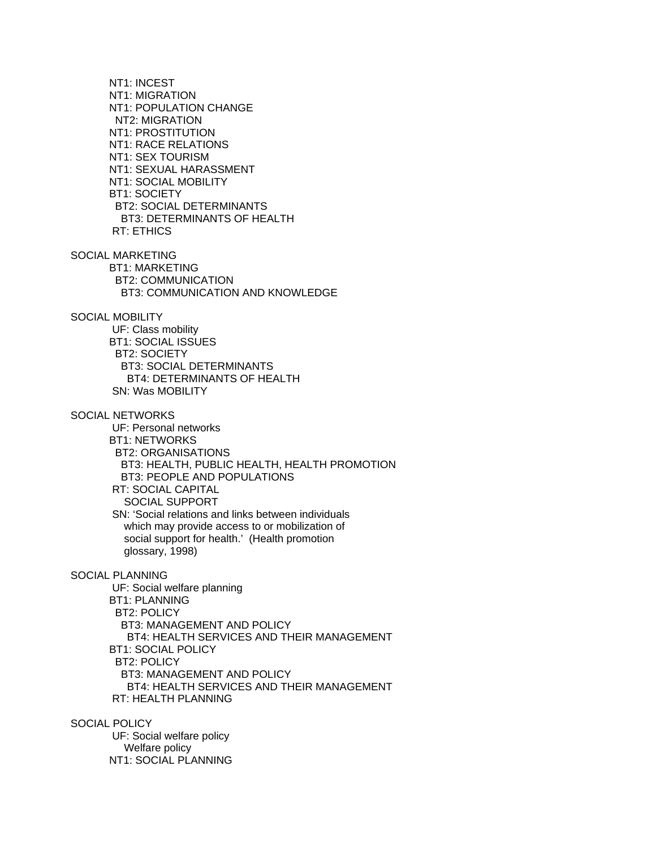NT1: INCEST NT1: MIGRATION NT1: POPULATION CHANGE NT2: MIGRATION NT1: PROSTITUTION NT1: RACE RELATIONS NT1: SEX TOURISM NT1: SEXUAL HARASSMENT NT1: SOCIAL MOBILITY BT1: SOCIETY BT2: SOCIAL DETERMINANTS BT3: DETERMINANTS OF HEALTH RT: ETHICS SOCIAL MARKETING BT1: MARKETING BT2: COMMUNICATION BT3: COMMUNICATION AND KNOWLEDGE SOCIAL MOBILITY UF: Class mobility BT1: SOCIAL ISSUES BT2: SOCIETY BT3: SOCIAL DETERMINANTS BT4: DETERMINANTS OF HEALTH SN: Was MOBILITY SOCIAL NETWORKS UF: Personal networks BT1: NETWORKS BT2: ORGANISATIONS BT3: HEALTH, PUBLIC HEALTH, HEALTH PROMOTION BT3: PEOPLE AND POPULATIONS RT: SOCIAL CAPITAL SOCIAL SUPPORT SN: 'Social relations and links between individuals which may provide access to or mobilization of social support for health.' (Health promotion glossary, 1998) SOCIAL PLANNING UF: Social welfare planning BT1: PLANNING BT2: POLICY BT3: MANAGEMENT AND POLICY BT4: HEALTH SERVICES AND THEIR MANAGEMENT BT1: SOCIAL POLICY BT2: POLICY BT3: MANAGEMENT AND POLICY BT4: HEALTH SERVICES AND THEIR MANAGEMENT RT: HEALTH PLANNING

SOCIAL POLICY UF: Social welfare policy Welfare policy NT1: SOCIAL PLANNING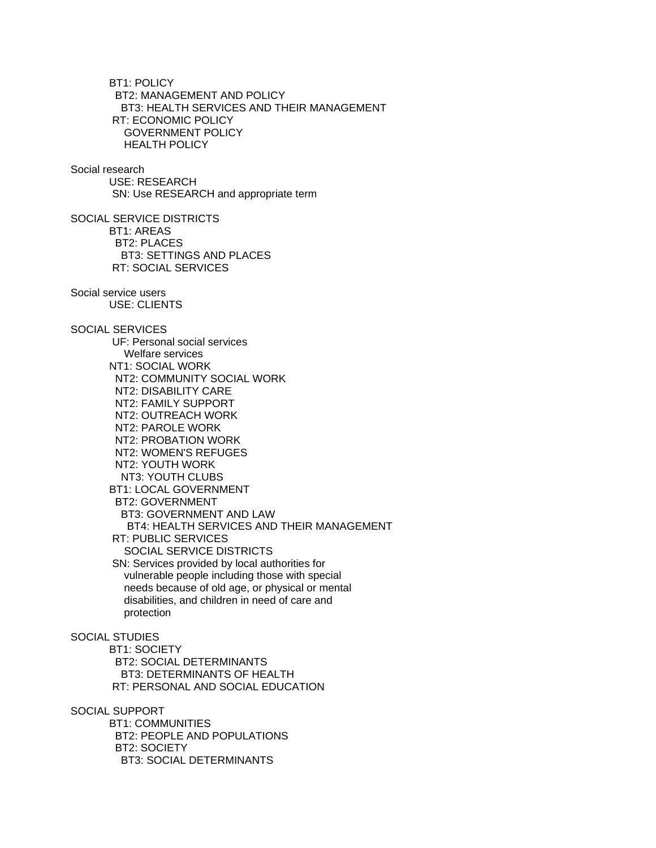BT1: POLICY BT2: MANAGEMENT AND POLICY BT3: HEALTH SERVICES AND THEIR MANAGEMENT RT: ECONOMIC POLICY GOVERNMENT POLICY HEALTH POLICY Social research USE: RESEARCH SN: Use RESEARCH and appropriate term SOCIAL SERVICE DISTRICTS BT1: AREAS BT2: PLACES BT3: SETTINGS AND PLACES RT: SOCIAL SERVICES Social service users USE: CLIENTS SOCIAL SERVICES UF: Personal social services Welfare services NT1: SOCIAL WORK NT2: COMMUNITY SOCIAL WORK NT2: DISABILITY CARE NT2: FAMILY SUPPORT NT2: OUTREACH WORK NT2: PAROLE WORK NT2: PROBATION WORK NT2: WOMEN'S REFUGES NT2: YOUTH WORK NT3: YOUTH CLUBS BT1: LOCAL GOVERNMENT BT2: GOVERNMENT BT3: GOVERNMENT AND LAW BT4: HEALTH SERVICES AND THEIR MANAGEMENT RT: PUBLIC SERVICES SOCIAL SERVICE DISTRICTS SN: Services provided by local authorities for vulnerable people including those with special needs because of old age, or physical or mental disabilities, and children in need of care and protection SOCIAL STUDIES BT1: SOCIETY BT2: SOCIAL DETERMINANTS BT3: DETERMINANTS OF HEALTH RT: PERSONAL AND SOCIAL EDUCATION SOCIAL SUPPORT BT1: COMMUNITIES BT2: PEOPLE AND POPULATIONS BT2: SOCIETY BT3: SOCIAL DETERMINANTS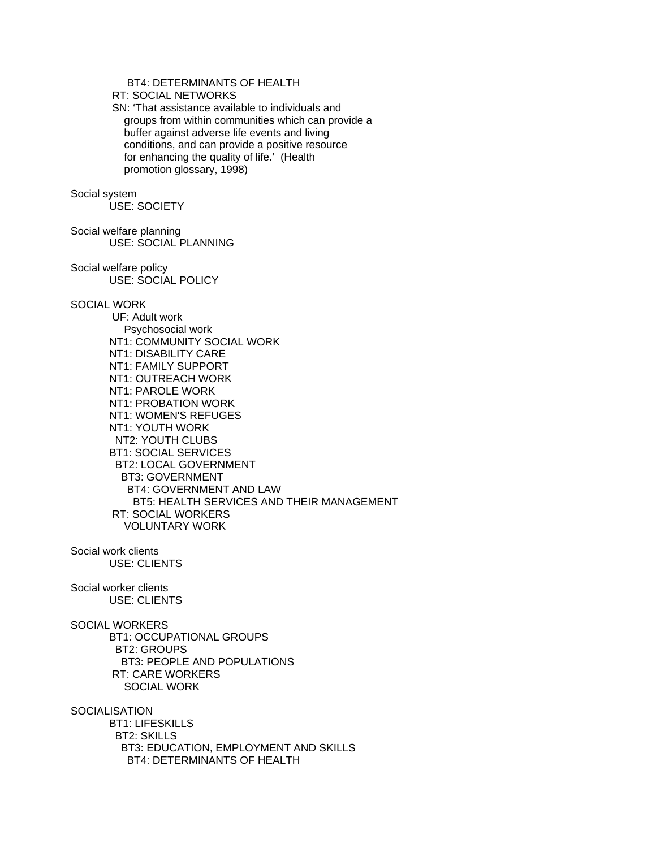# BT4: DETERMINANTS OF HEALTH

RT: SOCIAL NETWORKS

 SN: 'That assistance available to individuals and groups from within communities which can provide a buffer against adverse life events and living conditions, and can provide a positive resource for enhancing the quality of life.' (Health promotion glossary, 1998)

#### Social system

USE: SOCIETY

Social welfare planning USE: SOCIAL PLANNING

Social welfare policy USE: SOCIAL POLICY

### SOCIAL WORK

 UF: Adult work Psychosocial work NT1: COMMUNITY SOCIAL WORK NT1: DISABILITY CARE NT1: FAMILY SUPPORT NT1: OUTREACH WORK NT1: PAROLE WORK NT1: PROBATION WORK NT1: WOMEN'S REFUGES NT1: YOUTH WORK NT2: YOUTH CLUBS BT1: SOCIAL SERVICES BT2: LOCAL GOVERNMENT BT3: GOVERNMENT BT4: GOVERNMENT AND LAW BT5: HEALTH SERVICES AND THEIR MANAGEMENT RT: SOCIAL WORKERS VOLUNTARY WORK

Social work clients USE: CLIENTS

Social worker clients USE: CLIENTS

SOCIAL WORKERS BT1: OCCUPATIONAL GROUPS BT2: GROUPS BT3: PEOPLE AND POPULATIONS RT: CARE WORKERS SOCIAL WORK

**SOCIALISATION** 

 BT1: LIFESKILLS BT2: SKILLS BT3: EDUCATION, EMPLOYMENT AND SKILLS BT4: DETERMINANTS OF HEALTH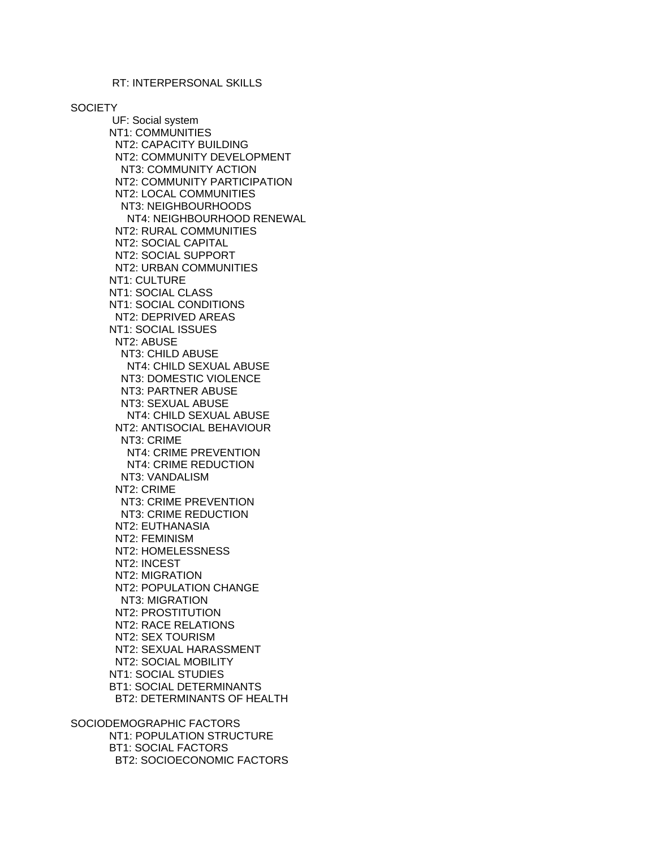**SOCIETY** 

 UF: Social system NT1: COMMUNITIES NT2: CAPACITY BUILDING NT2: COMMUNITY DEVELOPMENT NT3: COMMUNITY ACTION NT2: COMMUNITY PARTICIPATION NT2: LOCAL COMMUNITIES NT3: NEIGHBOURHOODS NT4: NEIGHBOURHOOD RENEWAL NT2: RURAL COMMUNITIES NT2: SOCIAL CAPITAL NT2: SOCIAL SUPPORT NT2: URBAN COMMUNITIES NT1: CULTURE NT1: SOCIAL CLASS NT1: SOCIAL CONDITIONS NT2: DEPRIVED AREAS NT1: SOCIAL ISSUES NT2: ABUSE NT3: CHILD ABUSE NT4: CHILD SEXUAL ABUSE NT3: DOMESTIC VIOLENCE NT3: PARTNER ABUSE NT3: SEXUAL ABUSE NT4: CHILD SEXUAL ABUSE NT2: ANTISOCIAL BEHAVIOUR NT3: CRIME NT4: CRIME PREVENTION NT4: CRIME REDUCTION NT3: VANDALISM NT2: CRIME NT3: CRIME PREVENTION NT3: CRIME REDUCTION NT2: EUTHANASIA NT2: FEMINISM NT2: HOMELESSNESS NT2: INCEST NT2: MIGRATION NT2: POPULATION CHANGE NT3: MIGRATION NT2: PROSTITUTION NT2: RACE RELATIONS NT2: SEX TOURISM NT2: SEXUAL HARASSMENT NT2: SOCIAL MOBILITY NT1: SOCIAL STUDIES BT1: SOCIAL DETERMINANTS BT2: DETERMINANTS OF HEALTH

SOCIODEMOGRAPHIC FACTORS NT1: POPULATION STRUCTURE BT1: SOCIAL FACTORS BT2: SOCIOECONOMIC FACTORS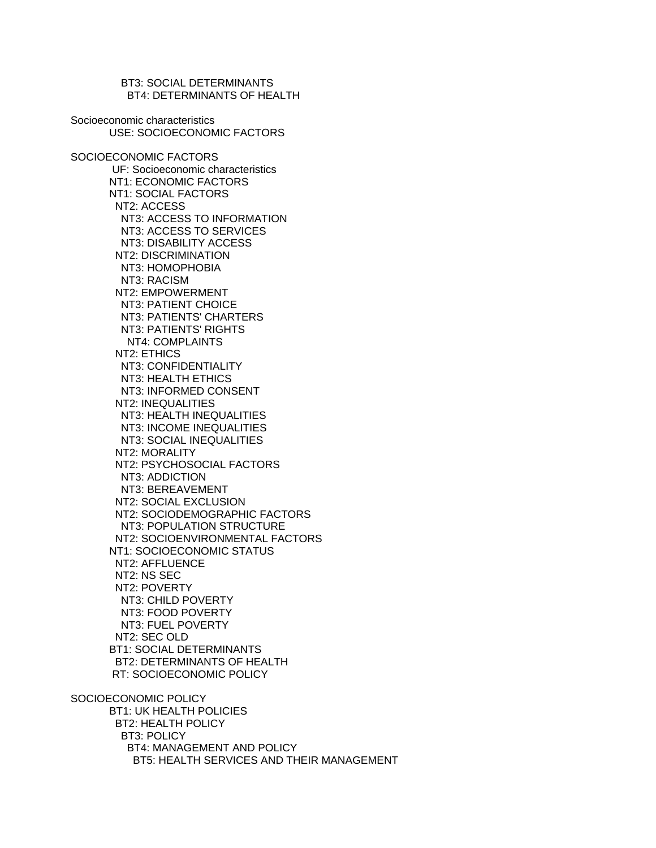BT3: SOCIAL DETERMINANTS BT4: DETERMINANTS OF HEALTH Socioeconomic characteristics USE: SOCIOECONOMIC FACTORS SOCIOECONOMIC FACTORS UF: Socioeconomic characteristics NT1: ECONOMIC FACTORS NT1: SOCIAL FACTORS NT2: ACCESS NT3: ACCESS TO INFORMATION NT3: ACCESS TO SERVICES NT3: DISABILITY ACCESS NT2: DISCRIMINATION NT3: HOMOPHOBIA NT3: RACISM NT2: EMPOWERMENT NT3: PATIENT CHOICE NT3: PATIENTS' CHARTERS NT3: PATIENTS' RIGHTS NT4: COMPLAINTS NT2: ETHICS NT3: CONFIDENTIALITY NT3: HEALTH ETHICS NT3: INFORMED CONSENT NT2: INEQUALITIES NT3: HEALTH INEQUALITIES NT3: INCOME INEQUALITIES NT3: SOCIAL INEQUALITIES NT2: MORALITY NT2: PSYCHOSOCIAL FACTORS NT3: ADDICTION NT3: BEREAVEMENT NT2: SOCIAL EXCLUSION NT2: SOCIODEMOGRAPHIC FACTORS NT3: POPULATION STRUCTURE NT2: SOCIOENVIRONMENTAL FACTORS NT1: SOCIOECONOMIC STATUS NT2: AFFLUENCE NT2: NS SEC NT2: POVERTY NT3: CHILD POVERTY NT3: FOOD POVERTY NT3: FUEL POVERTY NT2: SEC OLD BT1: SOCIAL DETERMINANTS BT2: DETERMINANTS OF HEALTH RT: SOCIOECONOMIC POLICY SOCIOECONOMIC POLICY BT1: UK HEALTH POLICIES BT2: HEALTH POLICY BT3: POLICY BT4: MANAGEMENT AND POLICY BT5: HEALTH SERVICES AND THEIR MANAGEMENT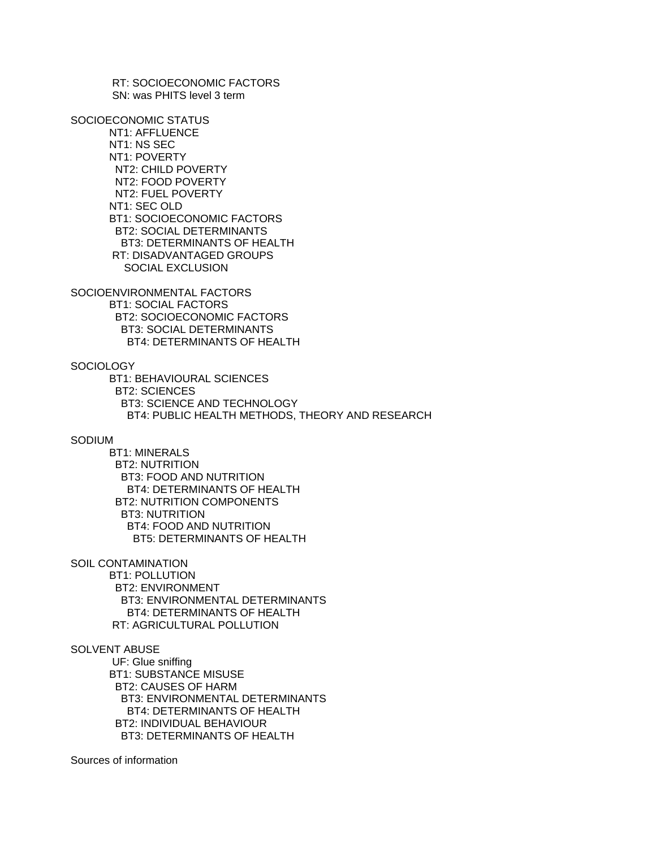RT: SOCIOECONOMIC FACTORS SN: was PHITS level 3 term

SOCIOECONOMIC STATUS NT1: AFFLUENCE NT1: NS SEC NT1: POVERTY NT2: CHILD POVERTY NT2: FOOD POVERTY NT2: FUEL POVERTY NT1: SEC OLD BT1: SOCIOECONOMIC FACTORS BT2: SOCIAL DETERMINANTS BT3: DETERMINANTS OF HEALTH RT: DISADVANTAGED GROUPS SOCIAL EXCLUSION

SOCIOENVIRONMENTAL FACTORS BT1: SOCIAL FACTORS BT2: SOCIOECONOMIC FACTORS BT3: SOCIAL DETERMINANTS BT4: DETERMINANTS OF HEALTH

### **SOCIOLOGY**

 BT1: BEHAVIOURAL SCIENCES BT2: SCIENCES BT3: SCIENCE AND TECHNOLOGY BT4: PUBLIC HEALTH METHODS, THEORY AND RESEARCH

#### SODIUM

 BT1: MINERALS BT2: NUTRITION BT3: FOOD AND NUTRITION BT4: DETERMINANTS OF HEALTH BT2: NUTRITION COMPONENTS BT3: NUTRITION BT4: FOOD AND NUTRITION BT5: DETERMINANTS OF HEALTH

SOIL CONTAMINATION

 BT1: POLLUTION BT2: ENVIRONMENT BT3: ENVIRONMENTAL DETERMINANTS BT4: DETERMINANTS OF HEALTH RT: AGRICULTURAL POLLUTION

# SOLVENT ABUSE

 UF: Glue sniffing BT1: SUBSTANCE MISUSE BT2: CAUSES OF HARM BT3: ENVIRONMENTAL DETERMINANTS BT4: DETERMINANTS OF HEALTH BT2: INDIVIDUAL BEHAVIOUR BT3: DETERMINANTS OF HEALTH

Sources of information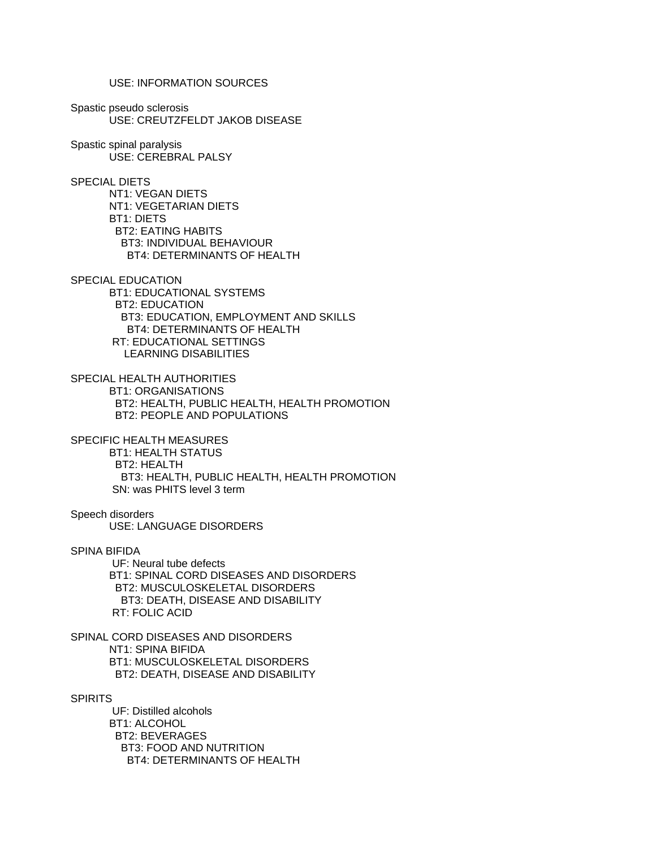USE: INFORMATION SOURCES

Spastic pseudo sclerosis USE: CREUTZFELDT JAKOB DISEASE

Spastic spinal paralysis USE: CEREBRAL PALSY

SPECIAL DIETS

 NT1: VEGAN DIETS NT1: VEGETARIAN DIETS BT1: DIETS BT2: EATING HABITS BT3: INDIVIDUAL BEHAVIOUR BT4: DETERMINANTS OF HEALTH

SPECIAL EDUCATION

 BT1: EDUCATIONAL SYSTEMS BT2: EDUCATION BT3: EDUCATION, EMPLOYMENT AND SKILLS BT4: DETERMINANTS OF HEALTH RT: EDUCATIONAL SETTINGS LEARNING DISABILITIES

SPECIAL HEALTH AUTHORITIES BT1: ORGANISATIONS BT2: HEALTH, PUBLIC HEALTH, HEALTH PROMOTION BT2: PEOPLE AND POPULATIONS

SPECIFIC HEALTH MEASURES BT1: HEALTH STATUS BT2: HEALTH BT3: HEALTH, PUBLIC HEALTH, HEALTH PROMOTION SN: was PHITS level 3 term

Speech disorders USE: LANGUAGE DISORDERS

SPINA BIFIDA

 UF: Neural tube defects BT1: SPINAL CORD DISEASES AND DISORDERS BT2: MUSCULOSKELETAL DISORDERS BT3: DEATH, DISEASE AND DISABILITY RT: FOLIC ACID

SPINAL CORD DISEASES AND DISORDERS NT1: SPINA BIFIDA BT1: MUSCULOSKELETAL DISORDERS BT2: DEATH, DISEASE AND DISABILITY

**SPIRITS** 

 UF: Distilled alcohols BT1: ALCOHOL BT2: BEVERAGES BT3: FOOD AND NUTRITION BT4: DETERMINANTS OF HEALTH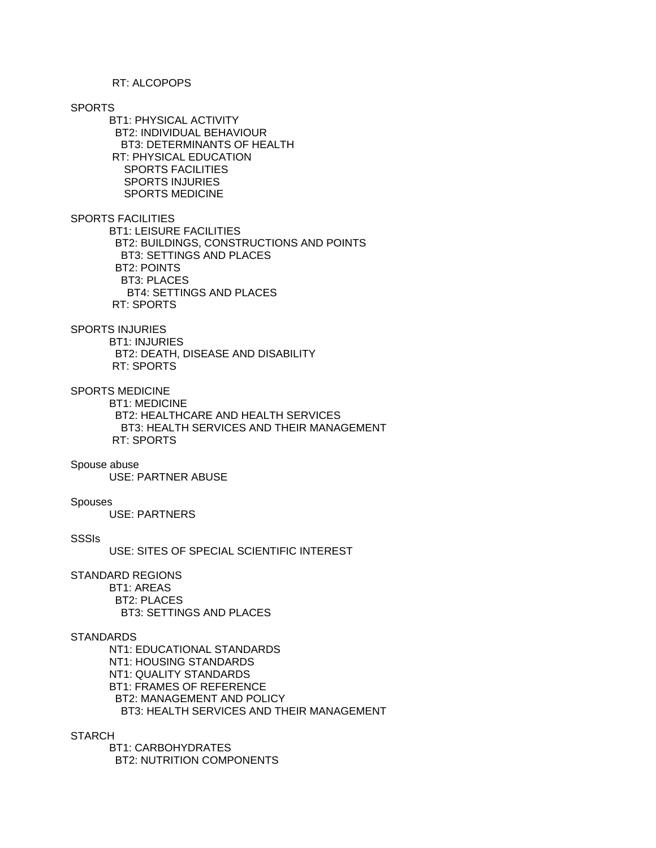#### RT: ALCOPOPS

#### SPORTS

 BT1: PHYSICAL ACTIVITY BT2: INDIVIDUAL BEHAVIOUR BT3: DETERMINANTS OF HEALTH RT: PHYSICAL EDUCATION SPORTS FACILITIES SPORTS INJURIES SPORTS MEDICINE

### SPORTS FACILITIES

 BT1: LEISURE FACILITIES BT2: BUILDINGS, CONSTRUCTIONS AND POINTS BT3: SETTINGS AND PLACES BT2: POINTS BT3: PLACES BT4: SETTINGS AND PLACES RT: SPORTS

### SPORTS INJURIES

 BT1: INJURIES BT2: DEATH, DISEASE AND DISABILITY RT: SPORTS

# SPORTS MEDICINE

 BT1: MEDICINE BT2: HEALTHCARE AND HEALTH SERVICES BT3: HEALTH SERVICES AND THEIR MANAGEMENT RT: SPORTS

#### Spouse abuse

USE: PARTNER ABUSE

#### Spouses

USE: PARTNERS

### **SSSIs**

USE: SITES OF SPECIAL SCIENTIFIC INTEREST

### STANDARD REGIONS

 BT1: AREAS BT2: PLACES BT3: SETTINGS AND PLACES

# **STANDARDS**

 NT1: EDUCATIONAL STANDARDS NT1: HOUSING STANDARDS NT1: QUALITY STANDARDS BT1: FRAMES OF REFERENCE BT2: MANAGEMENT AND POLICY BT3: HEALTH SERVICES AND THEIR MANAGEMENT

### **STARCH**

 BT1: CARBOHYDRATES BT2: NUTRITION COMPONENTS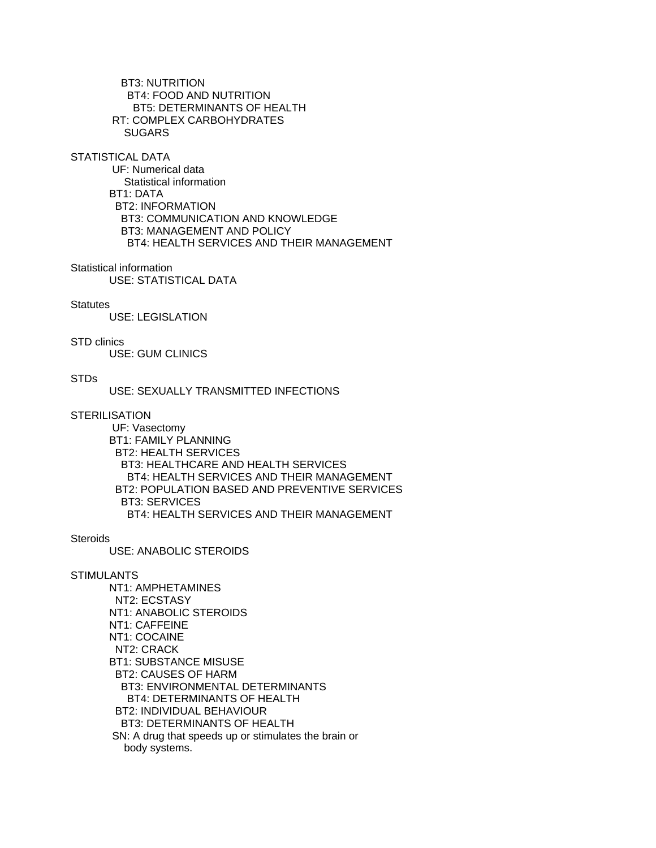BT3: NUTRITION BT4: FOOD AND NUTRITION BT5: DETERMINANTS OF HEALTH RT: COMPLEX CARBOHYDRATES SUGARS

STATISTICAL DATA

 UF: Numerical data Statistical information BT1: DATA BT2: INFORMATION BT3: COMMUNICATION AND KNOWLEDGE BT3: MANAGEMENT AND POLICY BT4: HEALTH SERVICES AND THEIR MANAGEMENT

#### Statistical information

USE: STATISTICAL DATA

#### **Statutes**

USE: LEGISLATION

### STD clinics

USE: GUM CLINICS

### STDs

USE: SEXUALLY TRANSMITTED INFECTIONS

### **STERILISATION**

 UF: Vasectomy BT1: FAMILY PLANNING BT2: HEALTH SERVICES BT3: HEALTHCARE AND HEALTH SERVICES BT4: HEALTH SERVICES AND THEIR MANAGEMENT BT2: POPULATION BASED AND PREVENTIVE SERVICES BT3: SERVICES BT4: HEALTH SERVICES AND THEIR MANAGEMENT

#### **Steroids**

USE: ANABOLIC STEROIDS

#### STIMULANTS

 NT1: AMPHETAMINES NT2: ECSTASY NT1: ANABOLIC STEROIDS NT1: CAFFEINE NT1: COCAINE NT2: CRACK BT1: SUBSTANCE MISUSE BT2: CAUSES OF HARM BT3: ENVIRONMENTAL DETERMINANTS BT4: DETERMINANTS OF HEALTH BT2: INDIVIDUAL BEHAVIOUR BT3: DETERMINANTS OF HEALTH SN: A drug that speeds up or stimulates the brain or body systems.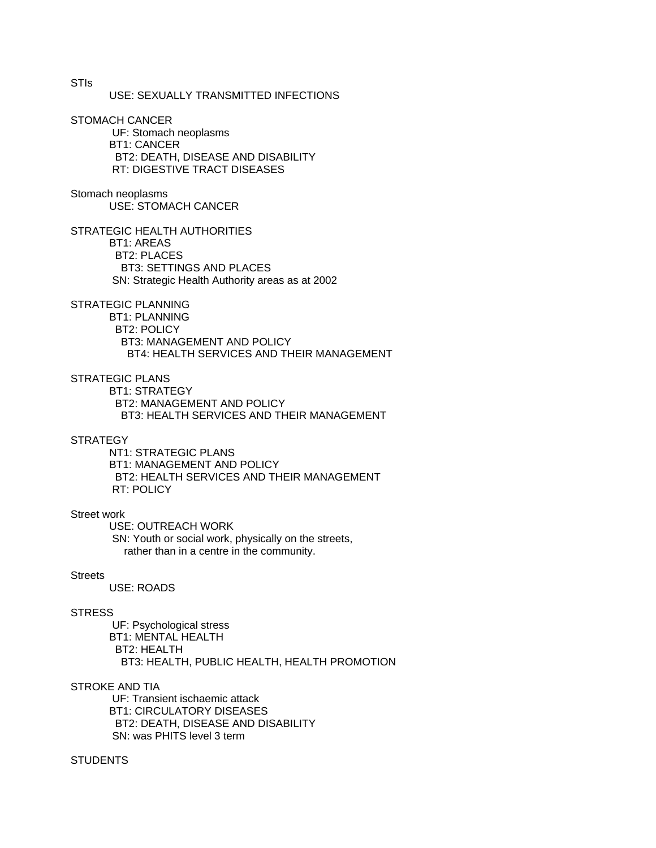USE: SEXUALLY TRANSMITTED INFECTIONS

STOMACH CANCER

 UF: Stomach neoplasms BT1: CANCER BT2: DEATH, DISEASE AND DISABILITY RT: DIGESTIVE TRACT DISEASES

Stomach neoplasms USE: STOMACH CANCER

STRATEGIC HEALTH AUTHORITIES

 BT1: AREAS BT2: PLACES BT3: SETTINGS AND PLACES SN: Strategic Health Authority areas as at 2002

STRATEGIC PLANNING

 BT1: PLANNING BT2: POLICY BT3: MANAGEMENT AND POLICY BT4: HEALTH SERVICES AND THEIR MANAGEMENT

STRATEGIC PLANS

 BT1: STRATEGY BT2: MANAGEMENT AND POLICY BT3: HEALTH SERVICES AND THEIR MANAGEMENT

#### **STRATEGY**

 NT1: STRATEGIC PLANS BT1: MANAGEMENT AND POLICY BT2: HEALTH SERVICES AND THEIR MANAGEMENT RT: POLICY

### Street work

 USE: OUTREACH WORK SN: Youth or social work, physically on the streets, rather than in a centre in the community.

#### Streets

USE: ROADS

#### **STRESS**

 UF: Psychological stress BT1: MENTAL HEALTH BT2: HEALTH BT3: HEALTH, PUBLIC HEALTH, HEALTH PROMOTION

### STROKE AND TIA

 UF: Transient ischaemic attack BT1: CIRCULATORY DISEASES BT2: DEATH, DISEASE AND DISABILITY SN: was PHITS level 3 term

### **STUDENTS**

STIs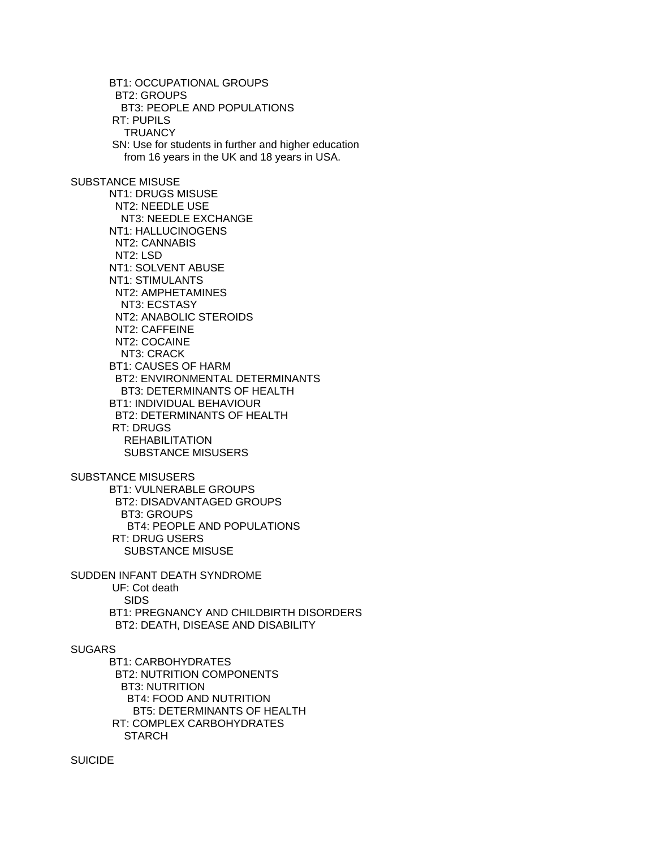BT1: OCCUPATIONAL GROUPS BT2: GROUPS BT3: PEOPLE AND POPULATIONS RT: PUPILS **TRUANCY**  SN: Use for students in further and higher education from 16 years in the UK and 18 years in USA. SUBSTANCE MISUSE NT1: DRUGS MISUSE NT2: NEEDLE USE NT3: NEEDLE EXCHANGE NT1: HALLUCINOGENS NT2: CANNABIS NT2: LSD NT1: SOLVENT ABUSE NT1: STIMULANTS NT2: AMPHETAMINES NT3: ECSTASY NT2: ANABOLIC STEROIDS NT2: CAFFEINE NT2: COCAINE NT3: CRACK BT1: CAUSES OF HARM BT2: ENVIRONMENTAL DETERMINANTS BT3: DETERMINANTS OF HEALTH BT1: INDIVIDUAL BEHAVIOUR BT2: DETERMINANTS OF HEALTH RT: DRUGS REHABILITATION SUBSTANCE MISUSERS SUBSTANCE MISUSERS BT1: VULNERABLE GROUPS BT2: DISADVANTAGED GROUPS BT3: GROUPS BT4: PEOPLE AND POPULATIONS RT: DRUG USERS SUBSTANCE MISUSE SUDDEN INFANT DEATH SYNDROME UF: Cot death SIDS BT1: PREGNANCY AND CHILDBIRTH DISORDERS BT2: DEATH, DISEASE AND DISABILITY SUGARS BT1: CARBOHYDRATES BT2: NUTRITION COMPONENTS BT3: NUTRITION BT4: FOOD AND NUTRITION BT5: DETERMINANTS OF HEALTH RT: COMPLEX CARBOHYDRATES **STARCH** 

SUICIDE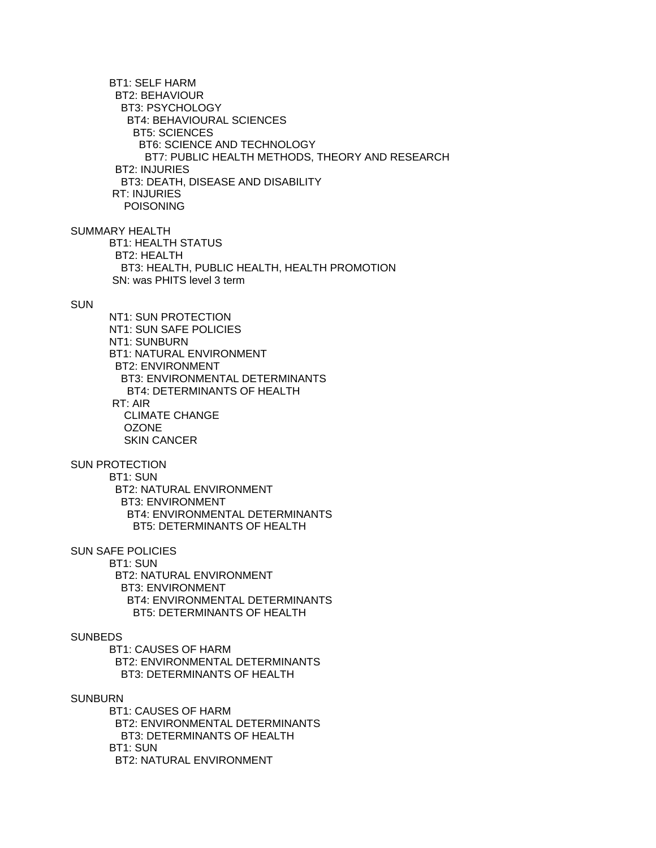BT1: SELF HARM BT2: BEHAVIOUR BT3: PSYCHOLOGY BT4: BEHAVIOURAL SCIENCES BT5: SCIENCES BT6: SCIENCE AND TECHNOLOGY BT7: PUBLIC HEALTH METHODS, THEORY AND RESEARCH BT2: INJURIES BT3: DEATH, DISEASE AND DISABILITY RT: INJURIES POISONING

SUMMARY HEALTH

 BT1: HEALTH STATUS BT2: HEALTH BT3: HEALTH, PUBLIC HEALTH, HEALTH PROMOTION SN: was PHITS level 3 term

### **SUN**

 NT1: SUN PROTECTION NT1: SUN SAFE POLICIES NT1: SUNBURN BT1: NATURAL ENVIRONMENT BT2: ENVIRONMENT BT3: ENVIRONMENTAL DETERMINANTS BT4: DETERMINANTS OF HEALTH RT: AIR CLIMATE CHANGE **OZONE** SKIN CANCER

# SUN PROTECTION

 BT1: SUN BT2: NATURAL ENVIRONMENT BT3: ENVIRONMENT BT4: ENVIRONMENTAL DETERMINANTS BT5: DETERMINANTS OF HEALTH

## SUN SAFE POLICIES

 BT1: SUN BT2: NATURAL ENVIRONMENT BT3: ENVIRONMENT BT4: ENVIRONMENTAL DETERMINANTS BT5: DETERMINANTS OF HEALTH

# **SUNBEDS**

 BT1: CAUSES OF HARM BT2: ENVIRONMENTAL DETERMINANTS BT3: DETERMINANTS OF HEALTH

### SUNBURN

 BT1: CAUSES OF HARM BT2: ENVIRONMENTAL DETERMINANTS BT3: DETERMINANTS OF HEALTH BT1: SUN BT2: NATURAL ENVIRONMENT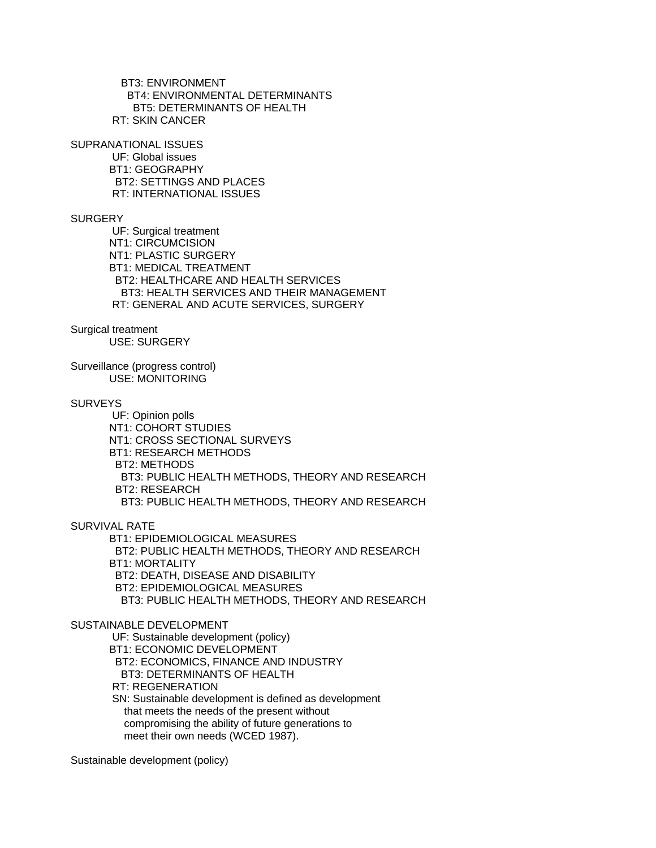BT3: ENVIRONMENT BT4: ENVIRONMENTAL DETERMINANTS BT5: DETERMINANTS OF HEALTH RT: SKIN CANCER

SUPRANATIONAL ISSUES

 UF: Global issues BT1: GEOGRAPHY BT2: SETTINGS AND PLACES RT: INTERNATIONAL ISSUES

### **SURGERY**

 UF: Surgical treatment NT1: CIRCUMCISION NT1: PLASTIC SURGERY BT1: MEDICAL TREATMENT BT2: HEALTHCARE AND HEALTH SERVICES BT3: HEALTH SERVICES AND THEIR MANAGEMENT RT: GENERAL AND ACUTE SERVICES, SURGERY

Surgical treatment

USE: SURGERY

Surveillance (progress control) USE: MONITORING

# **SURVEYS**

 UF: Opinion polls NT1: COHORT STUDIES NT1: CROSS SECTIONAL SURVEYS BT1: RESEARCH METHODS BT2: METHODS BT3: PUBLIC HEALTH METHODS, THEORY AND RESEARCH BT2: RESEARCH BT3: PUBLIC HEALTH METHODS, THEORY AND RESEARCH

SURVIVAL RATE

 BT1: EPIDEMIOLOGICAL MEASURES BT2: PUBLIC HEALTH METHODS, THEORY AND RESEARCH BT1: MORTALITY BT2: DEATH, DISEASE AND DISABILITY BT2: EPIDEMIOLOGICAL MEASURES BT3: PUBLIC HEALTH METHODS, THEORY AND RESEARCH

### SUSTAINABLE DEVELOPMENT

UF: Sustainable development (policy)

BT1: ECONOMIC DEVELOPMENT

BT2: ECONOMICS, FINANCE AND INDUSTRY

BT3: DETERMINANTS OF HEALTH

RT: REGENERATION

 SN: Sustainable development is defined as development that meets the needs of the present without compromising the ability of future generations to meet their own needs (WCED 1987).

Sustainable development (policy)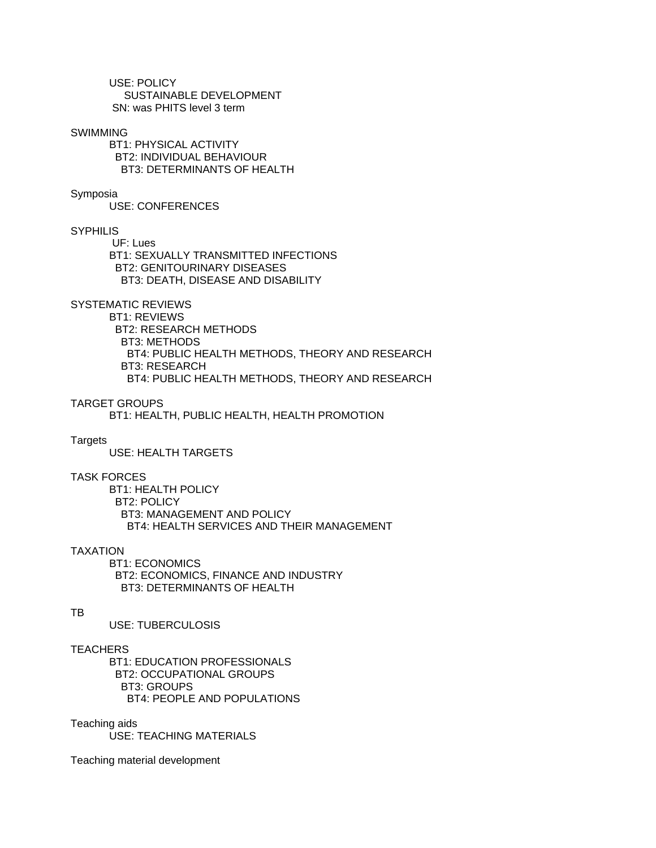USE: POLICY SUSTAINABLE DEVELOPMENT SN: was PHITS level 3 term

#### SWIMMING

 BT1: PHYSICAL ACTIVITY BT2: INDIVIDUAL BEHAVIOUR BT3: DETERMINANTS OF HEALTH

### Symposia

USE: CONFERENCES

# **SYPHILIS**

 UF: Lues BT1: SEXUALLY TRANSMITTED INFECTIONS BT2: GENITOURINARY DISEASES BT3: DEATH, DISEASE AND DISABILITY

# SYSTEMATIC REVIEWS

 BT1: REVIEWS BT2: RESEARCH METHODS BT3: METHODS BT4: PUBLIC HEALTH METHODS, THEORY AND RESEARCH BT3: RESEARCH BT4: PUBLIC HEALTH METHODS, THEORY AND RESEARCH

### TARGET GROUPS

BT1: HEALTH, PUBLIC HEALTH, HEALTH PROMOTION

#### Targets

USE: HEALTH TARGETS

### TASK FORCES

 BT1: HEALTH POLICY BT2: POLICY BT3: MANAGEMENT AND POLICY BT4: HEALTH SERVICES AND THEIR MANAGEMENT

#### TAXATION

 BT1: ECONOMICS BT2: ECONOMICS, FINANCE AND INDUSTRY BT3: DETERMINANTS OF HEALTH

#### TB

USE: TUBERCULOSIS

### **TEACHERS**

 BT1: EDUCATION PROFESSIONALS BT2: OCCUPATIONAL GROUPS BT3: GROUPS BT4: PEOPLE AND POPULATIONS

### Teaching aids

USE: TEACHING MATERIALS

Teaching material development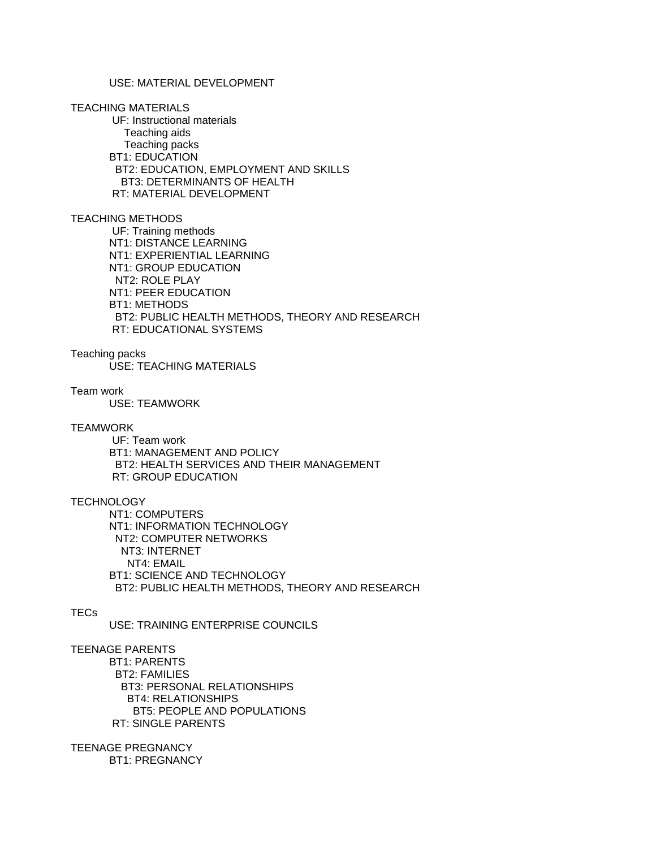# USE: MATERIAL DEVELOPMENT

#### TEACHING MATERIALS

 UF: Instructional materials Teaching aids Teaching packs BT1: EDUCATION BT2: EDUCATION, EMPLOYMENT AND SKILLS BT3: DETERMINANTS OF HEALTH RT: MATERIAL DEVELOPMENT

### TEACHING METHODS

 UF: Training methods NT1: DISTANCE LEARNING NT1: EXPERIENTIAL LEARNING NT1: GROUP EDUCATION NT2: ROLE PLAY NT1: PEER EDUCATION BT1: METHODS BT2: PUBLIC HEALTH METHODS, THEORY AND RESEARCH RT: EDUCATIONAL SYSTEMS

### Teaching packs

USE: TEACHING MATERIALS

### Team work

USE: TEAMWORK

#### **TEAMWORK**

 UF: Team work BT1: MANAGEMENT AND POLICY BT2: HEALTH SERVICES AND THEIR MANAGEMENT RT: GROUP EDUCATION

# **TECHNOLOGY**

 NT1: COMPUTERS NT1: INFORMATION TECHNOLOGY NT2: COMPUTER NETWORKS NT3: INTERNET NT4: EMAIL BT1: SCIENCE AND TECHNOLOGY BT2: PUBLIC HEALTH METHODS, THEORY AND RESEARCH

# TECs

USE: TRAINING ENTERPRISE COUNCILS

# TEENAGE PARENTS

 BT1: PARENTS BT2: FAMILIES BT3: PERSONAL RELATIONSHIPS BT4: RELATIONSHIPS BT5: PEOPLE AND POPULATIONS RT: SINGLE PARENTS

### TEENAGE PREGNANCY BT1: PREGNANCY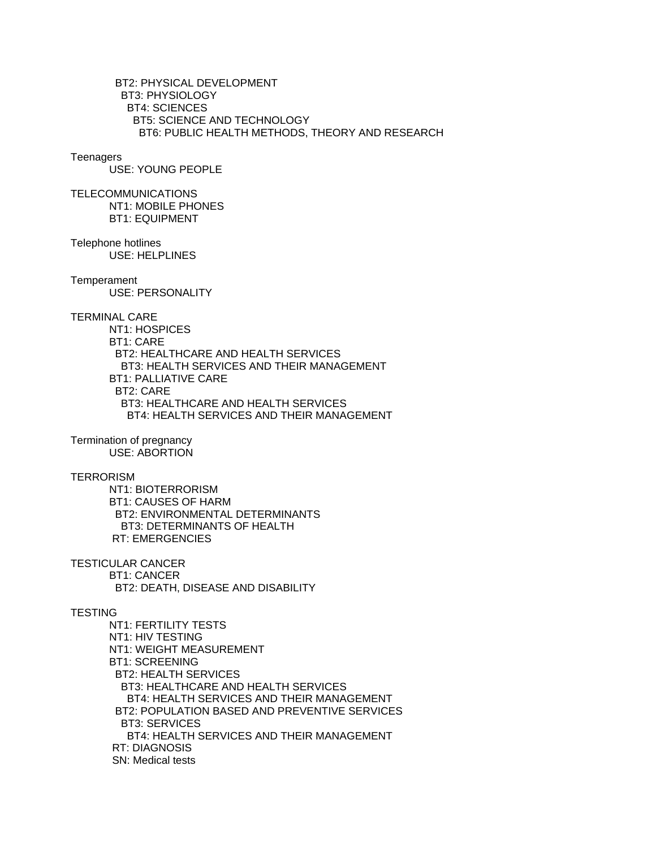BT2: PHYSICAL DEVELOPMENT BT3: PHYSIOLOGY BT4: SCIENCES BT5: SCIENCE AND TECHNOLOGY BT6: PUBLIC HEALTH METHODS, THEORY AND RESEARCH

#### **Teenagers**

USE: YOUNG PEOPLE

TELECOMMUNICATIONS NT1: MOBILE PHONES BT1: EQUIPMENT

Telephone hotlines USE: HELPLINES

**Temperament** 

USE: PERSONALITY

TERMINAL CARE

 NT1: HOSPICES BT1: CARE BT2: HEALTHCARE AND HEALTH SERVICES BT3: HEALTH SERVICES AND THEIR MANAGEMENT BT1: PALLIATIVE CARE BT2: CARE BT3: HEALTHCARE AND HEALTH SERVICES BT4: HEALTH SERVICES AND THEIR MANAGEMENT

Termination of pregnancy USE: ABORTION

### **TERRORISM**

 NT1: BIOTERRORISM BT1: CAUSES OF HARM BT2: ENVIRONMENTAL DETERMINANTS BT3: DETERMINANTS OF HEALTH RT: EMERGENCIES

TESTICULAR CANCER BT1: CANCER BT2: DEATH, DISEASE AND DISABILITY

### **TESTING**

 NT1: FERTILITY TESTS NT1: HIV TESTING NT1: WEIGHT MEASUREMENT BT1: SCREENING BT2: HEALTH SERVICES BT3: HEALTHCARE AND HEALTH SERVICES BT4: HEALTH SERVICES AND THEIR MANAGEMENT BT2: POPULATION BASED AND PREVENTIVE SERVICES BT3: SERVICES BT4: HEALTH SERVICES AND THEIR MANAGEMENT RT: DIAGNOSIS SN: Medical tests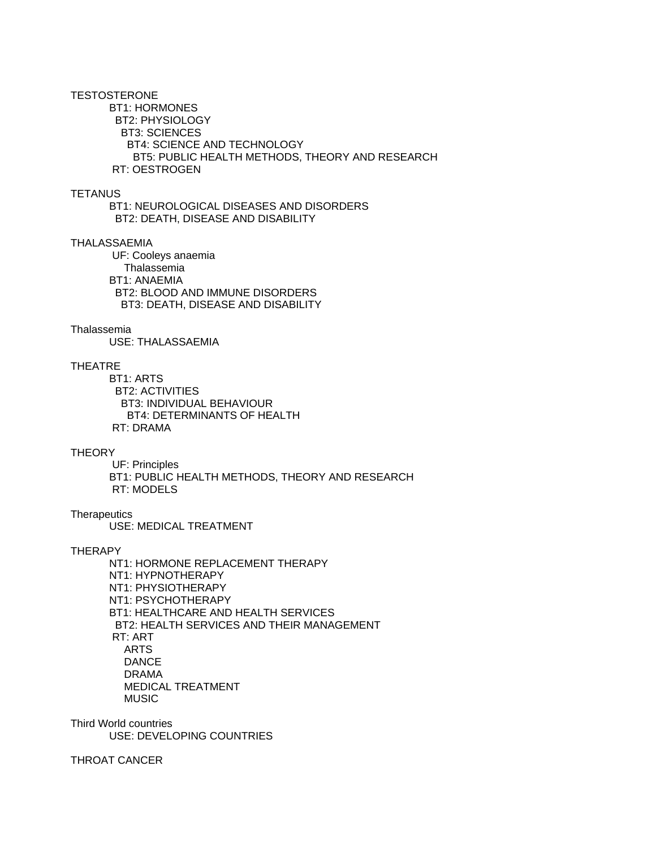### **TESTOSTERONE**

 BT1: HORMONES BT2: PHYSIOLOGY BT3: SCIENCES BT4: SCIENCE AND TECHNOLOGY BT5: PUBLIC HEALTH METHODS, THEORY AND RESEARCH RT: OESTROGEN

### **TETANUS**

 BT1: NEUROLOGICAL DISEASES AND DISORDERS BT2: DEATH, DISEASE AND DISABILITY

### THALASSAEMIA

 UF: Cooleys anaemia Thalassemia BT1: ANAEMIA BT2: BLOOD AND IMMUNE DISORDERS BT3: DEATH, DISEASE AND DISABILITY

### Thalassemia

USE: THALASSAEMIA

# THEATRE

 BT1: ARTS BT2: ACTIVITIES BT3: INDIVIDUAL BEHAVIOUR BT4: DETERMINANTS OF HEALTH RT: DRAMA

### **THEORY**

 UF: Principles BT1: PUBLIC HEALTH METHODS, THEORY AND RESEARCH RT: MODELS

**Therapeutics** USE: MEDICAL TREATMENT

### **THERAPY**

 NT1: HORMONE REPLACEMENT THERAPY NT1: HYPNOTHERAPY NT1: PHYSIOTHERAPY NT1: PSYCHOTHERAPY BT1: HEALTHCARE AND HEALTH SERVICES BT2: HEALTH SERVICES AND THEIR MANAGEMENT RT: ART ARTS DANCE DRAMA MEDICAL TREATMENT MUSIC

Third World countries USE: DEVELOPING COUNTRIES

THROAT CANCER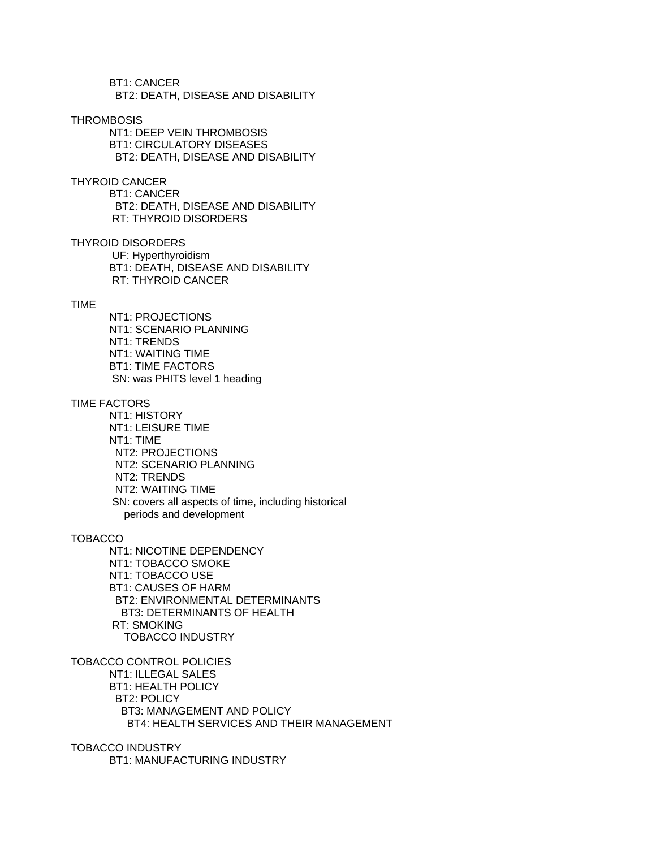BT1: CANCER BT2: DEATH, DISEASE AND DISABILITY

### **THROMBOSIS**

 NT1: DEEP VEIN THROMBOSIS BT1: CIRCULATORY DISEASES BT2: DEATH, DISEASE AND DISABILITY

THYROID CANCER

 BT1: CANCER BT2: DEATH, DISEASE AND DISABILITY RT: THYROID DISORDERS

THYROID DISORDERS UF: Hyperthyroidism BT1: DEATH, DISEASE AND DISABILITY RT: THYROID CANCER

#### TIME

 NT1: PROJECTIONS NT1: SCENARIO PLANNING NT1: TRENDS NT1: WAITING TIME BT1: TIME FACTORS SN: was PHITS level 1 heading

### TIME FACTORS

 NT1: HISTORY NT1: LEISURE TIME NT1: TIME NT2: PROJECTIONS NT2: SCENARIO PLANNING NT2: TRENDS NT2: WAITING TIME SN: covers all aspects of time, including historical periods and development

### TOBACCO

 NT1: NICOTINE DEPENDENCY NT1: TOBACCO SMOKE NT1: TOBACCO USE BT1: CAUSES OF HARM BT2: ENVIRONMENTAL DETERMINANTS BT3: DETERMINANTS OF HEALTH RT: SMOKING TOBACCO INDUSTRY

TOBACCO CONTROL POLICIES NT1: ILLEGAL SALES BT1: HEALTH POLICY BT2: POLICY BT3: MANAGEMENT AND POLICY BT4: HEALTH SERVICES AND THEIR MANAGEMENT

TOBACCO INDUSTRY BT1: MANUFACTURING INDUSTRY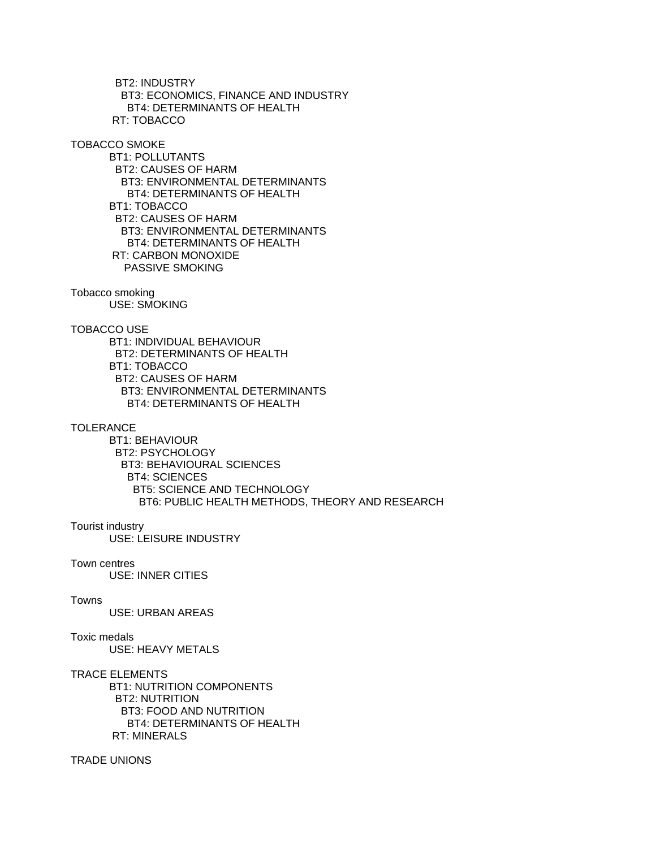BT2: INDUSTRY BT3: ECONOMICS, FINANCE AND INDUSTRY BT4: DETERMINANTS OF HEALTH RT: TOBACCO

TOBACCO SMOKE

 BT1: POLLUTANTS BT2: CAUSES OF HARM BT3: ENVIRONMENTAL DETERMINANTS BT4: DETERMINANTS OF HEALTH BT1: TOBACCO BT2: CAUSES OF HARM BT3: ENVIRONMENTAL DETERMINANTS BT4: DETERMINANTS OF HEALTH RT: CARBON MONOXIDE PASSIVE SMOKING

Tobacco smoking USE: SMOKING

TOBACCO USE

 BT1: INDIVIDUAL BEHAVIOUR BT2: DETERMINANTS OF HEALTH BT1: TOBACCO BT2: CAUSES OF HARM BT3: ENVIRONMENTAL DETERMINANTS BT4: DETERMINANTS OF HEALTH

### **TOLERANCE**

 BT1: BEHAVIOUR BT2: PSYCHOLOGY BT3: BEHAVIOURAL SCIENCES BT4: SCIENCES BT5: SCIENCE AND TECHNOLOGY BT6: PUBLIC HEALTH METHODS, THEORY AND RESEARCH

# Tourist industry

USE: LEISURE INDUSTRY

Town centres

USE: INNER CITIES

### Towns

USE: URBAN AREAS

# Toxic medals

USE: HEAVY METALS

### TRACE ELEMENTS

 BT1: NUTRITION COMPONENTS BT2: NUTRITION BT3: FOOD AND NUTRITION BT4: DETERMINANTS OF HEALTH RT: MINERALS

# TRADE UNIONS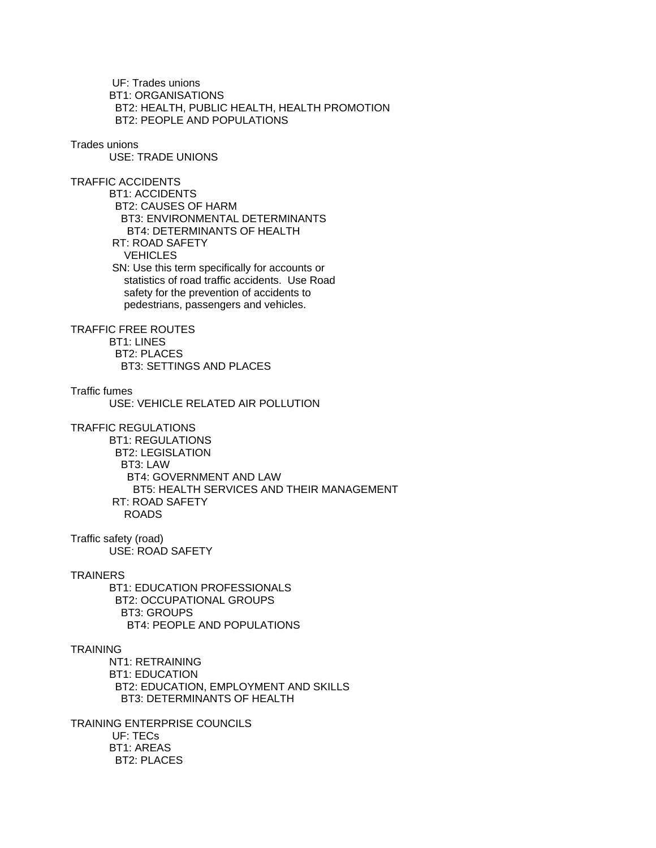UF: Trades unions BT1: ORGANISATIONS BT2: HEALTH, PUBLIC HEALTH, HEALTH PROMOTION BT2: PEOPLE AND POPULATIONS

### Trades unions

USE: TRADE UNIONS

TRAFFIC ACCIDENTS BT1: ACCIDENTS BT2: CAUSES OF HARM BT3: ENVIRONMENTAL DETERMINANTS BT4: DETERMINANTS OF HEALTH RT: ROAD SAFETY **VEHICLES** 

> SN: Use this term specifically for accounts or statistics of road traffic accidents. Use Road safety for the prevention of accidents to pedestrians, passengers and vehicles.

TRAFFIC FREE ROUTES

 BT1: LINES BT2: PLACES BT3: SETTINGS AND PLACES

Traffic fumes

USE: VEHICLE RELATED AIR POLLUTION

TRAFFIC REGULATIONS

 BT1: REGULATIONS BT2: LEGISLATION BT3: LAW BT4: GOVERNMENT AND LAW BT5: HEALTH SERVICES AND THEIR MANAGEMENT RT: ROAD SAFETY ROADS

Traffic safety (road) USE: ROAD SAFETY

#### **TRAINERS**

 BT1: EDUCATION PROFESSIONALS BT2: OCCUPATIONAL GROUPS BT3: GROUPS BT4: PEOPLE AND POPULATIONS

### TRAINING

 NT1: RETRAINING BT1: EDUCATION BT2: EDUCATION, EMPLOYMENT AND SKILLS BT3: DETERMINANTS OF HEALTH

TRAINING ENTERPRISE COUNCILS UF: TECs BT1: AREAS BT2: PLACES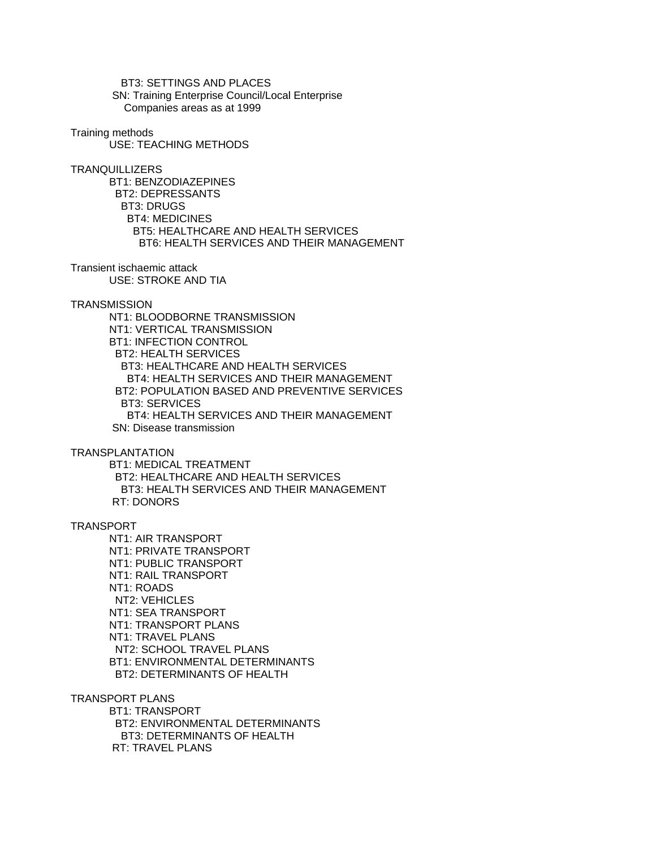BT3: SETTINGS AND PLACES SN: Training Enterprise Council/Local Enterprise Companies areas as at 1999

Training methods

USE: TEACHING METHODS

**TRANQUILLIZERS** 

 BT1: BENZODIAZEPINES BT2: DEPRESSANTS BT3: DRUGS BT4: MEDICINES BT5: HEALTHCARE AND HEALTH SERVICES BT6: HEALTH SERVICES AND THEIR MANAGEMENT

Transient ischaemic attack USE: STROKE AND TIA

**TRANSMISSION** 

 NT1: BLOODBORNE TRANSMISSION NT1: VERTICAL TRANSMISSION BT1: INFECTION CONTROL BT2: HEALTH SERVICES BT3: HEALTHCARE AND HEALTH SERVICES BT4: HEALTH SERVICES AND THEIR MANAGEMENT BT2: POPULATION BASED AND PREVENTIVE SERVICES BT3: SERVICES BT4: HEALTH SERVICES AND THEIR MANAGEMENT SN: Disease transmission

TRANSPLANTATION

 BT1: MEDICAL TREATMENT BT2: HEALTHCARE AND HEALTH SERVICES BT3: HEALTH SERVICES AND THEIR MANAGEMENT RT: DONORS

# TRANSPORT

 NT1: AIR TRANSPORT NT1: PRIVATE TRANSPORT NT1: PUBLIC TRANSPORT NT1: RAIL TRANSPORT NT1: ROADS NT2: VEHICLES NT1: SEA TRANSPORT NT1: TRANSPORT PLANS NT1: TRAVEL PLANS NT2: SCHOOL TRAVEL PLANS BT1: ENVIRONMENTAL DETERMINANTS BT2: DETERMINANTS OF HEALTH

TRANSPORT PLANS BT1: TRANSPORT BT2: ENVIRONMENTAL DETERMINANTS BT3: DETERMINANTS OF HEALTH RT: TRAVEL PLANS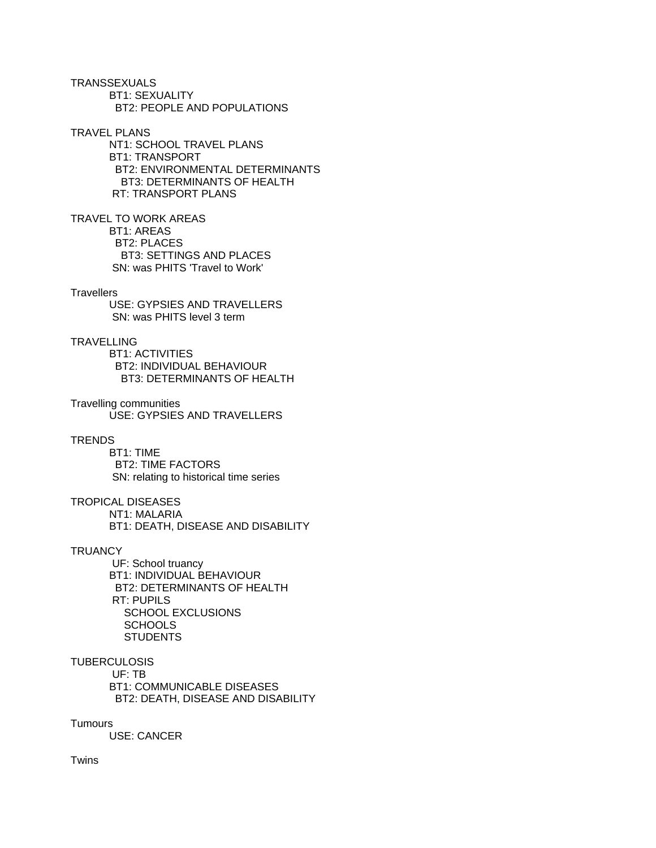**TRANSSEXUALS**  BT1: SEXUALITY BT2: PEOPLE AND POPULATIONS

TRAVEL PLANS NT1: SCHOOL TRAVEL PLANS BT1: TRANSPORT BT2: ENVIRONMENTAL DETERMINANTS BT3: DETERMINANTS OF HEALTH RT: TRANSPORT PLANS

TRAVEL TO WORK AREAS BT1: AREAS BT2: PLACES BT3: SETTINGS AND PLACES SN: was PHITS 'Travel to Work'

#### **Travellers**

 USE: GYPSIES AND TRAVELLERS SN: was PHITS level 3 term

# **TRAVELLING**

 BT1: ACTIVITIES BT2: INDIVIDUAL BEHAVIOUR BT3: DETERMINANTS OF HEALTH

Travelling communities USE: GYPSIES AND TRAVELLERS

#### **TRENDS**

 BT1: TIME BT2: TIME FACTORS SN: relating to historical time series

### TROPICAL DISEASES NT1: MALARIA BT1: DEATH, DISEASE AND DISABILITY

**TRUANCY** 

 UF: School truancy BT1: INDIVIDUAL BEHAVIOUR BT2: DETERMINANTS OF HEALTH RT: PUPILS SCHOOL EXCLUSIONS **SCHOOLS STUDENTS** 

# **TUBERCULOSIS**

 UF: TB BT1: COMMUNICABLE DISEASES BT2: DEATH, DISEASE AND DISABILITY

#### **Tumours**

USE: CANCER

Twins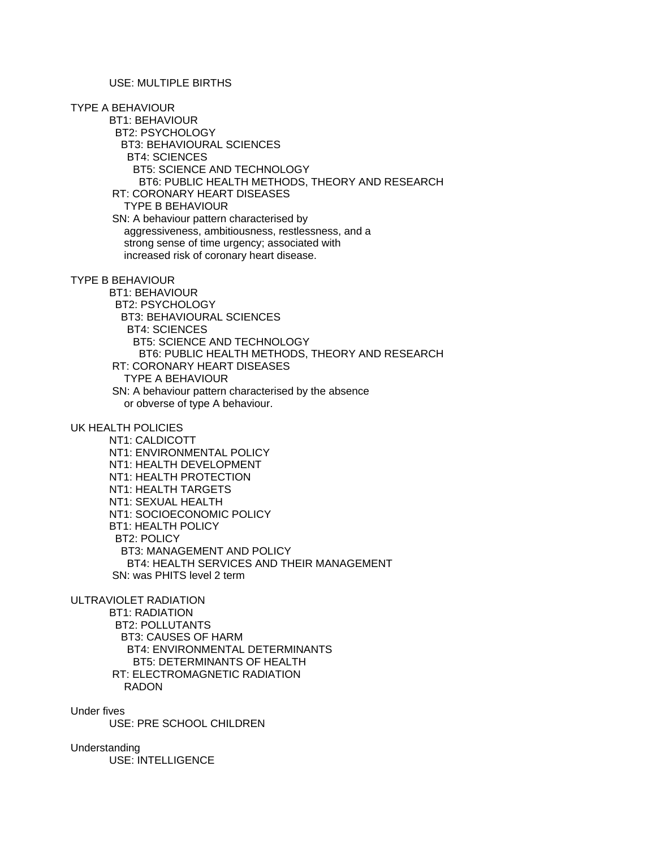# USE: MULTIPLE BIRTHS

TYPE A BEHAVIOUR BT1: BEHAVIOUR BT2: PSYCHOLOGY BT3: BEHAVIOURAL SCIENCES BT4: SCIENCES BT5: SCIENCE AND TECHNOLOGY BT6: PUBLIC HEALTH METHODS, THEORY AND RESEARCH RT: CORONARY HEART DISEASES TYPE B BEHAVIOUR SN: A behaviour pattern characterised by aggressiveness, ambitiousness, restlessness, and a strong sense of time urgency; associated with increased risk of coronary heart disease.

TYPE B BEHAVIOUR

 BT1: BEHAVIOUR BT2: PSYCHOLOGY BT3: BEHAVIOURAL SCIENCES BT4: SCIENCES BT5: SCIENCE AND TECHNOLOGY BT6: PUBLIC HEALTH METHODS, THEORY AND RESEARCH RT: CORONARY HEART DISEASES TYPE A BEHAVIOUR SN: A behaviour pattern characterised by the absence or obverse of type A behaviour.

UK HEALTH POLICIES

 NT1: CALDICOTT NT1: ENVIRONMENTAL POLICY NT1: HEALTH DEVELOPMENT NT1: HEALTH PROTECTION NT1: HEALTH TARGETS NT1: SEXUAL HEALTH NT1: SOCIOECONOMIC POLICY BT1: HEALTH POLICY BT2: POLICY BT3: MANAGEMENT AND POLICY BT4: HEALTH SERVICES AND THEIR MANAGEMENT SN: was PHITS level 2 term

ULTRAVIOLET RADIATION

 BT1: RADIATION BT2: POLLUTANTS BT3: CAUSES OF HARM BT4: ENVIRONMENTAL DETERMINANTS BT5: DETERMINANTS OF HEALTH RT: ELECTROMAGNETIC RADIATION RADON

Under fives

USE: PRE SCHOOL CHILDREN

Understanding USE: INTELLIGENCE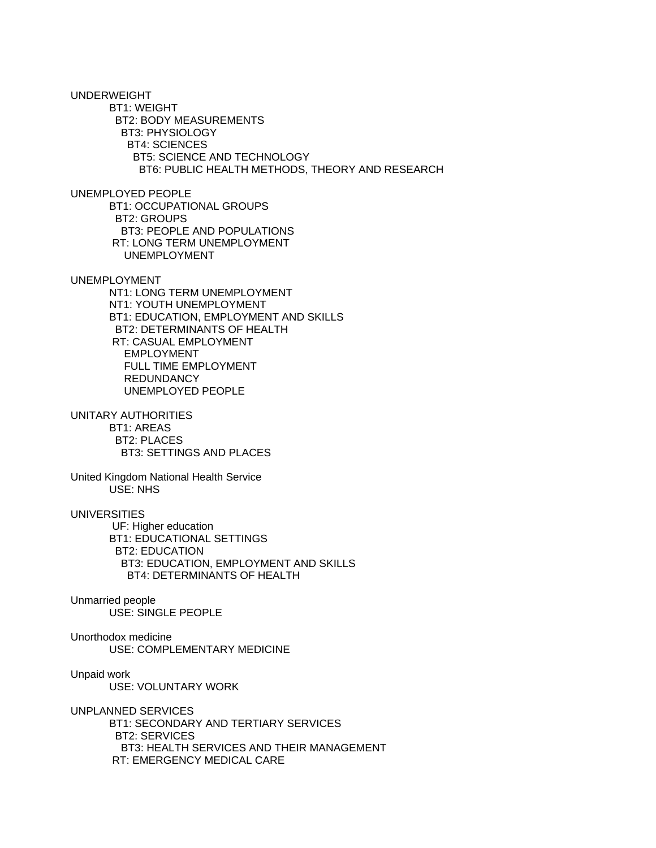UNDERWEIGHT BT1: WEIGHT BT2: BODY MEASUREMENTS BT3: PHYSIOLOGY BT4: SCIENCES BT5: SCIENCE AND TECHNOLOGY BT6: PUBLIC HEALTH METHODS, THEORY AND RESEARCH UNEMPLOYED PEOPLE BT1: OCCUPATIONAL GROUPS BT2: GROUPS BT3: PEOPLE AND POPULATIONS RT: LONG TERM UNEMPLOYMENT UNEMPLOYMENT UNEMPLOYMENT NT1: LONG TERM UNEMPLOYMENT NT1: YOUTH UNEMPLOYMENT BT1: EDUCATION, EMPLOYMENT AND SKILLS BT2: DETERMINANTS OF HEALTH RT: CASUAL EMPLOYMENT EMPLOYMENT FULL TIME EMPLOYMENT REDUNDANCY UNEMPLOYED PEOPLE UNITARY AUTHORITIES BT1: AREAS BT2: PLACES BT3: SETTINGS AND PLACES United Kingdom National Health Service USE: NHS UNIVERSITIES UF: Higher education BT1: EDUCATIONAL SETTINGS BT2: EDUCATION BT3: EDUCATION, EMPLOYMENT AND SKILLS BT4: DETERMINANTS OF HEALTH Unmarried people USE: SINGLE PEOPLE Unorthodox medicine USE: COMPLEMENTARY MEDICINE Unpaid work USE: VOLUNTARY WORK UNPLANNED SERVICES BT1: SECONDARY AND TERTIARY SERVICES BT2: SERVICES BT3: HEALTH SERVICES AND THEIR MANAGEMENT RT: EMERGENCY MEDICAL CARE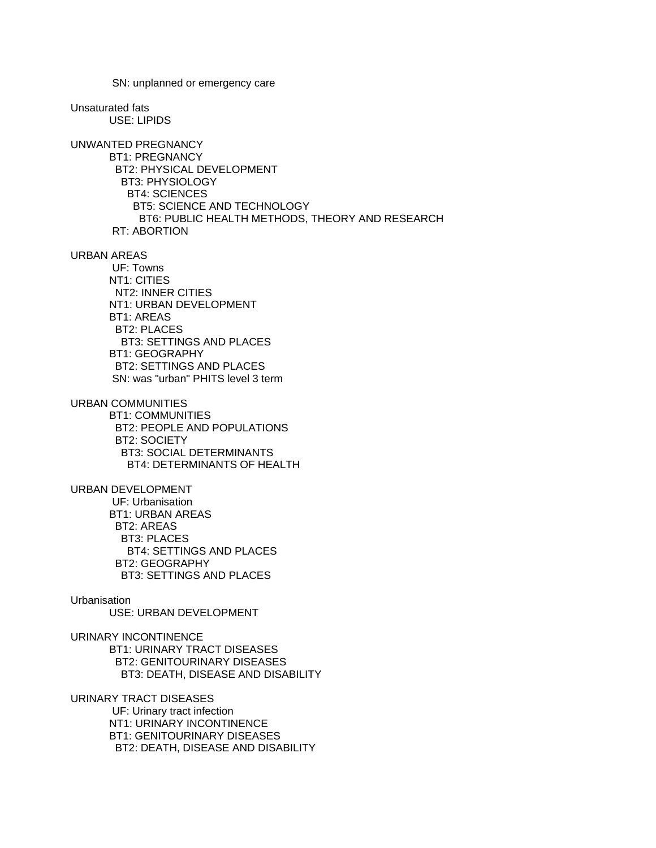SN: unplanned or emergency care Unsaturated fats USE: LIPIDS UNWANTED PREGNANCY BT1: PREGNANCY BT2: PHYSICAL DEVELOPMENT BT3: PHYSIOLOGY BT4: SCIENCES BT5: SCIENCE AND TECHNOLOGY BT6: PUBLIC HEALTH METHODS, THEORY AND RESEARCH RT: ABORTION URBAN AREAS UF: Towns NT1: CITIES NT2: INNER CITIES NT1: URBAN DEVELOPMENT BT1: AREAS BT2: PLACES BT3: SETTINGS AND PLACES BT1: GEOGRAPHY BT2: SETTINGS AND PLACES SN: was "urban" PHITS level 3 term URBAN COMMUNITIES BT1: COMMUNITIES BT2: PEOPLE AND POPULATIONS BT2: SOCIETY BT3: SOCIAL DETERMINANTS BT4: DETERMINANTS OF HEALTH URBAN DEVELOPMENT UF: Urbanisation BT1: URBAN AREAS BT2: AREAS BT3: PLACES BT4: SETTINGS AND PLACES BT2: GEOGRAPHY BT3: SETTINGS AND PLACES Urbanisation USE: URBAN DEVELOPMENT URINARY INCONTINENCE BT1: URINARY TRACT DISEASES BT2: GENITOURINARY DISEASES BT3: DEATH, DISEASE AND DISABILITY URINARY TRACT DISEASES UF: Urinary tract infection NT1: URINARY INCONTINENCE BT1: GENITOURINARY DISEASES BT2: DEATH, DISEASE AND DISABILITY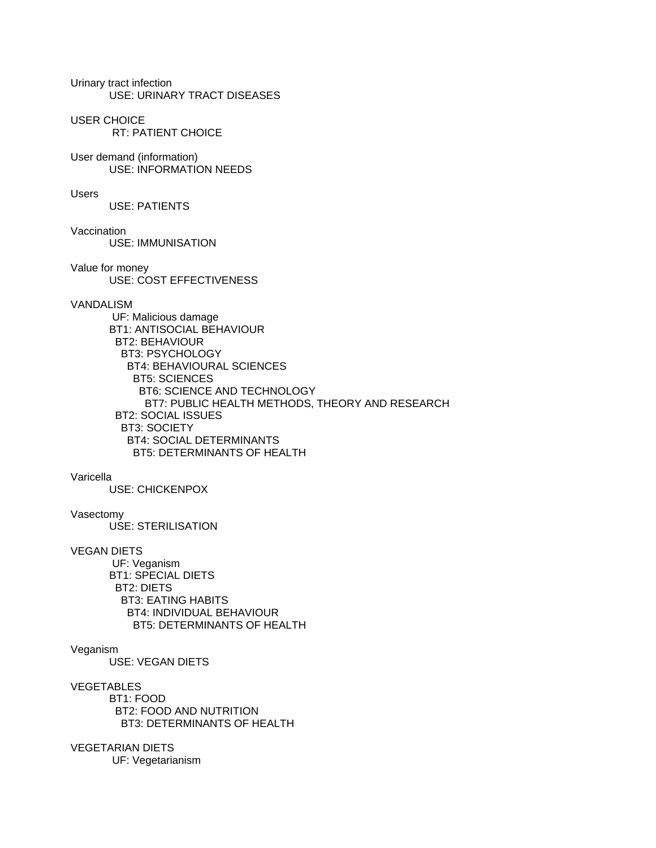Urinary tract infection USE: URINARY TRACT DISEASES

USER CHOICE

RT: PATIENT CHOICE

User demand (information) USE: INFORMATION NEEDS

Users

USE: PATIENTS

Vaccination USE: IMMUNISATION

Value for money USE: COST EFFECTIVENESS

### VANDALISM

 UF: Malicious damage BT1: ANTISOCIAL BEHAVIOUR BT2: BEHAVIOUR BT3: PSYCHOLOGY BT4: BEHAVIOURAL SCIENCES BT5: SCIENCES BT6: SCIENCE AND TECHNOLOGY BT7: PUBLIC HEALTH METHODS, THEORY AND RESEARCH BT2: SOCIAL ISSUES BT3: SOCIETY BT4: SOCIAL DETERMINANTS BT5: DETERMINANTS OF HEALTH

### Varicella

USE: CHICKENPOX

### Vasectomy

USE: STERILISATION

### VEGAN DIETS

 UF: Veganism BT1: SPECIAL DIETS BT2: DIETS BT3: EATING HABITS BT4: INDIVIDUAL BEHAVIOUR BT5: DETERMINANTS OF HEALTH

#### Veganism

USE: VEGAN DIETS

### VEGETABLES

 BT1: FOOD BT2: FOOD AND NUTRITION BT3: DETERMINANTS OF HEALTH

# VEGETARIAN DIETS

UF: Vegetarianism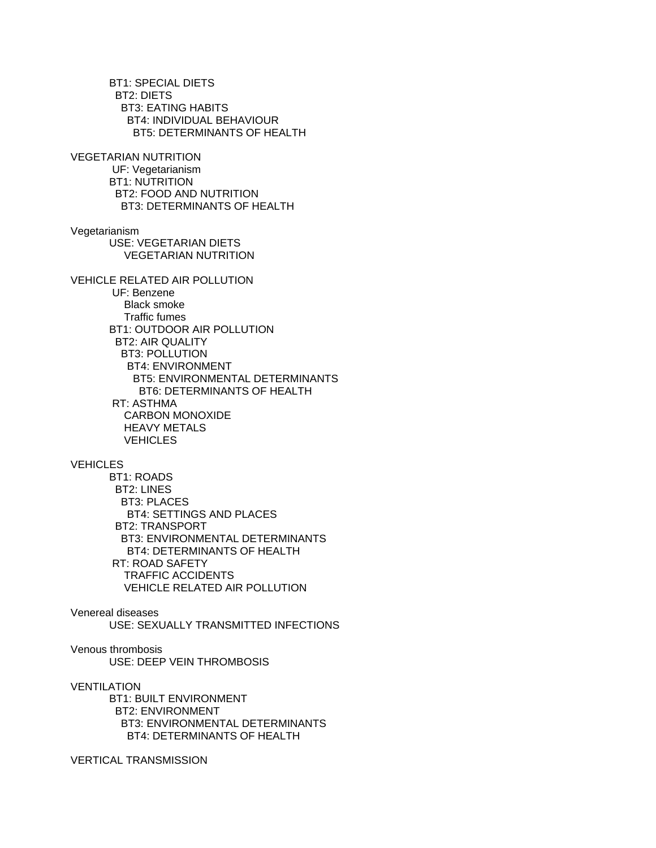BT1: SPECIAL DIETS BT2: DIETS BT3: EATING HABITS BT4: INDIVIDUAL BEHAVIOUR BT5: DETERMINANTS OF HEALTH VEGETARIAN NUTRITION UF: Vegetarianism BT1: NUTRITION BT2: FOOD AND NUTRITION BT3: DETERMINANTS OF HEALTH Vegetarianism USE: VEGETARIAN DIETS VEGETARIAN NUTRITION VEHICLE RELATED AIR POLLUTION UF: Benzene Black smoke Traffic fumes BT1: OUTDOOR AIR POLLUTION BT2: AIR QUALITY BT3: POLLUTION BT4: ENVIRONMENT BT5: ENVIRONMENTAL DETERMINANTS BT6: DETERMINANTS OF HEALTH RT: ASTHMA CARBON MONOXIDE HEAVY METALS **VEHICLES VEHICLES**  BT1: ROADS BT2: LINES BT3: PLACES BT4: SETTINGS AND PLACES BT2: TRANSPORT BT3: ENVIRONMENTAL DETERMINANTS BT4: DETERMINANTS OF HEALTH RT: ROAD SAFETY TRAFFIC ACCIDENTS VEHICLE RELATED AIR POLLUTION Venereal diseases USE: SEXUALLY TRANSMITTED INFECTIONS Venous thrombosis USE: DEEP VEIN THROMBOSIS VENTILATION BT1: BUILT ENVIRONMENT BT2: ENVIRONMENT BT3: ENVIRONMENTAL DETERMINANTS BT4: DETERMINANTS OF HEALTH

VERTICAL TRANSMISSION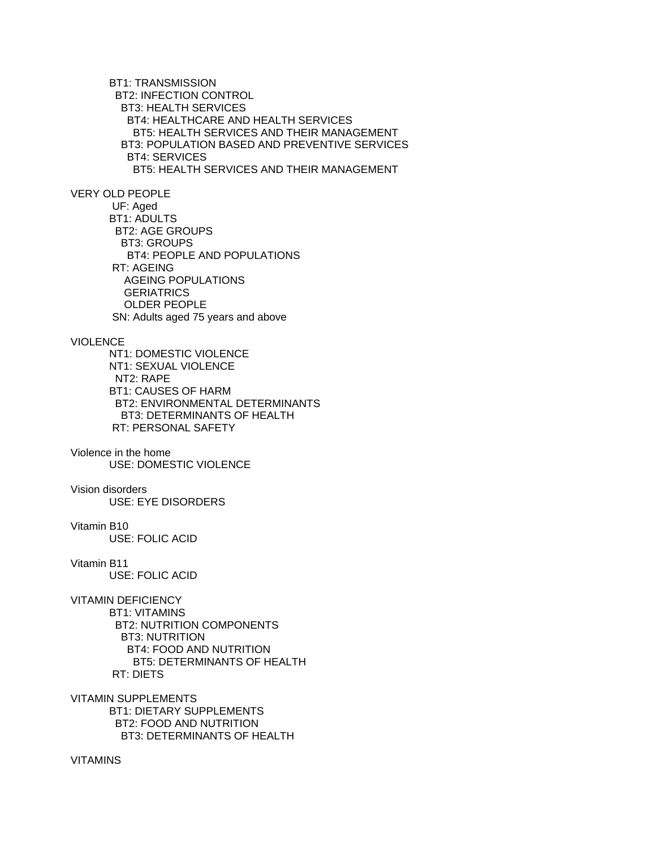BT1: TRANSMISSION BT2: INFECTION CONTROL BT3: HEALTH SERVICES BT4: HEALTHCARE AND HEALTH SERVICES BT5: HEALTH SERVICES AND THEIR MANAGEMENT BT3: POPULATION BASED AND PREVENTIVE SERVICES BT4: SERVICES BT5: HEALTH SERVICES AND THEIR MANAGEMENT

# VERY OLD PEOPLE

 UF: Aged BT1: ADULTS BT2: AGE GROUPS BT3: GROUPS BT4: PEOPLE AND POPULATIONS RT: AGEING AGEING POPULATIONS **GERIATRICS**  OLDER PEOPLE SN: Adults aged 75 years and above

# VIOLENCE

 NT1: DOMESTIC VIOLENCE NT1: SEXUAL VIOLENCE NT2: RAPE BT1: CAUSES OF HARM BT2: ENVIRONMENTAL DETERMINANTS BT3: DETERMINANTS OF HEALTH RT: PERSONAL SAFETY

Violence in the home USE: DOMESTIC VIOLENCE

### Vision disorders

USE: EYE DISORDERS

### Vitamin B10

USE: FOLIC ACID

### Vitamin B11

USE: FOLIC ACID

# VITAMIN DEFICIENCY

 BT1: VITAMINS BT2: NUTRITION COMPONENTS BT3: NUTRITION BT4: FOOD AND NUTRITION BT5: DETERMINANTS OF HEALTH RT: DIETS

# VITAMIN SUPPLEMENTS BT1: DIETARY SUPPLEMENTS BT2: FOOD AND NUTRITION

BT3: DETERMINANTS OF HEALTH

### VITAMINS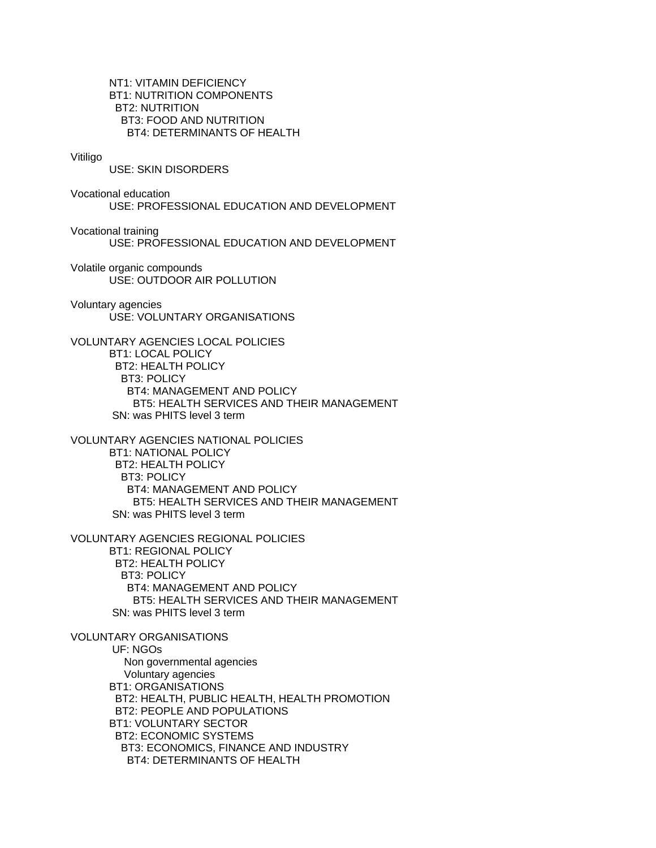NT1: VITAMIN DEFICIENCY BT1: NUTRITION COMPONENTS BT2: NUTRITION BT3: FOOD AND NUTRITION BT4: DETERMINANTS OF HEALTH

#### Vitiligo

USE: SKIN DISORDERS

Vocational education USE: PROFESSIONAL EDUCATION AND DEVELOPMENT

Vocational training USE: PROFESSIONAL EDUCATION AND DEVELOPMENT

Volatile organic compounds USE: OUTDOOR AIR POLLUTION

Voluntary agencies USE: VOLUNTARY ORGANISATIONS

VOLUNTARY AGENCIES LOCAL POLICIES BT1: LOCAL POLICY BT2: HEALTH POLICY BT3: POLICY BT4: MANAGEMENT AND POLICY BT5: HEALTH SERVICES AND THEIR MANAGEMENT SN: was PHITS level 3 term

VOLUNTARY AGENCIES NATIONAL POLICIES BT1: NATIONAL POLICY BT2: HEALTH POLICY BT3: POLICY BT4: MANAGEMENT AND POLICY BT5: HEALTH SERVICES AND THEIR MANAGEMENT SN: was PHITS level 3 term

VOLUNTARY AGENCIES REGIONAL POLICIES BT1: REGIONAL POLICY BT2: HEALTH POLICY BT3: POLICY BT4: MANAGEMENT AND POLICY BT5: HEALTH SERVICES AND THEIR MANAGEMENT SN: was PHITS level 3 term

VOLUNTARY ORGANISATIONS UF: NGOs Non governmental agencies Voluntary agencies BT1: ORGANISATIONS BT2: HEALTH, PUBLIC HEALTH, HEALTH PROMOTION BT2: PEOPLE AND POPULATIONS BT1: VOLUNTARY SECTOR BT2: ECONOMIC SYSTEMS BT3: ECONOMICS, FINANCE AND INDUSTRY BT4: DETERMINANTS OF HEALTH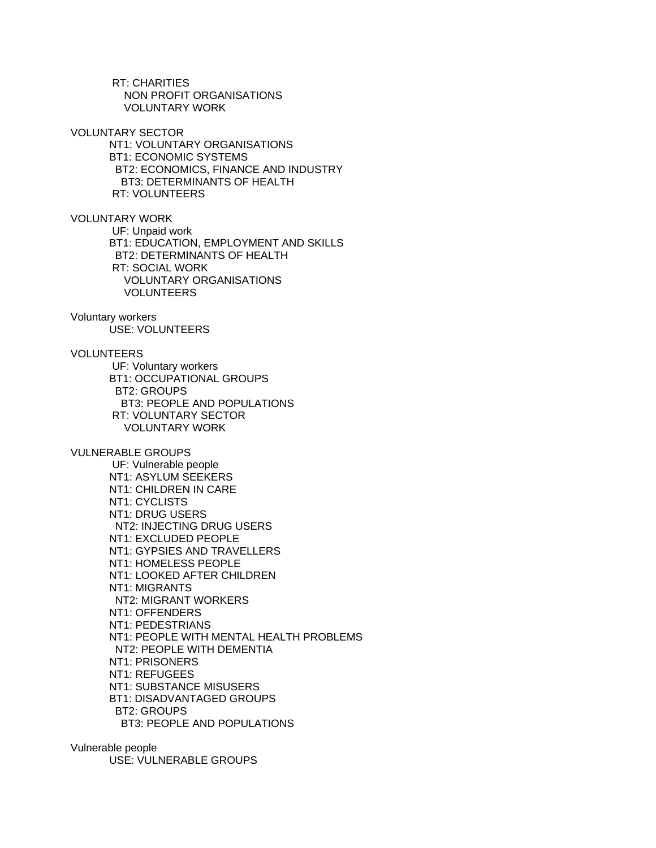RT: CHARITIES NON PROFIT ORGANISATIONS VOLUNTARY WORK

VOLUNTARY SECTOR NT1: VOLUNTARY ORGANISATIONS BT1: ECONOMIC SYSTEMS BT2: ECONOMICS, FINANCE AND INDUSTRY BT3: DETERMINANTS OF HEALTH RT: VOLUNTEERS

VOLUNTARY WORK

 UF: Unpaid work BT1: EDUCATION, EMPLOYMENT AND SKILLS BT2: DETERMINANTS OF HEALTH RT: SOCIAL WORK VOLUNTARY ORGANISATIONS VOLUNTEERS

Voluntary workers USE: VOLUNTEERS

VOLUNTEERS

 UF: Voluntary workers BT1: OCCUPATIONAL GROUPS BT2: GROUPS BT3: PEOPLE AND POPULATIONS RT: VOLUNTARY SECTOR VOLUNTARY WORK

VULNERABLE GROUPS

 UF: Vulnerable people NT1: ASYLUM SEEKERS NT1: CHILDREN IN CARE NT1: CYCLISTS NT1: DRUG USERS NT2: INJECTING DRUG USERS NT1: EXCLUDED PEOPLE NT1: GYPSIES AND TRAVELLERS NT1: HOMELESS PEOPLE NT1: LOOKED AFTER CHILDREN NT1: MIGRANTS NT2: MIGRANT WORKERS NT1: OFFENDERS NT1: PEDESTRIANS NT1: PEOPLE WITH MENTAL HEALTH PROBLEMS NT2: PEOPLE WITH DEMENTIA NT1: PRISONERS NT1: REFUGEES NT1: SUBSTANCE MISUSERS BT1: DISADVANTAGED GROUPS BT2: GROUPS BT3: PEOPLE AND POPULATIONS

Vulnerable people USE: VULNERABLE GROUPS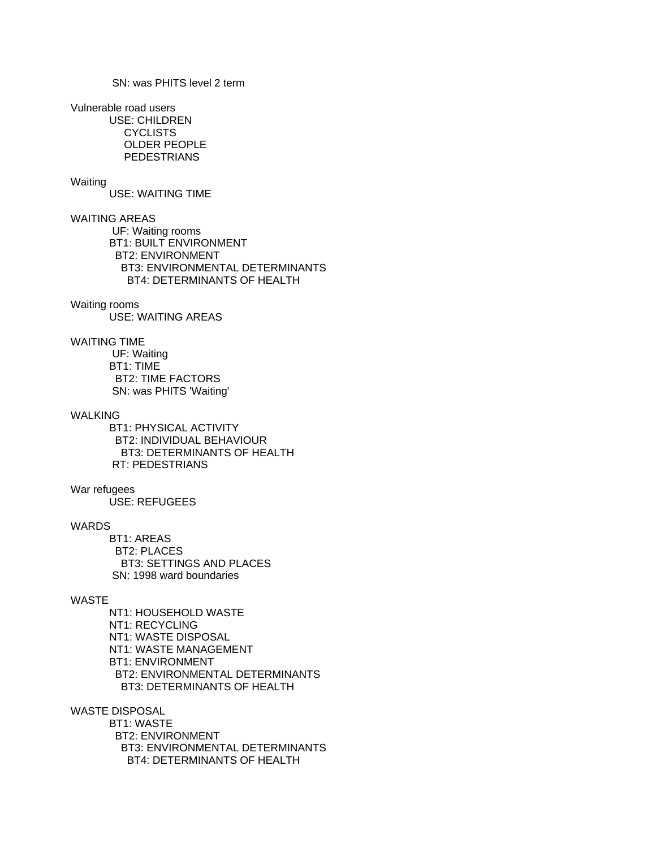SN: was PHITS level 2 term

Vulnerable road users

 USE: CHILDREN **CYCLISTS**  OLDER PEOPLE PEDESTRIANS

# Waiting

USE: WAITING TIME

WAITING AREAS

 UF: Waiting rooms BT1: BUILT ENVIRONMENT BT2: ENVIRONMENT BT3: ENVIRONMENTAL DETERMINANTS BT4: DETERMINANTS OF HEALTH

## Waiting rooms

USE: WAITING AREAS

# WAITING TIME

 UF: Waiting BT1: TIME BT2: TIME FACTORS SN: was PHITS 'Waiting'

## WALKING

 BT1: PHYSICAL ACTIVITY BT2: INDIVIDUAL BEHAVIOUR BT3: DETERMINANTS OF HEALTH RT: PEDESTRIANS

#### War refugees

USE: REFUGEES

#### WARDS

 BT1: AREAS BT2: PLACES BT3: SETTINGS AND PLACES SN: 1998 ward boundaries

# WASTE

 NT1: HOUSEHOLD WASTE NT1: RECYCLING NT1: WASTE DISPOSAL NT1: WASTE MANAGEMENT BT1: ENVIRONMENT BT2: ENVIRONMENTAL DETERMINANTS BT3: DETERMINANTS OF HEALTH

WASTE DISPOSAL

 BT1: WASTE BT2: ENVIRONMENT BT3: ENVIRONMENTAL DETERMINANTS BT4: DETERMINANTS OF HEALTH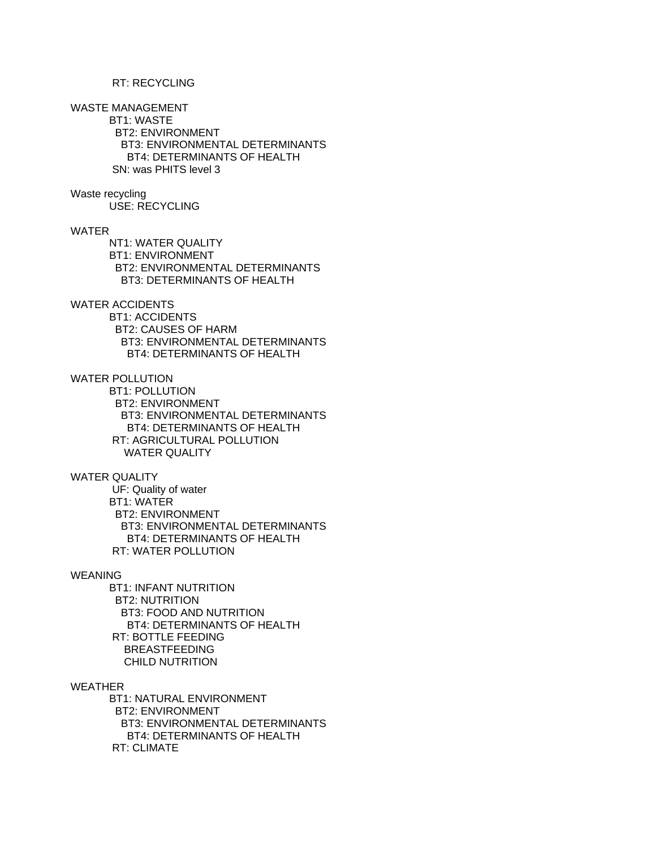# RT: RECYCLING

WASTE MANAGEMENT

 BT1: WASTE BT2: ENVIRONMENT BT3: ENVIRONMENTAL DETERMINANTS BT4: DETERMINANTS OF HEALTH SN: was PHITS level 3

# Waste recycling

USE: RECYCLING

## WATER

 NT1: WATER QUALITY BT1: ENVIRONMENT BT2: ENVIRONMENTAL DETERMINANTS BT3: DETERMINANTS OF HEALTH

# WATER ACCIDENTS

 BT1: ACCIDENTS BT2: CAUSES OF HARM BT3: ENVIRONMENTAL DETERMINANTS BT4: DETERMINANTS OF HEALTH

## WATER POLLUTION

 BT1: POLLUTION BT2: ENVIRONMENT BT3: ENVIRONMENTAL DETERMINANTS BT4: DETERMINANTS OF HEALTH RT: AGRICULTURAL POLLUTION WATER QUALITY

## WATER QUALITY

 UF: Quality of water BT1: WATER BT2: ENVIRONMENT BT3: ENVIRONMENTAL DETERMINANTS BT4: DETERMINANTS OF HEALTH RT: WATER POLLUTION

#### WEANING

 BT1: INFANT NUTRITION BT2: NUTRITION BT3: FOOD AND NUTRITION BT4: DETERMINANTS OF HEALTH RT: BOTTLE FEEDING BREASTFEEDING CHILD NUTRITION

#### WEATHER

 BT1: NATURAL ENVIRONMENT BT2: ENVIRONMENT BT3: ENVIRONMENTAL DETERMINANTS BT4: DETERMINANTS OF HEALTH RT: CLIMATE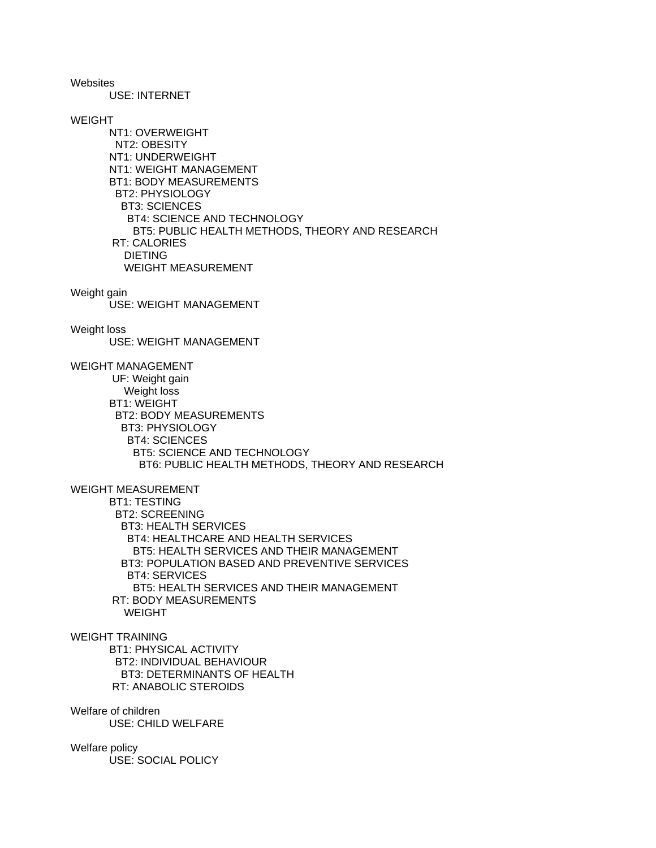**Websites** 

USE: INTERNET

# WEIGHT

 NT1: OVERWEIGHT NT2: OBESITY NT1: UNDERWEIGHT NT1: WEIGHT MANAGEMENT BT1: BODY MEASUREMENTS BT2: PHYSIOLOGY BT3: SCIENCES BT4: SCIENCE AND TECHNOLOGY BT5: PUBLIC HEALTH METHODS, THEORY AND RESEARCH RT: CALORIES DIETING WEIGHT MEASUREMENT

#### Weight gain

USE: WEIGHT MANAGEMENT

#### Weight loss

USE: WEIGHT MANAGEMENT

# WEIGHT MANAGEMENT

 UF: Weight gain Weight loss BT1: WEIGHT BT2: BODY MEASUREMENTS BT3: PHYSIOLOGY BT4: SCIENCES BT5: SCIENCE AND TECHNOLOGY BT6: PUBLIC HEALTH METHODS, THEORY AND RESEARCH

# WEIGHT MEASUREMENT

 BT1: TESTING BT2: SCREENING BT3: HEALTH SERVICES BT4: HEALTHCARE AND HEALTH SERVICES BT5: HEALTH SERVICES AND THEIR MANAGEMENT BT3: POPULATION BASED AND PREVENTIVE SERVICES BT4: SERVICES BT5: HEALTH SERVICES AND THEIR MANAGEMENT RT: BODY MEASUREMENTS WEIGHT

# WEIGHT TRAINING

 BT1: PHYSICAL ACTIVITY BT2: INDIVIDUAL BEHAVIOUR BT3: DETERMINANTS OF HEALTH RT: ANABOLIC STEROIDS

Welfare of children USE: CHILD WELFARE

# Welfare policy

USE: SOCIAL POLICY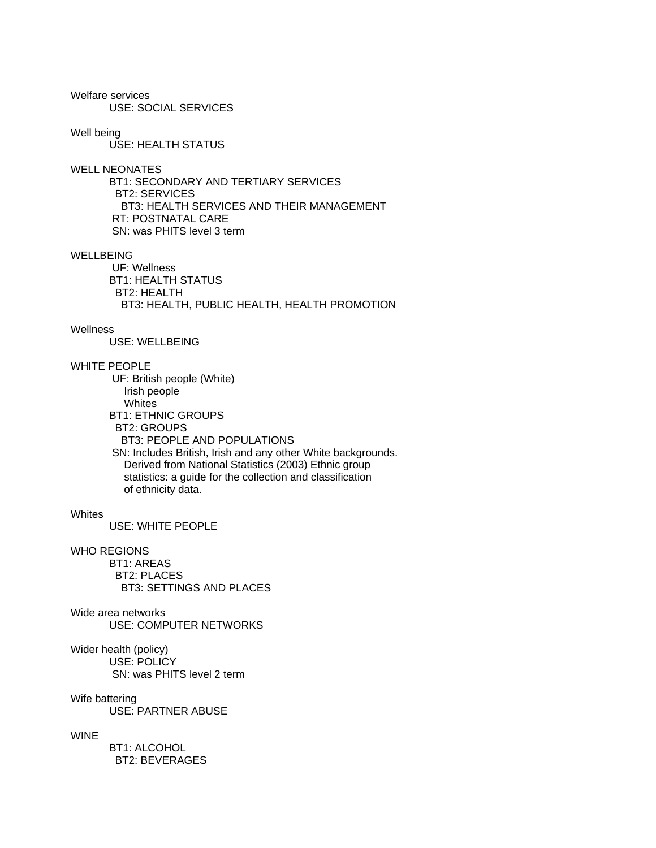Welfare services USE: SOCIAL SERVICES

Well being

USE: HEALTH STATUS

WELL NEONATES

 BT1: SECONDARY AND TERTIARY SERVICES BT2: SERVICES BT3: HEALTH SERVICES AND THEIR MANAGEMENT RT: POSTNATAL CARE SN: was PHITS level 3 term

## WELLBEING

 UF: Wellness BT1: HEALTH STATUS BT2: HEALTH BT3: HEALTH, PUBLIC HEALTH, HEALTH PROMOTION

# **Wellness**

USE: WELLBEING

# WHITE PEOPLE

 UF: British people (White) Irish people **Whites**  BT1: ETHNIC GROUPS BT2: GROUPS BT3: PEOPLE AND POPULATIONS SN: Includes British, Irish and any other White backgrounds. Derived from National Statistics (2003) Ethnic group statistics: a guide for the collection and classification of ethnicity data.

#### **Whites**

USE: WHITE PEOPLE

### WHO REGIONS

 BT1: AREAS BT2: PLACES BT3: SETTINGS AND PLACES

Wide area networks USE: COMPUTER NETWORKS

Wider health (policy) USE: POLICY SN: was PHITS level 2 term

Wife battering

USE: PARTNER ABUSE

## **WINE**

 BT1: ALCOHOL BT2: BEVERAGES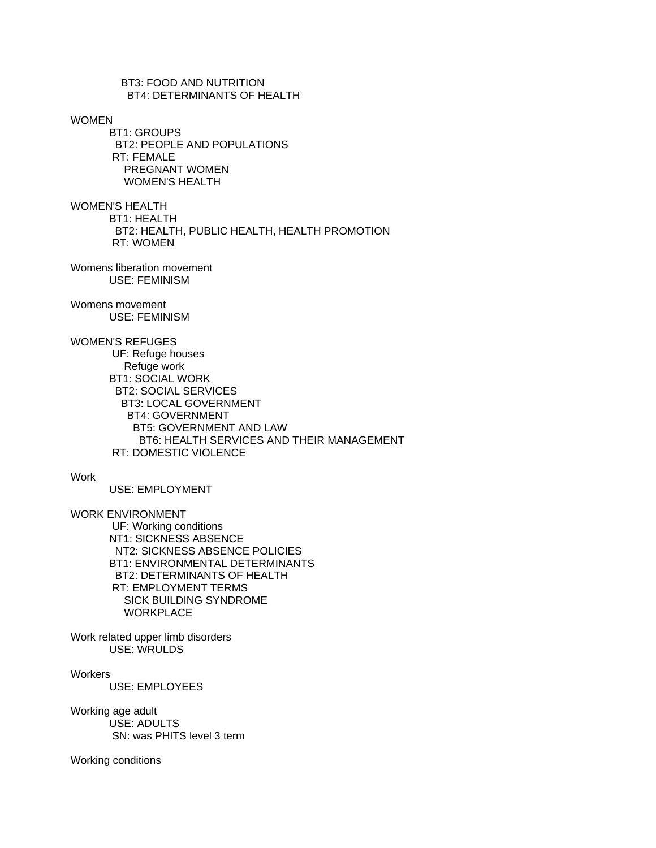BT3: FOOD AND NUTRITION BT4: DETERMINANTS OF HEALTH

# WOMEN

 BT1: GROUPS BT2: PEOPLE AND POPULATIONS RT: FEMALE PREGNANT WOMEN WOMEN'S HEALTH

WOMEN'S HEALTH BT1: HEALTH BT2: HEALTH, PUBLIC HEALTH, HEALTH PROMOTION RT: WOMEN

Womens liberation movement USE: FEMINISM

#### Womens movement

USE: FEMINISM

# WOMEN'S REFUGES

 UF: Refuge houses Refuge work BT1: SOCIAL WORK BT2: SOCIAL SERVICES BT3: LOCAL GOVERNMENT BT4: GOVERNMENT BT5: GOVERNMENT AND LAW BT6: HEALTH SERVICES AND THEIR MANAGEMENT RT: DOMESTIC VIOLENCE

#### Work

USE: EMPLOYMENT

WORK ENVIRONMENT

 UF: Working conditions NT1: SICKNESS ABSENCE NT2: SICKNESS ABSENCE POLICIES BT1: ENVIRONMENTAL DETERMINANTS BT2: DETERMINANTS OF HEALTH RT: EMPLOYMENT TERMS SICK BUILDING SYNDROME **WORKPLACE** 

Work related upper limb disorders USE: WRULDS

**Workers** 

USE: EMPLOYEES

## Working age adult USE: ADULTS SN: was PHITS level 3 term

## Working conditions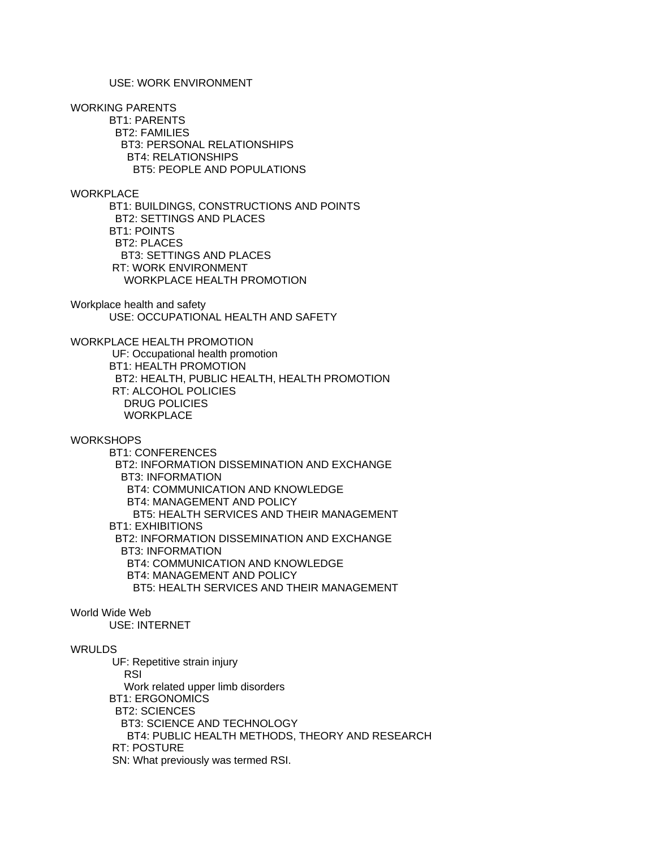# USE: WORK ENVIRONMENT

WORKING PARENTS

 BT1: PARENTS BT2: FAMILIES BT3: PERSONAL RELATIONSHIPS BT4: RELATIONSHIPS BT5: PEOPLE AND POPULATIONS

# **WORKPLACE**

 BT1: BUILDINGS, CONSTRUCTIONS AND POINTS BT2: SETTINGS AND PLACES BT1: POINTS BT2: PLACES BT3: SETTINGS AND PLACES RT: WORK ENVIRONMENT WORKPLACE HEALTH PROMOTION

Workplace health and safety USE: OCCUPATIONAL HEALTH AND SAFETY

WORKPLACE HEALTH PROMOTION

 UF: Occupational health promotion BT1: HEALTH PROMOTION BT2: HEALTH, PUBLIC HEALTH, HEALTH PROMOTION RT: ALCOHOL POLICIES DRUG POLICIES **WORKPLACE** 

**WORKSHOPS** 

 BT1: CONFERENCES BT2: INFORMATION DISSEMINATION AND EXCHANGE BT3: INFORMATION BT4: COMMUNICATION AND KNOWLEDGE BT4: MANAGEMENT AND POLICY BT5: HEALTH SERVICES AND THEIR MANAGEMENT BT1: EXHIBITIONS BT2: INFORMATION DISSEMINATION AND EXCHANGE BT3: INFORMATION BT4: COMMUNICATION AND KNOWLEDGE BT4: MANAGEMENT AND POLICY BT5: HEALTH SERVICES AND THEIR MANAGEMENT

#### World Wide Web

USE: INTERNET

## WRULDS

 UF: Repetitive strain injury RSI Work related upper limb disorders BT1: ERGONOMICS BT2: SCIENCES BT3: SCIENCE AND TECHNOLOGY BT4: PUBLIC HEALTH METHODS, THEORY AND RESEARCH RT: POSTURE SN: What previously was termed RSI.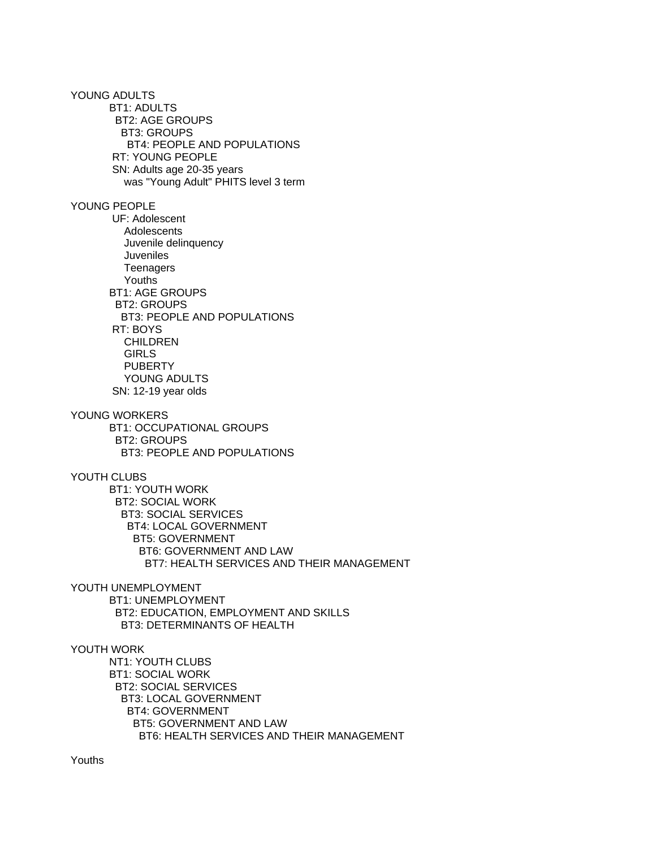YOUNG ADULTS BT1: ADULTS BT2: AGE GROUPS BT3: GROUPS BT4: PEOPLE AND POPULATIONS RT: YOUNG PEOPLE SN: Adults age 20-35 years was "Young Adult" PHITS level 3 term YOUNG PEOPLE UF: Adolescent Adolescents Juvenile delinquency Juveniles **Teenagers**  Youths BT1: AGE GROUPS BT2: GROUPS BT3: PEOPLE AND POPULATIONS RT: BOYS CHILDREN GIRLS PUBERTY YOUNG ADULTS SN: 12-19 year olds YOUNG WORKERS BT1: OCCUPATIONAL GROUPS BT2: GROUPS BT3: PEOPLE AND POPULATIONS YOUTH CLUBS BT1: YOUTH WORK BT2: SOCIAL WORK BT3: SOCIAL SERVICES BT4: LOCAL GOVERNMENT BT5: GOVERNMENT BT6: GOVERNMENT AND LAW BT7: HEALTH SERVICES AND THEIR MANAGEMENT YOUTH UNEMPLOYMENT BT1: UNEMPLOYMENT BT2: EDUCATION, EMPLOYMENT AND SKILLS BT3: DETERMINANTS OF HEALTH YOUTH WORK NT1: YOUTH CLUBS BT1: SOCIAL WORK BT2: SOCIAL SERVICES BT3: LOCAL GOVERNMENT BT4: GOVERNMENT

> BT5: GOVERNMENT AND LAW BT6: HEALTH SERVICES AND THEIR MANAGEMENT

Youths